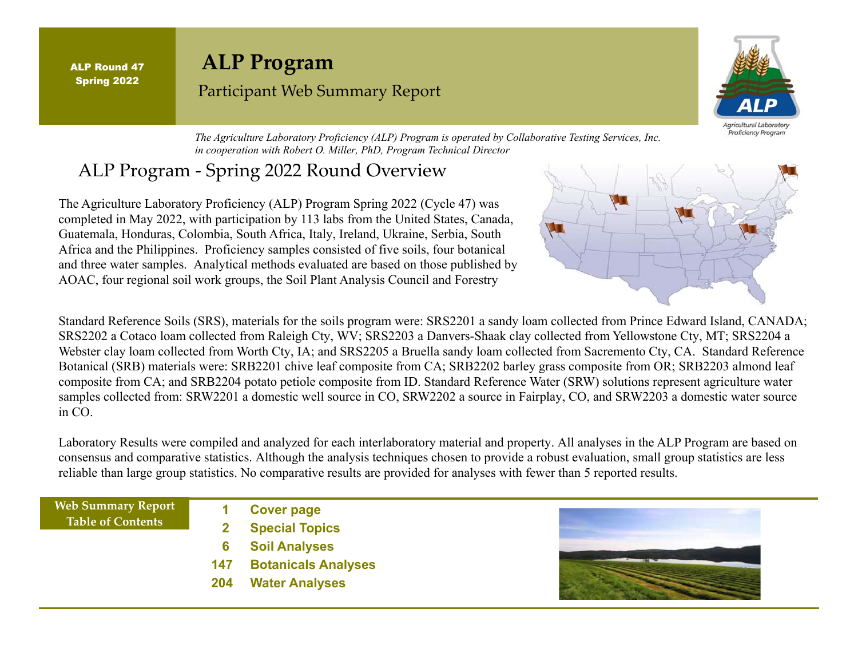# **ALP Program** Spring 2022 Participant Web Summary Report



*The Agriculture Laboratory Proficiency (ALP) Program is operated by Collaborative Testing Services, Inc. in cooperation with Robert O. Miller, PhD, Program Technical Director*

# ALP Program - Spring 2022 Round Overview

The Agriculture Laboratory Proficiency (ALP) Program Spring 2022 (Cycle 47) was completed in May 2022, with participation by 113 labs from the United States, Canada, Guatemala, Honduras, Colombia, South Africa, Italy, Ireland, Ukraine, Serbia, South Africa and the Philippines. Proficiency samples consisted of five soils, four botanical and three water samples. Analytical methods evaluated are based on those published by AOAC, four regional soil work groups, the Soil Plant Analysis Council and Forestry

Standard Reference Soils (SRS), materials for the soils program were: SRS2201 a sandy loam collected from Prince Edward Island, CANADA; SRS2202 a Cotaco loam collected from Raleigh Cty, WV; SRS2203 a Danvers-Shaak clay collected from Yellowstone Cty, MT; SRS2204 a Webster clay loam collected from Worth Cty, IA; and SRS2205 a Bruella sandy loam collected from Sacremento Cty, CA. Standard Reference Botanical (SRB) materials were: SRB2201 chive leaf composite from CA; SRB2202 barley grass composite from OR; SRB2203 almond leaf composite from CA; and SRB2204 potato petiole composite from ID. Standard Reference Water (SRW) solutions represent agriculture water samples collected from: SRW2201 a domestic well source in CO, SRW2202 a source in Fairplay, CO, and SRW2203 a domestic water source in CO.

Laboratory Results were compiled and analyzed for each interlaboratory material and property. All analyses in the ALP Program are based on consensus and comparative statistics. Although the analysis techniques chosen to provide a robust evaluation, small group statistics are less reliable than large group statistics. No comparative results are provided for analyses with fewer than 5 reported results.

**Web Summary Report Table of Contents**

- **1 Cover page**
- **2 [Special Topics](#page-1-0)**
- **6 [Soil Analyses](#page-5-0)**
- **147 [Botanicals Analyses](#page-146-0)**
- **204 [Water Analyses](#page-203-0)**

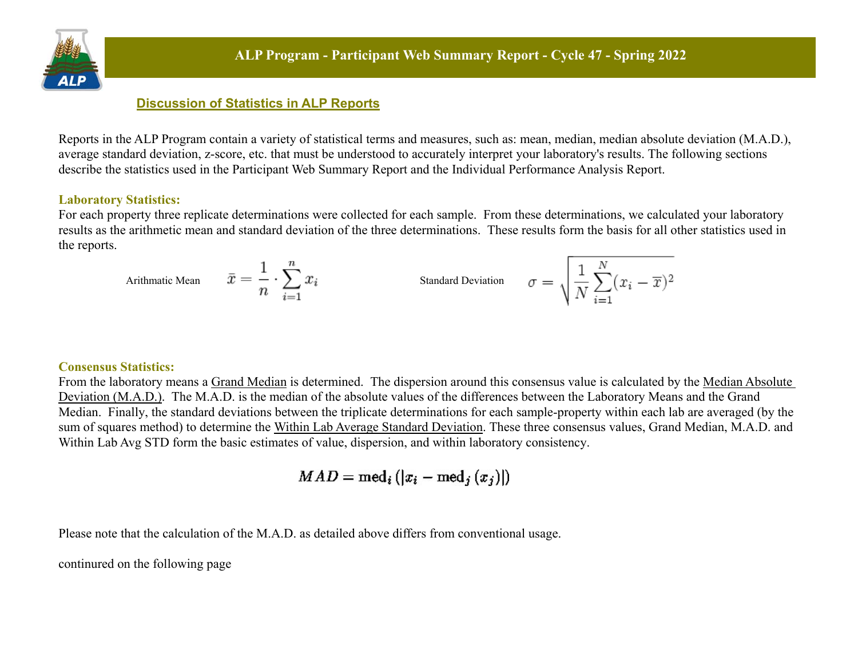<span id="page-1-0"></span>

#### **Discussion of Statistics in ALP Reports**

Reports in the ALP Program contain a variety of statistical terms and measures, such as: mean, median, median absolute deviation (M.A.D.), average standard deviation, z-score, etc. that must be understood to accurately interpret your laboratory's results. The following sections describe the statistics used in the Participant Web Summary Report and the Individual Performance Analysis Report.

#### **Laboratory Statistics:**

For each property three replicate determinations were collected for each sample. From these determinations, we calculated your laboratory results as the arithmetic mean and standard deviation of the three determinations. These results form the basis for all other statistics used in the reports.

Arithmetic Mean 
$$
\bar{x} = \frac{1}{n} \cdot \sum_{i=1}^{n} x_i
$$
 Standard Deviation  $\sigma = \sqrt{\frac{1}{N} \sum_{i=1}^{N} (x_i - \overline{x})^2}$ 

#### **Consensus Statistics:**

From the laboratory means a Grand Median is determined. The dispersion around this consensus value is calculated by the Median Absolute Deviation (M.A.D.). The M.A.D. is the median of the absolute values of the differences between the Laboratory Means and the Grand Median. Finally, the standard deviations between the triplicate determinations for each sample-property within each lab are averaged (by the sum of squares method) to determine the Within Lab Average Standard Deviation. These three consensus values, Grand Median, M.A.D. and Within Lab Avg STD form the basic estimates of value, dispersion, and within laboratory consistency.

$$
MAD = \mathrm{med}_{i} \left( |x_i - \mathrm{med}_{j} \left( x_j \right)| \right)
$$

Please note that the calculation of the M.A.D. as detailed above differs from conventional usage.

continured on the following page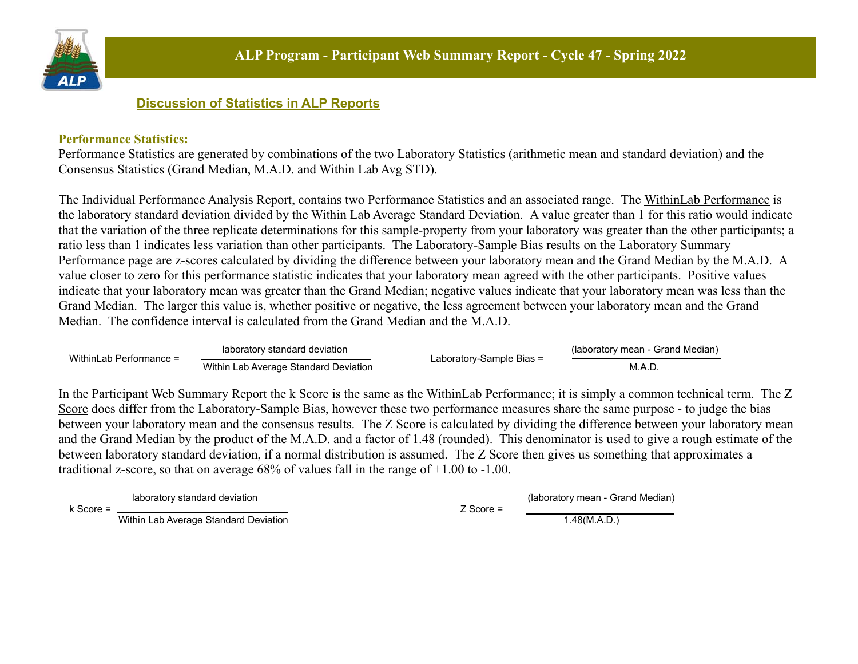

#### **Discussion of Statistics in ALP Reports**

#### **Performance Statistics:**

Performance Statistics are generated by combinations of the two Laboratory Statistics (arithmetic mean and standard deviation) and the Consensus Statistics (Grand Median, M.A.D. and Within Lab Avg STD).

The Individual Performance Analysis Report, contains two Performance Statistics and an associated range. The WithinLab Performance is the laboratory standard deviation divided by the Within Lab Average Standard Deviation. A value greater than 1 for this ratio would indicate that the variation of the three replicate determinations for this sample-property from your laboratory was greater than the other participants; a ratio less than 1 indicates less variation than other participants. The Laboratory - Sample Bias results on the Laboratory Summary Performance page are z-scores calculated by dividing the difference between your laboratory mean and the Grand Median by the M.A.D. A value closer to zero for this performance statistic indicates that your laboratory mean agreed with the other participants. Positive values indicate that your laboratory mean was greater than the Grand Median; negative values indicate that your laboratory mean was less than the Grand Median. The larger this value is, whether positive or negative, the less agreement between your laboratory mean and the Grand Median. The confidence interval is calculated from the Grand Median and the M.A.D.

| Withinl ab Performance $=$ | laboratory standard deviation         | _aboratorv-Sample Bias = | (laboratory mean - Grand Median) |
|----------------------------|---------------------------------------|--------------------------|----------------------------------|
|                            | Within Lab Average Standard Deviation |                          | - IVI                            |

In the Participant Web Summary Report the k Score is the same as the WithinLab Performance; it is simply a common technical term. The Z Score does differ from the Laboratory-Sample Bias, however these two performance measures share the same purpose - to judge the bias between your laboratory mean and the consensus results. The Z Score is calculated by dividing the difference between your laboratory mean and the Grand Median by the product of the M.A.D. and a factor of 1.48 (rounded). This denominator is used to give a rough estimate of the between laboratory standard deviation, if a normal distribution is assumed. The Z Score then gives us something that approximates a traditional z-score, so that on average 68% of values fall in the range of +1.00 to -1.00.

|         | laboratory standard deviation         |          | (laboratory mean - Grand Median) |
|---------|---------------------------------------|----------|----------------------------------|
| Score = |                                       | :Score = |                                  |
|         | Within Lab Average Standard Deviation |          | .48(M.A.D.`                      |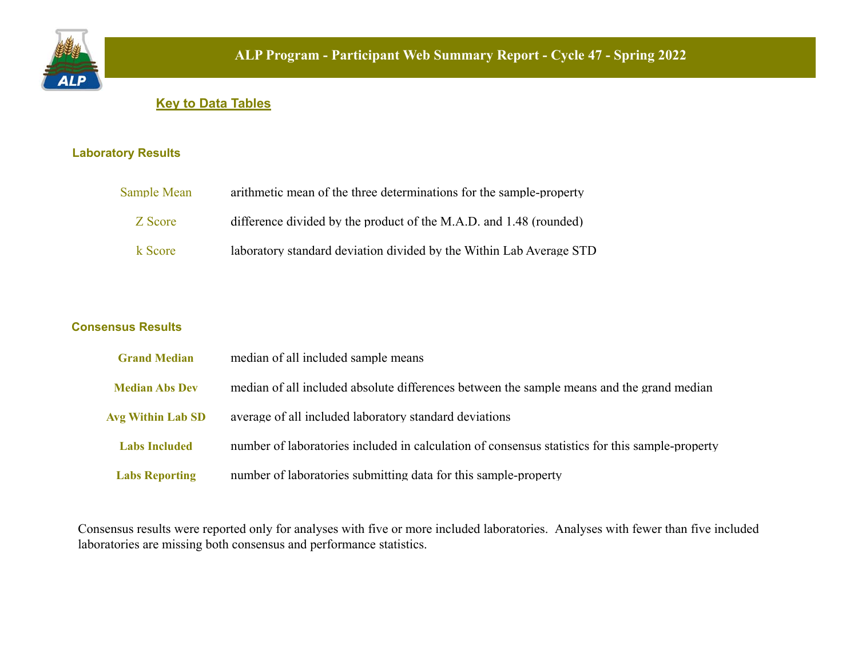

#### **Key to Data Tables**

#### **Laboratory Results**

| Sample Mean | arithmetic mean of the three determinations for the sample-property |
|-------------|---------------------------------------------------------------------|
| Z Score     | difference divided by the product of the M.A.D. and 1.48 (rounded)  |
| k Score     | laboratory standard deviation divided by the Within Lab Average STD |

#### **Consensus Results**

| <b>Grand Median</b>      | median of all included sample means                                                             |
|--------------------------|-------------------------------------------------------------------------------------------------|
| <b>Median Abs Dev</b>    | median of all included absolute differences between the sample means and the grand median       |
| <b>Avg Within Lab SD</b> | average of all included laboratory standard deviations                                          |
| <b>Labs Included</b>     | number of laboratories included in calculation of consensus statistics for this sample-property |
| <b>Labs Reporting</b>    | number of laboratories submitting data for this sample-property                                 |

Consensus results were reported only for analyses with five or more included laboratories. Analyses with fewer than five included laboratories are missing both consensus and performance statistics.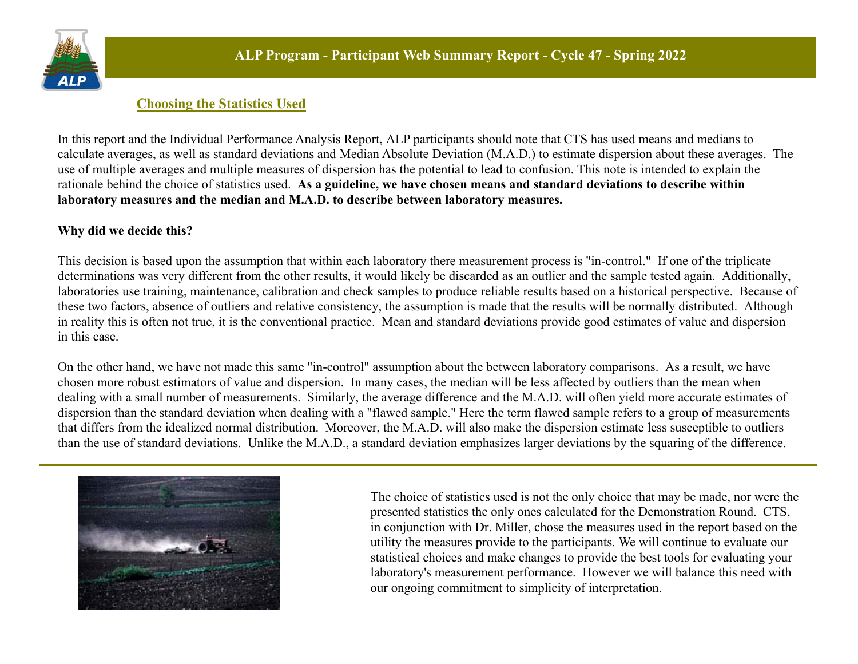

#### **Choosing the Statistics Used**

In this report and the Individual Performance Analysis Report, ALP participants should note that CTS has used means and medians to calculate averages, as well as standard deviations and Median Absolute Deviation (M.A.D.) to estimate dispersion about these averages. The use of multiple averages and multiple measures of dispersion has the potential to lead to confusion. This note is intended to explain the rationale behind the choice of statistics used. **As a guideline, we have chosen means and standard deviations to describe within laboratory measures and the median and M.A.D. to describe between laboratory measures.** 

#### **Why did we decide this?**

This decision is based upon the assumption that within each laboratory there measurement process is "in-control." If one of the triplicate determinations was very different from the other results, it would likely be discarded as an outlier and the sample tested again. Additionally, laboratories use training, maintenance, calibration and check samples to produce reliable results based on a historical perspective. Because of these two factors, absence of outliers and relative consistency, the assumption is made that the results will be normally distributed. Although in reality this is often not true, it is the conventional practice. Mean and standard deviations provide good estimates of value and dispersion in this case.

On the other hand, we have not made this same "in-control" assumption about the between laboratory comparisons. As a result, we have chosen more robust estimators of value and dispersion. In many cases, the median will be less affected by outliers than the mean when dealing with a small number of measurements. Similarly, the average difference and the M.A.D. will often yield more accurate estimates of dispersion than the standard deviation when dealing with a "flawed sample." Here the term flawed sample refers to a group of measurements that differs from the idealized normal distribution. Moreover, the M.A.D. will also make the dispersion estimate less susceptible to outliers than the use of standard deviations. Unlike the M.A.D., a standard deviation emphasizes larger deviations by the squaring of the difference.



The choice of statistics used is not the only choice that may be made, nor were the presented statistics the only ones calculated for the Demonstration Round. CTS, in conjunction with Dr. Miller, chose the measures used in the report based on the utility the measures provide to the participants. We will continue to evaluate our statistical choices and make changes to provide the best tools for evaluating your laboratory's measurement performance. However we will balance this need with our ongoing commitment to simplicity of interpretation.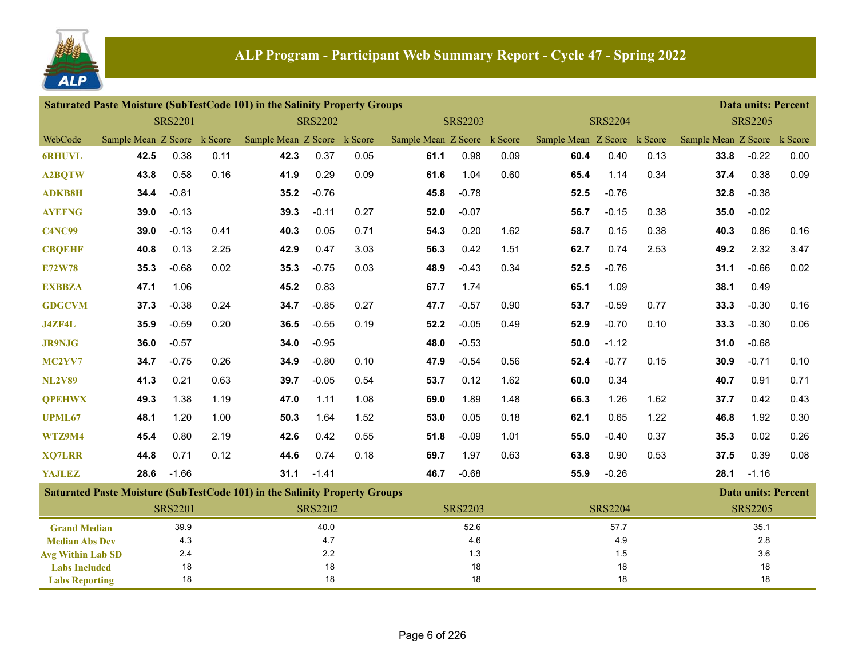<span id="page-5-0"></span>

| Saturated Paste Moisture (SubTestCode 101) in the Salinity Property Groups<br><b>Data units: Percent</b> |                             |                |      |                                                                            |                |      |                             |                |      |                             |                |      |                             |                            |      |
|----------------------------------------------------------------------------------------------------------|-----------------------------|----------------|------|----------------------------------------------------------------------------|----------------|------|-----------------------------|----------------|------|-----------------------------|----------------|------|-----------------------------|----------------------------|------|
|                                                                                                          |                             | <b>SRS2201</b> |      |                                                                            | <b>SRS2202</b> |      |                             | <b>SRS2203</b> |      |                             | <b>SRS2204</b> |      |                             |                            |      |
| WebCode                                                                                                  | Sample Mean Z Score k Score |                |      | Sample Mean Z Score k Score                                                |                |      | Sample Mean Z Score k Score |                |      | Sample Mean Z Score k Score |                |      | Sample Mean Z Score k Score |                            |      |
| <b>6RHUVL</b>                                                                                            | 42.5                        | 0.38           | 0.11 | 42.3                                                                       | 0.37           | 0.05 | 61.1                        | 0.98           | 0.09 | 60.4                        | 0.40           | 0.13 | 33.8                        | $-0.22$                    | 0.00 |
| <b>A2BQTW</b>                                                                                            | 43.8                        | 0.58           | 0.16 | 41.9                                                                       | 0.29           | 0.09 | 61.6                        | 1.04           | 0.60 | 65.4                        | 1.14           | 0.34 | 37.4                        | 0.38                       | 0.09 |
| <b>ADKB8H</b>                                                                                            | 34.4                        | $-0.81$        |      | 35.2                                                                       | $-0.76$        |      | 45.8                        | $-0.78$        |      | 52.5                        | $-0.76$        |      | 32.8                        | $-0.38$                    |      |
| <b>AYEFNG</b>                                                                                            | 39.0                        | $-0.13$        |      | 39.3                                                                       | $-0.11$        | 0.27 | 52.0                        | $-0.07$        |      | 56.7                        | $-0.15$        | 0.38 | 35.0                        | $-0.02$                    |      |
| <b>C4NC99</b>                                                                                            | 39.0                        | $-0.13$        | 0.41 | 40.3                                                                       | 0.05           | 0.71 | 54.3                        | 0.20           | 1.62 | 58.7                        | 0.15           | 0.38 | 40.3                        | 0.86                       | 0.16 |
| <b>CBQEHF</b>                                                                                            | 40.8                        | 0.13           | 2.25 | 42.9                                                                       | 0.47           | 3.03 | 56.3                        | 0.42           | 1.51 | 62.7                        | 0.74           | 2.53 | 49.2                        | 2.32                       | 3.47 |
| E72W78                                                                                                   | 35.3                        | $-0.68$        | 0.02 | 35.3                                                                       | $-0.75$        | 0.03 | 48.9                        | $-0.43$        | 0.34 | 52.5                        | $-0.76$        |      | 31.1                        | $-0.66$                    | 0.02 |
| <b>EXBBZA</b>                                                                                            | 47.1                        | 1.06           |      | 45.2                                                                       | 0.83           |      | 67.7                        | 1.74           |      | 65.1                        | 1.09           |      | 38.1                        | 0.49                       |      |
| <b>GDGCVM</b>                                                                                            | 37.3                        | $-0.38$        | 0.24 | 34.7                                                                       | $-0.85$        | 0.27 | 47.7                        | $-0.57$        | 0.90 | 53.7                        | $-0.59$        | 0.77 | 33.3                        | $-0.30$                    | 0.16 |
| <b>J4ZF4L</b>                                                                                            | 35.9                        | $-0.59$        | 0.20 | 36.5                                                                       | $-0.55$        | 0.19 | 52.2                        | $-0.05$        | 0.49 | 52.9                        | $-0.70$        | 0.10 | 33.3                        | $-0.30$                    | 0.06 |
| <b>JR9NJG</b>                                                                                            | 36.0                        | $-0.57$        |      | 34.0                                                                       | $-0.95$        |      | 48.0                        | $-0.53$        |      | 50.0                        | $-1.12$        |      | 31.0                        | $-0.68$                    |      |
| MC <sub>2</sub> YV <sub>7</sub>                                                                          | 34.7                        | $-0.75$        | 0.26 | 34.9                                                                       | $-0.80$        | 0.10 | 47.9                        | $-0.54$        | 0.56 | 52.4                        | $-0.77$        | 0.15 | 30.9                        | $-0.71$                    | 0.10 |
| <b>NL2V89</b>                                                                                            | 41.3                        | 0.21           | 0.63 | 39.7                                                                       | $-0.05$        | 0.54 | 53.7                        | 0.12           | 1.62 | 60.0                        | 0.34           |      | 40.7                        | 0.91                       | 0.71 |
| <b>QPEHWX</b>                                                                                            | 49.3                        | 1.38           | 1.19 | 47.0                                                                       | 1.11           | 1.08 | 69.0                        | 1.89           | 1.48 | 66.3                        | 1.26           | 1.62 | 37.7                        | 0.42                       | 0.43 |
| UPML67                                                                                                   | 48.1                        | 1.20           | 1.00 | 50.3                                                                       | 1.64           | 1.52 | 53.0                        | 0.05           | 0.18 | 62.1                        | 0.65           | 1.22 | 46.8                        | 1.92                       | 0.30 |
| WTZ9M4                                                                                                   | 45.4                        | 0.80           | 2.19 | 42.6                                                                       | 0.42           | 0.55 | 51.8                        | $-0.09$        | 1.01 | 55.0                        | $-0.40$        | 0.37 | 35.3                        | 0.02                       | 0.26 |
| <b>XQ7LRR</b>                                                                                            | 44.8                        | 0.71           | 0.12 | 44.6                                                                       | 0.74           | 0.18 | 69.7                        | 1.97           | 0.63 | 63.8                        | 0.90           | 0.53 | 37.5                        | 0.39                       | 0.08 |
| <b>YAJLEZ</b>                                                                                            | 28.6                        | $-1.66$        |      | 31.1                                                                       | $-1.41$        |      | 46.7                        | $-0.68$        |      | 55.9                        | $-0.26$        |      | 28.1                        | $-1.16$                    |      |
|                                                                                                          |                             |                |      | Saturated Paste Moisture (SubTestCode 101) in the Salinity Property Groups |                |      |                             |                |      |                             |                |      |                             | <b>Data units: Percent</b> |      |
|                                                                                                          |                             | <b>SRS2201</b> |      |                                                                            | <b>SRS2202</b> |      |                             | <b>SRS2203</b> |      |                             | <b>SRS2204</b> |      |                             | <b>SRS2205</b>             |      |
| <b>Grand Median</b>                                                                                      |                             | 39.9           |      |                                                                            | 40.0           |      |                             | 52.6           |      |                             | 57.7           |      |                             | 35.1                       |      |
| <b>Median Abs Dev</b>                                                                                    |                             | 4.3            |      |                                                                            | 4.7            |      |                             | 4.6            |      |                             | 4.9            |      |                             | 2.8                        |      |
| <b>Avg Within Lab SD</b>                                                                                 |                             | 2.4            |      |                                                                            | 2.2            |      |                             | 1.3            |      |                             | 1.5            |      |                             | 3.6                        |      |
| <b>Labs Included</b><br><b>Labs Reporting</b>                                                            |                             | 18<br>18       |      |                                                                            | 18<br>18       |      |                             | 18<br>18       |      |                             | 18<br>18       |      |                             | 18<br>18                   |      |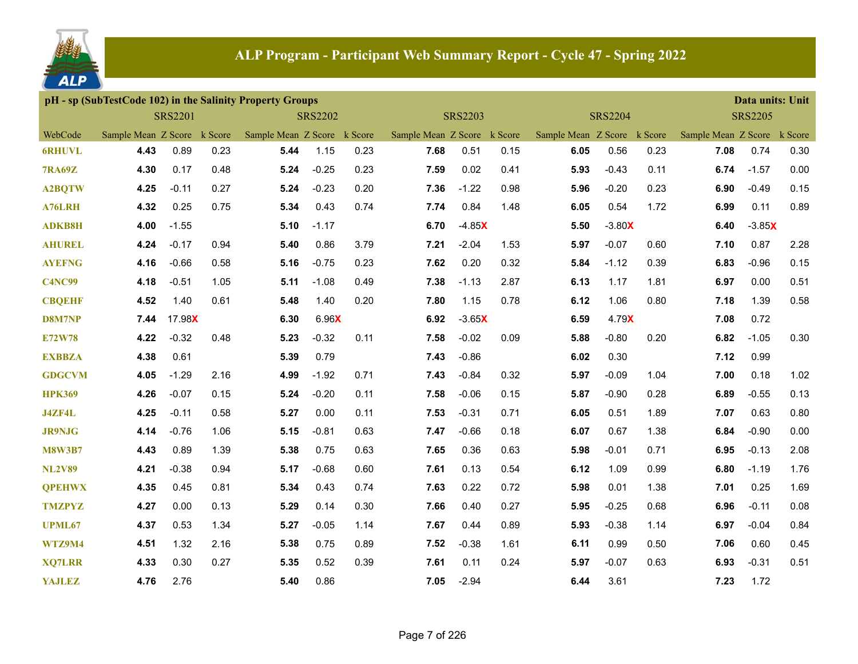

|               |                             |                | pH - sp (SubTestCode 102) in the Salinity Property Groups |                             |                |      |                             |                |      |                             |                | Data units: Unit |                             |                  |      |
|---------------|-----------------------------|----------------|-----------------------------------------------------------|-----------------------------|----------------|------|-----------------------------|----------------|------|-----------------------------|----------------|------------------|-----------------------------|------------------|------|
|               |                             | <b>SRS2201</b> |                                                           |                             | <b>SRS2202</b> |      |                             | <b>SRS2203</b> |      |                             | <b>SRS2204</b> |                  |                             | <b>SRS2205</b>   |      |
| WebCode       | Sample Mean Z Score k Score |                |                                                           | Sample Mean Z Score k Score |                |      | Sample Mean Z Score k Score |                |      | Sample Mean Z Score k Score |                |                  | Sample Mean Z Score k Score |                  |      |
| <b>6RHUVL</b> | 4.43                        | 0.89           | 0.23                                                      | 5.44                        | 1.15           | 0.23 | 7.68                        | 0.51           | 0.15 | 6.05                        | 0.56           | 0.23             | 7.08                        | 0.74             | 0.30 |
| <b>7RA69Z</b> | 4.30                        | 0.17           | 0.48                                                      | 5.24                        | $-0.25$        | 0.23 | 7.59                        | 0.02           | 0.41 | 5.93                        | $-0.43$        | 0.11             | 6.74                        | $-1.57$          | 0.00 |
| <b>A2BOTW</b> | 4.25                        | $-0.11$        | 0.27                                                      | 5.24                        | $-0.23$        | 0.20 | 7.36                        | $-1.22$        | 0.98 | 5.96                        | $-0.20$        | 0.23             | 6.90                        | $-0.49$          | 0.15 |
| A76LRH        | 4.32                        | 0.25           | 0.75                                                      | 5.34                        | 0.43           | 0.74 | 7.74                        | 0.84           | 1.48 | 6.05                        | 0.54           | 1.72             | 6.99                        | 0.11             | 0.89 |
| <b>ADKB8H</b> | 4.00                        | $-1.55$        |                                                           | 5.10                        | $-1.17$        |      | 6.70                        | $-4.85X$       |      | 5.50                        | $-3.80X$       |                  | 6.40                        | $-3.85$ <b>X</b> |      |
| <b>AHUREL</b> | 4.24                        | $-0.17$        | 0.94                                                      | 5.40                        | 0.86           | 3.79 | 7.21                        | $-2.04$        | 1.53 | 5.97                        | $-0.07$        | 0.60             | 7.10                        | 0.87             | 2.28 |
| <b>AYEFNG</b> | 4.16                        | $-0.66$        | 0.58                                                      | 5.16                        | $-0.75$        | 0.23 | 7.62                        | 0.20           | 0.32 | 5.84                        | $-1.12$        | 0.39             | 6.83                        | $-0.96$          | 0.15 |
| <b>C4NC99</b> | 4.18                        | $-0.51$        | 1.05                                                      | 5.11                        | $-1.08$        | 0.49 | 7.38                        | $-1.13$        | 2.87 | 6.13                        | 1.17           | 1.81             | 6.97                        | 0.00             | 0.51 |
| <b>CBQEHF</b> | 4.52                        | 1.40           | 0.61                                                      | 5.48                        | 1.40           | 0.20 | 7.80                        | 1.15           | 0.78 | 6.12                        | 1.06           | 0.80             | 7.18                        | 1.39             | 0.58 |
| D8M7NP        | 7.44                        | 17.98X         |                                                           | 6.30                        | 6.96X          |      | 6.92                        | $-3.65X$       |      | 6.59                        | 4.79X          |                  | 7.08                        | 0.72             |      |
| E72W78        | 4.22                        | $-0.32$        | 0.48                                                      | 5.23                        | $-0.32$        | 0.11 | 7.58                        | $-0.02$        | 0.09 | 5.88                        | $-0.80$        | 0.20             | 6.82                        | $-1.05$          | 0.30 |
| <b>EXBBZA</b> | 4.38                        | 0.61           |                                                           | 5.39                        | 0.79           |      | 7.43                        | $-0.86$        |      | 6.02                        | 0.30           |                  | 7.12                        | 0.99             |      |
| <b>GDGCVM</b> | 4.05                        | $-1.29$        | 2.16                                                      | 4.99                        | $-1.92$        | 0.71 | 7.43                        | $-0.84$        | 0.32 | 5.97                        | $-0.09$        | 1.04             | 7.00                        | 0.18             | 1.02 |
| <b>HPK369</b> | 4.26                        | $-0.07$        | 0.15                                                      | 5.24                        | $-0.20$        | 0.11 | 7.58                        | $-0.06$        | 0.15 | 5.87                        | $-0.90$        | 0.28             | 6.89                        | $-0.55$          | 0.13 |
| <b>J4ZF4L</b> | 4.25                        | $-0.11$        | 0.58                                                      | 5.27                        | 0.00           | 0.11 | 7.53                        | $-0.31$        | 0.71 | 6.05                        | 0.51           | 1.89             | 7.07                        | 0.63             | 0.80 |
| <b>JR9NJG</b> | 4.14                        | $-0.76$        | 1.06                                                      | 5.15                        | $-0.81$        | 0.63 | 7.47                        | $-0.66$        | 0.18 | 6.07                        | 0.67           | 1.38             | 6.84                        | $-0.90$          | 0.00 |
| <b>M8W3B7</b> | 4.43                        | 0.89           | 1.39                                                      | 5.38                        | 0.75           | 0.63 | 7.65                        | 0.36           | 0.63 | 5.98                        | $-0.01$        | 0.71             | 6.95                        | $-0.13$          | 2.08 |
| <b>NL2V89</b> | 4.21                        | $-0.38$        | 0.94                                                      | 5.17                        | $-0.68$        | 0.60 | 7.61                        | 0.13           | 0.54 | 6.12                        | 1.09           | 0.99             | 6.80                        | $-1.19$          | 1.76 |
| <b>QPEHWX</b> | 4.35                        | 0.45           | 0.81                                                      | 5.34                        | 0.43           | 0.74 | 7.63                        | 0.22           | 0.72 | 5.98                        | 0.01           | 1.38             | 7.01                        | 0.25             | 1.69 |
| <b>TMZPYZ</b> | 4.27                        | 0.00           | 0.13                                                      | 5.29                        | 0.14           | 0.30 | 7.66                        | 0.40           | 0.27 | 5.95                        | $-0.25$        | 0.68             | 6.96                        | $-0.11$          | 0.08 |
| UPML67        | 4.37                        | 0.53           | 1.34                                                      | 5.27                        | $-0.05$        | 1.14 | 7.67                        | 0.44           | 0.89 | 5.93                        | $-0.38$        | 1.14             | 6.97                        | $-0.04$          | 0.84 |
| WTZ9M4        | 4.51                        | 1.32           | 2.16                                                      | 5.38                        | 0.75           | 0.89 | 7.52                        | $-0.38$        | 1.61 | 6.11                        | 0.99           | 0.50             | 7.06                        | 0.60             | 0.45 |
| <b>XO7LRR</b> | 4.33                        | 0.30           | 0.27                                                      | 5.35                        | 0.52           | 0.39 | 7.61                        | 0.11           | 0.24 | 5.97                        | $-0.07$        | 0.63             | 6.93                        | $-0.31$          | 0.51 |
| <b>YAJLEZ</b> | 4.76                        | 2.76           |                                                           | 5.40                        | 0.86           |      | 7.05                        | $-2.94$        |      | 6.44                        | 3.61           |                  | 7.23                        | 1.72             |      |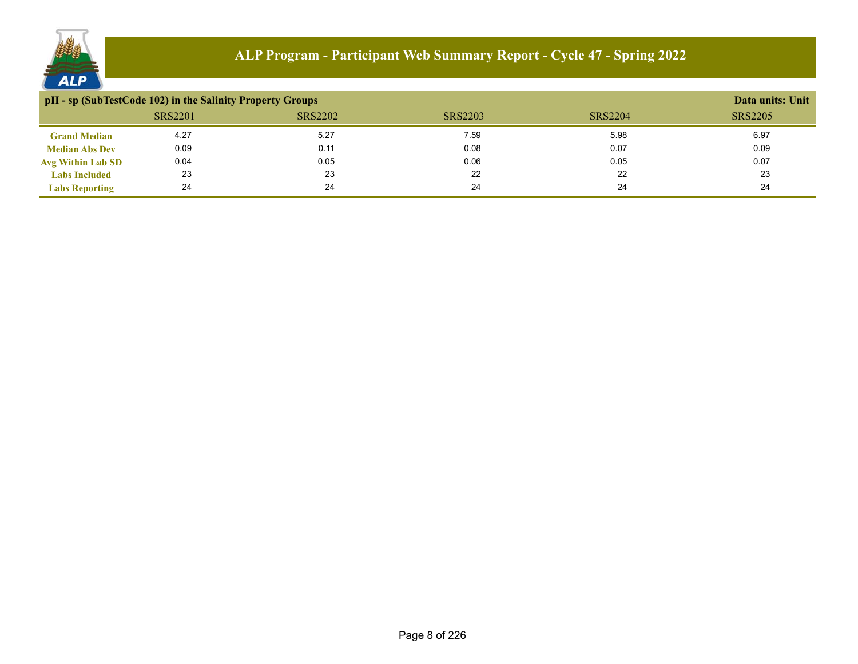

| pH - sp (SubTestCode 102) in the Salinity Property Groups<br>Data units: Unit |         |         |         |         |         |  |  |  |  |  |  |  |  |
|-------------------------------------------------------------------------------|---------|---------|---------|---------|---------|--|--|--|--|--|--|--|--|
|                                                                               | SRS2201 | SRS2202 | SRS2203 | SRS2204 | SRS2205 |  |  |  |  |  |  |  |  |
| <b>Grand Median</b>                                                           | 4.27    | 5.27    | 7.59    | 5.98    | 6.97    |  |  |  |  |  |  |  |  |
| <b>Median Abs Dev</b>                                                         | 0.09    | 0.11    | 0.08    | 0.07    | 0.09    |  |  |  |  |  |  |  |  |
| <b>Avg Within Lab SD</b>                                                      | 0.04    | 0.05    | 0.06    | 0.05    | 0.07    |  |  |  |  |  |  |  |  |
| <b>Labs Included</b>                                                          | 23      | 23      | 22      | 22      | 23      |  |  |  |  |  |  |  |  |
| <b>Labs Reporting</b>                                                         | 24      | 24      | 24      | 24      | 24      |  |  |  |  |  |  |  |  |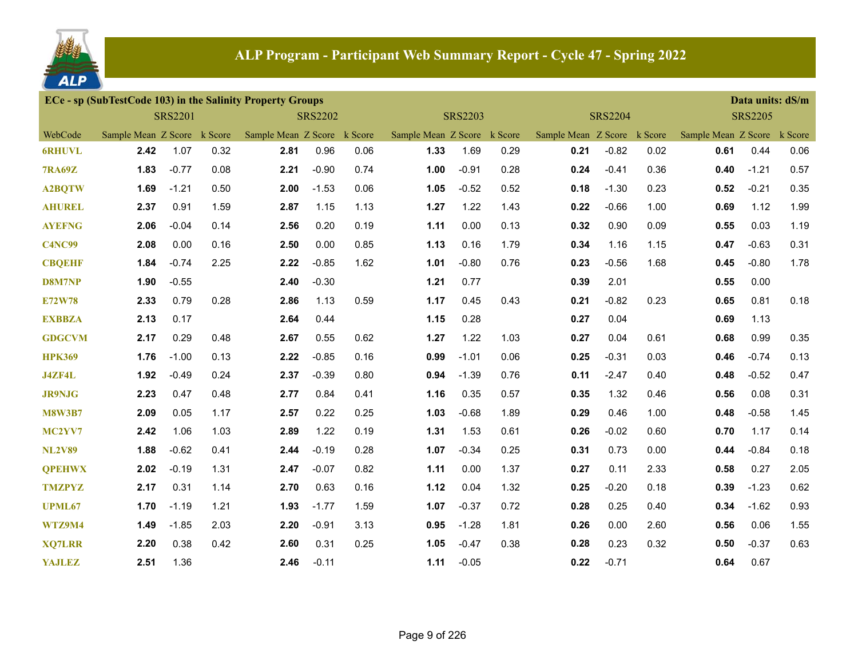

| ECe - sp (SubTestCode 103) in the Salinity Property Groups |                             |                |      |                             |                |      |                             |                |      |                             |                |      |                             | Data units: dS/m |      |
|------------------------------------------------------------|-----------------------------|----------------|------|-----------------------------|----------------|------|-----------------------------|----------------|------|-----------------------------|----------------|------|-----------------------------|------------------|------|
|                                                            |                             | <b>SRS2201</b> |      |                             | <b>SRS2202</b> |      |                             | <b>SRS2203</b> |      |                             | <b>SRS2204</b> |      |                             | <b>SRS2205</b>   |      |
| WebCode                                                    | Sample Mean Z Score k Score |                |      | Sample Mean Z Score k Score |                |      | Sample Mean Z Score k Score |                |      | Sample Mean Z Score k Score |                |      | Sample Mean Z Score k Score |                  |      |
| <b>6RHUVL</b>                                              | 2.42                        | 1.07           | 0.32 | 2.81                        | 0.96           | 0.06 | 1.33                        | 1.69           | 0.29 | 0.21                        | $-0.82$        | 0.02 | 0.61                        | 0.44             | 0.06 |
| <b>7RA69Z</b>                                              | 1.83                        | $-0.77$        | 0.08 | 2.21                        | $-0.90$        | 0.74 | 1.00                        | $-0.91$        | 0.28 | 0.24                        | $-0.41$        | 0.36 | 0.40                        | $-1.21$          | 0.57 |
| <b>A2BQTW</b>                                              | 1.69                        | $-1.21$        | 0.50 | 2.00                        | $-1.53$        | 0.06 | 1.05                        | $-0.52$        | 0.52 | 0.18                        | $-1.30$        | 0.23 | 0.52                        | $-0.21$          | 0.35 |
| <b>AHUREL</b>                                              | 2.37                        | 0.91           | 1.59 | 2.87                        | 1.15           | 1.13 | 1.27                        | 1.22           | 1.43 | 0.22                        | $-0.66$        | 1.00 | 0.69                        | 1.12             | 1.99 |
| <b>AYEFNG</b>                                              | 2.06                        | $-0.04$        | 0.14 | 2.56                        | 0.20           | 0.19 | 1.11                        | 0.00           | 0.13 | 0.32                        | 0.90           | 0.09 | 0.55                        | 0.03             | 1.19 |
| <b>C4NC99</b>                                              | 2.08                        | 0.00           | 0.16 | 2.50                        | 0.00           | 0.85 | 1.13                        | 0.16           | 1.79 | 0.34                        | 1.16           | 1.15 | 0.47                        | $-0.63$          | 0.31 |
| <b>CBQEHF</b>                                              | 1.84                        | $-0.74$        | 2.25 | 2.22                        | $-0.85$        | 1.62 | 1.01                        | $-0.80$        | 0.76 | 0.23                        | $-0.56$        | 1.68 | 0.45                        | $-0.80$          | 1.78 |
| D8M7NP                                                     | 1.90                        | $-0.55$        |      | 2.40                        | $-0.30$        |      | 1.21                        | 0.77           |      | 0.39                        | 2.01           |      | 0.55                        | 0.00             |      |
| E72W78                                                     | 2.33                        | 0.79           | 0.28 | 2.86                        | 1.13           | 0.59 | 1.17                        | 0.45           | 0.43 | 0.21                        | $-0.82$        | 0.23 | 0.65                        | 0.81             | 0.18 |
| <b>EXBBZA</b>                                              | 2.13                        | 0.17           |      | 2.64                        | 0.44           |      | 1.15                        | 0.28           |      | 0.27                        | 0.04           |      | 0.69                        | 1.13             |      |
| <b>GDGCVM</b>                                              | 2.17                        | 0.29           | 0.48 | 2.67                        | 0.55           | 0.62 | 1.27                        | 1.22           | 1.03 | 0.27                        | 0.04           | 0.61 | 0.68                        | 0.99             | 0.35 |
| <b>HPK369</b>                                              | 1.76                        | $-1.00$        | 0.13 | 2.22                        | $-0.85$        | 0.16 | 0.99                        | $-1.01$        | 0.06 | 0.25                        | $-0.31$        | 0.03 | 0.46                        | $-0.74$          | 0.13 |
| J4ZF4L                                                     | 1.92                        | $-0.49$        | 0.24 | 2.37                        | $-0.39$        | 0.80 | 0.94                        | $-1.39$        | 0.76 | 0.11                        | $-2.47$        | 0.40 | 0.48                        | $-0.52$          | 0.47 |
| <b>JR9NJG</b>                                              | 2.23                        | 0.47           | 0.48 | 2.77                        | 0.84           | 0.41 | 1.16                        | 0.35           | 0.57 | 0.35                        | 1.32           | 0.46 | 0.56                        | 0.08             | 0.31 |
| <b>M8W3B7</b>                                              | 2.09                        | 0.05           | 1.17 | 2.57                        | 0.22           | 0.25 | 1.03                        | $-0.68$        | 1.89 | 0.29                        | 0.46           | 1.00 | 0.48                        | $-0.58$          | 1.45 |
| MC <sub>2</sub> YV <sub>7</sub>                            | 2.42                        | 1.06           | 1.03 | 2.89                        | 1.22           | 0.19 | 1.31                        | 1.53           | 0.61 | 0.26                        | $-0.02$        | 0.60 | 0.70                        | 1.17             | 0.14 |
| <b>NL2V89</b>                                              | 1.88                        | $-0.62$        | 0.41 | 2.44                        | $-0.19$        | 0.28 | 1.07                        | $-0.34$        | 0.25 | 0.31                        | 0.73           | 0.00 | 0.44                        | $-0.84$          | 0.18 |
| <b>QPEHWX</b>                                              | 2.02                        | $-0.19$        | 1.31 | 2.47                        | $-0.07$        | 0.82 | 1.11                        | 0.00           | 1.37 | 0.27                        | 0.11           | 2.33 | 0.58                        | 0.27             | 2.05 |
| <b>TMZPYZ</b>                                              | 2.17                        | 0.31           | 1.14 | 2.70                        | 0.63           | 0.16 | 1.12                        | 0.04           | 1.32 | 0.25                        | $-0.20$        | 0.18 | 0.39                        | $-1.23$          | 0.62 |
| UPML67                                                     | 1.70                        | $-1.19$        | 1.21 | 1.93                        | $-1.77$        | 1.59 | 1.07                        | $-0.37$        | 0.72 | 0.28                        | 0.25           | 0.40 | 0.34                        | $-1.62$          | 0.93 |
| WTZ9M4                                                     | 1.49                        | $-1.85$        | 2.03 | 2.20                        | $-0.91$        | 3.13 | 0.95                        | $-1.28$        | 1.81 | 0.26                        | 0.00           | 2.60 | 0.56                        | 0.06             | 1.55 |
| XO7LRR                                                     | 2.20                        | 0.38           | 0.42 | 2.60                        | 0.31           | 0.25 | 1.05                        | $-0.47$        | 0.38 | 0.28                        | 0.23           | 0.32 | 0.50                        | $-0.37$          | 0.63 |
| <b>YAJLEZ</b>                                              | 2.51                        | 1.36           |      | 2.46                        | $-0.11$        |      | 1.11                        | $-0.05$        |      | 0.22                        | $-0.71$        |      | 0.64                        | 0.67             |      |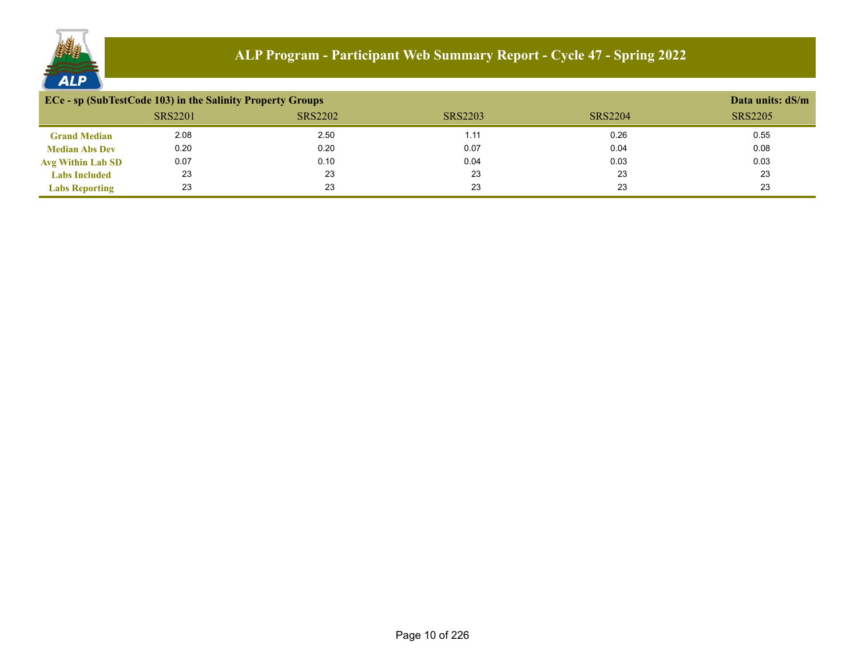

| <b>ECe - sp (SubTestCode 103) in the Salinity Property Groups</b><br>Data units: dS/m |         |         |         |         |         |  |  |  |  |  |  |  |  |
|---------------------------------------------------------------------------------------|---------|---------|---------|---------|---------|--|--|--|--|--|--|--|--|
|                                                                                       | SRS2201 | SRS2202 | SRS2203 | SRS2204 | SRS2205 |  |  |  |  |  |  |  |  |
| <b>Grand Median</b>                                                                   | 2.08    | 2.50    | 1.11    | 0.26    | 0.55    |  |  |  |  |  |  |  |  |
| <b>Median Abs Dev</b>                                                                 | 0.20    | 0.20    | 0.07    | 0.04    | 0.08    |  |  |  |  |  |  |  |  |
| Avg Within Lab SD                                                                     | 0.07    | 0.10    | 0.04    | 0.03    | 0.03    |  |  |  |  |  |  |  |  |
| <b>Labs Included</b>                                                                  | 23      | 23      | 23      | 23      | 23      |  |  |  |  |  |  |  |  |
| <b>Labs Reporting</b>                                                                 | 23      | 23      | 23      | 23      | 23      |  |  |  |  |  |  |  |  |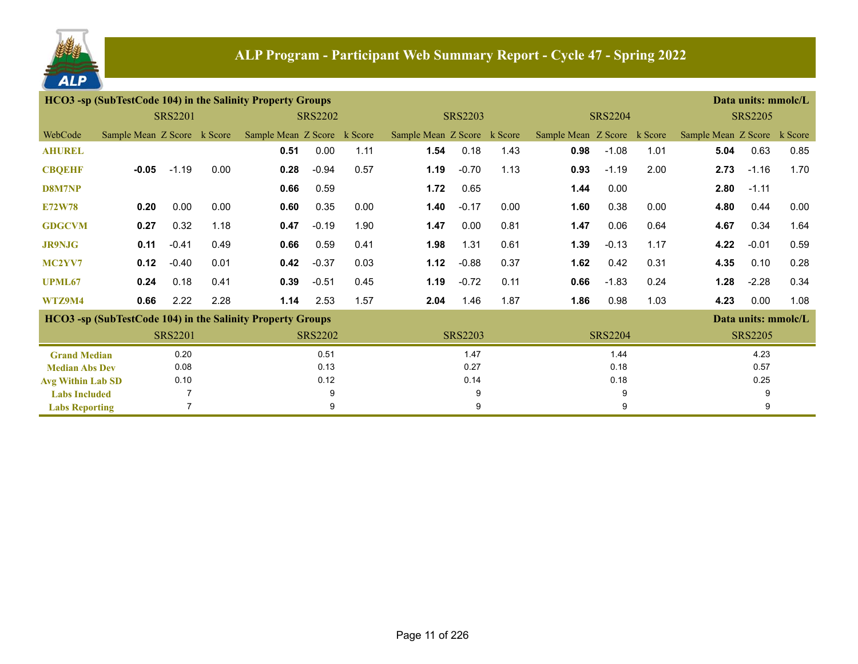

| Data units: mmolc/L<br>HCO3 -sp (SubTestCode 104) in the Salinity Property Groups |                             |                |      |                                                            |                |      |                             |                |      |                             |                |      |                     |                     |         |
|-----------------------------------------------------------------------------------|-----------------------------|----------------|------|------------------------------------------------------------|----------------|------|-----------------------------|----------------|------|-----------------------------|----------------|------|---------------------|---------------------|---------|
|                                                                                   |                             | <b>SRS2201</b> |      |                                                            | <b>SRS2202</b> |      |                             | <b>SRS2203</b> |      |                             | <b>SRS2204</b> |      |                     | <b>SRS2205</b>      |         |
| WebCode                                                                           | Sample Mean Z Score k Score |                |      | Sample Mean Z Score k Score                                |                |      | Sample Mean Z Score k Score |                |      | Sample Mean Z Score k Score |                |      | Sample Mean Z Score |                     | k Score |
| <b>AHUREL</b>                                                                     |                             |                |      | 0.51                                                       | 0.00           | 1.11 | 1.54                        | 0.18           | 1.43 | 0.98                        | $-1.08$        | 1.01 | 5.04                | 0.63                | 0.85    |
| <b>CBQEHF</b>                                                                     | $-0.05$                     | $-1.19$        | 0.00 | 0.28                                                       | $-0.94$        | 0.57 | 1.19                        | $-0.70$        | 1.13 | 0.93                        | $-1.19$        | 2.00 | 2.73                | $-1.16$             | 1.70    |
| D8M7NP                                                                            |                             |                |      | 0.66                                                       | 0.59           |      | 1.72                        | 0.65           |      | 1.44                        | 0.00           |      | 2.80                | $-1.11$             |         |
| E72W78                                                                            | 0.20                        | 0.00           | 0.00 | 0.60                                                       | 0.35           | 0.00 | 1.40                        | $-0.17$        | 0.00 | 1.60                        | 0.38           | 0.00 | 4.80                | 0.44                | 0.00    |
| <b>GDGCVM</b>                                                                     | 0.27                        | 0.32           | 1.18 | 0.47                                                       | $-0.19$        | 1.90 | 1.47                        | 0.00           | 0.81 | 1.47                        | 0.06           | 0.64 | 4.67                | 0.34                | 1.64    |
| <b>JR9NJG</b>                                                                     | 0.11                        | $-0.41$        | 0.49 | 0.66                                                       | 0.59           | 0.41 | 1.98                        | 1.31           | 0.61 | 1.39                        | $-0.13$        | 1.17 | 4.22                | $-0.01$             | 0.59    |
| MC <sub>2</sub> YV <sub>7</sub>                                                   | 0.12                        | $-0.40$        | 0.01 | 0.42                                                       | $-0.37$        | 0.03 | 1.12                        | $-0.88$        | 0.37 | 1.62                        | 0.42           | 0.31 | 4.35                | 0.10                | 0.28    |
| UPML67                                                                            | 0.24                        | 0.18           | 0.41 | 0.39                                                       | $-0.51$        | 0.45 | 1.19                        | $-0.72$        | 0.11 | 0.66                        | $-1.83$        | 0.24 | 1.28                | $-2.28$             | 0.34    |
| WTZ9M4                                                                            | 0.66                        | 2.22           | 2.28 | 1.14                                                       | 2.53           | 1.57 | 2.04                        | 1.46           | 1.87 | 1.86                        | 0.98           | 1.03 | 4.23                | 0.00                | 1.08    |
|                                                                                   |                             |                |      | HCO3 -sp (SubTestCode 104) in the Salinity Property Groups |                |      |                             |                |      |                             |                |      |                     | Data units: mmolc/L |         |
|                                                                                   |                             | <b>SRS2201</b> |      |                                                            | <b>SRS2202</b> |      |                             | <b>SRS2203</b> |      |                             | <b>SRS2204</b> |      |                     | <b>SRS2205</b>      |         |
| <b>Grand Median</b>                                                               |                             | 0.20           |      |                                                            | 0.51           |      |                             | 1.47           |      |                             | 1.44           |      |                     | 4.23                |         |
| <b>Median Abs Dev</b>                                                             |                             | 0.08           |      |                                                            | 0.13           |      |                             | 0.27           |      |                             | 0.18           |      |                     | 0.57                |         |
| <b>Avg Within Lab SD</b>                                                          |                             | 0.10           |      |                                                            | 0.12           |      |                             | 0.14           |      |                             | 0.18<br>9      |      |                     | 0.25                |         |
| <b>Labs Included</b>                                                              |                             | 7              |      | 9                                                          |                |      | 9                           |                |      |                             |                | 9    |                     |                     |         |
| <b>Labs Reporting</b>                                                             |                             | $\overline{7}$ |      |                                                            | 9              |      | 9                           |                |      |                             | 9              |      | 9                   |                     |         |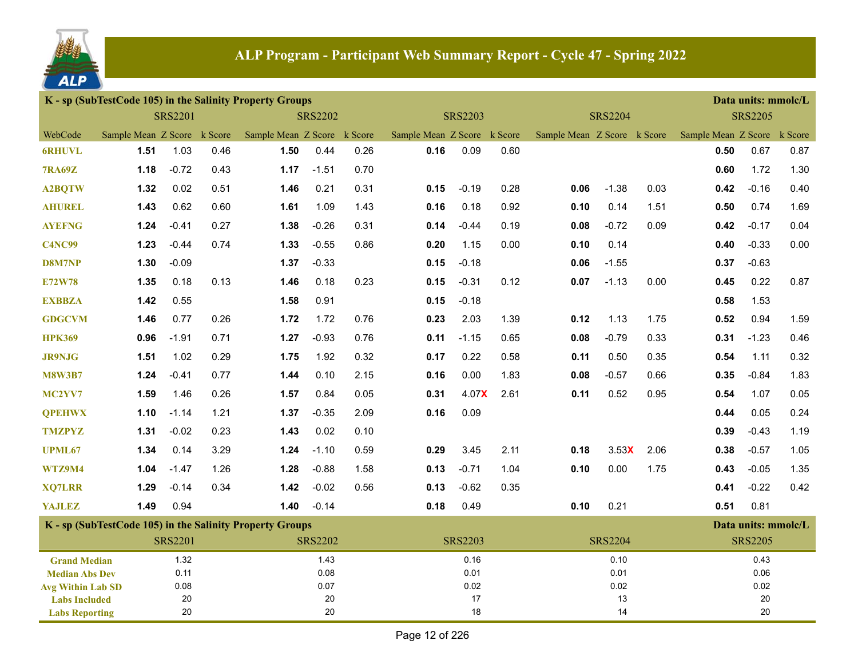

|                                                  |                             |                |      | K - sp (SubTestCode 105) in the Salinity Property Groups |                |      |                             |                |      |                             |                |      |                             | Data units: mmolc/L |                     |  |
|--------------------------------------------------|-----------------------------|----------------|------|----------------------------------------------------------|----------------|------|-----------------------------|----------------|------|-----------------------------|----------------|------|-----------------------------|---------------------|---------------------|--|
|                                                  |                             | <b>SRS2201</b> |      |                                                          | <b>SRS2202</b> |      |                             | <b>SRS2203</b> |      |                             | <b>SRS2204</b> |      |                             | <b>SRS2205</b>      |                     |  |
| WebCode                                          | Sample Mean Z Score k Score |                |      | Sample Mean Z Score k Score                              |                |      | Sample Mean Z Score k Score |                |      | Sample Mean Z Score k Score |                |      | Sample Mean Z Score k Score |                     |                     |  |
| <b>6RHUVL</b>                                    | 1.51                        | 1.03           | 0.46 | 1.50                                                     | 0.44           | 0.26 | 0.16                        | 0.09           | 0.60 |                             |                |      | 0.50                        | 0.67                | 0.87                |  |
| <b>7RA69Z</b>                                    | 1.18                        | $-0.72$        | 0.43 | 1.17                                                     | $-1.51$        | 0.70 |                             |                |      |                             |                |      | 0.60                        | 1.72                | 1.30                |  |
| <b>A2BQTW</b>                                    | 1.32                        | 0.02           | 0.51 | 1.46                                                     | 0.21           | 0.31 | 0.15                        | $-0.19$        | 0.28 | 0.06                        | $-1.38$        | 0.03 | 0.42                        | $-0.16$             | 0.40                |  |
| <b>AHUREL</b>                                    | 1.43                        | 0.62           | 0.60 | 1.61                                                     | 1.09           | 1.43 | 0.16                        | 0.18           | 0.92 | 0.10                        | 0.14           | 1.51 | 0.50                        | 0.74                | 1.69                |  |
| <b>AYEFNG</b>                                    | 1.24                        | $-0.41$        | 0.27 | 1.38                                                     | $-0.26$        | 0.31 | 0.14                        | $-0.44$        | 0.19 | 0.08                        | $-0.72$        | 0.09 | 0.42                        | $-0.17$             | 0.04                |  |
| <b>C4NC99</b>                                    | 1.23                        | $-0.44$        | 0.74 | 1.33                                                     | $-0.55$        | 0.86 | 0.20                        | 1.15           | 0.00 | 0.10                        | 0.14           |      | 0.40                        | $-0.33$             | 0.00                |  |
| D8M7NP                                           | 1.30                        | $-0.09$        |      | 1.37                                                     | $-0.33$        |      | 0.15                        | $-0.18$        |      | 0.06                        | $-1.55$        |      | 0.37                        | $-0.63$             |                     |  |
| E72W78                                           | 1.35                        | 0.18           | 0.13 | 1.46                                                     | 0.18           | 0.23 | 0.15                        | $-0.31$        | 0.12 | 0.07                        | $-1.13$        | 0.00 | 0.45                        | 0.22                | 0.87                |  |
| <b>EXBBZA</b>                                    | 1.42                        | 0.55           |      | 1.58                                                     | 0.91           |      | 0.15                        | $-0.18$        |      |                             |                |      | 0.58                        | 1.53                |                     |  |
| <b>GDGCVM</b>                                    | 1.46                        | 0.77           | 0.26 | 1.72                                                     | 1.72           | 0.76 | 0.23                        | 2.03           | 1.39 | 0.12                        | 1.13           | 1.75 | 0.52                        | 0.94                | 1.59                |  |
| <b>HPK369</b>                                    | 0.96                        | $-1.91$        | 0.71 | 1.27                                                     | $-0.93$        | 0.76 | 0.11                        | $-1.15$        | 0.65 | 0.08                        | $-0.79$        | 0.33 | 0.31                        | $-1.23$             | 0.46                |  |
| <b>JR9NJG</b>                                    | 1.51                        | 1.02           | 0.29 | 1.75                                                     | 1.92           | 0.32 | 0.17                        | 0.22           | 0.58 | 0.11                        | 0.50           | 0.35 | 0.54                        | 1.11                | 0.32                |  |
| <b>M8W3B7</b>                                    | 1.24                        | $-0.41$        | 0.77 | 1.44                                                     | 0.10           | 2.15 | 0.16                        | 0.00           | 1.83 | 0.08                        | $-0.57$        | 0.66 | 0.35                        | $-0.84$             | 1.83                |  |
| MC <sub>2</sub> YV <sub>7</sub>                  | 1.59                        | 1.46           | 0.26 | 1.57                                                     | 0.84           | 0.05 | 0.31                        | 4.07X          | 2.61 | 0.11                        | 0.52           | 0.95 | 0.54                        | 1.07                | 0.05                |  |
| <b>QPEHWX</b>                                    | 1.10                        | $-1.14$        | 1.21 | 1.37                                                     | $-0.35$        | 2.09 | 0.16                        | 0.09           |      |                             |                |      | 0.44                        | 0.05                | 0.24                |  |
| <b>TMZPYZ</b>                                    | 1.31                        | $-0.02$        | 0.23 | 1.43                                                     | 0.02           | 0.10 |                             |                |      |                             |                |      | 0.39                        | $-0.43$             | 1.19                |  |
| UPML67                                           | 1.34                        | 0.14           | 3.29 | 1.24                                                     | $-1.10$        | 0.59 | 0.29                        | 3.45           | 2.11 | 0.18                        | 3.53X          | 2.06 | 0.38                        | $-0.57$             | 1.05                |  |
| WTZ9M4                                           | 1.04                        | $-1.47$        | 1.26 | 1.28                                                     | $-0.88$        | 1.58 | 0.13                        | $-0.71$        | 1.04 | 0.10                        | 0.00           | 1.75 | 0.43                        | $-0.05$             | 1.35                |  |
| <b>XQ7LRR</b>                                    | 1.29                        | $-0.14$        | 0.34 | 1.42                                                     | $-0.02$        | 0.56 | 0.13                        | $-0.62$        | 0.35 |                             |                |      | 0.41                        | $-0.22$             | 0.42                |  |
| <b>YAJLEZ</b>                                    | 1.49                        | 0.94           |      | 1.40                                                     | $-0.14$        |      | 0.18                        | 0.49           |      | 0.10                        | 0.21           |      | 0.51                        | 0.81                |                     |  |
|                                                  |                             |                |      | K - sp (SubTestCode 105) in the Salinity Property Groups |                |      |                             |                |      |                             |                |      |                             |                     | Data units: mmolc/L |  |
|                                                  |                             | <b>SRS2201</b> |      |                                                          | <b>SRS2202</b> |      |                             | <b>SRS2203</b> |      |                             | <b>SRS2204</b> |      |                             | <b>SRS2205</b>      |                     |  |
| <b>Grand Median</b>                              |                             | 1.32           |      |                                                          | 1.43           |      |                             | 0.16           |      |                             | 0.10           |      |                             | 0.43                |                     |  |
| <b>Median Abs Dev</b>                            |                             | 0.11<br>0.08   |      |                                                          | 0.08<br>0.07   |      |                             | 0.01<br>0.02   |      |                             | 0.01<br>0.02   |      |                             | 0.06<br>0.02        |                     |  |
| <b>Avg Within Lab SD</b><br><b>Labs Included</b> |                             | 20             |      |                                                          | 20             |      |                             | 17             |      |                             | 13             |      |                             | 20                  |                     |  |
| <b>Labs Reporting</b>                            |                             | $20\,$         |      |                                                          | 20             |      |                             | 18             |      |                             | 14             |      |                             | 20                  |                     |  |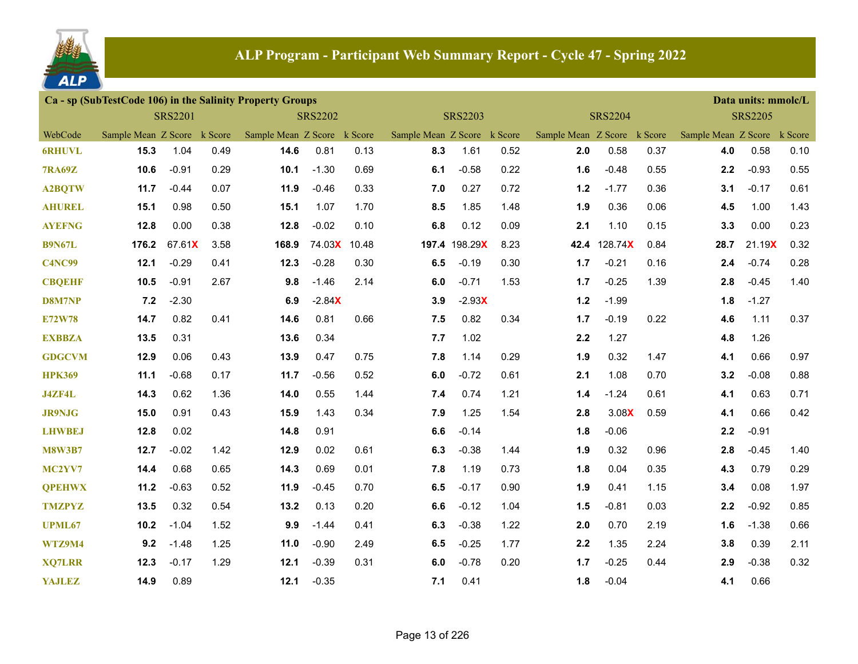

|               |                             |                | Ca - sp (SubTestCode 106) in the Salinity Property Groups |                             |                |       |                             |                |      |                             |                | Data units: mmolc/L |                             |         |      |  |  |
|---------------|-----------------------------|----------------|-----------------------------------------------------------|-----------------------------|----------------|-------|-----------------------------|----------------|------|-----------------------------|----------------|---------------------|-----------------------------|---------|------|--|--|
|               |                             | <b>SRS2201</b> |                                                           |                             | <b>SRS2202</b> |       |                             | <b>SRS2203</b> |      |                             | <b>SRS2204</b> |                     | <b>SRS2205</b>              |         |      |  |  |
| WebCode       | Sample Mean Z Score k Score |                |                                                           | Sample Mean Z Score k Score |                |       | Sample Mean Z Score k Score |                |      | Sample Mean Z Score k Score |                |                     | Sample Mean Z Score k Score |         |      |  |  |
| <b>6RHUVL</b> | 15.3                        | 1.04           | 0.49                                                      | 14.6                        | 0.81           | 0.13  | 8.3                         | 1.61           | 0.52 | 2.0                         | 0.58           | 0.37                | 4.0                         | 0.58    | 0.10 |  |  |
| <b>7RA69Z</b> | 10.6                        | $-0.91$        | 0.29                                                      | 10.1                        | $-1.30$        | 0.69  | 6.1                         | $-0.58$        | 0.22 | 1.6                         | $-0.48$        | 0.55                | 2.2                         | $-0.93$ | 0.55 |  |  |
| <b>A2BQTW</b> | 11.7                        | $-0.44$        | 0.07                                                      | 11.9                        | $-0.46$        | 0.33  | 7.0                         | 0.27           | 0.72 | $1.2$                       | $-1.77$        | 0.36                | 3.1                         | $-0.17$ | 0.61 |  |  |
| <b>AHUREL</b> | 15.1                        | 0.98           | 0.50                                                      | 15.1                        | 1.07           | 1.70  | 8.5                         | 1.85           | 1.48 | 1.9                         | 0.36           | 0.06                | 4.5                         | 1.00    | 1.43 |  |  |
| <b>AYEFNG</b> | 12.8                        | 0.00           | 0.38                                                      | 12.8                        | $-0.02$        | 0.10  | 6.8                         | 0.12           | 0.09 | 2.1                         | 1.10           | 0.15                | 3.3                         | 0.00    | 0.23 |  |  |
| <b>B9N67L</b> | 176.2                       | 67.61X         | 3.58                                                      | 168.9                       | 74.03X         | 10.48 |                             | 197.4 198.29X  | 8.23 |                             | 42.4 128.74X   | 0.84                | 28.7                        | 21.19X  | 0.32 |  |  |
| <b>C4NC99</b> | 12.1                        | $-0.29$        | 0.41                                                      | 12.3                        | $-0.28$        | 0.30  | 6.5                         | $-0.19$        | 0.30 | 1.7                         | $-0.21$        | 0.16                | 2.4                         | $-0.74$ | 0.28 |  |  |
| <b>CBQEHF</b> | 10.5                        | $-0.91$        | 2.67                                                      | 9.8                         | $-1.46$        | 2.14  | 6.0                         | $-0.71$        | 1.53 | 1.7                         | $-0.25$        | 1.39                | 2.8                         | $-0.45$ | 1.40 |  |  |
| D8M7NP        | 7.2                         | $-2.30$        |                                                           | 6.9                         | $-2.84X$       |       | 3.9                         | $-2.93X$       |      | $1.2$                       | $-1.99$        |                     | 1.8                         | $-1.27$ |      |  |  |
| E72W78        | 14.7                        | 0.82           | 0.41                                                      | 14.6                        | 0.81           | 0.66  | 7.5                         | 0.82           | 0.34 | 1.7                         | $-0.19$        | 0.22                | 4.6                         | 1.11    | 0.37 |  |  |
| <b>EXBBZA</b> | 13.5                        | 0.31           |                                                           | 13.6                        | 0.34           |       | 7.7                         | 1.02           |      | 2.2                         | 1.27           |                     | 4.8                         | 1.26    |      |  |  |
| <b>GDGCVM</b> | 12.9                        | 0.06           | 0.43                                                      | 13.9                        | 0.47           | 0.75  | 7.8                         | 1.14           | 0.29 | 1.9                         | 0.32           | 1.47                | 4.1                         | 0.66    | 0.97 |  |  |
| <b>HPK369</b> | 11.1                        | $-0.68$        | 0.17                                                      | 11.7                        | $-0.56$        | 0.52  | 6.0                         | $-0.72$        | 0.61 | 2.1                         | 1.08           | 0.70                | 3.2                         | $-0.08$ | 0.88 |  |  |
| <b>J4ZF4L</b> | 14.3                        | 0.62           | 1.36                                                      | 14.0                        | 0.55           | 1.44  | 7.4                         | 0.74           | 1.21 | 1.4                         | $-1.24$        | 0.61                | 4.1                         | 0.63    | 0.71 |  |  |
| <b>JR9NJG</b> | 15.0                        | 0.91           | 0.43                                                      | 15.9                        | 1.43           | 0.34  | 7.9                         | 1.25           | 1.54 | 2.8                         | 3.08X          | 0.59                | 4.1                         | 0.66    | 0.42 |  |  |
| <b>LHWBEJ</b> | 12.8                        | 0.02           |                                                           | 14.8                        | 0.91           |       | 6.6                         | $-0.14$        |      | 1.8                         | $-0.06$        |                     | 2.2                         | $-0.91$ |      |  |  |
| <b>M8W3B7</b> | 12.7                        | $-0.02$        | 1.42                                                      | 12.9                        | 0.02           | 0.61  | 6.3                         | $-0.38$        | 1.44 | 1.9                         | 0.32           | 0.96                | 2.8                         | $-0.45$ | 1.40 |  |  |
| MC2YV7        | 14.4                        | 0.68           | 0.65                                                      | 14.3                        | 0.69           | 0.01  | 7.8                         | 1.19           | 0.73 | 1.8                         | 0.04           | 0.35                | 4.3                         | 0.79    | 0.29 |  |  |
| <b>QPEHWX</b> | 11.2                        | $-0.63$        | 0.52                                                      | 11.9                        | $-0.45$        | 0.70  | 6.5                         | $-0.17$        | 0.90 | 1.9                         | 0.41           | 1.15                | 3.4                         | 0.08    | 1.97 |  |  |
| <b>TMZPYZ</b> | 13.5                        | 0.32           | 0.54                                                      | 13.2                        | 0.13           | 0.20  | 6.6                         | $-0.12$        | 1.04 | 1.5                         | $-0.81$        | 0.03                | 2.2                         | $-0.92$ | 0.85 |  |  |
| UPML67        | 10.2                        | $-1.04$        | 1.52                                                      | 9.9                         | $-1.44$        | 0.41  | 6.3                         | $-0.38$        | 1.22 | 2.0                         | 0.70           | 2.19                | 1.6                         | $-1.38$ | 0.66 |  |  |
| WTZ9M4        | 9.2                         | $-1.48$        | 1.25                                                      | 11.0                        | $-0.90$        | 2.49  | 6.5                         | $-0.25$        | 1.77 | 2.2                         | 1.35           | 2.24                | 3.8                         | 0.39    | 2.11 |  |  |
| <b>XO7LRR</b> | 12.3                        | $-0.17$        | 1.29                                                      | 12.1                        | $-0.39$        | 0.31  | 6.0                         | $-0.78$        | 0.20 | 1.7                         | $-0.25$        | 0.44                | 2.9                         | $-0.38$ | 0.32 |  |  |
| <b>YAJLEZ</b> | 14.9                        | 0.89           |                                                           | 12.1                        | $-0.35$        |       | 7.1                         | 0.41           |      | 1.8                         | $-0.04$        |                     | 4.1                         | 0.66    |      |  |  |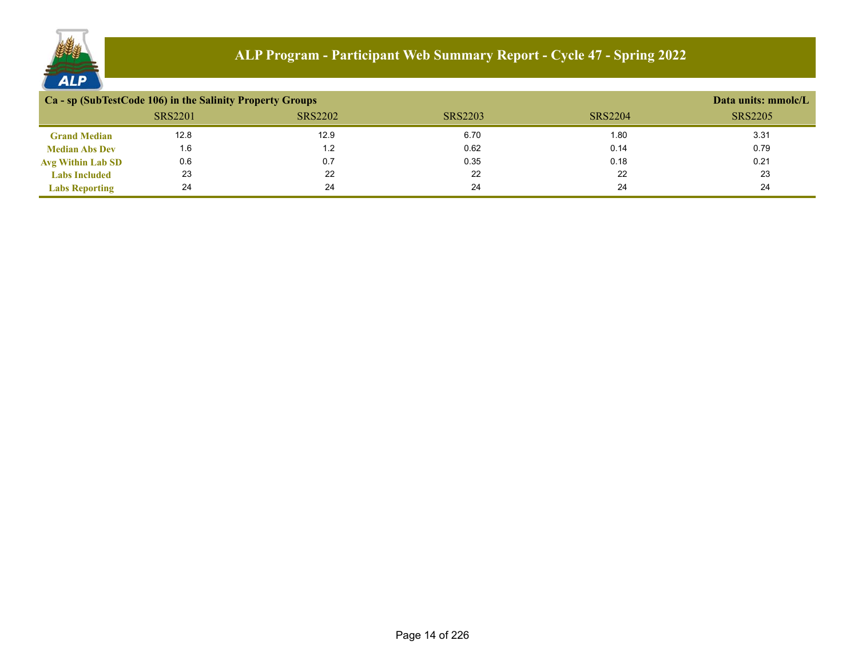

|                          | Ca - sp (SubTestCode 106) in the Salinity Property Groups |         |         |         | Data units: mmole/L |
|--------------------------|-----------------------------------------------------------|---------|---------|---------|---------------------|
|                          | SRS2201                                                   | SRS2202 | SRS2203 | SRS2204 | <b>SRS2205</b>      |
| <b>Grand Median</b>      | 12.8                                                      | 12.9    | 6.70    | 1.80    | 3.31                |
| <b>Median Abs Dev</b>    | 1.6                                                       | .2      | 0.62    | 0.14    | 0.79                |
| <b>Avg Within Lab SD</b> | 0.6                                                       | 0.7     | 0.35    | 0.18    | 0.21                |
| <b>Labs Included</b>     | 23                                                        | 22      | 22      | 22      | 23                  |
| <b>Labs Reporting</b>    | 24                                                        | 24      | 24      | 24      | 24                  |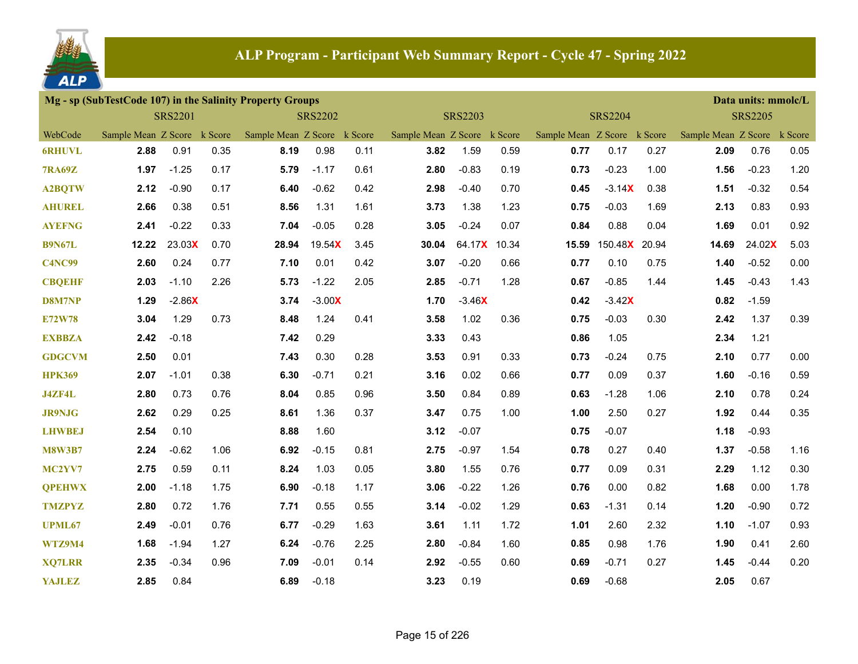

|                                 |                             |                |      | Mg - sp (SubTestCode 107) in the Salinity Property Groups |                |      |                             |                |       |                             |                 |       |                             | Data units: mmolc/L |      |
|---------------------------------|-----------------------------|----------------|------|-----------------------------------------------------------|----------------|------|-----------------------------|----------------|-------|-----------------------------|-----------------|-------|-----------------------------|---------------------|------|
|                                 |                             | <b>SRS2201</b> |      |                                                           | <b>SRS2202</b> |      |                             | <b>SRS2203</b> |       |                             | <b>SRS2204</b>  |       |                             | <b>SRS2205</b>      |      |
| WebCode                         | Sample Mean Z Score k Score |                |      | Sample Mean Z Score k Score                               |                |      | Sample Mean Z Score k Score |                |       | Sample Mean Z Score k Score |                 |       | Sample Mean Z Score k Score |                     |      |
| <b>6RHUVL</b>                   | 2.88                        | 0.91           | 0.35 | 8.19                                                      | 0.98           | 0.11 | 3.82                        | 1.59           | 0.59  | 0.77                        | 0.17            | 0.27  | 2.09                        | 0.76                | 0.05 |
| <b>7RA69Z</b>                   | 1.97                        | $-1.25$        | 0.17 | 5.79                                                      | $-1.17$        | 0.61 | 2.80                        | $-0.83$        | 0.19  | 0.73                        | $-0.23$         | 1.00  | 1.56                        | $-0.23$             | 1.20 |
| <b>A2BQTW</b>                   | 2.12                        | $-0.90$        | 0.17 | 6.40                                                      | $-0.62$        | 0.42 | 2.98                        | $-0.40$        | 0.70  | 0.45                        | $-3.14X$        | 0.38  | 1.51                        | $-0.32$             | 0.54 |
| <b>AHUREL</b>                   | 2.66                        | 0.38           | 0.51 | 8.56                                                      | 1.31           | 1.61 | 3.73                        | 1.38           | 1.23  | 0.75                        | $-0.03$         | 1.69  | 2.13                        | 0.83                | 0.93 |
| <b>AYEFNG</b>                   | 2.41                        | $-0.22$        | 0.33 | 7.04                                                      | $-0.05$        | 0.28 | 3.05                        | $-0.24$        | 0.07  | 0.84                        | 0.88            | 0.04  | 1.69                        | 0.01                | 0.92 |
| <b>B9N67L</b>                   | 12.22                       | 23.03X         | 0.70 | 28.94                                                     | 19.54X         | 3.45 | 30.04                       | 64.17 <b>X</b> | 10.34 | 15.59                       | 150.48 <b>X</b> | 20.94 | 14.69                       | 24.02X              | 5.03 |
| <b>C4NC99</b>                   | 2.60                        | 0.24           | 0.77 | 7.10                                                      | 0.01           | 0.42 | 3.07                        | $-0.20$        | 0.66  | 0.77                        | 0.10            | 0.75  | 1.40                        | $-0.52$             | 0.00 |
| <b>CBQEHF</b>                   | 2.03                        | $-1.10$        | 2.26 | 5.73                                                      | $-1.22$        | 2.05 | 2.85                        | $-0.71$        | 1.28  | 0.67                        | $-0.85$         | 1.44  | 1.45                        | $-0.43$             | 1.43 |
| D8M7NP                          | 1.29                        | $-2.86X$       |      | 3.74                                                      | $-3.00X$       |      | 1.70                        | $-3.46X$       |       | 0.42                        | $-3.42X$        |       | 0.82                        | $-1.59$             |      |
| E72W78                          | 3.04                        | 1.29           | 0.73 | 8.48                                                      | 1.24           | 0.41 | 3.58                        | 1.02           | 0.36  | 0.75                        | $-0.03$         | 0.30  | 2.42                        | 1.37                | 0.39 |
| <b>EXBBZA</b>                   | 2.42                        | $-0.18$        |      | 7.42                                                      | 0.29           |      | 3.33                        | 0.43           |       | 0.86                        | 1.05            |       | 2.34                        | 1.21                |      |
| <b>GDGCVM</b>                   | 2.50                        | 0.01           |      | 7.43                                                      | 0.30           | 0.28 | 3.53                        | 0.91           | 0.33  | 0.73                        | $-0.24$         | 0.75  | 2.10                        | 0.77                | 0.00 |
| <b>HPK369</b>                   | 2.07                        | $-1.01$        | 0.38 | 6.30                                                      | $-0.71$        | 0.21 | 3.16                        | 0.02           | 0.66  | 0.77                        | 0.09            | 0.37  | 1.60                        | $-0.16$             | 0.59 |
| <b>J4ZF4L</b>                   | 2.80                        | 0.73           | 0.76 | 8.04                                                      | 0.85           | 0.96 | 3.50                        | 0.84           | 0.89  | 0.63                        | $-1.28$         | 1.06  | 2.10                        | 0.78                | 0.24 |
| <b>JR9NJG</b>                   | 2.62                        | 0.29           | 0.25 | 8.61                                                      | 1.36           | 0.37 | 3.47                        | 0.75           | 1.00  | 1.00                        | 2.50            | 0.27  | 1.92                        | 0.44                | 0.35 |
| <b>LHWBEJ</b>                   | 2.54                        | 0.10           |      | 8.88                                                      | 1.60           |      | 3.12                        | $-0.07$        |       | 0.75                        | $-0.07$         |       | 1.18                        | $-0.93$             |      |
| <b>M8W3B7</b>                   | 2.24                        | $-0.62$        | 1.06 | 6.92                                                      | $-0.15$        | 0.81 | 2.75                        | $-0.97$        | 1.54  | 0.78                        | 0.27            | 0.40  | 1.37                        | $-0.58$             | 1.16 |
| MC <sub>2</sub> YV <sub>7</sub> | 2.75                        | 0.59           | 0.11 | 8.24                                                      | 1.03           | 0.05 | 3.80                        | 1.55           | 0.76  | 0.77                        | 0.09            | 0.31  | 2.29                        | 1.12                | 0.30 |
| <b>QPEHWX</b>                   | 2.00                        | $-1.18$        | 1.75 | 6.90                                                      | $-0.18$        | 1.17 | 3.06                        | $-0.22$        | 1.26  | 0.76                        | 0.00            | 0.82  | 1.68                        | 0.00                | 1.78 |
| <b>TMZPYZ</b>                   | 2.80                        | 0.72           | 1.76 | 7.71                                                      | 0.55           | 0.55 | 3.14                        | $-0.02$        | 1.29  | 0.63                        | $-1.31$         | 0.14  | 1.20                        | $-0.90$             | 0.72 |
| UPML67                          | 2.49                        | $-0.01$        | 0.76 | 6.77                                                      | $-0.29$        | 1.63 | 3.61                        | 1.11           | 1.72  | 1.01                        | 2.60            | 2.32  | 1.10                        | $-1.07$             | 0.93 |
| WTZ9M4                          | 1.68                        | $-1.94$        | 1.27 | 6.24                                                      | $-0.76$        | 2.25 | 2.80                        | $-0.84$        | 1.60  | 0.85                        | 0.98            | 1.76  | 1.90                        | 0.41                | 2.60 |
| <b>XO7LRR</b>                   | 2.35                        | $-0.34$        | 0.96 | 7.09                                                      | $-0.01$        | 0.14 | 2.92                        | $-0.55$        | 0.60  | 0.69                        | $-0.71$         | 0.27  | 1.45                        | $-0.44$             | 0.20 |
| <b>YAJLEZ</b>                   | 2.85                        | 0.84           |      | 6.89                                                      | $-0.18$        |      | 3.23                        | 0.19           |       | 0.69                        | $-0.68$         |       | 2.05                        | 0.67                |      |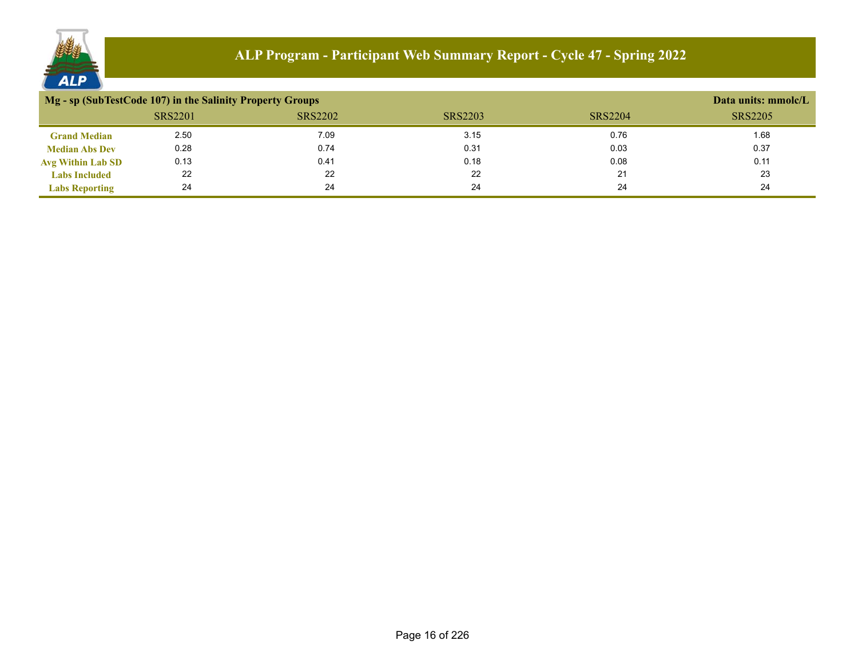

|                       | Mg - sp (SubTestCode 107) in the Salinity Property Groups |         |         |         | Data units: mmolc/L |
|-----------------------|-----------------------------------------------------------|---------|---------|---------|---------------------|
|                       | SRS2201                                                   | SRS2202 | SRS2203 | SRS2204 | <b>SRS2205</b>      |
| <b>Grand Median</b>   | 2.50                                                      | 7.09    | 3.15    | 0.76    | 1.68                |
| <b>Median Abs Dev</b> | 0.28                                                      | 0.74    | 0.31    | 0.03    | 0.37                |
| Avg Within Lab SD     | 0.13                                                      | 0.41    | 0.18    | 0.08    | 0.11                |
| <b>Labs Included</b>  | 22                                                        | 22      | 22      | 21      | 23                  |
| <b>Labs Reporting</b> | 24                                                        | 24      | 24      | 24      | 24                  |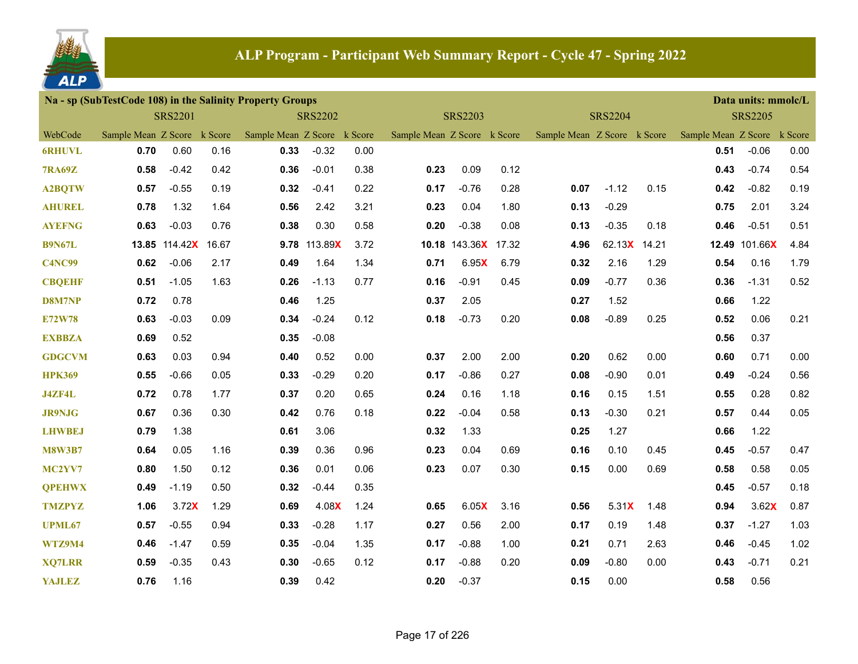

|                                 |                     |                |         | Na - sp (SubTestCode 108) in the Salinity Property Groups |                   |      |                             |                |       |                             |                |       |                     | Data units: mmolc/L |         |
|---------------------------------|---------------------|----------------|---------|-----------------------------------------------------------|-------------------|------|-----------------------------|----------------|-------|-----------------------------|----------------|-------|---------------------|---------------------|---------|
|                                 |                     | <b>SRS2201</b> |         |                                                           | <b>SRS2202</b>    |      |                             | <b>SRS2203</b> |       |                             | <b>SRS2204</b> |       |                     | <b>SRS2205</b>      |         |
| WebCode                         | Sample Mean Z Score |                | k Score | Sample Mean Z Score k Score                               |                   |      | Sample Mean Z Score k Score |                |       | Sample Mean Z Score k Score |                |       | Sample Mean Z Score |                     | k Score |
| <b>6RHUVL</b>                   | 0.70                | 0.60           | 0.16    | 0.33                                                      | $-0.32$           | 0.00 |                             |                |       |                             |                |       | 0.51                | $-0.06$             | 0.00    |
| <b>7RA69Z</b>                   | 0.58                | $-0.42$        | 0.42    | 0.36                                                      | $-0.01$           | 0.38 | 0.23                        | 0.09           | 0.12  |                             |                |       | 0.43                | $-0.74$             | 0.54    |
| <b>A2BQTW</b>                   | 0.57                | $-0.55$        | 0.19    | 0.32                                                      | $-0.41$           | 0.22 | 0.17                        | $-0.76$        | 0.28  | 0.07                        | $-1.12$        | 0.15  | 0.42                | $-0.82$             | 0.19    |
| <b>AHUREL</b>                   | 0.78                | 1.32           | 1.64    | 0.56                                                      | 2.42              | 3.21 | 0.23                        | 0.04           | 1.80  | 0.13                        | $-0.29$        |       | 0.75                | 2.01                | 3.24    |
| <b>AYEFNG</b>                   | 0.63                | $-0.03$        | 0.76    | 0.38                                                      | 0.30              | 0.58 | 0.20                        | $-0.38$        | 0.08  | 0.13                        | $-0.35$        | 0.18  | 0.46                | $-0.51$             | 0.51    |
| <b>B9N67L</b>                   |                     | 13.85 114.42X  | 16.67   |                                                           | 9.78 113.89X      | 3.72 |                             | 10.18 143.36X  | 17.32 | 4.96                        | 62.13X         | 14.21 |                     | 12.49 101.66X       | 4.84    |
| <b>C4NC99</b>                   | 0.62                | $-0.06$        | 2.17    | 0.49                                                      | 1.64              | 1.34 | 0.71                        | 6.95X          | 6.79  | 0.32                        | 2.16           | 1.29  | 0.54                | 0.16                | 1.79    |
| <b>CBQEHF</b>                   | 0.51                | $-1.05$        | 1.63    | 0.26                                                      | $-1.13$           | 0.77 | 0.16                        | $-0.91$        | 0.45  | 0.09                        | $-0.77$        | 0.36  | 0.36                | $-1.31$             | 0.52    |
| D8M7NP                          | 0.72                | 0.78           |         | 0.46                                                      | 1.25              |      | 0.37                        | 2.05           |       | 0.27                        | 1.52           |       | 0.66                | 1.22                |         |
| E72W78                          | 0.63                | $-0.03$        | 0.09    | 0.34                                                      | $-0.24$           | 0.12 | 0.18                        | $-0.73$        | 0.20  | 0.08                        | $-0.89$        | 0.25  | 0.52                | 0.06                | 0.21    |
| <b>EXBBZA</b>                   | 0.69                | 0.52           |         | 0.35                                                      | $-0.08$           |      |                             |                |       |                             |                |       | 0.56                | 0.37                |         |
| <b>GDGCVM</b>                   | 0.63                | 0.03           | 0.94    | 0.40                                                      | 0.52              | 0.00 | 0.37                        | 2.00           | 2.00  | 0.20                        | 0.62           | 0.00  | 0.60                | 0.71                | 0.00    |
| <b>HPK369</b>                   | 0.55                | $-0.66$        | 0.05    | 0.33                                                      | $-0.29$           | 0.20 | 0.17                        | $-0.86$        | 0.27  | 0.08                        | $-0.90$        | 0.01  | 0.49                | $-0.24$             | 0.56    |
| J4ZF4L                          | 0.72                | 0.78           | 1.77    | 0.37                                                      | 0.20              | 0.65 | 0.24                        | 0.16           | 1.18  | 0.16                        | 0.15           | 1.51  | 0.55                | 0.28                | 0.82    |
| <b>JR9NJG</b>                   | 0.67                | 0.36           | 0.30    | 0.42                                                      | 0.76              | 0.18 | 0.22                        | $-0.04$        | 0.58  | 0.13                        | $-0.30$        | 0.21  | 0.57                | 0.44                | 0.05    |
| <b>LHWBEJ</b>                   | 0.79                | 1.38           |         | 0.61                                                      | 3.06              |      | 0.32                        | 1.33           |       | 0.25                        | 1.27           |       | 0.66                | 1.22                |         |
| <b>M8W3B7</b>                   | 0.64                | 0.05           | 1.16    | 0.39                                                      | 0.36              | 0.96 | 0.23                        | 0.04           | 0.69  | 0.16                        | 0.10           | 0.45  | 0.45                | $-0.57$             | 0.47    |
| MC <sub>2</sub> YV <sub>7</sub> | 0.80                | 1.50           | 0.12    | 0.36                                                      | 0.01              | 0.06 | 0.23                        | 0.07           | 0.30  | 0.15                        | 0.00           | 0.69  | 0.58                | 0.58                | 0.05    |
| <b>QPEHWX</b>                   | 0.49                | $-1.19$        | 0.50    | 0.32                                                      | $-0.44$           | 0.35 |                             |                |       |                             |                |       | 0.45                | $-0.57$             | 0.18    |
| <b>TMZPYZ</b>                   | 1.06                | 3.72X          | 1.29    | 0.69                                                      | 4.08 <sub>X</sub> | 1.24 | 0.65                        | 6.05X          | 3.16  | 0.56                        | 5.31X          | 1.48  | 0.94                | 3.62X               | 0.87    |
| UPML67                          | 0.57                | $-0.55$        | 0.94    | 0.33                                                      | $-0.28$           | 1.17 | 0.27                        | 0.56           | 2.00  | 0.17                        | 0.19           | 1.48  | 0.37                | $-1.27$             | 1.03    |
| WTZ9M4                          | 0.46                | $-1.47$        | 0.59    | 0.35                                                      | $-0.04$           | 1.35 | 0.17                        | $-0.88$        | 1.00  | 0.21                        | 0.71           | 2.63  | 0.46                | $-0.45$             | 1.02    |
| <b>XO7LRR</b>                   | 0.59                | $-0.35$        | 0.43    | 0.30                                                      | $-0.65$           | 0.12 | 0.17                        | $-0.88$        | 0.20  | 0.09                        | $-0.80$        | 0.00  | 0.43                | $-0.71$             | 0.21    |
| <b>YAJLEZ</b>                   | 0.76                | 1.16           |         | 0.39                                                      | 0.42              |      | 0.20                        | $-0.37$        |       | 0.15                        | 0.00           |       | 0.58                | 0.56                |         |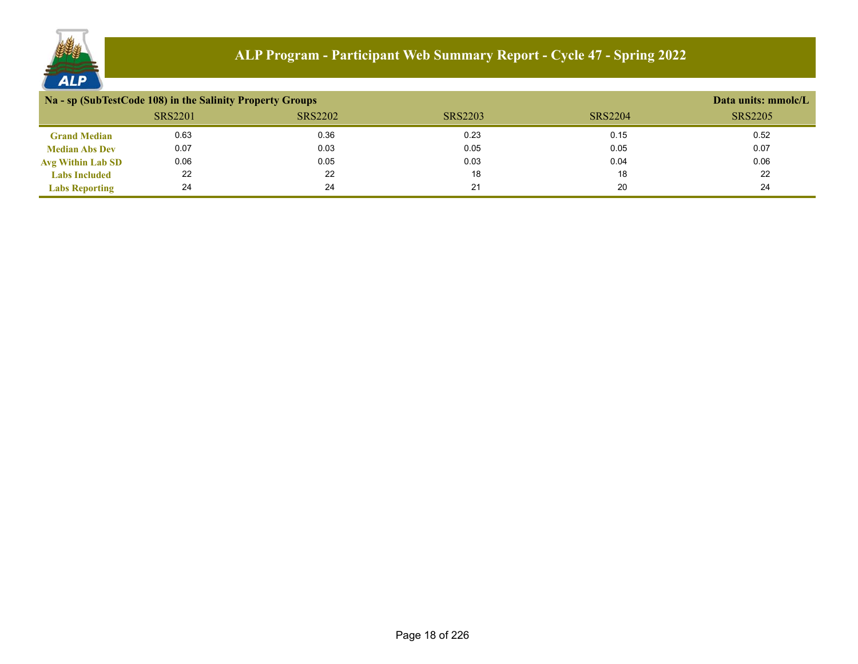

|                          | Na - sp (SubTestCode 108) in the Salinity Property Groups |                |         |         | Data units: mmolc/L |
|--------------------------|-----------------------------------------------------------|----------------|---------|---------|---------------------|
|                          | <b>SRS2201</b>                                            | <b>SRS2202</b> | SRS2203 | SRS2204 | <b>SRS2205</b>      |
| <b>Grand Median</b>      | 0.63                                                      | 0.36           | 0.23    | 0.15    | 0.52                |
| <b>Median Abs Dev</b>    | 0.07                                                      | 0.03           | 0.05    | 0.05    | 0.07                |
| <b>Avg Within Lab SD</b> | 0.06                                                      | 0.05           | 0.03    | 0.04    | 0.06                |
| <b>Labs Included</b>     | 22                                                        | 22             | 18      | 18      | 22                  |
| <b>Labs Reporting</b>    | 24                                                        | 24             | 21      | 20      | 24                  |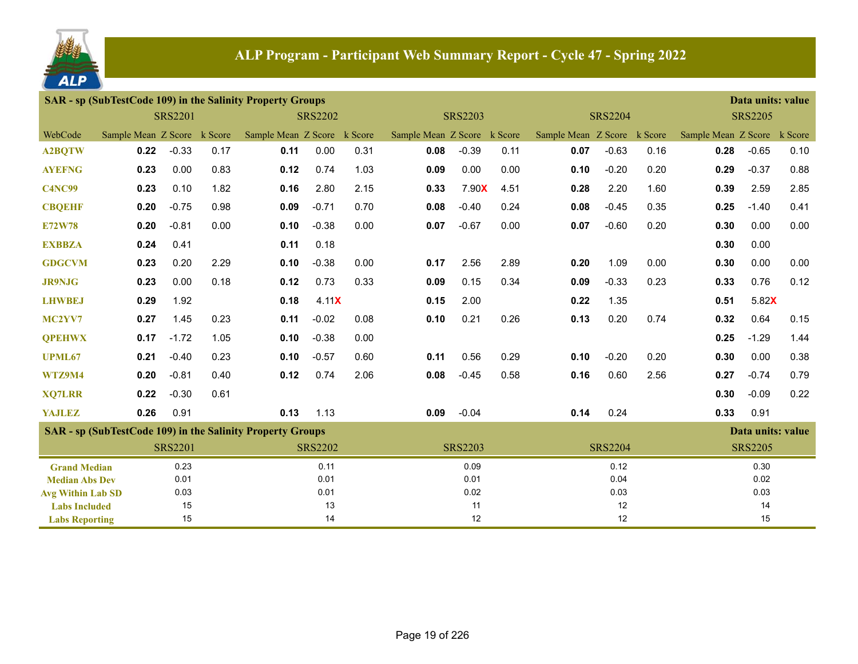

|                                 |                             |                |      | SAR - sp (SubTestCode 109) in the Salinity Property Groups |                |      |                             |                |      |                             |                |      |                             | Data units: value |      |
|---------------------------------|-----------------------------|----------------|------|------------------------------------------------------------|----------------|------|-----------------------------|----------------|------|-----------------------------|----------------|------|-----------------------------|-------------------|------|
|                                 |                             | <b>SRS2201</b> |      |                                                            | <b>SRS2202</b> |      |                             | <b>SRS2203</b> |      |                             | <b>SRS2204</b> |      |                             | <b>SRS2205</b>    |      |
| WebCode                         | Sample Mean Z Score k Score |                |      | Sample Mean Z Score k Score                                |                |      | Sample Mean Z Score k Score |                |      | Sample Mean Z Score k Score |                |      | Sample Mean Z Score k Score |                   |      |
| <b>A2BQTW</b>                   | 0.22                        | $-0.33$        | 0.17 | 0.11                                                       | 0.00           | 0.31 | 0.08                        | $-0.39$        | 0.11 | 0.07                        | $-0.63$        | 0.16 | 0.28                        | $-0.65$           | 0.10 |
| <b>AYEFNG</b>                   | 0.23                        | 0.00           | 0.83 | 0.12                                                       | 0.74           | 1.03 | 0.09                        | 0.00           | 0.00 | 0.10                        | $-0.20$        | 0.20 | 0.29                        | $-0.37$           | 0.88 |
| <b>C4NC99</b>                   | 0.23                        | 0.10           | 1.82 | 0.16                                                       | 2.80           | 2.15 | 0.33                        | 7.90X          | 4.51 | 0.28                        | 2.20           | 1.60 | 0.39                        | 2.59              | 2.85 |
| <b>CBOEHF</b>                   | 0.20                        | $-0.75$        | 0.98 | 0.09                                                       | $-0.71$        | 0.70 | 0.08                        | $-0.40$        | 0.24 | 0.08                        | $-0.45$        | 0.35 | 0.25                        | $-1.40$           | 0.41 |
| E72W78                          | 0.20                        | $-0.81$        | 0.00 | 0.10                                                       | $-0.38$        | 0.00 | 0.07                        | $-0.67$        | 0.00 | 0.07                        | $-0.60$        | 0.20 | 0.30                        | 0.00              | 0.00 |
| <b>EXBBZA</b>                   | 0.24                        | 0.41           |      | 0.11                                                       | 0.18           |      |                             |                |      |                             |                |      | 0.30                        | 0.00              |      |
| <b>GDGCVM</b>                   | 0.23                        | 0.20           | 2.29 | 0.10                                                       | $-0.38$        | 0.00 | 0.17                        | 2.56           | 2.89 | 0.20                        | 1.09           | 0.00 | 0.30                        | 0.00              | 0.00 |
| <b>JR9NJG</b>                   | 0.23                        | 0.00           | 0.18 | 0.12                                                       | 0.73           | 0.33 | 0.09                        | 0.15           | 0.34 | 0.09                        | $-0.33$        | 0.23 | 0.33                        | 0.76              | 0.12 |
| <b>LHWBEJ</b>                   | 0.29                        | 1.92           |      | 0.18                                                       | 4.11X          |      | 0.15                        | 2.00           |      | 0.22                        | 1.35           |      | 0.51                        | 5.82X             |      |
| MC <sub>2</sub> YV <sub>7</sub> | 0.27                        | 1.45           | 0.23 | 0.11                                                       | $-0.02$        | 0.08 | 0.10                        | 0.21           | 0.26 | 0.13                        | 0.20           | 0.74 | 0.32                        | 0.64              | 0.15 |
| <b>OPEHWX</b>                   | 0.17                        | $-1.72$        | 1.05 | 0.10                                                       | $-0.38$        | 0.00 |                             |                |      |                             |                |      | 0.25                        | $-1.29$           | 1.44 |
| UPML67                          | 0.21                        | $-0.40$        | 0.23 | 0.10                                                       | $-0.57$        | 0.60 | 0.11                        | 0.56           | 0.29 | 0.10                        | $-0.20$        | 0.20 | 0.30                        | 0.00              | 0.38 |
| WTZ9M4                          | 0.20                        | $-0.81$        | 0.40 | 0.12                                                       | 0.74           | 2.06 | 0.08                        | $-0.45$        | 0.58 | 0.16                        | 0.60           | 2.56 | 0.27                        | $-0.74$           | 0.79 |
| XQ7LRR                          | 0.22                        | $-0.30$        | 0.61 |                                                            |                |      |                             |                |      |                             |                |      | 0.30                        | $-0.09$           | 0.22 |
| <b>YAJLEZ</b>                   | 0.26                        | 0.91           |      | 0.13                                                       | 1.13           |      | 0.09                        | $-0.04$        |      | 0.14                        | 0.24           |      | 0.33                        | 0.91              |      |
|                                 |                             |                |      | SAR - sp (SubTestCode 109) in the Salinity Property Groups |                |      |                             |                |      |                             |                |      |                             | Data units: value |      |
|                                 |                             | <b>SRS2201</b> |      |                                                            | <b>SRS2202</b> |      |                             | <b>SRS2203</b> |      |                             | <b>SRS2204</b> |      |                             | <b>SRS2205</b>    |      |
| <b>Grand Median</b>             |                             | 0.23           |      |                                                            | 0.11           |      |                             | 0.09           |      |                             | 0.12           |      |                             | 0.30              |      |
| <b>Median Abs Dev</b>           |                             | 0.01           |      |                                                            | 0.01           |      |                             | 0.01           |      |                             | 0.04           |      |                             | 0.02              |      |
| <b>Avg Within Lab SD</b>        |                             | 0.03           |      |                                                            | 0.01           |      |                             | 0.02           |      |                             | 0.03           |      |                             | 0.03              |      |
| <b>Labs Included</b>            |                             | 15             |      |                                                            | 13             |      |                             | 11             |      |                             | 12             |      |                             | 14                |      |
| <b>Labs Reporting</b>           |                             | 15             |      |                                                            | 14             |      |                             | 12             |      |                             | 12             |      |                             | 15                |      |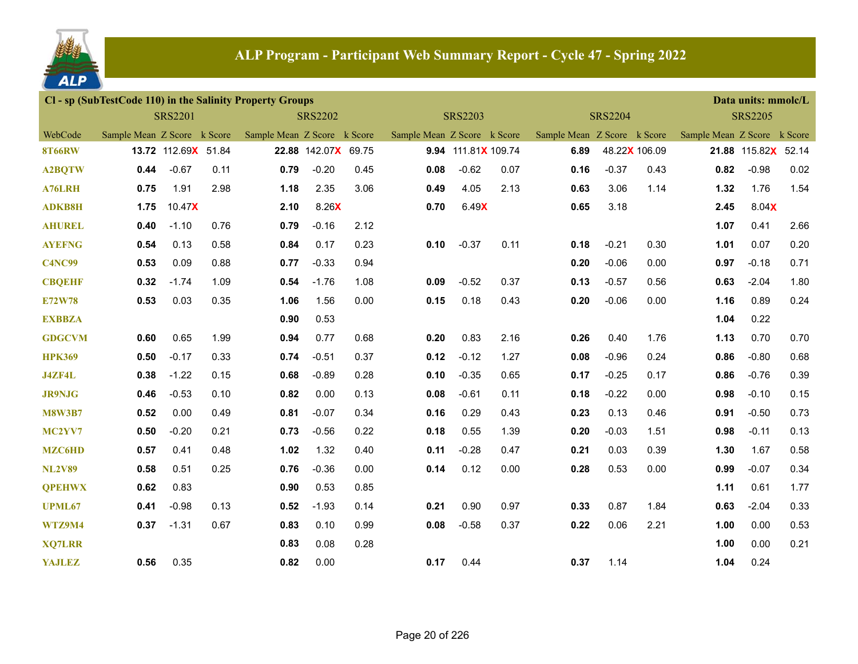

|                                 |                             |                     |      | Cl - sp (SubTestCode 110) in the Salinity Property Groups |                     |      |                             |                     |      |                             |                |               |                             | Data units: mmolc/L |       |
|---------------------------------|-----------------------------|---------------------|------|-----------------------------------------------------------|---------------------|------|-----------------------------|---------------------|------|-----------------------------|----------------|---------------|-----------------------------|---------------------|-------|
|                                 |                             | <b>SRS2201</b>      |      |                                                           | <b>SRS2202</b>      |      |                             | <b>SRS2203</b>      |      |                             | <b>SRS2204</b> |               |                             | <b>SRS2205</b>      |       |
| WebCode                         | Sample Mean Z Score k Score |                     |      | Sample Mean Z Score k Score                               |                     |      | Sample Mean Z Score k Score |                     |      | Sample Mean Z Score k Score |                |               | Sample Mean Z Score k Score |                     |       |
| <b>8T66RW</b>                   |                             | 13.72 112.69X 51.84 |      |                                                           | 22.88 142.07X 69.75 |      |                             | 9.94 111.81X 109.74 |      | 6.89                        |                | 48.22X 106.09 |                             | 21.88 115.82X       | 52.14 |
| <b>A2BQTW</b>                   | 0.44                        | $-0.67$             | 0.11 | 0.79                                                      | $-0.20$             | 0.45 | 0.08                        | $-0.62$             | 0.07 | 0.16                        | $-0.37$        | 0.43          | 0.82                        | $-0.98$             | 0.02  |
| A76LRH                          | 0.75                        | 1.91                | 2.98 | 1.18                                                      | 2.35                | 3.06 | 0.49                        | 4.05                | 2.13 | 0.63                        | 3.06           | 1.14          | 1.32                        | 1.76                | 1.54  |
| <b>ADKB8H</b>                   | 1.75                        | 10.47X              |      | 2.10                                                      | 8.26X               |      | 0.70                        | 6.49X               |      | 0.65                        | 3.18           |               | 2.45                        | 8.04 <sub>X</sub>   |       |
| <b>AHUREL</b>                   | 0.40                        | $-1.10$             | 0.76 | 0.79                                                      | $-0.16$             | 2.12 |                             |                     |      |                             |                |               | 1.07                        | 0.41                | 2.66  |
| <b>AYEFNG</b>                   | 0.54                        | 0.13                | 0.58 | 0.84                                                      | 0.17                | 0.23 | 0.10                        | $-0.37$             | 0.11 | 0.18                        | $-0.21$        | 0.30          | 1.01                        | 0.07                | 0.20  |
| <b>C4NC99</b>                   | 0.53                        | 0.09                | 0.88 | 0.77                                                      | $-0.33$             | 0.94 |                             |                     |      | 0.20                        | $-0.06$        | 0.00          | 0.97                        | $-0.18$             | 0.71  |
| <b>CBQEHF</b>                   | 0.32                        | $-1.74$             | 1.09 | 0.54                                                      | $-1.76$             | 1.08 | 0.09                        | $-0.52$             | 0.37 | 0.13                        | $-0.57$        | 0.56          | 0.63                        | $-2.04$             | 1.80  |
| E72W78                          | 0.53                        | 0.03                | 0.35 | 1.06                                                      | 1.56                | 0.00 | 0.15                        | 0.18                | 0.43 | 0.20                        | $-0.06$        | 0.00          | 1.16                        | 0.89                | 0.24  |
| <b>EXBBZA</b>                   |                             |                     |      | 0.90                                                      | 0.53                |      |                             |                     |      |                             |                |               | 1.04                        | 0.22                |       |
| <b>GDGCVM</b>                   | 0.60                        | 0.65                | 1.99 | 0.94                                                      | 0.77                | 0.68 | 0.20                        | 0.83                | 2.16 | 0.26                        | 0.40           | 1.76          | 1.13                        | 0.70                | 0.70  |
| <b>HPK369</b>                   | 0.50                        | $-0.17$             | 0.33 | 0.74                                                      | $-0.51$             | 0.37 | 0.12                        | $-0.12$             | 1.27 | 0.08                        | $-0.96$        | 0.24          | 0.86                        | $-0.80$             | 0.68  |
| J4ZF4L                          | 0.38                        | $-1.22$             | 0.15 | 0.68                                                      | $-0.89$             | 0.28 | 0.10                        | $-0.35$             | 0.65 | 0.17                        | $-0.25$        | 0.17          | 0.86                        | $-0.76$             | 0.39  |
| <b>JR9NJG</b>                   | 0.46                        | $-0.53$             | 0.10 | 0.82                                                      | 0.00                | 0.13 | 0.08                        | $-0.61$             | 0.11 | 0.18                        | $-0.22$        | 0.00          | 0.98                        | $-0.10$             | 0.15  |
| <b>M8W3B7</b>                   | 0.52                        | 0.00                | 0.49 | 0.81                                                      | $-0.07$             | 0.34 | 0.16                        | 0.29                | 0.43 | 0.23                        | 0.13           | 0.46          | 0.91                        | $-0.50$             | 0.73  |
| MC <sub>2</sub> YV <sub>7</sub> | 0.50                        | $-0.20$             | 0.21 | 0.73                                                      | $-0.56$             | 0.22 | 0.18                        | 0.55                | 1.39 | 0.20                        | $-0.03$        | 1.51          | 0.98                        | $-0.11$             | 0.13  |
| <b>MZC6HD</b>                   | 0.57                        | 0.41                | 0.48 | 1.02                                                      | 1.32                | 0.40 | 0.11                        | $-0.28$             | 0.47 | 0.21                        | 0.03           | 0.39          | 1.30                        | 1.67                | 0.58  |
| <b>NL2V89</b>                   | 0.58                        | 0.51                | 0.25 | 0.76                                                      | $-0.36$             | 0.00 | 0.14                        | 0.12                | 0.00 | 0.28                        | 0.53           | 0.00          | 0.99                        | $-0.07$             | 0.34  |
| <b>QPEHWX</b>                   | 0.62                        | 0.83                |      | 0.90                                                      | 0.53                | 0.85 |                             |                     |      |                             |                |               | 1.11                        | 0.61                | 1.77  |
| UPML67                          | 0.41                        | $-0.98$             | 0.13 | 0.52                                                      | $-1.93$             | 0.14 | 0.21                        | 0.90                | 0.97 | 0.33                        | 0.87           | 1.84          | 0.63                        | $-2.04$             | 0.33  |
| WTZ9M4                          | 0.37                        | $-1.31$             | 0.67 | 0.83                                                      | 0.10                | 0.99 | 0.08                        | $-0.58$             | 0.37 | 0.22                        | 0.06           | 2.21          | 1.00                        | 0.00                | 0.53  |
| <b>XO7LRR</b>                   |                             |                     |      | 0.83                                                      | 0.08                | 0.28 |                             |                     |      |                             |                |               | 1.00                        | 0.00                | 0.21  |
| <b>YAJLEZ</b>                   | 0.56                        | 0.35                |      | 0.82                                                      | 0.00                |      | 0.17                        | 0.44                |      | 0.37                        | 1.14           |               | 1.04                        | 0.24                |       |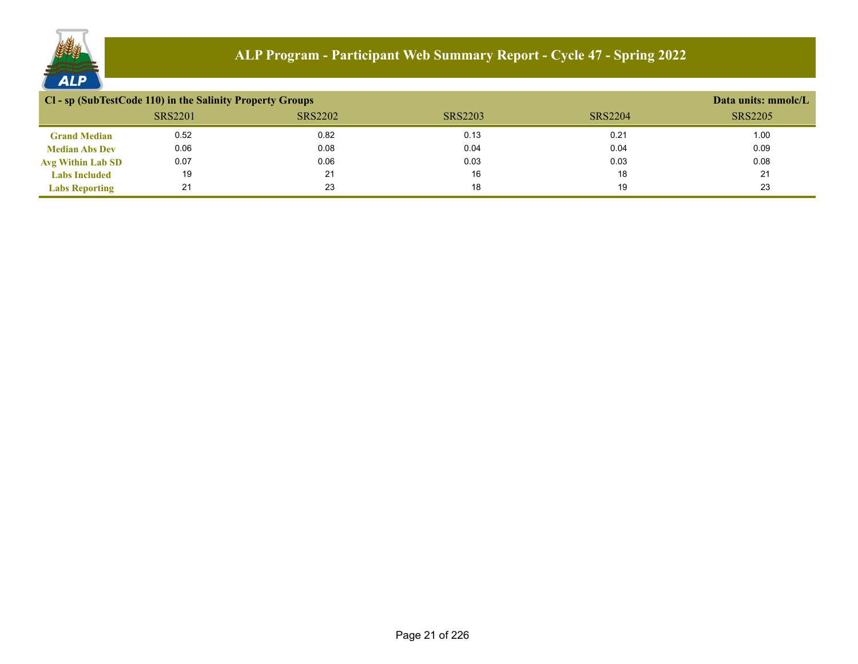

|                          | Cl - sp (SubTestCode 110) in the Salinity Property Groups |         |         |         | Data units: mmolc/L |
|--------------------------|-----------------------------------------------------------|---------|---------|---------|---------------------|
|                          | SRS2201                                                   | SRS2202 | SRS2203 | SRS2204 | <b>SRS2205</b>      |
| <b>Grand Median</b>      | 0.52                                                      | 0.82    | 0.13    | 0.21    | 1.00                |
| <b>Median Abs Dev</b>    | 0.06                                                      | 0.08    | 0.04    | 0.04    | 0.09                |
| <b>Avg Within Lab SD</b> | 0.07                                                      | 0.06    | 0.03    | 0.03    | 0.08                |
| <b>Labs Included</b>     | 19                                                        | 21      | 16      | 18      | 21                  |
| <b>Labs Reporting</b>    | 21                                                        | 23      | 18      | 19      | 23                  |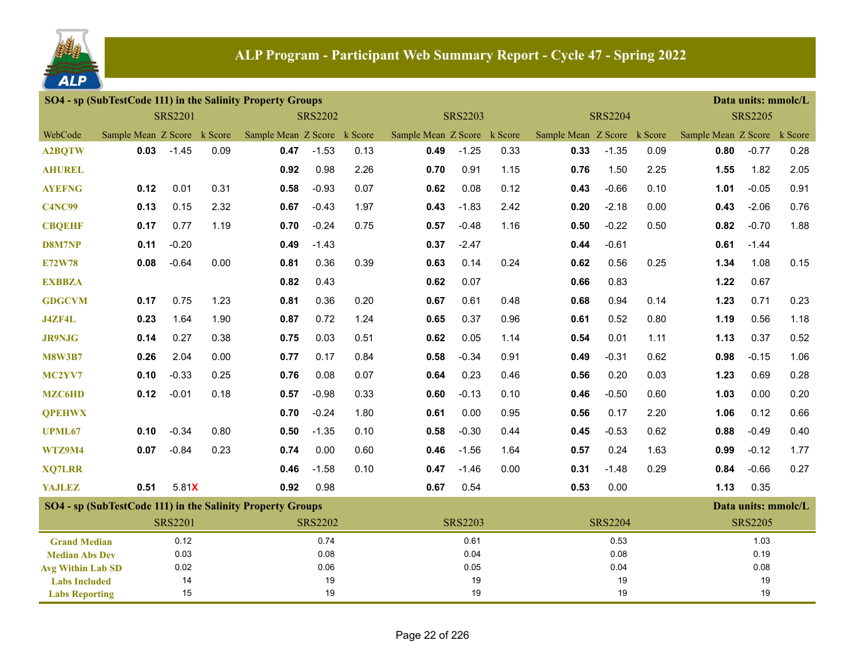

|                                                                           |                             |                          |      | SO4 - sp (SubTestCode 111) in the Salinity Property Groups |                          |      |                             |                          |      |                             |                  |      |                             | Data units: mmolc/L      |                     |
|---------------------------------------------------------------------------|-----------------------------|--------------------------|------|------------------------------------------------------------|--------------------------|------|-----------------------------|--------------------------|------|-----------------------------|------------------|------|-----------------------------|--------------------------|---------------------|
|                                                                           |                             | <b>SRS2201</b>           |      |                                                            | <b>SRS2202</b>           |      |                             | <b>SRS2203</b>           |      |                             | <b>SRS2204</b>   |      |                             | <b>SRS2205</b>           |                     |
| WebCode                                                                   | Sample Mean Z Score k Score |                          |      | Sample Mean Z Score k Score                                |                          |      | Sample Mean Z Score k Score |                          |      | Sample Mean Z Score k Score |                  |      | Sample Mean Z Score k Score |                          |                     |
| <b>A2BQTW</b>                                                             | 0.03                        | $-1.45$                  | 0.09 | 0.47                                                       | $-1.53$                  | 0.13 | 0.49                        | $-1.25$                  | 0.33 | 0.33                        | $-1.35$          | 0.09 | 0.80                        | $-0.77$                  | 0.28                |
| <b>AHUREL</b>                                                             |                             |                          |      | 0.92                                                       | 0.98                     | 2.26 | 0.70                        | 0.91                     | 1.15 | 0.76                        | 1.50             | 2.25 | 1.55                        | 1.82                     | 2.05                |
| <b>AYEFNG</b>                                                             | 0.12                        | 0.01                     | 0.31 | 0.58                                                       | $-0.93$                  | 0.07 | 0.62                        | 0.08                     | 0.12 | 0.43                        | $-0.66$          | 0.10 | 1.01                        | $-0.05$                  | 0.91                |
| <b>C4NC99</b>                                                             | 0.13                        | 0.15                     | 2.32 | 0.67                                                       | $-0.43$                  | 1.97 | 0.43                        | $-1.83$                  | 2.42 | 0.20                        | $-2.18$          | 0.00 | 0.43                        | $-2.06$                  | 0.76                |
| <b>CBQEHF</b>                                                             | 0.17                        | 0.77                     | 1.19 | 0.70                                                       | $-0.24$                  | 0.75 | 0.57                        | $-0.48$                  | 1.16 | 0.50                        | $-0.22$          | 0.50 | 0.82                        | $-0.70$                  | 1.88                |
| D8M7NP                                                                    | 0.11                        | $-0.20$                  |      | 0.49                                                       | $-1.43$                  |      | 0.37                        | $-2.47$                  |      | 0.44                        | $-0.61$          |      | 0.61                        | $-1.44$                  |                     |
| E72W78                                                                    | 0.08                        | $-0.64$                  | 0.00 | 0.81                                                       | 0.36                     | 0.39 | 0.63                        | 0.14                     | 0.24 | 0.62                        | 0.56             | 0.25 | 1.34                        | 1.08                     | 0.15                |
| <b>EXBBZA</b>                                                             |                             |                          |      | 0.82                                                       | 0.43                     |      | 0.62                        | 0.07                     |      | 0.66                        | 0.83             |      | 1.22                        | 0.67                     |                     |
| <b>GDGCVM</b>                                                             | 0.17                        | 0.75                     | 1.23 | 0.81                                                       | 0.36                     | 0.20 | 0.67                        | 0.61                     | 0.48 | 0.68                        | 0.94             | 0.14 | 1.23                        | 0.71                     | 0.23                |
| J4ZF4L                                                                    | 0.23                        | 1.64                     | 1.90 | 0.87                                                       | 0.72                     | 1.24 | 0.65                        | 0.37                     | 0.96 | 0.61                        | 0.52             | 0.80 | 1.19                        | 0.56                     | 1.18                |
| <b>JR9NJG</b>                                                             | 0.14                        | 0.27                     | 0.38 | 0.75                                                       | 0.03                     | 0.51 | 0.62                        | 0.05                     | 1.14 | 0.54                        | 0.01             | 1.11 | 1.13                        | 0.37                     | 0.52                |
| <b>M8W3B7</b>                                                             | 0.26                        | 2.04                     | 0.00 | 0.77                                                       | 0.17                     | 0.84 | 0.58                        | $-0.34$                  | 0.91 | 0.49                        | $-0.31$          | 0.62 | 0.98                        | $-0.15$                  | 1.06                |
| MC <sub>2</sub> YV <sub>7</sub>                                           | 0.10                        | $-0.33$                  | 0.25 | 0.76                                                       | 0.08                     | 0.07 | 0.64                        | 0.23                     | 0.46 | 0.56                        | 0.20             | 0.03 | 1.23                        | 0.69                     | 0.28                |
| <b>MZC6HD</b>                                                             | 0.12                        | $-0.01$                  | 0.18 | 0.57                                                       | $-0.98$                  | 0.33 | 0.60                        | $-0.13$                  | 0.10 | 0.46                        | $-0.50$          | 0.60 | 1.03                        | 0.00                     | 0.20                |
| <b>QPEHWX</b>                                                             |                             |                          |      | 0.70                                                       | $-0.24$                  | 1.80 | 0.61                        | 0.00                     | 0.95 | 0.56                        | 0.17             | 2.20 | 1.06                        | 0.12                     | 0.66                |
| UPML67                                                                    | 0.10                        | $-0.34$                  | 0.80 | 0.50                                                       | $-1.35$                  | 0.10 | 0.58                        | $-0.30$                  | 0.44 | 0.45                        | $-0.53$          | 0.62 | 0.88                        | $-0.49$                  | 0.40                |
| WTZ9M4                                                                    | 0.07                        | $-0.84$                  | 0.23 | 0.74                                                       | 0.00                     | 0.60 | 0.46                        | $-1.56$                  | 1.64 | 0.57                        | 0.24             | 1.63 | 0.99                        | $-0.12$                  | 1.77                |
| <b>XQ7LRR</b>                                                             |                             |                          |      | 0.46                                                       | $-1.58$                  | 0.10 | 0.47                        | $-1.46$                  | 0.00 | 0.31                        | $-1.48$          | 0.29 | 0.84                        | $-0.66$                  | 0.27                |
| <b>YAJLEZ</b>                                                             | 0.51                        | 5.81X                    |      | 0.92                                                       | 0.98                     |      | 0.67                        | 0.54                     |      | 0.53                        | 0.00             |      | 1.13                        | 0.35                     |                     |
|                                                                           |                             |                          |      | SO4 - sp (SubTestCode 111) in the Salinity Property Groups |                          |      |                             |                          |      |                             |                  |      |                             |                          | Data units: mmolc/L |
|                                                                           |                             | <b>SRS2201</b>           |      |                                                            | <b>SRS2202</b>           |      |                             | <b>SRS2203</b>           |      |                             | <b>SRS2204</b>   |      |                             | <b>SRS2205</b>           |                     |
| <b>Grand Median</b>                                                       |                             | 0.12                     |      |                                                            | 0.74                     |      |                             | 0.61                     |      |                             | 0.53             |      |                             | 1.03                     |                     |
| <b>Median Abs Dev</b>                                                     |                             |                          |      |                                                            |                          |      |                             |                          |      |                             | 0.08             |      |                             |                          |                     |
|                                                                           |                             |                          |      |                                                            |                          |      |                             |                          |      |                             |                  |      |                             |                          |                     |
|                                                                           |                             |                          |      |                                                            |                          |      |                             |                          |      |                             |                  |      |                             |                          |                     |
| <b>Avg Within Lab SD</b><br><b>Labs Included</b><br><b>Labs Reporting</b> |                             | 0.03<br>0.02<br>14<br>15 |      |                                                            | 0.08<br>0.06<br>19<br>19 |      |                             | 0.04<br>0.05<br>19<br>19 |      |                             | 0.04<br>19<br>19 |      |                             | 0.19<br>0.08<br>19<br>19 |                     |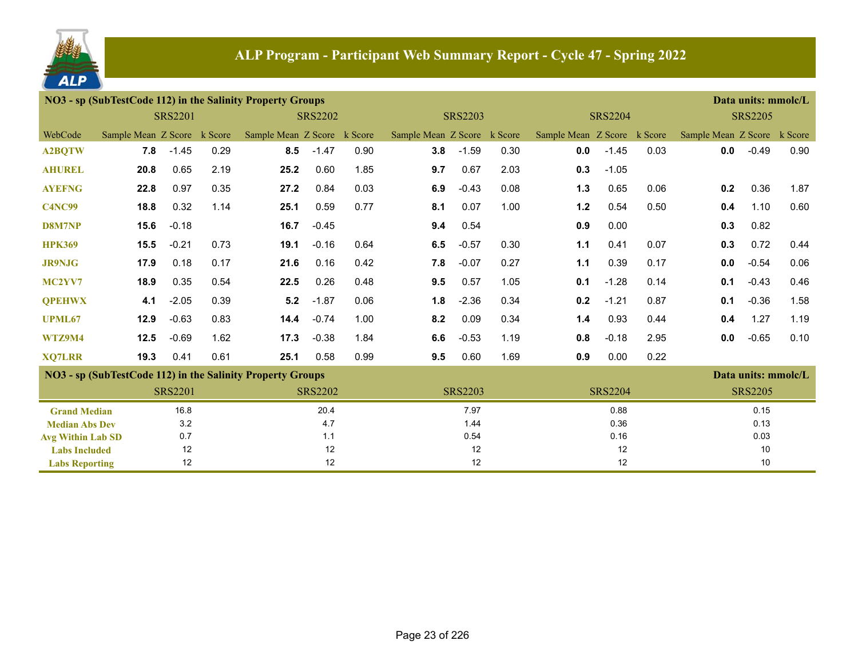

**Median Abs Dev Avg Within Lab SD Labs Included**

0.7

#### **ALP Program - Participant Web Summary Report - Cycle 47 - Spring 2022**

|                     |                                                            |                |      | NO3 - sp (SubTestCode 112) in the Salinity Property Groups |                |      |                             |                |      |                             |                |      |                             |                     | Data units: mmolc/L |
|---------------------|------------------------------------------------------------|----------------|------|------------------------------------------------------------|----------------|------|-----------------------------|----------------|------|-----------------------------|----------------|------|-----------------------------|---------------------|---------------------|
|                     |                                                            | <b>SRS2201</b> |      |                                                            | <b>SRS2202</b> |      |                             | <b>SRS2203</b> |      |                             | <b>SRS2204</b> |      |                             | <b>SRS2205</b>      |                     |
| WebCode             | Sample Mean Z Score k Score                                |                |      | Sample Mean Z Score k Score                                |                |      | Sample Mean Z Score k Score |                |      | Sample Mean Z Score k Score |                |      | Sample Mean Z Score k Score |                     |                     |
| <b>A2BQTW</b>       | 7.8                                                        | $-1.45$        | 0.29 | 8.5                                                        | $-1.47$        | 0.90 | 3.8                         | $-1.59$        | 0.30 | 0.0                         | $-1.45$        | 0.03 | 0.0                         | $-0.49$             | 0.90                |
| <b>AHUREL</b>       | 20.8                                                       | 0.65           | 2.19 | 25.2                                                       | 0.60           | 1.85 | 9.7                         | 0.67           | 2.03 | 0.3                         | $-1.05$        |      |                             |                     |                     |
| <b>AYEFNG</b>       | 22.8                                                       | 0.97           | 0.35 | 27.2                                                       | 0.84           | 0.03 | 6.9                         | $-0.43$        | 0.08 | 1.3                         | 0.65           | 0.06 | 0.2                         | 0.36                | 1.87                |
| <b>C4NC99</b>       | 18.8                                                       | 0.32           | 1.14 | 25.1                                                       | 0.59           | 0.77 | 8.1                         | 0.07           | 1.00 | $1.2$                       | 0.54           | 0.50 | 0.4                         | 1.10                | 0.60                |
| D8M7NP              | 15.6                                                       | $-0.18$        |      | 16.7                                                       | $-0.45$        |      | 9.4                         | 0.54           |      | 0.9                         | 0.00           |      | 0.3                         | 0.82                |                     |
| <b>HPK369</b>       | 15.5                                                       | $-0.21$        | 0.73 | 19.1                                                       | $-0.16$        | 0.64 | 6.5                         | $-0.57$        | 0.30 | 1.1                         | 0.41           | 0.07 | 0.3                         | 0.72                | 0.44                |
| <b>JR9NJG</b>       | 17.9                                                       | 0.18           | 0.17 | 21.6                                                       | 0.16           | 0.42 | 7.8                         | $-0.07$        | 0.27 | 1.1                         | 0.39           | 0.17 | 0.0                         | $-0.54$             | 0.06                |
| MC2YV7              | 18.9                                                       | 0.35           | 0.54 | 22.5                                                       | 0.26           | 0.48 | 9.5                         | 0.57           | 1.05 | 0.1                         | $-1.28$        | 0.14 | 0.1                         | $-0.43$             | 0.46                |
| <b>QPEHWX</b>       | 4.1                                                        | $-2.05$        | 0.39 | 5.2                                                        | $-1.87$        | 0.06 | 1.8                         | $-2.36$        | 0.34 | 0.2                         | $-1.21$        | 0.87 | 0.1                         | $-0.36$             | 1.58                |
| UPML67              | 12.9                                                       | $-0.63$        | 0.83 | 14.4                                                       | $-0.74$        | 1.00 | 8.2                         | 0.09           | 0.34 | 1.4                         | 0.93           | 0.44 | 0.4                         | 1.27                | 1.19                |
| WTZ9M4              | 12.5                                                       | $-0.69$        | 1.62 | 17.3                                                       | $-0.38$        | 1.84 | 6.6                         | $-0.53$        | 1.19 | 0.8                         | $-0.18$        | 2.95 | 0.0                         | $-0.65$             | 0.10                |
| <b>XQ7LRR</b>       | 19.3                                                       | 0.41           | 0.61 | 25.1                                                       | 0.58           | 0.99 | 9.5                         | 0.60           | 1.69 | 0.9                         | 0.00           | 0.22 |                             |                     |                     |
|                     | NO3 - sp (SubTestCode 112) in the Salinity Property Groups |                |      |                                                            |                |      |                             |                |      |                             |                |      |                             | Data units: mmolc/L |                     |
|                     | <b>SRS2201</b><br><b>SRS2202</b>                           |                |      |                                                            |                |      |                             | <b>SRS2203</b> |      |                             | <b>SRS2204</b> |      |                             | <b>SRS2205</b>      |                     |
| <b>Grand Median</b> |                                                            | 16.8           |      |                                                            | 20.4           |      |                             | 7.97           |      |                             | 0.88           |      |                             | 0.15                |                     |

1.1

**d** 12 12 12 12 12 12 12 12

**Labs Reporting** <sup>12</sup> <sup>12</sup> <sup>12</sup> <sup>10</sup>

0.54

 $3.2$  and  $4.7$  and  $1.44$  and  $0.36$  and  $0.13$ 

0.16

12

0.03

10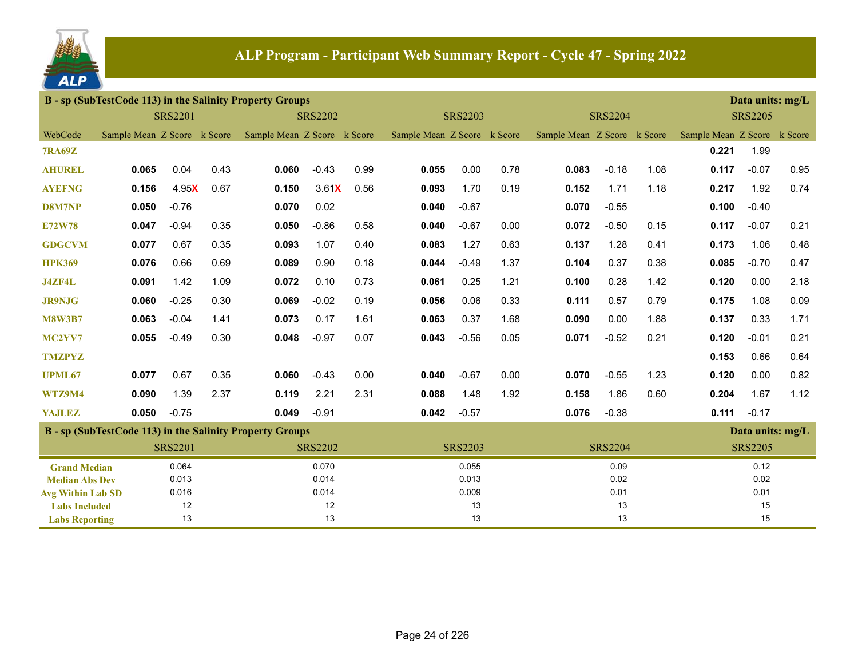

|                                 |                             |                |      | B - sp (SubTestCode 113) in the Salinity Property Groups |                |      |                             |                |      |                             |                |      |                             |                | Data units: mg/L |
|---------------------------------|-----------------------------|----------------|------|----------------------------------------------------------|----------------|------|-----------------------------|----------------|------|-----------------------------|----------------|------|-----------------------------|----------------|------------------|
|                                 |                             | <b>SRS2201</b> |      |                                                          | <b>SRS2202</b> |      |                             | <b>SRS2203</b> |      |                             | <b>SRS2204</b> |      |                             | <b>SRS2205</b> |                  |
| WebCode                         | Sample Mean Z Score k Score |                |      | Sample Mean Z Score k Score                              |                |      | Sample Mean Z Score k Score |                |      | Sample Mean Z Score k Score |                |      | Sample Mean Z Score k Score |                |                  |
| <b>7RA69Z</b>                   |                             |                |      |                                                          |                |      |                             |                |      |                             |                |      | 0.221                       | 1.99           |                  |
| <b>AHUREL</b>                   | 0.065                       | 0.04           | 0.43 | 0.060                                                    | $-0.43$        | 0.99 | 0.055                       | 0.00           | 0.78 | 0.083                       | $-0.18$        | 1.08 | 0.117                       | $-0.07$        | 0.95             |
| <b>AYEFNG</b>                   | 0.156                       | 4.95X          | 0.67 | 0.150                                                    | 3.61X          | 0.56 | 0.093                       | 1.70           | 0.19 | 0.152                       | 1.71           | 1.18 | 0.217                       | 1.92           | 0.74             |
| D8M7NP                          | 0.050                       | $-0.76$        |      | 0.070                                                    | 0.02           |      | 0.040                       | $-0.67$        |      | 0.070                       | $-0.55$        |      | 0.100                       | $-0.40$        |                  |
| E72W78                          | 0.047                       | $-0.94$        | 0.35 | 0.050                                                    | $-0.86$        | 0.58 | 0.040                       | $-0.67$        | 0.00 | 0.072                       | $-0.50$        | 0.15 | 0.117                       | $-0.07$        | 0.21             |
| <b>GDGCVM</b>                   | 0.077                       | 0.67           | 0.35 | 0.093                                                    | 1.07           | 0.40 | 0.083                       | 1.27           | 0.63 | 0.137                       | 1.28           | 0.41 | 0.173                       | 1.06           | 0.48             |
| <b>HPK369</b>                   | 0.076                       | 0.66           | 0.69 | 0.089                                                    | 0.90           | 0.18 | 0.044                       | $-0.49$        | 1.37 | 0.104                       | 0.37           | 0.38 | 0.085                       | $-0.70$        | 0.47             |
| J4ZF4L                          | 0.091                       | 1.42           | 1.09 | 0.072                                                    | 0.10           | 0.73 | 0.061                       | 0.25           | 1.21 | 0.100                       | 0.28           | 1.42 | 0.120                       | 0.00           | 2.18             |
| <b>JR9NJG</b>                   | 0.060                       | $-0.25$        | 0.30 | 0.069                                                    | $-0.02$        | 0.19 | 0.056                       | 0.06           | 0.33 | 0.111                       | 0.57           | 0.79 | 0.175                       | 1.08           | 0.09             |
| <b>M8W3B7</b>                   | 0.063                       | $-0.04$        | 1.41 | 0.073                                                    | 0.17           | 1.61 | 0.063                       | 0.37           | 1.68 | 0.090                       | 0.00           | 1.88 | 0.137                       | 0.33           | 1.71             |
| MC <sub>2</sub> YV <sub>7</sub> | 0.055                       | $-0.49$        | 0.30 | 0.048                                                    | $-0.97$        | 0.07 | 0.043                       | $-0.56$        | 0.05 | 0.071                       | $-0.52$        | 0.21 | 0.120                       | $-0.01$        | 0.21             |
| <b>TMZPYZ</b>                   |                             |                |      |                                                          |                |      |                             |                |      |                             |                |      | 0.153                       | 0.66           | 0.64             |
| UPML67                          | 0.077                       | 0.67           | 0.35 | 0.060                                                    | $-0.43$        | 0.00 | 0.040                       | $-0.67$        | 0.00 | 0.070                       | $-0.55$        | 1.23 | 0.120                       | 0.00           | 0.82             |
| WTZ9M4                          | 0.090                       | 1.39           | 2.37 | 0.119                                                    | 2.21           | 2.31 | 0.088                       | 1.48           | 1.92 | 0.158                       | 1.86           | 0.60 | 0.204                       | 1.67           | 1.12             |
| <b>YAJLEZ</b>                   | 0.050                       | $-0.75$        |      | 0.049                                                    | $-0.91$        |      | 0.042                       | $-0.57$        |      | 0.076                       | $-0.38$        |      | 0.111                       | $-0.17$        |                  |
|                                 |                             |                |      | B - sp (SubTestCode 113) in the Salinity Property Groups |                |      |                             |                |      |                             |                |      |                             |                | Data units: mg/L |
|                                 |                             | <b>SRS2201</b> |      |                                                          | <b>SRS2202</b> |      |                             | <b>SRS2203</b> |      |                             | <b>SRS2204</b> |      |                             | <b>SRS2205</b> |                  |
| <b>Grand Median</b>             |                             | 0.064          |      |                                                          | 0.070          |      |                             | 0.055          |      |                             | 0.09           |      |                             | 0.12           |                  |
| <b>Median Abs Dev</b>           |                             | 0.013          |      |                                                          | 0.014          |      |                             | 0.013          |      |                             | 0.02           |      |                             | 0.02           |                  |
| <b>Avg Within Lab SD</b>        |                             | 0.016          |      |                                                          | 0.014          |      |                             | 0.009          |      |                             | 0.01           |      |                             | 0.01           |                  |
| <b>Labs Included</b>            |                             | 12             |      |                                                          | 12             |      |                             | 13             |      |                             | 13             |      |                             | 15             |                  |
| <b>Labs Reporting</b>           |                             | 13             |      |                                                          | 13             |      |                             | 13             |      |                             | 13             |      |                             | 15             |                  |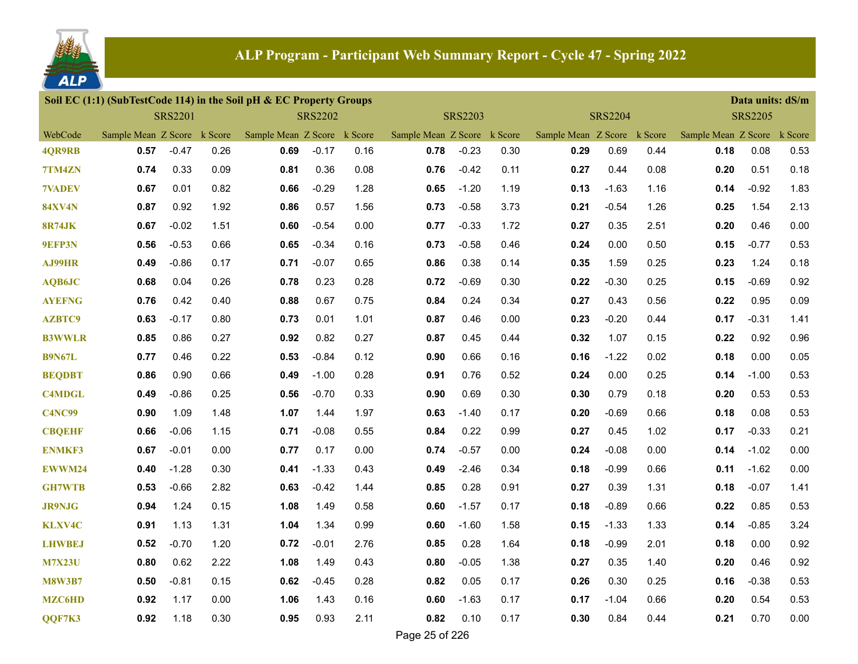

|               | Soil EC (1:1) (SubTestCode 114) in the Soil pH & EC Property Groups |                |      |                             |                |      |                             |                |      |                             |                |      |                             | Data units: dS/m |      |
|---------------|---------------------------------------------------------------------|----------------|------|-----------------------------|----------------|------|-----------------------------|----------------|------|-----------------------------|----------------|------|-----------------------------|------------------|------|
|               |                                                                     | <b>SRS2201</b> |      |                             | <b>SRS2202</b> |      |                             | <b>SRS2203</b> |      |                             | <b>SRS2204</b> |      |                             | <b>SRS2205</b>   |      |
| WebCode       | Sample Mean Z Score k Score                                         |                |      | Sample Mean Z Score k Score |                |      | Sample Mean Z Score k Score |                |      | Sample Mean Z Score k Score |                |      | Sample Mean Z Score k Score |                  |      |
| 4QR9RB        | 0.57                                                                | $-0.47$        | 0.26 | 0.69                        | $-0.17$        | 0.16 | 0.78                        | $-0.23$        | 0.30 | 0.29                        | 0.69           | 0.44 | 0.18                        | 0.08             | 0.53 |
| 7TM4ZN        | 0.74                                                                | 0.33           | 0.09 | 0.81                        | 0.36           | 0.08 | 0.76                        | $-0.42$        | 0.11 | 0.27                        | 0.44           | 0.08 | 0.20                        | 0.51             | 0.18 |
| <b>7VADEV</b> | 0.67                                                                | 0.01           | 0.82 | 0.66                        | $-0.29$        | 1.28 | 0.65                        | $-1.20$        | 1.19 | 0.13                        | $-1.63$        | 1.16 | 0.14                        | $-0.92$          | 1.83 |
| <b>84XV4N</b> | 0.87                                                                | 0.92           | 1.92 | 0.86                        | 0.57           | 1.56 | 0.73                        | $-0.58$        | 3.73 | 0.21                        | $-0.54$        | 1.26 | 0.25                        | 1.54             | 2.13 |
| <b>8R74JK</b> | 0.67                                                                | $-0.02$        | 1.51 | 0.60                        | $-0.54$        | 0.00 | 0.77                        | $-0.33$        | 1.72 | 0.27                        | 0.35           | 2.51 | 0.20                        | 0.46             | 0.00 |
| 9EFP3N        | 0.56                                                                | $-0.53$        | 0.66 | 0.65                        | $-0.34$        | 0.16 | 0.73                        | $-0.58$        | 0.46 | 0.24                        | 0.00           | 0.50 | 0.15                        | $-0.77$          | 0.53 |
| AJ99HR        | 0.49                                                                | $-0.86$        | 0.17 | 0.71                        | $-0.07$        | 0.65 | 0.86                        | 0.38           | 0.14 | 0.35                        | 1.59           | 0.25 | 0.23                        | 1.24             | 0.18 |
| <b>AQB6JC</b> | 0.68                                                                | 0.04           | 0.26 | 0.78                        | 0.23           | 0.28 | 0.72                        | $-0.69$        | 0.30 | 0.22                        | $-0.30$        | 0.25 | 0.15                        | $-0.69$          | 0.92 |
| <b>AYEFNG</b> | 0.76                                                                | 0.42           | 0.40 | 0.88                        | 0.67           | 0.75 | 0.84                        | 0.24           | 0.34 | 0.27                        | 0.43           | 0.56 | 0.22                        | 0.95             | 0.09 |
| <b>AZBTC9</b> | 0.63                                                                | $-0.17$        | 0.80 | 0.73                        | 0.01           | 1.01 | 0.87                        | 0.46           | 0.00 | 0.23                        | $-0.20$        | 0.44 | 0.17                        | $-0.31$          | 1.41 |
| <b>B3WWLR</b> | 0.85                                                                | 0.86           | 0.27 | 0.92                        | 0.82           | 0.27 | 0.87                        | 0.45           | 0.44 | 0.32                        | 1.07           | 0.15 | 0.22                        | 0.92             | 0.96 |
| <b>B9N67L</b> | 0.77                                                                | 0.46           | 0.22 | 0.53                        | $-0.84$        | 0.12 | 0.90                        | 0.66           | 0.16 | 0.16                        | $-1.22$        | 0.02 | 0.18                        | 0.00             | 0.05 |
| <b>BEODBT</b> | 0.86                                                                | 0.90           | 0.66 | 0.49                        | $-1.00$        | 0.28 | 0.91                        | 0.76           | 0.52 | 0.24                        | 0.00           | 0.25 | 0.14                        | $-1.00$          | 0.53 |
| <b>C4MDGL</b> | 0.49                                                                | $-0.86$        | 0.25 | 0.56                        | $-0.70$        | 0.33 | 0.90                        | 0.69           | 0.30 | 0.30                        | 0.79           | 0.18 | 0.20                        | 0.53             | 0.53 |
| <b>C4NC99</b> | 0.90                                                                | 1.09           | 1.48 | 1.07                        | 1.44           | 1.97 | 0.63                        | $-1.40$        | 0.17 | 0.20                        | $-0.69$        | 0.66 | 0.18                        | 0.08             | 0.53 |
| <b>CBQEHF</b> | 0.66                                                                | $-0.06$        | 1.15 | 0.71                        | $-0.08$        | 0.55 | 0.84                        | 0.22           | 0.99 | 0.27                        | 0.45           | 1.02 | 0.17                        | $-0.33$          | 0.21 |
| <b>ENMKF3</b> | 0.67                                                                | $-0.01$        | 0.00 | 0.77                        | 0.17           | 0.00 | 0.74                        | $-0.57$        | 0.00 | 0.24                        | $-0.08$        | 0.00 | 0.14                        | $-1.02$          | 0.00 |
| EWWM24        | 0.40                                                                | $-1.28$        | 0.30 | 0.41                        | $-1.33$        | 0.43 | 0.49                        | $-2.46$        | 0.34 | 0.18                        | $-0.99$        | 0.66 | 0.11                        | $-1.62$          | 0.00 |
| <b>GH7WTB</b> | 0.53                                                                | $-0.66$        | 2.82 | 0.63                        | $-0.42$        | 1.44 | 0.85                        | 0.28           | 0.91 | 0.27                        | 0.39           | 1.31 | 0.18                        | $-0.07$          | 1.41 |
| <b>JR9NJG</b> | 0.94                                                                | 1.24           | 0.15 | 1.08                        | 1.49           | 0.58 | 0.60                        | $-1.57$        | 0.17 | 0.18                        | $-0.89$        | 0.66 | 0.22                        | 0.85             | 0.53 |
| <b>KLXV4C</b> | 0.91                                                                | 1.13           | 1.31 | 1.04                        | 1.34           | 0.99 | 0.60                        | $-1.60$        | 1.58 | 0.15                        | $-1.33$        | 1.33 | 0.14                        | $-0.85$          | 3.24 |
| <b>LHWBEJ</b> | 0.52                                                                | $-0.70$        | 1.20 | 0.72                        | $-0.01$        | 2.76 | 0.85                        | 0.28           | 1.64 | 0.18                        | $-0.99$        | 2.01 | 0.18                        | 0.00             | 0.92 |
| <b>M7X23U</b> | 0.80                                                                | 0.62           | 2.22 | 1.08                        | 1.49           | 0.43 | 0.80                        | $-0.05$        | 1.38 | 0.27                        | 0.35           | 1.40 | 0.20                        | 0.46             | 0.92 |
| <b>M8W3B7</b> | 0.50                                                                | $-0.81$        | 0.15 | 0.62                        | $-0.45$        | 0.28 | 0.82                        | 0.05           | 0.17 | 0.26                        | 0.30           | 0.25 | 0.16                        | $-0.38$          | 0.53 |
| <b>MZC6HD</b> | 0.92                                                                | 1.17           | 0.00 | 1.06                        | 1.43           | 0.16 | 0.60                        | $-1.63$        | 0.17 | 0.17                        | $-1.04$        | 0.66 | 0.20                        | 0.54             | 0.53 |
| QQF7K3        | 0.92                                                                | 1.18           | 0.30 | 0.95                        | 0.93           | 2.11 | 0.82                        | 0.10           | 0.17 | 0.30                        | 0.84           | 0.44 | 0.21                        | 0.70             | 0.00 |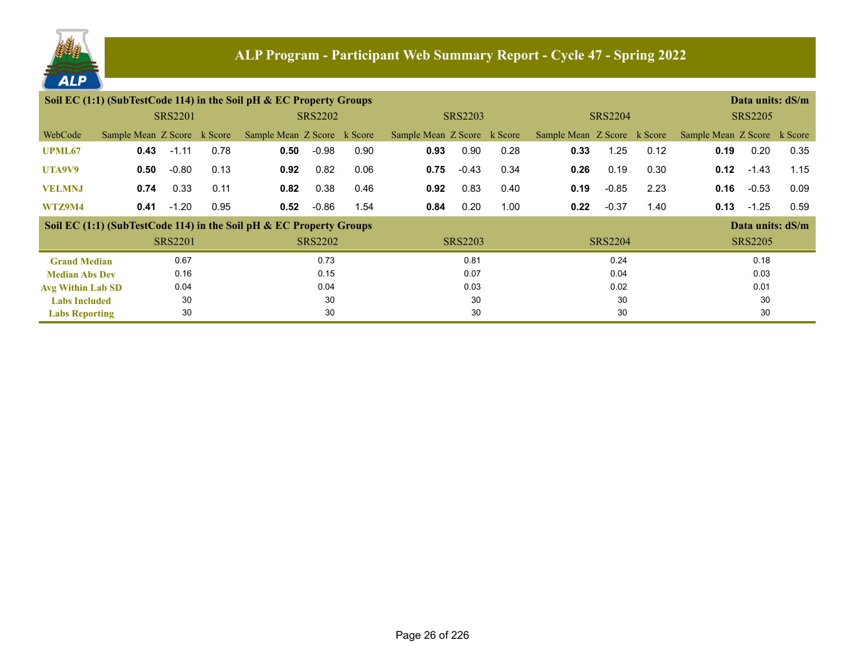

|                       |                             |                |      | Soil EC $(1:1)$ (SubTestCode 114) in the Soil pH & EC Property Groups |                |      |                             |                |      |                             |                |      |                             |                | Data units: dS/m |
|-----------------------|-----------------------------|----------------|------|-----------------------------------------------------------------------|----------------|------|-----------------------------|----------------|------|-----------------------------|----------------|------|-----------------------------|----------------|------------------|
|                       |                             | <b>SRS2201</b> |      |                                                                       | <b>SRS2202</b> |      |                             | SRS2203        |      |                             | <b>SRS2204</b> |      |                             | SRS2205        |                  |
| WebCode               | Sample Mean Z Score k Score |                |      | Sample Mean Z Score k Score                                           |                |      | Sample Mean Z Score k Score |                |      | Sample Mean Z Score k Score |                |      | Sample Mean Z Score k Score |                |                  |
| UPML67                | 0.43                        | $-1.11$        | 0.78 | 0.50                                                                  | $-0.98$        | 0.90 | 0.93                        | 0.90           | 0.28 | 0.33                        | .25            | 0.12 | 0.19                        | 0.20           | 0.35             |
| UTA9V9                | 0.50                        | $-0.80$        | 0.13 | 0.92                                                                  | 0.82           | 0.06 | 0.75                        | $-0.43$        | 0.34 | 0.26                        | 0.19           | 0.30 | 0.12                        | $-1.43$        | 1.15             |
| <b>VELMNJ</b>         | 0.74                        | 0.33           | 0.11 | 0.82                                                                  | 0.38           | 0.46 | 0.92                        | 0.83           | 0.40 | 0.19                        | $-0.85$        | 2.23 | 0.16                        | $-0.53$        | 0.09             |
| WTZ9M4                | 0.41                        | $-1.20$        | 0.95 | 0.52                                                                  | $-0.86$        | 1.54 | 0.84                        | 0.20           | 1.00 | 0.22                        | $-0.37$        | 1.40 | 0.13                        | $-1.25$        | 0.59             |
|                       |                             |                |      | Soil EC $(1:1)$ (SubTestCode 114) in the Soil pH & EC Property Groups |                |      |                             |                |      |                             |                |      |                             |                | Data units: dS/m |
|                       |                             | <b>SRS2201</b> |      |                                                                       | <b>SRS2202</b> |      |                             | <b>SRS2203</b> |      |                             | <b>SRS2204</b> |      |                             | <b>SRS2205</b> |                  |
| <b>Grand Median</b>   |                             | 0.67           |      |                                                                       | 0.73           |      |                             | 0.81           |      |                             | 0.24           |      |                             | 0.18           |                  |
| <b>Median Abs Dev</b> |                             | 0.16           |      |                                                                       | 0.15           |      |                             | 0.07           |      |                             | 0.04           |      |                             | 0.03           |                  |
| Avg Within Lab SD     |                             | 0.04           |      |                                                                       | 0.04           |      |                             | 0.03           |      |                             | 0.02           |      |                             | 0.01           |                  |
| <b>Labs Included</b>  |                             | 30             |      |                                                                       | 30             |      |                             | 30             |      |                             | 30             |      |                             | 30             |                  |
| <b>Labs Reporting</b> |                             | 30             |      |                                                                       | 30             |      |                             | 30             |      |                             | 30             |      |                             | 30             |                  |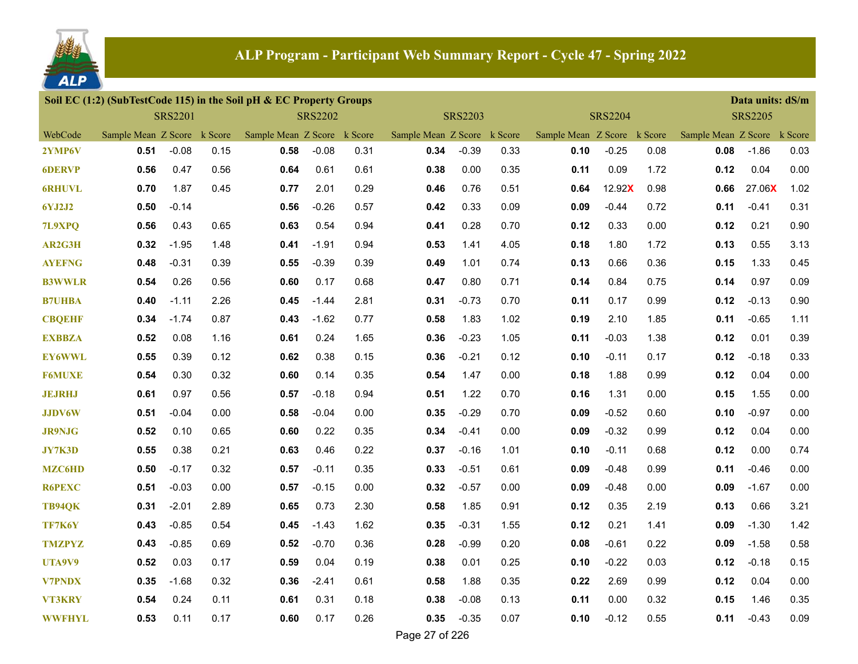

|               | Soil EC (1:2) (SubTestCode 115) in the Soil pH & EC Property Groups |                |      |                             |                |      |                             |                |      |                             |                |      |                             | Data units: dS/m |      |
|---------------|---------------------------------------------------------------------|----------------|------|-----------------------------|----------------|------|-----------------------------|----------------|------|-----------------------------|----------------|------|-----------------------------|------------------|------|
|               |                                                                     | <b>SRS2201</b> |      |                             | <b>SRS2202</b> |      |                             | <b>SRS2203</b> |      |                             | <b>SRS2204</b> |      |                             | <b>SRS2205</b>   |      |
| WebCode       | Sample Mean Z Score k Score                                         |                |      | Sample Mean Z Score k Score |                |      | Sample Mean Z Score k Score |                |      | Sample Mean Z Score k Score |                |      | Sample Mean Z Score k Score |                  |      |
| 2YMP6V        | 0.51                                                                | $-0.08$        | 0.15 | 0.58                        | $-0.08$        | 0.31 | 0.34                        | $-0.39$        | 0.33 | 0.10                        | $-0.25$        | 0.08 | 0.08                        | $-1.86$          | 0.03 |
| <b>6DERVP</b> | 0.56                                                                | 0.47           | 0.56 | 0.64                        | 0.61           | 0.61 | 0.38                        | 0.00           | 0.35 | 0.11                        | 0.09           | 1.72 | 0.12                        | 0.04             | 0.00 |
| <b>6RHUVL</b> | 0.70                                                                | 1.87           | 0.45 | 0.77                        | 2.01           | 0.29 | 0.46                        | 0.76           | 0.51 | 0.64                        | 12.92X         | 0.98 | 0.66                        | 27.06X           | 1.02 |
| 6YJ2J2        | 0.50                                                                | $-0.14$        |      | 0.56                        | $-0.26$        | 0.57 | 0.42                        | 0.33           | 0.09 | 0.09                        | $-0.44$        | 0.72 | 0.11                        | $-0.41$          | 0.31 |
| 7L9XPQ        | 0.56                                                                | 0.43           | 0.65 | 0.63                        | 0.54           | 0.94 | 0.41                        | 0.28           | 0.70 | 0.12                        | 0.33           | 0.00 | 0.12                        | 0.21             | 0.90 |
| AR2G3H        | 0.32                                                                | $-1.95$        | 1.48 | 0.41                        | $-1.91$        | 0.94 | 0.53                        | 1.41           | 4.05 | 0.18                        | 1.80           | 1.72 | 0.13                        | 0.55             | 3.13 |
| <b>AYEFNG</b> | 0.48                                                                | $-0.31$        | 0.39 | 0.55                        | $-0.39$        | 0.39 | 0.49                        | 1.01           | 0.74 | 0.13                        | 0.66           | 0.36 | 0.15                        | 1.33             | 0.45 |
| <b>B3WWLR</b> | 0.54                                                                | 0.26           | 0.56 | 0.60                        | 0.17           | 0.68 | 0.47                        | 0.80           | 0.71 | 0.14                        | 0.84           | 0.75 | 0.14                        | 0.97             | 0.09 |
| <b>B7UHBA</b> | 0.40                                                                | $-1.11$        | 2.26 | 0.45                        | $-1.44$        | 2.81 | 0.31                        | $-0.73$        | 0.70 | 0.11                        | 0.17           | 0.99 | 0.12                        | $-0.13$          | 0.90 |
| <b>CBQEHF</b> | 0.34                                                                | $-1.74$        | 0.87 | 0.43                        | $-1.62$        | 0.77 | 0.58                        | 1.83           | 1.02 | 0.19                        | 2.10           | 1.85 | 0.11                        | $-0.65$          | 1.11 |
| <b>EXBBZA</b> | 0.52                                                                | 0.08           | 1.16 | 0.61                        | 0.24           | 1.65 | 0.36                        | $-0.23$        | 1.05 | 0.11                        | $-0.03$        | 1.38 | 0.12                        | 0.01             | 0.39 |
| <b>EY6WWL</b> | 0.55                                                                | 0.39           | 0.12 | 0.62                        | 0.38           | 0.15 | 0.36                        | $-0.21$        | 0.12 | 0.10                        | $-0.11$        | 0.17 | 0.12                        | $-0.18$          | 0.33 |
| <b>F6MUXE</b> | 0.54                                                                | 0.30           | 0.32 | 0.60                        | 0.14           | 0.35 | 0.54                        | 1.47           | 0.00 | 0.18                        | 1.88           | 0.99 | 0.12                        | 0.04             | 0.00 |
| <b>JEJRHJ</b> | 0.61                                                                | 0.97           | 0.56 | 0.57                        | $-0.18$        | 0.94 | 0.51                        | 1.22           | 0.70 | 0.16                        | 1.31           | 0.00 | 0.15                        | 1.55             | 0.00 |
| <b>JJDV6W</b> | 0.51                                                                | $-0.04$        | 0.00 | 0.58                        | $-0.04$        | 0.00 | 0.35                        | $-0.29$        | 0.70 | 0.09                        | $-0.52$        | 0.60 | 0.10                        | $-0.97$          | 0.00 |
| <b>JR9NJG</b> | 0.52                                                                | 0.10           | 0.65 | 0.60                        | 0.22           | 0.35 | 0.34                        | $-0.41$        | 0.00 | 0.09                        | $-0.32$        | 0.99 | 0.12                        | 0.04             | 0.00 |
| JY7K3D        | 0.55                                                                | 0.38           | 0.21 | 0.63                        | 0.46           | 0.22 | 0.37                        | $-0.16$        | 1.01 | 0.10                        | $-0.11$        | 0.68 | 0.12                        | 0.00             | 0.74 |
| <b>MZC6HD</b> | 0.50                                                                | $-0.17$        | 0.32 | 0.57                        | $-0.11$        | 0.35 | 0.33                        | $-0.51$        | 0.61 | 0.09                        | $-0.48$        | 0.99 | 0.11                        | $-0.46$          | 0.00 |
| <b>R6PEXC</b> | 0.51                                                                | $-0.03$        | 0.00 | 0.57                        | $-0.15$        | 0.00 | 0.32                        | $-0.57$        | 0.00 | 0.09                        | $-0.48$        | 0.00 | 0.09                        | $-1.67$          | 0.00 |
| TB94QK        | 0.31                                                                | $-2.01$        | 2.89 | 0.65                        | 0.73           | 2.30 | 0.58                        | 1.85           | 0.91 | 0.12                        | 0.35           | 2.19 | 0.13                        | 0.66             | 3.21 |
| TF7K6Y        | 0.43                                                                | $-0.85$        | 0.54 | 0.45                        | $-1.43$        | 1.62 | 0.35                        | $-0.31$        | 1.55 | 0.12                        | 0.21           | 1.41 | 0.09                        | $-1.30$          | 1.42 |
| <b>TMZPYZ</b> | 0.43                                                                | $-0.85$        | 0.69 | 0.52                        | $-0.70$        | 0.36 | 0.28                        | $-0.99$        | 0.20 | 0.08                        | $-0.61$        | 0.22 | 0.09                        | $-1.58$          | 0.58 |
| UTA9V9        | 0.52                                                                | 0.03           | 0.17 | 0.59                        | 0.04           | 0.19 | 0.38                        | 0.01           | 0.25 | 0.10                        | $-0.22$        | 0.03 | 0.12                        | $-0.18$          | 0.15 |
| <b>V7PNDX</b> | 0.35                                                                | $-1.68$        | 0.32 | 0.36                        | $-2.41$        | 0.61 | 0.58                        | 1.88           | 0.35 | 0.22                        | 2.69           | 0.99 | 0.12                        | 0.04             | 0.00 |
| <b>VT3KRY</b> | 0.54                                                                | 0.24           | 0.11 | 0.61                        | 0.31           | 0.18 | 0.38                        | $-0.08$        | 0.13 | 0.11                        | 0.00           | 0.32 | 0.15                        | 1.46             | 0.35 |
| <b>WWFHYL</b> | 0.53                                                                | 0.11           | 0.17 | 0.60                        | 0.17           | 0.26 | 0.35                        | $-0.35$        | 0.07 | 0.10                        | $-0.12$        | 0.55 | 0.11                        | $-0.43$          | 0.09 |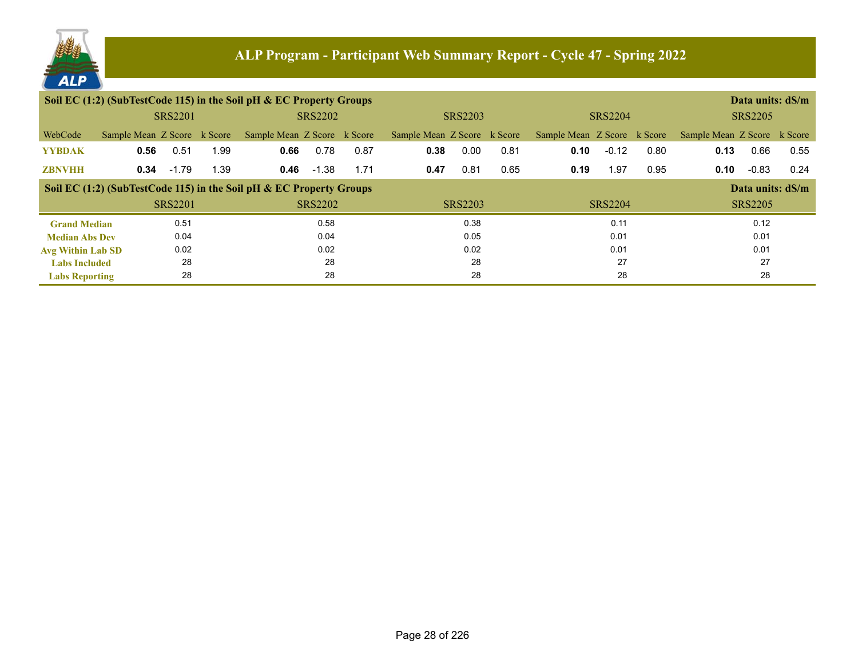

|                       |                             |                |      | Soil EC $(1:2)$ (SubTestCode 115) in the Soil pH & EC Property Groups |                |      |                             |                |      |                             |                |      |                             | Data units: dS/m |      |
|-----------------------|-----------------------------|----------------|------|-----------------------------------------------------------------------|----------------|------|-----------------------------|----------------|------|-----------------------------|----------------|------|-----------------------------|------------------|------|
|                       |                             | <b>SRS2201</b> |      |                                                                       | <b>SRS2202</b> |      |                             | <b>SRS2203</b> |      |                             | <b>SRS2204</b> |      |                             | SRS2205          |      |
| WebCode               | Sample Mean Z Score k Score |                |      | Sample Mean Z Score k Score                                           |                |      | Sample Mean Z Score k Score |                |      | Sample Mean Z Score k Score |                |      | Sample Mean Z Score k Score |                  |      |
| <b>YYBDAK</b>         | 0.56                        | 0.51           | 1.99 | 0.66                                                                  | 0.78           | 0.87 | 0.38                        | 0.00           | 0.81 | 0.10                        | $-0.12$        | 0.80 | 0.13                        | 0.66             | 0.55 |
| <b>ZBNVHH</b>         | 0.34                        | $-1.79$        | 1.39 | 0.46                                                                  | $-1.38$        | 1.71 | 0.47                        | 0.81           | 0.65 | 0.19                        | 1.97           | 0.95 | 0.10                        | $-0.83$          | 0.24 |
|                       |                             |                |      | Soil EC $(1:2)$ (SubTestCode 115) in the Soil pH & EC Property Groups |                |      |                             |                |      |                             |                |      |                             | Data units: dS/m |      |
|                       |                             | <b>SRS2201</b> |      |                                                                       | <b>SRS2202</b> |      |                             | <b>SRS2203</b> |      |                             | <b>SRS2204</b> |      |                             | <b>SRS2205</b>   |      |
| <b>Grand Median</b>   |                             | 0.51           |      |                                                                       | 0.58           |      |                             | 0.38           |      |                             | 0.11           |      |                             | 0.12             |      |
| <b>Median Abs Dev</b> |                             | 0.04           |      |                                                                       | 0.04           |      |                             | 0.05           |      |                             | 0.01           |      |                             | 0.01             |      |
| Avg Within Lab SD     |                             | 0.02           |      |                                                                       | 0.02           |      |                             | 0.02           |      |                             | 0.01           |      |                             | 0.01             |      |
| <b>Labs Included</b>  |                             | 28             |      |                                                                       | 28             |      |                             | 28             |      |                             | 27             |      |                             | 27               |      |
| <b>Labs Reporting</b> |                             | 28             |      |                                                                       | 28             |      |                             | 28             |      |                             | 28             |      |                             | 28               |      |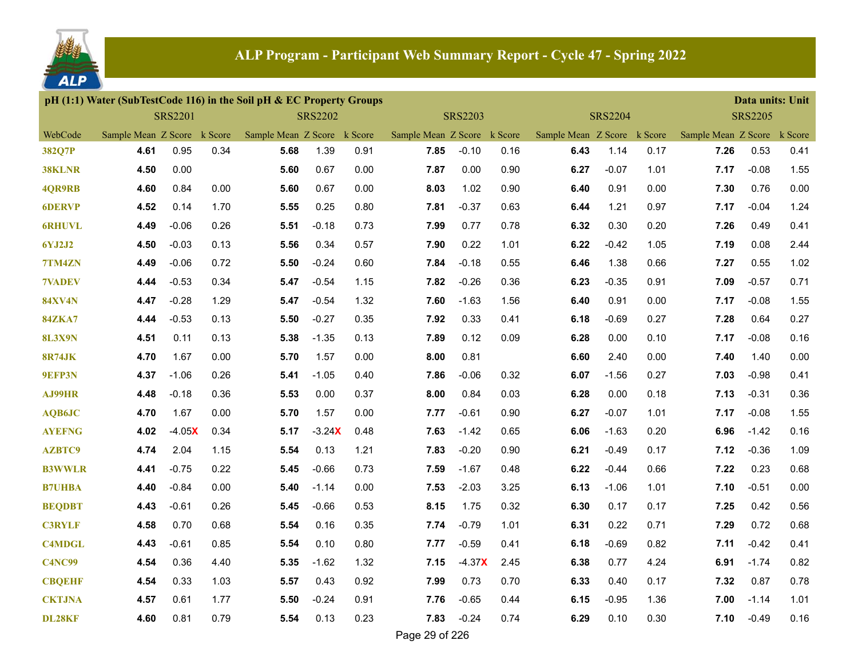

|               | pH (1:1) Water (SubTestCode 116) in the Soil pH & EC Property Groups |                |      |                             |                |      |                             |                |      |                             |                |      |                             | Data units: Unit |      |
|---------------|----------------------------------------------------------------------|----------------|------|-----------------------------|----------------|------|-----------------------------|----------------|------|-----------------------------|----------------|------|-----------------------------|------------------|------|
|               |                                                                      | <b>SRS2201</b> |      |                             | <b>SRS2202</b> |      |                             | <b>SRS2203</b> |      |                             | <b>SRS2204</b> |      |                             | <b>SRS2205</b>   |      |
| WebCode       | Sample Mean Z Score k Score                                          |                |      | Sample Mean Z Score k Score |                |      | Sample Mean Z Score k Score |                |      | Sample Mean Z Score k Score |                |      | Sample Mean Z Score k Score |                  |      |
| 382Q7P        | 4.61                                                                 | 0.95           | 0.34 | 5.68                        | 1.39           | 0.91 | 7.85                        | $-0.10$        | 0.16 | 6.43                        | 1.14           | 0.17 | 7.26                        | 0.53             | 0.41 |
| <b>38KLNR</b> | 4.50                                                                 | 0.00           |      | 5.60                        | 0.67           | 0.00 | 7.87                        | 0.00           | 0.90 | 6.27                        | $-0.07$        | 1.01 | 7.17                        | $-0.08$          | 1.55 |
| 4QR9RB        | 4.60                                                                 | 0.84           | 0.00 | 5.60                        | 0.67           | 0.00 | 8.03                        | 1.02           | 0.90 | 6.40                        | 0.91           | 0.00 | 7.30                        | 0.76             | 0.00 |
| <b>6DERVP</b> | 4.52                                                                 | 0.14           | 1.70 | 5.55                        | 0.25           | 0.80 | 7.81                        | $-0.37$        | 0.63 | 6.44                        | 1.21           | 0.97 | 7.17                        | $-0.04$          | 1.24 |
| <b>6RHUVL</b> | 4.49                                                                 | $-0.06$        | 0.26 | 5.51                        | $-0.18$        | 0.73 | 7.99                        | 0.77           | 0.78 | 6.32                        | 0.30           | 0.20 | 7.26                        | 0.49             | 0.41 |
| 6YJ2J2        | 4.50                                                                 | $-0.03$        | 0.13 | 5.56                        | 0.34           | 0.57 | 7.90                        | 0.22           | 1.01 | 6.22                        | $-0.42$        | 1.05 | 7.19                        | 0.08             | 2.44 |
| 7TM4ZN        | 4.49                                                                 | $-0.06$        | 0.72 | 5.50                        | $-0.24$        | 0.60 | 7.84                        | $-0.18$        | 0.55 | 6.46                        | 1.38           | 0.66 | 7.27                        | 0.55             | 1.02 |
| <b>7VADEV</b> | 4.44                                                                 | $-0.53$        | 0.34 | 5.47                        | $-0.54$        | 1.15 | 7.82                        | $-0.26$        | 0.36 | 6.23                        | $-0.35$        | 0.91 | 7.09                        | $-0.57$          | 0.71 |
| <b>84XV4N</b> | 4.47                                                                 | $-0.28$        | 1.29 | 5.47                        | $-0.54$        | 1.32 | 7.60                        | $-1.63$        | 1.56 | 6.40                        | 0.91           | 0.00 | 7.17                        | $-0.08$          | 1.55 |
| <b>84ZKA7</b> | 4.44                                                                 | $-0.53$        | 0.13 | 5.50                        | $-0.27$        | 0.35 | 7.92                        | 0.33           | 0.41 | 6.18                        | $-0.69$        | 0.27 | 7.28                        | 0.64             | 0.27 |
| <b>8L3X9N</b> | 4.51                                                                 | 0.11           | 0.13 | 5.38                        | $-1.35$        | 0.13 | 7.89                        | 0.12           | 0.09 | 6.28                        | 0.00           | 0.10 | 7.17                        | $-0.08$          | 0.16 |
| <b>8R74JK</b> | 4.70                                                                 | 1.67           | 0.00 | 5.70                        | 1.57           | 0.00 | 8.00                        | 0.81           |      | 6.60                        | 2.40           | 0.00 | 7.40                        | 1.40             | 0.00 |
| <b>9EFP3N</b> | 4.37                                                                 | $-1.06$        | 0.26 | 5.41                        | $-1.05$        | 0.40 | 7.86                        | $-0.06$        | 0.32 | 6.07                        | $-1.56$        | 0.27 | 7.03                        | $-0.98$          | 0.41 |
| AJ99HR        | 4.48                                                                 | $-0.18$        | 0.36 | 5.53                        | 0.00           | 0.37 | 8.00                        | 0.84           | 0.03 | 6.28                        | 0.00           | 0.18 | 7.13                        | $-0.31$          | 0.36 |
| <b>AQB6JC</b> | 4.70                                                                 | 1.67           | 0.00 | 5.70                        | 1.57           | 0.00 | 7.77                        | $-0.61$        | 0.90 | 6.27                        | $-0.07$        | 1.01 | 7.17                        | $-0.08$          | 1.55 |
| <b>AYEFNG</b> | 4.02                                                                 | $-4.05X$       | 0.34 | 5.17                        | $-3.24X$       | 0.48 | 7.63                        | $-1.42$        | 0.65 | 6.06                        | $-1.63$        | 0.20 | 6.96                        | $-1.42$          | 0.16 |
| <b>AZBTC9</b> | 4.74                                                                 | 2.04           | 1.15 | 5.54                        | 0.13           | 1.21 | 7.83                        | $-0.20$        | 0.90 | 6.21                        | $-0.49$        | 0.17 | 7.12                        | $-0.36$          | 1.09 |
| <b>B3WWLR</b> | 4.41                                                                 | $-0.75$        | 0.22 | 5.45                        | $-0.66$        | 0.73 | 7.59                        | $-1.67$        | 0.48 | 6.22                        | $-0.44$        | 0.66 | 7.22                        | 0.23             | 0.68 |
| <b>B7UHBA</b> | 4.40                                                                 | $-0.84$        | 0.00 | 5.40                        | $-1.14$        | 0.00 | 7.53                        | $-2.03$        | 3.25 | 6.13                        | $-1.06$        | 1.01 | 7.10                        | $-0.51$          | 0.00 |
| <b>BEQDBT</b> | 4.43                                                                 | $-0.61$        | 0.26 | 5.45                        | $-0.66$        | 0.53 | 8.15                        | 1.75           | 0.32 | 6.30                        | 0.17           | 0.17 | 7.25                        | 0.42             | 0.56 |
| <b>C3RYLF</b> | 4.58                                                                 | 0.70           | 0.68 | 5.54                        | 0.16           | 0.35 | 7.74                        | $-0.79$        | 1.01 | 6.31                        | 0.22           | 0.71 | 7.29                        | 0.72             | 0.68 |
| <b>C4MDGL</b> | 4.43                                                                 | $-0.61$        | 0.85 | 5.54                        | 0.10           | 0.80 | 7.77                        | $-0.59$        | 0.41 | 6.18                        | $-0.69$        | 0.82 | 7.11                        | $-0.42$          | 0.41 |
| <b>C4NC99</b> | 4.54                                                                 | 0.36           | 4.40 | 5.35                        | $-1.62$        | 1.32 | 7.15                        | $-4.37X$       | 2.45 | 6.38                        | 0.77           | 4.24 | 6.91                        | $-1.74$          | 0.82 |
| <b>CBQEHF</b> | 4.54                                                                 | 0.33           | 1.03 | 5.57                        | 0.43           | 0.92 | 7.99                        | 0.73           | 0.70 | 6.33                        | 0.40           | 0.17 | 7.32                        | 0.87             | 0.78 |
| <b>CKTJNA</b> | 4.57                                                                 | 0.61           | 1.77 | 5.50                        | $-0.24$        | 0.91 | 7.76                        | $-0.65$        | 0.44 | 6.15                        | $-0.95$        | 1.36 | 7.00                        | $-1.14$          | 1.01 |
| DL28KF        | 4.60                                                                 | 0.81           | 0.79 | 5.54                        | 0.13           | 0.23 | 7.83                        | $-0.24$        | 0.74 | 6.29                        | 0.10           | 0.30 | 7.10                        | $-0.49$          | 0.16 |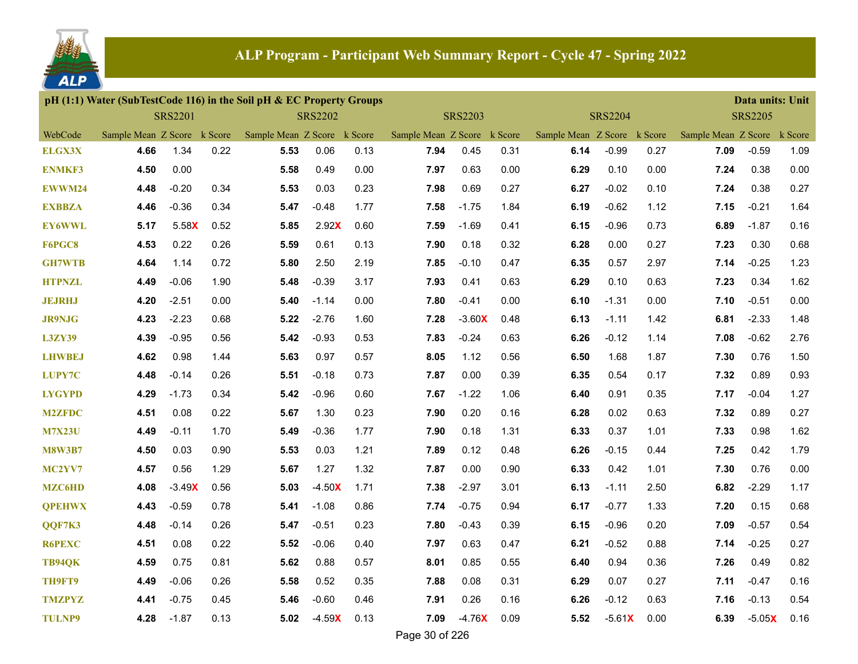

|                                 |                             |                |      | pH (1:1) Water (SubTestCode 116) in the Soil pH & EC Property Groups |                  |      |                             |                |      |                             |                |      |                             | Data units: Unit |      |
|---------------------------------|-----------------------------|----------------|------|----------------------------------------------------------------------|------------------|------|-----------------------------|----------------|------|-----------------------------|----------------|------|-----------------------------|------------------|------|
|                                 |                             | <b>SRS2201</b> |      |                                                                      | <b>SRS2202</b>   |      |                             | <b>SRS2203</b> |      |                             | <b>SRS2204</b> |      |                             | <b>SRS2205</b>   |      |
| WebCode                         | Sample Mean Z Score k Score |                |      | Sample Mean Z Score k Score                                          |                  |      | Sample Mean Z Score k Score |                |      | Sample Mean Z Score k Score |                |      | Sample Mean Z Score k Score |                  |      |
| <b>ELGX3X</b>                   | 4.66                        | 1.34           | 0.22 | 5.53                                                                 | 0.06             | 0.13 | 7.94                        | 0.45           | 0.31 | 6.14                        | $-0.99$        | 0.27 | 7.09                        | $-0.59$          | 1.09 |
| <b>ENMKF3</b>                   | 4.50                        | 0.00           |      | 5.58                                                                 | 0.49             | 0.00 | 7.97                        | 0.63           | 0.00 | 6.29                        | 0.10           | 0.00 | 7.24                        | 0.38             | 0.00 |
| EWWM24                          | 4.48                        | $-0.20$        | 0.34 | 5.53                                                                 | 0.03             | 0.23 | 7.98                        | 0.69           | 0.27 | 6.27                        | $-0.02$        | 0.10 | 7.24                        | 0.38             | 0.27 |
| <b>EXBBZA</b>                   | 4.46                        | $-0.36$        | 0.34 | 5.47                                                                 | $-0.48$          | 1.77 | 7.58                        | $-1.75$        | 1.84 | 6.19                        | $-0.62$        | 1.12 | 7.15                        | $-0.21$          | 1.64 |
| <b>EY6WWL</b>                   | 5.17                        | 5.58X          | 0.52 | 5.85                                                                 | 2.92X            | 0.60 | 7.59                        | $-1.69$        | 0.41 | 6.15                        | $-0.96$        | 0.73 | 6.89                        | $-1.87$          | 0.16 |
| F6PGC8                          | 4.53                        | 0.22           | 0.26 | 5.59                                                                 | 0.61             | 0.13 | 7.90                        | 0.18           | 0.32 | 6.28                        | 0.00           | 0.27 | 7.23                        | 0.30             | 0.68 |
| <b>GH7WTB</b>                   | 4.64                        | 1.14           | 0.72 | 5.80                                                                 | 2.50             | 2.19 | 7.85                        | $-0.10$        | 0.47 | 6.35                        | 0.57           | 2.97 | 7.14                        | $-0.25$          | 1.23 |
| <b>HTPNZL</b>                   | 4.49                        | $-0.06$        | 1.90 | 5.48                                                                 | $-0.39$          | 3.17 | 7.93                        | 0.41           | 0.63 | 6.29                        | 0.10           | 0.63 | 7.23                        | 0.34             | 1.62 |
| <b>JEJRHJ</b>                   | 4.20                        | $-2.51$        | 0.00 | 5.40                                                                 | $-1.14$          | 0.00 | 7.80                        | $-0.41$        | 0.00 | 6.10                        | $-1.31$        | 0.00 | 7.10                        | $-0.51$          | 0.00 |
| <b>JR9NJG</b>                   | 4.23                        | $-2.23$        | 0.68 | 5.22                                                                 | $-2.76$          | 1.60 | 7.28                        | $-3.60X$       | 0.48 | 6.13                        | $-1.11$        | 1.42 | 6.81                        | $-2.33$          | 1.48 |
| <b>L3ZY39</b>                   | 4.39                        | $-0.95$        | 0.56 | 5.42                                                                 | $-0.93$          | 0.53 | 7.83                        | $-0.24$        | 0.63 | 6.26                        | $-0.12$        | 1.14 | 7.08                        | $-0.62$          | 2.76 |
| <b>LHWBEJ</b>                   | 4.62                        | 0.98           | 1.44 | 5.63                                                                 | 0.97             | 0.57 | 8.05                        | 1.12           | 0.56 | 6.50                        | 1.68           | 1.87 | 7.30                        | 0.76             | 1.50 |
| <b>LUPY7C</b>                   | 4.48                        | $-0.14$        | 0.26 | 5.51                                                                 | $-0.18$          | 0.73 | 7.87                        | 0.00           | 0.39 | 6.35                        | 0.54           | 0.17 | 7.32                        | 0.89             | 0.93 |
| <b>LYGYPD</b>                   | 4.29                        | $-1.73$        | 0.34 | 5.42                                                                 | $-0.96$          | 0.60 | 7.67                        | $-1.22$        | 1.06 | 6.40                        | 0.91           | 0.35 | 7.17                        | $-0.04$          | 1.27 |
| <b>M2ZFDC</b>                   | 4.51                        | 0.08           | 0.22 | 5.67                                                                 | 1.30             | 0.23 | 7.90                        | 0.20           | 0.16 | 6.28                        | 0.02           | 0.63 | 7.32                        | 0.89             | 0.27 |
| <b>M7X23U</b>                   | 4.49                        | $-0.11$        | 1.70 | 5.49                                                                 | $-0.36$          | 1.77 | 7.90                        | 0.18           | 1.31 | 6.33                        | 0.37           | 1.01 | 7.33                        | 0.98             | 1.62 |
| <b>M8W3B7</b>                   | 4.50                        | 0.03           | 0.90 | 5.53                                                                 | 0.03             | 1.21 | 7.89                        | 0.12           | 0.48 | 6.26                        | $-0.15$        | 0.44 | 7.25                        | 0.42             | 1.79 |
| MC <sub>2</sub> YV <sub>7</sub> | 4.57                        | 0.56           | 1.29 | 5.67                                                                 | 1.27             | 1.32 | 7.87                        | 0.00           | 0.90 | 6.33                        | 0.42           | 1.01 | 7.30                        | 0.76             | 0.00 |
| <b>MZC6HD</b>                   | 4.08                        | $-3.49X$       | 0.56 | 5.03                                                                 | $-4.50X$         | 1.71 | 7.38                        | $-2.97$        | 3.01 | 6.13                        | $-1.11$        | 2.50 | 6.82                        | $-2.29$          | 1.17 |
| <b>QPEHWX</b>                   | 4.43                        | $-0.59$        | 0.78 | 5.41                                                                 | $-1.08$          | 0.86 | 7.74                        | $-0.75$        | 0.94 | 6.17                        | $-0.77$        | 1.33 | 7.20                        | 0.15             | 0.68 |
| QQF7K3                          | 4.48                        | $-0.14$        | 0.26 | 5.47                                                                 | $-0.51$          | 0.23 | 7.80                        | $-0.43$        | 0.39 | 6.15                        | $-0.96$        | 0.20 | 7.09                        | $-0.57$          | 0.54 |
| <b>R6PEXC</b>                   | 4.51                        | 0.08           | 0.22 | 5.52                                                                 | $-0.06$          | 0.40 | 7.97                        | 0.63           | 0.47 | 6.21                        | $-0.52$        | 0.88 | 7.14                        | $-0.25$          | 0.27 |
| TB94QK                          | 4.59                        | 0.75           | 0.81 | 5.62                                                                 | 0.88             | 0.57 | 8.01                        | 0.85           | 0.55 | 6.40                        | 0.94           | 0.36 | 7.26                        | 0.49             | 0.82 |
| <b>TH9FT9</b>                   | 4.49                        | $-0.06$        | 0.26 | 5.58                                                                 | 0.52             | 0.35 | 7.88                        | 0.08           | 0.31 | 6.29                        | 0.07           | 0.27 | 7.11                        | $-0.47$          | 0.16 |
| <b>TMZPYZ</b>                   | 4.41                        | $-0.75$        | 0.45 | 5.46                                                                 | $-0.60$          | 0.46 | 7.91                        | 0.26           | 0.16 | 6.26                        | $-0.12$        | 0.63 | 7.16                        | $-0.13$          | 0.54 |
| <b>TULNP9</b>                   | 4.28                        | $-1.87$        | 0.13 | 5.02                                                                 | $-4.59$ <b>X</b> | 0.13 | 7.09                        | $-4.76X$       | 0.09 | 5.52                        | $-5.61X$       | 0.00 | 6.39                        | $-5.05X$         | 0.16 |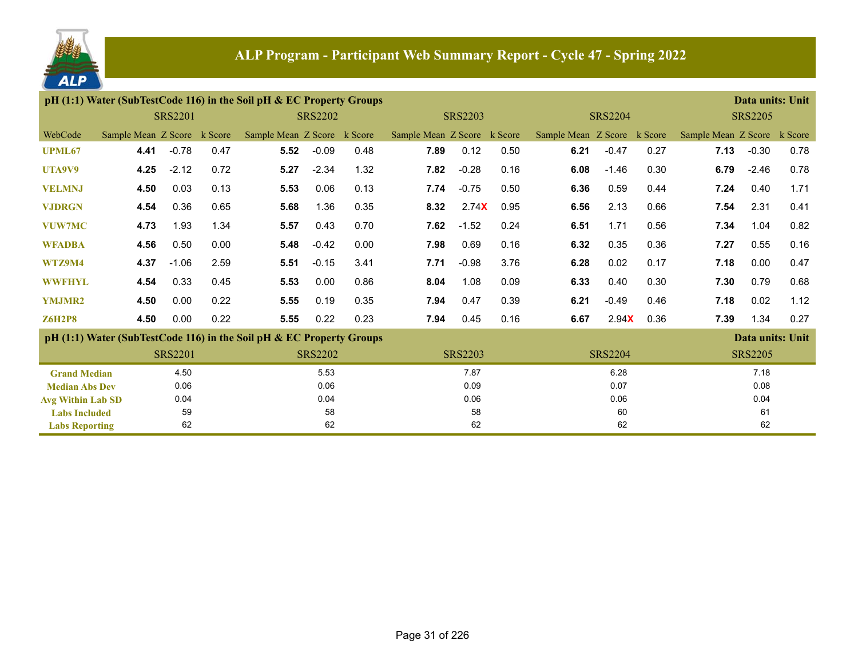

|                          |                             |                |      | pH (1:1) Water (SubTestCode 116) in the Soil pH & EC Property Groups |                |      |                             |                |      |                             |                |      |                             |                | Data units: Unit |
|--------------------------|-----------------------------|----------------|------|----------------------------------------------------------------------|----------------|------|-----------------------------|----------------|------|-----------------------------|----------------|------|-----------------------------|----------------|------------------|
|                          |                             | <b>SRS2201</b> |      |                                                                      | <b>SRS2202</b> |      |                             | <b>SRS2203</b> |      |                             | <b>SRS2204</b> |      |                             | <b>SRS2205</b> |                  |
| WebCode                  | Sample Mean Z Score k Score |                |      | Sample Mean Z Score k Score                                          |                |      | Sample Mean Z Score k Score |                |      | Sample Mean Z Score k Score |                |      | Sample Mean Z Score k Score |                |                  |
| UPML67                   | 4.41                        | $-0.78$        | 0.47 | 5.52                                                                 | $-0.09$        | 0.48 | 7.89                        | 0.12           | 0.50 | 6.21                        | $-0.47$        | 0.27 | 7.13                        | $-0.30$        | 0.78             |
| UTA9V9                   | 4.25                        | $-2.12$        | 0.72 | 5.27                                                                 | $-2.34$        | 1.32 | 7.82                        | $-0.28$        | 0.16 | 6.08                        | $-1.46$        | 0.30 | 6.79                        | $-2.46$        | 0.78             |
| <b>VELMNJ</b>            | 4.50                        | 0.03           | 0.13 | 5.53                                                                 | 0.06           | 0.13 | 7.74                        | $-0.75$        | 0.50 | 6.36                        | 0.59           | 0.44 | 7.24                        | 0.40           | 1.71             |
| <b>VJDRGN</b>            | 4.54                        | 0.36           | 0.65 | 5.68                                                                 | 1.36           | 0.35 | 8.32                        | 2.74X          | 0.95 | 6.56                        | 2.13           | 0.66 | 7.54                        | 2.31           | 0.41             |
| <b>VUW7MC</b>            | 4.73                        | 1.93           | 1.34 | 5.57                                                                 | 0.43           | 0.70 | 7.62                        | $-1.52$        | 0.24 | 6.51                        | 1.71           | 0.56 | 7.34                        | 1.04           | 0.82             |
| <b>WFADBA</b>            | 4.56                        | 0.50           | 0.00 | 5.48                                                                 | $-0.42$        | 0.00 | 7.98                        | 0.69           | 0.16 | 6.32                        | 0.35           | 0.36 | 7.27                        | 0.55           | 0.16             |
| WTZ9M4                   | 4.37                        | $-1.06$        | 2.59 | 5.51                                                                 | $-0.15$        | 3.41 | 7.71                        | $-0.98$        | 3.76 | 6.28                        | 0.02           | 0.17 | 7.18                        | 0.00           | 0.47             |
| <b>WWFHYL</b>            | 4.54                        | 0.33           | 0.45 | 5.53                                                                 | 0.00           | 0.86 | 8.04                        | 1.08           | 0.09 | 6.33                        | 0.40           | 0.30 | 7.30                        | 0.79           | 0.68             |
| <b>YMJMR2</b>            | 4.50                        | 0.00           | 0.22 | 5.55                                                                 | 0.19           | 0.35 | 7.94                        | 0.47           | 0.39 | 6.21                        | $-0.49$        | 0.46 | 7.18                        | 0.02           | 1.12             |
| <b>Z6H2P8</b>            | 4.50                        | 0.00           | 0.22 | 5.55                                                                 | 0.22           | 0.23 | 7.94                        | 0.45           | 0.16 | 6.67                        | 2.94X          | 0.36 | 7.39                        | 1.34           | 0.27             |
|                          |                             |                |      | pH (1:1) Water (SubTestCode 116) in the Soil pH & EC Property Groups |                |      |                             |                |      |                             |                |      |                             |                | Data units: Unit |
|                          |                             | <b>SRS2201</b> |      |                                                                      | <b>SRS2202</b> |      |                             | <b>SRS2203</b> |      |                             | <b>SRS2204</b> |      |                             | <b>SRS2205</b> |                  |
| <b>Grand Median</b>      |                             | 4.50           |      |                                                                      | 5.53           |      |                             | 7.87           |      |                             | 6.28           |      |                             | 7.18           |                  |
| <b>Median Abs Dev</b>    |                             | 0.06           |      |                                                                      | 0.06           |      |                             | 0.09           |      |                             | 0.07           |      |                             | 0.08           |                  |
| <b>Avg Within Lab SD</b> |                             | 0.04           |      |                                                                      | 0.04           |      |                             | 0.06           |      |                             | 0.06           |      |                             | 0.04           |                  |
| <b>Labs Included</b>     |                             | 59             |      |                                                                      | 58             |      |                             | 58             |      |                             | 60             |      |                             | 61             |                  |
| <b>Labs Reporting</b>    |                             | 62             |      |                                                                      | 62             |      |                             | 62             |      |                             | 62             |      |                             | 62             |                  |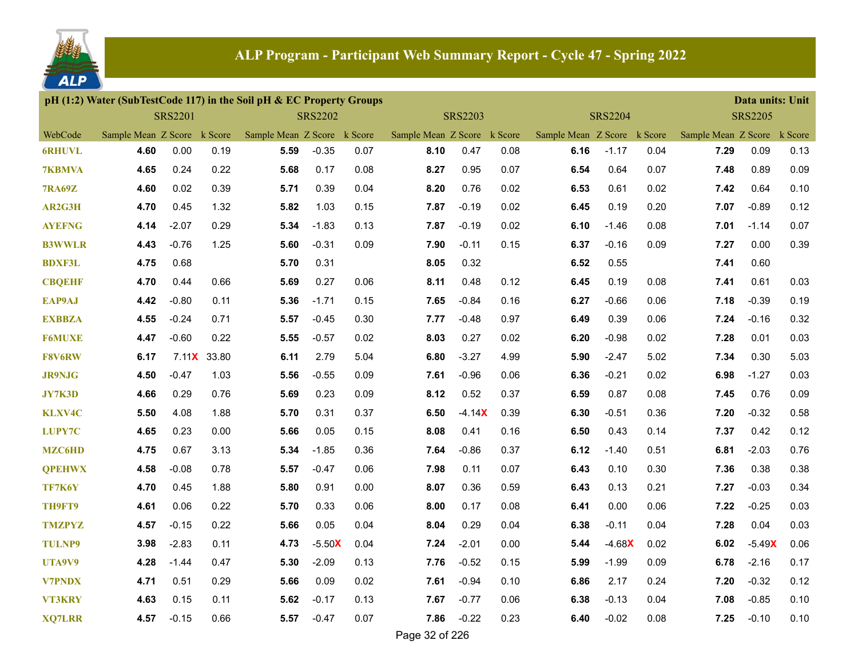

|               |                             |                 |       | pH (1:2) Water (SubTestCode 117) in the Soil pH & EC Property Groups |          |      |                             |                |      |                             |                |      |                             | Data units: Unit |      |
|---------------|-----------------------------|-----------------|-------|----------------------------------------------------------------------|----------|------|-----------------------------|----------------|------|-----------------------------|----------------|------|-----------------------------|------------------|------|
|               |                             | <b>SRS2201</b>  |       |                                                                      | SRS2202  |      |                             | <b>SRS2203</b> |      |                             | <b>SRS2204</b> |      |                             | <b>SRS2205</b>   |      |
| WebCode       | Sample Mean Z Score k Score |                 |       | Sample Mean Z Score k Score                                          |          |      | Sample Mean Z Score k Score |                |      | Sample Mean Z Score k Score |                |      | Sample Mean Z Score k Score |                  |      |
| <b>6RHUVL</b> | 4.60                        | 0.00            | 0.19  | 5.59                                                                 | $-0.35$  | 0.07 | 8.10                        | 0.47           | 0.08 | 6.16                        | $-1.17$        | 0.04 | 7.29                        | 0.09             | 0.13 |
| <b>7KBMVA</b> | 4.65                        | 0.24            | 0.22  | 5.68                                                                 | 0.17     | 0.08 | 8.27                        | 0.95           | 0.07 | 6.54                        | 0.64           | 0.07 | 7.48                        | 0.89             | 0.09 |
| <b>7RA69Z</b> | 4.60                        | 0.02            | 0.39  | 5.71                                                                 | 0.39     | 0.04 | 8.20                        | 0.76           | 0.02 | 6.53                        | 0.61           | 0.02 | 7.42                        | 0.64             | 0.10 |
| AR2G3H        | 4.70                        | 0.45            | 1.32  | 5.82                                                                 | 1.03     | 0.15 | 7.87                        | $-0.19$        | 0.02 | 6.45                        | 0.19           | 0.20 | 7.07                        | $-0.89$          | 0.12 |
| <b>AYEFNG</b> | 4.14                        | $-2.07$         | 0.29  | 5.34                                                                 | $-1.83$  | 0.13 | 7.87                        | $-0.19$        | 0.02 | 6.10                        | $-1.46$        | 0.08 | 7.01                        | $-1.14$          | 0.07 |
| <b>B3WWLR</b> | 4.43                        | $-0.76$         | 1.25  | 5.60                                                                 | $-0.31$  | 0.09 | 7.90                        | $-0.11$        | 0.15 | 6.37                        | $-0.16$        | 0.09 | 7.27                        | 0.00             | 0.39 |
| <b>BDXF3L</b> | 4.75                        | 0.68            |       | 5.70                                                                 | 0.31     |      | 8.05                        | 0.32           |      | 6.52                        | 0.55           |      | 7.41                        | 0.60             |      |
| <b>CBQEHF</b> | 4.70                        | 0.44            | 0.66  | 5.69                                                                 | 0.27     | 0.06 | 8.11                        | 0.48           | 0.12 | 6.45                        | 0.19           | 0.08 | 7.41                        | 0.61             | 0.03 |
| <b>EAP9AJ</b> | 4.42                        | $-0.80$         | 0.11  | 5.36                                                                 | $-1.71$  | 0.15 | 7.65                        | $-0.84$        | 0.16 | 6.27                        | $-0.66$        | 0.06 | 7.18                        | $-0.39$          | 0.19 |
| <b>EXBBZA</b> | 4.55                        | $-0.24$         | 0.71  | 5.57                                                                 | $-0.45$  | 0.30 | 7.77                        | $-0.48$        | 0.97 | 6.49                        | 0.39           | 0.06 | 7.24                        | $-0.16$          | 0.32 |
| <b>F6MUXE</b> | 4.47                        | $-0.60$         | 0.22  | 5.55                                                                 | $-0.57$  | 0.02 | 8.03                        | 0.27           | 0.02 | 6.20                        | $-0.98$        | 0.02 | 7.28                        | 0.01             | 0.03 |
| <b>F8V6RW</b> | 6.17                        | $7.11$ <b>X</b> | 33.80 | 6.11                                                                 | 2.79     | 5.04 | 6.80                        | $-3.27$        | 4.99 | 5.90                        | $-2.47$        | 5.02 | 7.34                        | 0.30             | 5.03 |
| <b>JR9NJG</b> | 4.50                        | $-0.47$         | 1.03  | 5.56                                                                 | $-0.55$  | 0.09 | 7.61                        | $-0.96$        | 0.06 | 6.36                        | $-0.21$        | 0.02 | 6.98                        | $-1.27$          | 0.03 |
| <b>JY7K3D</b> | 4.66                        | 0.29            | 0.76  | 5.69                                                                 | 0.23     | 0.09 | 8.12                        | 0.52           | 0.37 | 6.59                        | 0.87           | 0.08 | 7.45                        | 0.76             | 0.09 |
| <b>KLXV4C</b> | 5.50                        | 4.08            | 1.88  | 5.70                                                                 | 0.31     | 0.37 | 6.50                        | $-4.14X$       | 0.39 | 6.30                        | $-0.51$        | 0.36 | 7.20                        | $-0.32$          | 0.58 |
| <b>LUPY7C</b> | 4.65                        | 0.23            | 0.00  | 5.66                                                                 | 0.05     | 0.15 | 8.08                        | 0.41           | 0.16 | 6.50                        | 0.43           | 0.14 | 7.37                        | 0.42             | 0.12 |
| <b>MZC6HD</b> | 4.75                        | 0.67            | 3.13  | 5.34                                                                 | $-1.85$  | 0.36 | 7.64                        | $-0.86$        | 0.37 | 6.12                        | $-1.40$        | 0.51 | 6.81                        | $-2.03$          | 0.76 |
| <b>OPEHWX</b> | 4.58                        | $-0.08$         | 0.78  | 5.57                                                                 | $-0.47$  | 0.06 | 7.98                        | 0.11           | 0.07 | 6.43                        | 0.10           | 0.30 | 7.36                        | 0.38             | 0.38 |
| TF7K6Y        | 4.70                        | 0.45            | 1.88  | 5.80                                                                 | 0.91     | 0.00 | 8.07                        | 0.36           | 0.59 | 6.43                        | 0.13           | 0.21 | 7.27                        | $-0.03$          | 0.34 |
| <b>TH9FT9</b> | 4.61                        | 0.06            | 0.22  | 5.70                                                                 | 0.33     | 0.06 | 8.00                        | 0.17           | 0.08 | 6.41                        | 0.00           | 0.06 | 7.22                        | $-0.25$          | 0.03 |
| <b>TMZPYZ</b> | 4.57                        | $-0.15$         | 0.22  | 5.66                                                                 | 0.05     | 0.04 | 8.04                        | 0.29           | 0.04 | 6.38                        | $-0.11$        | 0.04 | 7.28                        | 0.04             | 0.03 |
| <b>TULNP9</b> | 3.98                        | $-2.83$         | 0.11  | 4.73                                                                 | $-5.50X$ | 0.04 | 7.24                        | $-2.01$        | 0.00 | 5.44                        | $-4.68X$       | 0.02 | 6.02                        | $-5.49X$         | 0.06 |
| UTA9V9        | 4.28                        | $-1.44$         | 0.47  | 5.30                                                                 | $-2.09$  | 0.13 | 7.76                        | $-0.52$        | 0.15 | 5.99                        | $-1.99$        | 0.09 | 6.78                        | $-2.16$          | 0.17 |
| <b>V7PNDX</b> | 4.71                        | 0.51            | 0.29  | 5.66                                                                 | 0.09     | 0.02 | 7.61                        | $-0.94$        | 0.10 | 6.86                        | 2.17           | 0.24 | 7.20                        | $-0.32$          | 0.12 |
| <b>VT3KRY</b> | 4.63                        | 0.15            | 0.11  | 5.62                                                                 | $-0.17$  | 0.13 | 7.67                        | $-0.77$        | 0.06 | 6.38                        | $-0.13$        | 0.04 | 7.08                        | $-0.85$          | 0.10 |
| <b>XQ7LRR</b> | 4.57                        | $-0.15$         | 0.66  | 5.57                                                                 | $-0.47$  | 0.07 | 7.86                        | $-0.22$        | 0.23 | 6.40                        | $-0.02$        | 0.08 | 7.25                        | $-0.10$          | 0.10 |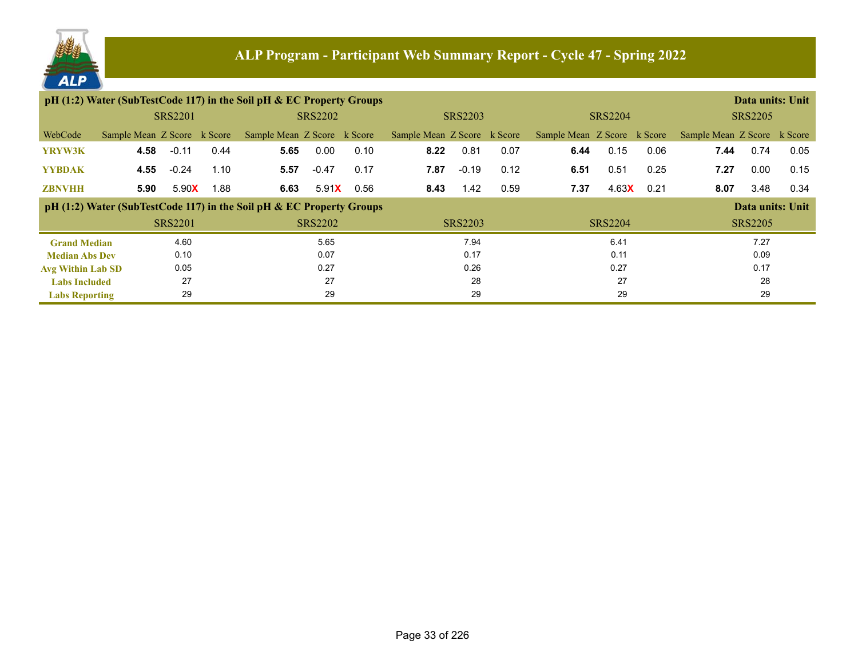

| $pH(1:2)$ Water (SubTestCode 117) in the Soil $pH \& EC$ Property Groups |                                                                                                  |      |                |      |  |      |                |                             |                             |                |      |                             |                |      |                             | Data units: Unit |      |
|--------------------------------------------------------------------------|--------------------------------------------------------------------------------------------------|------|----------------|------|--|------|----------------|-----------------------------|-----------------------------|----------------|------|-----------------------------|----------------|------|-----------------------------|------------------|------|
|                                                                          |                                                                                                  |      | <b>SRS2201</b> |      |  |      | <b>SRS2202</b> |                             |                             | <b>SRS2203</b> |      |                             | SRS2204        |      |                             | <b>SRS2205</b>   |      |
| WebCode                                                                  | Sample Mean Z Score k Score                                                                      |      |                |      |  |      |                | Sample Mean Z Score k Score | Sample Mean Z Score k Score |                |      | Sample Mean Z Score k Score |                |      | Sample Mean Z Score k Score |                  |      |
| YRYW3K                                                                   |                                                                                                  | 4.58 | $-0.11$        | 0.44 |  | 5.65 | 0.00           | 0.10                        | 8.22                        | 0.81           | 0.07 | 6.44                        | 0.15           | 0.06 | 7.44                        | 0.74             | 0.05 |
| <b>YYBDAK</b>                                                            |                                                                                                  | 4.55 | $-0.24$        | 1.10 |  | 5.57 | $-0.47$        | 0.17                        | 7.87                        | $-0.19$        | 0.12 | 6.51                        | 0.51           | 0.25 | 7.27                        | 0.00             | 0.15 |
| <b>ZBNVHH</b>                                                            |                                                                                                  |      |                | 1.88 |  | 6.63 |                | 0.56                        | 8.43                        | 1.42           | 0.59 | 7.37                        | 4.63X          | 0.21 | 8.07                        | 3.48             | 0.34 |
|                                                                          | 5.90X<br>5.91X<br>5.90<br>pH $(1:2)$ Water (SubTestCode 117) in the Soil pH & EC Property Groups |      |                |      |  |      |                |                             |                             |                |      |                             |                |      |                             | Data units: Unit |      |
|                                                                          |                                                                                                  |      | <b>SRS2201</b> |      |  |      | <b>SRS2202</b> |                             |                             | <b>SRS2203</b> |      |                             | <b>SRS2204</b> |      |                             | <b>SRS2205</b>   |      |
| <b>Grand Median</b>                                                      |                                                                                                  |      | 4.60           |      |  |      | 5.65           |                             |                             | 7.94           |      |                             | 6.41           |      |                             | 7.27             |      |
| <b>Median Abs Dev</b>                                                    |                                                                                                  |      | 0.10           |      |  |      | 0.07           |                             |                             | 0.17           |      |                             | 0.11           |      |                             | 0.09             |      |
| Avg Within Lab SD                                                        |                                                                                                  |      | 0.05           |      |  |      | 0.27           |                             |                             | 0.26           |      |                             | 0.27           |      |                             | 0.17             |      |
| <b>Labs Included</b>                                                     |                                                                                                  |      | 27             |      |  |      | 27             |                             |                             | 28             |      |                             | 27             |      |                             | 28               |      |
| <b>Labs Reporting</b>                                                    |                                                                                                  |      | 29             |      |  |      | 29             |                             |                             | 29             |      |                             | 29             |      |                             | 29               |      |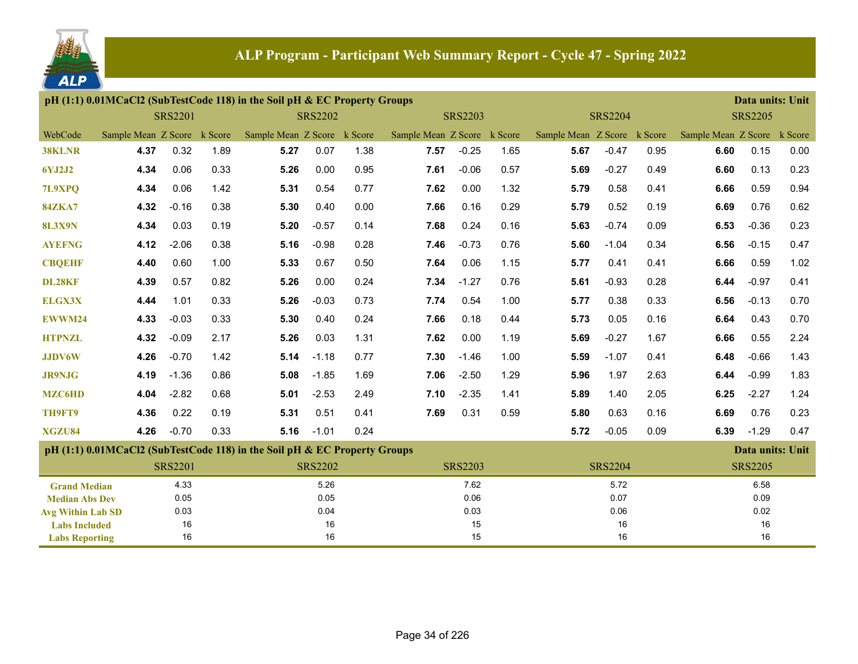

|                          |                             |                |      | pH (1:1) 0.01MCaCl2 (SubTestCode 118) in the Soil pH & EC Property Groups |                |      |                             |                |      |                             |                |      |                             | Data units: Unit |      |
|--------------------------|-----------------------------|----------------|------|---------------------------------------------------------------------------|----------------|------|-----------------------------|----------------|------|-----------------------------|----------------|------|-----------------------------|------------------|------|
|                          |                             | <b>SRS2201</b> |      |                                                                           | <b>SRS2202</b> |      |                             | <b>SRS2203</b> |      |                             | <b>SRS2204</b> |      |                             | <b>SRS2205</b>   |      |
| WebCode                  | Sample Mean Z Score k Score |                |      | Sample Mean Z Score k Score                                               |                |      | Sample Mean Z Score k Score |                |      | Sample Mean Z Score k Score |                |      | Sample Mean Z Score k Score |                  |      |
| <b>38KLNR</b>            | 4.37                        | 0.32           | 1.89 | 5.27                                                                      | 0.07           | 1.38 | 7.57                        | $-0.25$        | 1.65 | 5.67                        | $-0.47$        | 0.95 | 6.60                        | 0.15             | 0.00 |
| <b>6YJ2J2</b>            | 4.34                        | 0.06           | 0.33 | 5.26                                                                      | 0.00           | 0.95 | 7.61                        | $-0.06$        | 0.57 | 5.69                        | $-0.27$        | 0.49 | 6.60                        | 0.13             | 0.23 |
| 7L9XPQ                   | 4.34                        | 0.06           | 1.42 | 5.31                                                                      | 0.54           | 0.77 | 7.62                        | 0.00           | 1.32 | 5.79                        | 0.58           | 0.41 | 6.66                        | 0.59             | 0.94 |
| <b>84ZKA7</b>            | 4.32                        | $-0.16$        | 0.38 | 5.30                                                                      | 0.40           | 0.00 | 7.66                        | 0.16           | 0.29 | 5.79                        | 0.52           | 0.19 | 6.69                        | 0.76             | 0.62 |
| <b>8L3X9N</b>            | 4.34                        | 0.03           | 0.19 | 5.20                                                                      | $-0.57$        | 0.14 | 7.68                        | 0.24           | 0.16 | 5.63                        | $-0.74$        | 0.09 | 6.53                        | $-0.36$          | 0.23 |
| <b>AYEFNG</b>            | 4.12                        | $-2.06$        | 0.38 | 5.16                                                                      | $-0.98$        | 0.28 | 7.46                        | $-0.73$        | 0.76 | 5.60                        | $-1.04$        | 0.34 | 6.56                        | $-0.15$          | 0.47 |
| <b>CBQEHF</b>            | 4.40                        | 0.60           | 1.00 | 5.33                                                                      | 0.67           | 0.50 | 7.64                        | 0.06           | 1.15 | 5.77                        | 0.41           | 0.41 | 6.66                        | 0.59             | 1.02 |
| DL28KF                   | 4.39                        | 0.57           | 0.82 | 5.26                                                                      | 0.00           | 0.24 | 7.34                        | $-1.27$        | 0.76 | 5.61                        | $-0.93$        | 0.28 | 6.44                        | $-0.97$          | 0.41 |
| <b>ELGX3X</b>            | 4.44                        | 1.01           | 0.33 | 5.26                                                                      | $-0.03$        | 0.73 | 7.74                        | 0.54           | 1.00 | 5.77                        | 0.38           | 0.33 | 6.56                        | $-0.13$          | 0.70 |
| EWWM24                   | 4.33                        | $-0.03$        | 0.33 | 5.30                                                                      | 0.40           | 0.24 | 7.66                        | 0.18           | 0.44 | 5.73                        | 0.05           | 0.16 | 6.64                        | 0.43             | 0.70 |
| <b>HTPNZL</b>            | 4.32                        | $-0.09$        | 2.17 | 5.26                                                                      | 0.03           | 1.31 | 7.62                        | 0.00           | 1.19 | 5.69                        | $-0.27$        | 1.67 | 6.66                        | 0.55             | 2.24 |
| <b>JJDV6W</b>            | 4.26                        | $-0.70$        | 1.42 | 5.14                                                                      | $-1.18$        | 0.77 | 7.30                        | $-1.46$        | 1.00 | 5.59                        | $-1.07$        | 0.41 | 6.48                        | $-0.66$          | 1.43 |
| <b>JR9NJG</b>            | 4.19                        | $-1.36$        | 0.86 | 5.08                                                                      | $-1.85$        | 1.69 | 7.06                        | $-2.50$        | 1.29 | 5.96                        | 1.97           | 2.63 | 6.44                        | $-0.99$          | 1.83 |
| <b>MZC6HD</b>            | 4.04                        | $-2.82$        | 0.68 | 5.01                                                                      | $-2.53$        | 2.49 | 7.10                        | $-2.35$        | 1.41 | 5.89                        | 1.40           | 2.05 | 6.25                        | $-2.27$          | 1.24 |
| <b>TH9FT9</b>            | 4.36                        | 0.22           | 0.19 | 5.31                                                                      | 0.51           | 0.41 | 7.69                        | 0.31           | 0.59 | 5.80                        | 0.63           | 0.16 | 6.69                        | 0.76             | 0.23 |
| XGZU84                   | 4.26                        | $-0.70$        | 0.33 | 5.16                                                                      | $-1.01$        | 0.24 |                             |                |      | 5.72                        | $-0.05$        | 0.09 | 6.39                        | $-1.29$          | 0.47 |
|                          |                             |                |      | pH (1:1) 0.01MCaCl2 (SubTestCode 118) in the Soil pH & EC Property Groups |                |      |                             |                |      |                             |                |      |                             | Data units: Unit |      |
|                          |                             | <b>SRS2201</b> |      |                                                                           | <b>SRS2202</b> |      |                             | <b>SRS2203</b> |      |                             | <b>SRS2204</b> |      |                             | <b>SRS2205</b>   |      |
| <b>Grand Median</b>      |                             | 4.33           |      |                                                                           | 5.26           |      |                             | 7.62           |      |                             | 5.72           |      |                             | 6.58             |      |
| <b>Median Abs Dev</b>    |                             | 0.05           |      |                                                                           | 0.05           |      |                             | 0.06           |      |                             | 0.07           |      |                             | 0.09             |      |
| <b>Avg Within Lab SD</b> |                             | 0.03           |      |                                                                           | 0.04           |      |                             | 0.03           |      |                             | 0.06           |      |                             | 0.02             |      |
| <b>Labs Included</b>     |                             | 16             |      |                                                                           | 16             |      |                             | 15             |      |                             | 16             |      |                             | 16               |      |
| <b>Labs Reporting</b>    |                             | 16             |      |                                                                           | 16             |      |                             | 15             |      |                             | 16             |      |                             | 16               |      |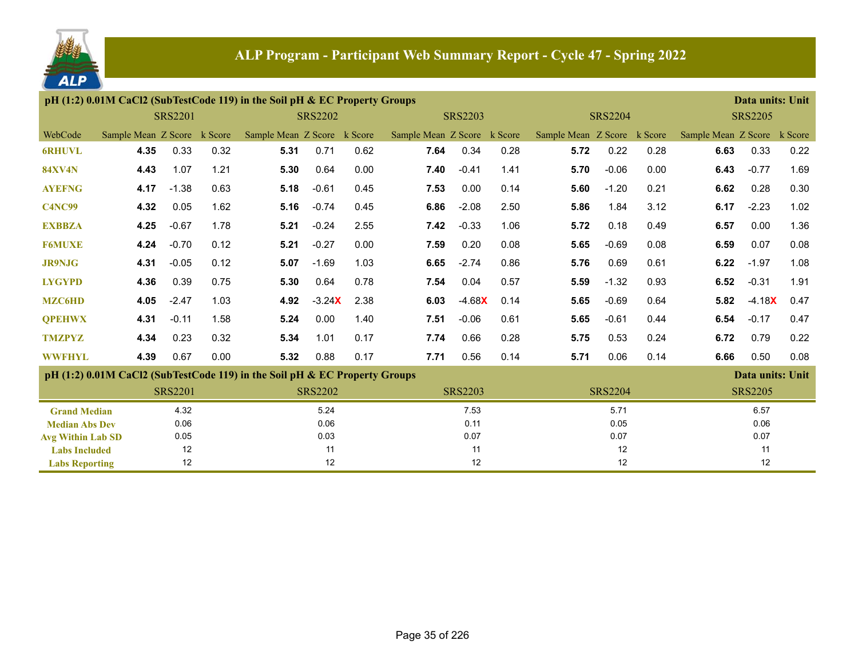

**Median Abs Dev Avg Within Lab SD Labs Included**

0.05

#### **ALP Program - Participant Web Summary Report - Cycle 47 - Spring 2022**

|                     |                             |                |      | pH (1:2) 0.01M CaCl2 (SubTestCode 119) in the Soil pH & EC Property Groups   |                  |      |                             |                  |      |                             |                |      |                             | Data units: Unit |      |
|---------------------|-----------------------------|----------------|------|------------------------------------------------------------------------------|------------------|------|-----------------------------|------------------|------|-----------------------------|----------------|------|-----------------------------|------------------|------|
|                     |                             | <b>SRS2201</b> |      |                                                                              | <b>SRS2202</b>   |      |                             | <b>SRS2203</b>   |      |                             | <b>SRS2204</b> |      |                             | <b>SRS2205</b>   |      |
| WebCode             | Sample Mean Z Score k Score |                |      | Sample Mean Z Score k Score                                                  |                  |      | Sample Mean Z Score k Score |                  |      | Sample Mean Z Score k Score |                |      | Sample Mean Z Score k Score |                  |      |
| <b>6RHUVL</b>       | 4.35                        | 0.33           | 0.32 | 5.31                                                                         | 0.71             | 0.62 | 7.64                        | 0.34             | 0.28 | 5.72                        | 0.22           | 0.28 | 6.63                        | 0.33             | 0.22 |
| <b>84XV4N</b>       | 4.43                        | 1.07           | 1.21 | 5.30                                                                         | 0.64             | 0.00 | 7.40                        | $-0.41$          | 1.41 | 5.70                        | $-0.06$        | 0.00 | 6.43                        | $-0.77$          | 1.69 |
| <b>AYEFNG</b>       | 4.17                        | $-1.38$        | 0.63 | 5.18                                                                         | $-0.61$          | 0.45 | 7.53                        | 0.00             | 0.14 | 5.60                        | $-1.20$        | 0.21 | 6.62                        | 0.28             | 0.30 |
| <b>C4NC99</b>       | 4.32                        | 0.05           | 1.62 | 5.16                                                                         | $-0.74$          | 0.45 | 6.86                        | $-2.08$          | 2.50 | 5.86                        | 1.84           | 3.12 | 6.17                        | $-2.23$          | 1.02 |
| <b>EXBBZA</b>       | 4.25                        | $-0.67$        | 1.78 | 5.21                                                                         | $-0.24$          | 2.55 | 7.42                        | $-0.33$          | 1.06 | 5.72                        | 0.18           | 0.49 | 6.57                        | 0.00             | 1.36 |
| <b>F6MUXE</b>       | 4.24                        | $-0.70$        | 0.12 | 5.21                                                                         | $-0.27$          | 0.00 | 7.59                        | 0.20             | 0.08 | 5.65                        | $-0.69$        | 0.08 | 6.59                        | 0.07             | 0.08 |
| <b>JR9NJG</b>       | 4.31                        | $-0.05$        | 0.12 | 5.07                                                                         | $-1.69$          | 1.03 | 6.65                        | $-2.74$          | 0.86 | 5.76                        | 0.69           | 0.61 | 6.22                        | $-1.97$          | 1.08 |
| <b>LYGYPD</b>       | 4.36                        | 0.39           | 0.75 | 5.30                                                                         | 0.64             | 0.78 | 7.54                        | 0.04             | 0.57 | 5.59                        | $-1.32$        | 0.93 | 6.52                        | $-0.31$          | 1.91 |
| <b>MZC6HD</b>       | 4.05                        | $-2.47$        | 1.03 | 4.92                                                                         | $-3.24$ <b>X</b> | 2.38 | 6.03                        | $-4.68$ <b>X</b> | 0.14 | 5.65                        | $-0.69$        | 0.64 | 5.82                        | $-4.18X$         | 0.47 |
| <b>QPEHWX</b>       | 4.31                        | $-0.11$        | 1.58 | 5.24                                                                         | 0.00             | 1.40 | 7.51                        | $-0.06$          | 0.61 | 5.65                        | $-0.61$        | 0.44 | 6.54                        | $-0.17$          | 0.47 |
| <b>TMZPYZ</b>       | 4.34                        | 0.23           | 0.32 | 5.34                                                                         | 1.01             | 0.17 | 7.74                        | 0.66             | 0.28 | 5.75                        | 0.53           | 0.24 | 6.72                        | 0.79             | 0.22 |
| <b>WWFHYL</b>       | 4.39                        | 0.67           | 0.00 | 5.32                                                                         | 0.88             | 0.17 | 7.71                        | 0.56             | 0.14 | 5.71                        | 0.06           | 0.14 | 6.66                        | 0.50             | 0.08 |
|                     |                             |                |      | pH $(1:2)$ 0.01M CaCl2 (SubTestCode 119) in the Soil pH & EC Property Groups |                  |      |                             |                  |      |                             |                |      |                             | Data units: Unit |      |
|                     |                             | <b>SRS2201</b> |      |                                                                              | <b>SRS2202</b>   |      |                             | <b>SRS2203</b>   |      |                             | <b>SRS2204</b> |      |                             | <b>SRS2205</b>   |      |
| <b>Grand Median</b> |                             | 4.32           |      |                                                                              | 5.24             |      |                             | 7.53             |      |                             | 5.71           |      |                             | 6.57             |      |

0.03

**d** 12 12 11 11 11 12 12

**Labs Reporting** <sup>12</sup> <sup>12</sup> <sup>12</sup> <sup>12</sup>

0.07

0.06 0.06 0.11 0.05 0.06

0.07

12

0.07

11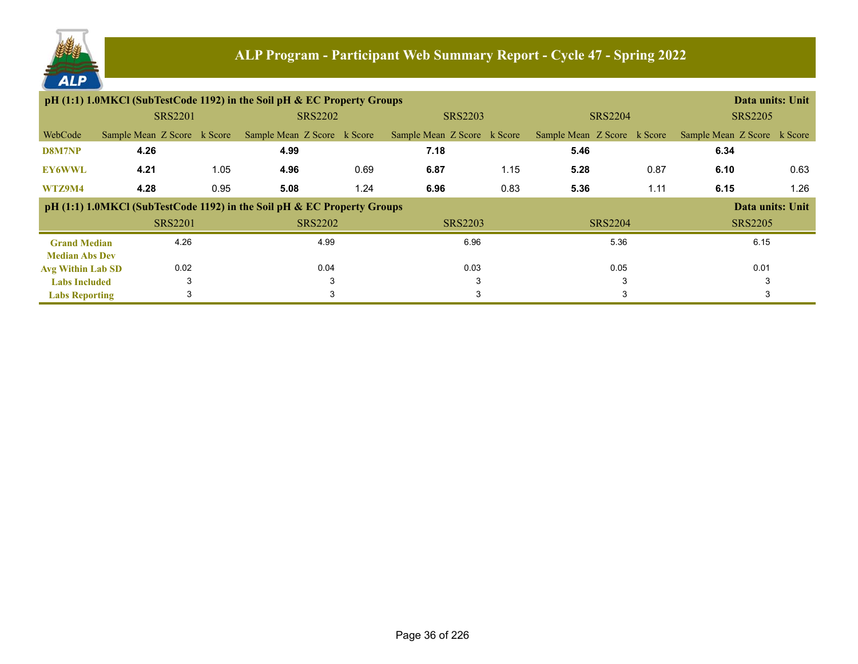

|                       |                             |      | $pH$ (1:1) 1.0MKCl (SubTestCode 1192) in the Soil $pH \& EC$ Property Groups |      |                             |      |                             |      | Data units: Unit            |      |
|-----------------------|-----------------------------|------|------------------------------------------------------------------------------|------|-----------------------------|------|-----------------------------|------|-----------------------------|------|
|                       | <b>SRS2201</b>              |      | <b>SRS2202</b>                                                               |      | <b>SRS2203</b>              |      | <b>SRS2204</b>              |      | SRS2205                     |      |
| WebCode               | Sample Mean Z Score k Score |      | Sample Mean Z Score k Score                                                  |      | Sample Mean Z Score k Score |      | Sample Mean Z Score k Score |      | Sample Mean Z Score k Score |      |
| <b>D8M7NP</b>         | 4.26                        |      | 4.99                                                                         |      | 7.18                        |      | 5.46                        |      | 6.34                        |      |
| <b>EY6WWL</b>         | 4.21                        | 1.05 | 4.96                                                                         | 0.69 | 6.87                        | 1.15 | 5.28                        | 0.87 | 6.10                        | 0.63 |
| WTZ9M4                | 4.28                        | 0.95 | 5.08                                                                         | 1.24 | 6.96                        | 0.83 | 5.36                        | 1.11 | 6.15                        | 1.26 |
|                       |                             |      | $pH$ (1:1) 1.0MKCl (SubTestCode 1192) in the Soil $pH \& EC$ Property Groups |      |                             |      |                             |      | Data units: Unit            |      |
|                       | <b>SRS2201</b>              |      | <b>SRS2202</b>                                                               |      | <b>SRS2203</b>              |      | <b>SRS2204</b>              |      | SRS2205                     |      |
| <b>Grand Median</b>   | 4.26                        |      | 4.99                                                                         |      | 6.96                        |      |                             | 5.36 | 6.15                        |      |
| <b>Median Abs Dev</b> |                             |      |                                                                              |      |                             |      |                             |      |                             |      |
| Avg Within Lab SD     | 0.02                        |      | 0.04                                                                         |      | 0.03                        |      |                             | 0.05 | 0.01                        |      |
| <b>Labs Included</b>  | 3                           |      | 3                                                                            |      | 3                           |      |                             | 3    | 3                           |      |
| <b>Labs Reporting</b> | 3                           |      | 3                                                                            |      | 3                           |      |                             | 3    | 3                           |      |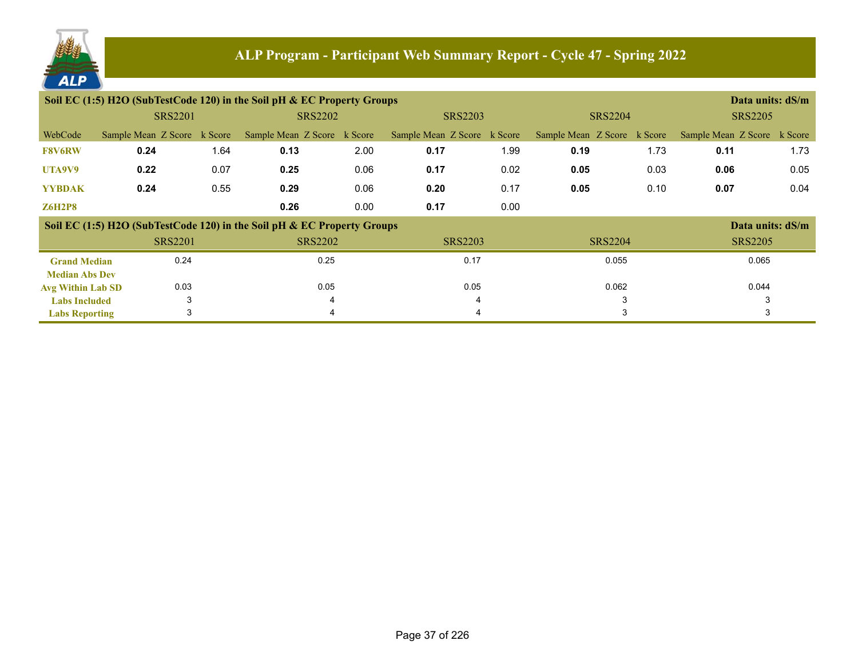

| Soil EC $(1:5)$ H2O (SubTestCode 120) in the Soil pH & EC Property Groups<br>Data units: dS/m |                             |      |                                                                           |      |                             |      |                             |      |                             |      |  |  |  |
|-----------------------------------------------------------------------------------------------|-----------------------------|------|---------------------------------------------------------------------------|------|-----------------------------|------|-----------------------------|------|-----------------------------|------|--|--|--|
|                                                                                               | <b>SRS2201</b>              |      | <b>SRS2202</b>                                                            |      | SRS2203                     |      | SRS2204                     |      | <b>SRS2205</b>              |      |  |  |  |
| WebCode                                                                                       | Sample Mean Z Score k Score |      | Sample Mean Z Score k Score                                               |      | Sample Mean Z Score k Score |      | Sample Mean Z Score k Score |      | Sample Mean Z Score k Score |      |  |  |  |
| <b>F8V6RW</b>                                                                                 | 0.24                        | 1.64 | 0.13                                                                      | 2.00 | 0.17                        | 1.99 | 0.19                        | 1.73 | 0.11                        | 1.73 |  |  |  |
| UTA9V9                                                                                        | 0.22                        | 0.07 | 0.25                                                                      | 0.06 | 0.17                        | 0.02 | 0.05                        | 0.03 | 0.06                        | 0.05 |  |  |  |
| <b>YYBDAK</b>                                                                                 | 0.24                        | 0.55 | 0.29                                                                      | 0.06 | 0.20                        | 0.17 | 0.05                        | 0.10 | 0.07                        | 0.04 |  |  |  |
| <b>Z6H2P8</b>                                                                                 |                             |      | 0.26                                                                      | 0.00 | 0.17                        | 0.00 |                             |      |                             |      |  |  |  |
|                                                                                               |                             |      | Soil EC $(1:5)$ H2O (SubTestCode 120) in the Soil pH & EC Property Groups |      |                             |      |                             |      | Data units: dS/m            |      |  |  |  |
|                                                                                               | <b>SRS2201</b>              |      | <b>SRS2202</b>                                                            |      | <b>SRS2203</b>              |      | <b>SRS2204</b>              |      | <b>SRS2205</b>              |      |  |  |  |
| <b>Grand Median</b>                                                                           | 0.24<br>0.25                |      |                                                                           |      | 0.17                        |      | 0.055                       |      | 0.065                       |      |  |  |  |
| <b>Median Abs Dev</b>                                                                         |                             |      |                                                                           |      |                             |      |                             |      |                             |      |  |  |  |
| Avg Within Lab SD                                                                             | 0.03                        |      | 0.05                                                                      |      | 0.05                        |      | 0.062                       |      | 0.044                       |      |  |  |  |
| <b>Labs Included</b>                                                                          | 3                           |      | 4                                                                         |      | 4                           |      | 3                           |      | 3                           |      |  |  |  |
| <b>Labs Reporting</b>                                                                         | 3                           | 4    |                                                                           | 4    |                             | 3    |                             | 3    |                             |      |  |  |  |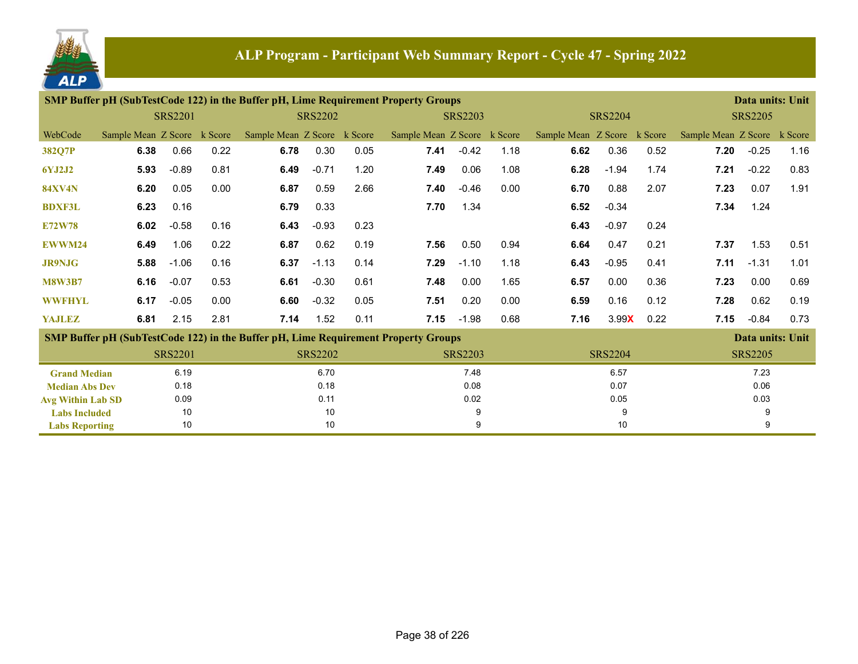

| <b>SMP Buffer pH (SubTestCode 122) in the Buffer pH, Lime Requirement Property Groups</b><br>Data units: Unit |                             |                                  |      |                             |                |                |                                                                                           |                |                |                             |                |                |                             |                |                  |
|---------------------------------------------------------------------------------------------------------------|-----------------------------|----------------------------------|------|-----------------------------|----------------|----------------|-------------------------------------------------------------------------------------------|----------------|----------------|-----------------------------|----------------|----------------|-----------------------------|----------------|------------------|
|                                                                                                               |                             | <b>SRS2201</b>                   |      |                             | <b>SRS2202</b> |                |                                                                                           | <b>SRS2203</b> |                |                             | <b>SRS2204</b> |                |                             | <b>SRS2205</b> |                  |
| WebCode                                                                                                       | Sample Mean Z Score k Score |                                  |      | Sample Mean Z Score k Score |                |                | Sample Mean Z Score k Score                                                               |                |                | Sample Mean Z Score k Score |                |                | Sample Mean Z Score k Score |                |                  |
| 382Q7P                                                                                                        | 6.38                        | 0.66                             | 0.22 | 6.78                        | 0.30           | 0.05           | 7.41                                                                                      | $-0.42$        | 1.18           | 6.62                        | 0.36           | 0.52           | 7.20                        | $-0.25$        | 1.16             |
| <b>6YJ2J2</b>                                                                                                 | 5.93                        | $-0.89$                          | 0.81 | 6.49                        | $-0.71$        | 1.20           | 7.49                                                                                      | 0.06           | 1.08           | 6.28                        | $-1.94$        | 1.74           | 7.21                        | $-0.22$        | 0.83             |
| <b>84XV4N</b>                                                                                                 | 6.20                        | 0.05                             | 0.00 | 6.87                        | 0.59           | 2.66           | 7.40                                                                                      | $-0.46$        | 0.00           | 6.70                        | 0.88           | 2.07           | 7.23                        | 0.07           | 1.91             |
| <b>BDXF3L</b>                                                                                                 | 6.23                        | 0.16                             |      | 6.79                        | 0.33           |                | 7.70                                                                                      | 1.34           |                | 6.52                        | $-0.34$        |                | 7.34                        | 1.24           |                  |
| E72W78                                                                                                        | 6.02                        | $-0.58$                          | 0.16 | 6.43                        | $-0.93$        | 0.23           |                                                                                           |                |                | 6.43                        | $-0.97$        | 0.24           |                             |                |                  |
| EWWM24                                                                                                        | 6.49                        | 1.06                             | 0.22 | 6.87                        | 0.62           | 0.19           | 7.56                                                                                      | 0.50           | 0.94           | 6.64                        | 0.47           | 0.21           | 7.37                        | 1.53           | 0.51             |
| <b>JR9NJG</b>                                                                                                 | 5.88                        | $-1.06$                          | 0.16 | 6.37                        | $-1.13$        | 0.14           | 7.29                                                                                      | $-1.10$        | 1.18           | 6.43                        | $-0.95$        | 0.41           | 7.11                        | $-1.31$        | 1.01             |
| <b>M8W3B7</b>                                                                                                 | 6.16                        | $-0.07$                          | 0.53 | 6.61                        | $-0.30$        | 0.61           | 7.48                                                                                      | 0.00           | 1.65           | 6.57                        | 0.00           | 0.36           | 7.23                        | 0.00           | 0.69             |
| <b>WWFHYL</b>                                                                                                 | 6.17                        | $-0.05$                          | 0.00 | 6.60                        | $-0.32$        | 0.05           | 7.51                                                                                      | 0.20           | 0.00           | 6.59                        | 0.16           | 0.12           | 7.28                        | 0.62           | 0.19             |
| <b>YAJLEZ</b>                                                                                                 | 6.81                        | 2.15                             | 2.81 | 7.14                        | 1.52           | 0.11           | 7.15                                                                                      | $-1.98$        | 0.68           | 7.16                        | 3.99X          | 0.22           | 7.15                        | $-0.84$        | 0.73             |
|                                                                                                               |                             |                                  |      |                             |                |                | <b>SMP Buffer pH (SubTestCode 122) in the Buffer pH, Lime Requirement Property Groups</b> |                |                |                             |                |                |                             |                | Data units: Unit |
|                                                                                                               |                             | <b>SRS2202</b><br><b>SRS2201</b> |      |                             |                | <b>SRS2203</b> |                                                                                           |                | <b>SRS2204</b> |                             |                | <b>SRS2205</b> |                             |                |                  |
| <b>Grand Median</b>                                                                                           |                             | 6.19                             |      |                             | 6.70           |                |                                                                                           | 7.48           |                |                             | 6.57           |                |                             | 7.23           |                  |
| <b>Median Abs Dev</b>                                                                                         |                             | 0.18                             |      |                             | 0.18           |                |                                                                                           | 0.08           |                |                             | 0.07           |                |                             | 0.06           |                  |
| <b>Avg Within Lab SD</b>                                                                                      |                             | 0.09                             |      |                             | 0.11           |                |                                                                                           | 0.02           |                |                             | 0.05           |                |                             | 0.03           |                  |
| <b>Labs Included</b>                                                                                          |                             | 10                               |      |                             | 10             |                |                                                                                           | 9              |                |                             | 9              |                |                             | 9              |                  |
| <b>Labs Reporting</b>                                                                                         |                             | 10                               |      |                             | 10             |                |                                                                                           | 9              |                |                             | 10             |                |                             | 9              |                  |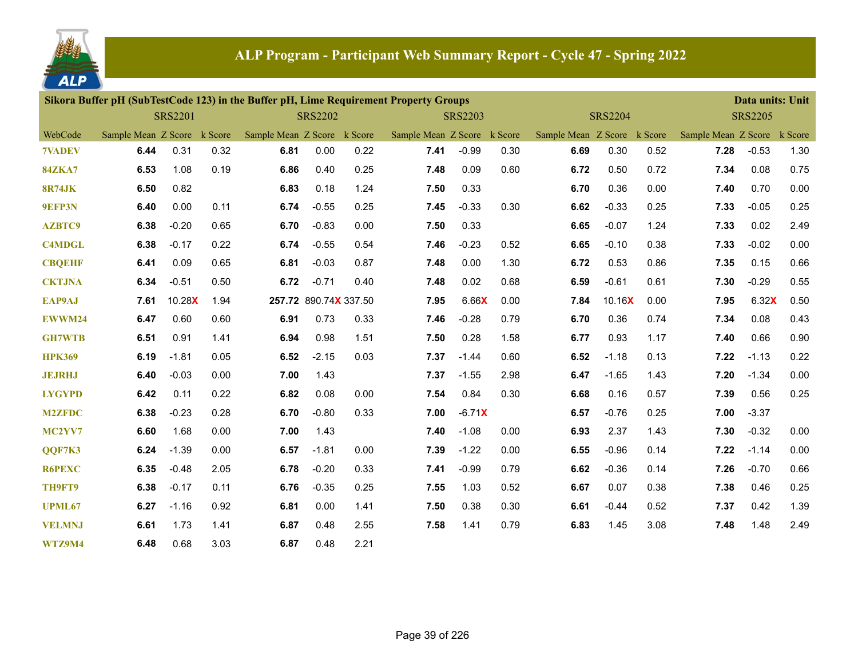

|                                 | Sikora Buffer pH (SubTestCode 123) in the Buffer pH, Lime Requirement Property Groups<br>Data units: Unit |                |      |                             |                       |      |                             |                |      |                             |                |      |                             |                |      |
|---------------------------------|-----------------------------------------------------------------------------------------------------------|----------------|------|-----------------------------|-----------------------|------|-----------------------------|----------------|------|-----------------------------|----------------|------|-----------------------------|----------------|------|
|                                 |                                                                                                           | <b>SRS2201</b> |      |                             | <b>SRS2202</b>        |      |                             | <b>SRS2203</b> |      |                             | <b>SRS2204</b> |      |                             | <b>SRS2205</b> |      |
| WebCode                         | Sample Mean Z Score k Score                                                                               |                |      | Sample Mean Z Score k Score |                       |      | Sample Mean Z Score k Score |                |      | Sample Mean Z Score k Score |                |      | Sample Mean Z Score k Score |                |      |
| <b>7VADEV</b>                   | 6.44                                                                                                      | 0.31           | 0.32 | 6.81                        | 0.00                  | 0.22 | 7.41                        | $-0.99$        | 0.30 | 6.69                        | 0.30           | 0.52 | 7.28                        | $-0.53$        | 1.30 |
| <b>84ZKA7</b>                   | 6.53                                                                                                      | 1.08           | 0.19 | 6.86                        | 0.40                  | 0.25 | 7.48                        | 0.09           | 0.60 | 6.72                        | 0.50           | 0.72 | 7.34                        | 0.08           | 0.75 |
| <b>8R74JK</b>                   | 6.50                                                                                                      | 0.82           |      | 6.83                        | 0.18                  | 1.24 | 7.50                        | 0.33           |      | 6.70                        | 0.36           | 0.00 | 7.40                        | 0.70           | 0.00 |
| 9EFP3N                          | 6.40                                                                                                      | 0.00           | 0.11 | 6.74                        | $-0.55$               | 0.25 | 7.45                        | $-0.33$        | 0.30 | 6.62                        | $-0.33$        | 0.25 | 7.33                        | $-0.05$        | 0.25 |
| <b>AZBTC9</b>                   | 6.38                                                                                                      | $-0.20$        | 0.65 | 6.70                        | $-0.83$               | 0.00 | 7.50                        | 0.33           |      | 6.65                        | $-0.07$        | 1.24 | 7.33                        | 0.02           | 2.49 |
| <b>C4MDGL</b>                   | 6.38                                                                                                      | $-0.17$        | 0.22 | 6.74                        | $-0.55$               | 0.54 | 7.46                        | $-0.23$        | 0.52 | 6.65                        | $-0.10$        | 0.38 | 7.33                        | $-0.02$        | 0.00 |
| <b>CBOEHF</b>                   | 6.41                                                                                                      | 0.09           | 0.65 | 6.81                        | $-0.03$               | 0.87 | 7.48                        | 0.00           | 1.30 | 6.72                        | 0.53           | 0.86 | 7.35                        | 0.15           | 0.66 |
| <b>CKTJNA</b>                   | 6.34                                                                                                      | $-0.51$        | 0.50 | 6.72                        | $-0.71$               | 0.40 | 7.48                        | 0.02           | 0.68 | 6.59                        | $-0.61$        | 0.61 | 7.30                        | $-0.29$        | 0.55 |
| <b>EAP9AJ</b>                   | 7.61                                                                                                      | 10.28X         | 1.94 |                             | 257.72 890.74X 337.50 |      | 7.95                        | 6.66X          | 0.00 | 7.84                        | 10.16X         | 0.00 | 7.95                        | 6.32X          | 0.50 |
| EWWM24                          | 6.47                                                                                                      | 0.60           | 0.60 | 6.91                        | 0.73                  | 0.33 | 7.46                        | $-0.28$        | 0.79 | 6.70                        | 0.36           | 0.74 | 7.34                        | 0.08           | 0.43 |
| <b>GH7WTB</b>                   | 6.51                                                                                                      | 0.91           | 1.41 | 6.94                        | 0.98                  | 1.51 | 7.50                        | 0.28           | 1.58 | 6.77                        | 0.93           | 1.17 | 7.40                        | 0.66           | 0.90 |
| <b>HPK369</b>                   | 6.19                                                                                                      | $-1.81$        | 0.05 | 6.52                        | $-2.15$               | 0.03 | 7.37                        | $-1.44$        | 0.60 | 6.52                        | $-1.18$        | 0.13 | 7.22                        | $-1.13$        | 0.22 |
| <b>JEJRHJ</b>                   | 6.40                                                                                                      | $-0.03$        | 0.00 | 7.00                        | 1.43                  |      | 7.37                        | $-1.55$        | 2.98 | 6.47                        | $-1.65$        | 1.43 | 7.20                        | $-1.34$        | 0.00 |
| <b>LYGYPD</b>                   | 6.42                                                                                                      | 0.11           | 0.22 | 6.82                        | 0.08                  | 0.00 | 7.54                        | 0.84           | 0.30 | 6.68                        | 0.16           | 0.57 | 7.39                        | 0.56           | 0.25 |
| <b>M2ZFDC</b>                   | 6.38                                                                                                      | $-0.23$        | 0.28 | 6.70                        | $-0.80$               | 0.33 | 7.00                        | $-6.71X$       |      | 6.57                        | $-0.76$        | 0.25 | 7.00                        | $-3.37$        |      |
| MC <sub>2</sub> YV <sub>7</sub> | 6.60                                                                                                      | 1.68           | 0.00 | 7.00                        | 1.43                  |      | 7.40                        | $-1.08$        | 0.00 | 6.93                        | 2.37           | 1.43 | 7.30                        | $-0.32$        | 0.00 |
| OOF7K3                          | 6.24                                                                                                      | $-1.39$        | 0.00 | 6.57                        | $-1.81$               | 0.00 | 7.39                        | $-1.22$        | 0.00 | 6.55                        | $-0.96$        | 0.14 | 7.22                        | $-1.14$        | 0.00 |
| <b>R6PEXC</b>                   | 6.35                                                                                                      | $-0.48$        | 2.05 | 6.78                        | $-0.20$               | 0.33 | 7.41                        | $-0.99$        | 0.79 | 6.62                        | $-0.36$        | 0.14 | 7.26                        | $-0.70$        | 0.66 |
| <b>TH9FT9</b>                   | 6.38                                                                                                      | $-0.17$        | 0.11 | 6.76                        | $-0.35$               | 0.25 | 7.55                        | 1.03           | 0.52 | 6.67                        | 0.07           | 0.38 | 7.38                        | 0.46           | 0.25 |
| UPML67                          | 6.27                                                                                                      | $-1.16$        | 0.92 | 6.81                        | 0.00                  | 1.41 | 7.50                        | 0.38           | 0.30 | 6.61                        | $-0.44$        | 0.52 | 7.37                        | 0.42           | 1.39 |
| <b>VELMNJ</b>                   | 6.61                                                                                                      | 1.73           | 1.41 | 6.87                        | 0.48                  | 2.55 | 7.58                        | 1.41           | 0.79 | 6.83                        | 1.45           | 3.08 | 7.48                        | 1.48           | 2.49 |
| WTZ9M4                          | 6.48                                                                                                      | 0.68           | 3.03 | 6.87                        | 0.48                  | 2.21 |                             |                |      |                             |                |      |                             |                |      |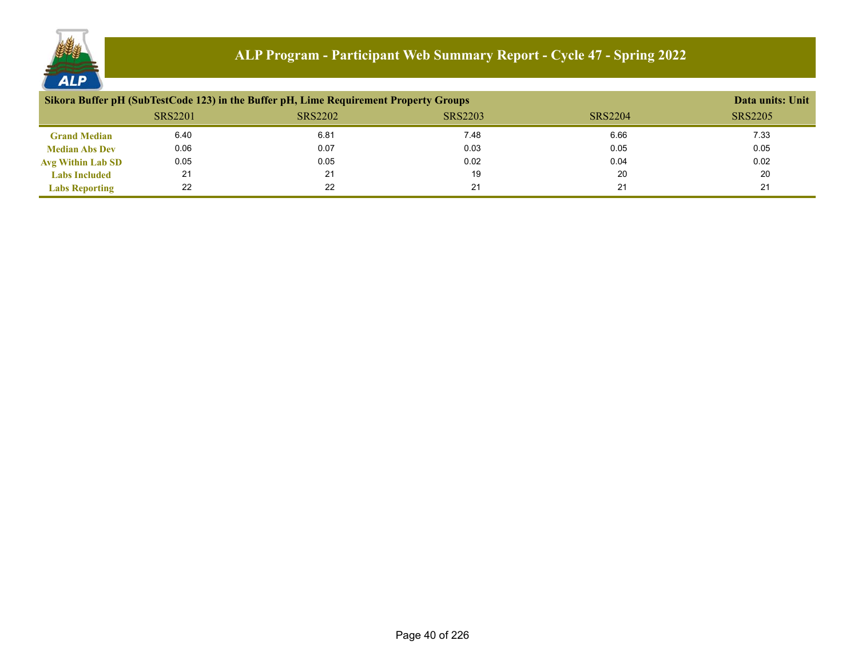

| Sikora Buffer pH (SubTestCode 123) in the Buffer pH, Lime Requirement Property Groups<br>Data units: Unit |         |                |         |         |         |  |  |  |  |  |  |  |  |
|-----------------------------------------------------------------------------------------------------------|---------|----------------|---------|---------|---------|--|--|--|--|--|--|--|--|
|                                                                                                           | SRS2201 | <b>SRS2202</b> | SRS2203 | SRS2204 | SRS2205 |  |  |  |  |  |  |  |  |
| <b>Grand Median</b>                                                                                       | 6.40    | 6.81           | 7.48    | 6.66    | 7.33    |  |  |  |  |  |  |  |  |
| <b>Median Abs Dev</b>                                                                                     | 0.06    | 0.07           | 0.03    | 0.05    | 0.05    |  |  |  |  |  |  |  |  |
| <b>Avg Within Lab SD</b>                                                                                  | 0.05    | 0.05           | 0.02    | 0.04    | 0.02    |  |  |  |  |  |  |  |  |
| <b>Labs Included</b>                                                                                      | 21      | 21             | 19      | 20      | 20      |  |  |  |  |  |  |  |  |
| <b>Labs Reporting</b>                                                                                     | 22      | 22             | 21      | 21      | 21      |  |  |  |  |  |  |  |  |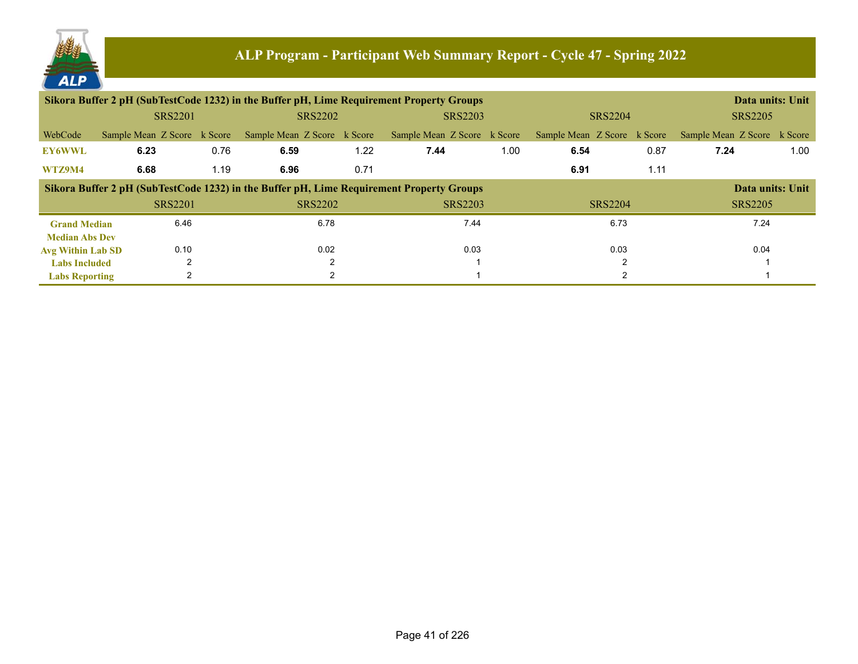

| Sikora Buffer 2 pH (SubTestCode 1232) in the Buffer pH, Lime Requirement Property Groups<br>Data units: Unit |                             |      |                             |      |                             |      |                             |      |                             |      |  |  |  |
|--------------------------------------------------------------------------------------------------------------|-----------------------------|------|-----------------------------|------|-----------------------------|------|-----------------------------|------|-----------------------------|------|--|--|--|
|                                                                                                              | SRS2201                     |      | SRS2202                     |      | SRS2203                     |      | SRS2204                     |      | SRS2205                     |      |  |  |  |
| WebCode                                                                                                      | Sample Mean Z Score k Score |      | Sample Mean Z Score k Score |      | Sample Mean Z Score k Score |      | Sample Mean Z Score k Score |      | Sample Mean Z Score k Score |      |  |  |  |
| <b>EY6WWL</b>                                                                                                | 6.23                        | 0.76 | 6.59                        | 1.22 | 7.44                        | 1.00 | 6.54                        | 0.87 | 7.24                        | 1.00 |  |  |  |
| WTZ9M4                                                                                                       | 6.68                        | 1.19 | 6.96                        |      |                             | 6.91 | 1.11                        |      |                             |      |  |  |  |
| Sikora Buffer 2 pH (SubTestCode 1232) in the Buffer pH, Lime Requirement Property Groups<br>Data units: Unit |                             |      |                             |      |                             |      |                             |      |                             |      |  |  |  |
|                                                                                                              | <b>SRS2201</b>              |      | <b>SRS2202</b>              |      | <b>SRS2203</b>              |      | <b>SRS2204</b>              |      | SRS2205                     |      |  |  |  |
|                                                                                                              | 6.46<br><b>Grand Median</b> |      |                             |      | 7.44                        |      | 6.73                        |      | 7.24                        |      |  |  |  |
| <b>Median Abs Dev</b>                                                                                        |                             |      |                             |      |                             |      |                             |      |                             |      |  |  |  |
| 0.02<br>0.10<br><b>Avg Within Lab SD</b>                                                                     |                             |      |                             |      | 0.03                        |      | 0.03                        |      | 0.04                        |      |  |  |  |
| <b>Labs Included</b>                                                                                         | 2                           | 2    |                             |      |                             |      | 2                           |      |                             |      |  |  |  |
| <b>Labs Reporting</b>                                                                                        | 2                           |      |                             |      |                             |      |                             |      |                             |      |  |  |  |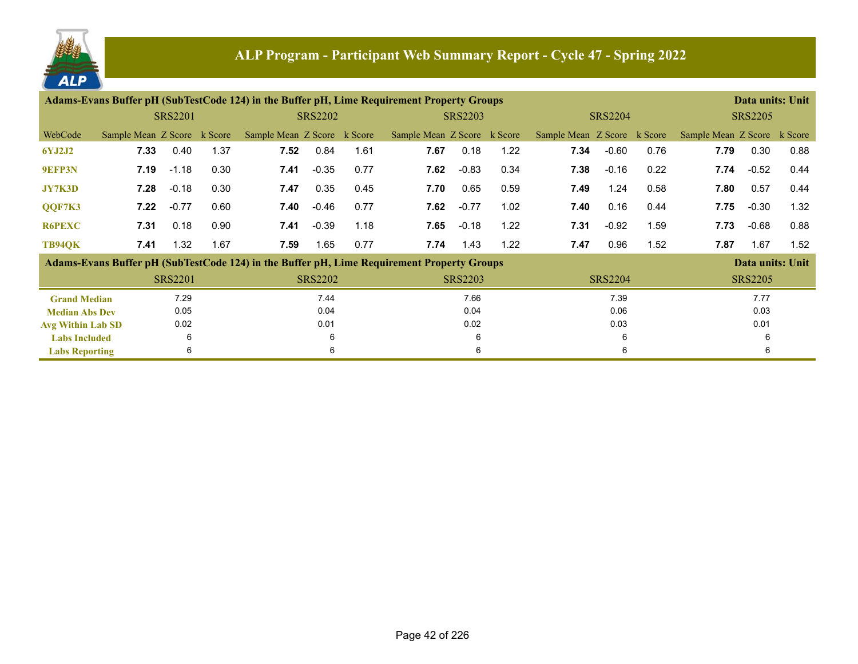

| Adams-Evans Buffer pH (SubTestCode 124) in the Buffer pH, Lime Requirement Property Groups<br>Data units: Unit |                             |         |      |                             |         |      |                             |                |      |                             |         |      |                             |         |      |
|----------------------------------------------------------------------------------------------------------------|-----------------------------|---------|------|-----------------------------|---------|------|-----------------------------|----------------|------|-----------------------------|---------|------|-----------------------------|---------|------|
|                                                                                                                |                             | SRS2201 |      |                             | SRS2202 |      |                             | <b>SRS2203</b> |      |                             | SRS2204 |      |                             | SRS2205 |      |
| WebCode                                                                                                        | Sample Mean Z Score k Score |         |      | Sample Mean Z Score k Score |         |      | Sample Mean Z Score k Score |                |      | Sample Mean Z Score k Score |         |      | Sample Mean Z Score k Score |         |      |
| 6YJ2J2                                                                                                         | 7.33                        | 0.40    | 1.37 | 7.52                        | 0.84    | 1.61 | 7.67                        | 0.18           | 1.22 | 7.34                        | $-0.60$ | 0.76 | 7.79                        | 0.30    | 0.88 |
| <b>9EFP3N</b>                                                                                                  | 7.19                        | $-1.18$ | 0.30 | 7.41                        | $-0.35$ | 0.77 | 7.62                        | $-0.83$        | 0.34 | 7.38                        | $-0.16$ | 0.22 | 7.74                        | $-0.52$ | 0.44 |
| <b>JY7K3D</b>                                                                                                  | 7.28                        | $-0.18$ | 0.30 | 7.47                        | 0.35    | 0.45 | 7.70                        | 0.65           | 0.59 | 7.49                        | 1.24    | 0.58 | 7.80                        | 0.57    | 0.44 |
| OOF7K3                                                                                                         | 7.22                        | $-0.77$ | 0.60 | 7.40                        | $-0.46$ | 0.77 | 7.62                        | $-0.77$        | 1.02 | 7.40                        | 0.16    | 0.44 | 7.75                        | $-0.30$ | 1.32 |
| <b>R6PEXC</b>                                                                                                  | 7.31                        | 0.18    | 0.90 | 7.41                        | $-0.39$ | 1.18 | 7.65                        | $-0.18$        | 1.22 | 7.31                        | $-0.92$ | 1.59 | 7.73                        | $-0.68$ | 0.88 |
| <b>TB94OK</b>                                                                                                  | 7.41                        | 1.32    | 1.67 | 7.59                        | 1.65    | 0.77 | 7.74                        | 1.43           | 1.22 | 7.47                        | 0.96    | 1.52 | 7.87                        | 1.67    | 1.52 |

|                          | Adams-Evans Buffer pH (SubTestCode 124) in the Buffer pH, Lime Requirement Property Groups |                |         |         |         |  |  |  |  |  |  |  |  |
|--------------------------|--------------------------------------------------------------------------------------------|----------------|---------|---------|---------|--|--|--|--|--|--|--|--|
|                          | SRS2201                                                                                    | <b>SRS2202</b> | SRS2203 | SRS2204 | SRS2205 |  |  |  |  |  |  |  |  |
| <b>Grand Median</b>      | 7.29                                                                                       | 7.44           | 7.66    | 7.39    | 7.77    |  |  |  |  |  |  |  |  |
| <b>Median Abs Dev</b>    | 0.05                                                                                       | 0.04           | 0.04    | 0.06    | 0.03    |  |  |  |  |  |  |  |  |
| <b>Avg Within Lab SD</b> | 0.02                                                                                       | 0.01           | 0.02    | 0.03    | 0.01    |  |  |  |  |  |  |  |  |
| <b>Labs Included</b>     |                                                                                            |                |         | о       |         |  |  |  |  |  |  |  |  |
| <b>Labs Reporting</b>    |                                                                                            |                |         |         |         |  |  |  |  |  |  |  |  |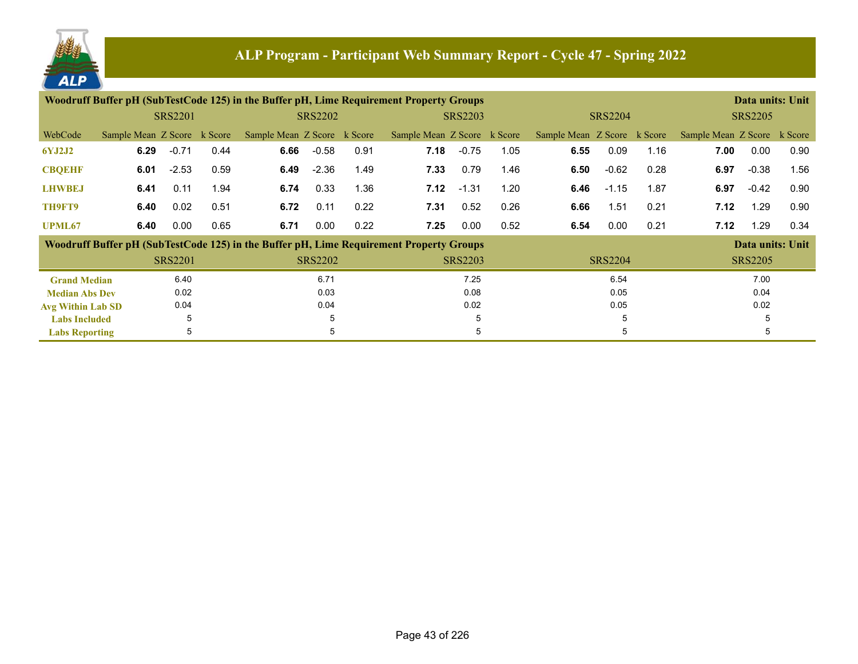

|                          | Woodruff Buffer pH (SubTestCode 125) in the Buffer pH, Lime Requirement Property Groups<br>Data units: Unit |                |      |                                                                                         |                |      |                             |                |      |                             |                |      |                             |                  |      |
|--------------------------|-------------------------------------------------------------------------------------------------------------|----------------|------|-----------------------------------------------------------------------------------------|----------------|------|-----------------------------|----------------|------|-----------------------------|----------------|------|-----------------------------|------------------|------|
|                          |                                                                                                             | <b>SRS2201</b> |      |                                                                                         | <b>SRS2202</b> |      |                             | <b>SRS2203</b> |      |                             | <b>SRS2204</b> |      |                             | <b>SRS2205</b>   |      |
| WebCode                  | Sample Mean Z Score k Score                                                                                 |                |      | Sample Mean Z Score k Score                                                             |                |      | Sample Mean Z Score k Score |                |      | Sample Mean Z Score k Score |                |      | Sample Mean Z Score k Score |                  |      |
| 6YJ2J2                   | 6.29                                                                                                        | $-0.71$        | 0.44 | 6.66                                                                                    | $-0.58$        | 0.91 | 7.18                        | $-0.75$        | 1.05 | 6.55                        | 0.09           | 1.16 | 7.00                        | 0.00             | 0.90 |
| <b>CBQEHF</b>            | 6.01                                                                                                        | $-2.53$        | 0.59 | 6.49                                                                                    | $-2.36$        | 1.49 | 7.33                        | 0.79           | 1.46 | 6.50                        | $-0.62$        | 0.28 | 6.97                        | $-0.38$          | 1.56 |
| <b>LHWBEJ</b>            | 6.41                                                                                                        | 0.11           | 1.94 | 6.74                                                                                    | 0.33           | 1.36 | 7.12                        | $-1.31$        | 1.20 | 6.46                        | $-1.15$        | 1.87 | 6.97                        | $-0.42$          | 0.90 |
| <b>ТН9FТ9</b>            | 6.40                                                                                                        | 0.02           | 0.51 | 6.72                                                                                    | 0.11           | 0.22 | 7.31                        | 0.52           | 0.26 | 6.66                        | 1.51           | 0.21 | 7.12                        | 1.29             | 0.90 |
| UPML67                   | 6.40                                                                                                        | 0.00           | 0.65 | 6.71                                                                                    | 0.00           | 0.22 | 7.25                        | 0.00           | 0.52 | 6.54                        | 0.00           | 0.21 | 7.12                        | 1.29             | 0.34 |
|                          |                                                                                                             |                |      | Woodruff Buffer pH (SubTestCode 125) in the Buffer pH, Lime Requirement Property Groups |                |      |                             |                |      |                             |                |      |                             | Data units: Unit |      |
|                          |                                                                                                             | <b>SRS2201</b> |      |                                                                                         | <b>SRS2202</b> |      |                             | <b>SRS2203</b> |      |                             | <b>SRS2204</b> |      |                             | <b>SRS2205</b>   |      |
| <b>Grand Median</b>      |                                                                                                             | 6.40           |      |                                                                                         | 6.71           |      |                             | 7.25           |      |                             | 6.54           |      |                             | 7.00             |      |
| <b>Median Abs Dev</b>    |                                                                                                             | 0.02           |      |                                                                                         | 0.03           |      |                             | 0.08           |      |                             | 0.05           |      |                             | 0.04             |      |
| <b>Avg Within Lab SD</b> |                                                                                                             | 0.04           |      |                                                                                         | 0.04           |      |                             | 0.02           |      |                             | 0.05           |      |                             | 0.02             |      |
| <b>Labs Included</b>     |                                                                                                             | 5              |      |                                                                                         | 5              |      |                             | 5              |      |                             | 5              |      |                             | 5                |      |
| <b>Labs Reporting</b>    |                                                                                                             | 5              |      |                                                                                         | 5              |      |                             | 5              |      |                             | 5              |      |                             | 5                |      |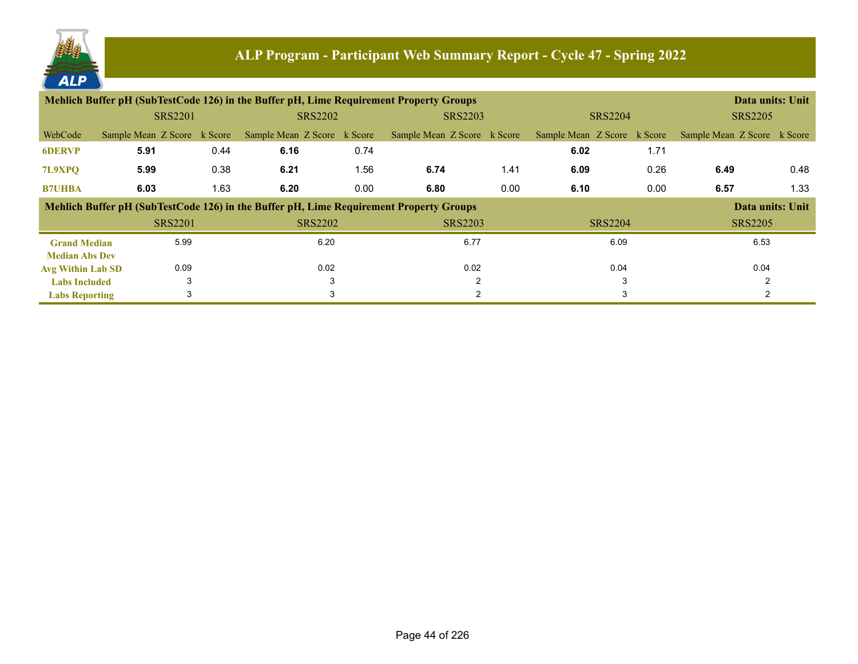

| Mehlich Buffer pH (SubTestCode 126) in the Buffer pH, Lime Requirement Property Groups<br>Data units: Unit |                             |                                                                                                                |                             |                |                             |                |                             |         |                             |      |  |  |  |
|------------------------------------------------------------------------------------------------------------|-----------------------------|----------------------------------------------------------------------------------------------------------------|-----------------------------|----------------|-----------------------------|----------------|-----------------------------|---------|-----------------------------|------|--|--|--|
|                                                                                                            | <b>SRS2201</b>              |                                                                                                                | <b>SRS2202</b>              |                | <b>SRS2203</b>              |                | SRS2204                     |         | SRS2205                     |      |  |  |  |
| WebCode                                                                                                    | Sample Mean Z Score k Score |                                                                                                                | Sample Mean Z Score k Score |                | Sample Mean Z Score k Score |                | Sample Mean Z Score k Score |         | Sample Mean Z Score k Score |      |  |  |  |
| <b>6DERVP</b>                                                                                              | 5.91                        | 0.44                                                                                                           | 6.16                        | 0.74           |                             |                | 6.02                        | 1.71    |                             |      |  |  |  |
| 7L9XPO                                                                                                     | 5.99                        | 0.38                                                                                                           | 6.21                        | 1.56           | 6.74                        | 1.41           | 6.09                        | 0.26    | 6.49                        | 0.48 |  |  |  |
| <b>B7UHBA</b>                                                                                              | 6.03                        | 1.63<br>6.20<br>0.00<br>Mehlich Buffer pH (SubTestCode 126) in the Buffer pH, Lime Requirement Property Groups |                             |                | 6.80                        | 0.00           | 6.10                        | 0.00    | 6.57                        | 1.33 |  |  |  |
|                                                                                                            | Data units: Unit            |                                                                                                                |                             |                |                             |                |                             |         |                             |      |  |  |  |
|                                                                                                            | <b>SRS2201</b>              | <b>SRS2202</b>                                                                                                 |                             | <b>SRS2203</b> |                             | <b>SRS2204</b> |                             | SRS2205 |                             |      |  |  |  |
| <b>Grand Median</b>                                                                                        | 5.99                        | 6.20                                                                                                           |                             |                |                             |                | 6.09                        |         | 6.53                        |      |  |  |  |
| <b>Median Abs Dev</b>                                                                                      |                             |                                                                                                                |                             |                |                             |                |                             |         |                             |      |  |  |  |
| Avg Within Lab SD                                                                                          | 0.09                        | 0.02                                                                                                           |                             |                | 0.02                        |                | 0.04                        |         | 0.04                        |      |  |  |  |
| <b>Labs Included</b>                                                                                       | 3                           |                                                                                                                |                             |                | 2                           |                | 3                           |         | 2                           |      |  |  |  |
| <b>Labs Reporting</b>                                                                                      | 3                           |                                                                                                                | 3                           |                | 2                           |                | 3                           |         | 2                           |      |  |  |  |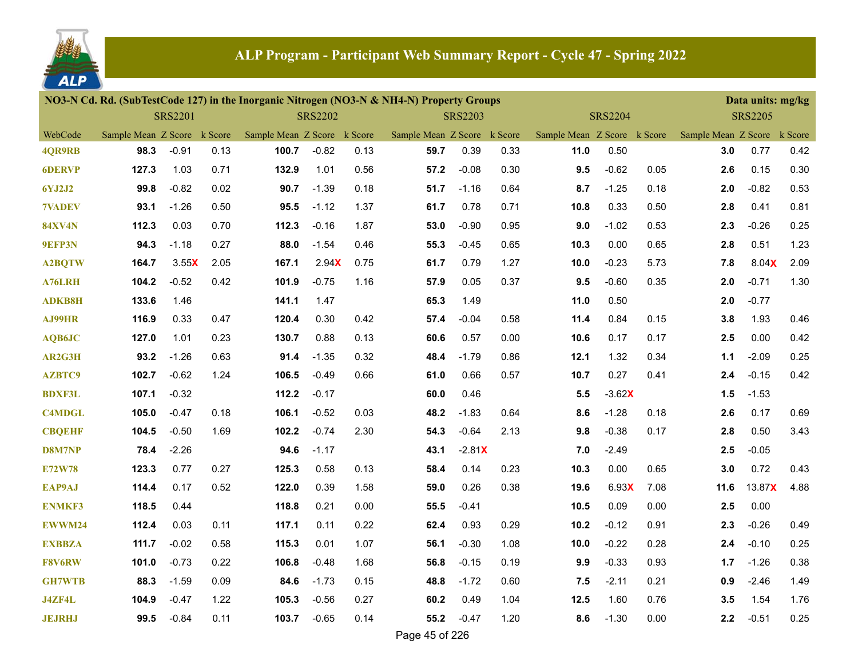

|               | NO3-N Cd. Rd. (SubTestCode 127) in the Inorganic Nitrogen (NO3-N & NH4-N) Property Groups |                |      |                             |                |      |                             |                |      |                             |                |      |                             | Data units: mg/kg |      |
|---------------|-------------------------------------------------------------------------------------------|----------------|------|-----------------------------|----------------|------|-----------------------------|----------------|------|-----------------------------|----------------|------|-----------------------------|-------------------|------|
|               |                                                                                           | <b>SRS2201</b> |      |                             | <b>SRS2202</b> |      |                             | <b>SRS2203</b> |      |                             | <b>SRS2204</b> |      |                             | <b>SRS2205</b>    |      |
| WebCode       | Sample Mean Z Score k Score                                                               |                |      | Sample Mean Z Score k Score |                |      | Sample Mean Z Score k Score |                |      | Sample Mean Z Score k Score |                |      | Sample Mean Z Score k Score |                   |      |
| <b>4QR9RB</b> | 98.3                                                                                      | $-0.91$        | 0.13 | 100.7                       | $-0.82$        | 0.13 | 59.7                        | 0.39           | 0.33 | 11.0                        | 0.50           |      | 3.0                         | 0.77              | 0.42 |
| <b>6DERVP</b> | 127.3                                                                                     | 1.03           | 0.71 | 132.9                       | 1.01           | 0.56 | 57.2                        | $-0.08$        | 0.30 | 9.5                         | $-0.62$        | 0.05 | 2.6                         | 0.15              | 0.30 |
| 6YJ2J2        | 99.8                                                                                      | $-0.82$        | 0.02 | 90.7                        | $-1.39$        | 0.18 | 51.7                        | $-1.16$        | 0.64 | 8.7                         | $-1.25$        | 0.18 | 2.0                         | $-0.82$           | 0.53 |
| <b>7VADEV</b> | 93.1                                                                                      | $-1.26$        | 0.50 | 95.5                        | $-1.12$        | 1.37 | 61.7                        | 0.78           | 0.71 | 10.8                        | 0.33           | 0.50 | 2.8                         | 0.41              | 0.81 |
| <b>84XV4N</b> | 112.3                                                                                     | 0.03           | 0.70 | 112.3                       | $-0.16$        | 1.87 | 53.0                        | $-0.90$        | 0.95 | 9.0                         | $-1.02$        | 0.53 | $2.3\phantom{0}$            | $-0.26$           | 0.25 |
| 9EFP3N        | 94.3                                                                                      | $-1.18$        | 0.27 | 88.0                        | $-1.54$        | 0.46 | 55.3                        | $-0.45$        | 0.65 | 10.3                        | 0.00           | 0.65 | 2.8                         | 0.51              | 1.23 |
| <b>A2BQTW</b> | 164.7                                                                                     | 3.55X          | 2.05 | 167.1                       | 2.94X          | 0.75 | 61.7                        | 0.79           | 1.27 | 10.0                        | $-0.23$        | 5.73 | 7.8                         | 8.04X             | 2.09 |
| A76LRH        | 104.2                                                                                     | $-0.52$        | 0.42 | 101.9                       | $-0.75$        | 1.16 | 57.9                        | 0.05           | 0.37 | 9.5                         | $-0.60$        | 0.35 | 2.0                         | $-0.71$           | 1.30 |
| <b>ADKB8H</b> | 133.6                                                                                     | 1.46           |      | 141.1                       | 1.47           |      | 65.3                        | 1.49           |      | 11.0                        | 0.50           |      | 2.0                         | $-0.77$           |      |
| AJ99HR        | 116.9                                                                                     | 0.33           | 0.47 | 120.4                       | 0.30           | 0.42 | 57.4                        | $-0.04$        | 0.58 | 11.4                        | 0.84           | 0.15 | 3.8                         | 1.93              | 0.46 |
| <b>AQB6JC</b> | 127.0                                                                                     | 1.01           | 0.23 | 130.7                       | 0.88           | 0.13 | 60.6                        | 0.57           | 0.00 | 10.6                        | 0.17           | 0.17 | 2.5                         | 0.00              | 0.42 |
| AR2G3H        | 93.2                                                                                      | $-1.26$        | 0.63 | 91.4                        | $-1.35$        | 0.32 | 48.4                        | $-1.79$        | 0.86 | 12.1                        | 1.32           | 0.34 | 1.1                         | $-2.09$           | 0.25 |
| <b>AZBTC9</b> | 102.7                                                                                     | $-0.62$        | 1.24 | 106.5                       | $-0.49$        | 0.66 | 61.0                        | 0.66           | 0.57 | 10.7                        | 0.27           | 0.41 | 2.4                         | $-0.15$           | 0.42 |
| <b>BDXF3L</b> | 107.1                                                                                     | $-0.32$        |      | 112.2                       | $-0.17$        |      | 60.0                        | 0.46           |      | 5.5                         | $-3.62X$       |      | 1.5                         | $-1.53$           |      |
| <b>C4MDGL</b> | 105.0                                                                                     | $-0.47$        | 0.18 | 106.1                       | $-0.52$        | 0.03 | 48.2                        | $-1.83$        | 0.64 | 8.6                         | $-1.28$        | 0.18 | 2.6                         | 0.17              | 0.69 |
| <b>CBQEHF</b> | 104.5                                                                                     | $-0.50$        | 1.69 | 102.2                       | $-0.74$        | 2.30 | 54.3                        | $-0.64$        | 2.13 | 9.8                         | $-0.38$        | 0.17 | 2.8                         | 0.50              | 3.43 |
| D8M7NP        | 78.4                                                                                      | $-2.26$        |      | 94.6                        | $-1.17$        |      | 43.1                        | $-2.81X$       |      | 7.0                         | $-2.49$        |      | 2.5                         | $-0.05$           |      |
| E72W78        | 123.3                                                                                     | 0.77           | 0.27 | 125.3                       | 0.58           | 0.13 | 58.4                        | 0.14           | 0.23 | 10.3                        | 0.00           | 0.65 | 3.0                         | 0.72              | 0.43 |
| <b>EAP9AJ</b> | 114.4                                                                                     | 0.17           | 0.52 | 122.0                       | 0.39           | 1.58 | 59.0                        | 0.26           | 0.38 | 19.6                        | 6.93X          | 7.08 | 11.6                        | 13.87X            | 4.88 |
| <b>ENMKF3</b> | 118.5                                                                                     | 0.44           |      | 118.8                       | 0.21           | 0.00 | 55.5                        | $-0.41$        |      | 10.5                        | 0.09           | 0.00 | 2.5                         | 0.00              |      |
| EWWM24        | 112.4                                                                                     | 0.03           | 0.11 | 117.1                       | 0.11           | 0.22 | 62.4                        | 0.93           | 0.29 | 10.2                        | $-0.12$        | 0.91 | 2.3                         | $-0.26$           | 0.49 |
| <b>EXBBZA</b> | 111.7                                                                                     | $-0.02$        | 0.58 | 115.3                       | 0.01           | 1.07 | 56.1                        | $-0.30$        | 1.08 | 10.0                        | $-0.22$        | 0.28 | 2.4                         | $-0.10$           | 0.25 |
| F8V6RW        | 101.0                                                                                     | $-0.73$        | 0.22 | 106.8                       | $-0.48$        | 1.68 | 56.8                        | $-0.15$        | 0.19 | 9.9                         | $-0.33$        | 0.93 | 1.7                         | $-1.26$           | 0.38 |
| <b>GH7WTB</b> | 88.3                                                                                      | $-1.59$        | 0.09 | 84.6                        | $-1.73$        | 0.15 | 48.8                        | $-1.72$        | 0.60 | 7.5                         | $-2.11$        | 0.21 | 0.9                         | $-2.46$           | 1.49 |
| <b>J4ZF4L</b> | 104.9                                                                                     | $-0.47$        | 1.22 | 105.3                       | $-0.56$        | 0.27 | 60.2                        | 0.49           | 1.04 | 12.5                        | 1.60           | 0.76 | 3.5                         | 1.54              | 1.76 |
| <b>JEJRHJ</b> | 99.5                                                                                      | $-0.84$        | 0.11 | 103.7                       | $-0.65$        | 0.14 | 55.2                        | $-0.47$        | 1.20 | 8.6                         | $-1.30$        | 0.00 | 2.2                         | $-0.51$           | 0.25 |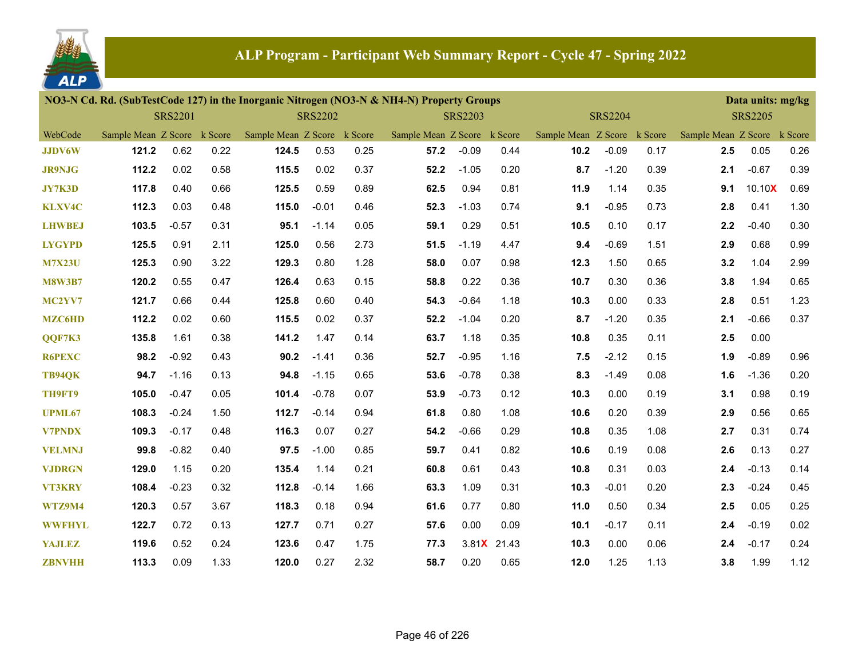

| NO3-N Cd. Rd. (SubTestCode 127) in the Inorganic Nitrogen (NO3-N & NH4-N) Property Groups |                             |                |      |                             |                |      |                             |                |             |                             |                |      |                             | Data units: mg/kg |      |
|-------------------------------------------------------------------------------------------|-----------------------------|----------------|------|-----------------------------|----------------|------|-----------------------------|----------------|-------------|-----------------------------|----------------|------|-----------------------------|-------------------|------|
|                                                                                           |                             | <b>SRS2201</b> |      |                             | <b>SRS2202</b> |      |                             | <b>SRS2203</b> |             |                             | <b>SRS2204</b> |      |                             | <b>SRS2205</b>    |      |
| WebCode                                                                                   | Sample Mean Z Score k Score |                |      | Sample Mean Z Score k Score |                |      | Sample Mean Z Score k Score |                |             | Sample Mean Z Score k Score |                |      | Sample Mean Z Score k Score |                   |      |
| <b>JJDV6W</b>                                                                             | 121.2                       | 0.62           | 0.22 | 124.5                       | 0.53           | 0.25 | 57.2                        | $-0.09$        | 0.44        | 10.2                        | $-0.09$        | 0.17 | 2.5                         | 0.05              | 0.26 |
| <b>JR9NJG</b>                                                                             | 112.2                       | 0.02           | 0.58 | 115.5                       | 0.02           | 0.37 | 52.2                        | $-1.05$        | 0.20        | 8.7                         | $-1.20$        | 0.39 | 2.1                         | $-0.67$           | 0.39 |
| JY7K3D                                                                                    | 117.8                       | 0.40           | 0.66 | 125.5                       | 0.59           | 0.89 | 62.5                        | 0.94           | 0.81        | 11.9                        | 1.14           | 0.35 | 9.1                         | $10.10$ <b>X</b>  | 0.69 |
| <b>KLXV4C</b>                                                                             | 112.3                       | 0.03           | 0.48 | 115.0                       | $-0.01$        | 0.46 | 52.3                        | $-1.03$        | 0.74        | 9.1                         | $-0.95$        | 0.73 | 2.8                         | 0.41              | 1.30 |
| <b>LHWBEJ</b>                                                                             | 103.5                       | $-0.57$        | 0.31 | 95.1                        | $-1.14$        | 0.05 | 59.1                        | 0.29           | 0.51        | 10.5                        | 0.10           | 0.17 | 2.2                         | $-0.40$           | 0.30 |
| <b>LYGYPD</b>                                                                             | 125.5                       | 0.91           | 2.11 | 125.0                       | 0.56           | 2.73 | 51.5                        | $-1.19$        | 4.47        | 9.4                         | $-0.69$        | 1.51 | 2.9                         | 0.68              | 0.99 |
| <b>M7X23U</b>                                                                             | 125.3                       | 0.90           | 3.22 | 129.3                       | 0.80           | 1.28 | 58.0                        | 0.07           | 0.98        | 12.3                        | 1.50           | 0.65 | 3.2                         | 1.04              | 2.99 |
| <b>M8W3B7</b>                                                                             | 120.2                       | 0.55           | 0.47 | 126.4                       | 0.63           | 0.15 | 58.8                        | 0.22           | 0.36        | 10.7                        | 0.30           | 0.36 | 3.8                         | 1.94              | 0.65 |
| MC <sub>2</sub> YV <sub>7</sub>                                                           | 121.7                       | 0.66           | 0.44 | 125.8                       | 0.60           | 0.40 | 54.3                        | $-0.64$        | 1.18        | 10.3                        | 0.00           | 0.33 | 2.8                         | 0.51              | 1.23 |
| <b>MZC6HD</b>                                                                             | 112.2                       | 0.02           | 0.60 | 115.5                       | 0.02           | 0.37 | 52.2                        | $-1.04$        | 0.20        | 8.7                         | $-1.20$        | 0.35 | 2.1                         | $-0.66$           | 0.37 |
| QQF7K3                                                                                    | 135.8                       | 1.61           | 0.38 | 141.2                       | 1.47           | 0.14 | 63.7                        | 1.18           | 0.35        | 10.8                        | 0.35           | 0.11 | 2.5                         | 0.00              |      |
| <b>R6PEXC</b>                                                                             | 98.2                        | $-0.92$        | 0.43 | 90.2                        | $-1.41$        | 0.36 | 52.7                        | $-0.95$        | 1.16        | 7.5                         | $-2.12$        | 0.15 | 1.9                         | $-0.89$           | 0.96 |
| TB94QK                                                                                    | 94.7                        | $-1.16$        | 0.13 | 94.8                        | $-1.15$        | 0.65 | 53.6                        | $-0.78$        | 0.38        | 8.3                         | $-1.49$        | 0.08 | 1.6                         | $-1.36$           | 0.20 |
| TH9FT9                                                                                    | 105.0                       | $-0.47$        | 0.05 | 101.4                       | $-0.78$        | 0.07 | 53.9                        | $-0.73$        | 0.12        | 10.3                        | 0.00           | 0.19 | 3.1                         | 0.98              | 0.19 |
| UPML67                                                                                    | 108.3                       | $-0.24$        | 1.50 | 112.7                       | $-0.14$        | 0.94 | 61.8                        | 0.80           | 1.08        | 10.6                        | 0.20           | 0.39 | 2.9                         | 0.56              | 0.65 |
| <b>V7PNDX</b>                                                                             | 109.3                       | $-0.17$        | 0.48 | 116.3                       | 0.07           | 0.27 | 54.2                        | $-0.66$        | 0.29        | 10.8                        | 0.35           | 1.08 | 2.7                         | 0.31              | 0.74 |
| <b>VELMNJ</b>                                                                             | 99.8                        | $-0.82$        | 0.40 | 97.5                        | $-1.00$        | 0.85 | 59.7                        | 0.41           | 0.82        | 10.6                        | 0.19           | 0.08 | 2.6                         | 0.13              | 0.27 |
| <b>VJDRGN</b>                                                                             | 129.0                       | 1.15           | 0.20 | 135.4                       | 1.14           | 0.21 | 60.8                        | 0.61           | 0.43        | 10.8                        | 0.31           | 0.03 | 2.4                         | $-0.13$           | 0.14 |
| <b>VT3KRY</b>                                                                             | 108.4                       | $-0.23$        | 0.32 | 112.8                       | $-0.14$        | 1.66 | 63.3                        | 1.09           | 0.31        | 10.3                        | $-0.01$        | 0.20 | 2.3                         | $-0.24$           | 0.45 |
| WTZ9M4                                                                                    | 120.3                       | 0.57           | 3.67 | 118.3                       | 0.18           | 0.94 | 61.6                        | 0.77           | 0.80        | 11.0                        | 0.50           | 0.34 | 2.5                         | 0.05              | 0.25 |
| <b>WWFHYL</b>                                                                             | 122.7                       | 0.72           | 0.13 | 127.7                       | 0.71           | 0.27 | 57.6                        | 0.00           | 0.09        | 10.1                        | $-0.17$        | 0.11 | 2.4                         | $-0.19$           | 0.02 |
| <b>YAJLEZ</b>                                                                             | 119.6                       | 0.52           | 0.24 | 123.6                       | 0.47           | 1.75 | 77.3                        |                | 3.81X 21.43 | 10.3                        | 0.00           | 0.06 | 2.4                         | $-0.17$           | 0.24 |
| <b>ZBNVHH</b>                                                                             | 113.3                       | 0.09           | 1.33 | 120.0                       | 0.27           | 2.32 | 58.7                        | 0.20           | 0.65        | 12.0                        | 1.25           | 1.13 | 3.8                         | 1.99              | 1.12 |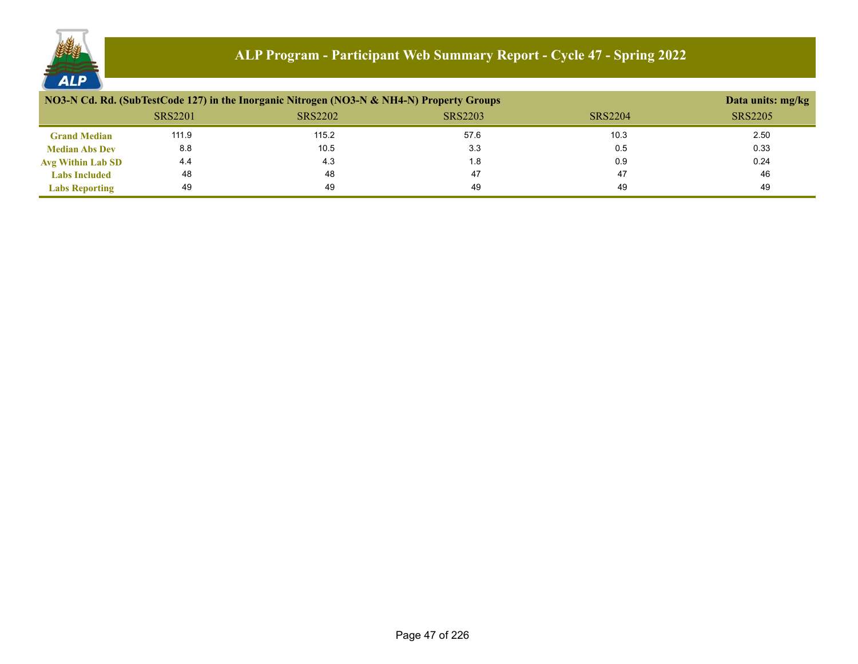

| NO3-N Cd. Rd. (SubTestCode 127) in the Inorganic Nitrogen (NO3-N & NH4-N) Property Groups<br>Data units: mg/kg |         |                |         |         |                |  |  |  |  |  |  |  |
|----------------------------------------------------------------------------------------------------------------|---------|----------------|---------|---------|----------------|--|--|--|--|--|--|--|
|                                                                                                                | SRS2201 | <b>SRS2202</b> | SRS2203 | SRS2204 | <b>SRS2205</b> |  |  |  |  |  |  |  |
| <b>Grand Median</b>                                                                                            | 111.9   | 115.2          | 57.6    | 10.3    | 2.50           |  |  |  |  |  |  |  |
| <b>Median Abs Dev</b>                                                                                          | 8.8     | 10.5           | 3.3     | 0.5     | 0.33           |  |  |  |  |  |  |  |
| Avg Within Lab SD                                                                                              | 4.4     | 4.3            | 8. ا    | 0.9     | 0.24           |  |  |  |  |  |  |  |
| <b>Labs Included</b>                                                                                           | 48      | 48             | 47      | 47      | 46             |  |  |  |  |  |  |  |
| <b>Labs Reporting</b>                                                                                          | 49      | 49             | 49      | 49      | 49             |  |  |  |  |  |  |  |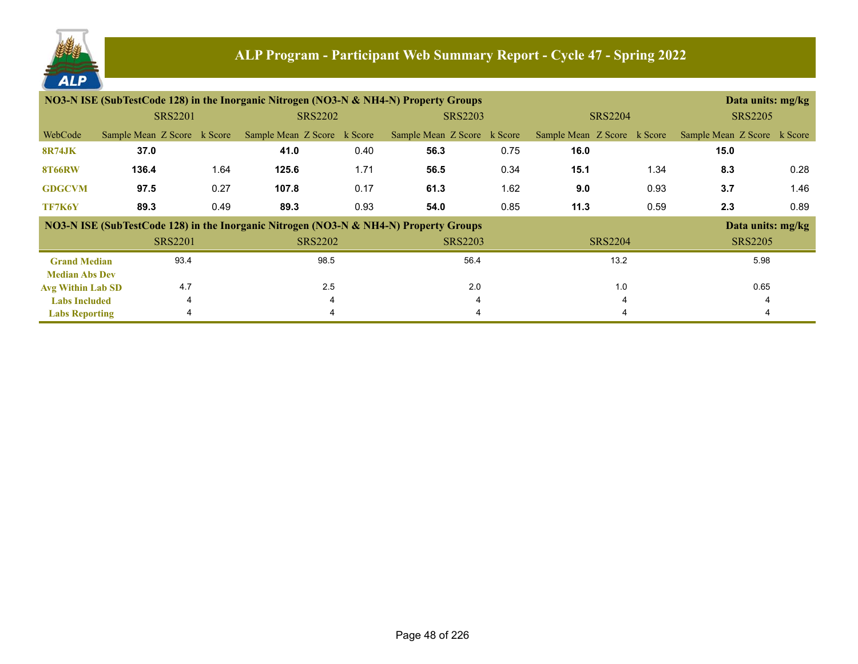

|                       |                                                                                       |      |                             |      | NO3-N ISE (SubTestCode 128) in the Inorganic Nitrogen (NO3-N & NH4-N) Property Groups |      |                             |      | Data units: mg/kg           |      |
|-----------------------|---------------------------------------------------------------------------------------|------|-----------------------------|------|---------------------------------------------------------------------------------------|------|-----------------------------|------|-----------------------------|------|
|                       | <b>SRS2201</b>                                                                        |      | <b>SRS2202</b>              |      | <b>SRS2203</b>                                                                        |      | <b>SRS2204</b>              |      | <b>SRS2205</b>              |      |
| WebCode               | Sample Mean Z Score k Score                                                           |      | Sample Mean Z Score k Score |      | Sample Mean Z Score k Score                                                           |      | Sample Mean Z Score k Score |      | Sample Mean Z Score k Score |      |
| <b>8R74JK</b>         | 37.0                                                                                  |      | 41.0                        | 0.40 | 56.3                                                                                  | 0.75 | 16.0                        |      | 15.0                        |      |
| <b>8T66RW</b>         | 136.4                                                                                 | 1.64 | 125.6                       | 1.71 | 56.5                                                                                  | 0.34 | 15.1                        | 1.34 | 8.3                         | 0.28 |
| <b>GDGCVM</b>         | 97.5                                                                                  | 0.27 | 107.8                       | 0.17 | 61.3                                                                                  | 1.62 | 9.0                         | 0.93 | 3.7                         | 1.46 |
| TF7K6Y                | 89.3                                                                                  | 0.49 | 89.3                        | 0.93 | 54.0                                                                                  | 0.85 | 11.3                        | 0.59 | 2.3                         | 0.89 |
|                       | NO3-N ISE (SubTestCode 128) in the Inorganic Nitrogen (NO3-N & NH4-N) Property Groups |      |                             |      |                                                                                       |      |                             |      | Data units: mg/kg           |      |
|                       | SRS2201                                                                               |      | <b>SRS2202</b>              |      | <b>SRS2203</b>                                                                        |      | <b>SRS2204</b>              |      | SRS2205                     |      |
| <b>Grand Median</b>   | 93.4                                                                                  |      | 98.5                        |      | 56.4                                                                                  |      | 13.2                        |      | 5.98                        |      |
| <b>Median Abs Dev</b> |                                                                                       |      |                             |      |                                                                                       |      |                             |      |                             |      |
| Avg Within Lab SD     | 4.7                                                                                   |      | 2.5                         |      | 2.0                                                                                   |      | 1.0                         |      | 0.65                        |      |
| <b>Labs Included</b>  | 4                                                                                     |      | 4                           |      | 4                                                                                     |      | 4                           |      | 4                           |      |
| <b>Labs Reporting</b> | 4                                                                                     |      | 4                           |      | 4                                                                                     |      | 4                           |      | 4                           |      |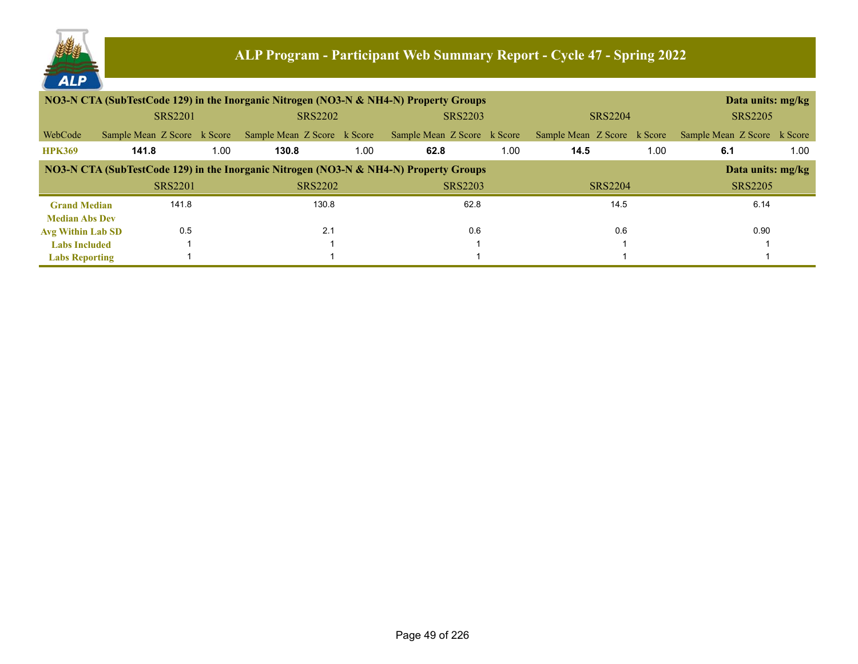

|                              |                                                                                       |  |                             |      | NO3-N CTA (SubTestCode 129) in the Inorganic Nitrogen (NO3-N & NH4-N) Property Groups |      |                             |                   | Data units: mg/kg           |      |  |  |  |
|------------------------------|---------------------------------------------------------------------------------------|--|-----------------------------|------|---------------------------------------------------------------------------------------|------|-----------------------------|-------------------|-----------------------------|------|--|--|--|
|                              | SRS2201                                                                               |  | SRS2202                     |      | <b>SRS2203</b>                                                                        |      | SRS2204                     |                   | SRS2205                     |      |  |  |  |
| WebCode                      | Sample Mean Z Score k Score                                                           |  | Sample Mean Z Score k Score |      | Sample Mean Z Score k Score                                                           |      | Sample Mean Z Score k Score |                   | Sample Mean Z Score k Score |      |  |  |  |
| <b>HPK369</b>                | 141.8                                                                                 |  | 130.8                       | 1.00 | 62.8                                                                                  | 1.00 | 14.5                        | 1.00 <sub>1</sub> | 6.1                         | 1.00 |  |  |  |
|                              | NO3-N CTA (SubTestCode 129) in the Inorganic Nitrogen (NO3-N & NH4-N) Property Groups |  |                             |      |                                                                                       |      |                             |                   |                             |      |  |  |  |
|                              | <b>SRS2201</b>                                                                        |  | <b>SRS2202</b>              |      | <b>SRS2203</b>                                                                        |      | SRS2204                     |                   | SRS2205                     |      |  |  |  |
| 141.8<br><b>Grand Median</b> |                                                                                       |  | 130.8                       |      | 62.8                                                                                  |      | 14.5                        |                   | 6.14                        |      |  |  |  |
| <b>Median Abs Dev</b>        |                                                                                       |  |                             |      |                                                                                       |      |                             |                   |                             |      |  |  |  |
| Avg Within Lab SD            | 0.5                                                                                   |  | 2.1                         |      | 0.6                                                                                   |      | 0.6                         |                   | 0.90                        |      |  |  |  |
| <b>Labs Included</b>         |                                                                                       |  |                             |      |                                                                                       |      |                             |                   |                             |      |  |  |  |
| <b>Labs Reporting</b>        |                                                                                       |  |                             |      |                                                                                       |      |                             |                   |                             |      |  |  |  |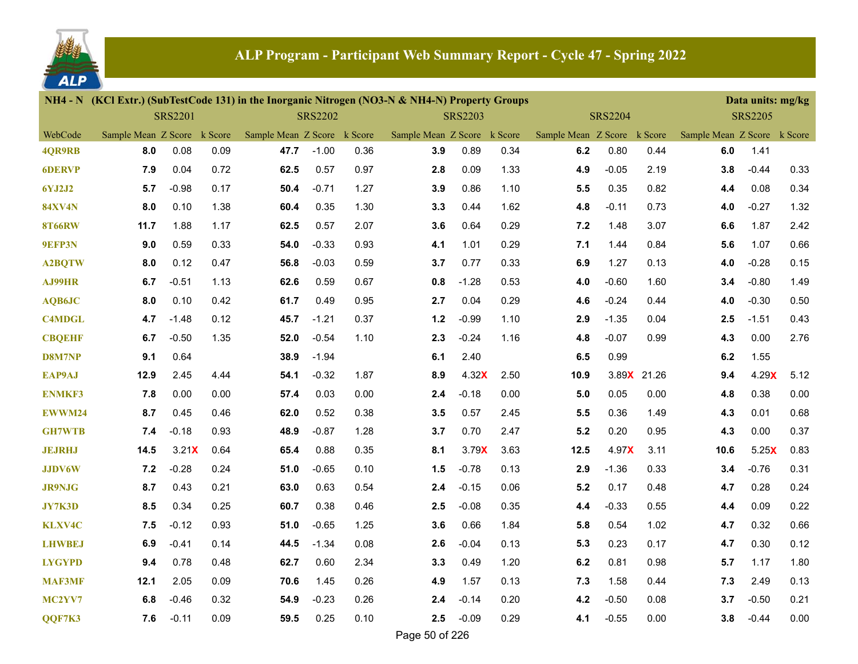

|                                 | NH4 - N (KCl Extr.) (SubTestCode 131) in the Inorganic Nitrogen (NO3-N & NH4-N) Property Groups |                |      |                             |                |      |                             |                |      |                             |                |             |                             | Data units: mg/kg |      |
|---------------------------------|-------------------------------------------------------------------------------------------------|----------------|------|-----------------------------|----------------|------|-----------------------------|----------------|------|-----------------------------|----------------|-------------|-----------------------------|-------------------|------|
|                                 |                                                                                                 | <b>SRS2201</b> |      |                             | <b>SRS2202</b> |      |                             | <b>SRS2203</b> |      |                             | <b>SRS2204</b> |             |                             | <b>SRS2205</b>    |      |
| WebCode                         | Sample Mean Z Score k Score                                                                     |                |      | Sample Mean Z Score k Score |                |      | Sample Mean Z Score k Score |                |      | Sample Mean Z Score k Score |                |             | Sample Mean Z Score k Score |                   |      |
| 4QR9RB                          | 8.0                                                                                             | 0.08           | 0.09 | 47.7                        | $-1.00$        | 0.36 | 3.9                         | 0.89           | 0.34 | 6.2                         | 0.80           | 0.44        | 6.0                         | 1.41              |      |
| <b>6DERVP</b>                   | 7.9                                                                                             | 0.04           | 0.72 | 62.5                        | 0.57           | 0.97 | 2.8                         | 0.09           | 1.33 | 4.9                         | $-0.05$        | 2.19        | 3.8                         | $-0.44$           | 0.33 |
| 6YJ2J2                          | 5.7                                                                                             | $-0.98$        | 0.17 | 50.4                        | $-0.71$        | 1.27 | 3.9                         | 0.86           | 1.10 | 5.5                         | 0.35           | 0.82        | 4.4                         | 0.08              | 0.34 |
| <b>84XV4N</b>                   | 8.0                                                                                             | 0.10           | 1.38 | 60.4                        | 0.35           | 1.30 | 3.3                         | 0.44           | 1.62 | 4.8                         | $-0.11$        | 0.73        | 4.0                         | $-0.27$           | 1.32 |
| <b>8T66RW</b>                   | 11.7                                                                                            | 1.88           | 1.17 | 62.5                        | 0.57           | 2.07 | 3.6                         | 0.64           | 0.29 | 7.2                         | 1.48           | 3.07        | 6.6                         | 1.87              | 2.42 |
| 9EFP3N                          | 9.0                                                                                             | 0.59           | 0.33 | 54.0                        | $-0.33$        | 0.93 | 4.1                         | 1.01           | 0.29 | 7.1                         | 1.44           | 0.84        | 5.6                         | 1.07              | 0.66 |
| <b>A2BQTW</b>                   | 8.0                                                                                             | 0.12           | 0.47 | 56.8                        | $-0.03$        | 0.59 | 3.7                         | 0.77           | 0.33 | 6.9                         | 1.27           | 0.13        | 4.0                         | $-0.28$           | 0.15 |
| AJ99HR                          | 6.7                                                                                             | $-0.51$        | 1.13 | 62.6                        | 0.59           | 0.67 | 0.8                         | $-1.28$        | 0.53 | 4.0                         | $-0.60$        | 1.60        | 3.4                         | $-0.80$           | 1.49 |
| <b>AQB6JC</b>                   | 8.0                                                                                             | 0.10           | 0.42 | 61.7                        | 0.49           | 0.95 | 2.7                         | 0.04           | 0.29 | 4.6                         | $-0.24$        | 0.44        | 4.0                         | $-0.30$           | 0.50 |
| <b>C4MDGL</b>                   | 4.7                                                                                             | $-1.48$        | 0.12 | 45.7                        | $-1.21$        | 0.37 | $1.2$                       | $-0.99$        | 1.10 | 2.9                         | $-1.35$        | 0.04        | 2.5                         | $-1.51$           | 0.43 |
| <b>CBQEHF</b>                   | 6.7                                                                                             | $-0.50$        | 1.35 | 52.0                        | $-0.54$        | 1.10 | 2.3                         | $-0.24$        | 1.16 | 4.8                         | $-0.07$        | 0.99        | 4.3                         | 0.00              | 2.76 |
| <b>D8M7NP</b>                   | 9.1                                                                                             | 0.64           |      | 38.9                        | $-1.94$        |      | 6.1                         | 2.40           |      | 6.5                         | 0.99           |             | 6.2                         | 1.55              |      |
| EAP9AJ                          | 12.9                                                                                            | 2.45           | 4.44 | 54.1                        | $-0.32$        | 1.87 | 8.9                         | 4.32X          | 2.50 | 10.9                        |                | 3.89X 21.26 | 9.4                         | 4.29X             | 5.12 |
| <b>ENMKF3</b>                   | 7.8                                                                                             | 0.00           | 0.00 | 57.4                        | 0.03           | 0.00 | 2.4                         | $-0.18$        | 0.00 | 5.0                         | 0.05           | 0.00        | 4.8                         | 0.38              | 0.00 |
| EWWM24                          | 8.7                                                                                             | 0.45           | 0.46 | 62.0                        | 0.52           | 0.38 | 3.5                         | 0.57           | 2.45 | 5.5                         | 0.36           | 1.49        | 4.3                         | 0.01              | 0.68 |
| <b>GH7WTB</b>                   | 7.4                                                                                             | $-0.18$        | 0.93 | 48.9                        | $-0.87$        | 1.28 | 3.7                         | 0.70           | 2.47 | 5.2                         | 0.20           | 0.95        | 4.3                         | 0.00              | 0.37 |
| <b>JEJRHJ</b>                   | 14.5                                                                                            | 3.21X          | 0.64 | 65.4                        | 0.88           | 0.35 | 8.1                         | 3.79X          | 3.63 | 12.5                        | 4.97X          | 3.11        | 10.6                        | 5.25X             | 0.83 |
| <b>JJDV6W</b>                   | 7.2                                                                                             | $-0.28$        | 0.24 | 51.0                        | $-0.65$        | 0.10 | 1.5                         | $-0.78$        | 0.13 | 2.9                         | $-1.36$        | 0.33        | 3.4                         | $-0.76$           | 0.31 |
| <b>JR9NJG</b>                   | 8.7                                                                                             | 0.43           | 0.21 | 63.0                        | 0.63           | 0.54 | 2.4                         | $-0.15$        | 0.06 | 5.2                         | 0.17           | 0.48        | 4.7                         | 0.28              | 0.24 |
| JY7K3D                          | 8.5                                                                                             | 0.34           | 0.25 | 60.7                        | 0.38           | 0.46 | 2.5                         | $-0.08$        | 0.35 | 4.4                         | $-0.33$        | 0.55        | 4.4                         | 0.09              | 0.22 |
| <b>KLXV4C</b>                   | 7.5                                                                                             | $-0.12$        | 0.93 | 51.0                        | $-0.65$        | 1.25 | 3.6                         | 0.66           | 1.84 | 5.8                         | 0.54           | 1.02        | 4.7                         | 0.32              | 0.66 |
| <b>LHWBEJ</b>                   | 6.9                                                                                             | $-0.41$        | 0.14 | 44.5                        | $-1.34$        | 0.08 | 2.6                         | $-0.04$        | 0.13 | 5.3                         | 0.23           | 0.17        | 4.7                         | 0.30              | 0.12 |
| <b>LYGYPD</b>                   | 9.4                                                                                             | 0.78           | 0.48 | 62.7                        | 0.60           | 2.34 | 3.3                         | 0.49           | 1.20 | 6.2                         | 0.81           | 0.98        | 5.7                         | 1.17              | 1.80 |
| <b>MAF3MF</b>                   | 12.1                                                                                            | 2.05           | 0.09 | 70.6                        | 1.45           | 0.26 | 4.9                         | 1.57           | 0.13 | 7.3                         | 1.58           | 0.44        | 7.3                         | 2.49              | 0.13 |
| MC <sub>2</sub> YV <sub>7</sub> | 6.8                                                                                             | $-0.46$        | 0.32 | 54.9                        | $-0.23$        | 0.26 | 2.4                         | $-0.14$        | 0.20 | 4.2                         | $-0.50$        | 0.08        | 3.7                         | $-0.50$           | 0.21 |
| QQF7K3                          | 7.6                                                                                             | $-0.11$        | 0.09 | 59.5                        | 0.25           | 0.10 | 2.5                         | $-0.09$        | 0.29 | 4.1                         | $-0.55$        | 0.00        | 3.8                         | $-0.44$           | 0.00 |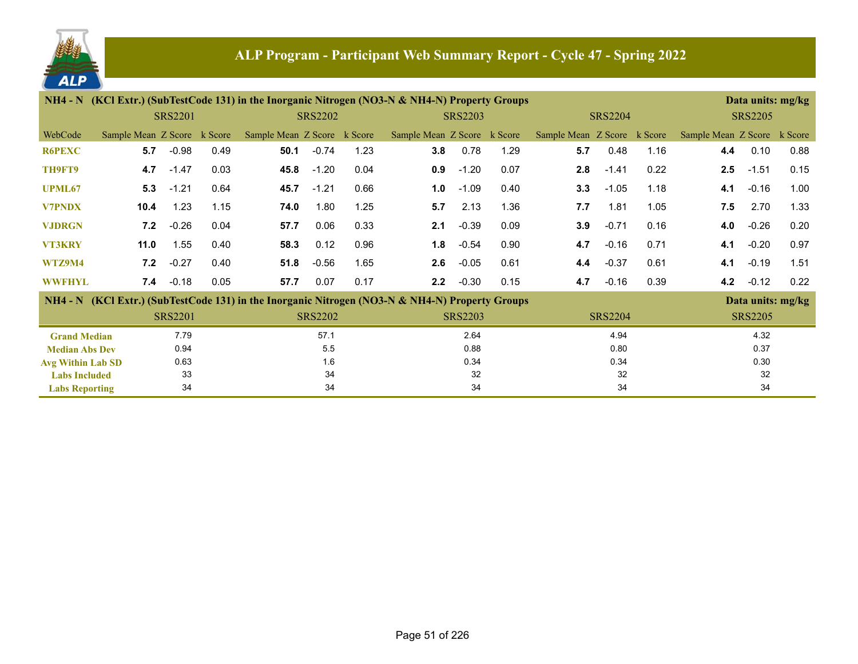

|                          |                             |                |      |                             |                |      | NH4 - N (KCl Extr.) (SubTestCode 131) in the Inorganic Nitrogen (NO3-N & NH4-N) Property Groups |                |      |                             |                |      |                             |                | Data units: mg/kg |
|--------------------------|-----------------------------|----------------|------|-----------------------------|----------------|------|-------------------------------------------------------------------------------------------------|----------------|------|-----------------------------|----------------|------|-----------------------------|----------------|-------------------|
|                          |                             | <b>SRS2201</b> |      |                             | <b>SRS2202</b> |      |                                                                                                 | <b>SRS2203</b> |      |                             | <b>SRS2204</b> |      |                             | <b>SRS2205</b> |                   |
| WebCode                  | Sample Mean Z Score k Score |                |      | Sample Mean Z Score k Score |                |      | Sample Mean Z Score k Score                                                                     |                |      | Sample Mean Z Score k Score |                |      | Sample Mean Z Score k Score |                |                   |
| <b>R6PEXC</b>            | 5.7                         | $-0.98$        | 0.49 | 50.1                        | $-0.74$        | 1.23 | 3.8                                                                                             | 0.78           | 1.29 | 5.7                         | 0.48           | 1.16 | 4.4                         | 0.10           | 0.88              |
| <b>ТН9FТ9</b>            | 4.7                         | $-1.47$        | 0.03 | 45.8                        | $-1.20$        | 0.04 | 0.9                                                                                             | $-1.20$        | 0.07 | 2.8                         | $-1.41$        | 0.22 | 2.5                         | $-1.51$        | 0.15              |
| UPML67                   | 5.3                         | $-1.21$        | 0.64 | 45.7                        | $-1.21$        | 0.66 | 1.0                                                                                             | $-1.09$        | 0.40 | 3.3                         | $-1.05$        | 1.18 | 4.1                         | $-0.16$        | 1.00              |
| <b>V7PNDX</b>            | 10.4                        | 1.23           | 1.15 | 74.0                        | 1.80           | 1.25 | 5.7                                                                                             | 2.13           | 1.36 | 7.7                         | 1.81           | 1.05 | 7.5                         | 2.70           | 1.33              |
| <b>VJDRGN</b>            | 7.2                         | $-0.26$        | 0.04 | 57.7                        | 0.06           | 0.33 | 2.1                                                                                             | $-0.39$        | 0.09 | 3.9                         | $-0.71$        | 0.16 | 4.0                         | $-0.26$        | 0.20              |
| <b>VT3KRY</b>            | 11.0                        | 1.55           | 0.40 | 58.3                        | 0.12           | 0.96 | 1.8                                                                                             | $-0.54$        | 0.90 | 4.7                         | $-0.16$        | 0.71 | 4.1                         | $-0.20$        | 0.97              |
| WTZ9M4                   | 7.2                         | $-0.27$        | 0.40 | 51.8                        | $-0.56$        | 1.65 | 2.6                                                                                             | $-0.05$        | 0.61 | 4.4                         | $-0.37$        | 0.61 | 4.1                         | $-0.19$        | 1.51              |
| <b>WWFHYL</b>            | 7.4                         | $-0.18$        | 0.05 | 57.7                        | 0.07           | 0.17 | 2.2                                                                                             | $-0.30$        | 0.15 | 4.7                         | $-0.16$        | 0.39 | 4.2                         | $-0.12$        | 0.22              |
|                          |                             |                |      |                             |                |      | NH4 - N (KCl Extr.) (SubTestCode 131) in the Inorganic Nitrogen (NO3-N & NH4-N) Property Groups |                |      |                             |                |      |                             |                | Data units: mg/kg |
|                          |                             | <b>SRS2201</b> |      |                             | <b>SRS2202</b> |      |                                                                                                 | <b>SRS2203</b> |      |                             | <b>SRS2204</b> |      |                             | <b>SRS2205</b> |                   |
| <b>Grand Median</b>      |                             | 7.79           |      |                             | 57.1           |      |                                                                                                 | 2.64           |      |                             | 4.94           |      |                             | 4.32           |                   |
| <b>Median Abs Dev</b>    |                             | 0.94           |      |                             | 5.5            |      |                                                                                                 | 0.88           |      |                             | 0.80           |      |                             | 0.37           |                   |
| <b>Avg Within Lab SD</b> |                             | 0.63           |      |                             | 1.6            |      |                                                                                                 | 0.34           |      |                             | 0.34           |      |                             | 0.30           |                   |
| <b>Labs Included</b>     |                             | 33             |      |                             | 34             |      |                                                                                                 | 32             |      |                             | 32             |      |                             | 32             |                   |
| <b>Labs Reporting</b>    |                             | 34             |      |                             | 34             |      |                                                                                                 | 34             |      |                             | 34             |      |                             | 34             |                   |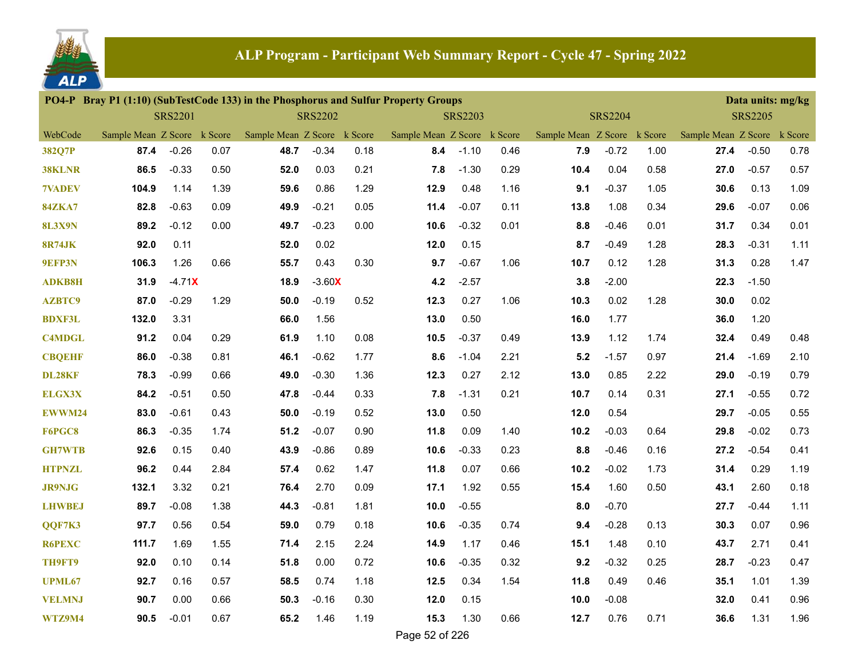

|               | PO4-P Bray P1 (1:10) (SubTestCode 133) in the Phosphorus and Sulfur Property Groups |                |      |                             |                |      |                             |                |      |                             |                |      |                             | Data units: mg/kg |      |
|---------------|-------------------------------------------------------------------------------------|----------------|------|-----------------------------|----------------|------|-----------------------------|----------------|------|-----------------------------|----------------|------|-----------------------------|-------------------|------|
|               |                                                                                     | <b>SRS2201</b> |      |                             | <b>SRS2202</b> |      |                             | <b>SRS2203</b> |      |                             | <b>SRS2204</b> |      |                             | <b>SRS2205</b>    |      |
| WebCode       | Sample Mean Z Score k Score                                                         |                |      | Sample Mean Z Score k Score |                |      | Sample Mean Z Score k Score |                |      | Sample Mean Z Score k Score |                |      | Sample Mean Z Score k Score |                   |      |
| 382Q7P        | 87.4                                                                                | $-0.26$        | 0.07 | 48.7                        | $-0.34$        | 0.18 | 8.4                         | $-1.10$        | 0.46 | 7.9                         | $-0.72$        | 1.00 | 27.4                        | $-0.50$           | 0.78 |
| <b>38KLNR</b> | 86.5                                                                                | $-0.33$        | 0.50 | 52.0                        | 0.03           | 0.21 | 7.8                         | $-1.30$        | 0.29 | 10.4                        | 0.04           | 0.58 | 27.0                        | $-0.57$           | 0.57 |
| <b>7VADEV</b> | 104.9                                                                               | 1.14           | 1.39 | 59.6                        | 0.86           | 1.29 | 12.9                        | 0.48           | 1.16 | 9.1                         | $-0.37$        | 1.05 | 30.6                        | 0.13              | 1.09 |
| <b>84ZKA7</b> | 82.8                                                                                | $-0.63$        | 0.09 | 49.9                        | $-0.21$        | 0.05 | 11.4                        | $-0.07$        | 0.11 | 13.8                        | 1.08           | 0.34 | 29.6                        | $-0.07$           | 0.06 |
| <b>8L3X9N</b> | 89.2                                                                                | $-0.12$        | 0.00 | 49.7                        | $-0.23$        | 0.00 | 10.6                        | $-0.32$        | 0.01 | 8.8                         | $-0.46$        | 0.01 | 31.7                        | 0.34              | 0.01 |
| <b>8R74JK</b> | 92.0                                                                                | 0.11           |      | 52.0                        | 0.02           |      | 12.0                        | 0.15           |      | 8.7                         | $-0.49$        | 1.28 | 28.3                        | $-0.31$           | 1.11 |
| 9EFP3N        | 106.3                                                                               | 1.26           | 0.66 | 55.7                        | 0.43           | 0.30 | 9.7                         | $-0.67$        | 1.06 | 10.7                        | 0.12           | 1.28 | 31.3                        | 0.28              | 1.47 |
| <b>ADKB8H</b> | 31.9                                                                                | $-4.71X$       |      | 18.9                        | $-3.60X$       |      | 4.2                         | $-2.57$        |      | 3.8                         | $-2.00$        |      | 22.3                        | $-1.50$           |      |
| <b>AZBTC9</b> | 87.0                                                                                | $-0.29$        | 1.29 | 50.0                        | $-0.19$        | 0.52 | 12.3                        | 0.27           | 1.06 | 10.3                        | 0.02           | 1.28 | 30.0                        | 0.02              |      |
| <b>BDXF3L</b> | 132.0                                                                               | 3.31           |      | 66.0                        | 1.56           |      | 13.0                        | 0.50           |      | 16.0                        | 1.77           |      | 36.0                        | 1.20              |      |
| <b>C4MDGL</b> | 91.2                                                                                | 0.04           | 0.29 | 61.9                        | 1.10           | 0.08 | 10.5                        | $-0.37$        | 0.49 | 13.9                        | 1.12           | 1.74 | 32.4                        | 0.49              | 0.48 |
| <b>CBQEHF</b> | 86.0                                                                                | $-0.38$        | 0.81 | 46.1                        | $-0.62$        | 1.77 | 8.6                         | $-1.04$        | 2.21 | 5.2                         | $-1.57$        | 0.97 | 21.4                        | $-1.69$           | 2.10 |
| DL28KF        | 78.3                                                                                | $-0.99$        | 0.66 | 49.0                        | $-0.30$        | 1.36 | 12.3                        | 0.27           | 2.12 | 13.0                        | 0.85           | 2.22 | 29.0                        | $-0.19$           | 0.79 |
| <b>ELGX3X</b> | 84.2                                                                                | $-0.51$        | 0.50 | 47.8                        | $-0.44$        | 0.33 | 7.8                         | $-1.31$        | 0.21 | 10.7                        | 0.14           | 0.31 | 27.1                        | $-0.55$           | 0.72 |
| EWWM24        | 83.0                                                                                | $-0.61$        | 0.43 | 50.0                        | $-0.19$        | 0.52 | 13.0                        | 0.50           |      | 12.0                        | 0.54           |      | 29.7                        | $-0.05$           | 0.55 |
| F6PGC8        | 86.3                                                                                | $-0.35$        | 1.74 | 51.2                        | $-0.07$        | 0.90 | 11.8                        | 0.09           | 1.40 | 10.2                        | $-0.03$        | 0.64 | 29.8                        | $-0.02$           | 0.73 |
| <b>GH7WTB</b> | 92.6                                                                                | 0.15           | 0.40 | 43.9                        | $-0.86$        | 0.89 | 10.6                        | $-0.33$        | 0.23 | 8.8                         | $-0.46$        | 0.16 | 27.2                        | $-0.54$           | 0.41 |
| <b>HTPNZL</b> | 96.2                                                                                | 0.44           | 2.84 | 57.4                        | 0.62           | 1.47 | 11.8                        | 0.07           | 0.66 | 10.2                        | $-0.02$        | 1.73 | 31.4                        | 0.29              | 1.19 |
| <b>JR9NJG</b> | 132.1                                                                               | 3.32           | 0.21 | 76.4                        | 2.70           | 0.09 | 17.1                        | 1.92           | 0.55 | 15.4                        | 1.60           | 0.50 | 43.1                        | 2.60              | 0.18 |
| <b>LHWBEJ</b> | 89.7                                                                                | $-0.08$        | 1.38 | 44.3                        | $-0.81$        | 1.81 | 10.0                        | $-0.55$        |      | 8.0                         | $-0.70$        |      | 27.7                        | $-0.44$           | 1.11 |
| QQF7K3        | 97.7                                                                                | 0.56           | 0.54 | 59.0                        | 0.79           | 0.18 | 10.6                        | $-0.35$        | 0.74 | 9.4                         | $-0.28$        | 0.13 | 30.3                        | 0.07              | 0.96 |
| <b>R6PEXC</b> | 111.7                                                                               | 1.69           | 1.55 | 71.4                        | 2.15           | 2.24 | 14.9                        | 1.17           | 0.46 | 15.1                        | 1.48           | 0.10 | 43.7                        | 2.71              | 0.41 |
| <b>TH9FT9</b> | 92.0                                                                                | 0.10           | 0.14 | 51.8                        | 0.00           | 0.72 | 10.6                        | $-0.35$        | 0.32 | 9.2                         | $-0.32$        | 0.25 | 28.7                        | $-0.23$           | 0.47 |
| UPML67        | 92.7                                                                                | 0.16           | 0.57 | 58.5                        | 0.74           | 1.18 | 12.5                        | 0.34           | 1.54 | 11.8                        | 0.49           | 0.46 | 35.1                        | 1.01              | 1.39 |
| <b>VELMNJ</b> | 90.7                                                                                | 0.00           | 0.66 | 50.3                        | $-0.16$        | 0.30 | 12.0                        | 0.15           |      | 10.0                        | $-0.08$        |      | 32.0                        | 0.41              | 0.96 |
| WTZ9M4        | 90.5                                                                                | $-0.01$        | 0.67 | 65.2                        | 1.46           | 1.19 | 15.3                        | 1.30           | 0.66 | 12.7                        | 0.76           | 0.71 | 36.6                        | 1.31              | 1.96 |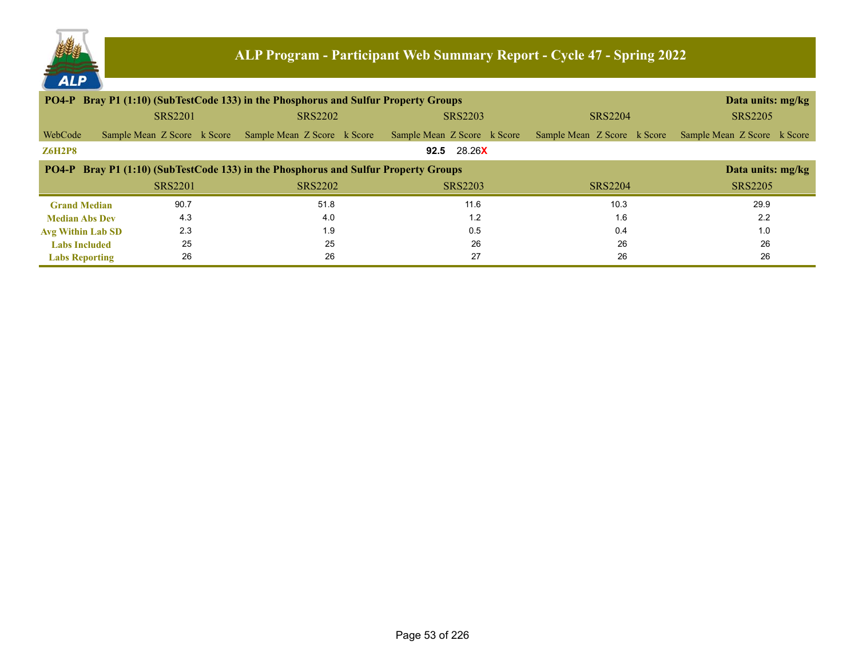

|                       |                                                                                     | PO4-P Bray P1 (1:10) (SubTestCode 133) in the Phosphorus and Sulfur Property Groups |                             |                             | Data units: mg/kg           |
|-----------------------|-------------------------------------------------------------------------------------|-------------------------------------------------------------------------------------|-----------------------------|-----------------------------|-----------------------------|
|                       | SRS2201                                                                             | SRS2202                                                                             | SRS2203                     | SRS2204                     | SRS2205                     |
| WebCode               |                                                                                     | Sample Mean Z Score k Score Sample Mean Z Score k Score                             | Sample Mean Z Score k Score | Sample Mean Z Score k Score | Sample Mean Z Score k Score |
| <b>Z6H2P8</b>         |                                                                                     |                                                                                     | 92.5 28.26X                 |                             |                             |
|                       | PO4-P Bray P1 (1:10) (SubTestCode 133) in the Phosphorus and Sulfur Property Groups | Data units: mg/kg                                                                   |                             |                             |                             |
|                       | <b>SRS2201</b>                                                                      | <b>SRS2202</b>                                                                      | <b>SRS2203</b>              | SRS2204                     | SRS2205                     |
| <b>Grand Median</b>   | 90.7                                                                                | 51.8                                                                                | 11.6                        | 10.3                        | 29.9                        |
| <b>Median Abs Dev</b> | 4.3                                                                                 | 4.0                                                                                 | 1.2                         | 1.6                         | 2.2                         |
| Avg Within Lab SD     | 2.3                                                                                 | 1.9                                                                                 | 0.5                         | 0.4                         | 1.0                         |
| <b>Labs Included</b>  | 25                                                                                  | 25                                                                                  | 26                          | 26                          | 26                          |
| <b>Labs Reporting</b> | 26                                                                                  | 26                                                                                  | 27                          | 26                          | 26                          |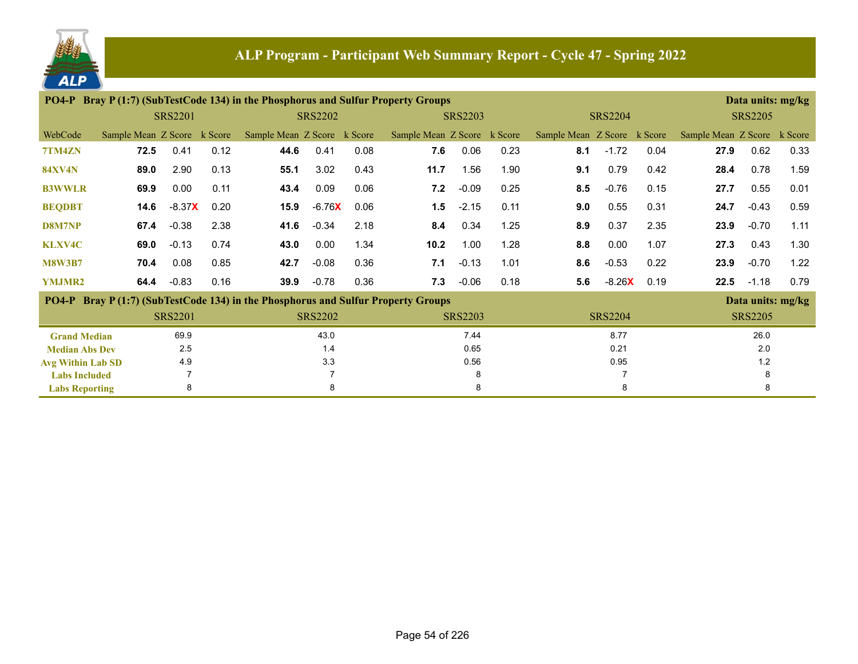

| $PO4-P$               |                             |                |      |                             |                |      | <b>Bray P (1:7) (SubTestCode 134) in the Phosphorus and Sulfur Property Groups</b> |                |      |                             |                  |      |                             |                   | Data units: mg/kg |
|-----------------------|-----------------------------|----------------|------|-----------------------------|----------------|------|------------------------------------------------------------------------------------|----------------|------|-----------------------------|------------------|------|-----------------------------|-------------------|-------------------|
|                       |                             | <b>SRS2201</b> |      |                             | <b>SRS2202</b> |      |                                                                                    | <b>SRS2203</b> |      |                             | <b>SRS2204</b>   |      |                             | <b>SRS2205</b>    |                   |
| WebCode               | Sample Mean Z Score k Score |                |      | Sample Mean Z Score k Score |                |      | Sample Mean Z Score k Score                                                        |                |      | Sample Mean Z Score k Score |                  |      | Sample Mean Z Score k Score |                   |                   |
| 7TM4ZN                | 72.5                        | 0.41           | 0.12 | 44.6                        | 0.41           | 0.08 | 7.6                                                                                | 0.06           | 0.23 | 8.1                         | $-1.72$          | 0.04 | 27.9                        | 0.62              | 0.33              |
| <b>84XV4N</b>         | 89.0                        | 2.90           | 0.13 | 55.1                        | 3.02           | 0.43 | 11.7                                                                               | 1.56           | 1.90 | 9.1                         | 0.79             | 0.42 | 28.4                        | 0.78              | 1.59              |
| <b>B3WWLR</b>         | 69.9                        | 0.00           | 0.11 | 43.4                        | 0.09           | 0.06 | 7.2                                                                                | $-0.09$        | 0.25 | 8.5                         | $-0.76$          | 0.15 | 27.7                        | 0.55              | 0.01              |
| <b>BEQDBT</b>         | 14.6                        | $-8.37X$       | 0.20 | 15.9                        | $-6.76X$       | 0.06 | 1.5                                                                                | $-2.15$        | 0.11 | 9.0                         | 0.55             | 0.31 | 24.7                        | $-0.43$           | 0.59              |
| <b>D8M7NP</b>         | 67.4                        | $-0.38$        | 2.38 | 41.6                        | $-0.34$        | 2.18 | 8.4                                                                                | 0.34           | 1.25 | 8.9                         | 0.37             | 2.35 | 23.9                        | $-0.70$           | 1.11              |
| <b>KLXV4C</b>         | 69.0                        | $-0.13$        | 0.74 | 43.0                        | 0.00           | 1.34 | 10.2                                                                               | 1.00           | 1.28 | 8.8                         | 0.00             | 1.07 | 27.3                        | 0.43              | 1.30              |
| <b>M8W3B7</b>         | 70.4                        | 0.08           | 0.85 | 42.7                        | $-0.08$        | 0.36 | 7.1                                                                                | $-0.13$        | 1.01 | 8.6                         | $-0.53$          | 0.22 | 23.9                        | $-0.70$           | 1.22              |
| <b>YMJMR2</b>         | 64.4                        | $-0.83$        | 0.16 | 39.9                        | $-0.78$        | 0.36 | 7.3                                                                                | $-0.06$        | 0.18 | 5.6                         | $-8.26$ <b>X</b> | 0.19 | 22.5                        | $-1.18$           | 0.79              |
|                       |                             |                |      |                             |                |      | PO4-P Bray P(1:7) (SubTestCode 134) in the Phosphorus and Sulfur Property Groups   |                |      |                             |                  |      |                             | Data units: mg/kg |                   |
|                       |                             | <b>SRS2201</b> |      |                             | <b>SRS2202</b> |      |                                                                                    | <b>SRS2203</b> |      |                             | <b>SRS2204</b>   |      |                             | <b>SRS2205</b>    |                   |
| <b>Grand Median</b>   |                             | 69.9           |      |                             | 43.0           |      |                                                                                    | 7.44           |      |                             | 8.77             |      |                             | 26.0              |                   |
| <b>Median Abs Dev</b> |                             | 2.5<br>1.4     |      |                             |                | 0.65 |                                                                                    |                | 0.21 |                             |                  | 2.0  |                             |                   |                   |
| Avg Within Lab SD     | 4.9                         |                |      | 3.3                         |                |      | 0.56                                                                               |                |      | 0.95                        |                  |      | 1.2                         |                   |                   |
| <b>Labs Included</b>  |                             |                |      |                             |                |      |                                                                                    | 8              |      |                             |                  |      |                             | 8                 |                   |
| <b>Labs Reporting</b> |                             | 8              |      |                             | 8              |      |                                                                                    | 8              |      |                             | 8                |      |                             | 8                 |                   |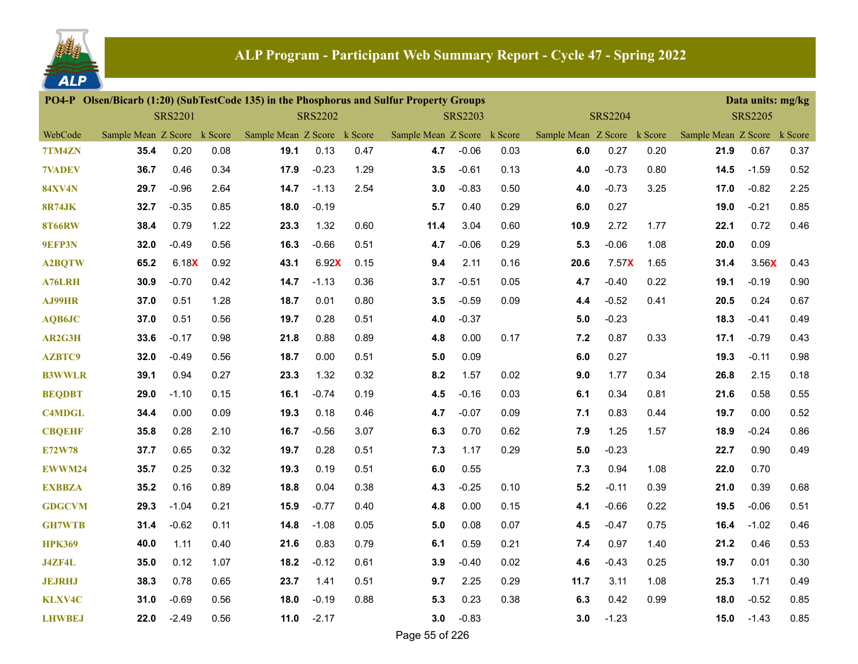

|               |                             |                |      | PO4-P Olsen/Bicarb (1:20) (SubTestCode 135) in the Phosphorus and Sulfur Property Groups |                |      |                             |                |      |                             |                |      |                             | Data units: mg/kg |      |
|---------------|-----------------------------|----------------|------|------------------------------------------------------------------------------------------|----------------|------|-----------------------------|----------------|------|-----------------------------|----------------|------|-----------------------------|-------------------|------|
|               |                             | <b>SRS2201</b> |      |                                                                                          | <b>SRS2202</b> |      |                             | <b>SRS2203</b> |      |                             | <b>SRS2204</b> |      |                             | <b>SRS2205</b>    |      |
| WebCode       | Sample Mean Z Score k Score |                |      | Sample Mean Z Score k Score                                                              |                |      | Sample Mean Z Score k Score |                |      | Sample Mean Z Score k Score |                |      | Sample Mean Z Score k Score |                   |      |
| 7TM4ZN        | 35.4                        | 0.20           | 0.08 | 19.1                                                                                     | 0.13           | 0.47 | 4.7                         | $-0.06$        | 0.03 | 6.0                         | 0.27           | 0.20 | 21.9                        | 0.67              | 0.37 |
| <b>7VADEV</b> | 36.7                        | 0.46           | 0.34 | 17.9                                                                                     | $-0.23$        | 1.29 | 3.5                         | $-0.61$        | 0.13 | 4.0                         | $-0.73$        | 0.80 | 14.5                        | $-1.59$           | 0.52 |
| <b>84XV4N</b> | 29.7                        | $-0.96$        | 2.64 | 14.7                                                                                     | $-1.13$        | 2.54 | 3.0                         | $-0.83$        | 0.50 | 4.0                         | $-0.73$        | 3.25 | 17.0                        | $-0.82$           | 2.25 |
| <b>8R74JK</b> | 32.7                        | $-0.35$        | 0.85 | 18.0                                                                                     | $-0.19$        |      | 5.7                         | 0.40           | 0.29 | 6.0                         | 0.27           |      | 19.0                        | $-0.21$           | 0.85 |
| <b>8T66RW</b> | 38.4                        | 0.79           | 1.22 | 23.3                                                                                     | 1.32           | 0.60 | 11.4                        | 3.04           | 0.60 | 10.9                        | 2.72           | 1.77 | 22.1                        | 0.72              | 0.46 |
| 9EFP3N        | 32.0                        | $-0.49$        | 0.56 | 16.3                                                                                     | $-0.66$        | 0.51 | 4.7                         | $-0.06$        | 0.29 | 5.3                         | $-0.06$        | 1.08 | 20.0                        | 0.09              |      |
| <b>A2BQTW</b> | 65.2                        | 6.18X          | 0.92 | 43.1                                                                                     | 6.92X          | 0.15 | 9.4                         | 2.11           | 0.16 | 20.6                        | 7.57X          | 1.65 | 31.4                        | 3.56 <sub>X</sub> | 0.43 |
| <b>A76LRH</b> | 30.9                        | $-0.70$        | 0.42 | 14.7                                                                                     | $-1.13$        | 0.36 | 3.7                         | $-0.51$        | 0.05 | 4.7                         | $-0.40$        | 0.22 | 19.1                        | $-0.19$           | 0.90 |
| AJ99HR        | 37.0                        | 0.51           | 1.28 | 18.7                                                                                     | 0.01           | 0.80 | 3.5                         | $-0.59$        | 0.09 | 4.4                         | $-0.52$        | 0.41 | 20.5                        | 0.24              | 0.67 |
| <b>AQB6JC</b> | 37.0                        | 0.51           | 0.56 | 19.7                                                                                     | 0.28           | 0.51 | 4.0                         | $-0.37$        |      | 5.0                         | $-0.23$        |      | 18.3                        | $-0.41$           | 0.49 |
| AR2G3H        | 33.6                        | $-0.17$        | 0.98 | 21.8                                                                                     | 0.88           | 0.89 | 4.8                         | 0.00           | 0.17 | 7.2                         | 0.87           | 0.33 | 17.1                        | $-0.79$           | 0.43 |
| <b>AZBTC9</b> | 32.0                        | $-0.49$        | 0.56 | 18.7                                                                                     | 0.00           | 0.51 | 5.0                         | 0.09           |      | 6.0                         | 0.27           |      | 19.3                        | $-0.11$           | 0.98 |
| <b>B3WWLR</b> | 39.1                        | 0.94           | 0.27 | 23.3                                                                                     | 1.32           | 0.32 | 8.2                         | 1.57           | 0.02 | 9.0                         | 1.77           | 0.34 | 26.8                        | 2.15              | 0.18 |
| <b>BEQDBT</b> | 29.0                        | $-1.10$        | 0.15 | 16.1                                                                                     | $-0.74$        | 0.19 | 4.5                         | $-0.16$        | 0.03 | 6.1                         | 0.34           | 0.81 | 21.6                        | 0.58              | 0.55 |
| <b>C4MDGL</b> | 34.4                        | 0.00           | 0.09 | 19.3                                                                                     | 0.18           | 0.46 | 4.7                         | $-0.07$        | 0.09 | 7.1                         | 0.83           | 0.44 | 19.7                        | 0.00              | 0.52 |
| <b>CBQEHF</b> | 35.8                        | 0.28           | 2.10 | 16.7                                                                                     | $-0.56$        | 3.07 | 6.3                         | 0.70           | 0.62 | 7.9                         | 1.25           | 1.57 | 18.9                        | $-0.24$           | 0.86 |
| E72W78        | 37.7                        | 0.65           | 0.32 | 19.7                                                                                     | 0.28           | 0.51 | 7.3                         | 1.17           | 0.29 | 5.0                         | $-0.23$        |      | 22.7                        | 0.90              | 0.49 |
| EWWM24        | 35.7                        | 0.25           | 0.32 | 19.3                                                                                     | 0.19           | 0.51 | 6.0                         | 0.55           |      | 7.3                         | 0.94           | 1.08 | 22.0                        | 0.70              |      |
| <b>EXBBZA</b> | 35.2                        | 0.16           | 0.89 | 18.8                                                                                     | 0.04           | 0.38 | 4.3                         | $-0.25$        | 0.10 | 5.2                         | $-0.11$        | 0.39 | 21.0                        | 0.39              | 0.68 |
| <b>GDGCVM</b> | 29.3                        | $-1.04$        | 0.21 | 15.9                                                                                     | $-0.77$        | 0.40 | 4.8                         | 0.00           | 0.15 | 4.1                         | $-0.66$        | 0.22 | 19.5                        | $-0.06$           | 0.51 |
| <b>GH7WTB</b> | 31.4                        | $-0.62$        | 0.11 | 14.8                                                                                     | $-1.08$        | 0.05 | 5.0                         | 0.08           | 0.07 | 4.5                         | $-0.47$        | 0.75 | 16.4                        | $-1.02$           | 0.46 |
| <b>HPK369</b> | 40.0                        | 1.11           | 0.40 | 21.6                                                                                     | 0.83           | 0.79 | 6.1                         | 0.59           | 0.21 | 7.4                         | 0.97           | 1.40 | 21.2                        | 0.46              | 0.53 |
| <b>J4ZF4L</b> | 35.0                        | 0.12           | 1.07 | 18.2                                                                                     | $-0.12$        | 0.61 | 3.9                         | $-0.40$        | 0.02 | 4.6                         | $-0.43$        | 0.25 | 19.7                        | 0.01              | 0.30 |
| <b>JEJRHJ</b> | 38.3                        | 0.78           | 0.65 | 23.7                                                                                     | 1.41           | 0.51 | 9.7                         | 2.25           | 0.29 | 11.7                        | 3.11           | 1.08 | 25.3                        | 1.71              | 0.49 |
| <b>KLXV4C</b> | 31.0                        | $-0.69$        | 0.56 | 18.0                                                                                     | $-0.19$        | 0.88 | 5.3                         | 0.23           | 0.38 | 6.3                         | 0.42           | 0.99 | 18.0                        | $-0.52$           | 0.85 |
| <b>LHWBEJ</b> | 22.0                        | $-2.49$        | 0.56 | 11.0                                                                                     | $-2.17$        |      | 3.0                         | $-0.83$        |      | 3.0                         | $-1.23$        |      | 15.0                        | $-1.43$           | 0.85 |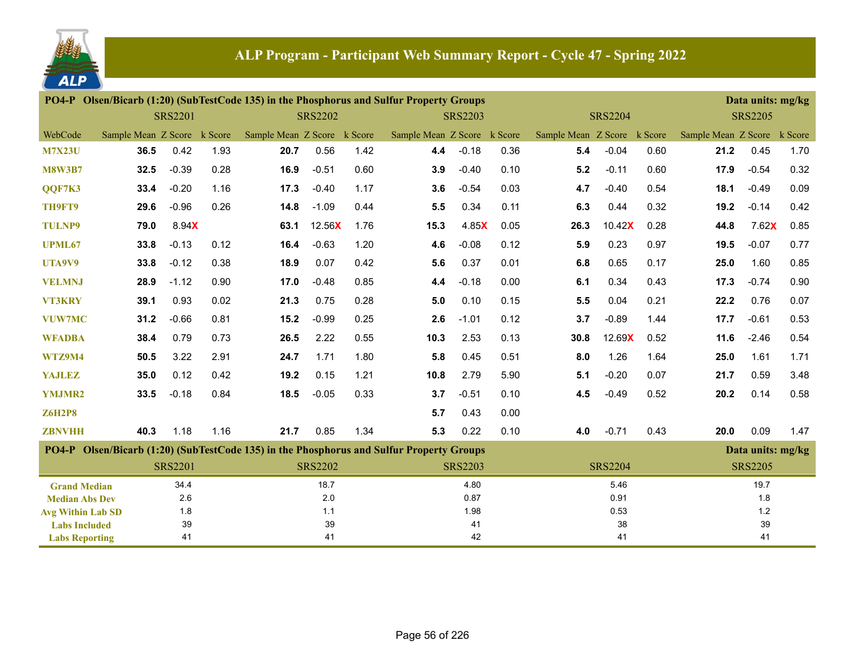

|                          |                             |                |      |                             |                |      | PO4-P Olsen/Bicarb (1:20) (SubTestCode 135) in the Phosphorus and Sulfur Property Groups |                |      |                             |                |      |                             | Data units: mg/kg |      |
|--------------------------|-----------------------------|----------------|------|-----------------------------|----------------|------|------------------------------------------------------------------------------------------|----------------|------|-----------------------------|----------------|------|-----------------------------|-------------------|------|
|                          |                             | <b>SRS2201</b> |      |                             | <b>SRS2202</b> |      |                                                                                          | <b>SRS2203</b> |      |                             | <b>SRS2204</b> |      |                             | <b>SRS2205</b>    |      |
| WebCode                  | Sample Mean Z Score k Score |                |      | Sample Mean Z Score k Score |                |      | Sample Mean Z Score k Score                                                              |                |      | Sample Mean Z Score k Score |                |      | Sample Mean Z Score k Score |                   |      |
| <b>M7X23U</b>            | 36.5                        | 0.42           | 1.93 | 20.7                        | 0.56           | 1.42 | 4.4                                                                                      | $-0.18$        | 0.36 | 5.4                         | $-0.04$        | 0.60 | 21.2                        | 0.45              | 1.70 |
| <b>M8W3B7</b>            | 32.5                        | $-0.39$        | 0.28 | 16.9                        | $-0.51$        | 0.60 | 3.9                                                                                      | $-0.40$        | 0.10 | 5.2                         | $-0.11$        | 0.60 | 17.9                        | $-0.54$           | 0.32 |
| QQF7K3                   | 33.4                        | $-0.20$        | 1.16 | 17.3                        | $-0.40$        | 1.17 | 3.6                                                                                      | $-0.54$        | 0.03 | 4.7                         | $-0.40$        | 0.54 | 18.1                        | $-0.49$           | 0.09 |
| TH9FT9                   | 29.6                        | $-0.96$        | 0.26 | 14.8                        | $-1.09$        | 0.44 | 5.5                                                                                      | 0.34           | 0.11 | 6.3                         | 0.44           | 0.32 | 19.2                        | $-0.14$           | 0.42 |
| <b>TULNP9</b>            | 79.0                        | 8.94X          |      | 63.1                        | 12.56X         | 1.76 | 15.3                                                                                     | 4.85X          | 0.05 | 26.3                        | 10.42X         | 0.28 | 44.8                        | 7.62X             | 0.85 |
| UPML67                   | 33.8                        | $-0.13$        | 0.12 | 16.4                        | $-0.63$        | 1.20 | 4.6                                                                                      | $-0.08$        | 0.12 | 5.9                         | 0.23           | 0.97 | 19.5                        | $-0.07$           | 0.77 |
| UTA9V9                   | 33.8                        | $-0.12$        | 0.38 | 18.9                        | 0.07           | 0.42 | 5.6                                                                                      | 0.37           | 0.01 | 6.8                         | 0.65           | 0.17 | 25.0                        | 1.60              | 0.85 |
| <b>VELMNJ</b>            | 28.9                        | $-1.12$        | 0.90 | 17.0                        | $-0.48$        | 0.85 | 4.4                                                                                      | $-0.18$        | 0.00 | 6.1                         | 0.34           | 0.43 | 17.3                        | $-0.74$           | 0.90 |
| <b>VT3KRY</b>            | 39.1                        | 0.93           | 0.02 | 21.3                        | 0.75           | 0.28 | 5.0                                                                                      | 0.10           | 0.15 | 5.5                         | 0.04           | 0.21 | 22.2                        | 0.76              | 0.07 |
| <b>VUW7MC</b>            | 31.2                        | $-0.66$        | 0.81 | 15.2                        | $-0.99$        | 0.25 | 2.6                                                                                      | $-1.01$        | 0.12 | 3.7                         | $-0.89$        | 1.44 | 17.7                        | $-0.61$           | 0.53 |
| <b>WFADBA</b>            | 38.4                        | 0.79           | 0.73 | 26.5                        | 2.22           | 0.55 | 10.3                                                                                     | 2.53           | 0.13 | 30.8                        | 12.69X         | 0.52 | 11.6                        | $-2.46$           | 0.54 |
| WTZ9M4                   | 50.5                        | 3.22           | 2.91 | 24.7                        | 1.71           | 1.80 | 5.8                                                                                      | 0.45           | 0.51 | 8.0                         | 1.26           | 1.64 | 25.0                        | 1.61              | 1.71 |
| <b>YAJLEZ</b>            | 35.0                        | 0.12           | 0.42 | 19.2                        | 0.15           | 1.21 | 10.8                                                                                     | 2.79           | 5.90 | 5.1                         | $-0.20$        | 0.07 | 21.7                        | 0.59              | 3.48 |
| <b>YMJMR2</b>            | 33.5                        | $-0.18$        | 0.84 | 18.5                        | $-0.05$        | 0.33 | 3.7                                                                                      | $-0.51$        | 0.10 | 4.5                         | $-0.49$        | 0.52 | 20.2                        | 0.14              | 0.58 |
| <b>Z6H2P8</b>            |                             |                |      |                             |                |      | 5.7                                                                                      | 0.43           | 0.00 |                             |                |      |                             |                   |      |
| <b>ZBNVHH</b>            | 40.3                        | 1.18           | 1.16 | 21.7                        | 0.85           | 1.34 | 5.3                                                                                      | 0.22           | 0.10 | 4.0                         | $-0.71$        | 0.43 | 20.0                        | 0.09              | 1.47 |
|                          |                             |                |      |                             |                |      | PO4-P Olsen/Bicarb (1:20) (SubTestCode 135) in the Phosphorus and Sulfur Property Groups |                |      |                             |                |      |                             | Data units: mg/kg |      |
|                          |                             | <b>SRS2201</b> |      |                             | <b>SRS2202</b> |      |                                                                                          | <b>SRS2203</b> |      |                             | <b>SRS2204</b> |      |                             | <b>SRS2205</b>    |      |
| <b>Grand Median</b>      |                             | 34.4           |      |                             | 18.7           |      |                                                                                          | 4.80           |      |                             | 5.46           |      |                             | 19.7              |      |
| <b>Median Abs Dev</b>    |                             | 2.6            |      |                             | 2.0            |      |                                                                                          | 0.87           |      |                             | 0.91           |      |                             | 1.8               |      |
| <b>Avg Within Lab SD</b> |                             | 1.8            |      |                             | 1.1            |      |                                                                                          | 1.98           |      |                             | 0.53           |      |                             | 1.2               |      |
| <b>Labs Included</b>     |                             | 39             |      |                             | 39             |      |                                                                                          | 41             |      |                             | 38             |      |                             | 39                |      |
| <b>Labs Reporting</b>    |                             | 41             |      |                             | 41             |      |                                                                                          | 42             |      |                             | 41             |      |                             | 41                |      |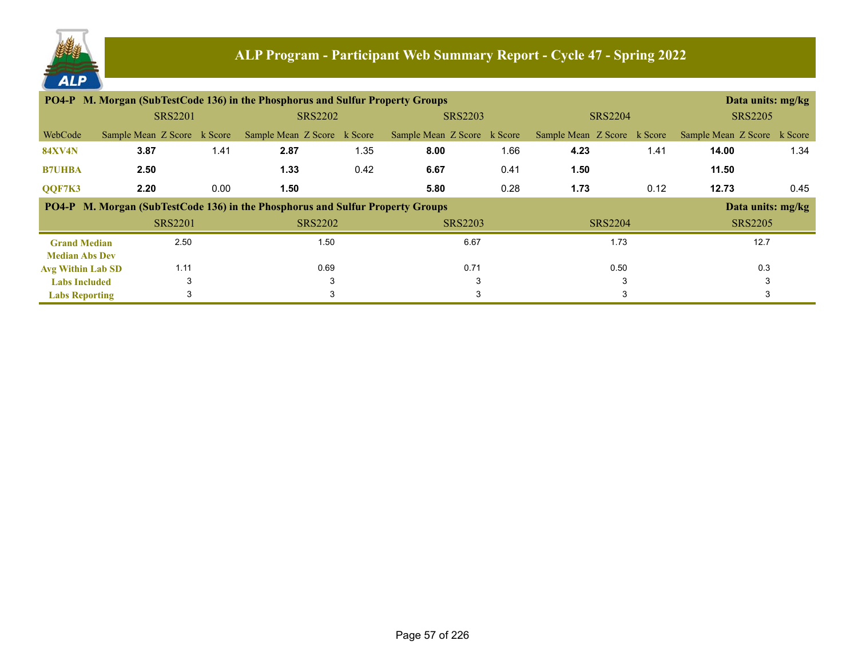

|                       |                                                                                                                    |      | PO4-P M. Morgan (SubTestCode 136) in the Phosphorus and Sulfur Property Groups |      |                             |      |                             |      | Data units: mg/kg           |      |
|-----------------------|--------------------------------------------------------------------------------------------------------------------|------|--------------------------------------------------------------------------------|------|-----------------------------|------|-----------------------------|------|-----------------------------|------|
|                       | <b>SRS2201</b>                                                                                                     |      | <b>SRS2202</b>                                                                 |      | <b>SRS2203</b>              |      | SRS2204                     |      | SRS2205                     |      |
| WebCode               | Sample Mean Z Score k Score                                                                                        |      | Sample Mean Z Score k Score                                                    |      | Sample Mean Z Score k Score |      | Sample Mean Z Score k Score |      | Sample Mean Z Score k Score |      |
| <b>84XV4N</b>         | 3.87                                                                                                               | 1.41 | 2.87                                                                           | 1.35 | 8.00                        | 1.66 | 4.23                        | 1.41 | 14.00                       | 1.34 |
| <b>B7UHBA</b>         | 2.50<br>1.33<br>0.00<br>2.20<br>1.50                                                                               |      |                                                                                | 0.42 | 6.67                        | 0.41 | 1.50                        |      | 11.50                       |      |
| OOF7K3                |                                                                                                                    |      |                                                                                |      | 5.80                        | 0.28 | 1.73                        | 0.12 | 12.73                       | 0.45 |
|                       |                                                                                                                    |      |                                                                                |      |                             |      |                             |      | Data units: mg/kg           |      |
|                       | PO4-P M. Morgan (SubTestCode 136) in the Phosphorus and Sulfur Property Groups<br><b>SRS2202</b><br><b>SRS2201</b> |      |                                                                                |      | <b>SRS2203</b>              |      | <b>SRS2204</b>              |      | SRS2205                     |      |
|                       | 2.50                                                                                                               |      | 1.50                                                                           |      | 6.67                        |      | 1.73                        |      | 12.7                        |      |
|                       | <b>Grand Median</b><br><b>Median Abs Dev</b>                                                                       |      |                                                                                |      |                             |      |                             |      |                             |      |
| Avg Within Lab SD     | 1.11                                                                                                               |      | 0.69                                                                           |      | 0.71                        |      | 0.50                        |      | 0.3                         |      |
| <b>Labs Included</b>  | 3                                                                                                                  |      |                                                                                |      | 3                           |      | 3                           |      | 3                           |      |
| <b>Labs Reporting</b> | 3                                                                                                                  |      |                                                                                |      | 3                           |      | 3                           |      | 3                           |      |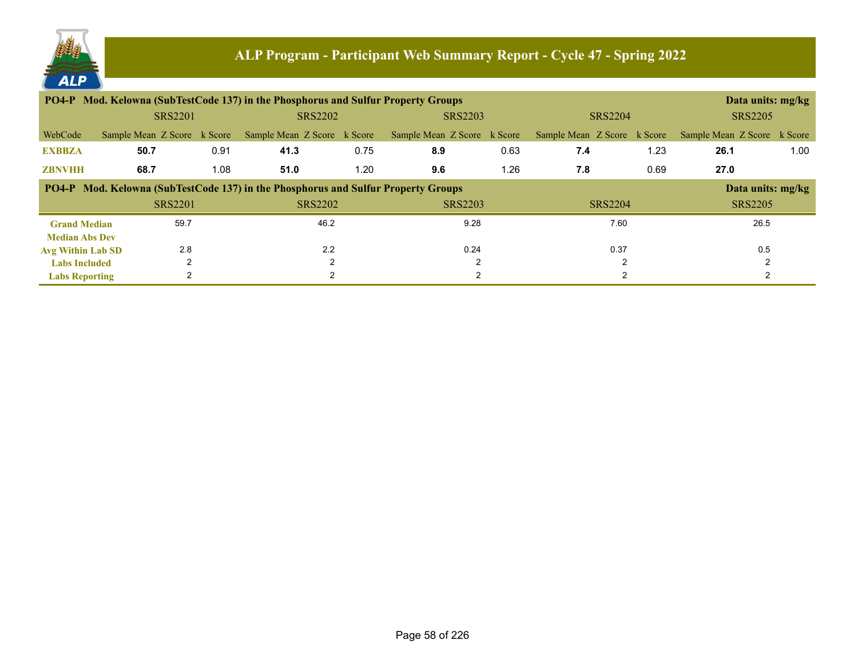

|                       |                                                                                   |                   | PO4-P Mod. Kelowna (SubTestCode 137) in the Phosphorus and Sulfur Property Groups |      |                             |      |                             |      | Data units: mg/kg           |      |
|-----------------------|-----------------------------------------------------------------------------------|-------------------|-----------------------------------------------------------------------------------|------|-----------------------------|------|-----------------------------|------|-----------------------------|------|
|                       | SRS2201                                                                           |                   | SRS2202                                                                           |      | SRS2203                     |      | SRS2204                     |      | SRS2205                     |      |
| WebCode               | Sample Mean Z Score k Score                                                       |                   | Sample Mean Z Score k Score                                                       |      | Sample Mean Z Score k Score |      | Sample Mean Z Score k Score |      | Sample Mean Z Score k Score |      |
| <b>EXBBZA</b>         | 50.7                                                                              | 0.91              | 41.3                                                                              | 0.75 | 8.9                         | 0.63 | 7.4                         | 1.23 | 26.1                        | 1.00 |
| <b>ZBNVHH</b>         | 68.7                                                                              | 51.0              | 1.20                                                                              | 9.6  | 1.26                        | 7.8  | 0.69                        | 27.0 |                             |      |
|                       | PO4-P Mod. Kelowna (SubTestCode 137) in the Phosphorus and Sulfur Property Groups | Data units: mg/kg |                                                                                   |      |                             |      |                             |      |                             |      |
|                       | <b>SRS2201</b>                                                                    |                   | SRS2202                                                                           |      | <b>SRS2203</b>              |      | SRS2204                     |      | SRS2205                     |      |
| <b>Grand Median</b>   | 59.7                                                                              |                   |                                                                                   |      | 9.28                        |      | 7.60                        |      | 26.5                        |      |
| <b>Median Abs Dev</b> |                                                                                   |                   |                                                                                   |      |                             |      |                             |      |                             |      |
| Avg Within Lab SD     | 2.8                                                                               | 2.2               |                                                                                   | 0.24 |                             | 0.37 |                             | 0.5  |                             |      |
| <b>Labs Included</b>  | 2                                                                                 |                   |                                                                                   |      | 2                           |      |                             |      | າ                           |      |
| <b>Labs Reporting</b> | 2                                                                                 |                   |                                                                                   |      |                             |      | 2                           |      |                             |      |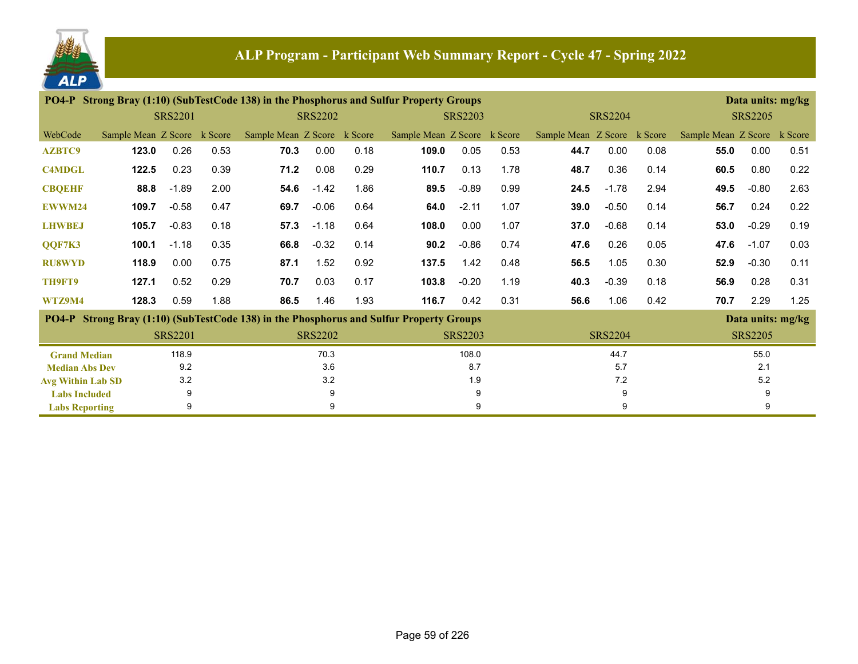

| $PO4-P$                  |                             |                                                                                                                       |      |                             |                |      | Strong Bray (1:10) (SubTestCode 138) in the Phosphorus and Sulfur Property Groups |                |      |                             |                |      |                             | Data units: mg/kg |      |
|--------------------------|-----------------------------|-----------------------------------------------------------------------------------------------------------------------|------|-----------------------------|----------------|------|-----------------------------------------------------------------------------------|----------------|------|-----------------------------|----------------|------|-----------------------------|-------------------|------|
|                          |                             | <b>SRS2201</b>                                                                                                        |      |                             | <b>SRS2202</b> |      |                                                                                   | <b>SRS2203</b> |      |                             | <b>SRS2204</b> |      |                             | <b>SRS2205</b>    |      |
| WebCode                  | Sample Mean Z Score k Score |                                                                                                                       |      | Sample Mean Z Score k Score |                |      | Sample Mean Z Score k Score                                                       |                |      | Sample Mean Z Score k Score |                |      | Sample Mean Z Score k Score |                   |      |
| <b>AZBTC9</b>            | 123.0                       | 0.26                                                                                                                  | 0.53 | 70.3                        | 0.00           | 0.18 | 109.0                                                                             | 0.05           | 0.53 | 44.7                        | 0.00           | 0.08 | 55.0                        | 0.00              | 0.51 |
| <b>C4MDGL</b>            | 122.5                       | 0.23                                                                                                                  | 0.39 | 71.2                        | 0.08           | 0.29 | 110.7                                                                             | 0.13           | 1.78 | 48.7                        | 0.36           | 0.14 | 60.5                        | 0.80              | 0.22 |
| <b>CBQEHF</b>            | 88.8                        | $-1.89$                                                                                                               | 2.00 | 54.6                        | $-1.42$        | 1.86 | 89.5                                                                              | $-0.89$        | 0.99 | 24.5                        | $-1.78$        | 2.94 | 49.5                        | $-0.80$           | 2.63 |
| EWWM24                   | 109.7                       | $-0.58$                                                                                                               | 0.47 | 69.7                        | $-0.06$        | 0.64 | 64.0                                                                              | $-2.11$        | 1.07 | 39.0                        | $-0.50$        | 0.14 | 56.7                        | 0.24              | 0.22 |
| <b>LHWBEJ</b>            | 105.7                       | $-0.83$                                                                                                               | 0.18 | 57.3                        | $-1.18$        | 0.64 | 108.0                                                                             | 0.00           | 1.07 | 37.0                        | $-0.68$        | 0.14 | 53.0                        | $-0.29$           | 0.19 |
| QQF7K3                   | 100.1                       | $-1.18$                                                                                                               | 0.35 | 66.8                        | $-0.32$        | 0.14 | 90.2                                                                              | $-0.86$        | 0.74 | 47.6                        | 0.26           | 0.05 | 47.6                        | $-1.07$           | 0.03 |
| <b>RU8WYD</b>            | 118.9                       | 0.00                                                                                                                  | 0.75 | 87.1                        | 1.52           | 0.92 | 137.5                                                                             | 1.42           | 0.48 | 56.5                        | 1.05           | 0.30 | 52.9                        | $-0.30$           | 0.11 |
| TH9FT9                   | 127.1                       | 0.52                                                                                                                  | 0.29 | 70.7                        | 0.03           | 0.17 | 103.8                                                                             | $-0.20$        | 1.19 | 40.3                        | $-0.39$        | 0.18 | 56.9                        | 0.28              | 0.31 |
| WTZ9M4                   | 128.3                       | 0.59                                                                                                                  | 1.88 | 86.5                        | 1.46           | 1.93 | 116.7                                                                             | 0.42           | 0.31 | 56.6                        | 1.06           | 0.42 | 70.7                        | 2.29              | 1.25 |
| $PO4-P$                  |                             |                                                                                                                       |      |                             |                |      |                                                                                   |                |      |                             |                |      |                             | Data units: mg/kg |      |
|                          |                             | Strong Bray (1:10) (SubTestCode 138) in the Phosphorus and Sulfur Property Groups<br><b>SRS2201</b><br><b>SRS2202</b> |      |                             |                |      |                                                                                   | <b>SRS2203</b> |      |                             | <b>SRS2204</b> |      |                             | <b>SRS2205</b>    |      |
| <b>Grand Median</b>      |                             | 118.9<br>70.3                                                                                                         |      |                             |                |      | 108.0                                                                             |                |      | 44.7                        |                |      | 55.0                        |                   |      |
| <b>Median Abs Dev</b>    |                             | 9.2                                                                                                                   |      | 3.6                         |                |      | 8.7                                                                               |                |      | 5.7                         |                |      | 2.1                         |                   |      |
| <b>Avg Within Lab SD</b> |                             | 3.2                                                                                                                   |      | 3.2                         |                |      | 1.9                                                                               |                |      | 7.2                         |                |      | 5.2                         |                   |      |
| <b>Labs Included</b>     |                             | 9                                                                                                                     |      |                             | 9              |      |                                                                                   | 9              |      |                             | 9              |      |                             | 9                 |      |
| <b>Labs Reporting</b>    |                             | 9                                                                                                                     |      |                             | 9              |      |                                                                                   | 9              |      |                             | 9              |      |                             | 9                 |      |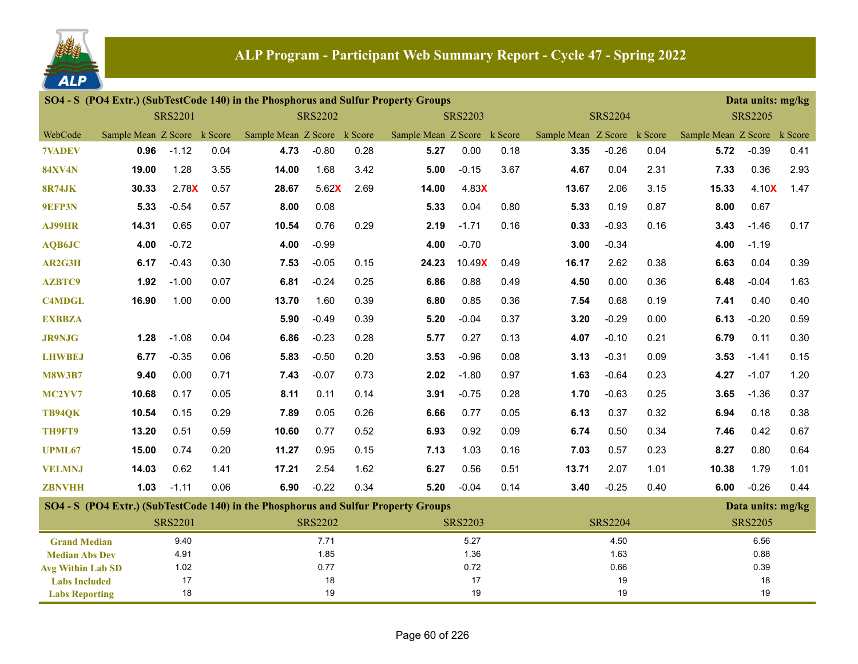

|                                                  |                             |                |      |                             |                |      | SO4 - S (PO4 Extr.) (SubTestCode 140) in the Phosphorus and Sulfur Property Groups |                |      |                             |                |      |                             | Data units: mg/kg |      |
|--------------------------------------------------|-----------------------------|----------------|------|-----------------------------|----------------|------|------------------------------------------------------------------------------------|----------------|------|-----------------------------|----------------|------|-----------------------------|-------------------|------|
|                                                  |                             | <b>SRS2201</b> |      |                             | <b>SRS2202</b> |      |                                                                                    | <b>SRS2203</b> |      |                             | <b>SRS2204</b> |      |                             | <b>SRS2205</b>    |      |
| WebCode                                          | Sample Mean Z Score k Score |                |      | Sample Mean Z Score k Score |                |      | Sample Mean Z Score k Score                                                        |                |      | Sample Mean Z Score k Score |                |      | Sample Mean Z Score k Score |                   |      |
| <b>7VADEV</b>                                    | 0.96                        | $-1.12$        | 0.04 | 4.73                        | $-0.80$        | 0.28 | 5.27                                                                               | 0.00           | 0.18 | 3.35                        | $-0.26$        | 0.04 | 5.72                        | $-0.39$           | 0.41 |
| <b>84XV4N</b>                                    | 19.00                       | 1.28           | 3.55 | 14.00                       | 1.68           | 3.42 | 5.00                                                                               | $-0.15$        | 3.67 | 4.67                        | 0.04           | 2.31 | 7.33                        | 0.36              | 2.93 |
| <b>8R74JK</b>                                    | 30.33                       | 2.78X          | 0.57 | 28.67                       | 5.62X          | 2.69 | 14.00                                                                              | 4.83X          |      | 13.67                       | 2.06           | 3.15 | 15.33                       | 4.10 <sub>X</sub> | 1.47 |
| 9EFP3N                                           | 5.33                        | $-0.54$        | 0.57 | 8.00                        | 0.08           |      | 5.33                                                                               | 0.04           | 0.80 | 5.33                        | 0.19           | 0.87 | 8.00                        | 0.67              |      |
| AJ99HR                                           | 14.31                       | 0.65           | 0.07 | 10.54                       | 0.76           | 0.29 | 2.19                                                                               | $-1.71$        | 0.16 | 0.33                        | $-0.93$        | 0.16 | 3.43                        | $-1.46$           | 0.17 |
| <b>AQB6JC</b>                                    | 4.00                        | $-0.72$        |      | 4.00                        | $-0.99$        |      | 4.00                                                                               | $-0.70$        |      | 3.00                        | $-0.34$        |      | 4.00                        | $-1.19$           |      |
| AR2G3H                                           | 6.17                        | $-0.43$        | 0.30 | 7.53                        | $-0.05$        | 0.15 | 24.23                                                                              | 10.49X         | 0.49 | 16.17                       | 2.62           | 0.38 | 6.63                        | 0.04              | 0.39 |
| <b>AZBTC9</b>                                    | 1.92                        | $-1.00$        | 0.07 | 6.81                        | $-0.24$        | 0.25 | 6.86                                                                               | 0.88           | 0.49 | 4.50                        | 0.00           | 0.36 | 6.48                        | $-0.04$           | 1.63 |
| <b>C4MDGL</b>                                    | 16.90                       | 1.00           | 0.00 | 13.70                       | 1.60           | 0.39 | 6.80                                                                               | 0.85           | 0.36 | 7.54                        | 0.68           | 0.19 | 7.41                        | 0.40              | 0.40 |
| <b>EXBBZA</b>                                    |                             |                |      | 5.90                        | $-0.49$        | 0.39 | 5.20                                                                               | $-0.04$        | 0.37 | 3.20                        | $-0.29$        | 0.00 | 6.13                        | $-0.20$           | 0.59 |
| <b>JR9NJG</b>                                    | 1.28                        | $-1.08$        | 0.04 | 6.86                        | $-0.23$        | 0.28 | 5.77                                                                               | 0.27           | 0.13 | 4.07                        | $-0.10$        | 0.21 | 6.79                        | 0.11              | 0.30 |
| <b>LHWBEJ</b>                                    | 6.77                        | $-0.35$        | 0.06 | 5.83                        | $-0.50$        | 0.20 | 3.53                                                                               | $-0.96$        | 0.08 | 3.13                        | $-0.31$        | 0.09 | 3.53                        | $-1.41$           | 0.15 |
| <b>M8W3B7</b>                                    | 9.40                        | 0.00           | 0.71 | 7.43                        | $-0.07$        | 0.73 | 2.02                                                                               | $-1.80$        | 0.97 | 1.63                        | $-0.64$        | 0.23 | 4.27                        | $-1.07$           | 1.20 |
| MC <sub>2</sub> YV <sub>7</sub>                  | 10.68                       | 0.17           | 0.05 | 8.11                        | 0.11           | 0.14 | 3.91                                                                               | $-0.75$        | 0.28 | 1.70                        | $-0.63$        | 0.25 | 3.65                        | $-1.36$           | 0.37 |
| <b>TB94QK</b>                                    | 10.54                       | 0.15           | 0.29 | 7.89                        | 0.05           | 0.26 | 6.66                                                                               | 0.77           | 0.05 | 6.13                        | 0.37           | 0.32 | 6.94                        | 0.18              | 0.38 |
| <b>TH9FT9</b>                                    | 13.20                       | 0.51           | 0.59 | 10.60                       | 0.77           | 0.52 | 6.93                                                                               | 0.92           | 0.09 | 6.74                        | 0.50           | 0.34 | 7.46                        | 0.42              | 0.67 |
| UPML67                                           | 15.00                       | 0.74           | 0.20 | 11.27                       | 0.95           | 0.15 | 7.13                                                                               | 1.03           | 0.16 | 7.03                        | 0.57           | 0.23 | 8.27                        | 0.80              | 0.64 |
| <b>VELMNJ</b>                                    | 14.03                       | 0.62           | 1.41 | 17.21                       | 2.54           | 1.62 | 6.27                                                                               | 0.56           | 0.51 | 13.71                       | 2.07           | 1.01 | 10.38                       | 1.79              | 1.01 |
| <b>ZBNVHH</b>                                    | 1.03                        | $-1.11$        | 0.06 | 6.90                        | $-0.22$        | 0.34 | 5.20                                                                               | $-0.04$        | 0.14 | 3.40                        | $-0.25$        | 0.40 | 6.00                        | $-0.26$           | 0.44 |
|                                                  |                             |                |      |                             |                |      | SO4 - S (PO4 Extr.) (SubTestCode 140) in the Phosphorus and Sulfur Property Groups |                |      |                             |                |      |                             | Data units: mg/kg |      |
|                                                  |                             | <b>SRS2201</b> |      |                             | <b>SRS2202</b> |      |                                                                                    | <b>SRS2203</b> |      |                             | <b>SRS2204</b> |      |                             | <b>SRS2205</b>    |      |
| <b>Grand Median</b>                              |                             | 9.40           |      |                             | 7.71           |      |                                                                                    | 5.27           |      |                             | 4.50           |      |                             | 6.56              |      |
| <b>Median Abs Dev</b>                            |                             | 4.91           |      |                             | 1.85           |      |                                                                                    | 1.36<br>0.72   |      |                             | 1.63           |      |                             | 0.88              |      |
| <b>Avg Within Lab SD</b><br><b>Labs Included</b> |                             | 1.02<br>17     |      |                             | 0.77<br>18     |      |                                                                                    | 17             |      |                             | 0.66<br>19     |      |                             | 0.39<br>18        |      |
| <b>Labs Reporting</b>                            |                             | 18             |      |                             | 19             |      |                                                                                    | 19             |      |                             | 19             |      |                             | 19                |      |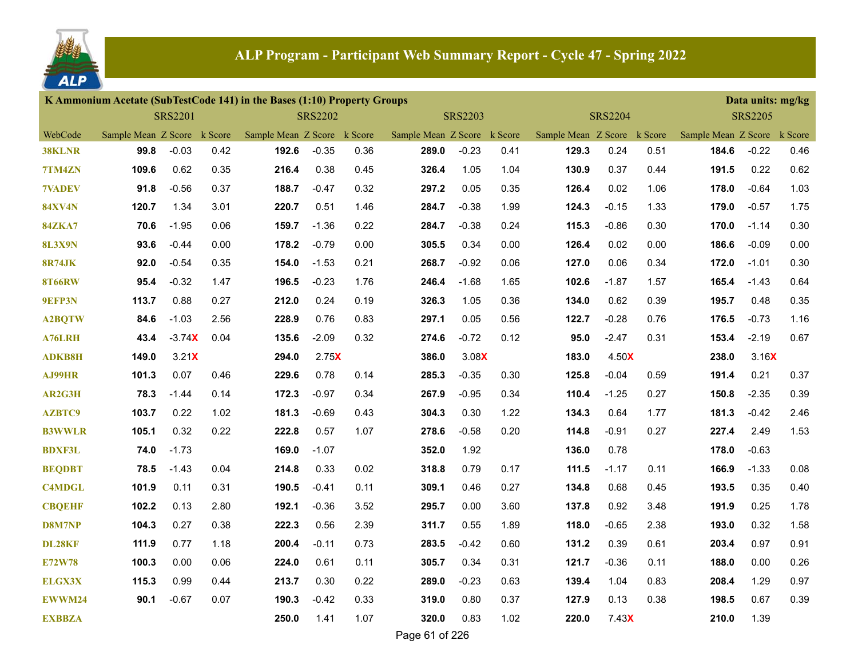

|               | K Ammonium Acetate (SubTestCode 141) in the Bases (1:10) Property Groups |                  |      |                             |                |      |                             |                |      |                             |                |      |                             | Data units: mg/kg |      |
|---------------|--------------------------------------------------------------------------|------------------|------|-----------------------------|----------------|------|-----------------------------|----------------|------|-----------------------------|----------------|------|-----------------------------|-------------------|------|
|               |                                                                          | <b>SRS2201</b>   |      |                             | <b>SRS2202</b> |      |                             | <b>SRS2203</b> |      |                             | <b>SRS2204</b> |      |                             | <b>SRS2205</b>    |      |
| WebCode       | Sample Mean Z Score k Score                                              |                  |      | Sample Mean Z Score k Score |                |      | Sample Mean Z Score k Score |                |      | Sample Mean Z Score k Score |                |      | Sample Mean Z Score k Score |                   |      |
| 38KLNR        | 99.8                                                                     | $-0.03$          | 0.42 | 192.6                       | $-0.35$        | 0.36 | 289.0                       | $-0.23$        | 0.41 | 129.3                       | 0.24           | 0.51 | 184.6                       | $-0.22$           | 0.46 |
| 7TM4ZN        | 109.6                                                                    | 0.62             | 0.35 | 216.4                       | 0.38           | 0.45 | 326.4                       | 1.05           | 1.04 | 130.9                       | 0.37           | 0.44 | 191.5                       | 0.22              | 0.62 |
| <b>7VADEV</b> | 91.8                                                                     | $-0.56$          | 0.37 | 188.7                       | $-0.47$        | 0.32 | 297.2                       | 0.05           | 0.35 | 126.4                       | 0.02           | 1.06 | 178.0                       | $-0.64$           | 1.03 |
| <b>84XV4N</b> | 120.7                                                                    | 1.34             | 3.01 | 220.7                       | 0.51           | 1.46 | 284.7                       | $-0.38$        | 1.99 | 124.3                       | $-0.15$        | 1.33 | 179.0                       | $-0.57$           | 1.75 |
| <b>84ZKA7</b> | 70.6                                                                     | $-1.95$          | 0.06 | 159.7                       | $-1.36$        | 0.22 | 284.7                       | $-0.38$        | 0.24 | 115.3                       | $-0.86$        | 0.30 | 170.0                       | $-1.14$           | 0.30 |
| <b>8L3X9N</b> | 93.6                                                                     | $-0.44$          | 0.00 | 178.2                       | $-0.79$        | 0.00 | 305.5                       | 0.34           | 0.00 | 126.4                       | 0.02           | 0.00 | 186.6                       | $-0.09$           | 0.00 |
| <b>8R74JK</b> | 92.0                                                                     | $-0.54$          | 0.35 | 154.0                       | $-1.53$        | 0.21 | 268.7                       | $-0.92$        | 0.06 | 127.0                       | 0.06           | 0.34 | 172.0                       | $-1.01$           | 0.30 |
| <b>8T66RW</b> | 95.4                                                                     | $-0.32$          | 1.47 | 196.5                       | $-0.23$        | 1.76 | 246.4                       | $-1.68$        | 1.65 | 102.6                       | $-1.87$        | 1.57 | 165.4                       | $-1.43$           | 0.64 |
| 9EFP3N        | 113.7                                                                    | 0.88             | 0.27 | 212.0                       | 0.24           | 0.19 | 326.3                       | 1.05           | 0.36 | 134.0                       | 0.62           | 0.39 | 195.7                       | 0.48              | 0.35 |
| <b>A2BOTW</b> | 84.6                                                                     | $-1.03$          | 2.56 | 228.9                       | 0.76           | 0.83 | 297.1                       | 0.05           | 0.56 | 122.7                       | $-0.28$        | 0.76 | 176.5                       | $-0.73$           | 1.16 |
| A76LRH        | 43.4                                                                     | $-3.74$ <b>X</b> | 0.04 | 135.6                       | $-2.09$        | 0.32 | 274.6                       | $-0.72$        | 0.12 | 95.0                        | $-2.47$        | 0.31 | 153.4                       | $-2.19$           | 0.67 |
| <b>ADKB8H</b> | 149.0                                                                    | 3.21X            |      | 294.0                       | 2.75X          |      | 386.0                       | 3.08X          |      | 183.0                       | 4.50X          |      | 238.0                       | 3.16X             |      |
| AJ99HR        | 101.3                                                                    | 0.07             | 0.46 | 229.6                       | 0.78           | 0.14 | 285.3                       | $-0.35$        | 0.30 | 125.8                       | $-0.04$        | 0.59 | 191.4                       | 0.21              | 0.37 |
| AR2G3H        | 78.3                                                                     | $-1.44$          | 0.14 | 172.3                       | $-0.97$        | 0.34 | 267.9                       | $-0.95$        | 0.34 | 110.4                       | $-1.25$        | 0.27 | 150.8                       | $-2.35$           | 0.39 |
| <b>AZBTC9</b> | 103.7                                                                    | 0.22             | 1.02 | 181.3                       | $-0.69$        | 0.43 | 304.3                       | 0.30           | 1.22 | 134.3                       | 0.64           | 1.77 | 181.3                       | $-0.42$           | 2.46 |
| <b>B3WWLR</b> | 105.1                                                                    | 0.32             | 0.22 | 222.8                       | 0.57           | 1.07 | 278.6                       | $-0.58$        | 0.20 | 114.8                       | $-0.91$        | 0.27 | 227.4                       | 2.49              | 1.53 |
| <b>BDXF3L</b> | 74.0                                                                     | $-1.73$          |      | 169.0                       | $-1.07$        |      | 352.0                       | 1.92           |      | 136.0                       | 0.78           |      | 178.0                       | $-0.63$           |      |
| <b>BEQDBT</b> | 78.5                                                                     | $-1.43$          | 0.04 | 214.8                       | 0.33           | 0.02 | 318.8                       | 0.79           | 0.17 | 111.5                       | $-1.17$        | 0.11 | 166.9                       | $-1.33$           | 0.08 |
| <b>C4MDGL</b> | 101.9                                                                    | 0.11             | 0.31 | 190.5                       | $-0.41$        | 0.11 | 309.1                       | 0.46           | 0.27 | 134.8                       | 0.68           | 0.45 | 193.5                       | 0.35              | 0.40 |
| <b>CBQEHF</b> | 102.2                                                                    | 0.13             | 2.80 | 192.1                       | $-0.36$        | 3.52 | 295.7                       | 0.00           | 3.60 | 137.8                       | 0.92           | 3.48 | 191.9                       | 0.25              | 1.78 |
| D8M7NP        | 104.3                                                                    | 0.27             | 0.38 | 222.3                       | 0.56           | 2.39 | 311.7                       | 0.55           | 1.89 | 118.0                       | $-0.65$        | 2.38 | 193.0                       | 0.32              | 1.58 |
| DL28KF        | 111.9                                                                    | 0.77             | 1.18 | 200.4                       | $-0.11$        | 0.73 | 283.5                       | $-0.42$        | 0.60 | 131.2                       | 0.39           | 0.61 | 203.4                       | 0.97              | 0.91 |
| E72W78        | 100.3                                                                    | 0.00             | 0.06 | 224.0                       | 0.61           | 0.11 | 305.7                       | 0.34           | 0.31 | 121.7                       | $-0.36$        | 0.11 | 188.0                       | 0.00              | 0.26 |
| <b>ELGX3X</b> | 115.3                                                                    | 0.99             | 0.44 | 213.7                       | 0.30           | 0.22 | 289.0                       | $-0.23$        | 0.63 | 139.4                       | 1.04           | 0.83 | 208.4                       | 1.29              | 0.97 |
| EWWM24        | 90.1                                                                     | $-0.67$          | 0.07 | 190.3                       | $-0.42$        | 0.33 | 319.0                       | 0.80           | 0.37 | 127.9                       | 0.13           | 0.38 | 198.5                       | 0.67              | 0.39 |
| <b>EXBBZA</b> |                                                                          |                  |      | 250.0                       | 1.41           | 1.07 | 320.0                       | 0.83           | 1.02 | 220.0                       | 7.43X          |      | 210.0                       | 1.39              |      |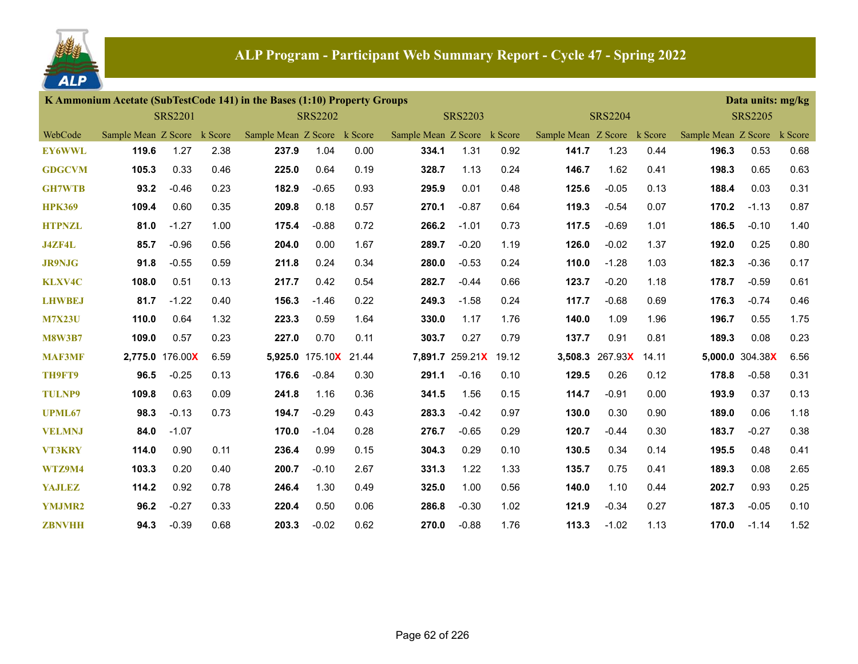

|                    | K Ammonium Acetate (SubTestCode 141) in the Bases (1:10) Property Groups |                |      |                             |                       |      |                             |                 |       |                             |                 |       |                             | Data units: mg/kg |      |
|--------------------|--------------------------------------------------------------------------|----------------|------|-----------------------------|-----------------------|------|-----------------------------|-----------------|-------|-----------------------------|-----------------|-------|-----------------------------|-------------------|------|
|                    |                                                                          | <b>SRS2201</b> |      |                             | <b>SRS2202</b>        |      |                             | <b>SRS2203</b>  |       |                             | <b>SRS2204</b>  |       |                             | <b>SRS2205</b>    |      |
| WebCode            | Sample Mean Z Score k Score                                              |                |      | Sample Mean Z Score k Score |                       |      | Sample Mean Z Score k Score |                 |       | Sample Mean Z Score k Score |                 |       | Sample Mean Z Score k Score |                   |      |
| <b>EY6WWL</b>      | 119.6                                                                    | 1.27           | 2.38 | 237.9                       | 1.04                  | 0.00 | 334.1                       | 1.31            | 0.92  | 141.7                       | 1.23            | 0.44  | 196.3                       | 0.53              | 0.68 |
| <b>GDGCVM</b>      | 105.3                                                                    | 0.33           | 0.46 | 225.0                       | 0.64                  | 0.19 | 328.7                       | 1.13            | 0.24  | 146.7                       | 1.62            | 0.41  | 198.3                       | 0.65              | 0.63 |
| <b>GH7WTB</b>      | 93.2                                                                     | $-0.46$        | 0.23 | 182.9                       | $-0.65$               | 0.93 | 295.9                       | 0.01            | 0.48  | 125.6                       | $-0.05$         | 0.13  | 188.4                       | 0.03              | 0.31 |
| <b>HPK369</b>      | 109.4                                                                    | 0.60           | 0.35 | 209.8                       | 0.18                  | 0.57 | 270.1                       | $-0.87$         | 0.64  | 119.3                       | $-0.54$         | 0.07  | 170.2                       | $-1.13$           | 0.87 |
| <b>HTPNZL</b>      | 81.0                                                                     | $-1.27$        | 1.00 | 175.4                       | $-0.88$               | 0.72 | 266.2                       | $-1.01$         | 0.73  | 117.5                       | $-0.69$         | 1.01  | 186.5                       | $-0.10$           | 1.40 |
| J4ZF4L             | 85.7                                                                     | $-0.96$        | 0.56 | 204.0                       | 0.00                  | 1.67 | 289.7                       | $-0.20$         | 1.19  | 126.0                       | $-0.02$         | 1.37  | 192.0                       | 0.25              | 0.80 |
| <b>JR9NJG</b>      | 91.8                                                                     | $-0.55$        | 0.59 | 211.8                       | 0.24                  | 0.34 | 280.0                       | $-0.53$         | 0.24  | 110.0                       | $-1.28$         | 1.03  | 182.3                       | $-0.36$           | 0.17 |
| <b>KLXV4C</b>      | 108.0                                                                    | 0.51           | 0.13 | 217.7                       | 0.42                  | 0.54 | 282.7                       | $-0.44$         | 0.66  | 123.7                       | $-0.20$         | 1.18  | 178.7                       | $-0.59$           | 0.61 |
| <b>LHWBEJ</b>      | 81.7                                                                     | $-1.22$        | 0.40 | 156.3                       | $-1.46$               | 0.22 | 249.3                       | $-1.58$         | 0.24  | 117.7                       | $-0.68$         | 0.69  | 176.3                       | $-0.74$           | 0.46 |
| <b>M7X23U</b>      | 110.0                                                                    | 0.64           | 1.32 | 223.3                       | 0.59                  | 1.64 | 330.0                       | 1.17            | 1.76  | 140.0                       | 1.09            | 1.96  | 196.7                       | 0.55              | 1.75 |
| <b>M8W3B7</b>      | 109.0                                                                    | 0.57           | 0.23 | 227.0                       | 0.70                  | 0.11 | 303.7                       | 0.27            | 0.79  | 137.7                       | 0.91            | 0.81  | 189.3                       | 0.08              | 0.23 |
| <b>MAF3MF</b>      | 2,775.0 176.00X                                                          |                | 6.59 |                             | 5.925.0 175.10X 21.44 |      |                             | 7,891.7 259.21X | 19.12 |                             | 3.508.3 267.93X | 14.11 |                             | 5.000.0 304.38X   | 6.56 |
| <b>TH9FT9</b>      | 96.5                                                                     | $-0.25$        | 0.13 | 176.6                       | $-0.84$               | 0.30 | 291.1                       | $-0.16$         | 0.10  | 129.5                       | 0.26            | 0.12  | 178.8                       | $-0.58$           | 0.31 |
| <b>TULNP9</b>      | 109.8                                                                    | 0.63           | 0.09 | 241.8                       | 1.16                  | 0.36 | 341.5                       | 1.56            | 0.15  | 114.7                       | $-0.91$         | 0.00  | 193.9                       | 0.37              | 0.13 |
| UPML <sub>67</sub> | 98.3                                                                     | $-0.13$        | 0.73 | 194.7                       | $-0.29$               | 0.43 | 283.3                       | $-0.42$         | 0.97  | 130.0                       | 0.30            | 0.90  | 189.0                       | 0.06              | 1.18 |
| <b>VELMNJ</b>      | 84.0                                                                     | $-1.07$        |      | 170.0                       | $-1.04$               | 0.28 | 276.7                       | $-0.65$         | 0.29  | 120.7                       | $-0.44$         | 0.30  | 183.7                       | $-0.27$           | 0.38 |
| <b>VT3KRY</b>      | 114.0                                                                    | 0.90           | 0.11 | 236.4                       | 0.99                  | 0.15 | 304.3                       | 0.29            | 0.10  | 130.5                       | 0.34            | 0.14  | 195.5                       | 0.48              | 0.41 |
| WTZ9M4             | 103.3                                                                    | 0.20           | 0.40 | 200.7                       | $-0.10$               | 2.67 | 331.3                       | 1.22            | 1.33  | 135.7                       | 0.75            | 0.41  | 189.3                       | 0.08              | 2.65 |
| <b>YAJLEZ</b>      | 114.2                                                                    | 0.92           | 0.78 | 246.4                       | 1.30                  | 0.49 | 325.0                       | 1.00            | 0.56  | 140.0                       | 1.10            | 0.44  | 202.7                       | 0.93              | 0.25 |
| YMJMR2             | 96.2                                                                     | $-0.27$        | 0.33 | 220.4                       | 0.50                  | 0.06 | 286.8                       | $-0.30$         | 1.02  | 121.9                       | $-0.34$         | 0.27  | 187.3                       | $-0.05$           | 0.10 |
| <b>ZBNVHH</b>      | 94.3                                                                     | $-0.39$        | 0.68 | 203.3                       | $-0.02$               | 0.62 | 270.0                       | $-0.88$         | 1.76  | 113.3                       | $-1.02$         | 1.13  | 170.0                       | $-1.14$           | 1.52 |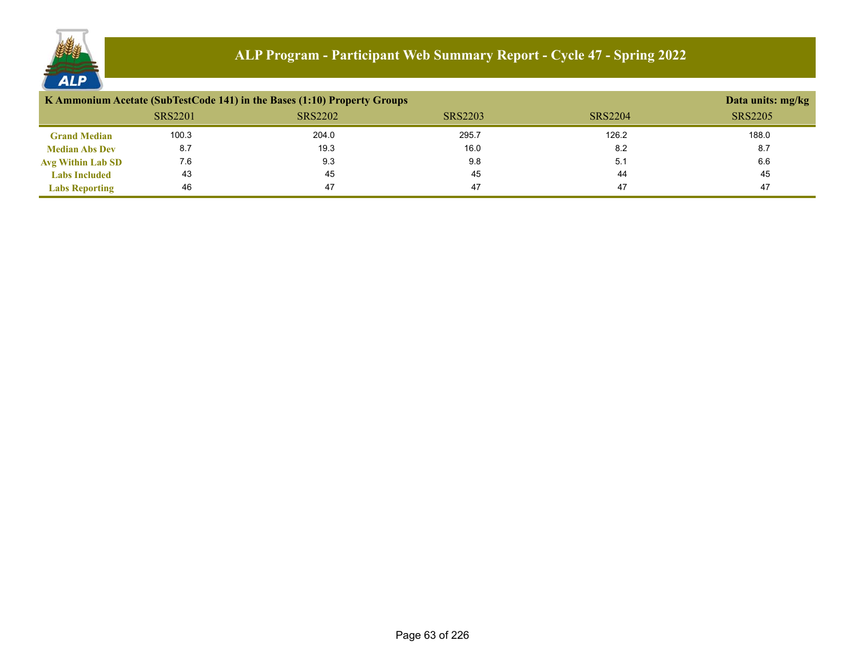

|                       |         | K Ammonium Acetate (SubTestCode 141) in the Bases (1:10) Property Groups |                |                | Data units: mg/kg |
|-----------------------|---------|--------------------------------------------------------------------------|----------------|----------------|-------------------|
|                       | SRS2201 | <b>SRS2202</b>                                                           | <b>SRS2203</b> | <b>SRS2204</b> | <b>SRS2205</b>    |
| <b>Grand Median</b>   | 100.3   | 204.0                                                                    | 295.7          | 126.2          | 188.0             |
| <b>Median Abs Dev</b> | 8.7     | 19.3                                                                     | 16.0           | 8.2            | 8.7               |
| Avg Within Lab SD     | 7.6     | 9.3                                                                      | 9.8            | 5.1            | 6.6               |
| <b>Labs Included</b>  | 43      | 45                                                                       | 45             | 44             | 45                |
| <b>Labs Reporting</b> | 46      | 47                                                                       | 47             | 47             | 47                |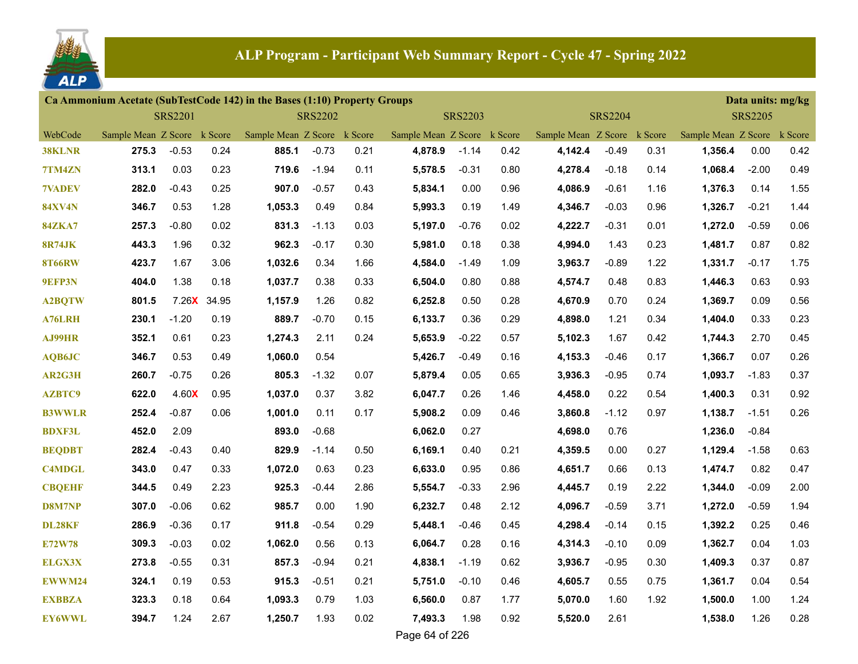

|               | Ca Ammonium Acetate (SubTestCode 142) in the Bases (1:10) Property Groups |                   |       |                             |                |      |                             |                |      |                             |                |      |                             |                | Data units: mg/kg |
|---------------|---------------------------------------------------------------------------|-------------------|-------|-----------------------------|----------------|------|-----------------------------|----------------|------|-----------------------------|----------------|------|-----------------------------|----------------|-------------------|
|               |                                                                           | <b>SRS2201</b>    |       |                             | <b>SRS2202</b> |      |                             | <b>SRS2203</b> |      |                             | <b>SRS2204</b> |      |                             | <b>SRS2205</b> |                   |
| WebCode       | Sample Mean Z Score k Score                                               |                   |       | Sample Mean Z Score k Score |                |      | Sample Mean Z Score k Score |                |      | Sample Mean Z Score k Score |                |      | Sample Mean Z Score k Score |                |                   |
| 38KLNR        | 275.3                                                                     | $-0.53$           | 0.24  | 885.1                       | $-0.73$        | 0.21 | 4,878.9                     | $-1.14$        | 0.42 | 4,142.4                     | $-0.49$        | 0.31 | 1,356.4                     | 0.00           | 0.42              |
| 7TM4ZN        | 313.1                                                                     | 0.03              | 0.23  | 719.6                       | $-1.94$        | 0.11 | 5,578.5                     | $-0.31$        | 0.80 | 4,278.4                     | $-0.18$        | 0.14 | 1,068.4                     | $-2.00$        | 0.49              |
| <b>7VADEV</b> | 282.0                                                                     | $-0.43$           | 0.25  | 907.0                       | $-0.57$        | 0.43 | 5,834.1                     | 0.00           | 0.96 | 4,086.9                     | $-0.61$        | 1.16 | 1,376.3                     | 0.14           | 1.55              |
| <b>84XV4N</b> | 346.7                                                                     | 0.53              | 1.28  | 1,053.3                     | 0.49           | 0.84 | 5,993.3                     | 0.19           | 1.49 | 4,346.7                     | $-0.03$        | 0.96 | 1,326.7                     | $-0.21$        | 1.44              |
| <b>84ZKA7</b> | 257.3                                                                     | $-0.80$           | 0.02  | 831.3                       | $-1.13$        | 0.03 | 5,197.0                     | $-0.76$        | 0.02 | 4,222.7                     | $-0.31$        | 0.01 | 1,272.0                     | $-0.59$        | 0.06              |
| <b>8R74JK</b> | 443.3                                                                     | 1.96              | 0.32  | 962.3                       | $-0.17$        | 0.30 | 5,981.0                     | 0.18           | 0.38 | 4,994.0                     | 1.43           | 0.23 | 1,481.7                     | 0.87           | 0.82              |
| <b>8T66RW</b> | 423.7                                                                     | 1.67              | 3.06  | 1,032.6                     | 0.34           | 1.66 | 4,584.0                     | $-1.49$        | 1.09 | 3,963.7                     | $-0.89$        | 1.22 | 1,331.7                     | $-0.17$        | 1.75              |
| 9EFP3N        | 404.0                                                                     | 1.38              | 0.18  | 1,037.7                     | 0.38           | 0.33 | 6,504.0                     | 0.80           | 0.88 | 4,574.7                     | 0.48           | 0.83 | 1,446.3                     | 0.63           | 0.93              |
| <b>A2BQTW</b> | 801.5                                                                     | 7.26 <sub>X</sub> | 34.95 | 1,157.9                     | 1.26           | 0.82 | 6,252.8                     | 0.50           | 0.28 | 4,670.9                     | 0.70           | 0.24 | 1,369.7                     | 0.09           | 0.56              |
| A76LRH        | 230.1                                                                     | $-1.20$           | 0.19  | 889.7                       | $-0.70$        | 0.15 | 6,133.7                     | 0.36           | 0.29 | 4,898.0                     | 1.21           | 0.34 | 1,404.0                     | 0.33           | 0.23              |
| AJ99HR        | 352.1                                                                     | 0.61              | 0.23  | 1,274.3                     | 2.11           | 0.24 | 5,653.9                     | $-0.22$        | 0.57 | 5,102.3                     | 1.67           | 0.42 | 1,744.3                     | 2.70           | 0.45              |
| <b>AQB6JC</b> | 346.7                                                                     | 0.53              | 0.49  | 1,060.0                     | 0.54           |      | 5,426.7                     | $-0.49$        | 0.16 | 4,153.3                     | $-0.46$        | 0.17 | 1,366.7                     | 0.07           | 0.26              |
| AR2G3H        | 260.7                                                                     | $-0.75$           | 0.26  | 805.3                       | $-1.32$        | 0.07 | 5,879.4                     | 0.05           | 0.65 | 3,936.3                     | $-0.95$        | 0.74 | 1,093.7                     | $-1.83$        | 0.37              |
| <b>AZBTC9</b> | 622.0                                                                     | 4.60X             | 0.95  | 1,037.0                     | 0.37           | 3.82 | 6,047.7                     | 0.26           | 1.46 | 4,458.0                     | 0.22           | 0.54 | 1,400.3                     | 0.31           | 0.92              |
| <b>B3WWLR</b> | 252.4                                                                     | $-0.87$           | 0.06  | 1,001.0                     | 0.11           | 0.17 | 5,908.2                     | 0.09           | 0.46 | 3,860.8                     | $-1.12$        | 0.97 | 1,138.7                     | $-1.51$        | 0.26              |
| <b>BDXF3L</b> | 452.0                                                                     | 2.09              |       | 893.0                       | $-0.68$        |      | 6,062.0                     | 0.27           |      | 4,698.0                     | 0.76           |      | 1,236.0                     | $-0.84$        |                   |
| <b>BEQDBT</b> | 282.4                                                                     | $-0.43$           | 0.40  | 829.9                       | $-1.14$        | 0.50 | 6,169.1                     | 0.40           | 0.21 | 4,359.5                     | 0.00           | 0.27 | 1,129.4                     | $-1.58$        | 0.63              |
| <b>C4MDGL</b> | 343.0                                                                     | 0.47              | 0.33  | 1,072.0                     | 0.63           | 0.23 | 6,633.0                     | 0.95           | 0.86 | 4,651.7                     | 0.66           | 0.13 | 1,474.7                     | 0.82           | 0.47              |
| <b>CBQEHF</b> | 344.5                                                                     | 0.49              | 2.23  | 925.3                       | $-0.44$        | 2.86 | 5,554.7                     | $-0.33$        | 2.96 | 4,445.7                     | 0.19           | 2.22 | 1,344.0                     | $-0.09$        | 2.00              |
| D8M7NP        | 307.0                                                                     | $-0.06$           | 0.62  | 985.7                       | 0.00           | 1.90 | 6,232.7                     | 0.48           | 2.12 | 4,096.7                     | $-0.59$        | 3.71 | 1,272.0                     | $-0.59$        | 1.94              |
| DL28KF        | 286.9                                                                     | $-0.36$           | 0.17  | 911.8                       | $-0.54$        | 0.29 | 5,448.1                     | $-0.46$        | 0.45 | 4,298.4                     | $-0.14$        | 0.15 | 1,392.2                     | 0.25           | 0.46              |
| E72W78        | 309.3                                                                     | $-0.03$           | 0.02  | 1,062.0                     | 0.56           | 0.13 | 6,064.7                     | 0.28           | 0.16 | 4,314.3                     | $-0.10$        | 0.09 | 1,362.7                     | 0.04           | 1.03              |
| <b>ELGX3X</b> | 273.8                                                                     | $-0.55$           | 0.31  | 857.3                       | $-0.94$        | 0.21 | 4,838.1                     | $-1.19$        | 0.62 | 3,936.7                     | $-0.95$        | 0.30 | 1,409.3                     | 0.37           | 0.87              |
| EWWM24        | 324.1                                                                     | 0.19              | 0.53  | 915.3                       | $-0.51$        | 0.21 | 5,751.0                     | $-0.10$        | 0.46 | 4,605.7                     | 0.55           | 0.75 | 1,361.7                     | 0.04           | 0.54              |
| <b>EXBBZA</b> | 323.3                                                                     | 0.18              | 0.64  | 1,093.3                     | 0.79           | 1.03 | 6,560.0                     | 0.87           | 1.77 | 5,070.0                     | 1.60           | 1.92 | 1,500.0                     | 1.00           | 1.24              |
| <b>EY6WWL</b> | 394.7                                                                     | 1.24              | 2.67  | 1,250.7                     | 1.93           | 0.02 | 7,493.3                     | 1.98           | 0.92 | 5,520.0                     | 2.61           |      | 1,538.0                     | 1.26           | 0.28              |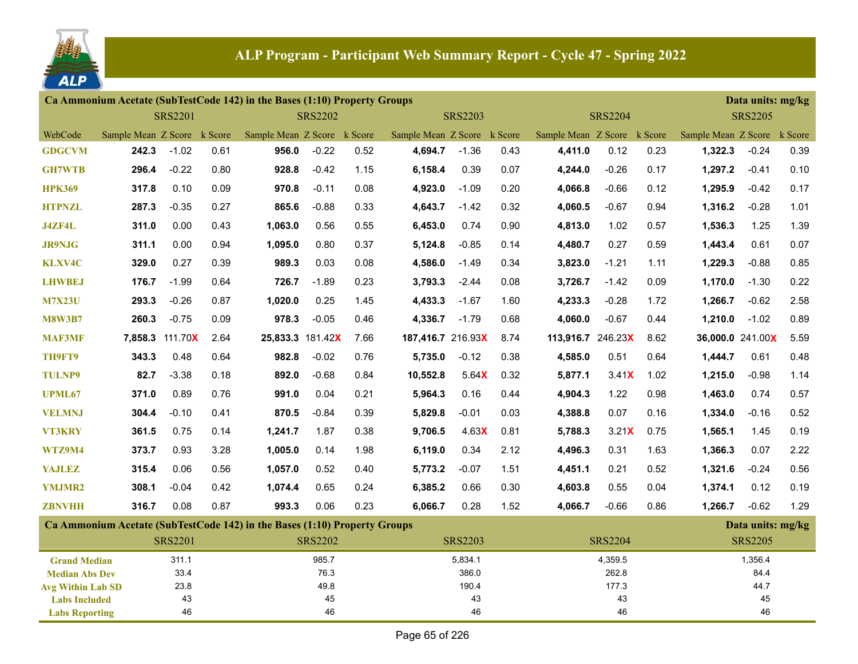

|                                               |                             |                 |      | Ca Ammonium Acetate (SubTestCode 142) in the Bases (1:10) Property Groups |                |      |                             |                |      |                             |                |      |                             | Data units: mg/kg |      |
|-----------------------------------------------|-----------------------------|-----------------|------|---------------------------------------------------------------------------|----------------|------|-----------------------------|----------------|------|-----------------------------|----------------|------|-----------------------------|-------------------|------|
|                                               |                             | <b>SRS2201</b>  |      |                                                                           | <b>SRS2202</b> |      |                             | <b>SRS2203</b> |      |                             | <b>SRS2204</b> |      |                             | <b>SRS2205</b>    |      |
| WebCode                                       | Sample Mean Z Score k Score |                 |      | Sample Mean Z Score k Score                                               |                |      | Sample Mean Z Score k Score |                |      | Sample Mean Z Score k Score |                |      | Sample Mean Z Score k Score |                   |      |
| <b>GDGCVM</b>                                 | 242.3                       | $-1.02$         | 0.61 | 956.0                                                                     | $-0.22$        | 0.52 | 4,694.7                     | $-1.36$        | 0.43 | 4,411.0                     | 0.12           | 0.23 | 1,322.3                     | $-0.24$           | 0.39 |
| <b>GH7WTB</b>                                 | 296.4                       | $-0.22$         | 0.80 | 928.8                                                                     | $-0.42$        | 1.15 | 6,158.4                     | 0.39           | 0.07 | 4,244.0                     | $-0.26$        | 0.17 | 1,297.2                     | $-0.41$           | 0.10 |
| <b>HPK369</b>                                 | 317.8                       | 0.10            | 0.09 | 970.8                                                                     | $-0.11$        | 0.08 | 4,923.0                     | $-1.09$        | 0.20 | 4,066.8                     | $-0.66$        | 0.12 | 1,295.9                     | $-0.42$           | 0.17 |
| <b>HTPNZL</b>                                 | 287.3                       | $-0.35$         | 0.27 | 865.6                                                                     | $-0.88$        | 0.33 | 4,643.7                     | $-1.42$        | 0.32 | 4,060.5                     | $-0.67$        | 0.94 | 1,316.2                     | $-0.28$           | 1.01 |
| J4ZF4L                                        | 311.0                       | 0.00            | 0.43 | 1,063.0                                                                   | 0.56           | 0.55 | 6,453.0                     | 0.74           | 0.90 | 4,813.0                     | 1.02           | 0.57 | 1,536.3                     | 1.25              | 1.39 |
| <b>JR9NJG</b>                                 | 311.1                       | 0.00            | 0.94 | 1,095.0                                                                   | 0.80           | 0.37 | 5,124.8                     | $-0.85$        | 0.14 | 4,480.7                     | 0.27           | 0.59 | 1,443.4                     | 0.61              | 0.07 |
| <b>KLXV4C</b>                                 | 329.0                       | 0.27            | 0.39 | 989.3                                                                     | 0.03           | 0.08 | 4,586.0                     | $-1.49$        | 0.34 | 3,823.0                     | $-1.21$        | 1.11 | 1,229.3                     | $-0.88$           | 0.85 |
| <b>LHWBEJ</b>                                 | 176.7                       | $-1.99$         | 0.64 | 726.7                                                                     | $-1.89$        | 0.23 | 3,793.3                     | $-2.44$        | 0.08 | 3,726.7                     | $-1.42$        | 0.09 | 1,170.0                     | $-1.30$           | 0.22 |
| <b>M7X23U</b>                                 | 293.3                       | $-0.26$         | 0.87 | 1,020.0                                                                   | 0.25           | 1.45 | 4,433.3                     | $-1.67$        | 1.60 | 4,233.3                     | $-0.28$        | 1.72 | 1,266.7                     | $-0.62$           | 2.58 |
| <b>M8W3B7</b>                                 | 260.3                       | $-0.75$         | 0.09 | 978.3                                                                     | $-0.05$        | 0.46 | 4,336.7                     | $-1.79$        | 0.68 | 4,060.0                     | $-0.67$        | 0.44 | 1,210.0                     | $-1.02$           | 0.89 |
| <b>MAF3MF</b>                                 |                             | 7,858.3 111.70X | 2.64 | 25,833.3 181.42X                                                          |                | 7.66 | 187,416.7 216.93X           |                | 8.74 | 113,916.7 246.23X           |                | 8.62 | 36,000.0 241.00X            |                   | 5.59 |
| TH9FT9                                        | 343.3                       | 0.48            | 0.64 | 982.8                                                                     | $-0.02$        | 0.76 | 5,735.0                     | $-0.12$        | 0.38 | 4,585.0                     | 0.51           | 0.64 | 1,444.7                     | 0.61              | 0.48 |
| <b>TULNP9</b>                                 | 82.7                        | $-3.38$         | 0.18 | 892.0                                                                     | $-0.68$        | 0.84 | 10,552.8                    | 5.64X          | 0.32 | 5,877.1                     | 3.41X          | 1.02 | 1,215.0                     | $-0.98$           | 1.14 |
| UPML67                                        | 371.0                       | 0.89            | 0.76 | 991.0                                                                     | 0.04           | 0.21 | 5,964.3                     | 0.16           | 0.44 | 4,904.3                     | 1.22           | 0.98 | 1,463.0                     | 0.74              | 0.57 |
| <b>VELMNJ</b>                                 | 304.4                       | $-0.10$         | 0.41 | 870.5                                                                     | $-0.84$        | 0.39 | 5,829.8                     | $-0.01$        | 0.03 | 4,388.8                     | 0.07           | 0.16 | 1,334.0                     | $-0.16$           | 0.52 |
| VT3KRY                                        | 361.5                       | 0.75            | 0.14 | 1,241.7                                                                   | 1.87           | 0.38 | 9,706.5                     | 4.63X          | 0.81 | 5,788.3                     | 3.21X          | 0.75 | 1,565.1                     | 1.45              | 0.19 |
| WTZ9M4                                        | 373.7                       | 0.93            | 3.28 | 1,005.0                                                                   | 0.14           | 1.98 | 6,119.0                     | 0.34           | 2.12 | 4,496.3                     | 0.31           | 1.63 | 1,366.3                     | 0.07              | 2.22 |
| <b>YAJLEZ</b>                                 | 315.4                       | 0.06            | 0.56 | 1,057.0                                                                   | 0.52           | 0.40 | 5,773.2                     | $-0.07$        | 1.51 | 4,451.1                     | 0.21           | 0.52 | 1,321.6                     | $-0.24$           | 0.56 |
| <b>YMJMR2</b>                                 | 308.1                       | $-0.04$         | 0.42 | 1,074.4                                                                   | 0.65           | 0.24 | 6,385.2                     | 0.66           | 0.30 | 4,603.8                     | 0.55           | 0.04 | 1,374.1                     | 0.12              | 0.19 |
| <b>ZBNVHH</b>                                 | 316.7                       | 0.08            | 0.87 | 993.3                                                                     | 0.06           | 0.23 | 6,066.7                     | 0.28           | 1.52 | 4,066.7                     | $-0.66$        | 0.86 | 1,266.7                     | $-0.62$           | 1.29 |
|                                               |                             |                 |      | Ca Ammonium Acetate (SubTestCode 142) in the Bases (1:10) Property Groups |                |      |                             |                |      |                             |                |      |                             | Data units: mg/kg |      |
|                                               |                             | <b>SRS2201</b>  |      |                                                                           | <b>SRS2202</b> |      |                             | <b>SRS2203</b> |      |                             | <b>SRS2204</b> |      |                             | <b>SRS2205</b>    |      |
| <b>Grand Median</b>                           |                             | 311.1           |      |                                                                           | 985.7          |      |                             | 5,834.1        |      |                             | 4,359.5        |      |                             | 1,356.4           |      |
| <b>Median Abs Dev</b>                         |                             | 33.4            |      |                                                                           | 76.3           |      |                             | 386.0          |      |                             | 262.8          |      |                             | 84.4              |      |
| <b>Avg Within Lab SD</b>                      |                             | 23.8<br>43      |      |                                                                           | 49.8<br>45     |      |                             | 190.4<br>43    |      |                             | 177.3<br>43    |      |                             | 44.7<br>45        |      |
| <b>Labs Included</b><br><b>Labs Reporting</b> |                             | 46              |      |                                                                           | 46             |      |                             | 46             |      |                             | 46             |      |                             | 46                |      |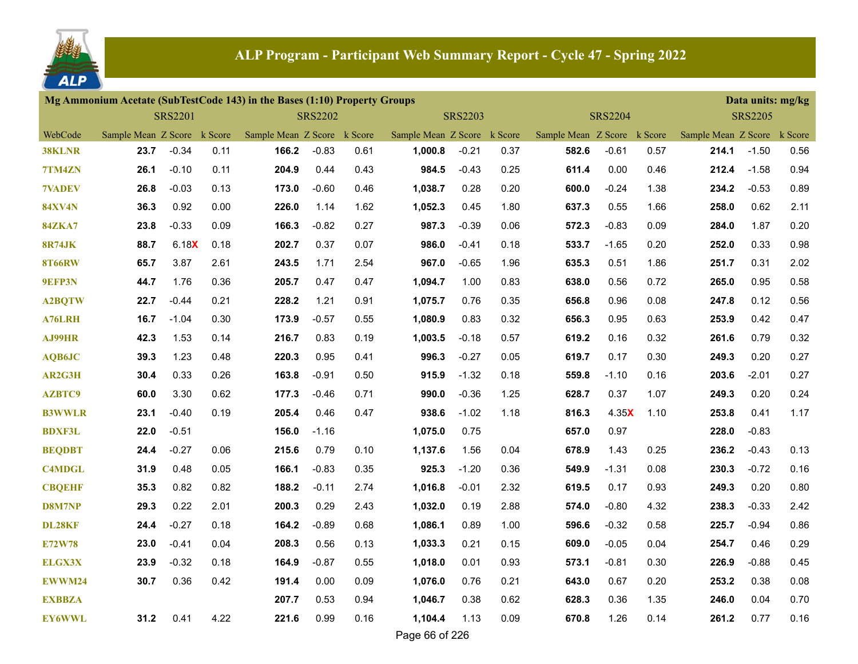

|               |                             |                |      | Mg Ammonium Acetate (SubTestCode 143) in the Bases (1:10) Property Groups |                |      |                             |                |      |                             |                |      |                             | Data units: mg/kg |      |
|---------------|-----------------------------|----------------|------|---------------------------------------------------------------------------|----------------|------|-----------------------------|----------------|------|-----------------------------|----------------|------|-----------------------------|-------------------|------|
|               |                             | <b>SRS2201</b> |      |                                                                           | <b>SRS2202</b> |      |                             | <b>SRS2203</b> |      |                             | <b>SRS2204</b> |      |                             | <b>SRS2205</b>    |      |
| WebCode       | Sample Mean Z Score k Score |                |      | Sample Mean Z Score k Score                                               |                |      | Sample Mean Z Score k Score |                |      | Sample Mean Z Score k Score |                |      | Sample Mean Z Score k Score |                   |      |
| 38KLNR        | 23.7                        | $-0.34$        | 0.11 | 166.2                                                                     | $-0.83$        | 0.61 | 1,000.8                     | $-0.21$        | 0.37 | 582.6                       | $-0.61$        | 0.57 | 214.1                       | $-1.50$           | 0.56 |
| 7TM4ZN        | 26.1                        | $-0.10$        | 0.11 | 204.9                                                                     | 0.44           | 0.43 | 984.5                       | $-0.43$        | 0.25 | 611.4                       | 0.00           | 0.46 | 212.4                       | $-1.58$           | 0.94 |
| <b>7VADEV</b> | 26.8                        | $-0.03$        | 0.13 | 173.0                                                                     | $-0.60$        | 0.46 | 1,038.7                     | 0.28           | 0.20 | 600.0                       | $-0.24$        | 1.38 | 234.2                       | $-0.53$           | 0.89 |
| <b>84XV4N</b> | 36.3                        | 0.92           | 0.00 | 226.0                                                                     | 1.14           | 1.62 | 1,052.3                     | 0.45           | 1.80 | 637.3                       | 0.55           | 1.66 | 258.0                       | 0.62              | 2.11 |
| <b>84ZKA7</b> | 23.8                        | $-0.33$        | 0.09 | 166.3                                                                     | $-0.82$        | 0.27 | 987.3                       | $-0.39$        | 0.06 | 572.3                       | $-0.83$        | 0.09 | 284.0                       | 1.87              | 0.20 |
| <b>8R74JK</b> | 88.7                        | 6.18X          | 0.18 | 202.7                                                                     | 0.37           | 0.07 | 986.0                       | $-0.41$        | 0.18 | 533.7                       | $-1.65$        | 0.20 | 252.0                       | 0.33              | 0.98 |
| <b>8T66RW</b> | 65.7                        | 3.87           | 2.61 | 243.5                                                                     | 1.71           | 2.54 | 967.0                       | $-0.65$        | 1.96 | 635.3                       | 0.51           | 1.86 | 251.7                       | 0.31              | 2.02 |
| 9EFP3N        | 44.7                        | 1.76           | 0.36 | 205.7                                                                     | 0.47           | 0.47 | 1,094.7                     | 1.00           | 0.83 | 638.0                       | 0.56           | 0.72 | 265.0                       | 0.95              | 0.58 |
| <b>A2BQTW</b> | 22.7                        | $-0.44$        | 0.21 | 228.2                                                                     | 1.21           | 0.91 | 1,075.7                     | 0.76           | 0.35 | 656.8                       | 0.96           | 0.08 | 247.8                       | 0.12              | 0.56 |
| A76LRH        | 16.7                        | $-1.04$        | 0.30 | 173.9                                                                     | $-0.57$        | 0.55 | 1,080.9                     | 0.83           | 0.32 | 656.3                       | 0.95           | 0.63 | 253.9                       | 0.42              | 0.47 |
| AJ99HR        | 42.3                        | 1.53           | 0.14 | 216.7                                                                     | 0.83           | 0.19 | 1,003.5                     | $-0.18$        | 0.57 | 619.2                       | 0.16           | 0.32 | 261.6                       | 0.79              | 0.32 |
| <b>AQB6JC</b> | 39.3                        | 1.23           | 0.48 | 220.3                                                                     | 0.95           | 0.41 | 996.3                       | $-0.27$        | 0.05 | 619.7                       | 0.17           | 0.30 | 249.3                       | 0.20              | 0.27 |
| AR2G3H        | 30.4                        | 0.33           | 0.26 | 163.8                                                                     | $-0.91$        | 0.50 | 915.9                       | $-1.32$        | 0.18 | 559.8                       | $-1.10$        | 0.16 | 203.6                       | $-2.01$           | 0.27 |
| <b>AZBTC9</b> | 60.0                        | 3.30           | 0.62 | 177.3                                                                     | $-0.46$        | 0.71 | 990.0                       | $-0.36$        | 1.25 | 628.7                       | 0.37           | 1.07 | 249.3                       | 0.20              | 0.24 |
| <b>B3WWLR</b> | 23.1                        | $-0.40$        | 0.19 | 205.4                                                                     | 0.46           | 0.47 | 938.6                       | $-1.02$        | 1.18 | 816.3                       | 4.35X          | 1.10 | 253.8                       | 0.41              | 1.17 |
| <b>BDXF3L</b> | 22.0                        | $-0.51$        |      | 156.0                                                                     | $-1.16$        |      | 1,075.0                     | 0.75           |      | 657.0                       | 0.97           |      | 228.0                       | $-0.83$           |      |
| <b>BEQDBT</b> | 24.4                        | $-0.27$        | 0.06 | 215.6                                                                     | 0.79           | 0.10 | 1,137.6                     | 1.56           | 0.04 | 678.9                       | 1.43           | 0.25 | 236.2                       | $-0.43$           | 0.13 |
| <b>C4MDGL</b> | 31.9                        | 0.48           | 0.05 | 166.1                                                                     | $-0.83$        | 0.35 | 925.3                       | $-1.20$        | 0.36 | 549.9                       | $-1.31$        | 0.08 | 230.3                       | $-0.72$           | 0.16 |
| <b>CBQEHF</b> | 35.3                        | 0.82           | 0.82 | 188.2                                                                     | $-0.11$        | 2.74 | 1,016.8                     | $-0.01$        | 2.32 | 619.5                       | 0.17           | 0.93 | 249.3                       | 0.20              | 0.80 |
| D8M7NP        | 29.3                        | 0.22           | 2.01 | 200.3                                                                     | 0.29           | 2.43 | 1,032.0                     | 0.19           | 2.88 | 574.0                       | $-0.80$        | 4.32 | 238.3                       | $-0.33$           | 2.42 |
| DL28KF        | 24.4                        | $-0.27$        | 0.18 | 164.2                                                                     | $-0.89$        | 0.68 | 1,086.1                     | 0.89           | 1.00 | 596.6                       | $-0.32$        | 0.58 | 225.7                       | $-0.94$           | 0.86 |
| E72W78        | 23.0                        | $-0.41$        | 0.04 | 208.3                                                                     | 0.56           | 0.13 | 1,033.3                     | 0.21           | 0.15 | 609.0                       | $-0.05$        | 0.04 | 254.7                       | 0.46              | 0.29 |
| <b>ELGX3X</b> | 23.9                        | $-0.32$        | 0.18 | 164.9                                                                     | $-0.87$        | 0.55 | 1,018.0                     | 0.01           | 0.93 | 573.1                       | $-0.81$        | 0.30 | 226.9                       | $-0.88$           | 0.45 |
| EWWM24        | 30.7                        | 0.36           | 0.42 | 191.4                                                                     | 0.00           | 0.09 | 1,076.0                     | 0.76           | 0.21 | 643.0                       | 0.67           | 0.20 | 253.2                       | 0.38              | 0.08 |
| <b>EXBBZA</b> |                             |                |      | 207.7                                                                     | 0.53           | 0.94 | 1,046.7                     | 0.38           | 0.62 | 628.3                       | 0.36           | 1.35 | 246.0                       | 0.04              | 0.70 |
| <b>EY6WWL</b> | 31.2                        | 0.41           | 4.22 | 221.6                                                                     | 0.99           | 0.16 | 1,104.4                     | 1.13           | 0.09 | 670.8                       | 1.26           | 0.14 | 261.2                       | 0.77              | 0.16 |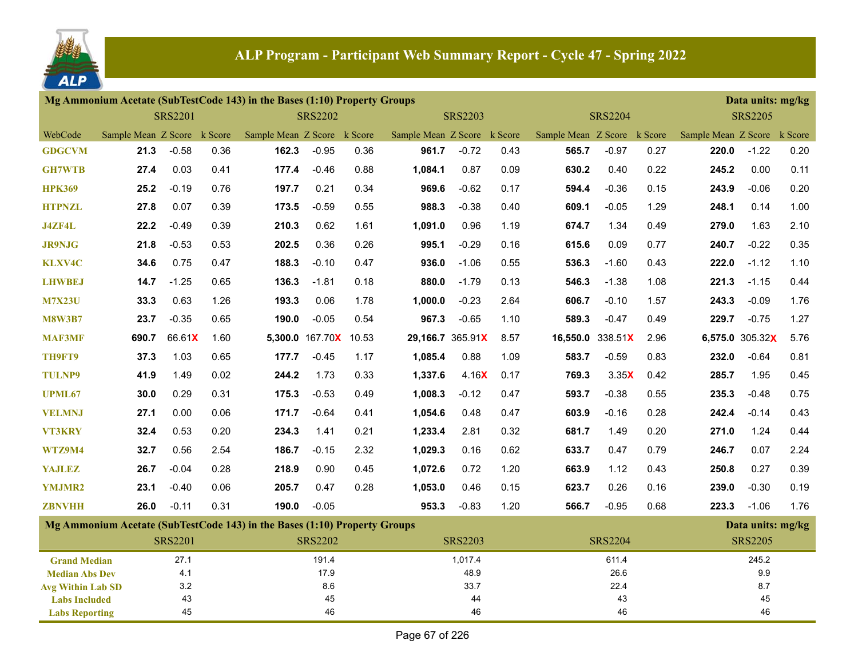

| 21.3  | $-0.58$ | 0.36                                                | 162.3                       | $-0.95$ | 0.36                                                        | 961.7                                          | $-0.72$                                                                                                                                                | 0.43                                                                             | 565.7                       | $-0.97$ | 0.27                                                                     | 220.0                                           | $-1.22$ | 0.20                                                                                                                                                   |
|-------|---------|-----------------------------------------------------|-----------------------------|---------|-------------------------------------------------------------|------------------------------------------------|--------------------------------------------------------------------------------------------------------------------------------------------------------|----------------------------------------------------------------------------------|-----------------------------|---------|--------------------------------------------------------------------------|-------------------------------------------------|---------|--------------------------------------------------------------------------------------------------------------------------------------------------------|
| 27.4  | 0.03    | 0.41                                                | 177.4                       | $-0.46$ | 0.88                                                        | 1,084.1                                        | 0.87                                                                                                                                                   | 0.09                                                                             | 630.2                       | 0.40    | 0.22                                                                     | 245.2                                           | 0.00    | 0.11                                                                                                                                                   |
| 25.2  | $-0.19$ | 0.76                                                | 197.7                       | 0.21    | 0.34                                                        | 969.6                                          | $-0.62$                                                                                                                                                | 0.17                                                                             | 594.4                       | $-0.36$ | 0.15                                                                     | 243.9                                           | $-0.06$ | 0.20                                                                                                                                                   |
| 27.8  | 0.07    | 0.39                                                | 173.5                       | $-0.59$ | 0.55                                                        | 988.3                                          | $-0.38$                                                                                                                                                | 0.40                                                                             | 609.1                       | $-0.05$ | 1.29                                                                     | 248.1                                           | 0.14    | 1.00                                                                                                                                                   |
| 22.2  | $-0.49$ | 0.39                                                | 210.3                       | 0.62    | 1.61                                                        | 1,091.0                                        | 0.96                                                                                                                                                   | 1.19                                                                             | 674.7                       | 1.34    | 0.49                                                                     | 279.0                                           | 1.63    | 2.10                                                                                                                                                   |
| 21.8  | $-0.53$ | 0.53                                                | 202.5                       | 0.36    | 0.26                                                        | 995.1                                          | $-0.29$                                                                                                                                                | 0.16                                                                             | 615.6                       | 0.09    | 0.77                                                                     | 240.7                                           | $-0.22$ | 0.35                                                                                                                                                   |
| 34.6  | 0.75    | 0.47                                                | 188.3                       | $-0.10$ | 0.47                                                        | 936.0                                          | $-1.06$                                                                                                                                                | 0.55                                                                             | 536.3                       | $-1.60$ | 0.43                                                                     | 222.0                                           | $-1.12$ | 1.10                                                                                                                                                   |
| 14.7  | $-1.25$ | 0.65                                                | 136.3                       | $-1.81$ | 0.18                                                        | 880.0                                          | $-1.79$                                                                                                                                                | 0.13                                                                             | 546.3                       | $-1.38$ | 1.08                                                                     | 221.3                                           | $-1.15$ | 0.44                                                                                                                                                   |
| 33.3  | 0.63    | 1.26                                                | 193.3                       | 0.06    | 1.78                                                        | 1,000.0                                        | $-0.23$                                                                                                                                                | 2.64                                                                             | 606.7                       | $-0.10$ | 1.57                                                                     | 243.3                                           | $-0.09$ | 1.76                                                                                                                                                   |
| 23.7  | $-0.35$ | 0.65                                                | 190.0                       | $-0.05$ | 0.54                                                        | 967.3                                          | $-0.65$                                                                                                                                                | 1.10                                                                             | 589.3                       | $-0.47$ | 0.49                                                                     | 229.7                                           | $-0.75$ | 1.27                                                                                                                                                   |
| 690.7 | 66.61X  | 1.60                                                |                             |         | 10.53                                                       |                                                |                                                                                                                                                        | 8.57                                                                             |                             |         | 2.96                                                                     |                                                 |         | 5.76                                                                                                                                                   |
| 37.3  | 1.03    | 0.65                                                | 177.7                       | $-0.45$ | 1.17                                                        | 1,085.4                                        | 0.88                                                                                                                                                   | 1.09                                                                             | 583.7                       | $-0.59$ | 0.83                                                                     | 232.0                                           | $-0.64$ | 0.81                                                                                                                                                   |
| 41.9  | 1.49    | 0.02                                                | 244.2                       | 1.73    | 0.33                                                        | 1,337.6                                        | 4.16X                                                                                                                                                  | 0.17                                                                             | 769.3                       |         | 0.42                                                                     | 285.7                                           | 1.95    | 0.45                                                                                                                                                   |
| 30.0  | 0.29    | 0.31                                                | 175.3                       | $-0.53$ | 0.49                                                        | 1,008.3                                        | $-0.12$                                                                                                                                                | 0.47                                                                             | 593.7                       | $-0.38$ | 0.55                                                                     | 235.3                                           | $-0.48$ | 0.75                                                                                                                                                   |
| 27.1  | 0.00    | 0.06                                                | 171.7                       | $-0.64$ | 0.41                                                        | 1,054.6                                        | 0.48                                                                                                                                                   | 0.47                                                                             | 603.9                       | $-0.16$ | 0.28                                                                     | 242.4                                           | $-0.14$ | 0.43                                                                                                                                                   |
| 32.4  | 0.53    | 0.20                                                | 234.3                       | 1.41    | 0.21                                                        | 1,233.4                                        | 2.81                                                                                                                                                   | 0.32                                                                             | 681.7                       | 1.49    | 0.20                                                                     | 271.0                                           | 1.24    | 0.44                                                                                                                                                   |
| 32.7  | 0.56    | 2.54                                                | 186.7                       | $-0.15$ | 2.32                                                        | 1,029.3                                        | 0.16                                                                                                                                                   | 0.62                                                                             | 633.7                       | 0.47    | 0.79                                                                     | 246.7                                           | 0.07    | 2.24                                                                                                                                                   |
| 26.7  | $-0.04$ | 0.28                                                | 218.9                       | 0.90    | 0.45                                                        | 1,072.6                                        | 0.72                                                                                                                                                   | 1.20                                                                             | 663.9                       | 1.12    | 0.43                                                                     | 250.8                                           | 0.27    | 0.39                                                                                                                                                   |
| 23.1  | $-0.40$ | 0.06                                                | 205.7                       | 0.47    | 0.28                                                        | 1,053.0                                        | 0.46                                                                                                                                                   | 0.15                                                                             | 623.7                       | 0.26    | 0.16                                                                     | 239.0                                           | $-0.30$ | 0.19                                                                                                                                                   |
| 26.0  | $-0.11$ | 0.31                                                | 190.0                       | $-0.05$ |                                                             | 953.3                                          | $-0.83$                                                                                                                                                | 1.20                                                                             | 566.7                       | $-0.95$ | 0.68                                                                     | 223.3                                           | $-1.06$ | 1.76                                                                                                                                                   |
|       |         |                                                     |                             |         |                                                             |                                                |                                                                                                                                                        |                                                                                  |                             |         |                                                                          |                                                 |         |                                                                                                                                                        |
|       |         |                                                     |                             |         |                                                             |                                                |                                                                                                                                                        |                                                                                  |                             |         |                                                                          |                                                 |         |                                                                                                                                                        |
|       | 27.1    |                                                     |                             | 191.4   |                                                             |                                                | 1,017.4                                                                                                                                                |                                                                                  |                             | 611.4   |                                                                          |                                                 | 245.2   |                                                                                                                                                        |
|       | 4.1     |                                                     |                             |         |                                                             |                                                |                                                                                                                                                        |                                                                                  |                             |         |                                                                          |                                                 |         |                                                                                                                                                        |
|       |         |                                                     |                             |         |                                                             |                                                |                                                                                                                                                        |                                                                                  |                             |         |                                                                          |                                                 |         |                                                                                                                                                        |
|       |         |                                                     |                             |         |                                                             |                                                |                                                                                                                                                        |                                                                                  |                             |         |                                                                          |                                                 |         |                                                                                                                                                        |
|       |         | <b>SRS2201</b><br><b>SRS2201</b><br>3.2<br>43<br>45 | Sample Mean Z Score k Score |         | <b>SRS2202</b><br><b>SRS2202</b><br>17.9<br>8.6<br>45<br>46 | Sample Mean Z Score k Score<br>5,300.0 167.70X | Mg Ammonium Acetate (SubTestCode 143) in the Bases (1:10) Property Groups<br>Mg Ammonium Acetate (SubTestCode 143) in the Bases (1:10) Property Groups | <b>SRS2203</b><br>29,166.7 365.91X<br><b>SRS2203</b><br>48.9<br>33.7<br>44<br>46 | Sample Mean Z Score k Score |         | <b>SRS2204</b><br>16,550.0<br><b>SRS2204</b><br>26.6<br>22.4<br>43<br>46 | Sample Mean Z Score k Score<br>338.51X<br>3.35X |         | Data units: mg/kg<br><b>SRS2205</b><br>Sample Mean Z Score k Score<br>6,575.0 305.32X<br>Data units: mg/kg<br><b>SRS2205</b><br>9.9<br>8.7<br>45<br>46 |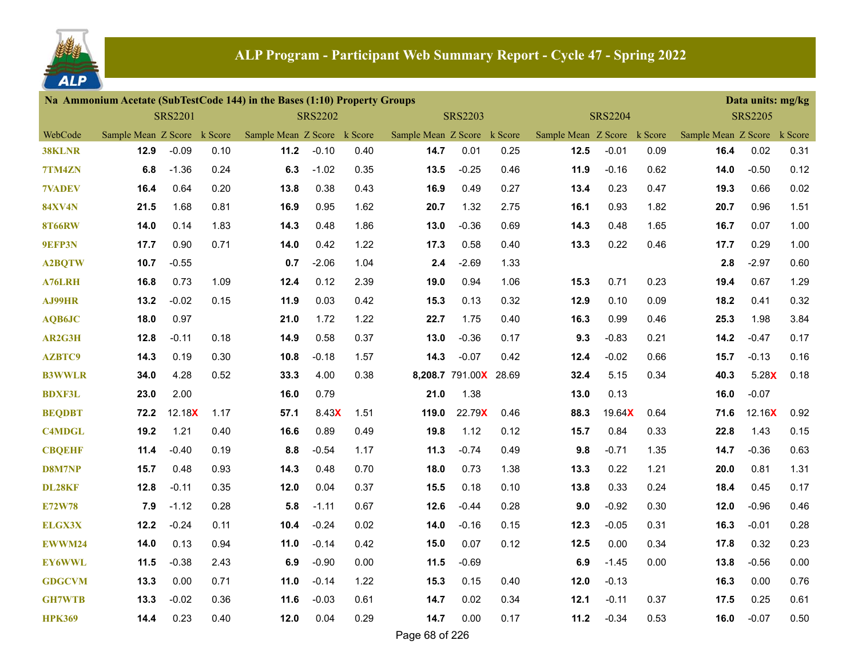

|               |                             |                |      | Na Ammonium Acetate (SubTestCode 144) in the Bases (1:10) Property Groups |                |      |                             |                       |      |                             |                |      |                             | Data units: mg/kg |      |
|---------------|-----------------------------|----------------|------|---------------------------------------------------------------------------|----------------|------|-----------------------------|-----------------------|------|-----------------------------|----------------|------|-----------------------------|-------------------|------|
|               |                             | <b>SRS2201</b> |      |                                                                           | <b>SRS2202</b> |      |                             | <b>SRS2203</b>        |      |                             | <b>SRS2204</b> |      |                             | <b>SRS2205</b>    |      |
| WebCode       | Sample Mean Z Score k Score |                |      | Sample Mean Z Score k Score                                               |                |      | Sample Mean Z Score k Score |                       |      | Sample Mean Z Score k Score |                |      | Sample Mean Z Score k Score |                   |      |
| 38KLNR        | 12.9                        | $-0.09$        | 0.10 | 11.2                                                                      | $-0.10$        | 0.40 | 14.7                        | 0.01                  | 0.25 | 12.5                        | $-0.01$        | 0.09 | 16.4                        | 0.02              | 0.31 |
| 7TM4ZN        | 6.8                         | $-1.36$        | 0.24 | 6.3                                                                       | $-1.02$        | 0.35 | 13.5                        | $-0.25$               | 0.46 | 11.9                        | $-0.16$        | 0.62 | 14.0                        | $-0.50$           | 0.12 |
| <b>7VADEV</b> | 16.4                        | 0.64           | 0.20 | 13.8                                                                      | 0.38           | 0.43 | 16.9                        | 0.49                  | 0.27 | 13.4                        | 0.23           | 0.47 | 19.3                        | 0.66              | 0.02 |
| <b>84XV4N</b> | 21.5                        | 1.68           | 0.81 | 16.9                                                                      | 0.95           | 1.62 | 20.7                        | 1.32                  | 2.75 | 16.1                        | 0.93           | 1.82 | 20.7                        | 0.96              | 1.51 |
| <b>8T66RW</b> | 14.0                        | 0.14           | 1.83 | 14.3                                                                      | 0.48           | 1.86 | 13.0                        | $-0.36$               | 0.69 | 14.3                        | 0.48           | 1.65 | 16.7                        | 0.07              | 1.00 |
| 9EFP3N        | 17.7                        | 0.90           | 0.71 | 14.0                                                                      | 0.42           | 1.22 | 17.3                        | 0.58                  | 0.40 | 13.3                        | 0.22           | 0.46 | 17.7                        | 0.29              | 1.00 |
| <b>A2BOTW</b> | 10.7                        | $-0.55$        |      | 0.7                                                                       | $-2.06$        | 1.04 | 2.4                         | $-2.69$               | 1.33 |                             |                |      | 2.8                         | $-2.97$           | 0.60 |
| A76LRH        | 16.8                        | 0.73           | 1.09 | 12.4                                                                      | 0.12           | 2.39 | 19.0                        | 0.94                  | 1.06 | 15.3                        | 0.71           | 0.23 | 19.4                        | 0.67              | 1.29 |
| AJ99HR        | 13.2                        | $-0.02$        | 0.15 | 11.9                                                                      | 0.03           | 0.42 | 15.3                        | 0.13                  | 0.32 | 12.9                        | 0.10           | 0.09 | 18.2                        | 0.41              | 0.32 |
| <b>AQB6JC</b> | 18.0                        | 0.97           |      | 21.0                                                                      | 1.72           | 1.22 | 22.7                        | 1.75                  | 0.40 | 16.3                        | 0.99           | 0.46 | 25.3                        | 1.98              | 3.84 |
| AR2G3H        | 12.8                        | $-0.11$        | 0.18 | 14.9                                                                      | 0.58           | 0.37 | 13.0                        | $-0.36$               | 0.17 | 9.3                         | $-0.83$        | 0.21 | 14.2                        | $-0.47$           | 0.17 |
| <b>AZBTC9</b> | 14.3                        | 0.19           | 0.30 | 10.8                                                                      | $-0.18$        | 1.57 | 14.3                        | $-0.07$               | 0.42 | 12.4                        | $-0.02$        | 0.66 | 15.7                        | $-0.13$           | 0.16 |
| <b>B3WWLR</b> | 34.0                        | 4.28           | 0.52 | 33.3                                                                      | 4.00           | 0.38 |                             | 8,208.7 791.00X 28.69 |      | 32.4                        | 5.15           | 0.34 | 40.3                        | 5.28X             | 0.18 |
| <b>BDXF3L</b> | 23.0                        | 2.00           |      | 16.0                                                                      | 0.79           |      | 21.0                        | 1.38                  |      | 13.0                        | 0.13           |      | 16.0                        | $-0.07$           |      |
| <b>BEQDBT</b> | 72.2                        | 12.18X         | 1.17 | 57.1                                                                      | 8.43X          | 1.51 | 119.0                       | 22.79X                | 0.46 | 88.3                        | 19.64X         | 0.64 | 71.6                        | 12.16X            | 0.92 |
| <b>C4MDGL</b> | 19.2                        | 1.21           | 0.40 | 16.6                                                                      | 0.89           | 0.49 | 19.8                        | 1.12                  | 0.12 | 15.7                        | 0.84           | 0.33 | 22.8                        | 1.43              | 0.15 |
| <b>CBQEHF</b> | 11.4                        | $-0.40$        | 0.19 | 8.8                                                                       | $-0.54$        | 1.17 | 11.3                        | $-0.74$               | 0.49 | 9.8                         | $-0.71$        | 1.35 | 14.7                        | $-0.36$           | 0.63 |
| D8M7NP        | 15.7                        | 0.48           | 0.93 | 14.3                                                                      | 0.48           | 0.70 | 18.0                        | 0.73                  | 1.38 | 13.3                        | 0.22           | 1.21 | 20.0                        | 0.81              | 1.31 |
| DL28KF        | 12.8                        | $-0.11$        | 0.35 | 12.0                                                                      | 0.04           | 0.37 | 15.5                        | 0.18                  | 0.10 | 13.8                        | 0.33           | 0.24 | 18.4                        | 0.45              | 0.17 |
| E72W78        | 7.9                         | $-1.12$        | 0.28 | 5.8                                                                       | $-1.11$        | 0.67 | 12.6                        | $-0.44$               | 0.28 | 9.0                         | $-0.92$        | 0.30 | 12.0                        | $-0.96$           | 0.46 |
| <b>ELGX3X</b> | 12.2                        | $-0.24$        | 0.11 | 10.4                                                                      | $-0.24$        | 0.02 | 14.0                        | $-0.16$               | 0.15 | 12.3                        | $-0.05$        | 0.31 | 16.3                        | $-0.01$           | 0.28 |
| EWWM24        | 14.0                        | 0.13           | 0.94 | 11.0                                                                      | $-0.14$        | 0.42 | 15.0                        | 0.07                  | 0.12 | 12.5                        | 0.00           | 0.34 | 17.8                        | 0.32              | 0.23 |
| <b>EY6WWL</b> | 11.5                        | $-0.38$        | 2.43 | 6.9                                                                       | $-0.90$        | 0.00 | 11.5                        | $-0.69$               |      | 6.9                         | $-1.45$        | 0.00 | 13.8                        | $-0.56$           | 0.00 |
| <b>GDGCVM</b> | 13.3                        | 0.00           | 0.71 | $11.0$                                                                    | $-0.14$        | 1.22 | 15.3                        | 0.15                  | 0.40 | 12.0                        | $-0.13$        |      | 16.3                        | 0.00              | 0.76 |
| <b>GH7WTB</b> | 13.3                        | $-0.02$        | 0.36 | 11.6                                                                      | $-0.03$        | 0.61 | 14.7                        | 0.02                  | 0.34 | 12.1                        | $-0.11$        | 0.37 | 17.5                        | 0.25              | 0.61 |
| <b>HPK369</b> | 14.4                        | 0.23           | 0.40 | 12.0                                                                      | 0.04           | 0.29 | 14.7                        | 0.00                  | 0.17 | 11.2                        | $-0.34$        | 0.53 | 16.0                        | $-0.07$           | 0.50 |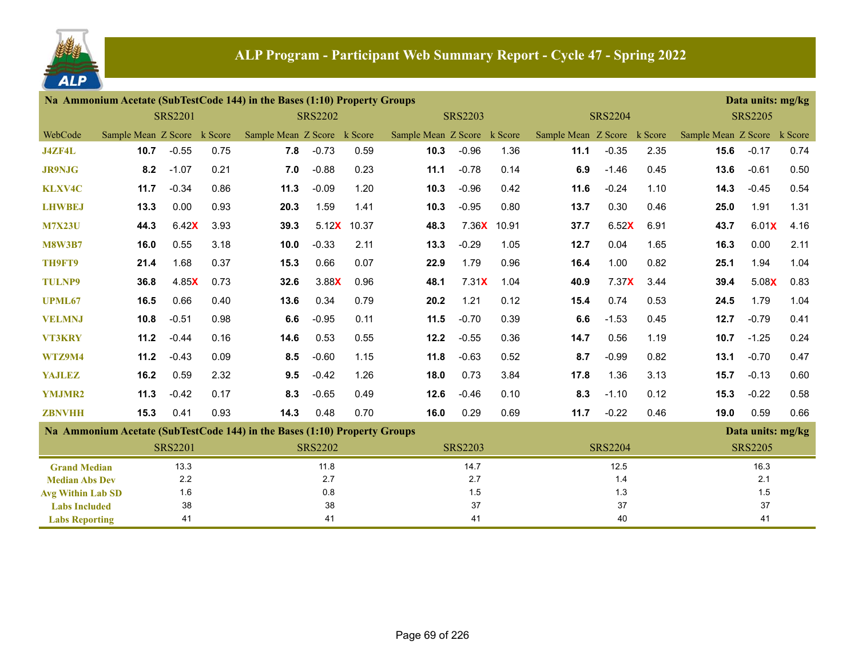

|                          |                             |                |      | Na Ammonium Acetate (SubTestCode 144) in the Bases (1:10) Property Groups |                 |       |                             |                |       |                             |                |      |                             | Data units: mg/kg |      |
|--------------------------|-----------------------------|----------------|------|---------------------------------------------------------------------------|-----------------|-------|-----------------------------|----------------|-------|-----------------------------|----------------|------|-----------------------------|-------------------|------|
|                          |                             | <b>SRS2201</b> |      |                                                                           | <b>SRS2202</b>  |       |                             | <b>SRS2203</b> |       |                             | <b>SRS2204</b> |      |                             | <b>SRS2205</b>    |      |
| WebCode                  | Sample Mean Z Score k Score |                |      | Sample Mean Z Score k Score                                               |                 |       | Sample Mean Z Score k Score |                |       | Sample Mean Z Score k Score |                |      | Sample Mean Z Score k Score |                   |      |
| <b>J4ZF4L</b>            | 10.7                        | $-0.55$        | 0.75 | 7.8                                                                       | $-0.73$         | 0.59  | 10.3                        | $-0.96$        | 1.36  | 11.1                        | $-0.35$        | 2.35 | 15.6                        | $-0.17$           | 0.74 |
| <b>JR9NJG</b>            | 8.2                         | $-1.07$        | 0.21 | 7.0                                                                       | $-0.88$         | 0.23  | 11.1                        | $-0.78$        | 0.14  | 6.9                         | $-1.46$        | 0.45 | 13.6                        | $-0.61$           | 0.50 |
| <b>KLXV4C</b>            | 11.7                        | $-0.34$        | 0.86 | 11.3                                                                      | $-0.09$         | 1.20  | 10.3                        | $-0.96$        | 0.42  | 11.6                        | $-0.24$        | 1.10 | 14.3                        | $-0.45$           | 0.54 |
| <b>LHWBEJ</b>            | 13.3                        | 0.00           | 0.93 | 20.3                                                                      | 1.59            | 1.41  | 10.3                        | $-0.95$        | 0.80  | 13.7                        | 0.30           | 0.46 | 25.0                        | 1.91              | 1.31 |
| <b>M7X23U</b>            | 44.3                        | 6.42X          | 3.93 | 39.3                                                                      | $5.12$ <b>X</b> | 10.37 | 48.3                        | 7.36 <b>X</b>  | 10.91 | 37.7                        | 6.52X          | 6.91 | 43.7                        | 6.01X             | 4.16 |
| <b>M8W3B7</b>            | 16.0                        | 0.55           | 3.18 | 10.0                                                                      | $-0.33$         | 2.11  | 13.3                        | $-0.29$        | 1.05  | 12.7                        | 0.04           | 1.65 | 16.3                        | 0.00              | 2.11 |
| <b>TH9FT9</b>            | 21.4                        | 1.68           | 0.37 | 15.3                                                                      | 0.66            | 0.07  | 22.9                        | 1.79           | 0.96  | 16.4                        | 1.00           | 0.82 | 25.1                        | 1.94              | 1.04 |
| <b>TULNP9</b>            | 36.8                        | 4.85X          | 0.73 | 32.6                                                                      | 3.88X           | 0.96  | 48.1                        | 7.31X          | 1.04  | 40.9                        | 7.37X          | 3.44 | 39.4                        | 5.08X             | 0.83 |
| UPML67                   | 16.5                        | 0.66           | 0.40 | 13.6                                                                      | 0.34            | 0.79  | 20.2                        | 1.21           | 0.12  | 15.4                        | 0.74           | 0.53 | 24.5                        | 1.79              | 1.04 |
| <b>VELMNJ</b>            | 10.8                        | $-0.51$        | 0.98 | 6.6                                                                       | $-0.95$         | 0.11  | 11.5                        | $-0.70$        | 0.39  | 6.6                         | $-1.53$        | 0.45 | 12.7                        | $-0.79$           | 0.41 |
| <b>VT3KRY</b>            | 11.2                        | $-0.44$        | 0.16 | 14.6                                                                      | 0.53            | 0.55  | 12.2                        | $-0.55$        | 0.36  | 14.7                        | 0.56           | 1.19 | 10.7                        | $-1.25$           | 0.24 |
| WTZ9M4                   | 11.2                        | $-0.43$        | 0.09 | 8.5                                                                       | $-0.60$         | 1.15  | 11.8                        | $-0.63$        | 0.52  | 8.7                         | $-0.99$        | 0.82 | 13.1                        | $-0.70$           | 0.47 |
| <b>YAJLEZ</b>            | 16.2                        | 0.59           | 2.32 | 9.5                                                                       | $-0.42$         | 1.26  | 18.0                        | 0.73           | 3.84  | 17.8                        | 1.36           | 3.13 | 15.7                        | $-0.13$           | 0.60 |
| YMJMR2                   | 11.3                        | $-0.42$        | 0.17 | 8.3                                                                       | $-0.65$         | 0.49  | 12.6                        | $-0.46$        | 0.10  | 8.3                         | $-1.10$        | 0.12 | 15.3                        | $-0.22$           | 0.58 |
| <b>ZBNVHH</b>            | 15.3                        | 0.41           | 0.93 | 14.3                                                                      | 0.48            | 0.70  | 16.0                        | 0.29           | 0.69  | 11.7                        | $-0.22$        | 0.46 | 19.0                        | 0.59              | 0.66 |
|                          |                             |                |      | Na Ammonium Acetate (SubTestCode 144) in the Bases (1:10) Property Groups |                 |       |                             |                |       |                             |                |      |                             | Data units: mg/kg |      |
|                          |                             | <b>SRS2201</b> |      |                                                                           | <b>SRS2202</b>  |       |                             | <b>SRS2203</b> |       |                             | <b>SRS2204</b> |      |                             | <b>SRS2205</b>    |      |
| <b>Grand Median</b>      |                             | 13.3           |      |                                                                           | 11.8            |       |                             | 14.7           |       |                             | 12.5           |      |                             | 16.3              |      |
| <b>Median Abs Dev</b>    |                             | 2.2            |      |                                                                           | 2.7             |       |                             | 2.7            |       |                             | 1.4            |      |                             | 2.1               |      |
| <b>Avg Within Lab SD</b> |                             | 1.6            |      |                                                                           | 0.8             |       |                             | 1.5            |       |                             | 1.3            |      |                             | 1.5               |      |
| <b>Labs Included</b>     |                             | 38             |      |                                                                           | 38              |       |                             | 37             |       |                             | 37             |      |                             | 37                |      |
| <b>Labs Reporting</b>    |                             | 41             |      |                                                                           | 41              |       |                             | 41             |       |                             | 40             |      |                             | 41                |      |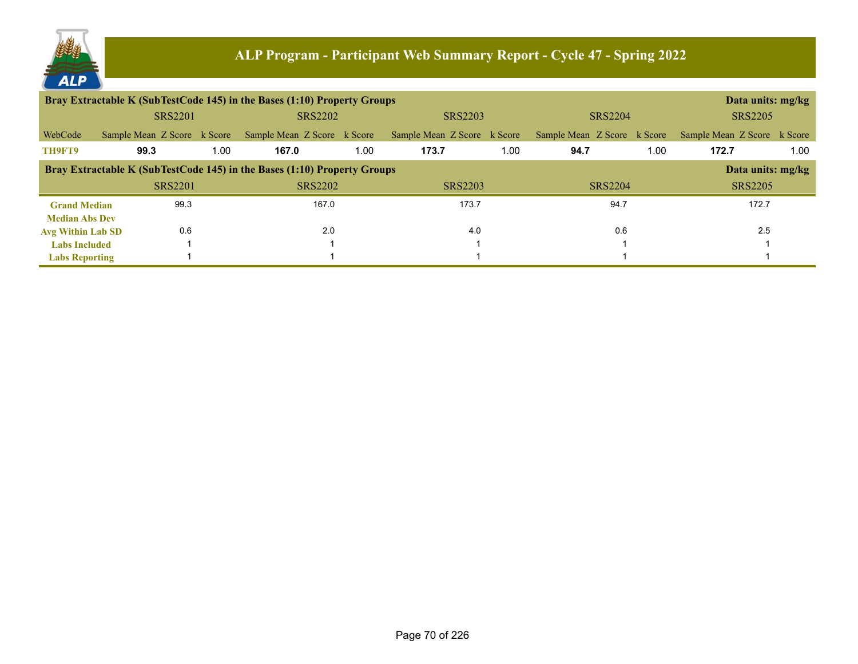

|                          |                             |      | <b>Bray Extractable K (SubTestCode 145) in the Bases (1:10) Property Groups</b> |      |                             |      |                             |      | Data units: mg/kg           |      |
|--------------------------|-----------------------------|------|---------------------------------------------------------------------------------|------|-----------------------------|------|-----------------------------|------|-----------------------------|------|
|                          | <b>SRS2201</b>              |      | SRS2202                                                                         |      | <b>SRS2203</b>              |      | SRS2204                     |      | SRS2205                     |      |
| WebCode                  | Sample Mean Z Score k Score |      | Sample Mean Z Score k Score                                                     |      | Sample Mean Z Score k Score |      | Sample Mean Z Score k Score |      | Sample Mean Z Score k Score |      |
| <b>TH9FT9</b>            | 99.3                        | 1.00 | 167.0                                                                           | 1.00 | 173.7                       | 1.00 | 94.7                        | 1.00 | 172.7                       | 1.00 |
|                          |                             |      | <b>Bray Extractable K (SubTestCode 145) in the Bases (1:10) Property Groups</b> |      |                             |      |                             |      | Data units: mg/kg           |      |
|                          | <b>SRS2201</b>              |      | <b>SRS2202</b>                                                                  |      | <b>SRS2203</b>              |      | <b>SRS2204</b>              |      | SRS2205                     |      |
| <b>Grand Median</b>      | 99.3                        |      | 167.0                                                                           |      | 173.7                       |      | 94.7                        |      | 172.7                       |      |
| <b>Median Abs Dev</b>    |                             |      |                                                                                 |      |                             |      |                             |      |                             |      |
| <b>Avg Within Lab SD</b> | 0.6                         |      | 2.0                                                                             |      | 4.0                         |      | 0.6                         |      | 2.5                         |      |
| <b>Labs Included</b>     |                             |      |                                                                                 |      |                             |      |                             |      |                             |      |
| <b>Labs Reporting</b>    |                             |      |                                                                                 |      |                             |      |                             |      |                             |      |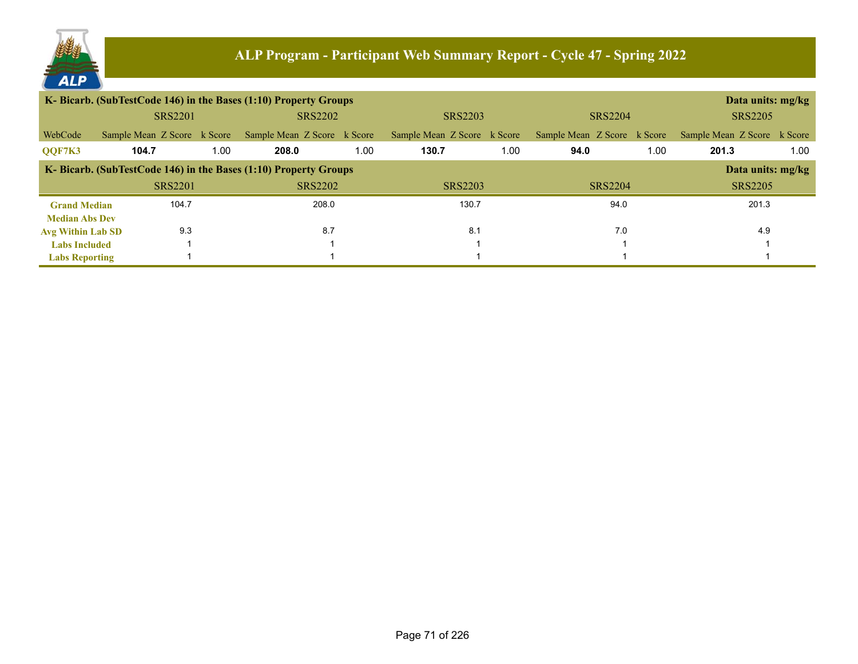

|                       |                             |      | K- Bicarb. (SubTestCode 146) in the Bases (1:10) Property Groups |      |                             |      |                             |      | Data units: mg/kg           |      |
|-----------------------|-----------------------------|------|------------------------------------------------------------------|------|-----------------------------|------|-----------------------------|------|-----------------------------|------|
|                       | SRS2201                     |      | <b>SRS2202</b>                                                   |      | SRS2203                     |      | SRS2204                     |      | SRS2205                     |      |
| WebCode               | Sample Mean Z Score k Score |      | Sample Mean Z Score k Score                                      |      | Sample Mean Z Score k Score |      | Sample Mean Z Score k Score |      | Sample Mean Z Score k Score |      |
| OOF7K3                | 104.7                       | 1.00 | 208.0                                                            | 1.00 | 130.7                       | 1.00 | 94.0                        | 1.00 | 201.3                       | 1.00 |
|                       |                             |      | K- Bicarb. (SubTestCode 146) in the Bases (1:10) Property Groups |      |                             |      |                             |      | Data units: mg/kg           |      |
|                       | <b>SRS2201</b>              |      | <b>SRS2202</b>                                                   |      | <b>SRS2203</b>              |      | <b>SRS2204</b>              |      | SRS2205                     |      |
| <b>Grand Median</b>   | 104.7                       |      | 208.0                                                            |      | 130.7                       |      | 94.0                        |      | 201.3                       |      |
| <b>Median Abs Dev</b> |                             |      |                                                                  |      |                             |      |                             |      |                             |      |
| Avg Within Lab SD     | 9.3                         |      | 8.7                                                              |      | 8.1                         |      | 7.0                         |      | 4.9                         |      |
| <b>Labs Included</b>  |                             |      |                                                                  |      |                             |      |                             |      |                             |      |
| <b>Labs Reporting</b> |                             |      |                                                                  |      |                             |      |                             |      |                             |      |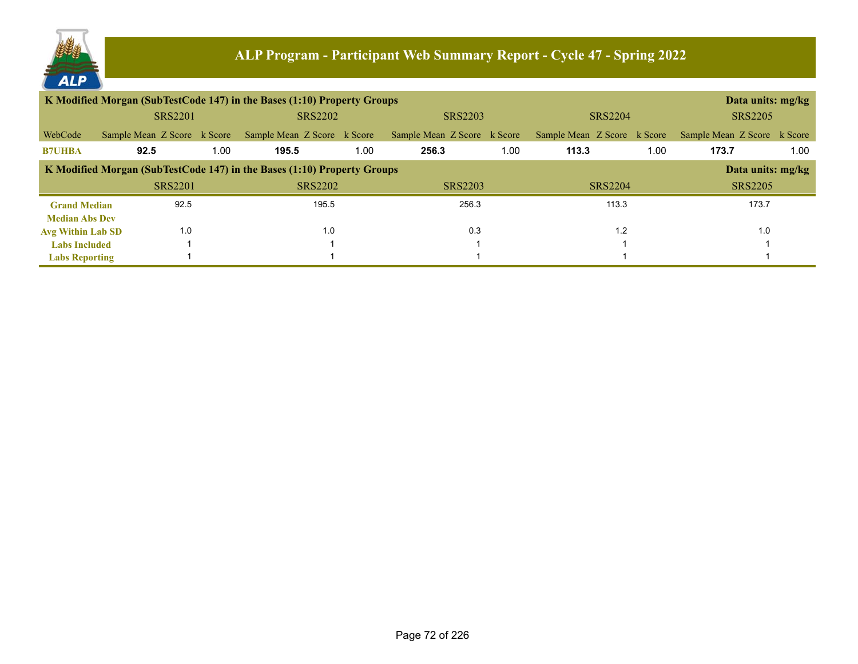

| K Modified Morgan (SubTestCode 147) in the Bases (1:10) Property Groups<br>Data units: mg/kg |                             |      |                             |      |                             |      |                             |      |                             |                   |
|----------------------------------------------------------------------------------------------|-----------------------------|------|-----------------------------|------|-----------------------------|------|-----------------------------|------|-----------------------------|-------------------|
|                                                                                              | SRS2201                     |      | SRS2202                     |      | SRS2203                     |      | SRS2204                     |      | SRS2205                     |                   |
| WebCode                                                                                      | Sample Mean Z Score k Score |      | Sample Mean Z Score k Score |      | Sample Mean Z Score k Score |      | Sample Mean Z Score k Score |      | Sample Mean Z Score k Score |                   |
| <b>B7UHBA</b>                                                                                | 92.5                        | 1.00 | 195.5                       | 1.00 | 256.3                       | 1.00 | 113.3                       | 1.00 | 173.7                       | 1.00 <sub>1</sub> |
| K Modified Morgan (SubTestCode 147) in the Bases (1:10) Property Groups<br>Data units: mg/kg |                             |      |                             |      |                             |      |                             |      |                             |                   |
|                                                                                              | <b>SRS2201</b>              |      | <b>SRS2202</b>              |      | <b>SRS2203</b>              |      | SRS2204                     |      | SRS2205                     |                   |
| <b>Grand Median</b>                                                                          | 92.5                        |      | 195.5                       |      | 256.3                       |      | 113.3                       |      | 173.7                       |                   |
| <b>Median Abs Dev</b>                                                                        |                             |      |                             |      |                             |      |                             |      |                             |                   |
| Avg Within Lab SD                                                                            | 1.0                         |      | 1.0                         |      | 0.3                         |      | 1.2                         |      | 1.0                         |                   |
| <b>Labs Included</b>                                                                         |                             |      |                             |      |                             |      |                             |      |                             |                   |
| <b>Labs Reporting</b>                                                                        |                             |      |                             |      |                             |      |                             |      |                             |                   |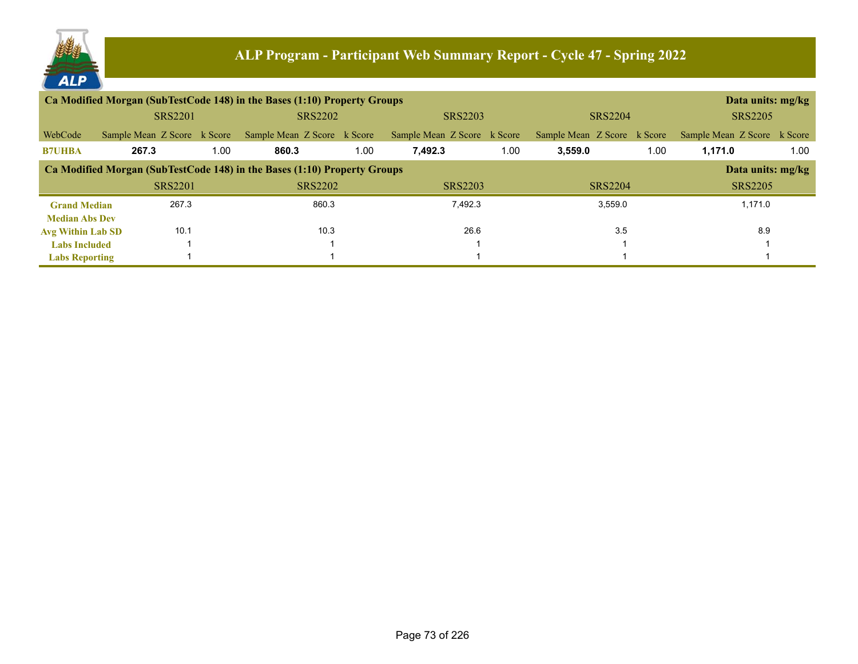

|                       |                                                                          |      | Ca Modified Morgan (SubTestCode 148) in the Bases (1:10) Property Groups |      |                             |      |                             |      | Data units: mg/kg           |                   |  |
|-----------------------|--------------------------------------------------------------------------|------|--------------------------------------------------------------------------|------|-----------------------------|------|-----------------------------|------|-----------------------------|-------------------|--|
|                       | SRS2201                                                                  |      | SRS2202                                                                  |      | SRS2203                     |      | SRS2204                     |      | SRS2205                     |                   |  |
| WebCode               | Sample Mean Z Score k Score                                              |      | Sample Mean Z Score k Score                                              |      | Sample Mean Z Score k Score |      | Sample Mean Z Score k Score |      | Sample Mean Z Score k Score |                   |  |
| <b>B7UHBA</b>         | 267.3                                                                    | 1.00 | 860.3                                                                    | 1.00 | 7.492.3                     | 1.00 | 3.559.0                     | 1.00 | 1.171.0                     | 1.00 <sub>1</sub> |  |
|                       | Ca Modified Morgan (SubTestCode 148) in the Bases (1:10) Property Groups |      |                                                                          |      |                             |      |                             |      | Data units: mg/kg           |                   |  |
|                       | <b>SRS2201</b>                                                           |      | <b>SRS2202</b>                                                           |      | <b>SRS2203</b>              |      | SRS2204                     |      | SRS2205                     |                   |  |
| <b>Grand Median</b>   | 267.3                                                                    |      | 860.3                                                                    |      | 7.492.3                     |      | 3,559.0                     |      | 1,171.0                     |                   |  |
| <b>Median Abs Dev</b> |                                                                          |      |                                                                          |      |                             |      |                             |      |                             |                   |  |
| Avg Within Lab SD     | 10.1                                                                     |      | 10.3                                                                     |      | 26.6                        |      | 3.5                         |      | 8.9                         |                   |  |
| <b>Labs Included</b>  |                                                                          |      |                                                                          |      |                             |      |                             |      |                             |                   |  |
| <b>Labs Reporting</b> |                                                                          |      |                                                                          |      |                             |      |                             |      |                             |                   |  |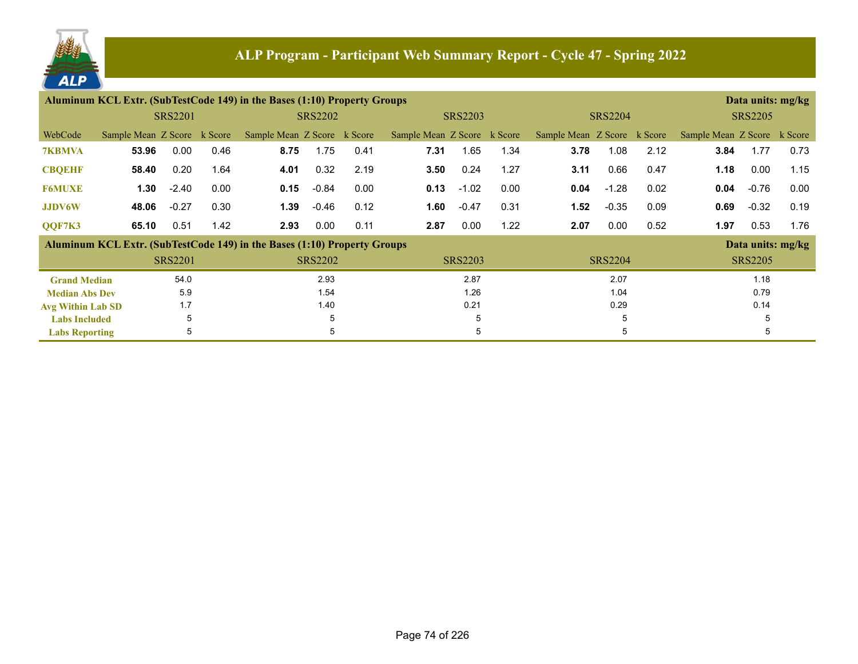

|                       |                             |                |      | Aluminum KCL Extr. (SubTestCode 149) in the Bases (1:10) Property Groups |                |      |                             |                |      |                             |                |      |                             | Data units: mg/kg |      |
|-----------------------|-----------------------------|----------------|------|--------------------------------------------------------------------------|----------------|------|-----------------------------|----------------|------|-----------------------------|----------------|------|-----------------------------|-------------------|------|
|                       |                             | <b>SRS2201</b> |      |                                                                          | <b>SRS2202</b> |      |                             | <b>SRS2203</b> |      |                             | <b>SRS2204</b> |      |                             | <b>SRS2205</b>    |      |
| WebCode               | Sample Mean Z Score k Score |                |      | Sample Mean Z Score k Score                                              |                |      | Sample Mean Z Score k Score |                |      | Sample Mean Z Score k Score |                |      | Sample Mean Z Score k Score |                   |      |
| 7KBMVA                | 53.96                       | 0.00           | 0.46 | 8.75                                                                     | 1.75           | 0.41 | 7.31                        | 1.65           | 1.34 | 3.78                        | 1.08           | 2.12 | 3.84                        | 1.77              | 0.73 |
| <b>CBQEHF</b>         | 58.40                       | 0.20           | 1.64 | 4.01                                                                     | 0.32           | 2.19 | 3.50                        | 0.24           | 1.27 | 3.11                        | 0.66           | 0.47 | 1.18                        | 0.00              | 1.15 |
| <b>F6MUXE</b>         | 1.30                        | $-2.40$        | 0.00 | 0.15                                                                     | $-0.84$        | 0.00 | 0.13                        | $-1.02$        | 0.00 | 0.04                        | $-1.28$        | 0.02 | 0.04                        | $-0.76$           | 0.00 |
| <b>JJDV6W</b>         | 48.06                       | $-0.27$        | 0.30 | 1.39                                                                     | $-0.46$        | 0.12 | 1.60                        | $-0.47$        | 0.31 | 1.52                        | $-0.35$        | 0.09 | 0.69                        | $-0.32$           | 0.19 |
| QQF7K3                | 65.10                       | 0.51           | 1.42 | 2.93                                                                     | 0.00           | 0.11 | 2.87                        | 0.00           | 1.22 | 2.07                        | 0.00           | 0.52 | 1.97                        | 0.53              | 1.76 |
|                       |                             |                |      | Aluminum KCL Extr. (SubTestCode 149) in the Bases (1:10) Property Groups |                |      |                             |                |      |                             |                |      |                             | Data units: mg/kg |      |
|                       |                             | <b>SRS2201</b> |      |                                                                          | <b>SRS2202</b> |      |                             | <b>SRS2203</b> |      |                             | <b>SRS2204</b> |      |                             | <b>SRS2205</b>    |      |
| <b>Grand Median</b>   |                             | 54.0           |      |                                                                          | 2.93           |      |                             | 2.87           |      |                             | 2.07           |      |                             | 1.18              |      |
| <b>Median Abs Dev</b> |                             | 5.9            |      |                                                                          | 1.54           |      |                             | 1.26           |      |                             | 1.04           |      |                             | 0.79              |      |
| Avg Within Lab SD     |                             | 1.7            |      |                                                                          | 1.40           |      |                             | 0.21           |      |                             | 0.29           |      |                             | 0.14              |      |
| <b>Labs Included</b>  |                             | 5              |      |                                                                          | 5              |      |                             | 5              |      |                             | 5              |      |                             | 5                 |      |
| <b>Labs Reporting</b> |                             | 5              |      |                                                                          | 5              |      |                             | 5              |      |                             | 5              |      |                             | 5                 |      |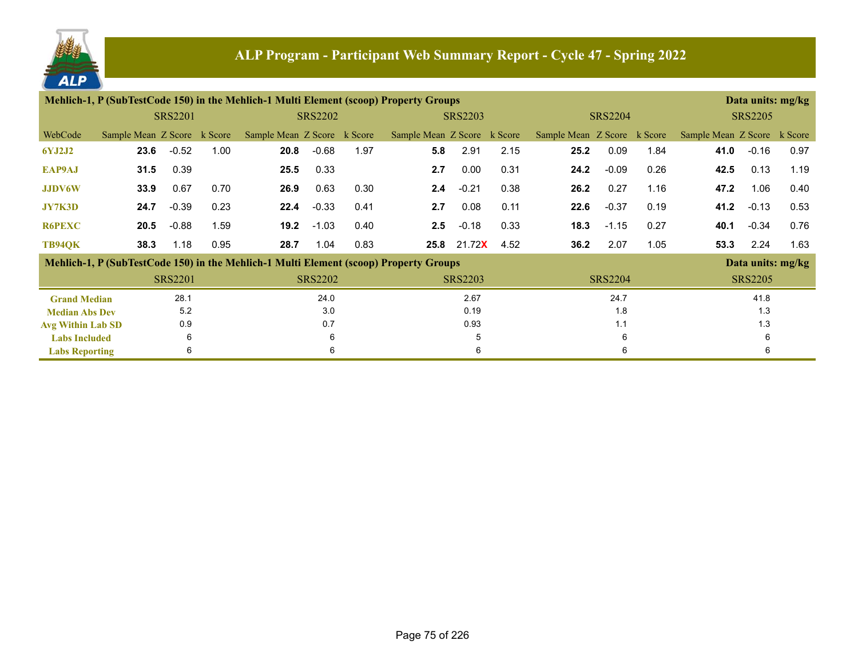

|               |                             |         |      | Mehlich-1, P (SubTestCode 150) in the Mehlich-1 Multi Element (scoop) Property Groups |         |      |                             |                  |      |                             |         |      |                             |         | Data units: mg/kg |
|---------------|-----------------------------|---------|------|---------------------------------------------------------------------------------------|---------|------|-----------------------------|------------------|------|-----------------------------|---------|------|-----------------------------|---------|-------------------|
|               |                             | SRS2201 |      |                                                                                       | SRS2202 |      |                             | SRS2203          |      |                             | SRS2204 |      |                             | SRS2205 |                   |
| WebCode       | Sample Mean Z Score k Score |         |      | Sample Mean Z Score k Score                                                           |         |      | Sample Mean Z Score k Score |                  |      | Sample Mean Z Score k Score |         |      | Sample Mean Z Score k Score |         |                   |
| 6YJ2J2        | 23.6                        | $-0.52$ | 1.00 | 20.8                                                                                  | $-0.68$ | 1.97 | 5.8                         | 2.91             | 2.15 | 25.2                        | 0.09    | 1.84 | 41.0                        | $-0.16$ | 0.97              |
| <b>EAP9AJ</b> | 31.5                        | 0.39    |      | 25.5                                                                                  | 0.33    |      | 2.7                         | 0.00             | 0.31 | 24.2                        | $-0.09$ | 0.26 | 42.5                        | 0.13    | 1.19              |
| <b>JJDV6W</b> | 33.9                        | 0.67    | 0.70 | 26.9                                                                                  | 0.63    | 0.30 | 2.4                         | $-0.21$          | 0.38 | 26.2                        | 0.27    | 1.16 | 47.2                        | 1.06    | 0.40              |
| JY7K3D        | 24.7                        | $-0.39$ | 0.23 | 22.4                                                                                  | $-0.33$ | 0.41 | 2.7                         | 0.08             | 0.11 | 22.6                        | $-0.37$ | 0.19 | 41.2                        | $-0.13$ | 0.53              |
| <b>R6PEXC</b> | 20.5                        | $-0.88$ | 1.59 | 19.2                                                                                  | $-1.03$ | 0.40 | 2.5                         | $-0.18$          | 0.33 | 18.3                        | $-1.15$ | 0.27 | 40.1                        | $-0.34$ | 0.76              |
| <b>TB94OK</b> | 38.3                        | 1.18    | 0.95 | 28.7                                                                                  | 1.04    | 0.83 |                             | $25.8$ 21.72 $X$ | 4.52 | 36.2                        | 2.07    | 1.05 | 53.3                        | 2.24    | 1.63              |

|                          | Mehlich-1, P (SubTestCode 150) in the Mehlich-1 Multi Element (scoop) Property Groups |                |         |         |                |  |  |  |  |  |  |
|--------------------------|---------------------------------------------------------------------------------------|----------------|---------|---------|----------------|--|--|--|--|--|--|
|                          | SRS2201                                                                               | <b>SRS2202</b> | SRS2203 | SRS2204 | <b>SRS2205</b> |  |  |  |  |  |  |
| <b>Grand Median</b>      | 28.1                                                                                  | 24.0           | 2.67    | 24.7    | 41.8           |  |  |  |  |  |  |
| <b>Median Abs Dev</b>    | 5.2                                                                                   | 3.0            | 0.19    | 1.8     | 1.3            |  |  |  |  |  |  |
| <b>Avg Within Lab SD</b> | 0.9                                                                                   | 0.7            | 0.93    | Ί.      | 1.3            |  |  |  |  |  |  |
| <b>Labs Included</b>     |                                                                                       |                |         |         |                |  |  |  |  |  |  |
| <b>Labs Reporting</b>    |                                                                                       |                |         |         |                |  |  |  |  |  |  |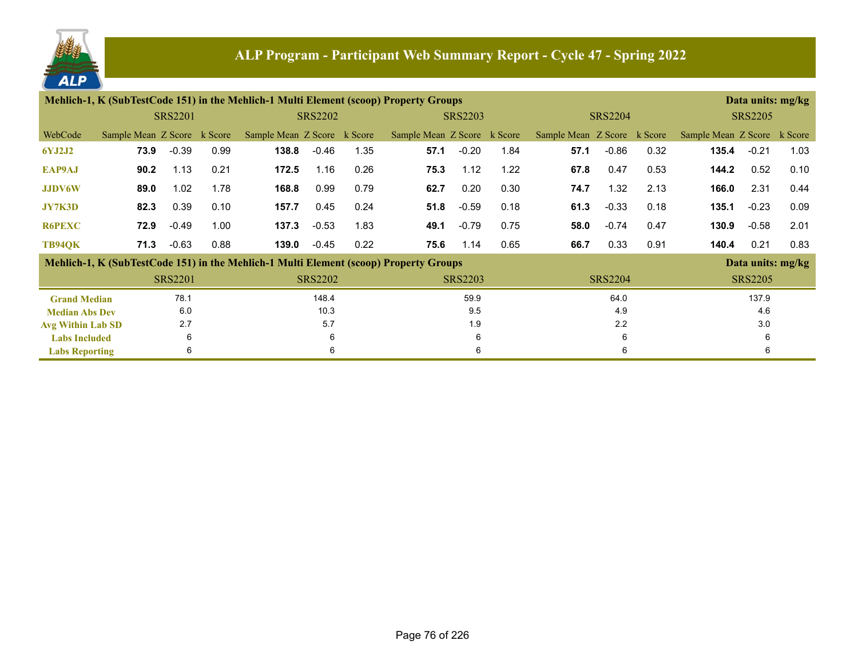

|               |                             |         |      | Mehlich-1, K (SubTestCode 151) in the Mehlich-1 Multi Element (scoop) Property Groups |         |      |                             |         |      |                             |         |      |                             |         | Data units: mg/kg |
|---------------|-----------------------------|---------|------|---------------------------------------------------------------------------------------|---------|------|-----------------------------|---------|------|-----------------------------|---------|------|-----------------------------|---------|-------------------|
|               |                             | SRS2201 |      |                                                                                       | SRS2202 |      |                             | SRS2203 |      |                             | SRS2204 |      |                             | SRS2205 |                   |
| WebCode       | Sample Mean Z Score k Score |         |      | Sample Mean Z Score k Score                                                           |         |      | Sample Mean Z Score k Score |         |      | Sample Mean Z Score k Score |         |      | Sample Mean Z Score k Score |         |                   |
| <b>6YJ2J2</b> | 73.9                        | $-0.39$ | 0.99 | 138.8                                                                                 | $-0.46$ | 1.35 | 57.1                        | $-0.20$ | 1.84 | 57.1                        | $-0.86$ | 0.32 | 135.4                       | $-0.21$ | 1.03              |
| EAP9AJ        | 90.2                        | 1.13    | 0.21 | 172.5                                                                                 | 1.16    | 0.26 | 75.3                        | 1.12    | 1.22 | 67.8                        | 0.47    | 0.53 | 144.2                       | 0.52    | 0.10              |
| <b>JJDV6W</b> | 89.0                        | .02     | 1.78 | 168.8                                                                                 | 0.99    | 0.79 | 62.7                        | 0.20    | 0.30 | 74.7                        | 1.32    | 2.13 | 166.0                       | 2.31    | 0.44              |
| <b>JY7K3D</b> | 82.3                        | 0.39    | 0.10 | 157.7                                                                                 | 0.45    | 0.24 | 51.8                        | $-0.59$ | 0.18 | 61.3                        | $-0.33$ | 0.18 | 135.1                       | $-0.23$ | 0.09              |
| <b>R6PEXC</b> | 72.9                        | $-0.49$ | 1.00 | 137.3                                                                                 | $-0.53$ | 1.83 | 49.1                        | $-0.79$ | 0.75 | 58.0                        | $-0.74$ | 0.47 | 130.9                       | $-0.58$ | 2.01              |
| <b>TB94OK</b> | 71.3                        | $-0.63$ | 0.88 | 139.0                                                                                 | $-0.45$ | 0.22 | 75.6                        | 1.14    | 0.65 | 66.7                        | 0.33    | 0.91 | 140.4                       | 0.21    | 0.83              |

|                          | Mehlich-1, K (SubTestCode 151) in the Mehlich-1 Multi Element (scoop) Property Groups |                |         |         |         |  |  |  |  |  |  |
|--------------------------|---------------------------------------------------------------------------------------|----------------|---------|---------|---------|--|--|--|--|--|--|
|                          | SRS2201                                                                               | <b>SRS2202</b> | SRS2203 | SRS2204 | SRS2205 |  |  |  |  |  |  |
| <b>Grand Median</b>      | 78.1                                                                                  | 148.4          | 59.9    | 64.0    | 137.9   |  |  |  |  |  |  |
| <b>Median Abs Dev</b>    | 6.0                                                                                   | 10.3           | 9.5     | 4.9     | 4.6     |  |  |  |  |  |  |
| <b>Avg Within Lab SD</b> | 2.7                                                                                   | 5.7            | 1.9     | 2.2     | 3.0     |  |  |  |  |  |  |
| <b>Labs Included</b>     |                                                                                       |                |         |         |         |  |  |  |  |  |  |
| <b>Labs Reporting</b>    |                                                                                       |                |         |         |         |  |  |  |  |  |  |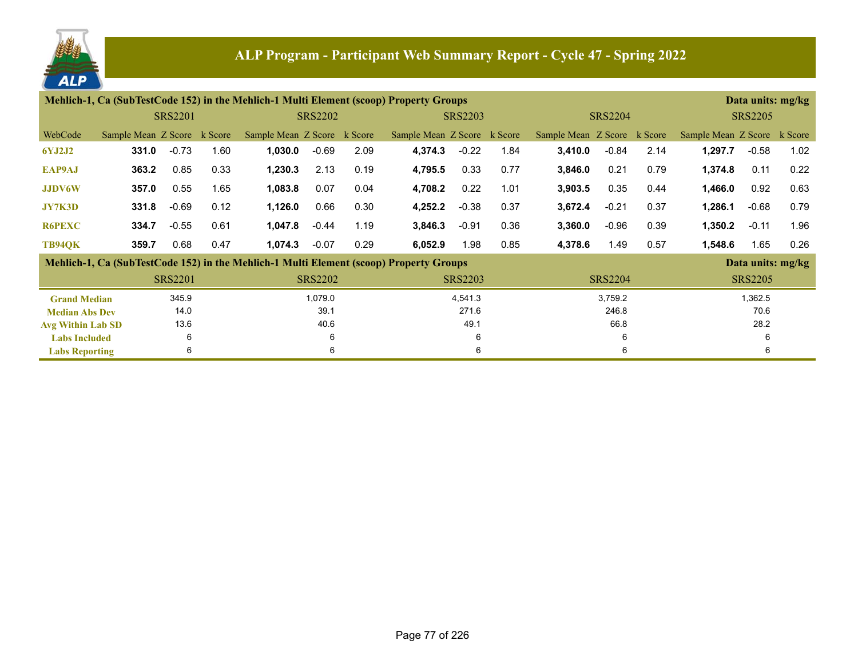

|               | Mehlich-1, Ca (SubTestCode 152) in the Mehlich-1 Multi Element (scoop) Property Groups |         |      |                             |         |      |                             |         |      |                             |         |      | Data units: mg/kg           |         |      |
|---------------|----------------------------------------------------------------------------------------|---------|------|-----------------------------|---------|------|-----------------------------|---------|------|-----------------------------|---------|------|-----------------------------|---------|------|
|               |                                                                                        | SRS2201 |      |                             | SRS2202 |      |                             | SRS2203 |      |                             | SRS2204 |      |                             | SRS2205 |      |
| WebCode       | Sample Mean Z Score k Score                                                            |         |      | Sample Mean Z Score k Score |         |      | Sample Mean Z Score k Score |         |      | Sample Mean Z Score k Score |         |      | Sample Mean Z Score k Score |         |      |
| 6YJ2J2        | 331.0                                                                                  | $-0.73$ | 1.60 | 1.030.0                     | $-0.69$ | 2.09 | 4.374.3                     | $-0.22$ | 1.84 | 3.410.0                     | $-0.84$ | 2.14 | 1.297.7                     | $-0.58$ | 1.02 |
| EAP9AJ        | 363.2                                                                                  | 0.85    | 0.33 | 1,230.3                     | 2.13    | 0.19 | 4.795.5                     | 0.33    | 0.77 | 3.846.0                     | 0.21    | 0.79 | 1.374.8                     | 0.11    | 0.22 |
| <b>JJDV6W</b> | 357.0                                                                                  | 0.55    | 1.65 | 1.083.8                     | 0.07    | 0.04 | 4.708.2                     | 0.22    | 1.01 | 3.903.5                     | 0.35    | 0.44 | 1.466.0                     | 0.92    | 0.63 |
| JY7K3D        | 331.8                                                                                  | $-0.69$ | 0.12 | 1.126.0                     | 0.66    | 0.30 | 4.252.2                     | $-0.38$ | 0.37 | 3.672.4                     | $-0.21$ | 0.37 | 1.286.1                     | $-0.68$ | 0.79 |
| <b>R6PEXC</b> | 334.7                                                                                  | $-0.55$ | 0.61 | 1,047.8                     | $-0.44$ | 1.19 | 3.846.3                     | $-0.91$ | 0.36 | 3,360.0                     | $-0.96$ | 0.39 | 1.350.2                     | $-0.11$ | 1.96 |
| <b>TB94OK</b> | 359.7                                                                                  | 0.68    | 0.47 | 1.074.3                     | $-0.07$ | 0.29 | 6.052.9                     | 1.98    | 0.85 | 4,378.6                     | 1.49    | 0.57 | 1.548.6                     | 1.65    | 0.26 |

| Mehlich-1, Ca (SubTestCode 152) in the Mehlich-1 Multi Element (scoop) Property Groups |         |                |         |                |                |  |  |  |  |  |
|----------------------------------------------------------------------------------------|---------|----------------|---------|----------------|----------------|--|--|--|--|--|
|                                                                                        | SRS2201 | <b>SRS2202</b> | SRS2203 | <b>SRS2204</b> | <b>SRS2205</b> |  |  |  |  |  |
| <b>Grand Median</b>                                                                    | 345.9   | 1.079.0        | 4.541.3 | 3.759.2        | .362.5         |  |  |  |  |  |
| <b>Median Abs Dev</b>                                                                  | 14.0    | 39.1           | 271.6   | 246.8          | 70.6           |  |  |  |  |  |
| Avg Within Lab SD                                                                      | 13.6    | 40.6           | 49.1    | 66.8           | 28.2           |  |  |  |  |  |
| <b>Labs Included</b>                                                                   |         |                |         | O              |                |  |  |  |  |  |
| <b>Labs Reporting</b>                                                                  |         |                |         |                |                |  |  |  |  |  |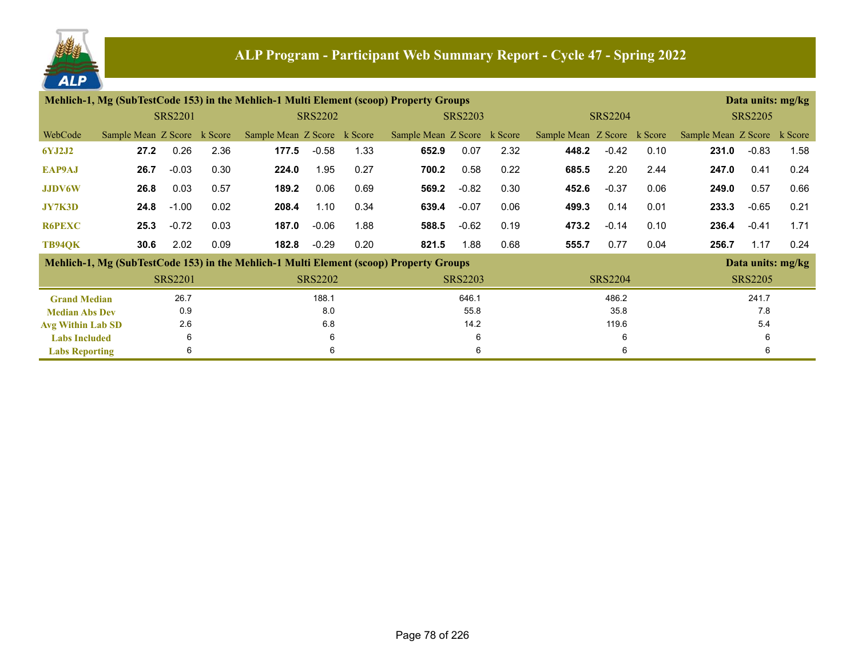

|               |                             |         |      | Mehlich-1, Mg (SubTestCode 153) in the Mehlich-1 Multi Element (scoop) Property Groups |         |      |                             |         |      |                             |         |      |                             |         | Data units: mg/kg |
|---------------|-----------------------------|---------|------|----------------------------------------------------------------------------------------|---------|------|-----------------------------|---------|------|-----------------------------|---------|------|-----------------------------|---------|-------------------|
|               |                             | SRS2201 |      |                                                                                        | SRS2202 |      |                             | SRS2203 |      |                             | SRS2204 |      |                             | SRS2205 |                   |
| WebCode       | Sample Mean Z Score k Score |         |      | Sample Mean Z Score k Score                                                            |         |      | Sample Mean Z Score k Score |         |      | Sample Mean Z Score k Score |         |      | Sample Mean Z Score k Score |         |                   |
| <b>6YJ2J2</b> | 27.2                        | 0.26    | 2.36 | 177.5                                                                                  | $-0.58$ | 1.33 | 652.9                       | 0.07    | 2.32 | 448.2                       | $-0.42$ | 0.10 | 231.0                       | $-0.83$ | 1.58              |
| EAP9AJ        | 26.7                        | $-0.03$ | 0.30 | 224.0                                                                                  | 1.95    | 0.27 | 700.2                       | 0.58    | 0.22 | 685.5                       | 2.20    | 2.44 | 247.0                       | 0.41    | 0.24              |
| <b>JJDV6W</b> | 26.8                        | 0.03    | 0.57 | 189.2                                                                                  | 0.06    | 0.69 | 569.2                       | $-0.82$ | 0.30 | 452.6                       | $-0.37$ | 0.06 | 249.0                       | 0.57    | 0.66              |
| <b>JY7K3D</b> | 24.8                        | $-1.00$ | 0.02 | 208.4                                                                                  | 1.10    | 0.34 | 639.4                       | $-0.07$ | 0.06 | 499.3                       | 0.14    | 0.01 | 233.3                       | $-0.65$ | 0.21              |
| <b>R6PEXC</b> | 25.3                        | $-0.72$ | 0.03 | 187.0                                                                                  | $-0.06$ | 1.88 | 588.5                       | $-0.62$ | 0.19 | 473.2                       | $-0.14$ | 0.10 | 236.4                       | $-0.41$ | 1.71              |
| <b>TB94OK</b> | 30.6                        | 2.02    | 0.09 | 182.8                                                                                  | $-0.29$ | 0.20 | 821.5                       | .88     | 0.68 | 555.7                       | 0.77    | 0.04 | 256.7                       | 1.17    | 0.24              |

|                          | Mehlich-1, Mg (SubTestCode 153) in the Mehlich-1 Multi Element (scoop) Property Groups |                |         |         |                |  |  |  |  |  |  |
|--------------------------|----------------------------------------------------------------------------------------|----------------|---------|---------|----------------|--|--|--|--|--|--|
|                          | SRS2201                                                                                | <b>SRS2202</b> | SRS2203 | SRS2204 | <b>SRS2205</b> |  |  |  |  |  |  |
| <b>Grand Median</b>      | 26.7                                                                                   | 188.1          | 646.1   | 486.2   | 241.7          |  |  |  |  |  |  |
| <b>Median Abs Dev</b>    | 0.9                                                                                    | 8.0            | 55.8    | 35.8    | 7.8            |  |  |  |  |  |  |
| <b>Avg Within Lab SD</b> | 2.6                                                                                    | 6.8            | 14.2    | 119.6   | 5.4            |  |  |  |  |  |  |
| <b>Labs Included</b>     |                                                                                        |                |         |         |                |  |  |  |  |  |  |
| <b>Labs Reporting</b>    |                                                                                        |                |         |         |                |  |  |  |  |  |  |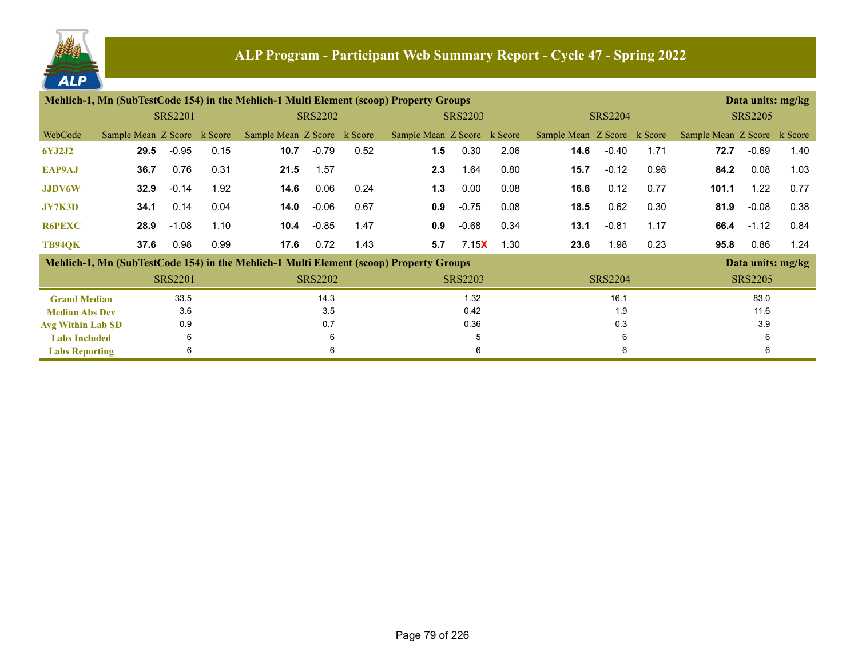

|               | Mehlich-1, Mn (SubTestCode 154) in the Mehlich-1 Multi Element (scoop) Property Groups |         |      |                             |         |      |                             |         |      |                             |         |      |                             |         | Data units: mg/kg |
|---------------|----------------------------------------------------------------------------------------|---------|------|-----------------------------|---------|------|-----------------------------|---------|------|-----------------------------|---------|------|-----------------------------|---------|-------------------|
|               |                                                                                        | SRS2201 |      |                             | SRS2202 |      |                             | SRS2203 |      |                             | SRS2204 |      |                             | SRS2205 |                   |
| WebCode       | Sample Mean Z Score k Score                                                            |         |      | Sample Mean Z Score k Score |         |      | Sample Mean Z Score k Score |         |      | Sample Mean Z Score k Score |         |      | Sample Mean Z Score k Score |         |                   |
| <b>6YJ2J2</b> | 29.5                                                                                   | $-0.95$ | 0.15 | 10.7                        | $-0.79$ | 0.52 | $1.5^{\circ}$               | 0.30    | 2.06 | 14.6                        | $-0.40$ | 1.71 | 72.7                        | $-0.69$ | 1.40              |
| EAP9AJ        | 36.7                                                                                   | 0.76    | 0.31 | 21.5                        | 1.57    |      | 2.3                         | 1.64    | 0.80 | 15.7                        | $-0.12$ | 0.98 | 84.2                        | 0.08    | 1.03              |
| <b>JJDV6W</b> | 32.9                                                                                   | $-0.14$ | 1.92 | 14.6                        | 0.06    | 0.24 | 1.3                         | 0.00    | 0.08 | 16.6                        | 0.12    | 0.77 | 101.1                       | 1.22    | 0.77              |
| <b>JY7K3D</b> | 34.1                                                                                   | 0.14    | 0.04 | 14.0                        | $-0.06$ | 0.67 | 0.9                         | $-0.75$ | 0.08 | 18.5                        | 0.62    | 0.30 | 81.9                        | $-0.08$ | 0.38              |
| <b>R6PEXC</b> | 28.9                                                                                   | $-1.08$ | 1.10 | 10.4                        | $-0.85$ | 1.47 | 0.9                         | $-0.68$ | 0.34 | 13.1                        | $-0.81$ | 1.17 | 66.4                        | $-1.12$ | 0.84              |
| <b>TB94OK</b> | 37.6                                                                                   | 0.98    | 0.99 | 17.6                        | 0.72    | 1.43 | 5.7                         | 7.15X   | 1.30 | 23.6                        | 1.98    | 0.23 | 95.8                        | 0.86    | 1.24              |

|                       | Mehlich-1, Mn (SubTestCode 154) in the Mehlich-1 Multi Element (scoop) Property Groups |                |                |         |                |  |  |  |  |  |  |
|-----------------------|----------------------------------------------------------------------------------------|----------------|----------------|---------|----------------|--|--|--|--|--|--|
|                       | SRS2201                                                                                | <b>SRS2202</b> | <b>SRS2203</b> | SRS2204 | <b>SRS2205</b> |  |  |  |  |  |  |
| <b>Grand Median</b>   | 33.5                                                                                   | 14.3           | 1.32           | 16.1    | 83.0           |  |  |  |  |  |  |
| <b>Median Abs Dev</b> | 3.6                                                                                    | 3.5            | 0.42           | 1.9     | 11.6           |  |  |  |  |  |  |
| Avg Within Lab SD     | 0.9                                                                                    | 0.7            | 0.36           | 0.3     | 3.9            |  |  |  |  |  |  |
| <b>Labs Included</b>  |                                                                                        |                |                |         |                |  |  |  |  |  |  |
| <b>Labs Reporting</b> |                                                                                        |                |                |         |                |  |  |  |  |  |  |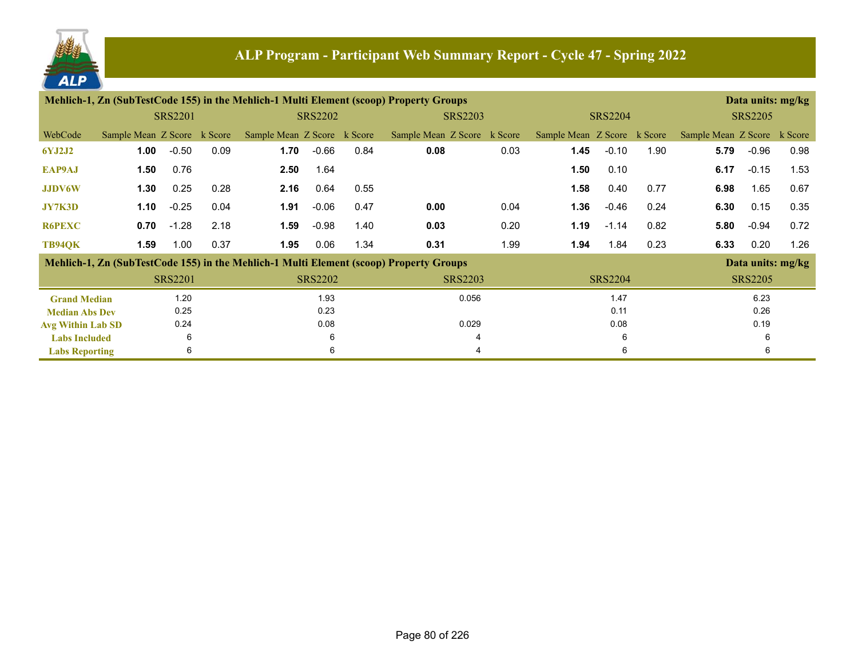

|               |                             |                |      |                             |                |      | Mehlich-1, Zn (SubTestCode 155) in the Mehlich-1 Multi Element (scoop) Property Groups |      |                             |                |      |                             | Data units: mg/kg |      |
|---------------|-----------------------------|----------------|------|-----------------------------|----------------|------|----------------------------------------------------------------------------------------|------|-----------------------------|----------------|------|-----------------------------|-------------------|------|
|               |                             | SRS2201        |      |                             | SRS2202        |      | <b>SRS2203</b>                                                                         |      |                             | SRS2204        |      |                             | <b>SRS2205</b>    |      |
| WebCode       | Sample Mean Z Score k Score |                |      | Sample Mean Z Score k Score |                |      | Sample Mean Z Score k Score                                                            |      | Sample Mean Z Score k Score |                |      | Sample Mean Z Score k Score |                   |      |
| 6YJ2J2        | 1.00 <sub>1</sub>           | $-0.50$        | 0.09 | 1.70                        | $-0.66$        | 0.84 | 0.08                                                                                   | 0.03 | 1.45                        | $-0.10$        | 1.90 | 5.79                        | $-0.96$           | 0.98 |
| EAP9AJ        | 1.50                        | 0.76           |      | 2.50                        | 1.64           |      |                                                                                        |      | 1.50                        | 0.10           |      | 6.17                        | $-0.15$           | 1.53 |
| <b>JJDV6W</b> | 1.30                        | 0.25           | 0.28 | 2.16                        | 0.64           | 0.55 |                                                                                        |      | 1.58                        | 0.40           | 0.77 | 6.98                        | 1.65              | 0.67 |
| <b>JY7K3D</b> | 1.10                        | $-0.25$        | 0.04 | 1.91                        | $-0.06$        | 0.47 | 0.00                                                                                   | 0.04 | 1.36                        | $-0.46$        | 0.24 | 6.30                        | 0.15              | 0.35 |
| <b>R6PEXC</b> | 0.70                        | $-1.28$        | 2.18 | 1.59                        | $-0.98$        | 1.40 | 0.03                                                                                   | 0.20 | 1.19                        | $-1.14$        | 0.82 | 5.80                        | $-0.94$           | 0.72 |
| <b>TB94OK</b> | 1.59                        | 1.00           | 0.37 | 1.95                        | 0.06           | 1.34 | 0.31                                                                                   | 1.99 | 1.94                        | 1.84           | 0.23 | 6.33                        | 0.20              | 1.26 |
|               |                             |                |      |                             |                |      | Mehlich-1, Zn (SubTestCode 155) in the Mehlich-1 Multi Element (scoop) Property Groups |      |                             |                |      |                             | Data units: mg/kg |      |
|               |                             | <b>SRS2201</b> |      |                             | <b>SRS2202</b> |      | <b>SRS2203</b>                                                                         |      |                             | <b>SRS2204</b> |      |                             | <b>SRS2205</b>    |      |

|                          | SRS2201 | <b>SRS2202</b> | <b>SRS2203</b> | SRS2204 | SRS2205 |
|--------------------------|---------|----------------|----------------|---------|---------|
| <b>Grand Median</b>      | 1.20    | 1.93           | 0.056          | 1.47    | 6.23    |
| <b>Median Abs Dev</b>    | 0.25    | 0.23           |                | 0.11    | 0.26    |
| <b>Avg Within Lab SD</b> | 0.24    | 0.08           | 0.029          | 0.08    | 0.19    |
| <b>Labs Included</b>     |         |                |                |         |         |
| <b>Labs Reporting</b>    |         |                |                |         |         |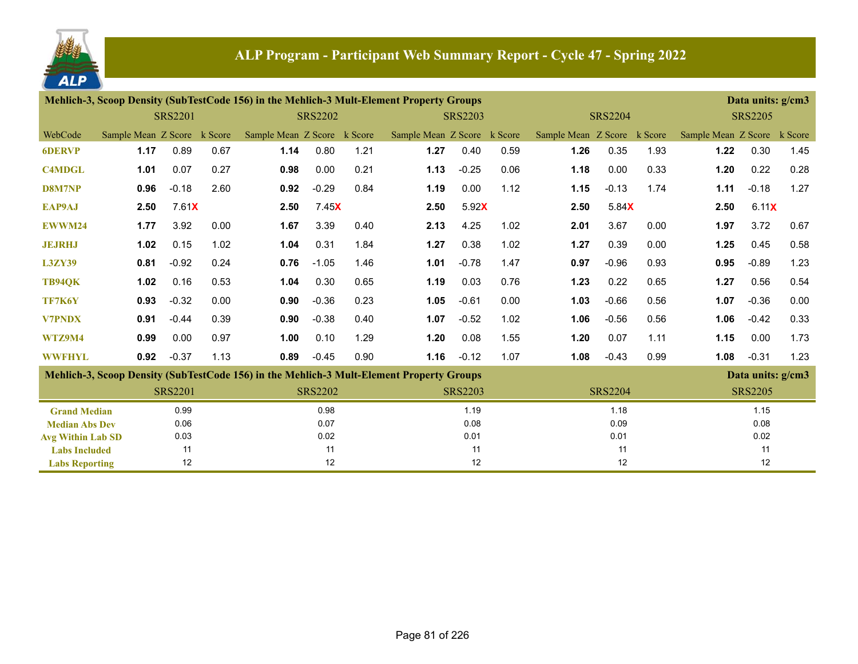

|                          |                             |                |      |                             |                |      | Mehlich-3, Scoop Density (SubTestCode 156) in the Mehlich-3 Mult-Element Property Groups |                |      |                             |                |      |                             | Data units: g/cm3 |      |
|--------------------------|-----------------------------|----------------|------|-----------------------------|----------------|------|------------------------------------------------------------------------------------------|----------------|------|-----------------------------|----------------|------|-----------------------------|-------------------|------|
|                          |                             | <b>SRS2201</b> |      |                             | <b>SRS2202</b> |      |                                                                                          | <b>SRS2203</b> |      |                             | <b>SRS2204</b> |      |                             | <b>SRS2205</b>    |      |
| WebCode                  | Sample Mean Z Score k Score |                |      | Sample Mean Z Score k Score |                |      | Sample Mean Z Score k Score                                                              |                |      | Sample Mean Z Score k Score |                |      | Sample Mean Z Score k Score |                   |      |
| <b>6DERVP</b>            | 1.17                        | 0.89           | 0.67 | 1.14                        | 0.80           | 1.21 | 1.27                                                                                     | 0.40           | 0.59 | 1.26                        | 0.35           | 1.93 | 1.22                        | 0.30              | 1.45 |
| <b>C4MDGL</b>            | 1.01                        | 0.07           | 0.27 | 0.98                        | 0.00           | 0.21 | 1.13                                                                                     | $-0.25$        | 0.06 | 1.18                        | 0.00           | 0.33 | 1.20                        | 0.22              | 0.28 |
| D8M7NP                   | 0.96                        | $-0.18$        | 2.60 | 0.92                        | $-0.29$        | 0.84 | 1.19                                                                                     | 0.00           | 1.12 | 1.15                        | $-0.13$        | 1.74 | 1.11                        | $-0.18$           | 1.27 |
| <b>EAP9AJ</b>            | 2.50                        | 7.61X          |      | 2.50                        | 7.45X          |      | 2.50                                                                                     | 5.92X          |      | 2.50                        | 5.84X          |      | 2.50                        | 6.11X             |      |
| EWWM24                   | 1.77                        | 3.92           | 0.00 | 1.67                        | 3.39           | 0.40 | 2.13                                                                                     | 4.25           | 1.02 | 2.01                        | 3.67           | 0.00 | 1.97                        | 3.72              | 0.67 |
| <b>JEJRHJ</b>            | 1.02                        | 0.15           | 1.02 | 1.04                        | 0.31           | 1.84 | 1.27                                                                                     | 0.38           | 1.02 | 1.27                        | 0.39           | 0.00 | 1.25                        | 0.45              | 0.58 |
| <b>L3ZY39</b>            | 0.81                        | $-0.92$        | 0.24 | 0.76                        | $-1.05$        | 1.46 | 1.01                                                                                     | $-0.78$        | 1.47 | 0.97                        | $-0.96$        | 0.93 | 0.95                        | $-0.89$           | 1.23 |
| TB94QK                   | 1.02                        | 0.16           | 0.53 | 1.04                        | 0.30           | 0.65 | 1.19                                                                                     | 0.03           | 0.76 | 1.23                        | 0.22           | 0.65 | 1.27                        | 0.56              | 0.54 |
| TF7K6Y                   | 0.93                        | $-0.32$        | 0.00 | 0.90                        | $-0.36$        | 0.23 | 1.05                                                                                     | $-0.61$        | 0.00 | 1.03                        | $-0.66$        | 0.56 | 1.07                        | $-0.36$           | 0.00 |
| <b>V7PNDX</b>            | 0.91                        | $-0.44$        | 0.39 | 0.90                        | $-0.38$        | 0.40 | 1.07                                                                                     | $-0.52$        | 1.02 | 1.06                        | $-0.56$        | 0.56 | 1.06                        | $-0.42$           | 0.33 |
| WTZ9M4                   | 0.99                        | 0.00           | 0.97 | 1.00                        | 0.10           | 1.29 | 1.20                                                                                     | 0.08           | 1.55 | 1.20                        | 0.07           | 1.11 | 1.15                        | 0.00              | 1.73 |
| <b>WWFHYL</b>            | 0.92                        | $-0.37$        | 1.13 | 0.89                        | $-0.45$        | 0.90 | 1.16                                                                                     | $-0.12$        | 1.07 | 1.08                        | $-0.43$        | 0.99 | 1.08                        | $-0.31$           | 1.23 |
|                          |                             |                |      |                             |                |      | Mehlich-3, Scoop Density (SubTestCode 156) in the Mehlich-3 Mult-Element Property Groups |                |      |                             |                |      |                             | Data units: g/cm3 |      |
|                          |                             | <b>SRS2201</b> |      |                             | <b>SRS2202</b> |      |                                                                                          | <b>SRS2203</b> |      |                             | <b>SRS2204</b> |      |                             | <b>SRS2205</b>    |      |
| <b>Grand Median</b>      |                             | 0.99           |      |                             | 0.98           |      |                                                                                          | 1.19           |      |                             | 1.18           |      |                             | 1.15              |      |
| <b>Median Abs Dev</b>    |                             | 0.06           |      |                             | 0.07           |      |                                                                                          | 0.08           |      |                             | 0.09           |      |                             | 0.08              |      |
| <b>Avg Within Lab SD</b> |                             | 0.03           |      |                             | 0.02           |      |                                                                                          | 0.01           |      |                             | 0.01           |      |                             | 0.02              |      |
| <b>Labs Included</b>     |                             | 11             |      |                             | 11             |      |                                                                                          | 11             |      |                             | 11             |      |                             | 11                |      |
| <b>Labs Reporting</b>    |                             | 12             |      |                             | 12             |      |                                                                                          | 12             |      |                             | 12             |      |                             | 12                |      |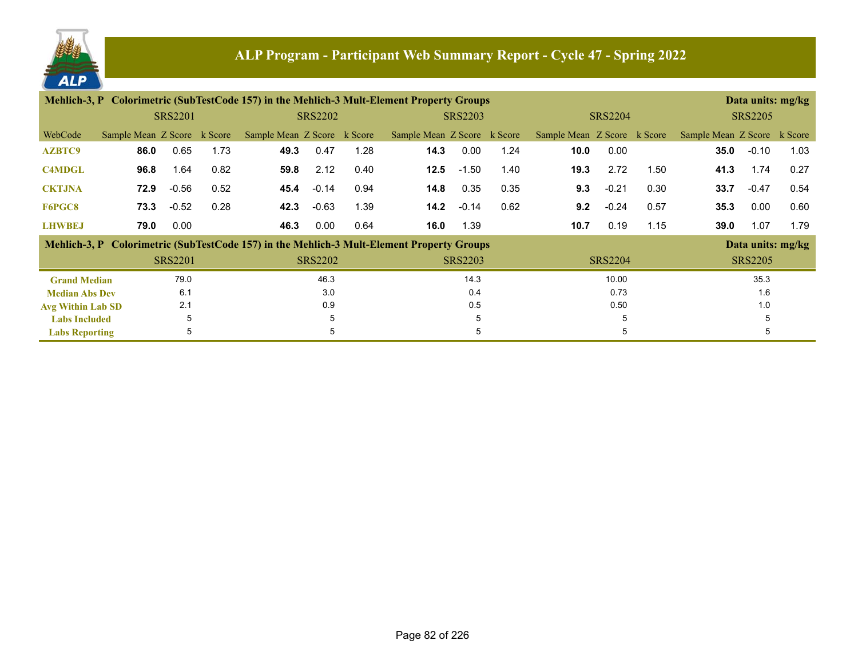

|                       |              |                                                                                          |      | Mehlich-3, P Colorimetric (SubTestCode 157) in the Mehlich-3 Mult-Element Property Groups |                |      |                             |                |      |                             |                |      |                             | Data units: mg/kg |      |
|-----------------------|--------------|------------------------------------------------------------------------------------------|------|-------------------------------------------------------------------------------------------|----------------|------|-----------------------------|----------------|------|-----------------------------|----------------|------|-----------------------------|-------------------|------|
|                       |              | <b>SRS2201</b>                                                                           |      |                                                                                           | <b>SRS2202</b> |      |                             | SRS2203        |      |                             | <b>SRS2204</b> |      |                             | SRS2205           |      |
| WebCode               |              | Sample Mean Z Score k Score                                                              |      | Sample Mean Z Score k Score                                                               |                |      | Sample Mean Z Score k Score |                |      | Sample Mean Z Score k Score |                |      | Sample Mean Z Score k Score |                   |      |
| <b>AZBTC9</b>         |              | 86.0<br>0.65                                                                             | 1.73 | 49.3                                                                                      | 0.47           | 1.28 | 14.3                        | 0.00           | 1.24 | 10.0                        | 0.00           |      | 35.0                        | $-0.10$           | 1.03 |
| <b>C4MDGL</b>         |              | 1.64<br>96.8                                                                             | 0.82 | 59.8                                                                                      | 2.12           | 0.40 | 12.5                        | $-1.50$        | 1.40 | 19.3                        | 2.72           | 1.50 | 41.3                        | 1.74              | 0.27 |
| <b>CKTJNA</b>         |              | $-0.56$<br>0.52<br>$-0.14$<br>72.9<br>45.4<br>0.28<br>$-0.52$<br>$-0.63$<br>73.3<br>42.3 |      |                                                                                           |                |      | 14.8                        | 0.35           | 0.35 | 9.3                         | $-0.21$        | 0.30 | 33.7                        | $-0.47$           | 0.54 |
| F6PGC8                |              |                                                                                          |      |                                                                                           |                | 1.39 | 14.2                        | $-0.14$        | 0.62 | 9.2                         | $-0.24$        | 0.57 | 35.3                        | 0.00              | 0.60 |
| <b>LHWBEJ</b>         | 0.00<br>79.0 |                                                                                          |      | 46.3                                                                                      | 0.00           | 0.64 | 16.0                        | 1.39           |      | 10.7                        | 0.19           | 1.15 | 39.0                        | 1.07              | 1.79 |
| Mehlich-3, P          |              |                                                                                          |      | Colorimetric (SubTestCode 157) in the Mehlich-3 Mult-Element Property Groups              |                |      |                             |                |      |                             |                |      |                             | Data units: mg/kg |      |
|                       |              | <b>SRS2201</b>                                                                           |      |                                                                                           | <b>SRS2202</b> |      |                             | <b>SRS2203</b> |      |                             | <b>SRS2204</b> |      |                             | <b>SRS2205</b>    |      |
| <b>Grand Median</b>   |              | 79.0                                                                                     |      |                                                                                           | 46.3           |      |                             | 14.3           |      |                             | 10.00          |      |                             | 35.3              |      |
| <b>Median Abs Dev</b> |              | 6.1                                                                                      |      |                                                                                           | 3.0            |      |                             | 0.4            |      |                             | 0.73           |      |                             | 1.6               |      |
| Avg Within Lab SD     |              | 2.1                                                                                      |      |                                                                                           | 0.9            |      |                             | 0.5            |      |                             | 0.50           |      |                             | 1.0               |      |
| <b>Labs Included</b>  |              | 5                                                                                        |      |                                                                                           | 5              |      |                             | 5              |      |                             | 5              |      |                             | 5                 |      |
| <b>Labs Reporting</b> |              | 5                                                                                        |      |                                                                                           | 5              |      |                             | 5              |      |                             | 5              |      |                             | 5                 |      |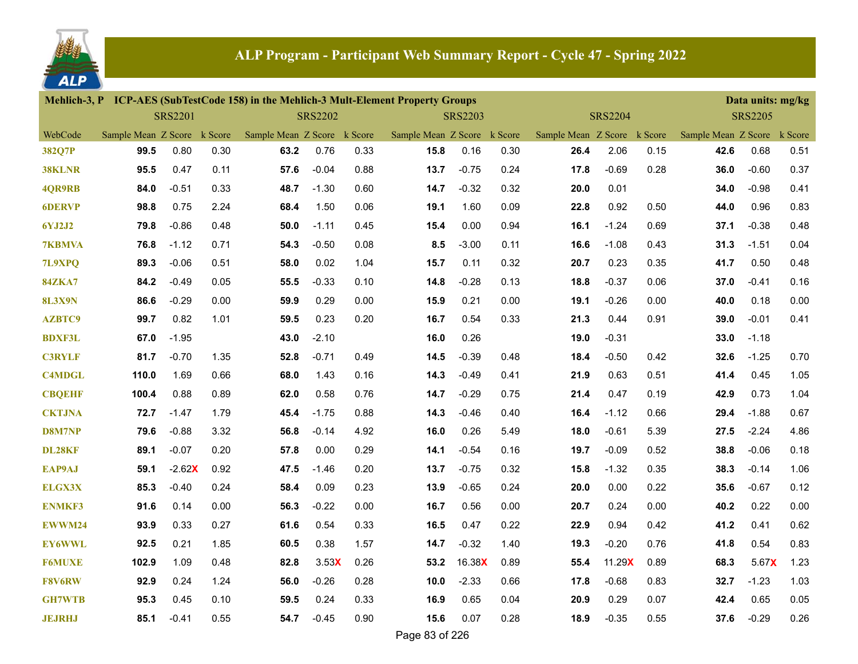

|               | Mehlich-3, P ICP-AES (SubTestCode 158) in the Mehlich-3 Mult-Element Property Groups |                  |      |                             |                |      |                             |                |      |                             |                |      |                             | Data units: mg/kg |      |
|---------------|--------------------------------------------------------------------------------------|------------------|------|-----------------------------|----------------|------|-----------------------------|----------------|------|-----------------------------|----------------|------|-----------------------------|-------------------|------|
|               |                                                                                      | <b>SRS2201</b>   |      |                             | <b>SRS2202</b> |      |                             | <b>SRS2203</b> |      |                             | <b>SRS2204</b> |      |                             | <b>SRS2205</b>    |      |
| WebCode       | Sample Mean Z Score k Score                                                          |                  |      | Sample Mean Z Score k Score |                |      | Sample Mean Z Score k Score |                |      | Sample Mean Z Score k Score |                |      | Sample Mean Z Score k Score |                   |      |
| 382Q7P        | 99.5                                                                                 | 0.80             | 0.30 | 63.2                        | 0.76           | 0.33 | 15.8                        | 0.16           | 0.30 | 26.4                        | 2.06           | 0.15 | 42.6                        | 0.68              | 0.51 |
| <b>38KLNR</b> | 95.5                                                                                 | 0.47             | 0.11 | 57.6                        | $-0.04$        | 0.88 | 13.7                        | $-0.75$        | 0.24 | 17.8                        | $-0.69$        | 0.28 | 36.0                        | $-0.60$           | 0.37 |
| 4QR9RB        | 84.0                                                                                 | $-0.51$          | 0.33 | 48.7                        | $-1.30$        | 0.60 | 14.7                        | $-0.32$        | 0.32 | 20.0                        | 0.01           |      | 34.0                        | $-0.98$           | 0.41 |
| <b>6DERVP</b> | 98.8                                                                                 | 0.75             | 2.24 | 68.4                        | 1.50           | 0.06 | 19.1                        | 1.60           | 0.09 | 22.8                        | 0.92           | 0.50 | 44.0                        | 0.96              | 0.83 |
| 6YJ2J2        | 79.8                                                                                 | $-0.86$          | 0.48 | 50.0                        | $-1.11$        | 0.45 | 15.4                        | 0.00           | 0.94 | 16.1                        | $-1.24$        | 0.69 | 37.1                        | $-0.38$           | 0.48 |
| <b>7KBMVA</b> | 76.8                                                                                 | $-1.12$          | 0.71 | 54.3                        | $-0.50$        | 0.08 | 8.5                         | $-3.00$        | 0.11 | 16.6                        | $-1.08$        | 0.43 | 31.3                        | $-1.51$           | 0.04 |
| 7L9XPQ        | 89.3                                                                                 | $-0.06$          | 0.51 | 58.0                        | 0.02           | 1.04 | 15.7                        | 0.11           | 0.32 | 20.7                        | 0.23           | 0.35 | 41.7                        | 0.50              | 0.48 |
| <b>84ZKA7</b> | 84.2                                                                                 | $-0.49$          | 0.05 | 55.5                        | $-0.33$        | 0.10 | 14.8                        | $-0.28$        | 0.13 | 18.8                        | $-0.37$        | 0.06 | 37.0                        | $-0.41$           | 0.16 |
| <b>8L3X9N</b> | 86.6                                                                                 | $-0.29$          | 0.00 | 59.9                        | 0.29           | 0.00 | 15.9                        | 0.21           | 0.00 | 19.1                        | $-0.26$        | 0.00 | 40.0                        | 0.18              | 0.00 |
| <b>AZBTC9</b> | 99.7                                                                                 | 0.82             | 1.01 | 59.5                        | 0.23           | 0.20 | 16.7                        | 0.54           | 0.33 | 21.3                        | 0.44           | 0.91 | 39.0                        | $-0.01$           | 0.41 |
| <b>BDXF3L</b> | 67.0                                                                                 | $-1.95$          |      | 43.0                        | $-2.10$        |      | 16.0                        | 0.26           |      | 19.0                        | $-0.31$        |      | 33.0                        | $-1.18$           |      |
| <b>C3RYLF</b> | 81.7                                                                                 | $-0.70$          | 1.35 | 52.8                        | $-0.71$        | 0.49 | 14.5                        | $-0.39$        | 0.48 | 18.4                        | $-0.50$        | 0.42 | 32.6                        | $-1.25$           | 0.70 |
| <b>C4MDGL</b> | 110.0                                                                                | 1.69             | 0.66 | 68.0                        | 1.43           | 0.16 | 14.3                        | $-0.49$        | 0.41 | 21.9                        | 0.63           | 0.51 | 41.4                        | 0.45              | 1.05 |
| <b>CBOEHF</b> | 100.4                                                                                | 0.88             | 0.89 | 62.0                        | 0.58           | 0.76 | 14.7                        | $-0.29$        | 0.75 | 21.4                        | 0.47           | 0.19 | 42.9                        | 0.73              | 1.04 |
| <b>CKTJNA</b> | 72.7                                                                                 | $-1.47$          | 1.79 | 45.4                        | $-1.75$        | 0.88 | 14.3                        | $-0.46$        | 0.40 | 16.4                        | $-1.12$        | 0.66 | 29.4                        | $-1.88$           | 0.67 |
| D8M7NP        | 79.6                                                                                 | $-0.88$          | 3.32 | 56.8                        | $-0.14$        | 4.92 | 16.0                        | 0.26           | 5.49 | 18.0                        | $-0.61$        | 5.39 | 27.5                        | $-2.24$           | 4.86 |
| DL28KF        | 89.1                                                                                 | $-0.07$          | 0.20 | 57.8                        | 0.00           | 0.29 | 14.1                        | $-0.54$        | 0.16 | 19.7                        | $-0.09$        | 0.52 | 38.8                        | $-0.06$           | 0.18 |
| <b>EAP9AJ</b> | 59.1                                                                                 | $-2.62$ <b>X</b> | 0.92 | 47.5                        | $-1.46$        | 0.20 | 13.7                        | $-0.75$        | 0.32 | 15.8                        | $-1.32$        | 0.35 | 38.3                        | $-0.14$           | 1.06 |
| <b>ELGX3X</b> | 85.3                                                                                 | $-0.40$          | 0.24 | 58.4                        | 0.09           | 0.23 | 13.9                        | $-0.65$        | 0.24 | 20.0                        | 0.00           | 0.22 | 35.6                        | $-0.67$           | 0.12 |
| <b>ENMKF3</b> | 91.6                                                                                 | 0.14             | 0.00 | 56.3                        | $-0.22$        | 0.00 | 16.7                        | 0.56           | 0.00 | 20.7                        | 0.24           | 0.00 | 40.2                        | 0.22              | 0.00 |
| EWWM24        | 93.9                                                                                 | 0.33             | 0.27 | 61.6                        | 0.54           | 0.33 | 16.5                        | 0.47           | 0.22 | 22.9                        | 0.94           | 0.42 | 41.2                        | 0.41              | 0.62 |
| <b>EY6WWL</b> | 92.5                                                                                 | 0.21             | 1.85 | 60.5                        | 0.38           | 1.57 | 14.7                        | $-0.32$        | 1.40 | 19.3                        | $-0.20$        | 0.76 | 41.8                        | 0.54              | 0.83 |
| <b>F6MUXE</b> | 102.9                                                                                | 1.09             | 0.48 | 82.8                        | 3.53X          | 0.26 | 53.2                        | 16.38X         | 0.89 | 55.4                        | 11.29X         | 0.89 | 68.3                        | 5.67X             | 1.23 |
| <b>F8V6RW</b> | 92.9                                                                                 | 0.24             | 1.24 | 56.0                        | $-0.26$        | 0.28 | 10.0                        | $-2.33$        | 0.66 | 17.8                        | $-0.68$        | 0.83 | 32.7                        | $-1.23$           | 1.03 |
| <b>GH7WTB</b> | 95.3                                                                                 | 0.45             | 0.10 | 59.5                        | 0.24           | 0.33 | 16.9                        | 0.65           | 0.04 | 20.9                        | 0.29           | 0.07 | 42.4                        | 0.65              | 0.05 |
| <b>JEJRHJ</b> | 85.1                                                                                 | $-0.41$          | 0.55 | 54.7                        | $-0.45$        | 0.90 | 15.6                        | 0.07           | 0.28 | 18.9                        | $-0.35$        | 0.55 | 37.6                        | $-0.29$           | 0.26 |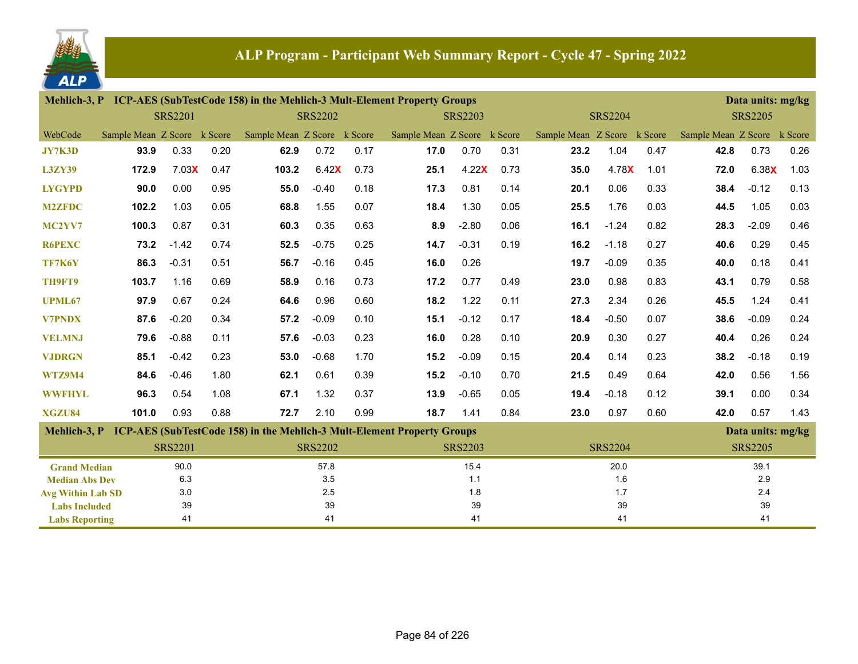

|                                                  |                             |                   |      |                             |                |      | Mehlich-3, P ICP-AES (SubTestCode 158) in the Mehlich-3 Mult-Element Property Groups |                |      |                             |                |      |                             | Data units: mg/kg |      |
|--------------------------------------------------|-----------------------------|-------------------|------|-----------------------------|----------------|------|--------------------------------------------------------------------------------------|----------------|------|-----------------------------|----------------|------|-----------------------------|-------------------|------|
|                                                  |                             | <b>SRS2201</b>    |      |                             | <b>SRS2202</b> |      |                                                                                      | <b>SRS2203</b> |      |                             | <b>SRS2204</b> |      |                             | <b>SRS2205</b>    |      |
| WebCode                                          | Sample Mean Z Score k Score |                   |      | Sample Mean Z Score k Score |                |      | Sample Mean Z Score k Score                                                          |                |      | Sample Mean Z Score k Score |                |      | Sample Mean Z Score k Score |                   |      |
| <b>JY7K3D</b>                                    | 93.9                        | 0.33              | 0.20 | 62.9                        | 0.72           | 0.17 | 17.0                                                                                 | 0.70           | 0.31 | 23.2                        | 1.04           | 0.47 | 42.8                        | 0.73              | 0.26 |
| <b>L3ZY39</b>                                    | 172.9                       | 7.03 <sub>X</sub> | 0.47 | 103.2                       | 6.42X          | 0.73 | 25.1                                                                                 | 4.22X          | 0.73 | 35.0                        | 4.78X          | 1.01 | 72.0                        | 6.38X             | 1.03 |
| <b>LYGYPD</b>                                    | 90.0                        | 0.00              | 0.95 | 55.0                        | $-0.40$        | 0.18 | 17.3                                                                                 | 0.81           | 0.14 | 20.1                        | 0.06           | 0.33 | 38.4                        | $-0.12$           | 0.13 |
| <b>M2ZFDC</b>                                    | 102.2                       | 1.03              | 0.05 | 68.8                        | 1.55           | 0.07 | 18.4                                                                                 | 1.30           | 0.05 | 25.5                        | 1.76           | 0.03 | 44.5                        | 1.05              | 0.03 |
| MC <sub>2</sub> YV <sub>7</sub>                  | 100.3                       | 0.87              | 0.31 | 60.3                        | 0.35           | 0.63 | 8.9                                                                                  | $-2.80$        | 0.06 | 16.1                        | $-1.24$        | 0.82 | 28.3                        | $-2.09$           | 0.46 |
| <b>R6PEXC</b>                                    | 73.2                        | $-1.42$           | 0.74 | 52.5                        | $-0.75$        | 0.25 | 14.7                                                                                 | $-0.31$        | 0.19 | 16.2                        | $-1.18$        | 0.27 | 40.6                        | 0.29              | 0.45 |
| TF7K6Y                                           | 86.3                        | $-0.31$           | 0.51 | 56.7                        | $-0.16$        | 0.45 | 16.0                                                                                 | 0.26           |      | 19.7                        | $-0.09$        | 0.35 | 40.0                        | 0.18              | 0.41 |
| <b>TH9FT9</b>                                    | 103.7                       | 1.16              | 0.69 | 58.9                        | 0.16           | 0.73 | 17.2                                                                                 | 0.77           | 0.49 | 23.0                        | 0.98           | 0.83 | 43.1                        | 0.79              | 0.58 |
| UPML67                                           | 97.9                        | 0.67              | 0.24 | 64.6                        | 0.96           | 0.60 | 18.2                                                                                 | 1.22           | 0.11 | 27.3                        | 2.34           | 0.26 | 45.5                        | 1.24              | 0.41 |
| <b>V7PNDX</b>                                    | 87.6                        | $-0.20$           | 0.34 | 57.2                        | $-0.09$        | 0.10 | 15.1                                                                                 | $-0.12$        | 0.17 | 18.4                        | $-0.50$        | 0.07 | 38.6                        | $-0.09$           | 0.24 |
| <b>VELMNJ</b>                                    | 79.6                        | $-0.88$           | 0.11 | 57.6                        | $-0.03$        | 0.23 | 16.0                                                                                 | 0.28           | 0.10 | 20.9                        | 0.30           | 0.27 | 40.4                        | 0.26              | 0.24 |
| <b>VJDRGN</b>                                    | 85.1                        | $-0.42$           | 0.23 | 53.0                        | $-0.68$        | 1.70 | 15.2                                                                                 | $-0.09$        | 0.15 | 20.4                        | 0.14           | 0.23 | 38.2                        | $-0.18$           | 0.19 |
| WTZ9M4                                           | 84.6                        | $-0.46$           | 1.80 | 62.1                        | 0.61           | 0.39 | 15.2                                                                                 | $-0.10$        | 0.70 | 21.5                        | 0.49           | 0.64 | 42.0                        | 0.56              | 1.56 |
| <b>WWFHYL</b>                                    | 96.3                        | 0.54              | 1.08 | 67.1                        | 1.32           | 0.37 | 13.9                                                                                 | $-0.65$        | 0.05 | 19.4                        | $-0.18$        | 0.12 | 39.1                        | 0.00              | 0.34 |
| XGZU84                                           | 101.0                       | 0.93              | 0.88 | 72.7                        | 2.10           | 0.99 | 18.7                                                                                 | 1.41           | 0.84 | 23.0                        | 0.97           | 0.60 | 42.0                        | 0.57              | 1.43 |
|                                                  |                             |                   |      |                             |                |      | Mehlich-3, P ICP-AES (SubTestCode 158) in the Mehlich-3 Mult-Element Property Groups |                |      |                             |                |      |                             | Data units: mg/kg |      |
|                                                  |                             | <b>SRS2201</b>    |      |                             | <b>SRS2202</b> |      |                                                                                      | <b>SRS2203</b> |      |                             | <b>SRS2204</b> |      |                             | <b>SRS2205</b>    |      |
| <b>Grand Median</b>                              |                             | 90.0              |      |                             | 57.8           |      |                                                                                      | 15.4           |      |                             | 20.0           |      |                             | 39.1              |      |
| <b>Median Abs Dev</b>                            |                             | 6.3               |      |                             | 3.5            |      |                                                                                      | 1.1            |      |                             | 1.6            |      |                             | 2.9               |      |
| <b>Avg Within Lab SD</b><br><b>Labs Included</b> |                             | 3.0<br>39         |      |                             | 2.5<br>39      |      |                                                                                      | 1.8<br>39      |      |                             | 1.7<br>39      |      |                             | 2.4<br>39         |      |
| <b>Labs Reporting</b>                            |                             | 41                |      |                             | 41             |      |                                                                                      | 41             |      |                             | 41             |      |                             | 41                |      |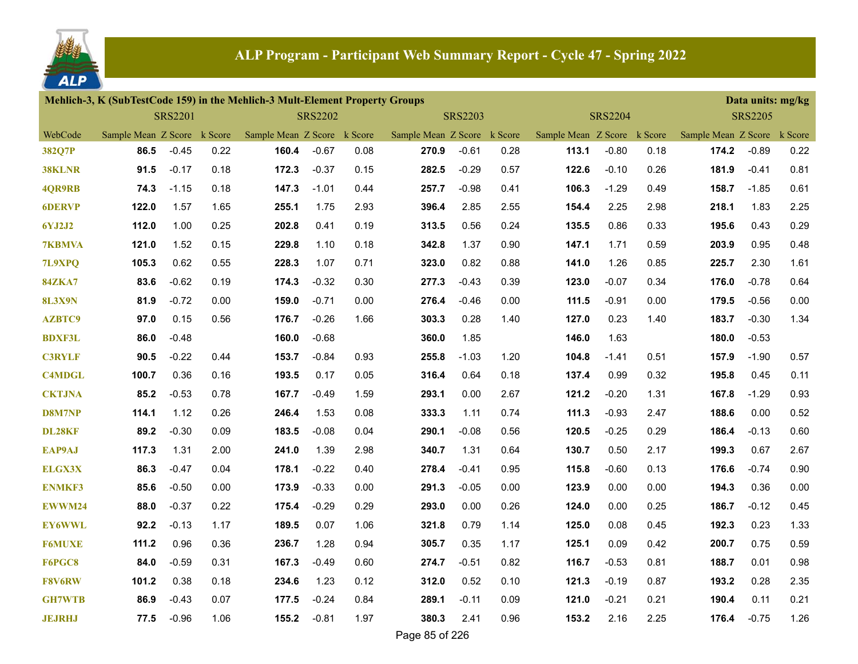

|               |                             |                |      | Mehlich-3, K (SubTestCode 159) in the Mehlich-3 Mult-Element Property Groups |                |      |                             |                |      |                             |                |      |                             |                | Data units: mg/kg |
|---------------|-----------------------------|----------------|------|------------------------------------------------------------------------------|----------------|------|-----------------------------|----------------|------|-----------------------------|----------------|------|-----------------------------|----------------|-------------------|
|               |                             | <b>SRS2201</b> |      |                                                                              | <b>SRS2202</b> |      |                             | <b>SRS2203</b> |      |                             | <b>SRS2204</b> |      |                             | <b>SRS2205</b> |                   |
| WebCode       | Sample Mean Z Score k Score |                |      | Sample Mean Z Score k Score                                                  |                |      | Sample Mean Z Score k Score |                |      | Sample Mean Z Score k Score |                |      | Sample Mean Z Score k Score |                |                   |
| 382Q7P        | 86.5                        | $-0.45$        | 0.22 | 160.4                                                                        | $-0.67$        | 0.08 | 270.9                       | $-0.61$        | 0.28 | 113.1                       | $-0.80$        | 0.18 | 174.2                       | $-0.89$        | 0.22              |
| 38KLNR        | 91.5                        | $-0.17$        | 0.18 | 172.3                                                                        | $-0.37$        | 0.15 | 282.5                       | $-0.29$        | 0.57 | 122.6                       | $-0.10$        | 0.26 | 181.9                       | $-0.41$        | 0.81              |
| 4OR9RB        | 74.3                        | $-1.15$        | 0.18 | 147.3                                                                        | $-1.01$        | 0.44 | 257.7                       | $-0.98$        | 0.41 | 106.3                       | $-1.29$        | 0.49 | 158.7                       | $-1.85$        | 0.61              |
| <b>6DERVP</b> | 122.0                       | 1.57           | 1.65 | 255.1                                                                        | 1.75           | 2.93 | 396.4                       | 2.85           | 2.55 | 154.4                       | 2.25           | 2.98 | 218.1                       | 1.83           | 2.25              |
| 6YJ2J2        | 112.0                       | 1.00           | 0.25 | 202.8                                                                        | 0.41           | 0.19 | 313.5                       | 0.56           | 0.24 | 135.5                       | 0.86           | 0.33 | 195.6                       | 0.43           | 0.29              |
| <b>7KBMVA</b> | 121.0                       | 1.52           | 0.15 | 229.8                                                                        | 1.10           | 0.18 | 342.8                       | 1.37           | 0.90 | 147.1                       | 1.71           | 0.59 | 203.9                       | 0.95           | 0.48              |
| 7L9XPQ        | 105.3                       | 0.62           | 0.55 | 228.3                                                                        | 1.07           | 0.71 | 323.0                       | 0.82           | 0.88 | 141.0                       | 1.26           | 0.85 | 225.7                       | 2.30           | 1.61              |
| <b>84ZKA7</b> | 83.6                        | $-0.62$        | 0.19 | 174.3                                                                        | $-0.32$        | 0.30 | 277.3                       | $-0.43$        | 0.39 | 123.0                       | $-0.07$        | 0.34 | 176.0                       | $-0.78$        | 0.64              |
| <b>8L3X9N</b> | 81.9                        | $-0.72$        | 0.00 | 159.0                                                                        | $-0.71$        | 0.00 | 276.4                       | $-0.46$        | 0.00 | 111.5                       | $-0.91$        | 0.00 | 179.5                       | $-0.56$        | 0.00              |
| <b>AZBTC9</b> | 97.0                        | 0.15           | 0.56 | 176.7                                                                        | $-0.26$        | 1.66 | 303.3                       | 0.28           | 1.40 | 127.0                       | 0.23           | 1.40 | 183.7                       | $-0.30$        | 1.34              |
| <b>BDXF3L</b> | 86.0                        | $-0.48$        |      | 160.0                                                                        | $-0.68$        |      | 360.0                       | 1.85           |      | 146.0                       | 1.63           |      | 180.0                       | $-0.53$        |                   |
| <b>C3RYLF</b> | 90.5                        | $-0.22$        | 0.44 | 153.7                                                                        | $-0.84$        | 0.93 | 255.8                       | $-1.03$        | 1.20 | 104.8                       | $-1.41$        | 0.51 | 157.9                       | $-1.90$        | 0.57              |
| <b>C4MDGL</b> | 100.7                       | 0.36           | 0.16 | 193.5                                                                        | 0.17           | 0.05 | 316.4                       | 0.64           | 0.18 | 137.4                       | 0.99           | 0.32 | 195.8                       | 0.45           | 0.11              |
| <b>CKTJNA</b> | 85.2                        | $-0.53$        | 0.78 | 167.7                                                                        | $-0.49$        | 1.59 | 293.1                       | 0.00           | 2.67 | 121.2                       | $-0.20$        | 1.31 | 167.8                       | $-1.29$        | 0.93              |
| D8M7NP        | 114.1                       | 1.12           | 0.26 | 246.4                                                                        | 1.53           | 0.08 | 333.3                       | 1.11           | 0.74 | 111.3                       | $-0.93$        | 2.47 | 188.6                       | 0.00           | 0.52              |
| DL28KF        | 89.2                        | $-0.30$        | 0.09 | 183.5                                                                        | $-0.08$        | 0.04 | 290.1                       | $-0.08$        | 0.56 | 120.5                       | $-0.25$        | 0.29 | 186.4                       | $-0.13$        | 0.60              |
| EAP9AJ        | 117.3                       | 1.31           | 2.00 | 241.0                                                                        | 1.39           | 2.98 | 340.7                       | 1.31           | 0.64 | 130.7                       | 0.50           | 2.17 | 199.3                       | 0.67           | 2.67              |
| <b>ELGX3X</b> | 86.3                        | $-0.47$        | 0.04 | 178.1                                                                        | $-0.22$        | 0.40 | 278.4                       | $-0.41$        | 0.95 | 115.8                       | $-0.60$        | 0.13 | 176.6                       | $-0.74$        | 0.90              |
| <b>ENMKF3</b> | 85.6                        | $-0.50$        | 0.00 | 173.9                                                                        | $-0.33$        | 0.00 | 291.3                       | $-0.05$        | 0.00 | 123.9                       | 0.00           | 0.00 | 194.3                       | 0.36           | 0.00              |
| EWWM24        | 88.0                        | $-0.37$        | 0.22 | 175.4                                                                        | $-0.29$        | 0.29 | 293.0                       | 0.00           | 0.26 | 124.0                       | 0.00           | 0.25 | 186.7                       | $-0.12$        | 0.45              |
| <b>EY6WWL</b> | 92.2                        | $-0.13$        | 1.17 | 189.5                                                                        | 0.07           | 1.06 | 321.8                       | 0.79           | 1.14 | 125.0                       | 0.08           | 0.45 | 192.3                       | 0.23           | 1.33              |
| <b>F6MUXE</b> | 111.2                       | 0.96           | 0.36 | 236.7                                                                        | 1.28           | 0.94 | 305.7                       | 0.35           | 1.17 | 125.1                       | 0.09           | 0.42 | 200.7                       | 0.75           | 0.59              |
| F6PGC8        | 84.0                        | $-0.59$        | 0.31 | 167.3                                                                        | $-0.49$        | 0.60 | 274.7                       | $-0.51$        | 0.82 | 116.7                       | $-0.53$        | 0.81 | 188.7                       | 0.01           | 0.98              |
| F8V6RW        | 101.2                       | 0.38           | 0.18 | 234.6                                                                        | 1.23           | 0.12 | 312.0                       | 0.52           | 0.10 | 121.3                       | $-0.19$        | 0.87 | 193.2                       | 0.28           | 2.35              |
| <b>GH7WTB</b> | 86.9                        | $-0.43$        | 0.07 | 177.5                                                                        | $-0.24$        | 0.84 | 289.1                       | $-0.11$        | 0.09 | 121.0                       | $-0.21$        | 0.21 | 190.4                       | 0.11           | 0.21              |
| <b>JEJRHJ</b> | 77.5                        | $-0.96$        | 1.06 | 155.2                                                                        | $-0.81$        | 1.97 | 380.3                       | 2.41           | 0.96 | 153.2                       | 2.16           | 2.25 | 176.4                       | $-0.75$        | 1.26              |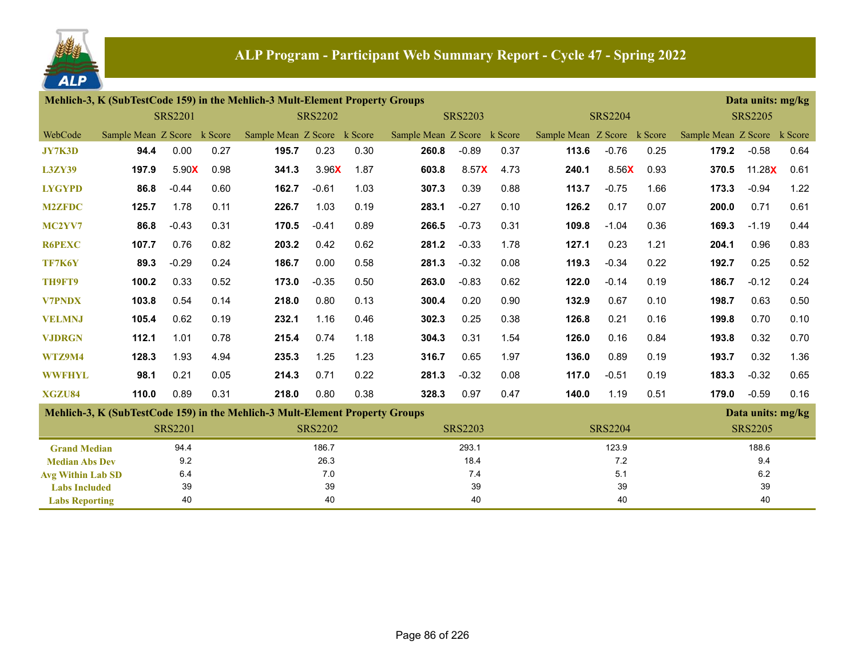

|                                 |                             |                |      | Mehlich-3, K (SubTestCode 159) in the Mehlich-3 Mult-Element Property Groups |                |      |                             |                |      |                             |                |      |                             | Data units: mg/kg |      |
|---------------------------------|-----------------------------|----------------|------|------------------------------------------------------------------------------|----------------|------|-----------------------------|----------------|------|-----------------------------|----------------|------|-----------------------------|-------------------|------|
|                                 |                             | <b>SRS2201</b> |      |                                                                              | <b>SRS2202</b> |      |                             | <b>SRS2203</b> |      |                             | <b>SRS2204</b> |      |                             | <b>SRS2205</b>    |      |
| WebCode                         | Sample Mean Z Score k Score |                |      | Sample Mean Z Score k Score                                                  |                |      | Sample Mean Z Score k Score |                |      | Sample Mean Z Score k Score |                |      | Sample Mean Z Score k Score |                   |      |
| JY7K3D                          | 94.4                        | 0.00           | 0.27 | 195.7                                                                        | 0.23           | 0.30 | 260.8                       | $-0.89$        | 0.37 | 113.6                       | $-0.76$        | 0.25 | 179.2                       | $-0.58$           | 0.64 |
| <b>L3ZY39</b>                   | 197.9                       | 5.90X          | 0.98 | 341.3                                                                        | 3.96X          | 1.87 | 603.8                       | 8.57X          | 4.73 | 240.1                       | 8.56X          | 0.93 | 370.5                       | 11.28X            | 0.61 |
| <b>LYGYPD</b>                   | 86.8                        | $-0.44$        | 0.60 | 162.7                                                                        | $-0.61$        | 1.03 | 307.3                       | 0.39           | 0.88 | 113.7                       | $-0.75$        | 1.66 | 173.3                       | $-0.94$           | 1.22 |
| <b>M2ZFDC</b>                   | 125.7                       | 1.78           | 0.11 | 226.7                                                                        | 1.03           | 0.19 | 283.1                       | $-0.27$        | 0.10 | 126.2                       | 0.17           | 0.07 | 200.0                       | 0.71              | 0.61 |
| MC <sub>2</sub> YV <sub>7</sub> | 86.8                        | $-0.43$        | 0.31 | 170.5                                                                        | $-0.41$        | 0.89 | 266.5                       | $-0.73$        | 0.31 | 109.8                       | $-1.04$        | 0.36 | 169.3                       | $-1.19$           | 0.44 |
| <b>R6PEXC</b>                   | 107.7                       | 0.76           | 0.82 | 203.2                                                                        | 0.42           | 0.62 | 281.2                       | $-0.33$        | 1.78 | 127.1                       | 0.23           | 1.21 | 204.1                       | 0.96              | 0.83 |
| TF7K6Y                          | 89.3                        | $-0.29$        | 0.24 | 186.7                                                                        | 0.00           | 0.58 | 281.3                       | $-0.32$        | 0.08 | 119.3                       | $-0.34$        | 0.22 | 192.7                       | 0.25              | 0.52 |
| TH9FT9                          | 100.2                       | 0.33           | 0.52 | 173.0                                                                        | $-0.35$        | 0.50 | 263.0                       | $-0.83$        | 0.62 | 122.0                       | $-0.14$        | 0.19 | 186.7                       | $-0.12$           | 0.24 |
| <b>V7PNDX</b>                   | 103.8                       | 0.54           | 0.14 | 218.0                                                                        | 0.80           | 0.13 | 300.4                       | 0.20           | 0.90 | 132.9                       | 0.67           | 0.10 | 198.7                       | 0.63              | 0.50 |
| <b>VELMNJ</b>                   | 105.4                       | 0.62           | 0.19 | 232.1                                                                        | 1.16           | 0.46 | 302.3                       | 0.25           | 0.38 | 126.8                       | 0.21           | 0.16 | 199.8                       | 0.70              | 0.10 |
| <b>VJDRGN</b>                   | 112.1                       | 1.01           | 0.78 | 215.4                                                                        | 0.74           | 1.18 | 304.3                       | 0.31           | 1.54 | 126.0                       | 0.16           | 0.84 | 193.8                       | 0.32              | 0.70 |
| WTZ9M4                          | 128.3                       | 1.93           | 4.94 | 235.3                                                                        | 1.25           | 1.23 | 316.7                       | 0.65           | 1.97 | 136.0                       | 0.89           | 0.19 | 193.7                       | 0.32              | 1.36 |
| <b>WWFHYL</b>                   | 98.1                        | 0.21           | 0.05 | 214.3                                                                        | 0.71           | 0.22 | 281.3                       | $-0.32$        | 0.08 | 117.0                       | $-0.51$        | 0.19 | 183.3                       | $-0.32$           | 0.65 |
| XGZU84                          | 110.0                       | 0.89           | 0.31 | 218.0                                                                        | 0.80           | 0.38 | 328.3                       | 0.97           | 0.47 | 140.0                       | 1.19           | 0.51 | 179.0                       | $-0.59$           | 0.16 |
|                                 |                             |                |      | Mehlich-3, K (SubTestCode 159) in the Mehlich-3 Mult-Element Property Groups |                |      |                             |                |      |                             |                |      |                             | Data units: mg/kg |      |
|                                 |                             | <b>SRS2201</b> |      |                                                                              | <b>SRS2202</b> |      |                             | <b>SRS2203</b> |      |                             | <b>SRS2204</b> |      |                             | <b>SRS2205</b>    |      |
| <b>Grand Median</b>             |                             | 94.4           |      |                                                                              | 186.7          |      |                             | 293.1          |      |                             | 123.9          |      |                             | 188.6             |      |
| <b>Median Abs Dev</b>           |                             | 9.2            |      |                                                                              | 26.3           |      |                             | 18.4           |      |                             | 7.2            |      |                             | 9.4               |      |
| <b>Avg Within Lab SD</b>        |                             | 6.4            |      |                                                                              | 7.0            |      |                             | 7.4            |      |                             | 5.1            |      |                             | 6.2               |      |
| <b>Labs Included</b>            |                             | 39             |      |                                                                              | 39             |      |                             | 39             |      |                             | 39             |      |                             | 39                |      |
| <b>Labs Reporting</b>           |                             | 40             |      |                                                                              | 40             |      |                             | 40             |      |                             | 40             |      |                             | 40                |      |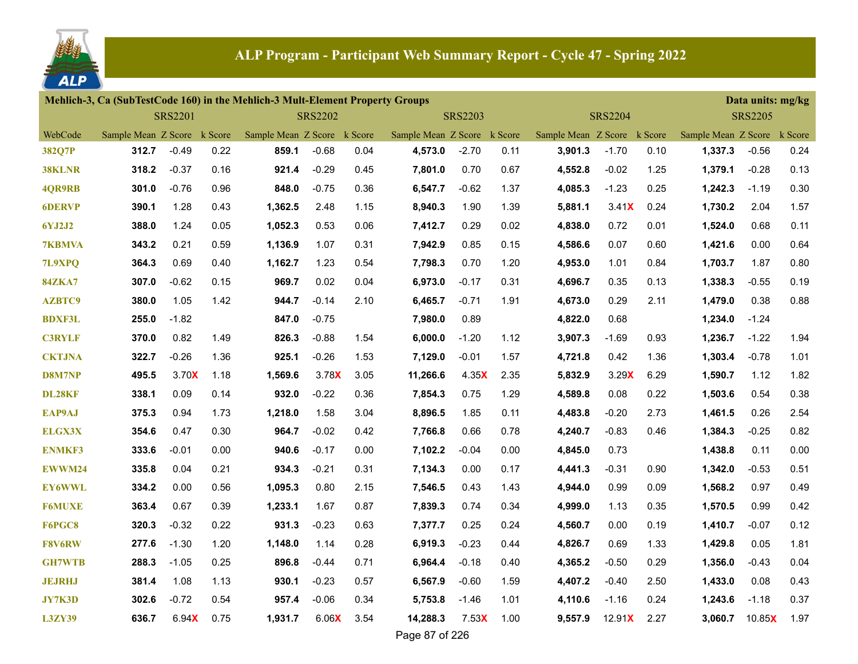

|               | Mehlich-3, Ca (SubTestCode 160) in the Mehlich-3 Mult-Element Property Groups |                |      |                             |                   |      |                             |                |      |                             |                |      |                             | Data units: mg/kg |      |
|---------------|-------------------------------------------------------------------------------|----------------|------|-----------------------------|-------------------|------|-----------------------------|----------------|------|-----------------------------|----------------|------|-----------------------------|-------------------|------|
|               |                                                                               | <b>SRS2201</b> |      |                             | <b>SRS2202</b>    |      |                             | <b>SRS2203</b> |      |                             | <b>SRS2204</b> |      |                             | <b>SRS2205</b>    |      |
| WebCode       | Sample Mean Z Score k Score                                                   |                |      | Sample Mean Z Score k Score |                   |      | Sample Mean Z Score k Score |                |      | Sample Mean Z Score k Score |                |      | Sample Mean Z Score k Score |                   |      |
| 382Q7P        | 312.7                                                                         | $-0.49$        | 0.22 | 859.1                       | $-0.68$           | 0.04 | 4,573.0                     | $-2.70$        | 0.11 | 3,901.3                     | $-1.70$        | 0.10 | 1,337.3                     | $-0.56$           | 0.24 |
| <b>38KLNR</b> | 318.2                                                                         | $-0.37$        | 0.16 | 921.4                       | $-0.29$           | 0.45 | 7,801.0                     | 0.70           | 0.67 | 4,552.8                     | $-0.02$        | 1.25 | 1,379.1                     | $-0.28$           | 0.13 |
| 4QR9RB        | 301.0                                                                         | $-0.76$        | 0.96 | 848.0                       | $-0.75$           | 0.36 | 6,547.7                     | $-0.62$        | 1.37 | 4,085.3                     | $-1.23$        | 0.25 | 1,242.3                     | $-1.19$           | 0.30 |
| <b>6DERVP</b> | 390.1                                                                         | 1.28           | 0.43 | 1,362.5                     | 2.48              | 1.15 | 8,940.3                     | 1.90           | 1.39 | 5,881.1                     | 3.41X          | 0.24 | 1,730.2                     | 2.04              | 1.57 |
| 6YJ2J2        | 388.0                                                                         | 1.24           | 0.05 | 1,052.3                     | 0.53              | 0.06 | 7,412.7                     | 0.29           | 0.02 | 4,838.0                     | 0.72           | 0.01 | 1,524.0                     | 0.68              | 0.11 |
| <b>7KBMVA</b> | 343.2                                                                         | 0.21           | 0.59 | 1,136.9                     | 1.07              | 0.31 | 7,942.9                     | 0.85           | 0.15 | 4,586.6                     | 0.07           | 0.60 | 1,421.6                     | 0.00              | 0.64 |
| <b>7L9XPO</b> | 364.3                                                                         | 0.69           | 0.40 | 1,162.7                     | 1.23              | 0.54 | 7,798.3                     | 0.70           | 1.20 | 4,953.0                     | 1.01           | 0.84 | 1,703.7                     | 1.87              | 0.80 |
| <b>84ZKA7</b> | 307.0                                                                         | $-0.62$        | 0.15 | 969.7                       | 0.02              | 0.04 | 6,973.0                     | $-0.17$        | 0.31 | 4,696.7                     | 0.35           | 0.13 | 1,338.3                     | $-0.55$           | 0.19 |
| <b>AZBTC9</b> | 380.0                                                                         | 1.05           | 1.42 | 944.7                       | $-0.14$           | 2.10 | 6,465.7                     | $-0.71$        | 1.91 | 4,673.0                     | 0.29           | 2.11 | 1,479.0                     | 0.38              | 0.88 |
| <b>BDXF3L</b> | 255.0                                                                         | $-1.82$        |      | 847.0                       | $-0.75$           |      | 7,980.0                     | 0.89           |      | 4,822.0                     | 0.68           |      | 1,234.0                     | $-1.24$           |      |
| <b>C3RYLF</b> | 370.0                                                                         | 0.82           | 1.49 | 826.3                       | $-0.88$           | 1.54 | 6,000.0                     | $-1.20$        | 1.12 | 3,907.3                     | $-1.69$        | 0.93 | 1,236.7                     | $-1.22$           | 1.94 |
| <b>CKTJNA</b> | 322.7                                                                         | $-0.26$        | 1.36 | 925.1                       | $-0.26$           | 1.53 | 7,129.0                     | $-0.01$        | 1.57 | 4,721.8                     | 0.42           | 1.36 | 1,303.4                     | $-0.78$           | 1.01 |
| D8M7NP        | 495.5                                                                         | 3.70 <b>X</b>  | 1.18 | 1,569.6                     | 3.78X             | 3.05 | 11,266.6                    | 4.35X          | 2.35 | 5,832.9                     | 3.29X          | 6.29 | 1,590.7                     | 1.12              | 1.82 |
| DL28KF        | 338.1                                                                         | 0.09           | 0.14 | 932.0                       | $-0.22$           | 0.36 | 7,854.3                     | 0.75           | 1.29 | 4,589.8                     | 0.08           | 0.22 | 1,503.6                     | 0.54              | 0.38 |
| EAP9AJ        | 375.3                                                                         | 0.94           | 1.73 | 1,218.0                     | 1.58              | 3.04 | 8,896.5                     | 1.85           | 0.11 | 4,483.8                     | $-0.20$        | 2.73 | 1,461.5                     | 0.26              | 2.54 |
| <b>ELGX3X</b> | 354.6                                                                         | 0.47           | 0.30 | 964.7                       | $-0.02$           | 0.42 | 7,766.8                     | 0.66           | 0.78 | 4,240.7                     | $-0.83$        | 0.46 | 1,384.3                     | $-0.25$           | 0.82 |
| <b>ENMKF3</b> | 333.6                                                                         | $-0.01$        | 0.00 | 940.6                       | $-0.17$           | 0.00 | 7,102.2                     | $-0.04$        | 0.00 | 4,845.0                     | 0.73           |      | 1,438.8                     | 0.11              | 0.00 |
| EWWM24        | 335.8                                                                         | 0.04           | 0.21 | 934.3                       | $-0.21$           | 0.31 | 7,134.3                     | 0.00           | 0.17 | 4,441.3                     | $-0.31$        | 0.90 | 1,342.0                     | $-0.53$           | 0.51 |
| <b>EY6WWL</b> | 334.2                                                                         | 0.00           | 0.56 | 1,095.3                     | 0.80              | 2.15 | 7,546.5                     | 0.43           | 1.43 | 4,944.0                     | 0.99           | 0.09 | 1,568.2                     | 0.97              | 0.49 |
| <b>F6MUXE</b> | 363.4                                                                         | 0.67           | 0.39 | 1,233.1                     | 1.67              | 0.87 | 7,839.3                     | 0.74           | 0.34 | 4,999.0                     | 1.13           | 0.35 | 1,570.5                     | 0.99              | 0.42 |
| F6PGC8        | 320.3                                                                         | $-0.32$        | 0.22 | 931.3                       | $-0.23$           | 0.63 | 7,377.7                     | 0.25           | 0.24 | 4,560.7                     | 0.00           | 0.19 | 1,410.7                     | $-0.07$           | 0.12 |
| F8V6RW        | 277.6                                                                         | $-1.30$        | 1.20 | 1,148.0                     | 1.14              | 0.28 | 6,919.3                     | $-0.23$        | 0.44 | 4,826.7                     | 0.69           | 1.33 | 1,429.8                     | 0.05              | 1.81 |
| <b>GH7WTB</b> | 288.3                                                                         | $-1.05$        | 0.25 | 896.8                       | $-0.44$           | 0.71 | 6,964.4                     | $-0.18$        | 0.40 | 4,365.2                     | $-0.50$        | 0.29 | 1,356.0                     | $-0.43$           | 0.04 |
| <b>JEJRHJ</b> | 381.4                                                                         | 1.08           | 1.13 | 930.1                       | $-0.23$           | 0.57 | 6,567.9                     | $-0.60$        | 1.59 | 4,407.2                     | $-0.40$        | 2.50 | 1,433.0                     | 0.08              | 0.43 |
| <b>JY7K3D</b> | 302.6                                                                         | $-0.72$        | 0.54 | 957.4                       | $-0.06$           | 0.34 | 5,753.8                     | $-1.46$        | 1.01 | 4,110.6                     | $-1.16$        | 0.24 | 1,243.6                     | $-1.18$           | 0.37 |
| <b>L3ZY39</b> | 636.7                                                                         | 6.94X          | 0.75 | 1,931.7                     | 6.06 <sub>X</sub> | 3.54 | 14,288.3                    | 7.53X          | 1.00 | 9,557.9                     | 12.91X         | 2.27 | 3,060.7                     | 10.85X            | 1.97 |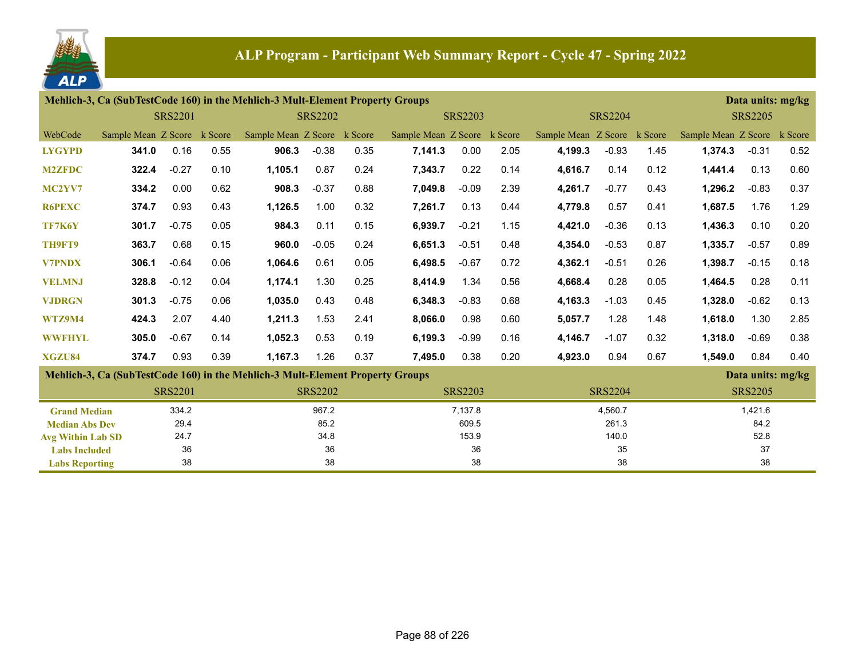

|               |                             |                |      | Mehlich-3, Ca (SubTestCode 160) in the Mehlich-3 Mult-Element Property Groups |                |      |                             |                |      |                             |                |      |                             |                | Data units: mg/kg |
|---------------|-----------------------------|----------------|------|-------------------------------------------------------------------------------|----------------|------|-----------------------------|----------------|------|-----------------------------|----------------|------|-----------------------------|----------------|-------------------|
|               |                             | <b>SRS2201</b> |      |                                                                               | <b>SRS2202</b> |      |                             | <b>SRS2203</b> |      |                             | <b>SRS2204</b> |      |                             | <b>SRS2205</b> |                   |
| WebCode       | Sample Mean Z Score k Score |                |      | Sample Mean Z Score k Score                                                   |                |      | Sample Mean Z Score k Score |                |      | Sample Mean Z Score k Score |                |      | Sample Mean Z Score k Score |                |                   |
| <b>LYGYPD</b> | 341.0                       | 0.16           | 0.55 | 906.3                                                                         | $-0.38$        | 0.35 | 7,141.3                     | 0.00           | 2.05 | 4,199.3                     | $-0.93$        | 1.45 | 1,374.3                     | $-0.31$        | 0.52              |
| <b>M2ZFDC</b> | 322.4                       | $-0.27$        | 0.10 | 1,105.1                                                                       | 0.87           | 0.24 | 7,343.7                     | 0.22           | 0.14 | 4,616.7                     | 0.14           | 0.12 | 1,441.4                     | 0.13           | 0.60              |
| MC2YV7        | 334.2                       | 0.00           | 0.62 | 908.3                                                                         | $-0.37$        | 0.88 | 7,049.8                     | $-0.09$        | 2.39 | 4,261.7                     | $-0.77$        | 0.43 | 1,296.2                     | $-0.83$        | 0.37              |
| <b>R6PEXC</b> | 374.7                       | 0.93           | 0.43 | 1,126.5                                                                       | 1.00           | 0.32 | 7,261.7                     | 0.13           | 0.44 | 4,779.8                     | 0.57           | 0.41 | 1,687.5                     | 1.76           | 1.29              |
| TF7K6Y        | 301.7                       | $-0.75$        | 0.05 | 984.3                                                                         | 0.11           | 0.15 | 6,939.7                     | $-0.21$        | 1.15 | 4,421.0                     | $-0.36$        | 0.13 | 1,436.3                     | 0.10           | 0.20              |
| <b>TH9FT9</b> | 363.7                       | 0.68           | 0.15 | 960.0                                                                         | $-0.05$        | 0.24 | 6,651.3                     | $-0.51$        | 0.48 | 4,354.0                     | $-0.53$        | 0.87 | 1,335.7                     | $-0.57$        | 0.89              |
| <b>V7PNDX</b> | 306.1                       | $-0.64$        | 0.06 | 1,064.6                                                                       | 0.61           | 0.05 | 6,498.5                     | $-0.67$        | 0.72 | 4,362.1                     | $-0.51$        | 0.26 | 1,398.7                     | $-0.15$        | 0.18              |
| <b>VELMNJ</b> | 328.8                       | $-0.12$        | 0.04 | 1,174.1                                                                       | 1.30           | 0.25 | 8,414.9                     | 1.34           | 0.56 | 4,668.4                     | 0.28           | 0.05 | 1,464.5                     | 0.28           | 0.11              |
| <b>VJDRGN</b> | 301.3                       | $-0.75$        | 0.06 | 1,035.0                                                                       | 0.43           | 0.48 | 6,348.3                     | $-0.83$        | 0.68 | 4,163.3                     | $-1.03$        | 0.45 | 1,328.0                     | $-0.62$        | 0.13              |
| WTZ9M4        | 424.3                       | 2.07           | 4.40 | 1,211.3                                                                       | 1.53           | 2.41 | 8,066.0                     | 0.98           | 0.60 | 5,057.7                     | 1.28           | 1.48 | 1,618.0                     | 1.30           | 2.85              |
| <b>WWFHYL</b> | 305.0                       | $-0.67$        | 0.14 | 1,052.3                                                                       | 0.53           | 0.19 | 6,199.3                     | $-0.99$        | 0.16 | 4,146.7                     | $-1.07$        | 0.32 | 1,318.0                     | $-0.69$        | 0.38              |
| XGZU84        | 374.7                       | 0.93           | 0.39 | 1,167.3                                                                       | 1.26           | 0.37 | 7,495.0                     | 0.38           | 0.20 | 4,923.0                     | 0.94           | 0.67 | 1,549.0                     | 0.84           | 0.40              |
|               |                             |                |      | Mehlich-3, Ca (SubTestCode 160) in the Mehlich-3 Mult-Element Property Groups |                |      |                             |                |      |                             |                |      |                             |                | Data units: mg/kg |

|                          |                | Mennen-5, Ca (Sub restCode Too) in the Mennen-5 Mult-Element Property Groups |                |                | Data units: mg/kg |
|--------------------------|----------------|------------------------------------------------------------------------------|----------------|----------------|-------------------|
|                          | <b>SRS2201</b> | <b>SRS2202</b>                                                               | <b>SRS2203</b> | <b>SRS2204</b> | SRS2205           |
| <b>Grand Median</b>      | 334.2          | 967.2                                                                        | 7,137.8        | 4,560.7        | 1,421.6           |
| <b>Median Abs Dev</b>    | 29.4           | 85.2                                                                         | 609.5          | 261.3          | 84.2              |
| <b>Avg Within Lab SD</b> | 24.7           | 34.8                                                                         | 153.9          | 140.0          | 52.8              |
| <b>Labs Included</b>     | 36             | 36                                                                           | 36             | 35             | -37               |
| <b>Labs Reporting</b>    | 38             | 38                                                                           | 38             | 38             | 38                |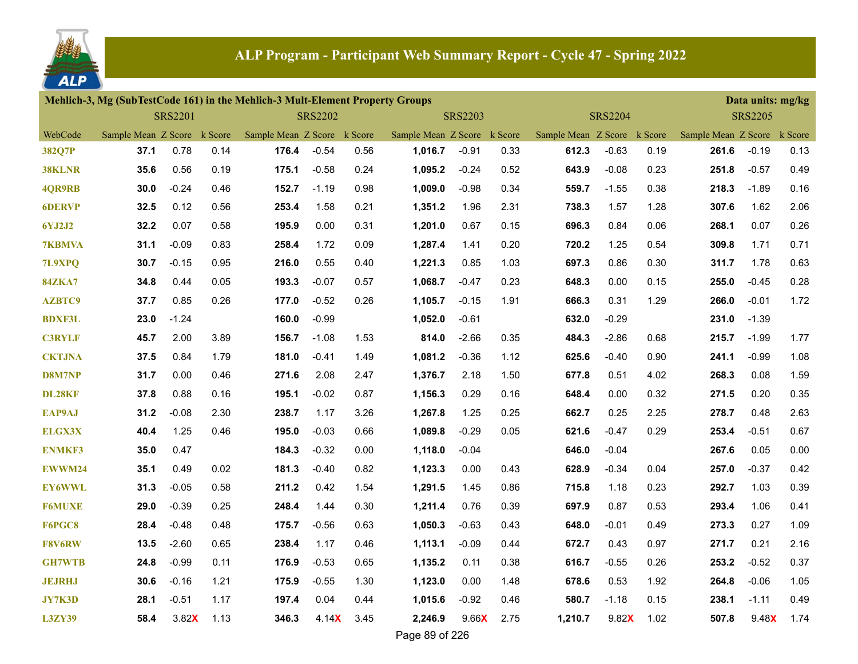

|               |                             | Mehlich-3, Mg (SubTestCode 161) in the Mehlich-3 Mult-Element Property Groups |      |                             |                |      |                             |                |      |                             |                | Data units: mg/kg |                             |                |      |
|---------------|-----------------------------|-------------------------------------------------------------------------------|------|-----------------------------|----------------|------|-----------------------------|----------------|------|-----------------------------|----------------|-------------------|-----------------------------|----------------|------|
|               |                             | <b>SRS2201</b>                                                                |      |                             | <b>SRS2202</b> |      |                             | <b>SRS2203</b> |      |                             | <b>SRS2204</b> |                   |                             | <b>SRS2205</b> |      |
| WebCode       | Sample Mean Z Score k Score |                                                                               |      | Sample Mean Z Score k Score |                |      | Sample Mean Z Score k Score |                |      | Sample Mean Z Score k Score |                |                   | Sample Mean Z Score k Score |                |      |
| 382Q7P        | 37.1                        | 0.78                                                                          | 0.14 | 176.4                       | $-0.54$        | 0.56 | 1,016.7                     | $-0.91$        | 0.33 | 612.3                       | $-0.63$        | 0.19              | 261.6                       | $-0.19$        | 0.13 |
| 38KLNR        | 35.6                        | 0.56                                                                          | 0.19 | 175.1                       | $-0.58$        | 0.24 | 1,095.2                     | $-0.24$        | 0.52 | 643.9                       | $-0.08$        | 0.23              | 251.8                       | $-0.57$        | 0.49 |
| 4QR9RB        | 30.0                        | $-0.24$                                                                       | 0.46 | 152.7                       | $-1.19$        | 0.98 | 1,009.0                     | $-0.98$        | 0.34 | 559.7                       | $-1.55$        | 0.38              | 218.3                       | $-1.89$        | 0.16 |
| <b>6DERVP</b> | 32.5                        | 0.12                                                                          | 0.56 | 253.4                       | 1.58           | 0.21 | 1,351.2                     | 1.96           | 2.31 | 738.3                       | 1.57           | 1.28              | 307.6                       | 1.62           | 2.06 |
| 6YJ2J2        | 32.2                        | 0.07                                                                          | 0.58 | 195.9                       | 0.00           | 0.31 | 1,201.0                     | 0.67           | 0.15 | 696.3                       | 0.84           | 0.06              | 268.1                       | 0.07           | 0.26 |
| <b>7KBMVA</b> | 31.1                        | $-0.09$                                                                       | 0.83 | 258.4                       | 1.72           | 0.09 | 1,287.4                     | 1.41           | 0.20 | 720.2                       | 1.25           | 0.54              | 309.8                       | 1.71           | 0.71 |
| 7L9XPQ        | 30.7                        | $-0.15$                                                                       | 0.95 | 216.0                       | 0.55           | 0.40 | 1,221.3                     | 0.85           | 1.03 | 697.3                       | 0.86           | 0.30              | 311.7                       | 1.78           | 0.63 |
| <b>84ZKA7</b> | 34.8                        | 0.44                                                                          | 0.05 | 193.3                       | $-0.07$        | 0.57 | 1,068.7                     | $-0.47$        | 0.23 | 648.3                       | 0.00           | 0.15              | 255.0                       | $-0.45$        | 0.28 |
| <b>AZBTC9</b> | 37.7                        | 0.85                                                                          | 0.26 | 177.0                       | $-0.52$        | 0.26 | 1,105.7                     | $-0.15$        | 1.91 | 666.3                       | 0.31           | 1.29              | 266.0                       | $-0.01$        | 1.72 |
| <b>BDXF3L</b> | 23.0                        | $-1.24$                                                                       |      | 160.0                       | $-0.99$        |      | 1,052.0                     | $-0.61$        |      | 632.0                       | $-0.29$        |                   | 231.0                       | $-1.39$        |      |
| <b>C3RYLF</b> | 45.7                        | 2.00                                                                          | 3.89 | 156.7                       | $-1.08$        | 1.53 | 814.0                       | $-2.66$        | 0.35 | 484.3                       | $-2.86$        | 0.68              | 215.7                       | $-1.99$        | 1.77 |
| <b>CKTJNA</b> | 37.5                        | 0.84                                                                          | 1.79 | 181.0                       | $-0.41$        | 1.49 | 1,081.2                     | $-0.36$        | 1.12 | 625.6                       | $-0.40$        | 0.90              | 241.1                       | $-0.99$        | 1.08 |
| D8M7NP        | 31.7                        | 0.00                                                                          | 0.46 | 271.6                       | 2.08           | 2.47 | 1,376.7                     | 2.18           | 1.50 | 677.8                       | 0.51           | 4.02              | 268.3                       | 0.08           | 1.59 |
| DL28KF        | 37.8                        | 0.88                                                                          | 0.16 | 195.1                       | $-0.02$        | 0.87 | 1,156.3                     | 0.29           | 0.16 | 648.4                       | 0.00           | 0.32              | 271.5                       | 0.20           | 0.35 |
| <b>EAP9AJ</b> | 31.2                        | $-0.08$                                                                       | 2.30 | 238.7                       | 1.17           | 3.26 | 1,267.8                     | 1.25           | 0.25 | 662.7                       | 0.25           | 2.25              | 278.7                       | 0.48           | 2.63 |
| <b>ELGX3X</b> | 40.4                        | 1.25                                                                          | 0.46 | 195.0                       | $-0.03$        | 0.66 | 1,089.8                     | $-0.29$        | 0.05 | 621.6                       | $-0.47$        | 0.29              | 253.4                       | $-0.51$        | 0.67 |
| <b>ENMKF3</b> | 35.0                        | 0.47                                                                          |      | 184.3                       | $-0.32$        | 0.00 | 1,118.0                     | $-0.04$        |      | 646.0                       | $-0.04$        |                   | 267.6                       | 0.05           | 0.00 |
| EWWM24        | 35.1                        | 0.49                                                                          | 0.02 | 181.3                       | $-0.40$        | 0.82 | 1,123.3                     | 0.00           | 0.43 | 628.9                       | $-0.34$        | 0.04              | 257.0                       | $-0.37$        | 0.42 |
| <b>EY6WWL</b> | 31.3                        | $-0.05$                                                                       | 0.58 | 211.2                       | 0.42           | 1.54 | 1,291.5                     | 1.45           | 0.86 | 715.8                       | 1.18           | 0.23              | 292.7                       | 1.03           | 0.39 |
| <b>F6MUXE</b> | 29.0                        | $-0.39$                                                                       | 0.25 | 248.4                       | 1.44           | 0.30 | 1,211.4                     | 0.76           | 0.39 | 697.9                       | 0.87           | 0.53              | 293.4                       | 1.06           | 0.41 |
| F6PGC8        | 28.4                        | $-0.48$                                                                       | 0.48 | 175.7                       | $-0.56$        | 0.63 | 1,050.3                     | $-0.63$        | 0.43 | 648.0                       | $-0.01$        | 0.49              | 273.3                       | 0.27           | 1.09 |
| F8V6RW        | 13.5                        | $-2.60$                                                                       | 0.65 | 238.4                       | 1.17           | 0.46 | 1,113.1                     | $-0.09$        | 0.44 | 672.7                       | 0.43           | 0.97              | 271.7                       | 0.21           | 2.16 |
| <b>GH7WTB</b> | 24.8                        | $-0.99$                                                                       | 0.11 | 176.9                       | $-0.53$        | 0.65 | 1,135.2                     | 0.11           | 0.38 | 616.7                       | $-0.55$        | 0.26              | 253.2                       | $-0.52$        | 0.37 |
| <b>JEJRHJ</b> | 30.6                        | $-0.16$                                                                       | 1.21 | 175.9                       | $-0.55$        | 1.30 | 1,123.0                     | 0.00           | 1.48 | 678.6                       | 0.53           | 1.92              | 264.8                       | $-0.06$        | 1.05 |
| <b>JY7K3D</b> | 28.1                        | $-0.51$                                                                       | 1.17 | 197.4                       | 0.04           | 0.44 | 1,015.6                     | $-0.92$        | 0.46 | 580.7                       | $-1.18$        | 0.15              | 238.1                       | $-1.11$        | 0.49 |
| <b>L3ZY39</b> | 58.4                        | 3.82X                                                                         | 1.13 | 346.3                       | 4.14X          | 3.45 | 2,246.9                     | 9.66X          | 2.75 | 1,210.7                     | 9.82X          | 1.02              | 507.8                       | 9.48X          | 1.74 |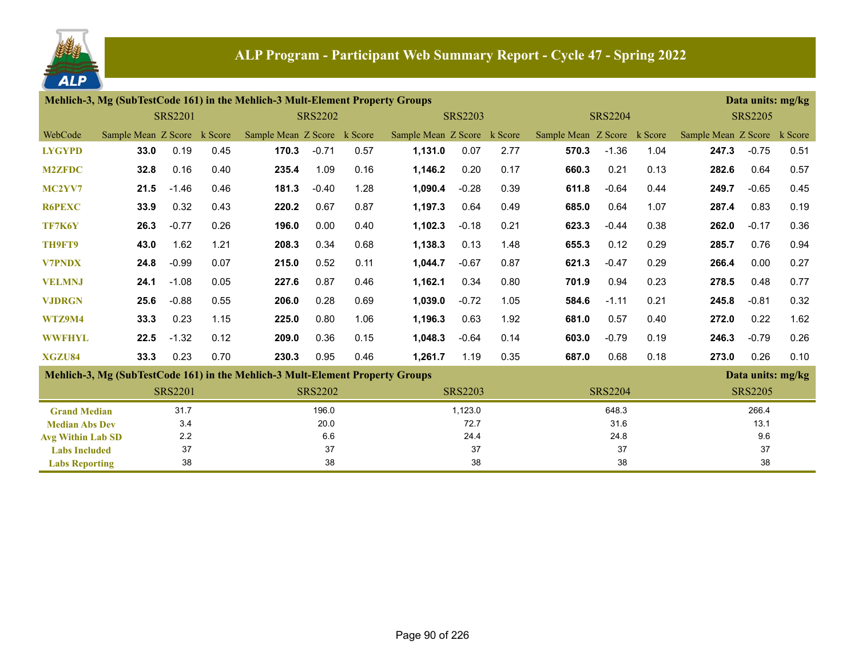

|                                 |                             |                |      | Mehlich-3, Mg (SubTestCode 161) in the Mehlich-3 Mult-Element Property Groups |                |      |                             |                |      |                             |                 |      |                             |                | Data units: mg/kg |
|---------------------------------|-----------------------------|----------------|------|-------------------------------------------------------------------------------|----------------|------|-----------------------------|----------------|------|-----------------------------|-----------------|------|-----------------------------|----------------|-------------------|
|                                 |                             | <b>SRS2201</b> |      |                                                                               | <b>SRS2202</b> |      |                             | <b>SRS2203</b> |      |                             | <b>SRS2204</b>  |      |                             | <b>SRS2205</b> |                   |
| WebCode                         | Sample Mean Z Score k Score |                |      | Sample Mean Z Score k Score                                                   |                |      | Sample Mean Z Score k Score |                |      | Sample Mean Z Score k Score |                 |      | Sample Mean Z Score k Score |                |                   |
| <b>LYGYPD</b>                   | 33.0                        | 0.19           | 0.45 | 170.3                                                                         | $-0.71$        | 0.57 | 1,131.0                     | 0.07           | 2.77 | 570.3                       | $-1.36$         | 1.04 | 247.3                       | $-0.75$        | 0.51              |
| <b>M2ZFDC</b>                   | 32.8                        | 0.16           | 0.40 | 235.4                                                                         | 1.09           | 0.16 | 1,146.2                     | 0.20           | 0.17 | 660.3                       | 0.21            | 0.13 | 282.6                       | 0.64           | 0.57              |
| MC <sub>2</sub> YV <sub>7</sub> | 21.5                        | $-1.46$        | 0.46 | 181.3                                                                         | $-0.40$        | 1.28 | 1,090.4                     | $-0.28$        | 0.39 | 611.8                       | $-0.64$         | 0.44 | 249.7                       | $-0.65$        | 0.45              |
| <b>R6PEXC</b>                   | 33.9                        | 0.32           | 0.43 | 220.2                                                                         | 0.67           | 0.87 | 1,197.3                     | 0.64           | 0.49 | 685.0                       | 0.64            | 1.07 | 287.4                       | 0.83           | 0.19              |
| TF7K6Y                          | 26.3                        | $-0.77$        | 0.26 | 196.0                                                                         | 0.00           | 0.40 | 1,102.3                     | $-0.18$        | 0.21 | 623.3                       | $-0.44$         | 0.38 | 262.0                       | $-0.17$        | 0.36              |
| TH9FT9                          | 43.0                        | 1.62           | 1.21 | 208.3                                                                         | 0.34           | 0.68 | 1,138.3                     | 0.13           | 1.48 | 655.3                       | 0.12            | 0.29 | 285.7                       | 0.76           | 0.94              |
| <b>V7PNDX</b>                   | 24.8                        | $-0.99$        | 0.07 | 215.0                                                                         | 0.52           | 0.11 | 1,044.7                     | $-0.67$        | 0.87 | 621.3                       | $-0.47$         | 0.29 | 266.4                       | 0.00           | 0.27              |
| <b>VELMNJ</b>                   | 24.1                        | $-1.08$        | 0.05 | 227.6                                                                         | 0.87           | 0.46 | 1,162.1                     | 0.34           | 0.80 | 701.9                       | 0.94            | 0.23 | 278.5                       | 0.48           | 0.77              |
| <b>VJDRGN</b>                   | 25.6                        | $-0.88$        | 0.55 | 206.0                                                                         | 0.28           | 0.69 | 1,039.0                     | $-0.72$        | 1.05 | 584.6                       | $-1.11$         | 0.21 | 245.8                       | $-0.81$        | 0.32              |
| WTZ9M4                          | 33.3                        | 0.23           | 1.15 | 225.0                                                                         | 0.80           | 1.06 | 1,196.3                     | 0.63           | 1.92 | 681.0                       | 0.57            | 0.40 | 272.0                       | 0.22           | 1.62              |
| <b>WWFHYL</b>                   | 22.5                        | $-1.32$        | 0.12 | 209.0                                                                         | 0.36           | 0.15 | 1,048.3                     | $-0.64$        | 0.14 | 603.0                       | $-0.79$         | 0.19 | 246.3                       | $-0.79$        | 0.26              |
| <b>XGZU84</b>                   | 33.3                        | 0.23           | 0.70 | 230.3                                                                         | 0.95           | 0.46 | 1,261.7                     | 1.19           | 0.35 | 687.0                       | 0.68            | 0.18 | 273.0                       | 0.26           | 0.10              |
|                                 |                             |                |      | Mehlich-3, Mg (SubTestCode 161) in the Mehlich-3 Mult-Element Property Groups |                |      |                             |                |      |                             |                 |      |                             |                | Data units: mg/kg |
|                                 |                             | CPC2201        |      |                                                                               | $RP$ $2200$    |      |                             | SPC2202        |      |                             | $CP$ $C$ ? $20$ |      |                             | RRO2205        |                   |

| $\sim$                   |                |                |                |                | - -            |
|--------------------------|----------------|----------------|----------------|----------------|----------------|
|                          | <b>SRS2201</b> | <b>SRS2202</b> | <b>SRS2203</b> | <b>SRS2204</b> | <b>SRS2205</b> |
| <b>Grand Median</b>      | 31.7           | 196.0          | 1,123.0        | 648.3          | 266.4          |
| <b>Median Abs Dev</b>    | 3.4            | 20.0           | 72.7           | 31.6           | 13.1           |
| <b>Avg Within Lab SD</b> | 2.2            | 6.6            | 24.4           | 24.8           | 9.6            |
| <b>Labs Included</b>     | 37             | 37             | 37             | 37             | 37             |
| <b>Labs Reporting</b>    | 38             | 38             | 38             | 38             | 38             |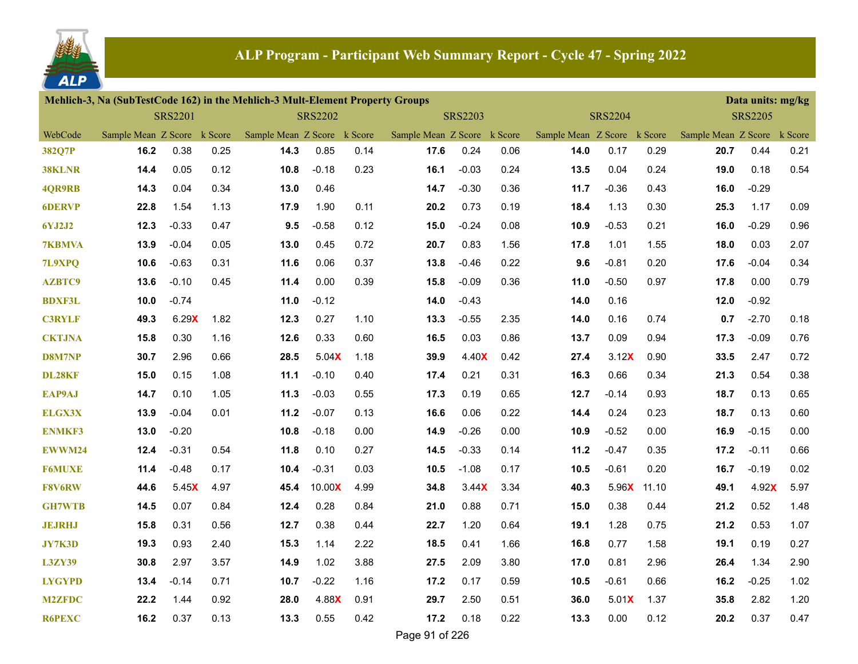

|               |                             |                |      | Mehlich-3, Na (SubTestCode 162) in the Mehlich-3 Mult-Element Property Groups |                |      |                             |                |      |                             |                   |       |                             | Data units: mg/kg |      |
|---------------|-----------------------------|----------------|------|-------------------------------------------------------------------------------|----------------|------|-----------------------------|----------------|------|-----------------------------|-------------------|-------|-----------------------------|-------------------|------|
|               |                             | <b>SRS2201</b> |      |                                                                               | <b>SRS2202</b> |      |                             | <b>SRS2203</b> |      |                             | <b>SRS2204</b>    |       |                             | <b>SRS2205</b>    |      |
| WebCode       | Sample Mean Z Score k Score |                |      | Sample Mean Z Score k Score                                                   |                |      | Sample Mean Z Score k Score |                |      | Sample Mean Z Score k Score |                   |       | Sample Mean Z Score k Score |                   |      |
| 382Q7P        | 16.2                        | 0.38           | 0.25 | 14.3                                                                          | 0.85           | 0.14 | 17.6                        | 0.24           | 0.06 | 14.0                        | 0.17              | 0.29  | 20.7                        | 0.44              | 0.21 |
| <b>38KLNR</b> | 14.4                        | 0.05           | 0.12 | 10.8                                                                          | $-0.18$        | 0.23 | 16.1                        | $-0.03$        | 0.24 | 13.5                        | 0.04              | 0.24  | 19.0                        | 0.18              | 0.54 |
| 4QR9RB        | 14.3                        | 0.04           | 0.34 | 13.0                                                                          | 0.46           |      | 14.7                        | $-0.30$        | 0.36 | 11.7                        | $-0.36$           | 0.43  | 16.0                        | $-0.29$           |      |
| <b>6DERVP</b> | 22.8                        | 1.54           | 1.13 | 17.9                                                                          | 1.90           | 0.11 | 20.2                        | 0.73           | 0.19 | 18.4                        | 1.13              | 0.30  | 25.3                        | 1.17              | 0.09 |
| 6YJ2J2        | 12.3                        | $-0.33$        | 0.47 | 9.5                                                                           | $-0.58$        | 0.12 | 15.0                        | $-0.24$        | 0.08 | 10.9                        | $-0.53$           | 0.21  | 16.0                        | $-0.29$           | 0.96 |
| <b>7KBMVA</b> | 13.9                        | $-0.04$        | 0.05 | 13.0                                                                          | 0.45           | 0.72 | 20.7                        | 0.83           | 1.56 | 17.8                        | 1.01              | 1.55  | 18.0                        | 0.03              | 2.07 |
| 7L9XPQ        | 10.6                        | $-0.63$        | 0.31 | 11.6                                                                          | 0.06           | 0.37 | 13.8                        | $-0.46$        | 0.22 | 9.6                         | $-0.81$           | 0.20  | 17.6                        | $-0.04$           | 0.34 |
| <b>AZBTC9</b> | 13.6                        | $-0.10$        | 0.45 | 11.4                                                                          | 0.00           | 0.39 | 15.8                        | $-0.09$        | 0.36 | 11.0                        | $-0.50$           | 0.97  | 17.8                        | 0.00              | 0.79 |
| <b>BDXF3L</b> | 10.0                        | $-0.74$        |      | 11.0                                                                          | $-0.12$        |      | 14.0                        | $-0.43$        |      | 14.0                        | 0.16              |       | 12.0                        | $-0.92$           |      |
| <b>C3RYLF</b> | 49.3                        | 6.29X          | 1.82 | 12.3                                                                          | 0.27           | 1.10 | 13.3                        | $-0.55$        | 2.35 | 14.0                        | 0.16              | 0.74  | 0.7                         | $-2.70$           | 0.18 |
| <b>CKTJNA</b> | 15.8                        | 0.30           | 1.16 | 12.6                                                                          | 0.33           | 0.60 | 16.5                        | 0.03           | 0.86 | 13.7                        | 0.09              | 0.94  | 17.3                        | $-0.09$           | 0.76 |
| D8M7NP        | 30.7                        | 2.96           | 0.66 | 28.5                                                                          | 5.04X          | 1.18 | 39.9                        | 4.40X          | 0.42 | 27.4                        | 3.12X             | 0.90  | 33.5                        | 2.47              | 0.72 |
| DL28KF        | 15.0                        | 0.15           | 1.08 | 11.1                                                                          | $-0.10$        | 0.40 | 17.4                        | 0.21           | 0.31 | 16.3                        | 0.66              | 0.34  | 21.3                        | 0.54              | 0.38 |
| EAP9AJ        | 14.7                        | 0.10           | 1.05 | 11.3                                                                          | $-0.03$        | 0.55 | 17.3                        | 0.19           | 0.65 | 12.7                        | $-0.14$           | 0.93  | 18.7                        | 0.13              | 0.65 |
| <b>ELGX3X</b> | 13.9                        | $-0.04$        | 0.01 | 11.2                                                                          | $-0.07$        | 0.13 | 16.6                        | 0.06           | 0.22 | 14.4                        | 0.24              | 0.23  | 18.7                        | 0.13              | 0.60 |
| <b>ENMKF3</b> | 13.0                        | $-0.20$        |      | 10.8                                                                          | $-0.18$        | 0.00 | 14.9                        | $-0.26$        | 0.00 | 10.9                        | $-0.52$           | 0.00  | 16.9                        | $-0.15$           | 0.00 |
| EWWM24        | 12.4                        | $-0.31$        | 0.54 | 11.8                                                                          | 0.10           | 0.27 | 14.5                        | $-0.33$        | 0.14 | 11.2                        | $-0.47$           | 0.35  | 17.2                        | $-0.11$           | 0.66 |
| <b>F6MUXE</b> | 11.4                        | $-0.48$        | 0.17 | 10.4                                                                          | $-0.31$        | 0.03 | 10.5                        | $-1.08$        | 0.17 | 10.5                        | $-0.61$           | 0.20  | 16.7                        | $-0.19$           | 0.02 |
| F8V6RW        | 44.6                        | 5.45X          | 4.97 | 45.4                                                                          | 10.00X         | 4.99 | 34.8                        | 3.44X          | 3.34 | 40.3                        | 5.96 <sup>X</sup> | 11.10 | 49.1                        | 4.92X             | 5.97 |
| <b>GH7WTB</b> | 14.5                        | 0.07           | 0.84 | 12.4                                                                          | 0.28           | 0.84 | 21.0                        | 0.88           | 0.71 | 15.0                        | 0.38              | 0.44  | 21.2                        | 0.52              | 1.48 |
| <b>JEJRHJ</b> | 15.8                        | 0.31           | 0.56 | 12.7                                                                          | 0.38           | 0.44 | 22.7                        | 1.20           | 0.64 | 19.1                        | 1.28              | 0.75  | 21.2                        | 0.53              | 1.07 |
| <b>JY7K3D</b> | 19.3                        | 0.93           | 2.40 | 15.3                                                                          | 1.14           | 2.22 | 18.5                        | 0.41           | 1.66 | 16.8                        | 0.77              | 1.58  | 19.1                        | 0.19              | 0.27 |
| <b>L3ZY39</b> | 30.8                        | 2.97           | 3.57 | 14.9                                                                          | 1.02           | 3.88 | 27.5                        | 2.09           | 3.80 | 17.0                        | 0.81              | 2.96  | 26.4                        | 1.34              | 2.90 |
| <b>LYGYPD</b> | 13.4                        | $-0.14$        | 0.71 | 10.7                                                                          | $-0.22$        | 1.16 | 17.2                        | 0.17           | 0.59 | 10.5                        | $-0.61$           | 0.66  | 16.2                        | $-0.25$           | 1.02 |
| <b>M2ZFDC</b> | 22.2                        | 1.44           | 0.92 | 28.0                                                                          | 4.88X          | 0.91 | 29.7                        | 2.50           | 0.51 | 36.0                        | 5.01X             | 1.37  | 35.8                        | 2.82              | 1.20 |
| <b>R6PEXC</b> | 16.2                        | 0.37           | 0.13 | 13.3                                                                          | 0.55           | 0.42 | 17.2                        | 0.18           | 0.22 | 13.3                        | 0.00              | 0.12  | 20.2                        | 0.37              | 0.47 |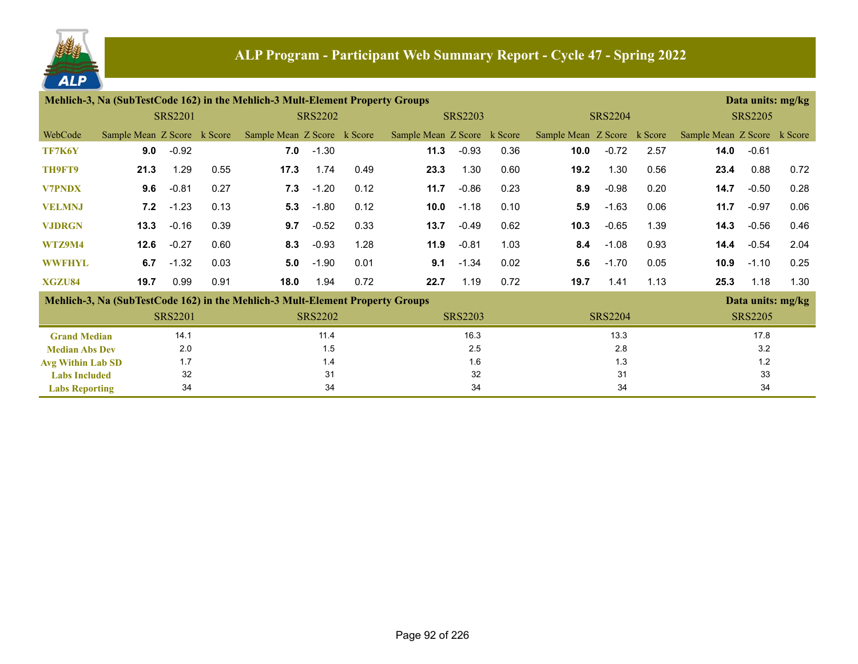

|                          |                             |                |      | Mehlich-3, Na (SubTestCode 162) in the Mehlich-3 Mult-Element Property Groups |                |      |                             |                |      |                             |                |      |                             |                | Data units: mg/kg |
|--------------------------|-----------------------------|----------------|------|-------------------------------------------------------------------------------|----------------|------|-----------------------------|----------------|------|-----------------------------|----------------|------|-----------------------------|----------------|-------------------|
|                          |                             | <b>SRS2201</b> |      |                                                                               | <b>SRS2202</b> |      |                             | <b>SRS2203</b> |      |                             | <b>SRS2204</b> |      |                             | <b>SRS2205</b> |                   |
| WebCode                  | Sample Mean Z Score k Score |                |      | Sample Mean Z Score k Score                                                   |                |      | Sample Mean Z Score k Score |                |      | Sample Mean Z Score k Score |                |      | Sample Mean Z Score k Score |                |                   |
| TF7K6Y                   | 9.0                         | $-0.92$        |      | 7.0                                                                           | $-1.30$        |      | 11.3                        | $-0.93$        | 0.36 | 10.0                        | $-0.72$        | 2.57 | 14.0                        | $-0.61$        |                   |
| TH9FT9                   | 21.3                        | 1.29           | 0.55 | 17.3                                                                          | 1.74           | 0.49 | 23.3                        | 1.30           | 0.60 | 19.2                        | 1.30           | 0.56 | 23.4                        | 0.88           | 0.72              |
| <b>V7PNDX</b>            | 9.6                         | $-0.81$        | 0.27 | 7.3                                                                           | $-1.20$        | 0.12 | 11.7                        | $-0.86$        | 0.23 | 8.9                         | $-0.98$        | 0.20 | 14.7                        | $-0.50$        | 0.28              |
| <b>VELMNJ</b>            | 7.2                         | $-1.23$        | 0.13 | 5.3                                                                           | $-1.80$        | 0.12 | 10.0                        | $-1.18$        | 0.10 | 5.9                         | $-1.63$        | 0.06 | 11.7                        | $-0.97$        | 0.06              |
| <b>VJDRGN</b>            | 13.3                        | $-0.16$        | 0.39 | 9.7                                                                           | $-0.52$        | 0.33 | 13.7                        | $-0.49$        | 0.62 | 10.3                        | $-0.65$        | 1.39 | 14.3                        | $-0.56$        | 0.46              |
| WTZ9M4                   | 12.6                        | $-0.27$        | 0.60 | 8.3                                                                           | $-0.93$        | 1.28 | 11.9                        | $-0.81$        | 1.03 | 8.4                         | $-1.08$        | 0.93 | 14.4                        | $-0.54$        | 2.04              |
| <b>WWFHYL</b>            | 6.7                         | $-1.32$        | 0.03 | 5.0                                                                           | $-1.90$        | 0.01 | 9.1                         | $-1.34$        | 0.02 | 5.6                         | $-1.70$        | 0.05 | 10.9                        | $-1.10$        | 0.25              |
| <b>XGZU84</b>            | 19.7                        | 0.99           | 0.91 | 18.0                                                                          | 1.94           | 0.72 | 22.7                        | 1.19           | 0.72 | 19.7                        | 1.41           | 1.13 | 25.3                        | 1.18           | 1.30              |
|                          |                             |                |      | Mehlich-3, Na (SubTestCode 162) in the Mehlich-3 Mult-Element Property Groups |                |      |                             |                |      |                             |                |      |                             |                | Data units: mg/kg |
|                          |                             | <b>SRS2201</b> |      |                                                                               | <b>SRS2202</b> |      |                             | <b>SRS2203</b> |      |                             | <b>SRS2204</b> |      |                             | <b>SRS2205</b> |                   |
| <b>Grand Median</b>      |                             | 14.1           |      |                                                                               | 11.4           |      |                             | 16.3           |      |                             | 13.3           |      |                             | 17.8           |                   |
| <b>Median Abs Dev</b>    |                             | 2.0            |      |                                                                               | 1.5            |      |                             | 2.5            |      |                             | 2.8            |      |                             | 3.2            |                   |
| <b>Avg Within Lab SD</b> |                             | 1.7            |      |                                                                               | 1.4            |      |                             | 1.6            |      |                             | 1.3            |      |                             | 1.2            |                   |
| <b>Labs Included</b>     |                             | 32             |      |                                                                               | 31             |      |                             | 32             |      |                             | 31             |      |                             | 33             |                   |
| <b>Labs Reporting</b>    |                             | 34             |      |                                                                               | 34             |      |                             | 34             |      |                             | 34             |      |                             | 34             |                   |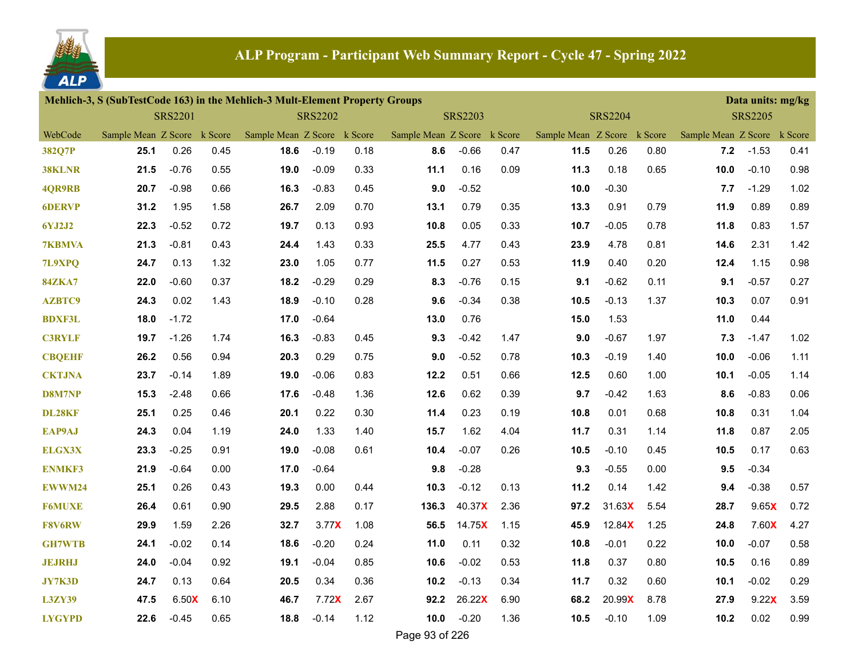

|               | Mehlich-3, S (SubTestCode 163) in the Mehlich-3 Mult-Element Property Groups |                   |      |                             |                |      |                             |                |      |                             |                |      |                             | Data units: mg/kg |      |
|---------------|------------------------------------------------------------------------------|-------------------|------|-----------------------------|----------------|------|-----------------------------|----------------|------|-----------------------------|----------------|------|-----------------------------|-------------------|------|
|               |                                                                              | <b>SRS2201</b>    |      |                             | <b>SRS2202</b> |      |                             | <b>SRS2203</b> |      |                             | <b>SRS2204</b> |      |                             | <b>SRS2205</b>    |      |
| WebCode       | Sample Mean Z Score k Score                                                  |                   |      | Sample Mean Z Score k Score |                |      | Sample Mean Z Score k Score |                |      | Sample Mean Z Score k Score |                |      | Sample Mean Z Score k Score |                   |      |
| 382Q7P        | 25.1                                                                         | 0.26              | 0.45 | 18.6                        | $-0.19$        | 0.18 | 8.6                         | $-0.66$        | 0.47 | 11.5                        | 0.26           | 0.80 | 7.2                         | $-1.53$           | 0.41 |
| 38KLNR        | 21.5                                                                         | $-0.76$           | 0.55 | 19.0                        | $-0.09$        | 0.33 | 11.1                        | 0.16           | 0.09 | 11.3                        | 0.18           | 0.65 | 10.0                        | $-0.10$           | 0.98 |
| 4QR9RB        | 20.7                                                                         | $-0.98$           | 0.66 | 16.3                        | $-0.83$        | 0.45 | 9.0                         | $-0.52$        |      | 10.0                        | $-0.30$        |      | 7.7                         | $-1.29$           | 1.02 |
| <b>6DERVP</b> | 31.2                                                                         | 1.95              | 1.58 | 26.7                        | 2.09           | 0.70 | 13.1                        | 0.79           | 0.35 | 13.3                        | 0.91           | 0.79 | 11.9                        | 0.89              | 0.89 |
| 6YJ2J2        | 22.3                                                                         | $-0.52$           | 0.72 | 19.7                        | 0.13           | 0.93 | 10.8                        | 0.05           | 0.33 | 10.7                        | $-0.05$        | 0.78 | 11.8                        | 0.83              | 1.57 |
| 7KBMVA        | 21.3                                                                         | $-0.81$           | 0.43 | 24.4                        | 1.43           | 0.33 | 25.5                        | 4.77           | 0.43 | 23.9                        | 4.78           | 0.81 | 14.6                        | 2.31              | 1.42 |
| 7L9XPQ        | 24.7                                                                         | 0.13              | 1.32 | 23.0                        | 1.05           | 0.77 | 11.5                        | 0.27           | 0.53 | 11.9                        | 0.40           | 0.20 | 12.4                        | 1.15              | 0.98 |
| <b>84ZKA7</b> | 22.0                                                                         | $-0.60$           | 0.37 | 18.2                        | $-0.29$        | 0.29 | 8.3                         | $-0.76$        | 0.15 | 9.1                         | $-0.62$        | 0.11 | 9.1                         | $-0.57$           | 0.27 |
| <b>AZBTC9</b> | 24.3                                                                         | 0.02              | 1.43 | 18.9                        | $-0.10$        | 0.28 | 9.6                         | $-0.34$        | 0.38 | 10.5                        | $-0.13$        | 1.37 | 10.3                        | 0.07              | 0.91 |
| <b>BDXF3L</b> | 18.0                                                                         | $-1.72$           |      | 17.0                        | $-0.64$        |      | 13.0                        | 0.76           |      | 15.0                        | 1.53           |      | 11.0                        | 0.44              |      |
| <b>C3RYLF</b> | 19.7                                                                         | $-1.26$           | 1.74 | 16.3                        | $-0.83$        | 0.45 | 9.3                         | $-0.42$        | 1.47 | 9.0                         | $-0.67$        | 1.97 | 7.3                         | $-1.47$           | 1.02 |
| <b>CBQEHF</b> | 26.2                                                                         | 0.56              | 0.94 | 20.3                        | 0.29           | 0.75 | 9.0                         | $-0.52$        | 0.78 | 10.3                        | $-0.19$        | 1.40 | 10.0                        | $-0.06$           | 1.11 |
| <b>CKTJNA</b> | 23.7                                                                         | $-0.14$           | 1.89 | 19.0                        | $-0.06$        | 0.83 | 12.2                        | 0.51           | 0.66 | 12.5                        | 0.60           | 1.00 | 10.1                        | $-0.05$           | 1.14 |
| D8M7NP        | 15.3                                                                         | $-2.48$           | 0.66 | 17.6                        | $-0.48$        | 1.36 | 12.6                        | 0.62           | 0.39 | 9.7                         | $-0.42$        | 1.63 | 8.6                         | $-0.83$           | 0.06 |
| DL28KF        | 25.1                                                                         | 0.25              | 0.46 | 20.1                        | 0.22           | 0.30 | 11.4                        | 0.23           | 0.19 | 10.8                        | 0.01           | 0.68 | 10.8                        | 0.31              | 1.04 |
| <b>EAP9AJ</b> | 24.3                                                                         | 0.04              | 1.19 | 24.0                        | 1.33           | 1.40 | 15.7                        | 1.62           | 4.04 | 11.7                        | 0.31           | 1.14 | 11.8                        | 0.87              | 2.05 |
| <b>ELGX3X</b> | 23.3                                                                         | $-0.25$           | 0.91 | 19.0                        | $-0.08$        | 0.61 | 10.4                        | $-0.07$        | 0.26 | 10.5                        | $-0.10$        | 0.45 | 10.5                        | 0.17              | 0.63 |
| <b>ENMKF3</b> | 21.9                                                                         | $-0.64$           | 0.00 | 17.0                        | $-0.64$        |      | 9.8                         | $-0.28$        |      | 9.3                         | $-0.55$        | 0.00 | 9.5                         | $-0.34$           |      |
| EWWM24        | 25.1                                                                         | 0.26              | 0.43 | 19.3                        | 0.00           | 0.44 | 10.3                        | $-0.12$        | 0.13 | 11.2                        | 0.14           | 1.42 | 9.4                         | $-0.38$           | 0.57 |
| <b>F6MUXE</b> | 26.4                                                                         | 0.61              | 0.90 | 29.5                        | 2.88           | 0.17 | 136.3                       | 40.37X         | 2.36 | 97.2                        | 31.63X         | 5.54 | 28.7                        | 9.65X             | 0.72 |
| <b>F8V6RW</b> | 29.9                                                                         | 1.59              | 2.26 | 32.7                        | 3.77X          | 1.08 | 56.5                        | 14.75X         | 1.15 | 45.9                        | 12.84X         | 1.25 | 24.8                        | 7.60X             | 4.27 |
| <b>GH7WTB</b> | 24.1                                                                         | $-0.02$           | 0.14 | 18.6                        | $-0.20$        | 0.24 | 11.0                        | 0.11           | 0.32 | 10.8                        | $-0.01$        | 0.22 | 10.0                        | $-0.07$           | 0.58 |
| <b>JEJRHJ</b> | 24.0                                                                         | $-0.04$           | 0.92 | 19.1                        | $-0.04$        | 0.85 | 10.6                        | $-0.02$        | 0.53 | 11.8                        | 0.37           | 0.80 | 10.5                        | 0.16              | 0.89 |
| JY7K3D        | 24.7                                                                         | 0.13              | 0.64 | 20.5                        | 0.34           | 0.36 | 10.2                        | $-0.13$        | 0.34 | 11.7                        | 0.32           | 0.60 | 10.1                        | $-0.02$           | 0.29 |
| <b>L3ZY39</b> | 47.5                                                                         | 6.50 <sub>X</sub> | 6.10 | 46.7                        | 7.72 <b>X</b>  | 2.67 | 92.2                        | 26.22X         | 6.90 | 68.2                        | 20.99X         | 8.78 | 27.9                        | 9.22X             | 3.59 |
| <b>LYGYPD</b> | 22.6                                                                         | $-0.45$           | 0.65 | 18.8                        | $-0.14$        | 1.12 | 10.0                        | $-0.20$        | 1.36 | 10.5                        | $-0.10$        | 1.09 | 10.2                        | 0.02              | 0.99 |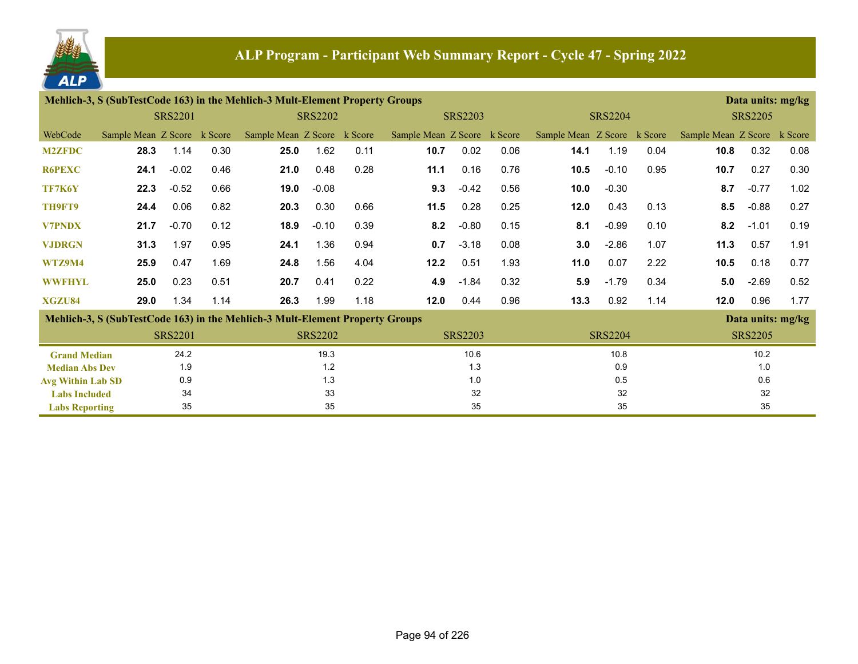

|                          |                             |                |      | Mehlich-3, S (SubTestCode 163) in the Mehlich-3 Mult-Element Property Groups |                |      |                             |                |      |                             |                |      |                             |                | Data units: mg/kg |
|--------------------------|-----------------------------|----------------|------|------------------------------------------------------------------------------|----------------|------|-----------------------------|----------------|------|-----------------------------|----------------|------|-----------------------------|----------------|-------------------|
|                          |                             | <b>SRS2201</b> |      |                                                                              | <b>SRS2202</b> |      |                             | <b>SRS2203</b> |      |                             | <b>SRS2204</b> |      |                             | <b>SRS2205</b> |                   |
| WebCode                  | Sample Mean Z Score k Score |                |      | Sample Mean Z Score k Score                                                  |                |      | Sample Mean Z Score k Score |                |      | Sample Mean Z Score k Score |                |      | Sample Mean Z Score k Score |                |                   |
| <b>M2ZFDC</b>            | 28.3                        | 1.14           | 0.30 | 25.0                                                                         | 1.62           | 0.11 | 10.7                        | 0.02           | 0.06 | 14.1                        | 1.19           | 0.04 | 10.8                        | 0.32           | 0.08              |
| <b>R6PEXC</b>            | 24.1                        | $-0.02$        | 0.46 | 21.0                                                                         | 0.48           | 0.28 | 11.1                        | 0.16           | 0.76 | 10.5                        | $-0.10$        | 0.95 | 10.7                        | 0.27           | 0.30              |
| TF7K6Y                   | 22.3                        | $-0.52$        | 0.66 | 19.0                                                                         | $-0.08$        |      | 9.3                         | $-0.42$        | 0.56 | 10.0                        | $-0.30$        |      | 8.7                         | $-0.77$        | 1.02              |
| <b>TH9FT9</b>            | 24.4                        | 0.06           | 0.82 | 20.3                                                                         | 0.30           | 0.66 | 11.5                        | 0.28           | 0.25 | 12.0                        | 0.43           | 0.13 | 8.5                         | $-0.88$        | 0.27              |
| <b>V7PNDX</b>            | 21.7                        | $-0.70$        | 0.12 | 18.9                                                                         | $-0.10$        | 0.39 | 8.2                         | $-0.80$        | 0.15 | 8.1                         | $-0.99$        | 0.10 | 8.2                         | $-1.01$        | 0.19              |
| <b>VJDRGN</b>            | 31.3                        | 1.97           | 0.95 | 24.1                                                                         | 1.36           | 0.94 | 0.7                         | $-3.18$        | 0.08 | 3.0                         | $-2.86$        | 1.07 | 11.3                        | 0.57           | 1.91              |
| WTZ9M4                   | 25.9                        | 0.47           | 1.69 | 24.8                                                                         | 1.56           | 4.04 | 12.2                        | 0.51           | 1.93 | 11.0                        | 0.07           | 2.22 | 10.5                        | 0.18           | 0.77              |
| <b>WWFHYL</b>            | 25.0                        | 0.23           | 0.51 | 20.7                                                                         | 0.41           | 0.22 | 4.9                         | $-1.84$        | 0.32 | 5.9                         | $-1.79$        | 0.34 | 5.0                         | $-2.69$        | 0.52              |
| <b>XGZU84</b>            | 29.0                        | 1.34           | 1.14 | 26.3                                                                         | 1.99           | 1.18 | 12.0                        | 0.44           | 0.96 | 13.3                        | 0.92           | 1.14 | 12.0                        | 0.96           | 1.77              |
|                          |                             |                |      | Mehlich-3, S (SubTestCode 163) in the Mehlich-3 Mult-Element Property Groups |                |      |                             |                |      |                             |                |      |                             |                | Data units: mg/kg |
|                          |                             | <b>SRS2201</b> |      |                                                                              | <b>SRS2202</b> |      |                             | <b>SRS2203</b> |      |                             | <b>SRS2204</b> |      |                             | <b>SRS2205</b> |                   |
| <b>Grand Median</b>      |                             | 24.2           |      |                                                                              | 19.3           |      |                             | 10.6           |      |                             | 10.8           |      |                             | 10.2           |                   |
| <b>Median Abs Dev</b>    |                             | 1.9            |      |                                                                              | 1.2            |      |                             | 1.3            |      |                             | 0.9            |      |                             | 1.0            |                   |
| <b>Avg Within Lab SD</b> |                             | 0.9            |      |                                                                              | 1.3            |      |                             | 1.0            |      |                             | 0.5            |      |                             | 0.6            |                   |
| <b>Labs Included</b>     |                             | 34             |      |                                                                              | 33             |      |                             | 32             |      |                             | 32             |      |                             | 32             |                   |
| <b>Labs Reporting</b>    |                             | 35             |      |                                                                              | 35             |      |                             | 35             |      |                             | 35             |      |                             | 35             |                   |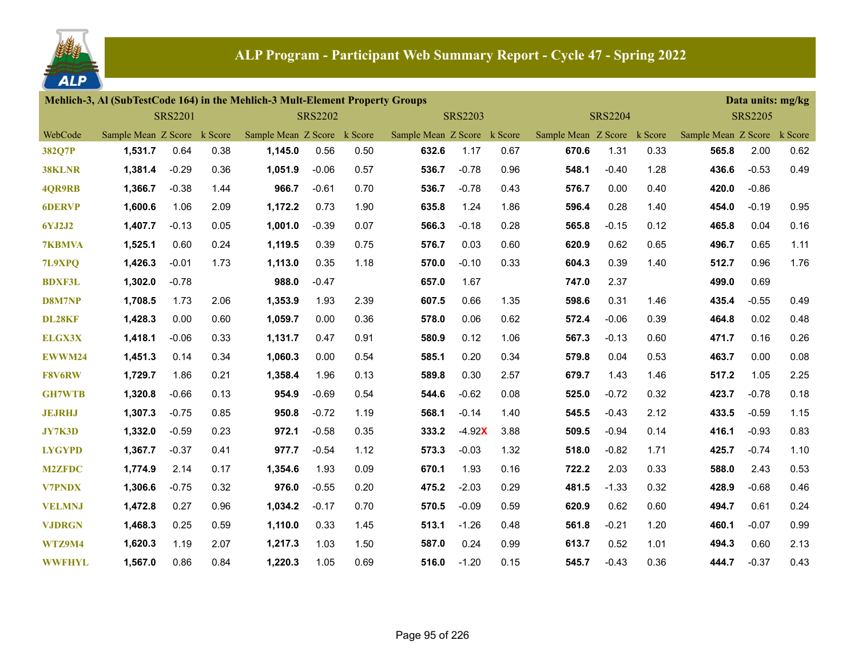

|               |                             |                |      | Mehlich-3, Al (SubTestCode 164) in the Mehlich-3 Mult-Element Property Groups |                |      |                             |                |      |                             |                |      |                             | Data units: mg/kg |      |
|---------------|-----------------------------|----------------|------|-------------------------------------------------------------------------------|----------------|------|-----------------------------|----------------|------|-----------------------------|----------------|------|-----------------------------|-------------------|------|
|               |                             | <b>SRS2201</b> |      |                                                                               | <b>SRS2202</b> |      |                             | <b>SRS2203</b> |      |                             | <b>SRS2204</b> |      |                             | <b>SRS2205</b>    |      |
| WebCode       | Sample Mean Z Score k Score |                |      | Sample Mean Z Score k Score                                                   |                |      | Sample Mean Z Score k Score |                |      | Sample Mean Z Score k Score |                |      | Sample Mean Z Score k Score |                   |      |
| 382Q7P        | 1.531.7                     | 0.64           | 0.38 | 1.145.0                                                                       | 0.56           | 0.50 | 632.6                       | 1.17           | 0.67 | 670.6                       | 1.31           | 0.33 | 565.8                       | 2.00              | 0.62 |
| 38KLNR        | 1,381.4                     | $-0.29$        | 0.36 | 1,051.9                                                                       | $-0.06$        | 0.57 | 536.7                       | $-0.78$        | 0.96 | 548.1                       | $-0.40$        | 1.28 | 436.6                       | $-0.53$           | 0.49 |
| <b>4OR9RB</b> | 1,366.7                     | $-0.38$        | 1.44 | 966.7                                                                         | $-0.61$        | 0.70 | 536.7                       | $-0.78$        | 0.43 | 576.7                       | 0.00           | 0.40 | 420.0                       | $-0.86$           |      |
| <b>6DERVP</b> | 1,600.6                     | 1.06           | 2.09 | 1,172.2                                                                       | 0.73           | 1.90 | 635.8                       | 1.24           | 1.86 | 596.4                       | 0.28           | 1.40 | 454.0                       | $-0.19$           | 0.95 |
| 6YJ2J2        | 1,407.7                     | $-0.13$        | 0.05 | 1,001.0                                                                       | $-0.39$        | 0.07 | 566.3                       | $-0.18$        | 0.28 | 565.8                       | $-0.15$        | 0.12 | 465.8                       | 0.04              | 0.16 |
| 7KBMVA        | 1,525.1                     | 0.60           | 0.24 | 1,119.5                                                                       | 0.39           | 0.75 | 576.7                       | 0.03           | 0.60 | 620.9                       | 0.62           | 0.65 | 496.7                       | 0.65              | 1.11 |
| 7L9XPQ        | 1,426.3                     | $-0.01$        | 1.73 | 1,113.0                                                                       | 0.35           | 1.18 | 570.0                       | $-0.10$        | 0.33 | 604.3                       | 0.39           | 1.40 | 512.7                       | 0.96              | 1.76 |
| <b>BDXF3L</b> | 1,302.0                     | $-0.78$        |      | 988.0                                                                         | $-0.47$        |      | 657.0                       | 1.67           |      | 747.0                       | 2.37           |      | 499.0                       | 0.69              |      |
| D8M7NP        | 1,708.5                     | 1.73           | 2.06 | 1,353.9                                                                       | 1.93           | 2.39 | 607.5                       | 0.66           | 1.35 | 598.6                       | 0.31           | 1.46 | 435.4                       | $-0.55$           | 0.49 |
| <b>DL28KF</b> | 1,428.3                     | 0.00           | 0.60 | 1,059.7                                                                       | 0.00           | 0.36 | 578.0                       | 0.06           | 0.62 | 572.4                       | $-0.06$        | 0.39 | 464.8                       | 0.02              | 0.48 |
| <b>ELGX3X</b> | 1,418.1                     | $-0.06$        | 0.33 | 1,131.7                                                                       | 0.47           | 0.91 | 580.9                       | 0.12           | 1.06 | 567.3                       | $-0.13$        | 0.60 | 471.7                       | 0.16              | 0.26 |
| EWWM24        | 1,451.3                     | 0.14           | 0.34 | 1,060.3                                                                       | 0.00           | 0.54 | 585.1                       | 0.20           | 0.34 | 579.8                       | 0.04           | 0.53 | 463.7                       | 0.00              | 0.08 |
| <b>F8V6RW</b> | 1,729.7                     | 1.86           | 0.21 | 1,358.4                                                                       | 1.96           | 0.13 | 589.8                       | 0.30           | 2.57 | 679.7                       | 1.43           | 1.46 | 517.2                       | 1.05              | 2.25 |
| <b>GH7WTB</b> | 1,320.8                     | $-0.66$        | 0.13 | 954.9                                                                         | $-0.69$        | 0.54 | 544.6                       | $-0.62$        | 0.08 | 525.0                       | $-0.72$        | 0.32 | 423.7                       | $-0.78$           | 0.18 |
| <b>JEJRHJ</b> | 1,307.3                     | $-0.75$        | 0.85 | 950.8                                                                         | $-0.72$        | 1.19 | 568.1                       | $-0.14$        | 1.40 | 545.5                       | $-0.43$        | 2.12 | 433.5                       | $-0.59$           | 1.15 |
| JY7K3D        | 1,332.0                     | $-0.59$        | 0.23 | 972.1                                                                         | $-0.58$        | 0.35 | 333.2                       | $-4.92X$       | 3.88 | 509.5                       | $-0.94$        | 0.14 | 416.1                       | $-0.93$           | 0.83 |
| <b>LYGYPD</b> | 1,367.7                     | $-0.37$        | 0.41 | 977.7                                                                         | $-0.54$        | 1.12 | 573.3                       | $-0.03$        | 1.32 | 518.0                       | $-0.82$        | 1.71 | 425.7                       | $-0.74$           | 1.10 |
| <b>M2ZFDC</b> | 1,774.9                     | 2.14           | 0.17 | 1,354.6                                                                       | 1.93           | 0.09 | 670.1                       | 1.93           | 0.16 | 722.2                       | 2.03           | 0.33 | 588.0                       | 2.43              | 0.53 |
| <b>V7PNDX</b> | 1,306.6                     | $-0.75$        | 0.32 | 976.0                                                                         | $-0.55$        | 0.20 | 475.2                       | $-2.03$        | 0.29 | 481.5                       | $-1.33$        | 0.32 | 428.9                       | $-0.68$           | 0.46 |
| <b>VELMNJ</b> | 1,472.8                     | 0.27           | 0.96 | 1,034.2                                                                       | $-0.17$        | 0.70 | 570.5                       | $-0.09$        | 0.59 | 620.9                       | 0.62           | 0.60 | 494.7                       | 0.61              | 0.24 |
| <b>VJDRGN</b> | 1,468.3                     | 0.25           | 0.59 | 1,110.0                                                                       | 0.33           | 1.45 | 513.1                       | $-1.26$        | 0.48 | 561.8                       | $-0.21$        | 1.20 | 460.1                       | $-0.07$           | 0.99 |
| WTZ9M4        | 1,620.3                     | 1.19           | 2.07 | 1,217.3                                                                       | 1.03           | 1.50 | 587.0                       | 0.24           | 0.99 | 613.7                       | 0.52           | 1.01 | 494.3                       | 0.60              | 2.13 |
| <b>WWFHYL</b> | 1,567.0                     | 0.86           | 0.84 | 1,220.3                                                                       | 1.05           | 0.69 | 516.0                       | $-1.20$        | 0.15 | 545.7                       | $-0.43$        | 0.36 | 444.7                       | $-0.37$           | 0.43 |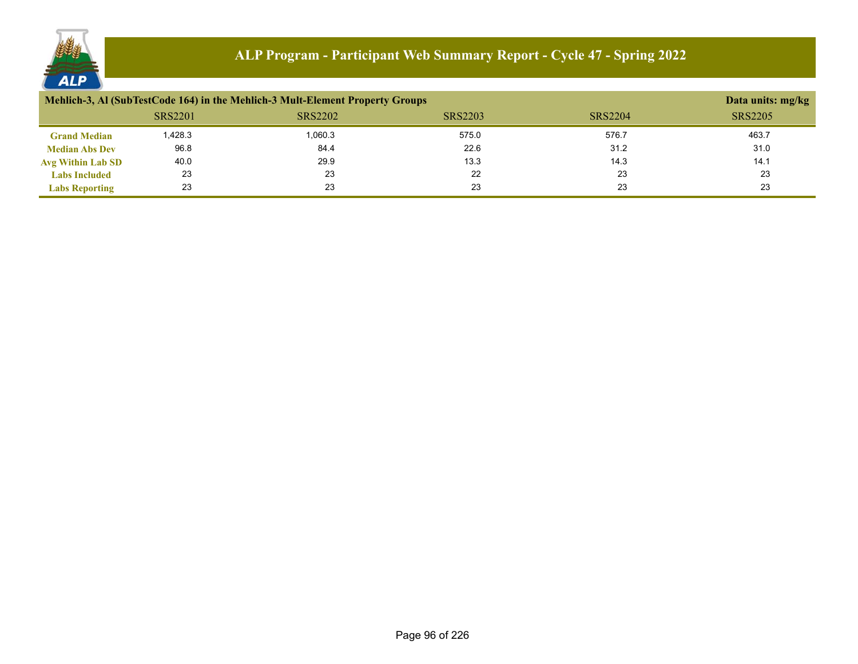

|                          |         | Mehlich-3, Al (SubTestCode 164) in the Mehlich-3 Mult-Element Property Groups |                |                | Data units: mg/kg |
|--------------------------|---------|-------------------------------------------------------------------------------|----------------|----------------|-------------------|
|                          | SRS2201 | <b>SRS2202</b>                                                                | <b>SRS2203</b> | <b>SRS2204</b> | <b>SRS2205</b>    |
| <b>Grand Median</b>      | 1,428.3 | 1,060.3                                                                       | 575.0          | 576.7          | 463.7             |
| <b>Median Abs Dev</b>    | 96.8    | 84.4                                                                          | 22.6           | 31.2           | 31.0              |
| <b>Avg Within Lab SD</b> | 40.0    | 29.9                                                                          | 13.3           | 14.3           | 14.1              |
| <b>Labs Included</b>     | 23      | 23                                                                            | 22             | 23             | 23                |
| <b>Labs Reporting</b>    | 23      | 23                                                                            | 23             | 23             | 23                |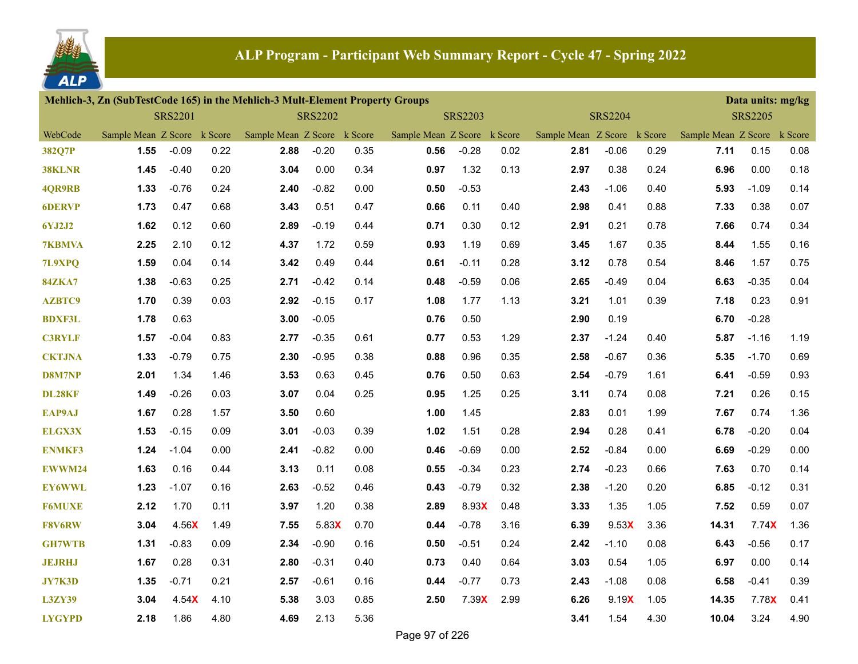

|               | Mehlich-3, Zn (SubTestCode 165) in the Mehlich-3 Mult-Element Property Groups<br><b>SRS2201</b><br>Sample Mean Z Score k Score |         |      |                             |                |      |                             |                |      |                             |                |      |                             | Data units: mg/kg |      |
|---------------|--------------------------------------------------------------------------------------------------------------------------------|---------|------|-----------------------------|----------------|------|-----------------------------|----------------|------|-----------------------------|----------------|------|-----------------------------|-------------------|------|
|               |                                                                                                                                |         |      |                             | <b>SRS2202</b> |      |                             | <b>SRS2203</b> |      |                             | <b>SRS2204</b> |      |                             | <b>SRS2205</b>    |      |
| WebCode       |                                                                                                                                |         |      | Sample Mean Z Score k Score |                |      | Sample Mean Z Score k Score |                |      | Sample Mean Z Score k Score |                |      | Sample Mean Z Score k Score |                   |      |
| 382Q7P        | 1.55                                                                                                                           | $-0.09$ | 0.22 | 2.88                        | $-0.20$        | 0.35 | 0.56                        | $-0.28$        | 0.02 | 2.81                        | $-0.06$        | 0.29 | 7.11                        | 0.15              | 0.08 |
| 38KLNR        | 1.45                                                                                                                           | $-0.40$ | 0.20 | 3.04                        | 0.00           | 0.34 | 0.97                        | 1.32           | 0.13 | 2.97                        | 0.38           | 0.24 | 6.96                        | 0.00              | 0.18 |
| 4QR9RB        | 1.33                                                                                                                           | $-0.76$ | 0.24 | 2.40                        | $-0.82$        | 0.00 | 0.50                        | $-0.53$        |      | 2.43                        | $-1.06$        | 0.40 | 5.93                        | $-1.09$           | 0.14 |
| <b>6DERVP</b> | 1.73                                                                                                                           | 0.47    | 0.68 | 3.43                        | 0.51           | 0.47 | 0.66                        | 0.11           | 0.40 | 2.98                        | 0.41           | 0.88 | 7.33                        | 0.38              | 0.07 |
| 6YJ2J2        | 1.62                                                                                                                           | 0.12    | 0.60 | 2.89                        | $-0.19$        | 0.44 | 0.71                        | 0.30           | 0.12 | 2.91                        | 0.21           | 0.78 | 7.66                        | 0.74              | 0.34 |
| 7KBMVA        | 2.25                                                                                                                           | 2.10    | 0.12 | 4.37                        | 1.72           | 0.59 | 0.93                        | 1.19           | 0.69 | 3.45                        | 1.67           | 0.35 | 8.44                        | 1.55              | 0.16 |
| 7L9XPQ        | 1.59                                                                                                                           | 0.04    | 0.14 | 3.42                        | 0.49           | 0.44 | 0.61                        | $-0.11$        | 0.28 | 3.12                        | 0.78           | 0.54 | 8.46                        | 1.57              | 0.75 |
| <b>84ZKA7</b> | 1.38                                                                                                                           | $-0.63$ | 0.25 | 2.71                        | $-0.42$        | 0.14 | 0.48                        | $-0.59$        | 0.06 | 2.65                        | $-0.49$        | 0.04 | 6.63                        | $-0.35$           | 0.04 |
| <b>AZBTC9</b> | 1.70                                                                                                                           | 0.39    | 0.03 | 2.92                        | $-0.15$        | 0.17 | 1.08                        | 1.77           | 1.13 | 3.21                        | 1.01           | 0.39 | 7.18                        | 0.23              | 0.91 |
| <b>BDXF3L</b> | 1.78                                                                                                                           | 0.63    |      | 3.00                        | $-0.05$        |      | 0.76                        | 0.50           |      | 2.90                        | 0.19           |      | 6.70                        | $-0.28$           |      |
| <b>C3RYLF</b> | 1.57                                                                                                                           | $-0.04$ | 0.83 | 2.77                        | $-0.35$        | 0.61 | 0.77                        | 0.53           | 1.29 | 2.37                        | $-1.24$        | 0.40 | 5.87                        | $-1.16$           | 1.19 |
| <b>CKTJNA</b> | 1.33                                                                                                                           | $-0.79$ | 0.75 | 2.30                        | $-0.95$        | 0.38 | 0.88                        | 0.96           | 0.35 | 2.58                        | $-0.67$        | 0.36 | 5.35                        | $-1.70$           | 0.69 |
| D8M7NP        | 2.01                                                                                                                           | 1.34    | 1.46 | 3.53                        | 0.63           | 0.45 | 0.76                        | 0.50           | 0.63 | 2.54                        | $-0.79$        | 1.61 | 6.41                        | $-0.59$           | 0.93 |
| DL28KF        | 1.49                                                                                                                           | $-0.26$ | 0.03 | 3.07                        | 0.04           | 0.25 | 0.95                        | 1.25           | 0.25 | 3.11                        | 0.74           | 0.08 | 7.21                        | 0.26              | 0.15 |
| <b>EAP9AJ</b> | 1.67                                                                                                                           | 0.28    | 1.57 | 3.50                        | 0.60           |      | 1.00                        | 1.45           |      | 2.83                        | 0.01           | 1.99 | 7.67                        | 0.74              | 1.36 |
| <b>ELGX3X</b> | 1.53                                                                                                                           | $-0.15$ | 0.09 | 3.01                        | $-0.03$        | 0.39 | 1.02                        | 1.51           | 0.28 | 2.94                        | 0.28           | 0.41 | 6.78                        | $-0.20$           | 0.04 |
| <b>ENMKF3</b> | 1.24                                                                                                                           | $-1.04$ | 0.00 | 2.41                        | $-0.82$        | 0.00 | 0.46                        | $-0.69$        | 0.00 | 2.52                        | $-0.84$        | 0.00 | 6.69                        | $-0.29$           | 0.00 |
| EWWM24        | 1.63                                                                                                                           | 0.16    | 0.44 | 3.13                        | 0.11           | 0.08 | 0.55                        | $-0.34$        | 0.23 | 2.74                        | $-0.23$        | 0.66 | 7.63                        | 0.70              | 0.14 |
| <b>EY6WWL</b> | 1.23                                                                                                                           | $-1.07$ | 0.16 | 2.63                        | $-0.52$        | 0.46 | 0.43                        | $-0.79$        | 0.32 | 2.38                        | $-1.20$        | 0.20 | 6.85                        | $-0.12$           | 0.31 |
| <b>F6MUXE</b> | 2.12                                                                                                                           | 1.70    | 0.11 | 3.97                        | 1.20           | 0.38 | 2.89                        | 8.93X          | 0.48 | 3.33                        | 1.35           | 1.05 | 7.52                        | 0.59              | 0.07 |
| <b>F8V6RW</b> | 3.04                                                                                                                           | 4.56X   | 1.49 | 7.55                        | 5.83X          | 0.70 | 0.44                        | $-0.78$        | 3.16 | 6.39                        | 9.53X          | 3.36 | 14.31                       | 7.74 <b>X</b>     | 1.36 |
| <b>GH7WTB</b> | 1.31                                                                                                                           | $-0.83$ | 0.09 | 2.34                        | $-0.90$        | 0.16 | 0.50                        | $-0.51$        | 0.24 | 2.42                        | $-1.10$        | 0.08 | 6.43                        | $-0.56$           | 0.17 |
| <b>JEJRHJ</b> | 1.67                                                                                                                           | 0.28    | 0.31 | 2.80                        | $-0.31$        | 0.40 | 0.73                        | 0.40           | 0.64 | 3.03                        | 0.54           | 1.05 | 6.97                        | 0.00              | 0.14 |
| <b>JY7K3D</b> | 1.35                                                                                                                           | $-0.71$ | 0.21 | 2.57                        | $-0.61$        | 0.16 | 0.44                        | $-0.77$        | 0.73 | 2.43                        | $-1.08$        | 0.08 | 6.58                        | $-0.41$           | 0.39 |
| <b>L3ZY39</b> | 3.04                                                                                                                           | 4.54X   | 4.10 | 5.38                        | 3.03           | 0.85 | 2.50                        | 7.39X          | 2.99 | 6.26                        | 9.19X          | 1.05 | 14.35                       | 7.78X             | 0.41 |
| <b>LYGYPD</b> | 2.18                                                                                                                           | 1.86    | 4.80 | 4.69                        | 2.13           | 5.36 |                             |                |      | 3.41                        | 1.54           | 4.30 | 10.04                       | 3.24              | 4.90 |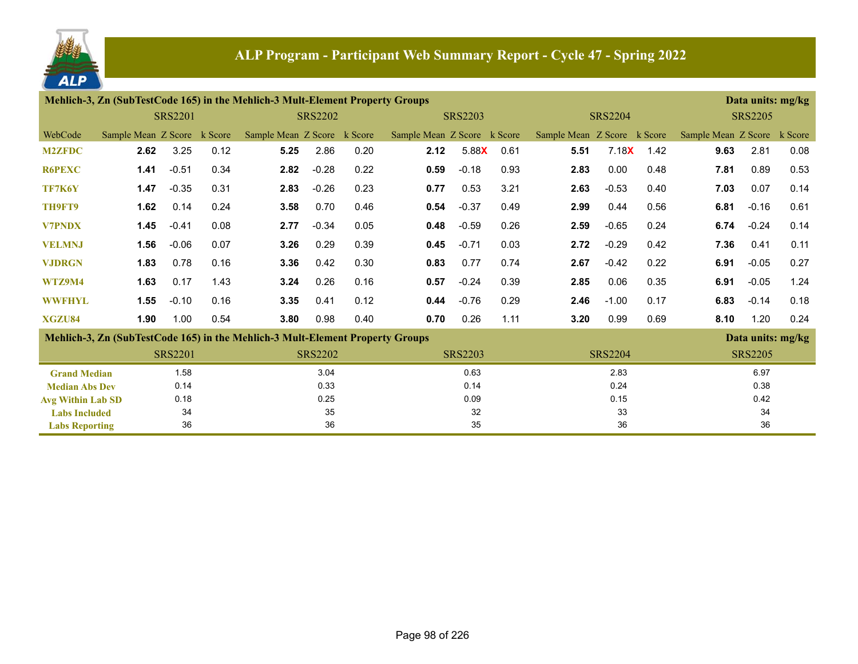

|                          |                             |                |      | Mehlich-3, Zn (SubTestCode 165) in the Mehlich-3 Mult-Element Property Groups |                |      |                             |                |      |                             |                |      |                             | Data units: mg/kg |                   |
|--------------------------|-----------------------------|----------------|------|-------------------------------------------------------------------------------|----------------|------|-----------------------------|----------------|------|-----------------------------|----------------|------|-----------------------------|-------------------|-------------------|
|                          |                             | <b>SRS2201</b> |      |                                                                               | <b>SRS2202</b> |      |                             | <b>SRS2203</b> |      |                             | <b>SRS2204</b> |      |                             | <b>SRS2205</b>    |                   |
| WebCode                  | Sample Mean Z Score k Score |                |      | Sample Mean Z Score k Score                                                   |                |      | Sample Mean Z Score k Score |                |      | Sample Mean Z Score k Score |                |      | Sample Mean Z Score k Score |                   |                   |
| <b>M2ZFDC</b>            | 2.62                        | 3.25           | 0.12 | 5.25                                                                          | 2.86           | 0.20 | 2.12                        | 5.88X          | 0.61 | 5.51                        | $7.18$ $X$     | 1.42 | 9.63                        | 2.81              | 0.08              |
| <b>R6PEXC</b>            | 1.41                        | $-0.51$        | 0.34 | 2.82                                                                          | $-0.28$        | 0.22 | 0.59                        | $-0.18$        | 0.93 | 2.83                        | 0.00           | 0.48 | 7.81                        | 0.89              | 0.53              |
| TF7K6Y                   | 1.47                        | $-0.35$        | 0.31 | 2.83                                                                          | $-0.26$        | 0.23 | 0.77                        | 0.53           | 3.21 | 2.63                        | $-0.53$        | 0.40 | 7.03                        | 0.07              | 0.14              |
| TH9FT9                   | 1.62                        | 0.14           | 0.24 | 3.58                                                                          | 0.70           | 0.46 | 0.54                        | $-0.37$        | 0.49 | 2.99                        | 0.44           | 0.56 | 6.81                        | $-0.16$           | 0.61              |
| <b>V7PNDX</b>            | 1.45                        | $-0.41$        | 0.08 | 2.77                                                                          | $-0.34$        | 0.05 | 0.48                        | $-0.59$        | 0.26 | 2.59                        | $-0.65$        | 0.24 | 6.74                        | $-0.24$           | 0.14              |
| <b>VELMNJ</b>            | 1.56                        | $-0.06$        | 0.07 | 3.26                                                                          | 0.29           | 0.39 | 0.45                        | $-0.71$        | 0.03 | 2.72                        | $-0.29$        | 0.42 | 7.36                        | 0.41              | 0.11              |
| <b>VJDRGN</b>            | 1.83                        | 0.78           | 0.16 | 3.36                                                                          | 0.42           | 0.30 | 0.83                        | 0.77           | 0.74 | 2.67                        | $-0.42$        | 0.22 | 6.91                        | $-0.05$           | 0.27              |
| WTZ9M4                   | 1.63                        | 0.17           | 1.43 | 3.24                                                                          | 0.26           | 0.16 | 0.57                        | $-0.24$        | 0.39 | 2.85                        | 0.06           | 0.35 | 6.91                        | $-0.05$           | 1.24              |
| <b>WWFHYL</b>            | 1.55                        | $-0.10$        | 0.16 | 3.35                                                                          | 0.41           | 0.12 | 0.44                        | $-0.76$        | 0.29 | 2.46                        | $-1.00$        | 0.17 | 6.83                        | $-0.14$           | 0.18              |
| <b>XGZU84</b>            | 1.90                        | 1.00           | 0.54 | 3.80                                                                          | 0.98           | 0.40 | 0.70                        | 0.26           | 1.11 | 3.20                        | 0.99           | 0.69 | 8.10                        | 1.20              | 0.24              |
|                          |                             |                |      | Mehlich-3, Zn (SubTestCode 165) in the Mehlich-3 Mult-Element Property Groups |                |      |                             |                |      |                             |                |      |                             |                   | Data units: mg/kg |
|                          |                             | <b>SRS2201</b> |      |                                                                               | <b>SRS2202</b> |      |                             | <b>SRS2203</b> |      |                             | <b>SRS2204</b> |      |                             | <b>SRS2205</b>    |                   |
| <b>Grand Median</b>      |                             | 1.58           |      |                                                                               | 3.04           |      |                             | 0.63           |      |                             | 2.83           |      |                             | 6.97              |                   |
| <b>Median Abs Dev</b>    |                             | 0.14           |      |                                                                               | 0.33           |      |                             | 0.14           |      |                             | 0.24           |      |                             | 0.38              |                   |
| <b>Avg Within Lab SD</b> |                             | 0.18           |      |                                                                               | 0.25           |      |                             | 0.09           |      |                             | 0.15           |      |                             | 0.42              |                   |
| <b>Labs Included</b>     |                             | 34             |      |                                                                               | 35             |      |                             | 32             |      |                             | 33             |      |                             | 34                |                   |
| <b>Labs Reporting</b>    |                             | 36             |      |                                                                               | 36             |      |                             | 35             |      |                             | 36             |      |                             | 36                |                   |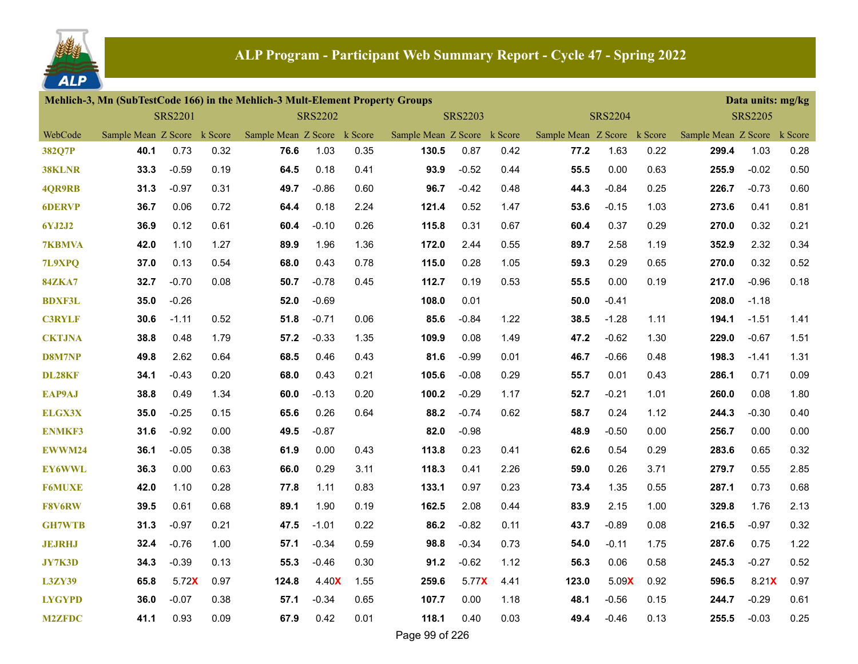

|               |                             |                |      | Mehlich-3, Mn (SubTestCode 166) in the Mehlich-3 Mult-Element Property Groups |                |      |                             |                |      |                             |                |      |                             | Data units: mg/kg |      |
|---------------|-----------------------------|----------------|------|-------------------------------------------------------------------------------|----------------|------|-----------------------------|----------------|------|-----------------------------|----------------|------|-----------------------------|-------------------|------|
|               |                             | <b>SRS2201</b> |      |                                                                               | <b>SRS2202</b> |      |                             | <b>SRS2203</b> |      |                             | <b>SRS2204</b> |      |                             | <b>SRS2205</b>    |      |
| WebCode       | Sample Mean Z Score k Score |                |      | Sample Mean Z Score k Score                                                   |                |      | Sample Mean Z Score k Score |                |      | Sample Mean Z Score k Score |                |      | Sample Mean Z Score k Score |                   |      |
| 382Q7P        | 40.1                        | 0.73           | 0.32 | 76.6                                                                          | 1.03           | 0.35 | 130.5                       | 0.87           | 0.42 | 77.2                        | 1.63           | 0.22 | 299.4                       | 1.03              | 0.28 |
| <b>38KLNR</b> | 33.3                        | $-0.59$        | 0.19 | 64.5                                                                          | 0.18           | 0.41 | 93.9                        | $-0.52$        | 0.44 | 55.5                        | 0.00           | 0.63 | 255.9                       | $-0.02$           | 0.50 |
| <b>4QR9RB</b> | 31.3                        | $-0.97$        | 0.31 | 49.7                                                                          | $-0.86$        | 0.60 | 96.7                        | $-0.42$        | 0.48 | 44.3                        | $-0.84$        | 0.25 | 226.7                       | $-0.73$           | 0.60 |
| <b>6DERVP</b> | 36.7                        | 0.06           | 0.72 | 64.4                                                                          | 0.18           | 2.24 | 121.4                       | 0.52           | 1.47 | 53.6                        | $-0.15$        | 1.03 | 273.6                       | 0.41              | 0.81 |
| <b>6YJ2J2</b> | 36.9                        | 0.12           | 0.61 | 60.4                                                                          | $-0.10$        | 0.26 | 115.8                       | 0.31           | 0.67 | 60.4                        | 0.37           | 0.29 | 270.0                       | 0.32              | 0.21 |
| <b>7KBMVA</b> | 42.0                        | 1.10           | 1.27 | 89.9                                                                          | 1.96           | 1.36 | 172.0                       | 2.44           | 0.55 | 89.7                        | 2.58           | 1.19 | 352.9                       | 2.32              | 0.34 |
| 7L9XPQ        | 37.0                        | 0.13           | 0.54 | 68.0                                                                          | 0.43           | 0.78 | 115.0                       | 0.28           | 1.05 | 59.3                        | 0.29           | 0.65 | 270.0                       | 0.32              | 0.52 |
| <b>84ZKA7</b> | 32.7                        | $-0.70$        | 0.08 | 50.7                                                                          | $-0.78$        | 0.45 | 112.7                       | 0.19           | 0.53 | 55.5                        | 0.00           | 0.19 | 217.0                       | $-0.96$           | 0.18 |
| <b>BDXF3L</b> | 35.0                        | $-0.26$        |      | 52.0                                                                          | $-0.69$        |      | 108.0                       | 0.01           |      | 50.0                        | $-0.41$        |      | 208.0                       | $-1.18$           |      |
| <b>C3RYLF</b> | 30.6                        | $-1.11$        | 0.52 | 51.8                                                                          | $-0.71$        | 0.06 | 85.6                        | $-0.84$        | 1.22 | 38.5                        | $-1.28$        | 1.11 | 194.1                       | $-1.51$           | 1.41 |
| <b>CKTJNA</b> | 38.8                        | 0.48           | 1.79 | 57.2                                                                          | $-0.33$        | 1.35 | 109.9                       | 0.08           | 1.49 | 47.2                        | $-0.62$        | 1.30 | 229.0                       | $-0.67$           | 1.51 |
| D8M7NP        | 49.8                        | 2.62           | 0.64 | 68.5                                                                          | 0.46           | 0.43 | 81.6                        | $-0.99$        | 0.01 | 46.7                        | $-0.66$        | 0.48 | 198.3                       | $-1.41$           | 1.31 |
| DL28KF        | 34.1                        | $-0.43$        | 0.20 | 68.0                                                                          | 0.43           | 0.21 | 105.6                       | $-0.08$        | 0.29 | 55.7                        | 0.01           | 0.43 | 286.1                       | 0.71              | 0.09 |
| <b>EAP9AJ</b> | 38.8                        | 0.49           | 1.34 | 60.0                                                                          | $-0.13$        | 0.20 | 100.2                       | $-0.29$        | 1.17 | 52.7                        | $-0.21$        | 1.01 | 260.0                       | 0.08              | 1.80 |
| <b>ELGX3X</b> | 35.0                        | $-0.25$        | 0.15 | 65.6                                                                          | 0.26           | 0.64 | 88.2                        | $-0.74$        | 0.62 | 58.7                        | 0.24           | 1.12 | 244.3                       | $-0.30$           | 0.40 |
| <b>ENMKF3</b> | 31.6                        | $-0.92$        | 0.00 | 49.5                                                                          | $-0.87$        |      | 82.0                        | $-0.98$        |      | 48.9                        | $-0.50$        | 0.00 | 256.7                       | 0.00              | 0.00 |
| EWWM24        | 36.1                        | $-0.05$        | 0.38 | 61.9                                                                          | 0.00           | 0.43 | 113.8                       | 0.23           | 0.41 | 62.6                        | 0.54           | 0.29 | 283.6                       | 0.65              | 0.32 |
| <b>EY6WWL</b> | 36.3                        | 0.00           | 0.63 | 66.0                                                                          | 0.29           | 3.11 | 118.3                       | 0.41           | 2.26 | 59.0                        | 0.26           | 3.71 | 279.7                       | 0.55              | 2.85 |
| <b>F6MUXE</b> | 42.0                        | 1.10           | 0.28 | 77.8                                                                          | 1.11           | 0.83 | 133.1                       | 0.97           | 0.23 | 73.4                        | 1.35           | 0.55 | 287.1                       | 0.73              | 0.68 |
| F8V6RW        | 39.5                        | 0.61           | 0.68 | 89.1                                                                          | 1.90           | 0.19 | 162.5                       | 2.08           | 0.44 | 83.9                        | 2.15           | 1.00 | 329.8                       | 1.76              | 2.13 |
| <b>GH7WTB</b> | 31.3                        | $-0.97$        | 0.21 | 47.5                                                                          | $-1.01$        | 0.22 | 86.2                        | $-0.82$        | 0.11 | 43.7                        | $-0.89$        | 0.08 | 216.5                       | $-0.97$           | 0.32 |
| <b>JEJRHJ</b> | 32.4                        | $-0.76$        | 1.00 | 57.1                                                                          | $-0.34$        | 0.59 | 98.8                        | $-0.34$        | 0.73 | 54.0                        | $-0.11$        | 1.75 | 287.6                       | 0.75              | 1.22 |
| JY7K3D        | 34.3                        | $-0.39$        | 0.13 | 55.3                                                                          | $-0.46$        | 0.30 | 91.2                        | $-0.62$        | 1.12 | 56.3                        | 0.06           | 0.58 | 245.3                       | $-0.27$           | 0.52 |
| <b>L3ZY39</b> | 65.8                        | 5.72X          | 0.97 | 124.8                                                                         | 4.40X          | 1.55 | 259.6                       | 5.77 <b>X</b>  | 4.41 | 123.0                       | 5.09X          | 0.92 | 596.5                       | 8.21X             | 0.97 |
| <b>LYGYPD</b> | 36.0                        | $-0.07$        | 0.38 | 57.1                                                                          | $-0.34$        | 0.65 | 107.7                       | 0.00           | 1.18 | 48.1                        | $-0.56$        | 0.15 | 244.7                       | $-0.29$           | 0.61 |
| <b>M2ZFDC</b> | 41.1                        | 0.93           | 0.09 | 67.9                                                                          | 0.42           | 0.01 | 118.1                       | 0.40           | 0.03 | 49.4                        | $-0.46$        | 0.13 | 255.5                       | $-0.03$           | 0.25 |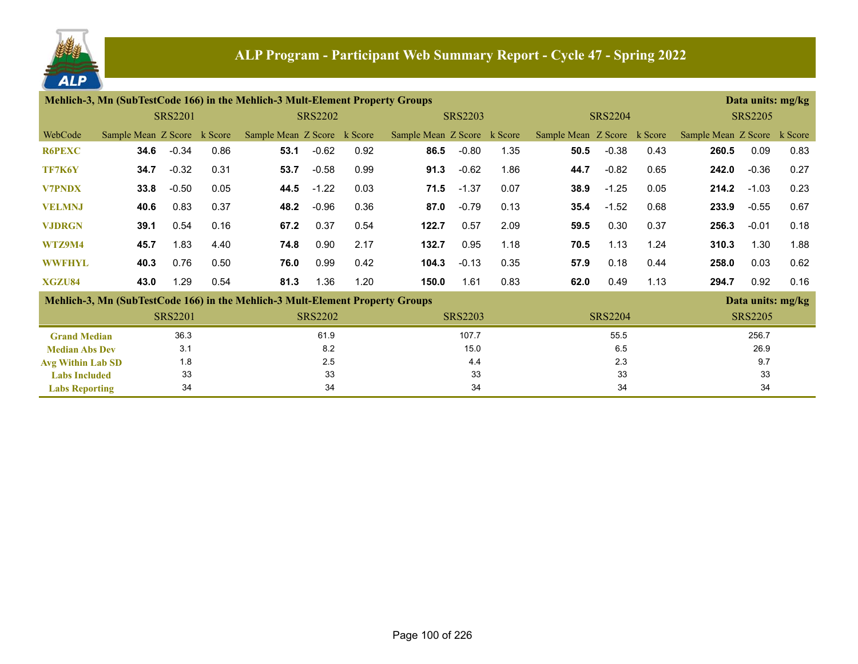

|                       |                             |                |      | Mehlich-3, Mn (SubTestCode 166) in the Mehlich-3 Mult-Element Property Groups |                |      |                             |                |      |                             |                |      |                             |                | Data units: mg/kg |
|-----------------------|-----------------------------|----------------|------|-------------------------------------------------------------------------------|----------------|------|-----------------------------|----------------|------|-----------------------------|----------------|------|-----------------------------|----------------|-------------------|
|                       |                             | <b>SRS2201</b> |      |                                                                               | <b>SRS2202</b> |      |                             | <b>SRS2203</b> |      |                             | <b>SRS2204</b> |      |                             | <b>SRS2205</b> |                   |
| WebCode               | Sample Mean Z Score k Score |                |      | Sample Mean Z Score k Score                                                   |                |      | Sample Mean Z Score k Score |                |      | Sample Mean Z Score k Score |                |      | Sample Mean Z Score k Score |                |                   |
| <b>R6PEXC</b>         | 34.6                        | $-0.34$        | 0.86 | 53.1                                                                          | $-0.62$        | 0.92 | 86.5                        | $-0.80$        | 1.35 | 50.5                        | $-0.38$        | 0.43 | 260.5                       | 0.09           | 0.83              |
| TF7K6Y                | 34.7                        | $-0.32$        | 0.31 | 53.7                                                                          | $-0.58$        | 0.99 | 91.3                        | $-0.62$        | 1.86 | 44.7                        | $-0.82$        | 0.65 | 242.0                       | $-0.36$        | 0.27              |
| <b>V7PNDX</b>         | 33.8                        | $-0.50$        | 0.05 | 44.5                                                                          | $-1.22$        | 0.03 | 71.5                        | $-1.37$        | 0.07 | 38.9                        | $-1.25$        | 0.05 | 214.2                       | $-1.03$        | 0.23              |
| <b>VELMNJ</b>         | 40.6                        | 0.83           | 0.37 | 48.2                                                                          | $-0.96$        | 0.36 | 87.0                        | $-0.79$        | 0.13 | 35.4                        | $-1.52$        | 0.68 | 233.9                       | $-0.55$        | 0.67              |
| <b>VJDRGN</b>         | 39.1                        | 0.54           | 0.16 | 67.2                                                                          | 0.37           | 0.54 | 122.7                       | 0.57           | 2.09 | 59.5                        | 0.30           | 0.37 | 256.3                       | $-0.01$        | 0.18              |
| WTZ9M4                | 45.7                        | 1.83           | 4.40 | 74.8                                                                          | 0.90           | 2.17 | 132.7                       | 0.95           | 1.18 | 70.5                        | 1.13           | 1.24 | 310.3                       | 1.30           | 1.88              |
| <b>WWFHYL</b>         | 40.3                        | 0.76           | 0.50 | 76.0                                                                          | 0.99           | 0.42 | 104.3                       | $-0.13$        | 0.35 | 57.9                        | 0.18           | 0.44 | 258.0                       | 0.03           | 0.62              |
| <b>XGZU84</b>         | 43.0                        | 1.29           | 0.54 | 81.3                                                                          | 1.36           | 1.20 | 150.0                       | 1.61           | 0.83 | 62.0                        | 0.49           | 1.13 | 294.7                       | 0.92           | 0.16              |
|                       |                             |                |      | Mehlich-3, Mn (SubTestCode 166) in the Mehlich-3 Mult-Element Property Groups |                |      |                             |                |      |                             |                |      |                             |                | Data units: mg/kg |
|                       |                             | <b>SRS2201</b> |      |                                                                               | <b>SRS2202</b> |      |                             | <b>SRS2203</b> |      |                             | <b>SRS2204</b> |      |                             | <b>SRS2205</b> |                   |
| <b>Grand Median</b>   |                             | 36.3           |      |                                                                               | 61.9           |      |                             | 107.7          |      |                             | 55.5           |      |                             | 256.7          |                   |
| <b>Median Abs Dev</b> |                             | 3.1            |      |                                                                               | 8.2            |      |                             | 15.0           |      |                             | 6.5            |      |                             | 26.9           |                   |
| Avg Within Lab SD     |                             | 1.8            |      |                                                                               | 2.5            |      |                             | 4.4            |      |                             | 2.3            |      |                             | 9.7            |                   |
| <b>Labs Included</b>  |                             | 33             |      |                                                                               | 33             |      |                             | 33             |      |                             | 33             |      |                             | 33             |                   |
| <b>Labs Reporting</b> |                             | 34             |      |                                                                               | 34             |      |                             | 34             |      |                             | 34             |      |                             | 34             |                   |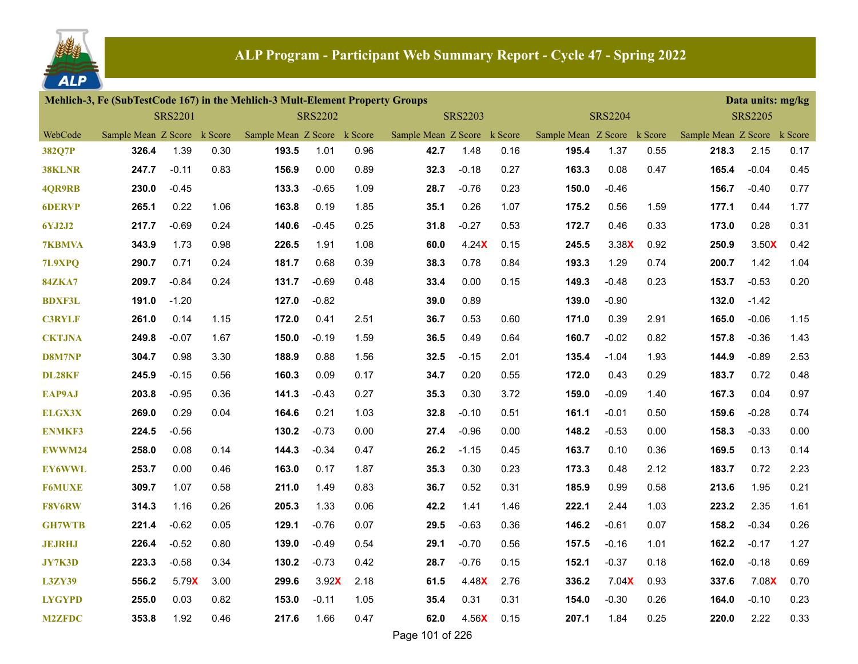

|               | Mehlich-3, Fe (SubTestCode 167) in the Mehlich-3 Mult-Element Property Groups |                |      |                             | Data units: mg/kg |      |                             |                |      |                             |                |      |                             |                   |      |
|---------------|-------------------------------------------------------------------------------|----------------|------|-----------------------------|-------------------|------|-----------------------------|----------------|------|-----------------------------|----------------|------|-----------------------------|-------------------|------|
|               |                                                                               | <b>SRS2201</b> |      |                             | <b>SRS2202</b>    |      |                             | <b>SRS2203</b> |      |                             | <b>SRS2204</b> |      |                             | <b>SRS2205</b>    |      |
| WebCode       | Sample Mean Z Score k Score                                                   |                |      | Sample Mean Z Score k Score |                   |      | Sample Mean Z Score k Score |                |      | Sample Mean Z Score k Score |                |      | Sample Mean Z Score k Score |                   |      |
| 382Q7P        | 326.4                                                                         | 1.39           | 0.30 | 193.5                       | 1.01              | 0.96 | 42.7                        | 1.48           | 0.16 | 195.4                       | 1.37           | 0.55 | 218.3                       | 2.15              | 0.17 |
| <b>38KLNR</b> | 247.7                                                                         | $-0.11$        | 0.83 | 156.9                       | 0.00              | 0.89 | 32.3                        | $-0.18$        | 0.27 | 163.3                       | 0.08           | 0.47 | 165.4                       | $-0.04$           | 0.45 |
| <b>4OR9RB</b> | 230.0                                                                         | $-0.45$        |      | 133.3                       | $-0.65$           | 1.09 | 28.7                        | $-0.76$        | 0.23 | 150.0                       | $-0.46$        |      | 156.7                       | $-0.40$           | 0.77 |
| <b>6DERVP</b> | 265.1                                                                         | 0.22           | 1.06 | 163.8                       | 0.19              | 1.85 | 35.1                        | 0.26           | 1.07 | 175.2                       | 0.56           | 1.59 | 177.1                       | 0.44              | 1.77 |
| 6YJ2J2        | 217.7                                                                         | $-0.69$        | 0.24 | 140.6                       | $-0.45$           | 0.25 | 31.8                        | $-0.27$        | 0.53 | 172.7                       | 0.46           | 0.33 | 173.0                       | 0.28              | 0.31 |
| <b>7KBMVA</b> | 343.9                                                                         | 1.73           | 0.98 | 226.5                       | 1.91              | 1.08 | 60.0                        | 4.24X          | 0.15 | 245.5                       | 3.38X          | 0.92 | 250.9                       | 3.50 <sub>X</sub> | 0.42 |
| 7L9XPO        | 290.7                                                                         | 0.71           | 0.24 | 181.7                       | 0.68              | 0.39 | 38.3                        | 0.78           | 0.84 | 193.3                       | 1.29           | 0.74 | 200.7                       | 1.42              | 1.04 |
| <b>84ZKA7</b> | 209.7                                                                         | $-0.84$        | 0.24 | 131.7                       | $-0.69$           | 0.48 | 33.4                        | 0.00           | 0.15 | 149.3                       | $-0.48$        | 0.23 | 153.7                       | $-0.53$           | 0.20 |
| <b>BDXF3L</b> | 191.0                                                                         | $-1.20$        |      | 127.0                       | $-0.82$           |      | 39.0                        | 0.89           |      | 139.0                       | $-0.90$        |      | 132.0                       | $-1.42$           |      |
| <b>C3RYLF</b> | 261.0                                                                         | 0.14           | 1.15 | 172.0                       | 0.41              | 2.51 | 36.7                        | 0.53           | 0.60 | 171.0                       | 0.39           | 2.91 | 165.0                       | $-0.06$           | 1.15 |
| <b>CKTJNA</b> | 249.8                                                                         | $-0.07$        | 1.67 | 150.0                       | $-0.19$           | 1.59 | 36.5                        | 0.49           | 0.64 | 160.7                       | $-0.02$        | 0.82 | 157.8                       | $-0.36$           | 1.43 |
| D8M7NP        | 304.7                                                                         | 0.98           | 3.30 | 188.9                       | 0.88              | 1.56 | 32.5                        | $-0.15$        | 2.01 | 135.4                       | $-1.04$        | 1.93 | 144.9                       | $-0.89$           | 2.53 |
| DL28KF        | 245.9                                                                         | $-0.15$        | 0.56 | 160.3                       | 0.09              | 0.17 | 34.7                        | 0.20           | 0.55 | 172.0                       | 0.43           | 0.29 | 183.7                       | 0.72              | 0.48 |
| EAP9AJ        | 203.8                                                                         | $-0.95$        | 0.36 | 141.3                       | $-0.43$           | 0.27 | 35.3                        | 0.30           | 3.72 | 159.0                       | $-0.09$        | 1.40 | 167.3                       | 0.04              | 0.97 |
| <b>ELGX3X</b> | 269.0                                                                         | 0.29           | 0.04 | 164.6                       | 0.21              | 1.03 | 32.8                        | $-0.10$        | 0.51 | 161.1                       | $-0.01$        | 0.50 | 159.6                       | $-0.28$           | 0.74 |
| <b>ENMKF3</b> | 224.5                                                                         | $-0.56$        |      | 130.2                       | $-0.73$           | 0.00 | 27.4                        | $-0.96$        | 0.00 | 148.2                       | $-0.53$        | 0.00 | 158.3                       | $-0.33$           | 0.00 |
| EWWM24        | 258.0                                                                         | 0.08           | 0.14 | 144.3                       | $-0.34$           | 0.47 | 26.2                        | $-1.15$        | 0.45 | 163.7                       | 0.10           | 0.36 | 169.5                       | 0.13              | 0.14 |
| <b>EY6WWL</b> | 253.7                                                                         | 0.00           | 0.46 | 163.0                       | 0.17              | 1.87 | 35.3                        | 0.30           | 0.23 | 173.3                       | 0.48           | 2.12 | 183.7                       | 0.72              | 2.23 |
| <b>F6MUXE</b> | 309.7                                                                         | 1.07           | 0.58 | 211.0                       | 1.49              | 0.83 | 36.7                        | 0.52           | 0.31 | 185.9                       | 0.99           | 0.58 | 213.6                       | 1.95              | 0.21 |
| F8V6RW        | 314.3                                                                         | 1.16           | 0.26 | 205.3                       | 1.33              | 0.06 | 42.2                        | 1.41           | 1.46 | 222.1                       | 2.44           | 1.03 | 223.2                       | 2.35              | 1.61 |
| <b>GH7WTB</b> | 221.4                                                                         | $-0.62$        | 0.05 | 129.1                       | $-0.76$           | 0.07 | 29.5                        | $-0.63$        | 0.36 | 146.2                       | $-0.61$        | 0.07 | 158.2                       | $-0.34$           | 0.26 |
| <b>JEJRHJ</b> | 226.4                                                                         | $-0.52$        | 0.80 | 139.0                       | $-0.49$           | 0.54 | 29.1                        | $-0.70$        | 0.56 | 157.5                       | $-0.16$        | 1.01 | 162.2                       | $-0.17$           | 1.27 |
| <b>JY7K3D</b> | 223.3                                                                         | $-0.58$        | 0.34 | 130.2                       | $-0.73$           | 0.42 | 28.7                        | $-0.76$        | 0.15 | 152.1                       | $-0.37$        | 0.18 | 162.0                       | $-0.18$           | 0.69 |
| <b>L3ZY39</b> | 556.2                                                                         | 5.79X          | 3.00 | 299.6                       | 3.92X             | 2.18 | 61.5                        | 4.48X          | 2.76 | 336.2                       | 7.04X          | 0.93 | 337.6                       | 7.08X             | 0.70 |
| <b>LYGYPD</b> | 255.0                                                                         | 0.03           | 0.82 | 153.0                       | $-0.11$           | 1.05 | 35.4                        | 0.31           | 0.31 | 154.0                       | $-0.30$        | 0.26 | 164.0                       | $-0.10$           | 0.23 |
| <b>M2ZFDC</b> | 353.8                                                                         | 1.92           | 0.46 | 217.6                       | 1.66              | 0.47 | 62.0                        | 4.56X          | 0.15 | 207.1                       | 1.84           | 0.25 | 220.0                       | 2.22              | 0.33 |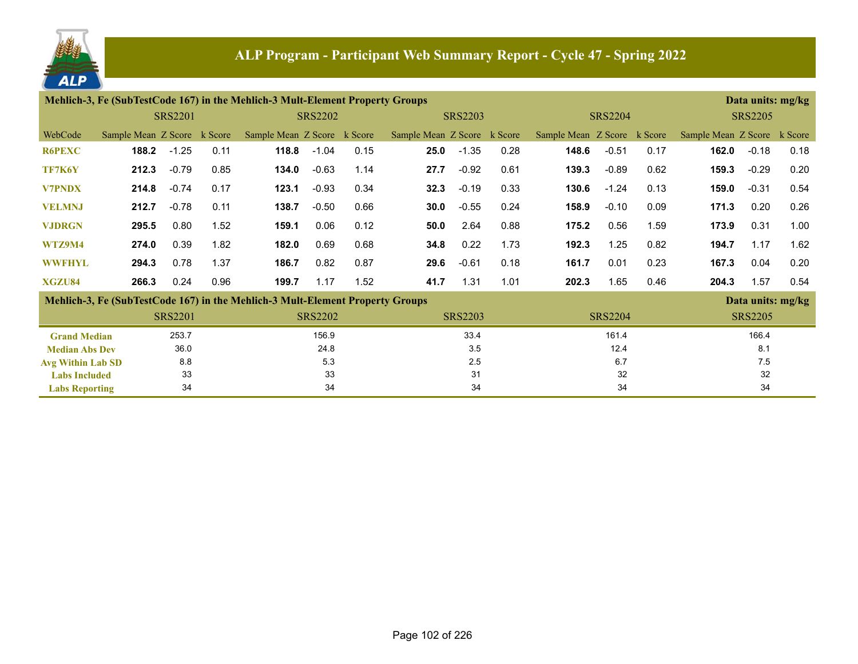

| Mehlich-3, Fe (SubTestCode 167) in the Mehlich-3 Mult-Element Property Groups<br>Data units: mg/kg |                             |                |      |                                                                               |                |      |                             |                |      |                             |                |      |                             |                |      |
|----------------------------------------------------------------------------------------------------|-----------------------------|----------------|------|-------------------------------------------------------------------------------|----------------|------|-----------------------------|----------------|------|-----------------------------|----------------|------|-----------------------------|----------------|------|
|                                                                                                    |                             | <b>SRS2201</b> |      |                                                                               | <b>SRS2202</b> |      |                             | <b>SRS2203</b> |      |                             | <b>SRS2204</b> |      |                             | <b>SRS2205</b> |      |
| WebCode                                                                                            | Sample Mean Z Score k Score |                |      | Sample Mean Z Score k Score                                                   |                |      | Sample Mean Z Score k Score |                |      | Sample Mean Z Score k Score |                |      | Sample Mean Z Score k Score |                |      |
| <b>R6PEXC</b>                                                                                      | 188.2                       | $-1.25$        | 0.11 | 118.8                                                                         | $-1.04$        | 0.15 | 25.0                        | $-1.35$        | 0.28 | 148.6                       | $-0.51$        | 0.17 | 162.0                       | $-0.18$        | 0.18 |
| TF7K6Y                                                                                             | 212.3                       | $-0.79$        | 0.85 | 134.0                                                                         | $-0.63$        | 1.14 | 27.7                        | $-0.92$        | 0.61 | 139.3                       | $-0.89$        | 0.62 | 159.3                       | $-0.29$        | 0.20 |
| <b>V7PNDX</b>                                                                                      | 214.8                       | $-0.74$        | 0.17 | 123.1                                                                         | $-0.93$        | 0.34 | 32.3                        | $-0.19$        | 0.33 | 130.6                       | $-1.24$        | 0.13 | 159.0                       | $-0.31$        | 0.54 |
| <b>VELMNJ</b>                                                                                      | $-0.78$<br>0.11<br>212.7    |                |      | 138.7                                                                         | $-0.50$        | 0.66 | 30.0                        | $-0.55$        | 0.24 | 158.9                       | $-0.10$        | 0.09 | 171.3                       | 0.20           | 0.26 |
| <b>VJDRGN</b>                                                                                      | 1.52<br>295.5<br>0.80       |                |      | 159.1                                                                         | 0.06           | 0.12 | 50.0                        | 2.64           | 0.88 | 175.2                       | 0.56           | 1.59 | 173.9                       | 0.31           | 1.00 |
| WTZ9M4                                                                                             | 274.0                       | 0.39           | 1.82 | 182.0                                                                         | 0.69           | 0.68 | 34.8                        | 0.22           | 1.73 | 192.3                       | 1.25           | 0.82 | 194.7                       | 1.17           | 1.62 |
| <b>WWFHYL</b>                                                                                      | 294.3                       | 0.78           | 1.37 | 186.7                                                                         | 0.82           | 0.87 | 29.6                        | $-0.61$        | 0.18 | 161.7                       | 0.01           | 0.23 | 167.3                       | 0.04           | 0.20 |
| <b>XGZU84</b>                                                                                      | 266.3                       | 0.24           | 0.96 | 199.7                                                                         | 1.17           | 1.52 | 41.7                        | 1.31           | 1.01 | 202.3                       | 1.65           | 0.46 | 204.3                       | 1.57           | 0.54 |
|                                                                                                    |                             |                |      | Mehlich-3, Fe (SubTestCode 167) in the Mehlich-3 Mult-Element Property Groups |                |      |                             |                |      |                             |                |      | Data units: mg/kg           |                |      |
|                                                                                                    |                             | <b>SRS2201</b> |      |                                                                               | <b>SRS2202</b> |      |                             | <b>SRS2203</b> |      |                             | <b>SRS2204</b> |      |                             | <b>SRS2205</b> |      |
| <b>Grand Median</b>                                                                                |                             | 253.7          |      |                                                                               | 156.9          |      |                             | 33.4           |      |                             | 161.4          |      |                             | 166.4          |      |
| <b>Median Abs Dev</b>                                                                              | 36.0                        |                |      |                                                                               | 24.8           |      |                             | 3.5            |      |                             | 12.4           |      |                             | 8.1            |      |
| Avg Within Lab SD                                                                                  | 8.8                         |                |      |                                                                               | 5.3            |      |                             | 2.5            |      | 6.7                         |                |      | 7.5                         |                |      |
| <b>Labs Included</b>                                                                               | 33                          |                |      |                                                                               | 33             |      |                             |                |      | 32                          |                |      |                             |                |      |
| <b>Labs Reporting</b>                                                                              | 34                          |                |      | 34                                                                            |                |      | 34                          |                |      |                             | 34             |      |                             |                |      |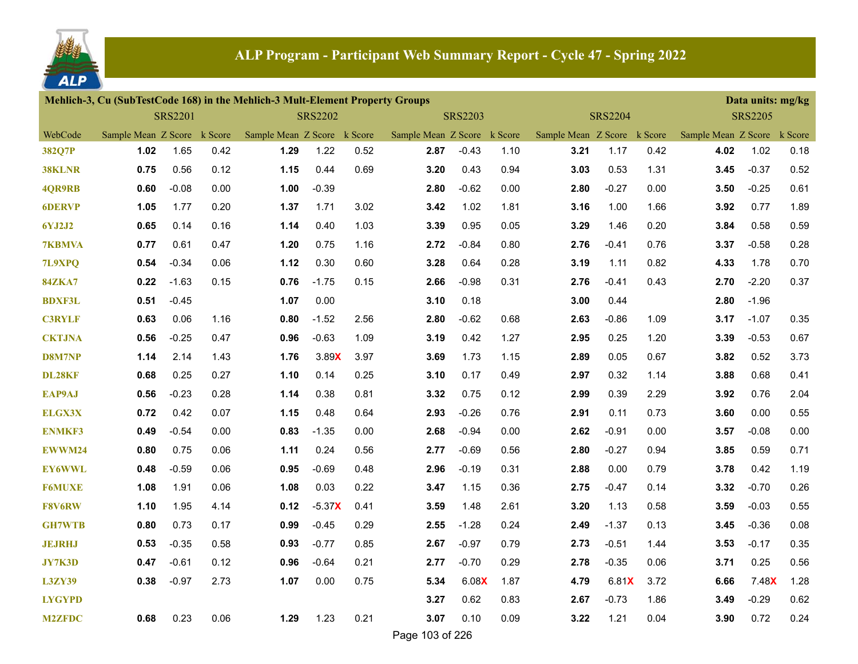

|               |                             |                |      | Mehlich-3, Cu (SubTestCode 168) in the Mehlich-3 Mult-Element Property Groups | Data units: mg/kg |      |                             |                |      |                             |                |      |                             |                |      |
|---------------|-----------------------------|----------------|------|-------------------------------------------------------------------------------|-------------------|------|-----------------------------|----------------|------|-----------------------------|----------------|------|-----------------------------|----------------|------|
|               |                             | <b>SRS2201</b> |      |                                                                               | <b>SRS2202</b>    |      |                             | <b>SRS2203</b> |      |                             | <b>SRS2204</b> |      |                             | <b>SRS2205</b> |      |
| WebCode       | Sample Mean Z Score k Score |                |      | Sample Mean Z Score k Score                                                   |                   |      | Sample Mean Z Score k Score |                |      | Sample Mean Z Score k Score |                |      | Sample Mean Z Score k Score |                |      |
| 382Q7P        | 1.02                        | 1.65           | 0.42 | 1.29                                                                          | 1.22              | 0.52 | 2.87                        | $-0.43$        | 1.10 | 3.21                        | 1.17           | 0.42 | 4.02                        | 1.02           | 0.18 |
| 38KLNR        | 0.75                        | 0.56           | 0.12 | 1.15                                                                          | 0.44              | 0.69 | 3.20                        | 0.43           | 0.94 | 3.03                        | 0.53           | 1.31 | 3.45                        | $-0.37$        | 0.52 |
| 4QR9RB        | 0.60                        | $-0.08$        | 0.00 | 1.00                                                                          | $-0.39$           |      | 2.80                        | $-0.62$        | 0.00 | 2.80                        | $-0.27$        | 0.00 | 3.50                        | $-0.25$        | 0.61 |
| <b>6DERVP</b> | 1.05                        | 1.77           | 0.20 | 1.37                                                                          | 1.71              | 3.02 | 3.42                        | 1.02           | 1.81 | 3.16                        | 1.00           | 1.66 | 3.92                        | 0.77           | 1.89 |
| 6YJ2J2        | 0.65                        | 0.14           | 0.16 | 1.14                                                                          | 0.40              | 1.03 | 3.39                        | 0.95           | 0.05 | 3.29                        | 1.46           | 0.20 | 3.84                        | 0.58           | 0.59 |
| 7KBMVA        | 0.77                        | 0.61           | 0.47 | 1.20                                                                          | 0.75              | 1.16 | 2.72                        | $-0.84$        | 0.80 | 2.76                        | $-0.41$        | 0.76 | 3.37                        | $-0.58$        | 0.28 |
| 7L9XPQ        | 0.54                        | $-0.34$        | 0.06 | 1.12                                                                          | 0.30              | 0.60 | 3.28                        | 0.64           | 0.28 | 3.19                        | 1.11           | 0.82 | 4.33                        | 1.78           | 0.70 |
| <b>84ZKA7</b> | 0.22                        | $-1.63$        | 0.15 | 0.76                                                                          | $-1.75$           | 0.15 | 2.66                        | $-0.98$        | 0.31 | 2.76                        | $-0.41$        | 0.43 | 2.70                        | $-2.20$        | 0.37 |
| <b>BDXF3L</b> | 0.51                        | $-0.45$        |      | 1.07                                                                          | 0.00              |      | 3.10                        | 0.18           |      | 3.00                        | 0.44           |      | 2.80                        | $-1.96$        |      |
| <b>C3RYLF</b> | 0.63                        | 0.06           | 1.16 | 0.80                                                                          | $-1.52$           | 2.56 | 2.80                        | $-0.62$        | 0.68 | 2.63                        | $-0.86$        | 1.09 | 3.17                        | $-1.07$        | 0.35 |
| <b>CKTJNA</b> | 0.56                        | $-0.25$        | 0.47 | 0.96                                                                          | $-0.63$           | 1.09 | 3.19                        | 0.42           | 1.27 | 2.95                        | 0.25           | 1.20 | 3.39                        | $-0.53$        | 0.67 |
| D8M7NP        | 1.14                        | 2.14           | 1.43 | 1.76                                                                          | 3.89X             | 3.97 | 3.69                        | 1.73           | 1.15 | 2.89                        | 0.05           | 0.67 | 3.82                        | 0.52           | 3.73 |
| DL28KF        | 0.68                        | 0.25           | 0.27 | 1.10                                                                          | 0.14              | 0.25 | 3.10                        | 0.17           | 0.49 | 2.97                        | 0.32           | 1.14 | 3.88                        | 0.68           | 0.41 |
| EAP9AJ        | 0.56                        | $-0.23$        | 0.28 | 1.14                                                                          | 0.38              | 0.81 | 3.32                        | 0.75           | 0.12 | 2.99                        | 0.39           | 2.29 | 3.92                        | 0.76           | 2.04 |
| <b>ELGX3X</b> | 0.72                        | 0.42           | 0.07 | 1.15                                                                          | 0.48              | 0.64 | 2.93                        | $-0.26$        | 0.76 | 2.91                        | 0.11           | 0.73 | 3.60                        | 0.00           | 0.55 |
| <b>ENMKF3</b> | 0.49                        | $-0.54$        | 0.00 | 0.83                                                                          | $-1.35$           | 0.00 | 2.68                        | $-0.94$        | 0.00 | 2.62                        | $-0.91$        | 0.00 | 3.57                        | $-0.08$        | 0.00 |
| EWWM24        | 0.80                        | 0.75           | 0.06 | 1.11                                                                          | 0.24              | 0.56 | 2.77                        | $-0.69$        | 0.56 | 2.80                        | $-0.27$        | 0.94 | 3.85                        | 0.59           | 0.71 |
| <b>EY6WWL</b> | 0.48                        | $-0.59$        | 0.06 | 0.95                                                                          | $-0.69$           | 0.48 | 2.96                        | $-0.19$        | 0.31 | 2.88                        | 0.00           | 0.79 | 3.78                        | 0.42           | 1.19 |
| <b>F6MUXE</b> | 1.08                        | 1.91           | 0.06 | 1.08                                                                          | 0.03              | 0.22 | 3.47                        | 1.15           | 0.36 | 2.75                        | $-0.47$        | 0.14 | 3.32                        | $-0.70$        | 0.26 |
| F8V6RW        | 1.10                        | 1.95           | 4.14 | 0.12                                                                          | $-5.37X$          | 0.41 | 3.59                        | 1.48           | 2.61 | 3.20                        | 1.13           | 0.58 | 3.59                        | $-0.03$        | 0.55 |
| <b>GH7WTB</b> | 0.80                        | 0.73           | 0.17 | 0.99                                                                          | $-0.45$           | 0.29 | 2.55                        | $-1.28$        | 0.24 | 2.49                        | $-1.37$        | 0.13 | 3.45                        | $-0.36$        | 0.08 |
| <b>JEJRHJ</b> | 0.53                        | $-0.35$        | 0.58 | 0.93                                                                          | $-0.77$           | 0.85 | 2.67                        | $-0.97$        | 0.79 | 2.73                        | $-0.51$        | 1.44 | 3.53                        | $-0.17$        | 0.35 |
| JY7K3D        | 0.47                        | $-0.61$        | 0.12 | 0.96                                                                          | $-0.64$           | 0.21 | 2.77                        | $-0.70$        | 0.29 | 2.78                        | $-0.35$        | 0.06 | 3.71                        | 0.25           | 0.56 |
| <b>L3ZY39</b> | 0.38                        | $-0.97$        | 2.73 | 1.07                                                                          | 0.00              | 0.75 | 5.34                        | 6.08X          | 1.87 | 4.79                        | 6.81X          | 3.72 | 6.66                        | 7.48X          | 1.28 |
| <b>LYGYPD</b> |                             |                |      |                                                                               |                   |      | 3.27                        | 0.62           | 0.83 | 2.67                        | $-0.73$        | 1.86 | 3.49                        | $-0.29$        | 0.62 |
| <b>M2ZFDC</b> | 0.68                        | 0.23           | 0.06 | 1.29                                                                          | 1.23              | 0.21 | 3.07                        | 0.10           | 0.09 | 3.22                        | 1.21           | 0.04 | 3.90                        | 0.72           | 0.24 |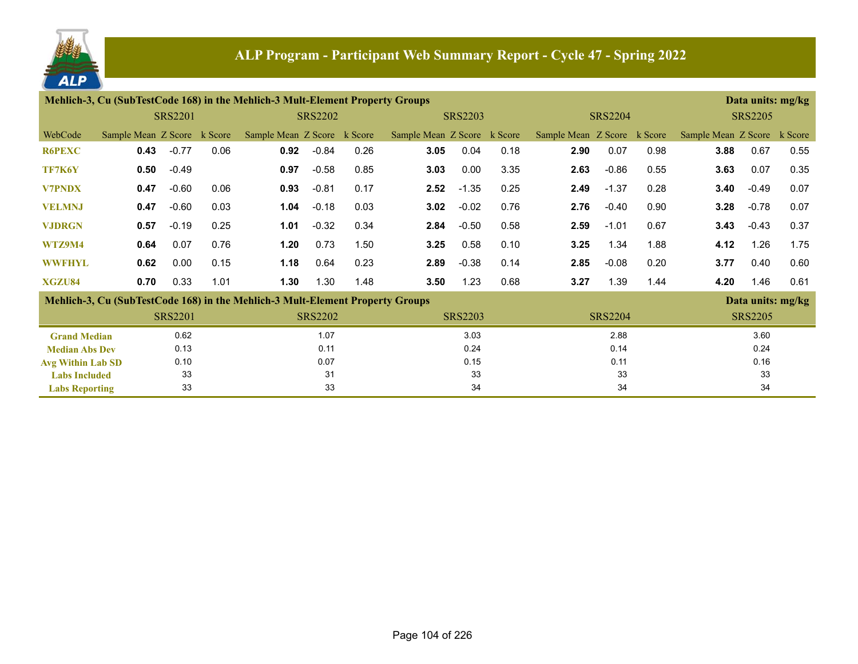

| Mehlich-3, Cu (SubTestCode 168) in the Mehlich-3 Mult-Element Property Groups<br>Data units: mg/kg |                                  |                |      |                                                                               |                |      |      |                             |      |                             |                |      |                             |                   |      |
|----------------------------------------------------------------------------------------------------|----------------------------------|----------------|------|-------------------------------------------------------------------------------|----------------|------|------|-----------------------------|------|-----------------------------|----------------|------|-----------------------------|-------------------|------|
|                                                                                                    |                                  | <b>SRS2201</b> |      |                                                                               | <b>SRS2202</b> |      |      | <b>SRS2203</b>              |      |                             | <b>SRS2204</b> |      |                             | <b>SRS2205</b>    |      |
| WebCode                                                                                            | Sample Mean Z Score k Score      |                |      | Sample Mean Z Score k Score                                                   |                |      |      | Sample Mean Z Score k Score |      | Sample Mean Z Score k Score |                |      | Sample Mean Z Score k Score |                   |      |
| <b>R6PEXC</b>                                                                                      | 0.43                             | $-0.77$        | 0.06 | 0.92                                                                          | $-0.84$        | 0.26 | 3.05 | 0.04                        | 0.18 | 2.90                        | 0.07           | 0.98 | 3.88                        | 0.67              | 0.55 |
| TF7K6Y                                                                                             | 0.50                             | $-0.49$        |      | 0.97                                                                          | $-0.58$        | 0.85 | 3.03 | 0.00                        | 3.35 | 2.63                        | $-0.86$        | 0.55 | 3.63                        | 0.07              | 0.35 |
| <b>V7PNDX</b>                                                                                      | 0.47                             | $-0.60$        | 0.06 | 0.93                                                                          | $-0.81$        | 0.17 | 2.52 | $-1.35$                     | 0.25 | 2.49                        | $-1.37$        | 0.28 | 3.40                        | $-0.49$           | 0.07 |
| <b>VELMNJ</b>                                                                                      | $-0.60$<br>0.03<br>0.47          |                |      | 1.04                                                                          | $-0.18$        | 0.03 | 3.02 | $-0.02$                     | 0.76 | 2.76                        | $-0.40$        | 0.90 | 3.28                        | $-0.78$           | 0.07 |
| <b>VJDRGN</b>                                                                                      | $-0.19$<br>0.25<br>0.57          |                |      | 1.01                                                                          | $-0.32$        | 0.34 | 2.84 | $-0.50$                     | 0.58 | 2.59                        | $-1.01$        | 0.67 | 3.43                        | $-0.43$           | 0.37 |
| WTZ9M4                                                                                             | 0.64                             | 0.07           | 0.76 | 1.20                                                                          | 0.73           | 1.50 | 3.25 | 0.58                        | 0.10 | 3.25                        | 1.34           | 1.88 | 4.12                        | 1.26              | 1.75 |
| <b>WWFHYL</b>                                                                                      | 0.62                             | 0.00           | 0.15 | 1.18                                                                          | 0.64           | 0.23 | 2.89 | $-0.38$                     | 0.14 | 2.85                        | $-0.08$        | 0.20 | 3.77                        | 0.40              | 0.60 |
| <b>XGZU84</b>                                                                                      | 0.70                             | 0.33           | 1.01 | 1.30                                                                          | 1.30           | 1.48 | 3.50 | 1.23                        | 0.68 | 3.27                        | 1.39           | 1.44 | 4.20                        | 1.46              | 0.61 |
|                                                                                                    |                                  |                |      | Mehlich-3, Cu (SubTestCode 168) in the Mehlich-3 Mult-Element Property Groups |                |      |      |                             |      |                             |                |      |                             | Data units: mg/kg |      |
|                                                                                                    |                                  | <b>SRS2201</b> |      |                                                                               | <b>SRS2202</b> |      |      | <b>SRS2203</b>              |      |                             | <b>SRS2204</b> |      |                             | <b>SRS2205</b>    |      |
|                                                                                                    | 0.62<br><b>Grand Median</b>      |                |      |                                                                               | 1.07           |      | 3.03 |                             |      |                             | 2.88           |      |                             | 3.60              |      |
| <b>Median Abs Dev</b>                                                                              | 0.13<br>0.11                     |                |      |                                                                               |                | 0.24 |      |                             |      |                             |                | 0.24 |                             |                   |      |
| <b>Avg Within Lab SD</b>                                                                           | 0.07<br>0.10                     |                |      |                                                                               |                | 0.15 |      |                             | 0.11 |                             | 0.16           |      |                             |                   |      |
|                                                                                                    | 31<br>33<br><b>Labs Included</b> |                |      |                                                                               |                |      | 33   |                             |      | 33                          |                |      |                             |                   |      |
|                                                                                                    | 33<br><b>Labs Reporting</b>      |                |      |                                                                               | 33             |      |      | 34                          |      |                             | 34             |      |                             |                   |      |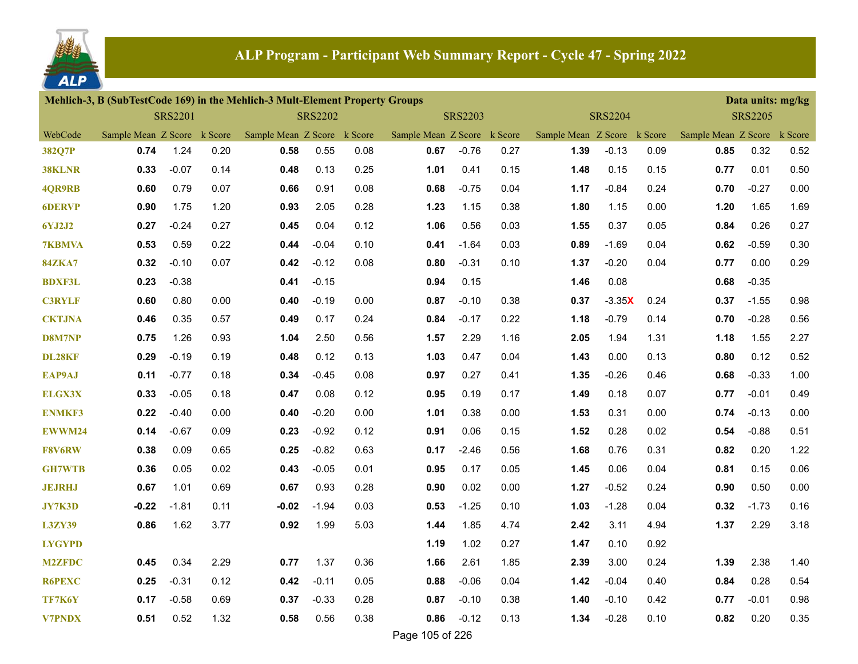

|               |                             |                |      | Mehlich-3, B (SubTestCode 169) in the Mehlich-3 Mult-Element Property Groups | Data units: mg/kg |      |                             |                |      |                             |                |      |                             |                |      |
|---------------|-----------------------------|----------------|------|------------------------------------------------------------------------------|-------------------|------|-----------------------------|----------------|------|-----------------------------|----------------|------|-----------------------------|----------------|------|
|               |                             | <b>SRS2201</b> |      |                                                                              | <b>SRS2202</b>    |      |                             | <b>SRS2203</b> |      |                             | <b>SRS2204</b> |      |                             | <b>SRS2205</b> |      |
| WebCode       | Sample Mean Z Score k Score |                |      | Sample Mean Z Score k Score                                                  |                   |      | Sample Mean Z Score k Score |                |      | Sample Mean Z Score k Score |                |      | Sample Mean Z Score k Score |                |      |
| 382Q7P        | 0.74                        | 1.24           | 0.20 | 0.58                                                                         | 0.55              | 0.08 | 0.67                        | $-0.76$        | 0.27 | 1.39                        | $-0.13$        | 0.09 | 0.85                        | 0.32           | 0.52 |
| 38KLNR        | 0.33                        | $-0.07$        | 0.14 | 0.48                                                                         | 0.13              | 0.25 | 1.01                        | 0.41           | 0.15 | 1.48                        | 0.15           | 0.15 | 0.77                        | 0.01           | 0.50 |
| 4QR9RB        | 0.60                        | 0.79           | 0.07 | 0.66                                                                         | 0.91              | 0.08 | 0.68                        | $-0.75$        | 0.04 | 1.17                        | $-0.84$        | 0.24 | 0.70                        | $-0.27$        | 0.00 |
| <b>6DERVP</b> | 0.90                        | 1.75           | 1.20 | 0.93                                                                         | 2.05              | 0.28 | 1.23                        | 1.15           | 0.38 | 1.80                        | 1.15           | 0.00 | 1.20                        | 1.65           | 1.69 |
| <b>6YJ2J2</b> | 0.27                        | $-0.24$        | 0.27 | 0.45                                                                         | 0.04              | 0.12 | 1.06                        | 0.56           | 0.03 | 1.55                        | 0.37           | 0.05 | 0.84                        | 0.26           | 0.27 |
| 7KBMVA        | 0.53                        | 0.59           | 0.22 | 0.44                                                                         | $-0.04$           | 0.10 | 0.41                        | $-1.64$        | 0.03 | 0.89                        | $-1.69$        | 0.04 | 0.62                        | $-0.59$        | 0.30 |
| <b>84ZKA7</b> | 0.32                        | $-0.10$        | 0.07 | 0.42                                                                         | $-0.12$           | 0.08 | 0.80                        | $-0.31$        | 0.10 | 1.37                        | $-0.20$        | 0.04 | 0.77                        | 0.00           | 0.29 |
| <b>BDXF3L</b> | 0.23                        | $-0.38$        |      | 0.41                                                                         | $-0.15$           |      | 0.94                        | 0.15           |      | 1.46                        | 0.08           |      | 0.68                        | $-0.35$        |      |
| <b>C3RYLF</b> | 0.60                        | 0.80           | 0.00 | 0.40                                                                         | $-0.19$           | 0.00 | 0.87                        | $-0.10$        | 0.38 | 0.37                        | $-3.35X$       | 0.24 | 0.37                        | $-1.55$        | 0.98 |
| <b>CKTJNA</b> | 0.46                        | 0.35           | 0.57 | 0.49                                                                         | 0.17              | 0.24 | 0.84                        | $-0.17$        | 0.22 | 1.18                        | $-0.79$        | 0.14 | 0.70                        | $-0.28$        | 0.56 |
| D8M7NP        | 0.75                        | 1.26           | 0.93 | 1.04                                                                         | 2.50              | 0.56 | 1.57                        | 2.29           | 1.16 | 2.05                        | 1.94           | 1.31 | 1.18                        | 1.55           | 2.27 |
| DL28KF        | 0.29                        | $-0.19$        | 0.19 | 0.48                                                                         | 0.12              | 0.13 | 1.03                        | 0.47           | 0.04 | 1.43                        | 0.00           | 0.13 | 0.80                        | 0.12           | 0.52 |
| <b>EAP9AJ</b> | 0.11                        | $-0.77$        | 0.18 | 0.34                                                                         | $-0.45$           | 0.08 | 0.97                        | 0.27           | 0.41 | 1.35                        | $-0.26$        | 0.46 | 0.68                        | $-0.33$        | 1.00 |
| <b>ELGX3X</b> | 0.33                        | $-0.05$        | 0.18 | 0.47                                                                         | 0.08              | 0.12 | 0.95                        | 0.19           | 0.17 | 1.49                        | 0.18           | 0.07 | 0.77                        | $-0.01$        | 0.49 |
| <b>ENMKF3</b> | 0.22                        | $-0.40$        | 0.00 | 0.40                                                                         | $-0.20$           | 0.00 | 1.01                        | 0.38           | 0.00 | 1.53                        | 0.31           | 0.00 | 0.74                        | $-0.13$        | 0.00 |
| EWWM24        | 0.14                        | $-0.67$        | 0.09 | 0.23                                                                         | $-0.92$           | 0.12 | 0.91                        | 0.06           | 0.15 | 1.52                        | 0.28           | 0.02 | 0.54                        | $-0.88$        | 0.51 |
| F8V6RW        | 0.38                        | 0.09           | 0.65 | 0.25                                                                         | $-0.82$           | 0.63 | 0.17                        | $-2.46$        | 0.56 | 1.68                        | 0.76           | 0.31 | 0.82                        | 0.20           | 1.22 |
| <b>GH7WTB</b> | 0.36                        | 0.05           | 0.02 | 0.43                                                                         | $-0.05$           | 0.01 | 0.95                        | 0.17           | 0.05 | 1.45                        | 0.06           | 0.04 | 0.81                        | 0.15           | 0.06 |
| <b>JEJRHJ</b> | 0.67                        | 1.01           | 0.69 | 0.67                                                                         | 0.93              | 0.28 | 0.90                        | 0.02           | 0.00 | 1.27                        | $-0.52$        | 0.24 | 0.90                        | 0.50           | 0.00 |
| JY7K3D        | $-0.22$                     | $-1.81$        | 0.11 | $-0.02$                                                                      | $-1.94$           | 0.03 | 0.53                        | $-1.25$        | 0.10 | 1.03                        | $-1.28$        | 0.04 | 0.32                        | $-1.73$        | 0.16 |
| L3ZY39        | 0.86                        | 1.62           | 3.77 | 0.92                                                                         | 1.99              | 5.03 | 1.44                        | 1.85           | 4.74 | 2.42                        | 3.11           | 4.94 | 1.37                        | 2.29           | 3.18 |
| <b>LYGYPD</b> |                             |                |      |                                                                              |                   |      | 1.19                        | 1.02           | 0.27 | 1.47                        | 0.10           | 0.92 |                             |                |      |
| <b>M2ZFDC</b> | 0.45                        | 0.34           | 2.29 | 0.77                                                                         | 1.37              | 0.36 | 1.66                        | 2.61           | 1.85 | 2.39                        | 3.00           | 0.24 | 1.39                        | 2.38           | 1.40 |
| <b>R6PEXC</b> | 0.25                        | $-0.31$        | 0.12 | 0.42                                                                         | $-0.11$           | 0.05 | 0.88                        | $-0.06$        | 0.04 | 1.42                        | $-0.04$        | 0.40 | 0.84                        | 0.28           | 0.54 |
| TF7K6Y        | 0.17                        | $-0.58$        | 0.69 | 0.37                                                                         | $-0.33$           | 0.28 | 0.87                        | $-0.10$        | 0.38 | 1.40                        | $-0.10$        | 0.42 | 0.77                        | $-0.01$        | 0.98 |
| <b>V7PNDX</b> | 0.51                        | 0.52           | 1.32 | 0.58                                                                         | 0.56              | 0.38 | 0.86                        | $-0.12$        | 0.13 | 1.34                        | $-0.28$        | 0.10 | 0.82                        | 0.20           | 0.35 |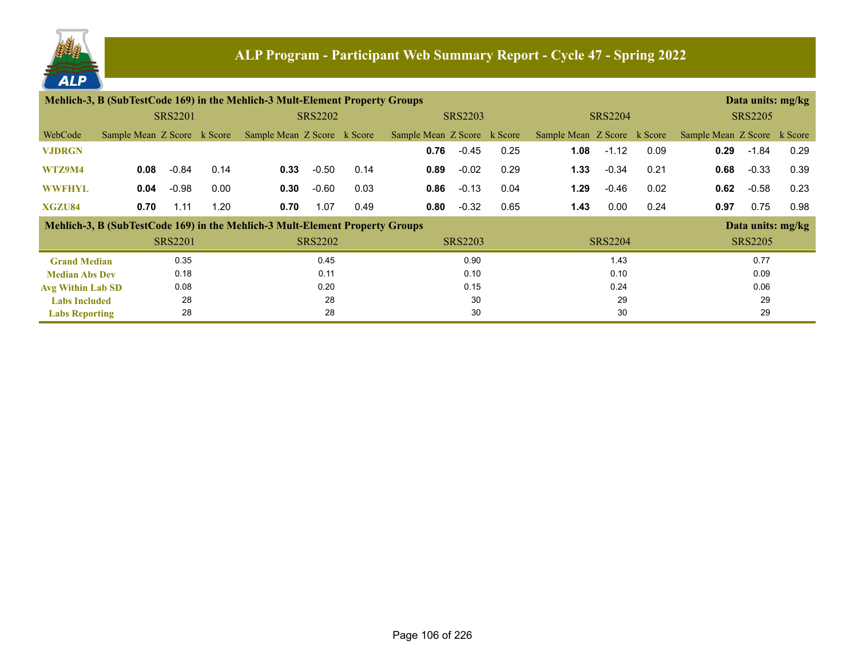

|                       | Mehlich-3, B (SubTestCode 169) in the Mehlich-3 Mult-Element Property Groups<br>Data units: mg/kg |                |  |                                                                              |                |      |                             |                |      |                             |                |      |                             |                   |      |  |
|-----------------------|---------------------------------------------------------------------------------------------------|----------------|--|------------------------------------------------------------------------------|----------------|------|-----------------------------|----------------|------|-----------------------------|----------------|------|-----------------------------|-------------------|------|--|
|                       |                                                                                                   | <b>SRS2201</b> |  |                                                                              | <b>SRS2202</b> |      |                             | SRS2203        |      |                             | <b>SRS2204</b> |      |                             | SRS2205           |      |  |
| WebCode               | Sample Mean Z Score k Score                                                                       |                |  | Sample Mean Z Score k Score                                                  |                |      | Sample Mean Z Score k Score |                |      | Sample Mean Z Score k Score |                |      | Sample Mean Z Score k Score |                   |      |  |
| <b>VJDRGN</b>         |                                                                                                   |                |  |                                                                              |                |      | 0.76                        | $-0.45$        | 0.25 | 1.08                        | $-1.12$        | 0.09 | 0.29                        | $-1.84$           | 0.29 |  |
| WTZ9M4                | 0.08<br>$-0.84$<br>0.14                                                                           |                |  | 0.33                                                                         | $-0.50$        | 0.14 | 0.89                        | $-0.02$        | 0.29 | 1.33                        | $-0.34$        | 0.21 | 0.68                        | $-0.33$           | 0.39 |  |
| <b>WWFHYL</b>         | $-0.98$<br>0.00<br>0.04                                                                           |                |  | 0.30                                                                         | $-0.60$        | 0.03 | 0.86                        | $-0.13$        | 0.04 | 1.29                        | $-0.46$        | 0.02 | 0.62                        | $-0.58$           | 0.23 |  |
| XGZU84                | 1.20<br>0.70<br>1.11                                                                              |                |  | 0.70                                                                         | 1.07           | 0.49 | 0.80                        | $-0.32$        | 0.65 | 1.43                        | 0.00           | 0.24 | 0.97                        | 0.75              | 0.98 |  |
|                       |                                                                                                   |                |  | Mehlich-3, B (SubTestCode 169) in the Mehlich-3 Mult-Element Property Groups |                |      |                             |                |      |                             |                |      |                             | Data units: mg/kg |      |  |
|                       |                                                                                                   | <b>SRS2201</b> |  |                                                                              | <b>SRS2202</b> |      |                             | <b>SRS2203</b> |      |                             | <b>SRS2204</b> |      | <b>SRS2205</b>              |                   |      |  |
| <b>Grand Median</b>   |                                                                                                   | 0.35           |  |                                                                              | 0.45           |      |                             | 0.90           |      |                             | 1.43           |      |                             | 0.77              |      |  |
| <b>Median Abs Dev</b> | 0.18<br>0.11                                                                                      |                |  |                                                                              |                |      |                             | 0.10           |      |                             | 0.10           |      | 0.09                        |                   |      |  |
| Avg Within Lab SD     | 0.08<br>0.20                                                                                      |                |  |                                                                              |                |      | 0.15                        |                |      |                             | 0.24           |      | 0.06                        |                   |      |  |
| <b>Labs Included</b>  | 28<br>28                                                                                          |                |  |                                                                              |                |      |                             | 30             |      |                             | 29             |      |                             | 29                |      |  |
| <b>Labs Reporting</b> |                                                                                                   | 28             |  |                                                                              | 28             |      |                             | 30             |      |                             | 30             |      |                             | 29                |      |  |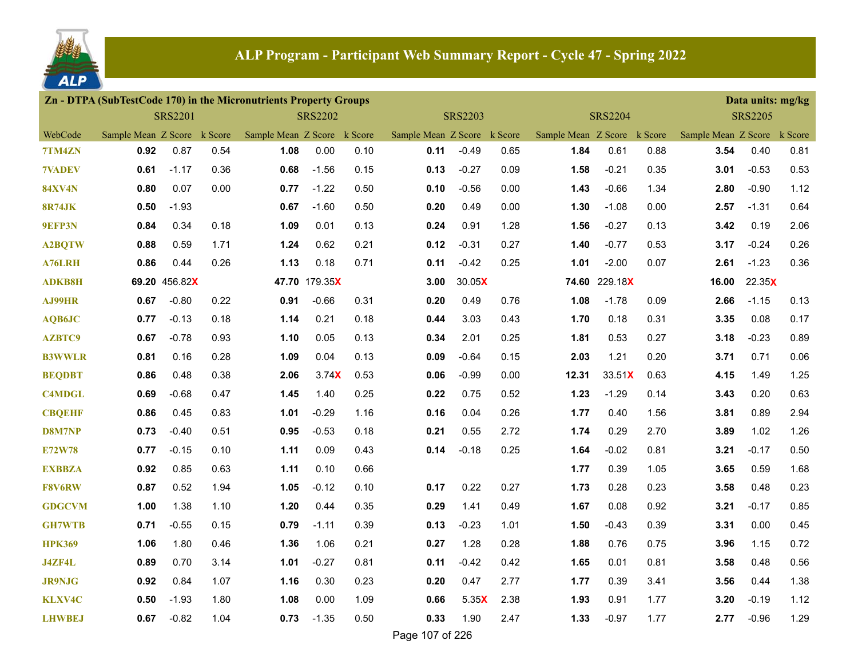

|               | Zn - DTPA (SubTestCode 170) in the Micronutrients Property Groups |                |      |                             |                |      |                             |                |      |                             |                |      | Data units: mg/kg           |                |      |  |  |
|---------------|-------------------------------------------------------------------|----------------|------|-----------------------------|----------------|------|-----------------------------|----------------|------|-----------------------------|----------------|------|-----------------------------|----------------|------|--|--|
|               |                                                                   | <b>SRS2201</b> |      |                             | <b>SRS2202</b> |      |                             | <b>SRS2203</b> |      |                             | <b>SRS2204</b> |      |                             | <b>SRS2205</b> |      |  |  |
| WebCode       | Sample Mean Z Score k Score                                       |                |      | Sample Mean Z Score k Score |                |      | Sample Mean Z Score k Score |                |      | Sample Mean Z Score k Score |                |      | Sample Mean Z Score k Score |                |      |  |  |
| 7TM4ZN        | 0.92                                                              | 0.87           | 0.54 | 1.08                        | 0.00           | 0.10 | 0.11                        | $-0.49$        | 0.65 | 1.84                        | 0.61           | 0.88 | 3.54                        | 0.40           | 0.81 |  |  |
| <b>7VADEV</b> | 0.61                                                              | $-1.17$        | 0.36 | 0.68                        | $-1.56$        | 0.15 | 0.13                        | $-0.27$        | 0.09 | 1.58                        | $-0.21$        | 0.35 | 3.01                        | $-0.53$        | 0.53 |  |  |
| <b>84XV4N</b> | 0.80                                                              | 0.07           | 0.00 | 0.77                        | $-1.22$        | 0.50 | 0.10                        | $-0.56$        | 0.00 | 1.43                        | $-0.66$        | 1.34 | 2.80                        | $-0.90$        | 1.12 |  |  |
| <b>8R74JK</b> | 0.50                                                              | $-1.93$        |      | 0.67                        | $-1.60$        | 0.50 | 0.20                        | 0.49           | 0.00 | 1.30                        | $-1.08$        | 0.00 | 2.57                        | $-1.31$        | 0.64 |  |  |
| 9EFP3N        | 0.84                                                              | 0.34           | 0.18 | 1.09                        | 0.01           | 0.13 | 0.24                        | 0.91           | 1.28 | 1.56                        | $-0.27$        | 0.13 | 3.42                        | 0.19           | 2.06 |  |  |
| <b>A2BOTW</b> | 0.88                                                              | 0.59           | 1.71 | 1.24                        | 0.62           | 0.21 | 0.12                        | $-0.31$        | 0.27 | 1.40                        | $-0.77$        | 0.53 | 3.17                        | $-0.24$        | 0.26 |  |  |
| A76LRH        | 0.86                                                              | 0.44           | 0.26 | 1.13                        | 0.18           | 0.71 | 0.11                        | $-0.42$        | 0.25 | 1.01                        | $-2.00$        | 0.07 | 2.61                        | $-1.23$        | 0.36 |  |  |
| <b>ADKB8H</b> |                                                                   | 69.20 456.82X  |      |                             | 47.70 179.35X  |      | 3.00                        | 30.05X         |      | 74.60                       | 229.18X        |      | 16.00                       | 22.35X         |      |  |  |
| AJ99HR        | 0.67                                                              | $-0.80$        | 0.22 | 0.91                        | $-0.66$        | 0.31 | 0.20                        | 0.49           | 0.76 | 1.08                        | $-1.78$        | 0.09 | 2.66                        | $-1.15$        | 0.13 |  |  |
| <b>AQB6JC</b> | 0.77                                                              | $-0.13$        | 0.18 | 1.14                        | 0.21           | 0.18 | 0.44                        | 3.03           | 0.43 | 1.70                        | 0.18           | 0.31 | 3.35                        | 0.08           | 0.17 |  |  |
| <b>AZBTC9</b> | 0.67                                                              | $-0.78$        | 0.93 | 1.10                        | 0.05           | 0.13 | 0.34                        | 2.01           | 0.25 | 1.81                        | 0.53           | 0.27 | 3.18                        | $-0.23$        | 0.89 |  |  |
| <b>B3WWLR</b> | 0.81                                                              | 0.16           | 0.28 | 1.09                        | 0.04           | 0.13 | 0.09                        | $-0.64$        | 0.15 | 2.03                        | 1.21           | 0.20 | 3.71                        | 0.71           | 0.06 |  |  |
| <b>BEODBT</b> | 0.86                                                              | 0.48           | 0.38 | 2.06                        | 3.74X          | 0.53 | 0.06                        | $-0.99$        | 0.00 | 12.31                       | 33.51X         | 0.63 | 4.15                        | 1.49           | 1.25 |  |  |
| <b>C4MDGL</b> | 0.69                                                              | $-0.68$        | 0.47 | 1.45                        | 1.40           | 0.25 | 0.22                        | 0.75           | 0.52 | 1.23                        | $-1.29$        | 0.14 | 3.43                        | 0.20           | 0.63 |  |  |
| <b>CBQEHF</b> | 0.86                                                              | 0.45           | 0.83 | 1.01                        | $-0.29$        | 1.16 | 0.16                        | 0.04           | 0.26 | 1.77                        | 0.40           | 1.56 | 3.81                        | 0.89           | 2.94 |  |  |
| D8M7NP        | 0.73                                                              | $-0.40$        | 0.51 | 0.95                        | $-0.53$        | 0.18 | 0.21                        | 0.55           | 2.72 | 1.74                        | 0.29           | 2.70 | 3.89                        | 1.02           | 1.26 |  |  |
| E72W78        | 0.77                                                              | $-0.15$        | 0.10 | 1.11                        | 0.09           | 0.43 | 0.14                        | $-0.18$        | 0.25 | 1.64                        | $-0.02$        | 0.81 | 3.21                        | $-0.17$        | 0.50 |  |  |
| <b>EXBBZA</b> | 0.92                                                              | 0.85           | 0.63 | 1.11                        | 0.10           | 0.66 |                             |                |      | 1.77                        | 0.39           | 1.05 | 3.65                        | 0.59           | 1.68 |  |  |
| <b>F8V6RW</b> | 0.87                                                              | 0.52           | 1.94 | 1.05                        | $-0.12$        | 0.10 | 0.17                        | 0.22           | 0.27 | 1.73                        | 0.28           | 0.23 | 3.58                        | 0.48           | 0.23 |  |  |
| <b>GDGCVM</b> | 1.00                                                              | 1.38           | 1.10 | 1.20                        | 0.44           | 0.35 | 0.29                        | 1.41           | 0.49 | 1.67                        | 0.08           | 0.92 | 3.21                        | $-0.17$        | 0.85 |  |  |
| <b>GH7WTB</b> | 0.71                                                              | $-0.55$        | 0.15 | 0.79                        | $-1.11$        | 0.39 | 0.13                        | $-0.23$        | 1.01 | 1.50                        | $-0.43$        | 0.39 | 3.31                        | 0.00           | 0.45 |  |  |
| <b>HPK369</b> | 1.06                                                              | 1.80           | 0.46 | 1.36                        | 1.06           | 0.21 | 0.27                        | 1.28           | 0.28 | 1.88                        | 0.76           | 0.75 | 3.96                        | 1.15           | 0.72 |  |  |
| J4ZF4L        | 0.89                                                              | 0.70           | 3.14 | 1.01                        | $-0.27$        | 0.81 | 0.11                        | $-0.42$        | 0.42 | 1.65                        | 0.01           | 0.81 | 3.58                        | 0.48           | 0.56 |  |  |
| <b>JR9NJG</b> | 0.92                                                              | 0.84           | 1.07 | 1.16                        | 0.30           | 0.23 | 0.20                        | 0.47           | 2.77 | 1.77                        | 0.39           | 3.41 | 3.56                        | 0.44           | 1.38 |  |  |
| <b>KLXV4C</b> | 0.50                                                              | $-1.93$        | 1.80 | 1.08                        | 0.00           | 1.09 | 0.66                        | 5.35X          | 2.38 | 1.93                        | 0.91           | 1.77 | 3.20                        | $-0.19$        | 1.12 |  |  |
| <b>LHWBEJ</b> | 0.67                                                              | $-0.82$        | 1.04 | 0.73                        | $-1.35$        | 0.50 | 0.33                        | 1.90           | 2.47 | 1.33                        | $-0.97$        | 1.77 | 2.77                        | $-0.96$        | 1.29 |  |  |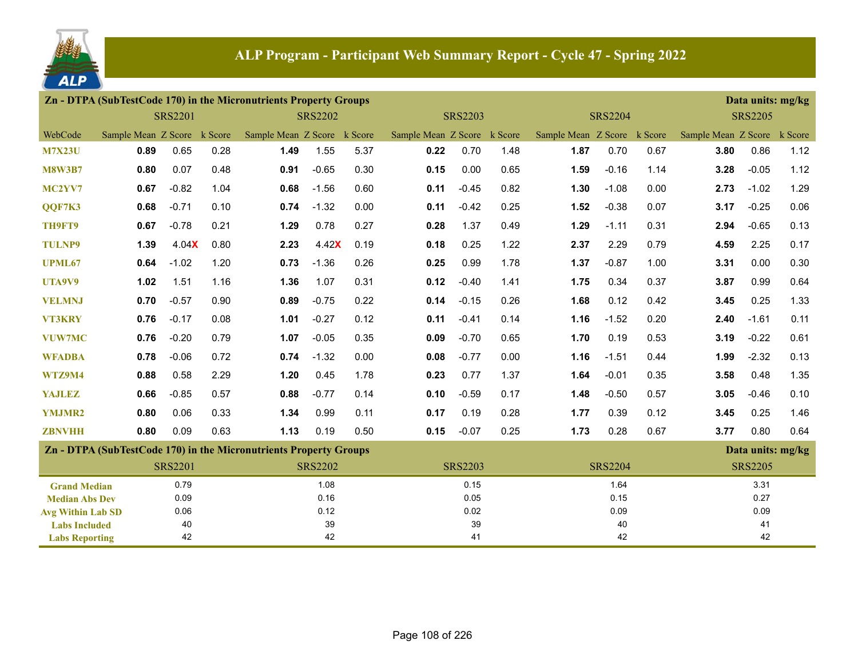

| Zn - DTPA (SubTestCode 170) in the Micronutrients Property Groups<br>Data units: mg/kg |                             |                |      |                                                                   |                |      |                             |                |      |                             |                |      |                             |                   |      |
|----------------------------------------------------------------------------------------|-----------------------------|----------------|------|-------------------------------------------------------------------|----------------|------|-----------------------------|----------------|------|-----------------------------|----------------|------|-----------------------------|-------------------|------|
|                                                                                        |                             | <b>SRS2201</b> |      |                                                                   | <b>SRS2202</b> |      |                             | <b>SRS2203</b> |      |                             | <b>SRS2204</b> |      |                             | <b>SRS2205</b>    |      |
| WebCode                                                                                | Sample Mean Z Score k Score |                |      | Sample Mean Z Score k Score                                       |                |      | Sample Mean Z Score k Score |                |      | Sample Mean Z Score k Score |                |      | Sample Mean Z Score k Score |                   |      |
| <b>M7X23U</b>                                                                          | 0.89                        | 0.65           | 0.28 | 1.49                                                              | 1.55           | 5.37 | 0.22                        | 0.70           | 1.48 | 1.87                        | 0.70           | 0.67 | 3.80                        | 0.86              | 1.12 |
| <b>M8W3B7</b>                                                                          | 0.80                        | 0.07           | 0.48 | 0.91                                                              | $-0.65$        | 0.30 | 0.15                        | 0.00           | 0.65 | 1.59                        | $-0.16$        | 1.14 | 3.28                        | $-0.05$           | 1.12 |
| MC <sub>2</sub> YV <sub>7</sub>                                                        | 0.67                        | $-0.82$        | 1.04 | 0.68                                                              | $-1.56$        | 0.60 | 0.11                        | $-0.45$        | 0.82 | 1.30                        | $-1.08$        | 0.00 | 2.73                        | $-1.02$           | 1.29 |
| QQF7K3                                                                                 | 0.68                        | $-0.71$        | 0.10 | 0.74                                                              | $-1.32$        | 0.00 | 0.11                        | $-0.42$        | 0.25 | 1.52                        | $-0.38$        | 0.07 | 3.17                        | $-0.25$           | 0.06 |
| TH9FT9                                                                                 | 0.67                        | $-0.78$        | 0.21 | 1.29                                                              | 0.78           | 0.27 | 0.28                        | 1.37           | 0.49 | 1.29                        | $-1.11$        | 0.31 | 2.94                        | $-0.65$           | 0.13 |
| <b>TULNP9</b>                                                                          | 1.39                        | 4.04X          | 0.80 | 2.23                                                              | 4.42X          | 0.19 | 0.18                        | 0.25           | 1.22 | 2.37                        | 2.29           | 0.79 | 4.59                        | 2.25              | 0.17 |
| UPML67                                                                                 | 0.64                        | $-1.02$        | 1.20 | 0.73                                                              | $-1.36$        | 0.26 | 0.25                        | 0.99           | 1.78 | 1.37                        | $-0.87$        | 1.00 | 3.31                        | 0.00              | 0.30 |
| UTA9V9                                                                                 | 1.02                        | 1.51           | 1.16 | 1.36                                                              | 1.07           | 0.31 | 0.12                        | $-0.40$        | 1.41 | 1.75                        | 0.34           | 0.37 | 3.87                        | 0.99              | 0.64 |
| <b>VELMNJ</b>                                                                          | 0.70                        | $-0.57$        | 0.90 | 0.89                                                              | $-0.75$        | 0.22 | 0.14                        | $-0.15$        | 0.26 | 1.68                        | 0.12           | 0.42 | 3.45                        | 0.25              | 1.33 |
| VT3KRY                                                                                 | 0.76                        | $-0.17$        | 0.08 | 1.01                                                              | $-0.27$        | 0.12 | 0.11                        | $-0.41$        | 0.14 | 1.16                        | $-1.52$        | 0.20 | 2.40                        | $-1.61$           | 0.11 |
| <b>VUW7MC</b>                                                                          | 0.76                        | $-0.20$        | 0.79 | 1.07                                                              | $-0.05$        | 0.35 | 0.09                        | $-0.70$        | 0.65 | 1.70                        | 0.19           | 0.53 | 3.19                        | $-0.22$           | 0.61 |
| <b>WFADBA</b>                                                                          | 0.78                        | $-0.06$        | 0.72 | 0.74                                                              | $-1.32$        | 0.00 | 0.08                        | $-0.77$        | 0.00 | 1.16                        | $-1.51$        | 0.44 | 1.99                        | $-2.32$           | 0.13 |
| WTZ9M4                                                                                 | 0.88                        | 0.58           | 2.29 | 1.20                                                              | 0.45           | 1.78 | 0.23                        | 0.77           | 1.37 | 1.64                        | $-0.01$        | 0.35 | 3.58                        | 0.48              | 1.35 |
| <b>YAJLEZ</b>                                                                          | 0.66                        | $-0.85$        | 0.57 | 0.88                                                              | $-0.77$        | 0.14 | 0.10                        | $-0.59$        | 0.17 | 1.48                        | $-0.50$        | 0.57 | 3.05                        | $-0.46$           | 0.10 |
| <b>YMJMR2</b>                                                                          | 0.80                        | 0.06           | 0.33 | 1.34                                                              | 0.99           | 0.11 | 0.17                        | 0.19           | 0.28 | 1.77                        | 0.39           | 0.12 | 3.45                        | 0.25              | 1.46 |
| <b>ZBNVHH</b>                                                                          | 0.80                        | 0.09           | 0.63 | 1.13                                                              | 0.19           | 0.50 | 0.15                        | $-0.07$        | 0.25 | 1.73                        | 0.28           | 0.67 | 3.77                        | 0.80              | 0.64 |
|                                                                                        |                             |                |      | Zn - DTPA (SubTestCode 170) in the Micronutrients Property Groups |                |      |                             |                |      |                             |                |      |                             | Data units: mg/kg |      |
|                                                                                        |                             | <b>SRS2201</b> |      |                                                                   | <b>SRS2202</b> |      |                             | <b>SRS2203</b> |      |                             | <b>SRS2204</b> |      |                             | <b>SRS2205</b>    |      |
| <b>Grand Median</b>                                                                    |                             | 0.79           |      |                                                                   | 1.08           |      |                             | 0.15           |      |                             | 1.64           |      |                             | 3.31              |      |
| <b>Median Abs Dev</b>                                                                  |                             | 0.09           |      |                                                                   | 0.16           |      |                             | 0.05           |      |                             | 0.15           |      |                             | 0.27              |      |
| <b>Avg Within Lab SD</b>                                                               |                             | 0.06           |      |                                                                   | 0.12           |      |                             | 0.02           |      |                             | 0.09           |      |                             | 0.09              |      |
| <b>Labs Included</b>                                                                   |                             | 40             |      |                                                                   | 39             |      |                             | 39             |      |                             | 40             |      |                             | 41                |      |
| <b>Labs Reporting</b>                                                                  |                             | 42             |      |                                                                   | 42             |      |                             | 41             |      |                             | 42             |      |                             | 42                |      |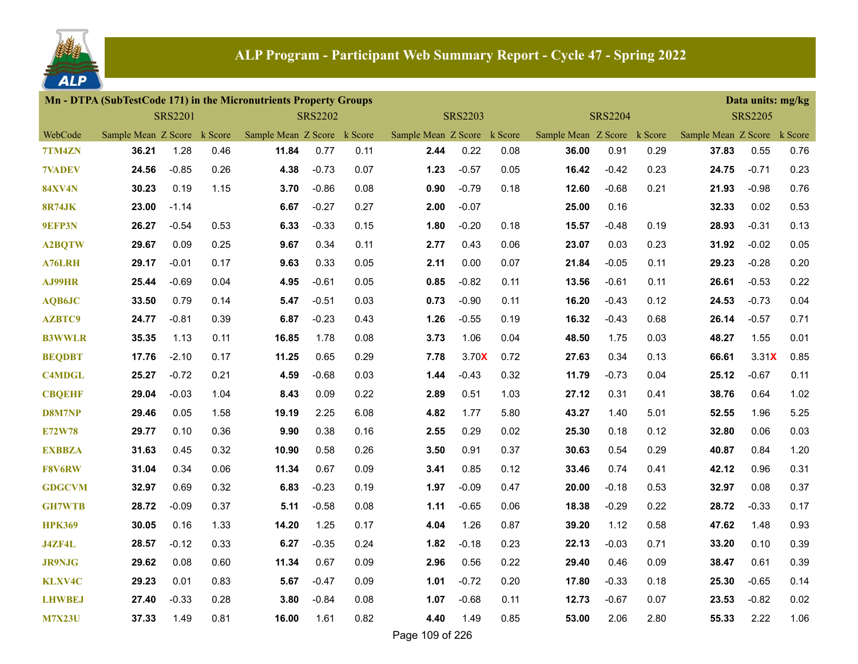

|               | Mn - DTPA (SubTestCode 171) in the Micronutrients Property Groups |         |      |                             |                |      |                             |                |      |                             |                |      |                             | Data units: mg/kg |      |
|---------------|-------------------------------------------------------------------|---------|------|-----------------------------|----------------|------|-----------------------------|----------------|------|-----------------------------|----------------|------|-----------------------------|-------------------|------|
|               |                                                                   | SRS2201 |      |                             | <b>SRS2202</b> |      |                             | <b>SRS2203</b> |      |                             | <b>SRS2204</b> |      |                             | <b>SRS2205</b>    |      |
| WebCode       | Sample Mean Z Score k Score                                       |         |      | Sample Mean Z Score k Score |                |      | Sample Mean Z Score k Score |                |      | Sample Mean Z Score k Score |                |      | Sample Mean Z Score k Score |                   |      |
| 7TM4ZN        | 36.21                                                             | 1.28    | 0.46 | 11.84                       | 0.77           | 0.11 | 2.44                        | 0.22           | 0.08 | 36.00                       | 0.91           | 0.29 | 37.83                       | 0.55              | 0.76 |
| <b>7VADEV</b> | 24.56                                                             | $-0.85$ | 0.26 | 4.38                        | $-0.73$        | 0.07 | 1.23                        | $-0.57$        | 0.05 | 16.42                       | $-0.42$        | 0.23 | 24.75                       | $-0.71$           | 0.23 |
| <b>84XV4N</b> | 30.23                                                             | 0.19    | 1.15 | 3.70                        | $-0.86$        | 0.08 | 0.90                        | $-0.79$        | 0.18 | 12.60                       | $-0.68$        | 0.21 | 21.93                       | $-0.98$           | 0.76 |
| <b>8R74JK</b> | 23.00                                                             | $-1.14$ |      | 6.67                        | $-0.27$        | 0.27 | 2.00                        | $-0.07$        |      | 25.00                       | 0.16           |      | 32.33                       | 0.02              | 0.53 |
| 9EFP3N        | 26.27                                                             | $-0.54$ | 0.53 | 6.33                        | $-0.33$        | 0.15 | 1.80                        | $-0.20$        | 0.18 | 15.57                       | $-0.48$        | 0.19 | 28.93                       | $-0.31$           | 0.13 |
| <b>A2BQTW</b> | 29.67                                                             | 0.09    | 0.25 | 9.67                        | 0.34           | 0.11 | 2.77                        | 0.43           | 0.06 | 23.07                       | 0.03           | 0.23 | 31.92                       | $-0.02$           | 0.05 |
| A76LRH        | 29.17                                                             | $-0.01$ | 0.17 | 9.63                        | 0.33           | 0.05 | 2.11                        | 0.00           | 0.07 | 21.84                       | $-0.05$        | 0.11 | 29.23                       | $-0.28$           | 0.20 |
| AJ99HR        | 25.44                                                             | $-0.69$ | 0.04 | 4.95                        | $-0.61$        | 0.05 | 0.85                        | $-0.82$        | 0.11 | 13.56                       | $-0.61$        | 0.11 | 26.61                       | $-0.53$           | 0.22 |
| <b>AQB6JC</b> | 33.50                                                             | 0.79    | 0.14 | 5.47                        | $-0.51$        | 0.03 | 0.73                        | $-0.90$        | 0.11 | 16.20                       | $-0.43$        | 0.12 | 24.53                       | $-0.73$           | 0.04 |
| <b>AZBTC9</b> | 24.77                                                             | $-0.81$ | 0.39 | 6.87                        | $-0.23$        | 0.43 | 1.26                        | $-0.55$        | 0.19 | 16.32                       | $-0.43$        | 0.68 | 26.14                       | $-0.57$           | 0.71 |
| <b>B3WWLR</b> | 35.35                                                             | 1.13    | 0.11 | 16.85                       | 1.78           | 0.08 | 3.73                        | 1.06           | 0.04 | 48.50                       | 1.75           | 0.03 | 48.27                       | 1.55              | 0.01 |
| <b>BEQDBT</b> | 17.76                                                             | $-2.10$ | 0.17 | 11.25                       | 0.65           | 0.29 | 7.78                        | 3.70 <b>X</b>  | 0.72 | 27.63                       | 0.34           | 0.13 | 66.61                       | 3.31X             | 0.85 |
| <b>C4MDGL</b> | 25.27                                                             | $-0.72$ | 0.21 | 4.59                        | $-0.68$        | 0.03 | 1.44                        | $-0.43$        | 0.32 | 11.79                       | $-0.73$        | 0.04 | 25.12                       | $-0.67$           | 0.11 |
| <b>CBOEHF</b> | 29.04                                                             | $-0.03$ | 1.04 | 8.43                        | 0.09           | 0.22 | 2.89                        | 0.51           | 1.03 | 27.12                       | 0.31           | 0.41 | 38.76                       | 0.64              | 1.02 |
| D8M7NP        | 29.46                                                             | 0.05    | 1.58 | 19.19                       | 2.25           | 6.08 | 4.82                        | 1.77           | 5.80 | 43.27                       | 1.40           | 5.01 | 52.55                       | 1.96              | 5.25 |
| E72W78        | 29.77                                                             | 0.10    | 0.36 | 9.90                        | 0.38           | 0.16 | 2.55                        | 0.29           | 0.02 | 25.30                       | 0.18           | 0.12 | 32.80                       | 0.06              | 0.03 |
| <b>EXBBZA</b> | 31.63                                                             | 0.45    | 0.32 | 10.90                       | 0.58           | 0.26 | 3.50                        | 0.91           | 0.37 | 30.63                       | 0.54           | 0.29 | 40.87                       | 0.84              | 1.20 |
| <b>F8V6RW</b> | 31.04                                                             | 0.34    | 0.06 | 11.34                       | 0.67           | 0.09 | 3.41                        | 0.85           | 0.12 | 33.46                       | 0.74           | 0.41 | 42.12                       | 0.96              | 0.31 |
| <b>GDGCVM</b> | 32.97                                                             | 0.69    | 0.32 | 6.83                        | $-0.23$        | 0.19 | 1.97                        | $-0.09$        | 0.47 | 20.00                       | $-0.18$        | 0.53 | 32.97                       | 0.08              | 0.37 |
| <b>GH7WTB</b> | 28.72                                                             | $-0.09$ | 0.37 | 5.11                        | $-0.58$        | 0.08 | 1.11                        | $-0.65$        | 0.06 | 18.38                       | $-0.29$        | 0.22 | 28.72                       | $-0.33$           | 0.17 |
| <b>HPK369</b> | 30.05                                                             | 0.16    | 1.33 | 14.20                       | 1.25           | 0.17 | 4.04                        | 1.26           | 0.87 | 39.20                       | 1.12           | 0.58 | 47.62                       | 1.48              | 0.93 |
| <b>J4ZF4L</b> | 28.57                                                             | $-0.12$ | 0.33 | 6.27                        | $-0.35$        | 0.24 | 1.82                        | $-0.18$        | 0.23 | 22.13                       | $-0.03$        | 0.71 | 33.20                       | 0.10              | 0.39 |
| <b>JR9NJG</b> | 29.62                                                             | 0.08    | 0.60 | 11.34                       | 0.67           | 0.09 | 2.96                        | 0.56           | 0.22 | 29.40                       | 0.46           | 0.09 | 38.47                       | 0.61              | 0.39 |
| <b>KLXV4C</b> | 29.23                                                             | 0.01    | 0.83 | 5.67                        | $-0.47$        | 0.09 | 1.01                        | $-0.72$        | 0.20 | 17.80                       | $-0.33$        | 0.18 | 25.30                       | $-0.65$           | 0.14 |
| <b>LHWBEJ</b> | 27.40                                                             | $-0.33$ | 0.28 | 3.80                        | $-0.84$        | 0.08 | 1.07                        | $-0.68$        | 0.11 | 12.73                       | $-0.67$        | 0.07 | 23.53                       | $-0.82$           | 0.02 |
| <b>M7X23U</b> | 37.33                                                             | 1.49    | 0.81 | 16.00                       | 1.61           | 0.82 | 4.40                        | 1.49           | 0.85 | 53.00                       | 2.06           | 2.80 | 55.33                       | 2.22              | 1.06 |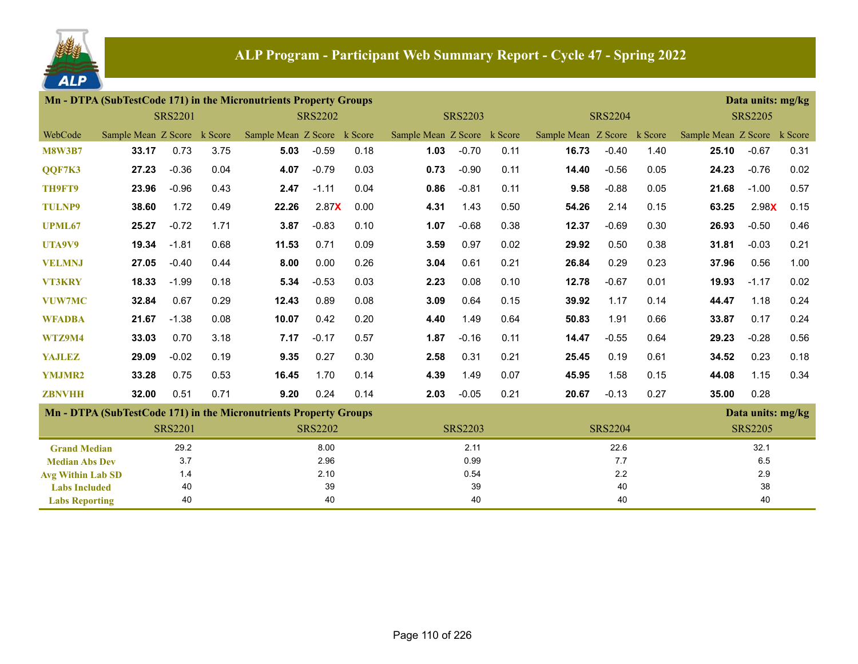

| Mn - DTPA (SubTestCode 171) in the Micronutrients Property Groups |                             |                |      |                                                                   |                |      |                             |                |      |                             |                |      |                             | Data units: mg/kg |      |
|-------------------------------------------------------------------|-----------------------------|----------------|------|-------------------------------------------------------------------|----------------|------|-----------------------------|----------------|------|-----------------------------|----------------|------|-----------------------------|-------------------|------|
|                                                                   |                             | <b>SRS2201</b> |      |                                                                   | <b>SRS2202</b> |      |                             | <b>SRS2203</b> |      |                             | <b>SRS2204</b> |      |                             | <b>SRS2205</b>    |      |
| WebCode                                                           | Sample Mean Z Score k Score |                |      | Sample Mean Z Score k Score                                       |                |      | Sample Mean Z Score k Score |                |      | Sample Mean Z Score k Score |                |      | Sample Mean Z Score k Score |                   |      |
| <b>M8W3B7</b>                                                     | 33.17                       | 0.73           | 3.75 | 5.03                                                              | $-0.59$        | 0.18 | 1.03                        | $-0.70$        | 0.11 | 16.73                       | $-0.40$        | 1.40 | 25.10                       | $-0.67$           | 0.31 |
| OOF7K3                                                            | 27.23                       | $-0.36$        | 0.04 | 4.07                                                              | $-0.79$        | 0.03 | 0.73                        | $-0.90$        | 0.11 | 14.40                       | $-0.56$        | 0.05 | 24.23                       | $-0.76$           | 0.02 |
| TH9FT9                                                            | 23.96                       | $-0.96$        | 0.43 | 2.47                                                              | $-1.11$        | 0.04 | 0.86                        | $-0.81$        | 0.11 | 9.58                        | $-0.88$        | 0.05 | 21.68                       | $-1.00$           | 0.57 |
| <b>TULNP9</b>                                                     | 38.60                       | 1.72           | 0.49 | 22.26                                                             | 2.87X          | 0.00 | 4.31                        | 1.43           | 0.50 | 54.26                       | 2.14           | 0.15 | 63.25                       | 2.98X             | 0.15 |
| UPML67                                                            | 25.27                       | $-0.72$        | 1.71 | 3.87                                                              | $-0.83$        | 0.10 | 1.07                        | $-0.68$        | 0.38 | 12.37                       | $-0.69$        | 0.30 | 26.93                       | $-0.50$           | 0.46 |
| UTA9V9                                                            | 19.34                       | $-1.81$        | 0.68 | 11.53                                                             | 0.71           | 0.09 | 3.59                        | 0.97           | 0.02 | 29.92                       | 0.50           | 0.38 | 31.81                       | $-0.03$           | 0.21 |
| <b>VELMNJ</b>                                                     | 27.05                       | $-0.40$        | 0.44 | 8.00                                                              | 0.00           | 0.26 | 3.04                        | 0.61           | 0.21 | 26.84                       | 0.29           | 0.23 | 37.96                       | 0.56              | 1.00 |
| <b>VT3KRY</b>                                                     | 18.33                       | $-1.99$        | 0.18 | 5.34                                                              | $-0.53$        | 0.03 | 2.23                        | 0.08           | 0.10 | 12.78                       | $-0.67$        | 0.01 | 19.93                       | $-1.17$           | 0.02 |
| <b>VUW7MC</b>                                                     | 32.84                       | 0.67           | 0.29 | 12.43                                                             | 0.89           | 0.08 | 3.09                        | 0.64           | 0.15 | 39.92                       | 1.17           | 0.14 | 44.47                       | 1.18              | 0.24 |
| <b>WFADBA</b>                                                     | 21.67                       | $-1.38$        | 0.08 | 10.07                                                             | 0.42           | 0.20 | 4.40                        | 1.49           | 0.64 | 50.83                       | 1.91           | 0.66 | 33.87                       | 0.17              | 0.24 |
| WTZ9M4                                                            | 33.03                       | 0.70           | 3.18 | 7.17                                                              | $-0.17$        | 0.57 | 1.87                        | $-0.16$        | 0.11 | 14.47                       | $-0.55$        | 0.64 | 29.23                       | $-0.28$           | 0.56 |
| <b>YAJLEZ</b>                                                     | 29.09                       | $-0.02$        | 0.19 | 9.35                                                              | 0.27           | 0.30 | 2.58                        | 0.31           | 0.21 | 25.45                       | 0.19           | 0.61 | 34.52                       | 0.23              | 0.18 |
| <b>YMJMR2</b>                                                     | 33.28                       | 0.75           | 0.53 | 16.45                                                             | 1.70           | 0.14 | 4.39                        | 1.49           | 0.07 | 45.95                       | 1.58           | 0.15 | 44.08                       | 1.15              | 0.34 |
| <b>ZBNVHH</b>                                                     | 32.00                       | 0.51           | 0.71 | 9.20                                                              | 0.24           | 0.14 | 2.03                        | $-0.05$        | 0.21 | 20.67                       | $-0.13$        | 0.27 | 35.00                       | 0.28              |      |
|                                                                   |                             |                |      | Mn - DTPA (SubTestCode 171) in the Micronutrients Property Groups |                |      |                             |                |      |                             |                |      |                             | Data units: mg/kg |      |
|                                                                   |                             | <b>SRS2201</b> |      |                                                                   | <b>SRS2202</b> |      |                             | <b>SRS2203</b> |      |                             | <b>SRS2204</b> |      |                             | <b>SRS2205</b>    |      |
| <b>Grand Median</b>                                               |                             | 29.2           |      |                                                                   | 8.00           |      |                             | 2.11           |      |                             | 22.6           |      |                             | 32.1              |      |
| <b>Median Abs Dev</b>                                             |                             | 3.7            |      |                                                                   | 2.96           |      |                             | 0.99           |      |                             | 7.7            |      |                             | 6.5               |      |
| <b>Avg Within Lab SD</b>                                          |                             | 1.4            |      |                                                                   | 2.10           |      |                             | 0.54           |      |                             | 2.2            |      |                             | 2.9               |      |
| <b>Labs Included</b>                                              |                             | 40             |      |                                                                   | 39             |      |                             | 39             |      |                             | 40             |      |                             | 38                |      |
| <b>Labs Reporting</b>                                             |                             | 40             |      |                                                                   | 40             |      |                             | 40             |      |                             | 40             |      |                             | 40                |      |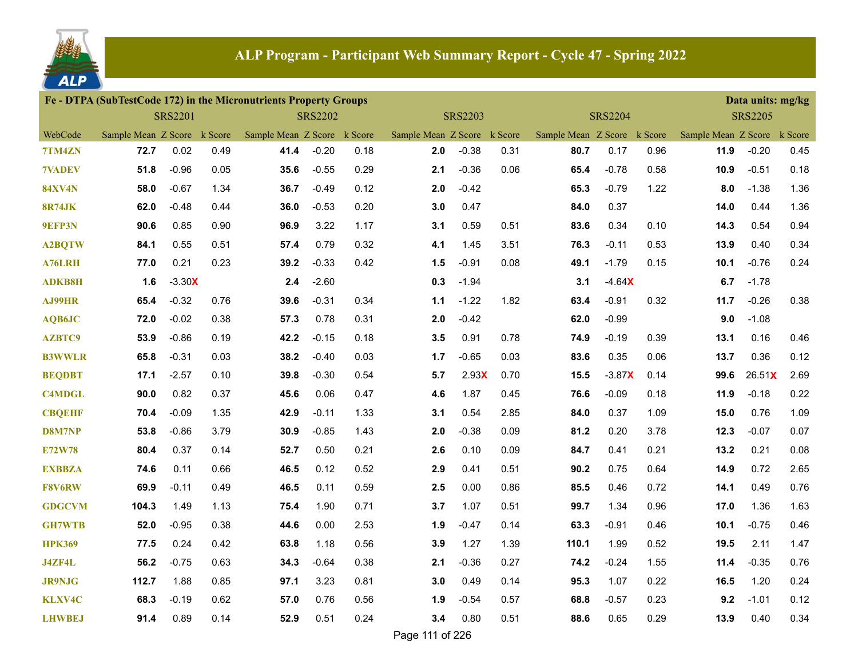

|               | Fe - DTPA (SubTestCode 172) in the Micronutrients Property Groups |                |      |                             |                |      |                             |                |      |                             |                | Data units: mg/kg |                             |                |      |
|---------------|-------------------------------------------------------------------|----------------|------|-----------------------------|----------------|------|-----------------------------|----------------|------|-----------------------------|----------------|-------------------|-----------------------------|----------------|------|
|               |                                                                   | <b>SRS2201</b> |      |                             | <b>SRS2202</b> |      |                             | <b>SRS2203</b> |      |                             | <b>SRS2204</b> |                   |                             | <b>SRS2205</b> |      |
| WebCode       | Sample Mean Z Score k Score                                       |                |      | Sample Mean Z Score k Score |                |      | Sample Mean Z Score k Score |                |      | Sample Mean Z Score k Score |                |                   | Sample Mean Z Score k Score |                |      |
| 7TM4ZN        | 72.7                                                              | 0.02           | 0.49 | 41.4                        | $-0.20$        | 0.18 | 2.0                         | $-0.38$        | 0.31 | 80.7                        | 0.17           | 0.96              | 11.9                        | $-0.20$        | 0.45 |
| <b>7VADEV</b> | 51.8                                                              | $-0.96$        | 0.05 | 35.6                        | $-0.55$        | 0.29 | 2.1                         | $-0.36$        | 0.06 | 65.4                        | $-0.78$        | 0.58              | 10.9                        | $-0.51$        | 0.18 |
| <b>84XV4N</b> | 58.0                                                              | $-0.67$        | 1.34 | 36.7                        | $-0.49$        | 0.12 | 2.0                         | $-0.42$        |      | 65.3                        | $-0.79$        | 1.22              | 8.0                         | $-1.38$        | 1.36 |
| <b>8R74JK</b> | 62.0                                                              | $-0.48$        | 0.44 | 36.0                        | $-0.53$        | 0.20 | 3.0                         | 0.47           |      | 84.0                        | 0.37           |                   | 14.0                        | 0.44           | 1.36 |
| 9EFP3N        | 90.6                                                              | 0.85           | 0.90 | 96.9                        | 3.22           | 1.17 | 3.1                         | 0.59           | 0.51 | 83.6                        | 0.34           | 0.10              | 14.3                        | 0.54           | 0.94 |
| <b>A2BQTW</b> | 84.1                                                              | 0.55           | 0.51 | 57.4                        | 0.79           | 0.32 | 4.1                         | 1.45           | 3.51 | 76.3                        | $-0.11$        | 0.53              | 13.9                        | 0.40           | 0.34 |
| A76LRH        | 77.0                                                              | 0.21           | 0.23 | 39.2                        | $-0.33$        | 0.42 | 1.5                         | $-0.91$        | 0.08 | 49.1                        | $-1.79$        | 0.15              | 10.1                        | $-0.76$        | 0.24 |
| <b>ADKB8H</b> | 1.6                                                               | $-3.30X$       |      | 2.4                         | $-2.60$        |      | 0.3                         | $-1.94$        |      | 3.1                         | $-4.64X$       |                   | 6.7                         | $-1.78$        |      |
| AJ99HR        | 65.4                                                              | $-0.32$        | 0.76 | 39.6                        | $-0.31$        | 0.34 | 1.1                         | $-1.22$        | 1.82 | 63.4                        | $-0.91$        | 0.32              | 11.7                        | $-0.26$        | 0.38 |
| <b>AQB6JC</b> | 72.0                                                              | $-0.02$        | 0.38 | 57.3                        | 0.78           | 0.31 | 2.0                         | $-0.42$        |      | 62.0                        | $-0.99$        |                   | 9.0                         | $-1.08$        |      |
| <b>AZBTC9</b> | 53.9                                                              | $-0.86$        | 0.19 | 42.2                        | $-0.15$        | 0.18 | 3.5                         | 0.91           | 0.78 | 74.9                        | $-0.19$        | 0.39              | 13.1                        | 0.16           | 0.46 |
| <b>B3WWLR</b> | 65.8                                                              | $-0.31$        | 0.03 | 38.2                        | $-0.40$        | 0.03 | 1.7                         | $-0.65$        | 0.03 | 83.6                        | 0.35           | 0.06              | 13.7                        | 0.36           | 0.12 |
| <b>BEQDBT</b> | 17.1                                                              | $-2.57$        | 0.10 | 39.8                        | $-0.30$        | 0.54 | 5.7                         | 2.93X          | 0.70 | 15.5                        | $-3.87X$       | 0.14              | 99.6                        | 26.51X         | 2.69 |
| <b>C4MDGL</b> | 90.0                                                              | 0.82           | 0.37 | 45.6                        | 0.06           | 0.47 | 4.6                         | 1.87           | 0.45 | 76.6                        | $-0.09$        | 0.18              | 11.9                        | $-0.18$        | 0.22 |
| <b>CBOEHF</b> | 70.4                                                              | $-0.09$        | 1.35 | 42.9                        | $-0.11$        | 1.33 | 3.1                         | 0.54           | 2.85 | 84.0                        | 0.37           | 1.09              | 15.0                        | 0.76           | 1.09 |
| D8M7NP        | 53.8                                                              | $-0.86$        | 3.79 | 30.9                        | $-0.85$        | 1.43 | 2.0                         | $-0.38$        | 0.09 | 81.2                        | 0.20           | 3.78              | 12.3                        | $-0.07$        | 0.07 |
| E72W78        | 80.4                                                              | 0.37           | 0.14 | 52.7                        | 0.50           | 0.21 | 2.6                         | 0.10           | 0.09 | 84.7                        | 0.41           | 0.21              | 13.2                        | 0.21           | 0.08 |
| <b>EXBBZA</b> | 74.6                                                              | 0.11           | 0.66 | 46.5                        | 0.12           | 0.52 | 2.9                         | 0.41           | 0.51 | 90.2                        | 0.75           | 0.64              | 14.9                        | 0.72           | 2.65 |
| F8V6RW        | 69.9                                                              | $-0.11$        | 0.49 | 46.5                        | 0.11           | 0.59 | 2.5                         | 0.00           | 0.86 | 85.5                        | 0.46           | 0.72              | 14.1                        | 0.49           | 0.76 |
| <b>GDGCVM</b> | 104.3                                                             | 1.49           | 1.13 | 75.4                        | 1.90           | 0.71 | 3.7                         | 1.07           | 0.51 | 99.7                        | 1.34           | 0.96              | 17.0                        | 1.36           | 1.63 |
| <b>GH7WTB</b> | 52.0                                                              | $-0.95$        | 0.38 | 44.6                        | 0.00           | 2.53 | 1.9                         | $-0.47$        | 0.14 | 63.3                        | $-0.91$        | 0.46              | 10.1                        | $-0.75$        | 0.46 |
| <b>HPK369</b> | 77.5                                                              | 0.24           | 0.42 | 63.8                        | 1.18           | 0.56 | 3.9                         | 1.27           | 1.39 | 110.1                       | 1.99           | 0.52              | 19.5                        | 2.11           | 1.47 |
| <b>J4ZF4L</b> | 56.2                                                              | $-0.75$        | 0.63 | 34.3                        | $-0.64$        | 0.38 | 2.1                         | $-0.36$        | 0.27 | 74.2                        | $-0.24$        | 1.55              | 11.4                        | $-0.35$        | 0.76 |
| <b>JR9NJG</b> | 112.7                                                             | 1.88           | 0.85 | 97.1                        | 3.23           | 0.81 | 3.0                         | 0.49           | 0.14 | 95.3                        | 1.07           | 0.22              | 16.5                        | 1.20           | 0.24 |
| <b>KLXV4C</b> | 68.3                                                              | $-0.19$        | 0.62 | 57.0                        | 0.76           | 0.56 | 1.9                         | $-0.54$        | 0.57 | 68.8                        | $-0.57$        | 0.23              | 9.2                         | $-1.01$        | 0.12 |
| <b>LHWBEJ</b> | 91.4                                                              | 0.89           | 0.14 | 52.9                        | 0.51           | 0.24 | 3.4                         | 0.80           | 0.51 | 88.6                        | 0.65           | 0.29              | 13.9                        | 0.40           | 0.34 |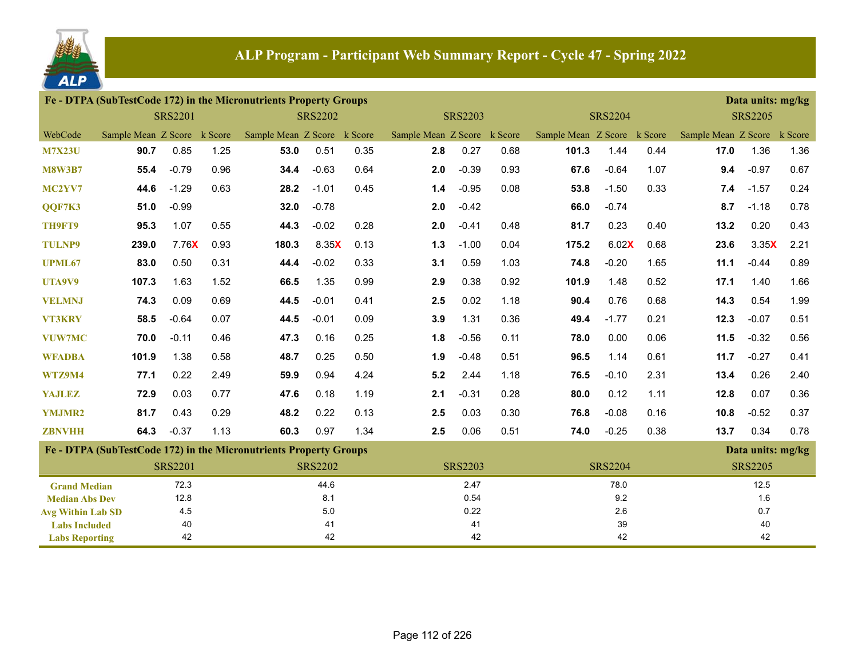

|                          |                             |                |      | Fe - DTPA (SubTestCode 172) in the Micronutrients Property Groups |                |      |                             |                |      |                             |                |      |                             | Data units: mg/kg |      |
|--------------------------|-----------------------------|----------------|------|-------------------------------------------------------------------|----------------|------|-----------------------------|----------------|------|-----------------------------|----------------|------|-----------------------------|-------------------|------|
|                          |                             | <b>SRS2201</b> |      |                                                                   | <b>SRS2202</b> |      |                             | <b>SRS2203</b> |      |                             | <b>SRS2204</b> |      |                             | <b>SRS2205</b>    |      |
| WebCode                  | Sample Mean Z Score k Score |                |      | Sample Mean Z Score k Score                                       |                |      | Sample Mean Z Score k Score |                |      | Sample Mean Z Score k Score |                |      | Sample Mean Z Score k Score |                   |      |
| <b>M7X23U</b>            | 90.7                        | 0.85           | 1.25 | 53.0                                                              | 0.51           | 0.35 | 2.8                         | 0.27           | 0.68 | 101.3                       | 1.44           | 0.44 | 17.0                        | 1.36              | 1.36 |
| <b>M8W3B7</b>            | 55.4                        | $-0.79$        | 0.96 | 34.4                                                              | $-0.63$        | 0.64 | 2.0                         | $-0.39$        | 0.93 | 67.6                        | $-0.64$        | 1.07 | 9.4                         | $-0.97$           | 0.67 |
| MC2YV7                   | 44.6                        | $-1.29$        | 0.63 | 28.2                                                              | $-1.01$        | 0.45 | 1.4                         | $-0.95$        | 0.08 | 53.8                        | $-1.50$        | 0.33 | 7.4                         | $-1.57$           | 0.24 |
| QQF7K3                   | 51.0                        | $-0.99$        |      | 32.0                                                              | $-0.78$        |      | 2.0                         | $-0.42$        |      | 66.0                        | $-0.74$        |      | 8.7                         | $-1.18$           | 0.78 |
| <b>TH9FT9</b>            | 95.3                        | 1.07           | 0.55 | 44.3                                                              | $-0.02$        | 0.28 | 2.0                         | $-0.41$        | 0.48 | 81.7                        | 0.23           | 0.40 | 13.2                        | 0.20              | 0.43 |
| <b>TULNP9</b>            | 239.0                       | 7.76X          | 0.93 | 180.3                                                             | 8.35X          | 0.13 | 1.3                         | $-1.00$        | 0.04 | 175.2                       | 6.02X          | 0.68 | 23.6                        | 3.35 <sub>X</sub> | 2.21 |
| UPML67                   | 83.0                        | 0.50           | 0.31 | 44.4                                                              | $-0.02$        | 0.33 | 3.1                         | 0.59           | 1.03 | 74.8                        | $-0.20$        | 1.65 | 11.1                        | $-0.44$           | 0.89 |
| UTA9V9                   | 107.3                       | 1.63           | 1.52 | 66.5                                                              | 1.35           | 0.99 | 2.9                         | 0.38           | 0.92 | 101.9                       | 1.48           | 0.52 | 17.1                        | 1.40              | 1.66 |
| <b>VELMNJ</b>            | 74.3                        | 0.09           | 0.69 | 44.5                                                              | $-0.01$        | 0.41 | 2.5                         | 0.02           | 1.18 | 90.4                        | 0.76           | 0.68 | 14.3                        | 0.54              | 1.99 |
| <b>VT3KRY</b>            | 58.5                        | $-0.64$        | 0.07 | 44.5                                                              | $-0.01$        | 0.09 | 3.9                         | 1.31           | 0.36 | 49.4                        | $-1.77$        | 0.21 | 12.3                        | $-0.07$           | 0.51 |
| <b>VUW7MC</b>            | 70.0                        | $-0.11$        | 0.46 | 47.3                                                              | 0.16           | 0.25 | 1.8                         | $-0.56$        | 0.11 | 78.0                        | 0.00           | 0.06 | 11.5                        | $-0.32$           | 0.56 |
| <b>WFADBA</b>            | 101.9                       | 1.38           | 0.58 | 48.7                                                              | 0.25           | 0.50 | 1.9                         | $-0.48$        | 0.51 | 96.5                        | 1.14           | 0.61 | 11.7                        | $-0.27$           | 0.41 |
| WTZ9M4                   | 77.1                        | 0.22           | 2.49 | 59.9                                                              | 0.94           | 4.24 | 5.2                         | 2.44           | 1.18 | 76.5                        | $-0.10$        | 2.31 | 13.4                        | 0.26              | 2.40 |
| <b>YAJLEZ</b>            | 72.9                        | 0.03           | 0.77 | 47.6                                                              | 0.18           | 1.19 | 2.1                         | $-0.31$        | 0.28 | 80.0                        | 0.12           | 1.11 | 12.8                        | 0.07              | 0.36 |
| <b>YMJMR2</b>            | 81.7                        | 0.43           | 0.29 | 48.2                                                              | 0.22           | 0.13 | 2.5                         | 0.03           | 0.30 | 76.8                        | $-0.08$        | 0.16 | 10.8                        | $-0.52$           | 0.37 |
| <b>ZBNVHH</b>            | 64.3                        | $-0.37$        | 1.13 | 60.3                                                              | 0.97           | 1.34 | 2.5                         | 0.06           | 0.51 | 74.0                        | $-0.25$        | 0.38 | 13.7                        | 0.34              | 0.78 |
|                          |                             |                |      | Fe - DTPA (SubTestCode 172) in the Micronutrients Property Groups |                |      |                             |                |      |                             |                |      |                             | Data units: mg/kg |      |
|                          |                             | <b>SRS2201</b> |      |                                                                   | <b>SRS2202</b> |      |                             | <b>SRS2203</b> |      |                             | <b>SRS2204</b> |      |                             | <b>SRS2205</b>    |      |
| <b>Grand Median</b>      |                             | 72.3           |      |                                                                   | 44.6           |      |                             | 2.47           |      |                             | 78.0           |      |                             | 12.5              |      |
| <b>Median Abs Dev</b>    |                             | 12.8           |      |                                                                   | 8.1            |      |                             | 0.54           |      |                             | 9.2            |      |                             | 1.6               |      |
| <b>Avg Within Lab SD</b> |                             | 4.5            |      |                                                                   | 5.0            |      |                             | 0.22           |      |                             | 2.6            |      |                             | 0.7               |      |
| <b>Labs Included</b>     |                             | 40             |      |                                                                   | 41             |      |                             | 41             |      |                             | 39             |      |                             | 40                |      |
| <b>Labs Reporting</b>    |                             | 42             |      |                                                                   | 42             |      |                             | 42             |      |                             | 42             |      |                             | 42                |      |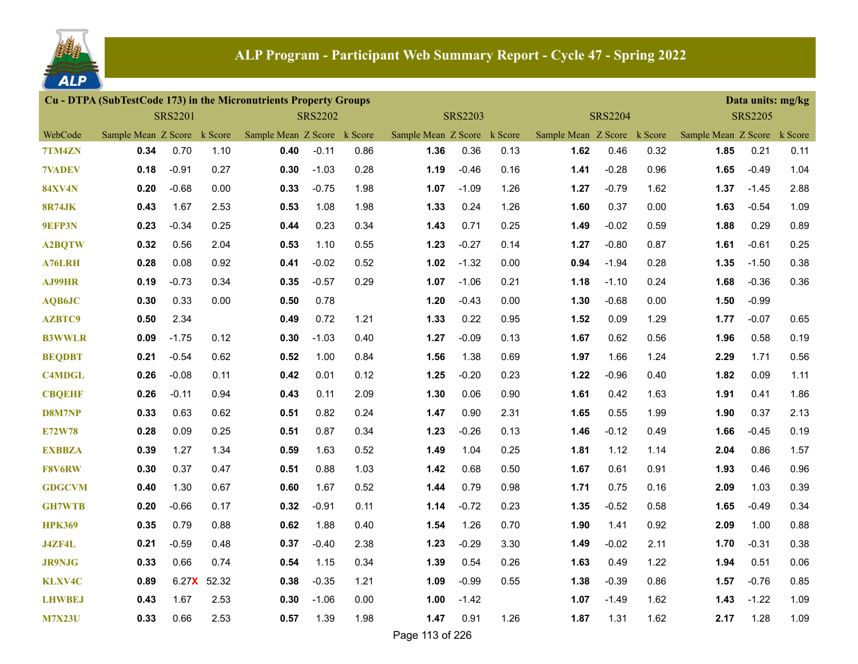

|               |                             |                |       | Cu - DTPA (SubTestCode 173) in the Micronutrients Property Groups |                |      |                             |                |      |                             |                |      |                             | Data units: mg/kg |      |
|---------------|-----------------------------|----------------|-------|-------------------------------------------------------------------|----------------|------|-----------------------------|----------------|------|-----------------------------|----------------|------|-----------------------------|-------------------|------|
|               |                             | <b>SRS2201</b> |       |                                                                   | <b>SRS2202</b> |      |                             | <b>SRS2203</b> |      |                             | <b>SRS2204</b> |      |                             | <b>SRS2205</b>    |      |
| WebCode       | Sample Mean Z Score k Score |                |       | Sample Mean Z Score k Score                                       |                |      | Sample Mean Z Score k Score |                |      | Sample Mean Z Score k Score |                |      | Sample Mean Z Score k Score |                   |      |
| 7TM4ZN        | 0.34                        | 0.70           | 1.10  | 0.40                                                              | $-0.11$        | 0.86 | 1.36                        | 0.36           | 0.13 | 1.62                        | 0.46           | 0.32 | 1.85                        | 0.21              | 0.11 |
| <b>7VADEV</b> | 0.18                        | $-0.91$        | 0.27  | 0.30                                                              | $-1.03$        | 0.28 | 1.19                        | $-0.46$        | 0.16 | 1.41                        | $-0.28$        | 0.96 | 1.65                        | $-0.49$           | 1.04 |
| <b>84XV4N</b> | 0.20                        | $-0.68$        | 0.00  | 0.33                                                              | $-0.75$        | 1.98 | 1.07                        | $-1.09$        | 1.26 | 1.27                        | $-0.79$        | 1.62 | 1.37                        | $-1.45$           | 2.88 |
| <b>8R74JK</b> | 0.43                        | 1.67           | 2.53  | 0.53                                                              | 1.08           | 1.98 | 1.33                        | 0.24           | 1.26 | 1.60                        | 0.37           | 0.00 | 1.63                        | $-0.54$           | 1.09 |
| 9EFP3N        | 0.23                        | $-0.34$        | 0.25  | 0.44                                                              | 0.23           | 0.34 | 1.43                        | 0.71           | 0.25 | 1.49                        | $-0.02$        | 0.59 | 1.88                        | 0.29              | 0.89 |
| <b>A2BQTW</b> | 0.32                        | 0.56           | 2.04  | 0.53                                                              | 1.10           | 0.55 | 1.23                        | $-0.27$        | 0.14 | 1.27                        | $-0.80$        | 0.87 | 1.61                        | $-0.61$           | 0.25 |
| A76LRH        | 0.28                        | 0.08           | 0.92  | 0.41                                                              | $-0.02$        | 0.52 | 1.02                        | $-1.32$        | 0.00 | 0.94                        | $-1.94$        | 0.28 | 1.35                        | $-1.50$           | 0.38 |
| AJ99HR        | 0.19                        | $-0.73$        | 0.34  | 0.35                                                              | $-0.57$        | 0.29 | 1.07                        | $-1.06$        | 0.21 | 1.18                        | $-1.10$        | 0.24 | 1.68                        | $-0.36$           | 0.36 |
| <b>AQB6JC</b> | 0.30                        | 0.33           | 0.00  | 0.50                                                              | 0.78           |      | 1.20                        | $-0.43$        | 0.00 | 1.30                        | $-0.68$        | 0.00 | 1.50                        | $-0.99$           |      |
| <b>AZBTC9</b> | 0.50                        | 2.34           |       | 0.49                                                              | 0.72           | 1.21 | 1.33                        | 0.22           | 0.95 | 1.52                        | 0.09           | 1.29 | 1.77                        | $-0.07$           | 0.65 |
| <b>B3WWLR</b> | 0.09                        | $-1.75$        | 0.12  | 0.30                                                              | $-1.03$        | 0.40 | 1.27                        | $-0.09$        | 0.13 | 1.67                        | 0.62           | 0.56 | 1.96                        | 0.58              | 0.19 |
| <b>BEQDBT</b> | 0.21                        | $-0.54$        | 0.62  | 0.52                                                              | 1.00           | 0.84 | 1.56                        | 1.38           | 0.69 | 1.97                        | 1.66           | 1.24 | 2.29                        | 1.71              | 0.56 |
| <b>C4MDGL</b> | 0.26                        | $-0.08$        | 0.11  | 0.42                                                              | 0.01           | 0.12 | 1.25                        | $-0.20$        | 0.23 | 1.22                        | $-0.96$        | 0.40 | 1.82                        | 0.09              | 1.11 |
| <b>CBQEHF</b> | 0.26                        | $-0.11$        | 0.94  | 0.43                                                              | 0.11           | 2.09 | 1.30                        | 0.06           | 0.90 | 1.61                        | 0.42           | 1.63 | 1.91                        | 0.41              | 1.86 |
| D8M7NP        | 0.33                        | 0.63           | 0.62  | 0.51                                                              | 0.82           | 0.24 | 1.47                        | 0.90           | 2.31 | 1.65                        | 0.55           | 1.99 | 1.90                        | 0.37              | 2.13 |
| E72W78        | 0.28                        | 0.09           | 0.25  | 0.51                                                              | 0.87           | 0.34 | 1.23                        | $-0.26$        | 0.13 | 1.46                        | $-0.12$        | 0.49 | 1.66                        | $-0.45$           | 0.19 |
| <b>EXBBZA</b> | 0.39                        | 1.27           | 1.34  | 0.59                                                              | 1.63           | 0.52 | 1.49                        | 1.04           | 0.25 | 1.81                        | 1.12           | 1.14 | 2.04                        | 0.86              | 1.57 |
| <b>F8V6RW</b> | 0.30                        | 0.37           | 0.47  | 0.51                                                              | 0.88           | 1.03 | 1.42                        | 0.68           | 0.50 | 1.67                        | 0.61           | 0.91 | 1.93                        | 0.46              | 0.96 |
| <b>GDGCVM</b> | 0.40                        | 1.30           | 0.67  | 0.60                                                              | 1.67           | 0.52 | 1.44                        | 0.79           | 0.98 | 1.71                        | 0.75           | 0.16 | 2.09                        | 1.03              | 0.39 |
| <b>GH7WTB</b> | 0.20                        | $-0.66$        | 0.17  | 0.32                                                              | $-0.91$        | 0.11 | 1.14                        | $-0.72$        | 0.23 | 1.35                        | $-0.52$        | 0.58 | 1.65                        | $-0.49$           | 0.34 |
| <b>HPK369</b> | 0.35                        | 0.79           | 0.88  | 0.62                                                              | 1.88           | 0.40 | 1.54                        | 1.26           | 0.70 | 1.90                        | 1.41           | 0.92 | 2.09                        | 1.00              | 0.88 |
| <b>J4ZF4L</b> | 0.21                        | $-0.59$        | 0.48  | 0.37                                                              | $-0.40$        | 2.38 | 1.23                        | $-0.29$        | 3.30 | 1.49                        | $-0.02$        | 2.11 | 1.70                        | $-0.31$           | 0.38 |
| <b>JR9NJG</b> | 0.33                        | 0.66           | 0.74  | 0.54                                                              | 1.15           | 0.34 | 1.39                        | 0.54           | 0.26 | 1.63                        | 0.49           | 1.22 | 1.94                        | 0.51              | 0.06 |
| <b>KLXV4C</b> | 0.89                        | 6.27X          | 52.32 | 0.38                                                              | $-0.35$        | 1.21 | 1.09                        | $-0.99$        | 0.55 | 1.38                        | $-0.39$        | 0.86 | 1.57                        | $-0.76$           | 0.85 |
| <b>LHWBEJ</b> | 0.43                        | 1.67           | 2.53  | 0.30                                                              | $-1.06$        | 0.00 | 1.00                        | $-1.42$        |      | 1.07                        | $-1.49$        | 1.62 | 1.43                        | $-1.22$           | 1.09 |
| <b>M7X23U</b> | 0.33                        | 0.66           | 2.53  | 0.57                                                              | 1.39           | 1.98 | 1.47                        | 0.91           | 1.26 | 1.87                        | 1.31           | 1.62 | 2.17                        | 1.28              | 1.09 |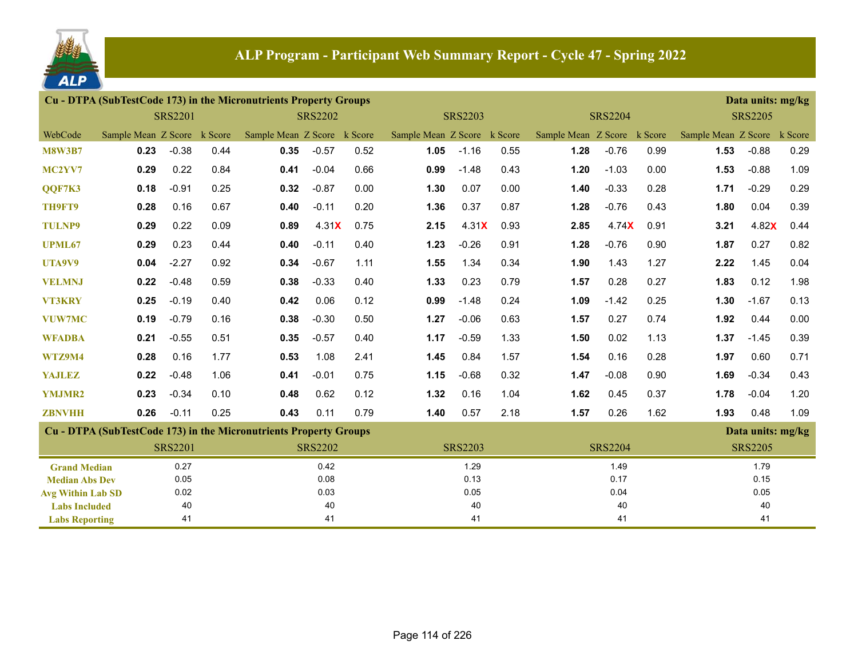

|                          |                             |                |      | Cu - DTPA (SubTestCode 173) in the Micronutrients Property Groups |                |      |                             |                |      |                             |                |      |                             | Data units: mg/kg |      |
|--------------------------|-----------------------------|----------------|------|-------------------------------------------------------------------|----------------|------|-----------------------------|----------------|------|-----------------------------|----------------|------|-----------------------------|-------------------|------|
|                          |                             | <b>SRS2201</b> |      |                                                                   | <b>SRS2202</b> |      |                             | <b>SRS2203</b> |      |                             | <b>SRS2204</b> |      |                             | <b>SRS2205</b>    |      |
| WebCode                  | Sample Mean Z Score k Score |                |      | Sample Mean Z Score k Score                                       |                |      | Sample Mean Z Score k Score |                |      | Sample Mean Z Score k Score |                |      | Sample Mean Z Score k Score |                   |      |
| <b>M8W3B7</b>            | 0.23                        | $-0.38$        | 0.44 | 0.35                                                              | $-0.57$        | 0.52 | 1.05                        | $-1.16$        | 0.55 | 1.28                        | $-0.76$        | 0.99 | 1.53                        | $-0.88$           | 0.29 |
| MC2YV7                   | 0.29                        | 0.22           | 0.84 | 0.41                                                              | $-0.04$        | 0.66 | 0.99                        | $-1.48$        | 0.43 | 1.20                        | $-1.03$        | 0.00 | 1.53                        | $-0.88$           | 1.09 |
| OOF7K3                   | 0.18                        | $-0.91$        | 0.25 | 0.32                                                              | $-0.87$        | 0.00 | 1.30                        | 0.07           | 0.00 | 1.40                        | $-0.33$        | 0.28 | 1.71                        | $-0.29$           | 0.29 |
| TH9FT9                   | 0.28                        | 0.16           | 0.67 | 0.40                                                              | $-0.11$        | 0.20 | 1.36                        | 0.37           | 0.87 | 1.28                        | $-0.76$        | 0.43 | 1.80                        | 0.04              | 0.39 |
| <b>TULNP9</b>            | 0.29                        | 0.22           | 0.09 | 0.89                                                              | 4.31X          | 0.75 | 2.15                        | 4.31X          | 0.93 | 2.85                        | 4.74X          | 0.91 | 3.21                        | 4.82X             | 0.44 |
| UPML67                   | 0.29                        | 0.23           | 0.44 | 0.40                                                              | $-0.11$        | 0.40 | 1.23                        | $-0.26$        | 0.91 | 1.28                        | $-0.76$        | 0.90 | 1.87                        | 0.27              | 0.82 |
| UTA9V9                   | 0.04                        | $-2.27$        | 0.92 | 0.34                                                              | $-0.67$        | 1.11 | 1.55                        | 1.34           | 0.34 | 1.90                        | 1.43           | 1.27 | 2.22                        | 1.45              | 0.04 |
| <b>VELMNJ</b>            | 0.22                        | $-0.48$        | 0.59 | 0.38                                                              | $-0.33$        | 0.40 | 1.33                        | 0.23           | 0.79 | 1.57                        | 0.28           | 0.27 | 1.83                        | 0.12              | 1.98 |
| VT3KRY                   | 0.25                        | $-0.19$        | 0.40 | 0.42                                                              | 0.06           | 0.12 | 0.99                        | $-1.48$        | 0.24 | 1.09                        | $-1.42$        | 0.25 | 1.30                        | $-1.67$           | 0.13 |
| <b>VUW7MC</b>            | 0.19                        | $-0.79$        | 0.16 | 0.38                                                              | $-0.30$        | 0.50 | 1.27                        | $-0.06$        | 0.63 | 1.57                        | 0.27           | 0.74 | 1.92                        | 0.44              | 0.00 |
| <b>WFADBA</b>            | 0.21                        | $-0.55$        | 0.51 | 0.35                                                              | $-0.57$        | 0.40 | 1.17                        | $-0.59$        | 1.33 | 1.50                        | 0.02           | 1.13 | 1.37                        | $-1.45$           | 0.39 |
| WTZ9M4                   | 0.28                        | 0.16           | 1.77 | 0.53                                                              | 1.08           | 2.41 | 1.45                        | 0.84           | 1.57 | 1.54                        | 0.16           | 0.28 | 1.97                        | 0.60              | 0.71 |
| <b>YAJLEZ</b>            | 0.22                        | $-0.48$        | 1.06 | 0.41                                                              | $-0.01$        | 0.75 | 1.15                        | $-0.68$        | 0.32 | 1.47                        | $-0.08$        | 0.90 | 1.69                        | $-0.34$           | 0.43 |
| YMJMR2                   | 0.23                        | $-0.34$        | 0.10 | 0.48                                                              | 0.62           | 0.12 | 1.32                        | 0.16           | 1.04 | 1.62                        | 0.45           | 0.37 | 1.78                        | $-0.04$           | 1.20 |
| <b>ZBNVHH</b>            | 0.26                        | $-0.11$        | 0.25 | 0.43                                                              | 0.11           | 0.79 | 1.40                        | 0.57           | 2.18 | 1.57                        | 0.26           | 1.62 | 1.93                        | 0.48              | 1.09 |
|                          |                             |                |      | Cu - DTPA (SubTestCode 173) in the Micronutrients Property Groups |                |      |                             |                |      |                             |                |      |                             | Data units: mg/kg |      |
|                          |                             | <b>SRS2201</b> |      |                                                                   | <b>SRS2202</b> |      |                             | <b>SRS2203</b> |      |                             | <b>SRS2204</b> |      |                             | <b>SRS2205</b>    |      |
| <b>Grand Median</b>      |                             | 0.27           |      |                                                                   | 0.42           |      |                             | 1.29           |      |                             | 1.49           |      |                             | 1.79              |      |
| <b>Median Abs Dev</b>    |                             | 0.05           |      |                                                                   | 0.08           |      |                             | 0.13           |      |                             | 0.17           |      |                             | 0.15              |      |
| <b>Avg Within Lab SD</b> |                             | 0.02           |      |                                                                   | 0.03           |      |                             | 0.05           |      |                             | 0.04           |      |                             | 0.05              |      |
| <b>Labs Included</b>     |                             | 40             |      |                                                                   | 40             |      |                             | 40             |      |                             | 40             |      |                             | 40                |      |
| <b>Labs Reporting</b>    |                             | 41             |      |                                                                   | 41             |      |                             | 41             |      |                             | 41             |      |                             | 41                |      |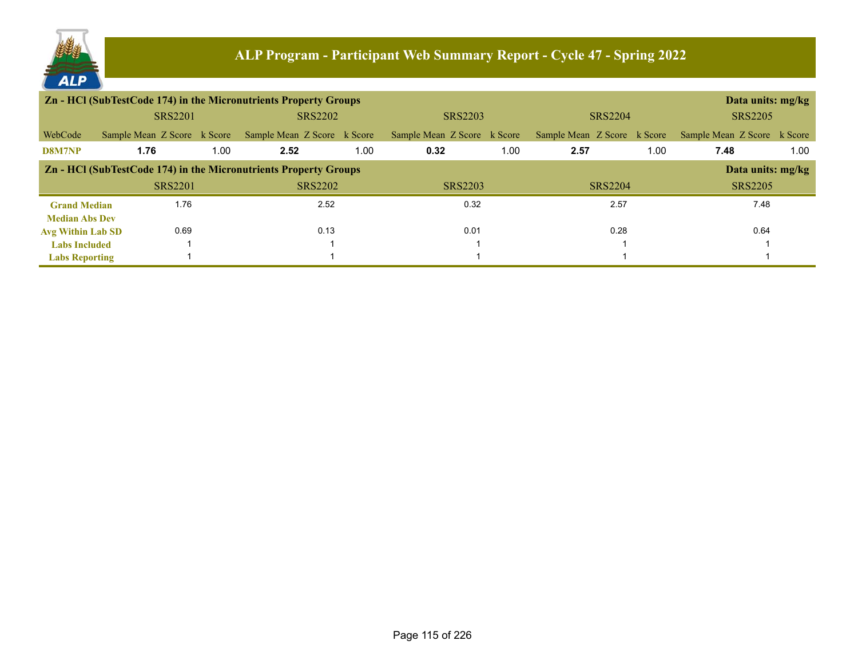

|                       |                                                                                         |                   | Zn - HCl (SubTestCode 174) in the Micronutrients Property Groups |      |                             |      |                             |      | Data units: mg/kg           |                   |
|-----------------------|-----------------------------------------------------------------------------------------|-------------------|------------------------------------------------------------------|------|-----------------------------|------|-----------------------------|------|-----------------------------|-------------------|
|                       | SRS2201                                                                                 |                   | <b>SRS2202</b>                                                   |      | SRS2203                     |      | <b>SRS2204</b>              |      | SRS2205                     |                   |
| WebCode               | Sample Mean Z Score k Score                                                             |                   | Sample Mean Z Score k Score                                      |      | Sample Mean Z Score k Score |      | Sample Mean Z Score k Score |      | Sample Mean Z Score k Score |                   |
| D8M7NP                | 1.76<br>1.00<br><b>Zn - HCl (SubTestCode 174) in the Micronutrients Property Groups</b> |                   | 2.52                                                             | 1.00 | 0.32                        | 1.00 | 2.57                        | 1.00 | 7.48                        | 1.00 <sub>1</sub> |
|                       |                                                                                         | Data units: mg/kg |                                                                  |      |                             |      |                             |      |                             |                   |
|                       | <b>SRS2201</b>                                                                          |                   | <b>SRS2202</b>                                                   |      | SRS2203                     |      | SRS2204                     |      | SRS2205                     |                   |
|                       | 1.76<br><b>Grand Median</b>                                                             |                   | 2.52                                                             |      | 0.32                        |      | 2.57                        |      | 7.48                        |                   |
| <b>Median Abs Dev</b> |                                                                                         |                   |                                                                  |      |                             |      |                             |      |                             |                   |
| Avg Within Lab SD     | 0.69                                                                                    |                   | 0.13                                                             |      | 0.01                        |      | 0.28                        |      | 0.64                        |                   |
| <b>Labs Included</b>  |                                                                                         |                   |                                                                  |      |                             |      |                             |      |                             |                   |
| <b>Labs Reporting</b> |                                                                                         |                   |                                                                  |      |                             |      |                             |      |                             |                   |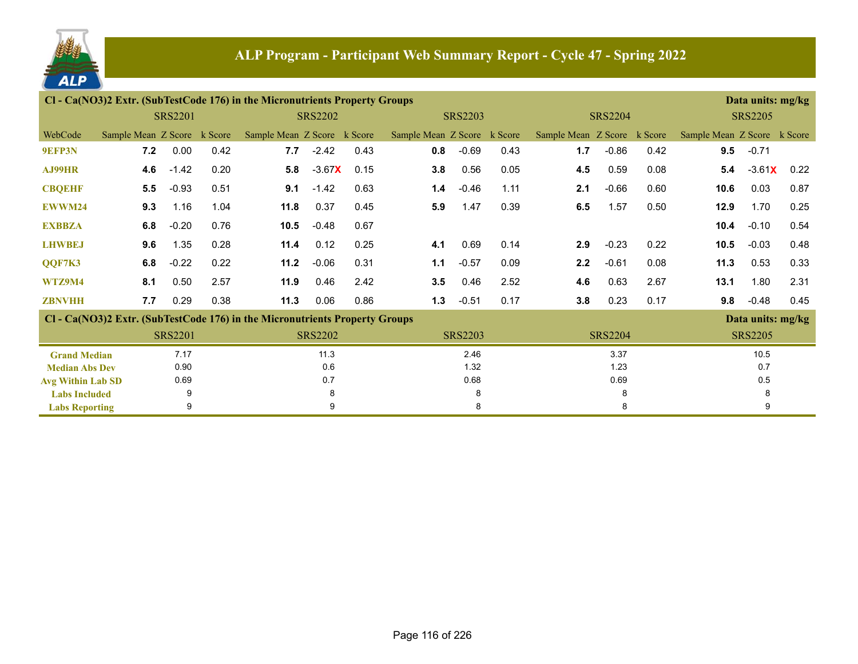

| CI - Ca(NO3)2 Extr. (SubTestCode 176) in the Micronutrients Property Groups<br>Data units: mg/kg |                             |                |      |                                                                             |                |      |                             |                |      |                             |                |      |                             |                   |      |
|--------------------------------------------------------------------------------------------------|-----------------------------|----------------|------|-----------------------------------------------------------------------------|----------------|------|-----------------------------|----------------|------|-----------------------------|----------------|------|-----------------------------|-------------------|------|
|                                                                                                  |                             | <b>SRS2201</b> |      |                                                                             | <b>SRS2202</b> |      |                             | <b>SRS2203</b> |      |                             | <b>SRS2204</b> |      |                             | <b>SRS2205</b>    |      |
| WebCode                                                                                          | Sample Mean Z Score k Score |                |      | Sample Mean Z Score k Score                                                 |                |      | Sample Mean Z Score k Score |                |      | Sample Mean Z Score k Score |                |      | Sample Mean Z Score k Score |                   |      |
| 9EFP3N                                                                                           | 7.2                         | 0.00           | 0.42 | 7.7                                                                         | $-2.42$        | 0.43 | 0.8                         | $-0.69$        | 0.43 | 1.7                         | $-0.86$        | 0.42 | 9.5                         | $-0.71$           |      |
| AJ99HR                                                                                           | 4.6                         | $-1.42$        | 0.20 | 5.8                                                                         | $-3.67X$       | 0.15 | 3.8                         | 0.56           | 0.05 | 4.5                         | 0.59           | 0.08 | 5.4                         | $-3.61X$          | 0.22 |
| <b>CBQEHF</b>                                                                                    | 5.5                         | $-0.93$        | 0.51 | 9.1                                                                         | $-1.42$        | 0.63 | 1.4                         | $-0.46$        | 1.11 | 2.1                         | $-0.66$        | 0.60 | 10.6                        | 0.03              | 0.87 |
| EWWM24                                                                                           | 9.3                         | 1.16           | 1.04 | 11.8                                                                        | 0.37           | 0.45 | 5.9                         | 1.47           | 0.39 | 6.5                         | 1.57           | 0.50 | 12.9                        | 1.70              | 0.25 |
| <b>EXBBZA</b>                                                                                    | 6.8                         | $-0.20$        | 0.76 | 10.5                                                                        | $-0.48$        | 0.67 |                             |                |      |                             |                |      | 10.4                        | $-0.10$           | 0.54 |
| <b>LHWBEJ</b>                                                                                    | 9.6                         | 1.35           | 0.28 | 11.4                                                                        | 0.12           | 0.25 | 4.1                         | 0.69           | 0.14 | 2.9                         | $-0.23$        | 0.22 | 10.5                        | $-0.03$           | 0.48 |
| QQF7K3                                                                                           | 6.8                         | $-0.22$        | 0.22 | 11.2                                                                        | $-0.06$        | 0.31 | 1.1                         | $-0.57$        | 0.09 | 2.2                         | $-0.61$        | 0.08 | 11.3                        | 0.53              | 0.33 |
| WTZ9M4                                                                                           | 8.1                         | 0.50           | 2.57 | 11.9                                                                        | 0.46           | 2.42 | 3.5                         | 0.46           | 2.52 | 4.6                         | 0.63           | 2.67 | 13.1                        | 1.80              | 2.31 |
| <b>ZBNVHH</b>                                                                                    | 7.7                         | 0.29           | 0.38 | 11.3                                                                        | 0.06           | 0.86 | 1.3                         | $-0.51$        | 0.17 | 3.8                         | 0.23           | 0.17 | 9.8                         | $-0.48$           | 0.45 |
|                                                                                                  |                             |                |      | Cl - Ca(NO3)2 Extr. (SubTestCode 176) in the Micronutrients Property Groups |                |      |                             |                |      |                             |                |      |                             | Data units: mg/kg |      |
|                                                                                                  |                             | <b>SRS2201</b> |      |                                                                             | <b>SRS2202</b> |      |                             | <b>SRS2203</b> |      |                             | <b>SRS2204</b> |      |                             | <b>SRS2205</b>    |      |
| <b>Grand Median</b>                                                                              |                             | 7.17           |      |                                                                             | 11.3           |      |                             | 2.46           |      |                             | 3.37           |      |                             | 10.5              |      |
| <b>Median Abs Dev</b>                                                                            |                             | 0.90           |      |                                                                             | 0.6            |      |                             | 1.32           |      |                             | 1.23           |      |                             | 0.7               |      |
| <b>Avg Within Lab SD</b>                                                                         |                             | 0.69           |      |                                                                             | 0.7            |      |                             | 0.68           |      |                             | 0.69           |      |                             | 0.5               |      |
| <b>Labs Included</b>                                                                             |                             | 9              |      |                                                                             | 8              |      |                             | 8              |      |                             | 8              |      |                             | 8                 |      |
| <b>Labs Reporting</b>                                                                            |                             | 9              |      |                                                                             | 9              |      |                             | 8              |      |                             | 8              |      |                             | 9                 |      |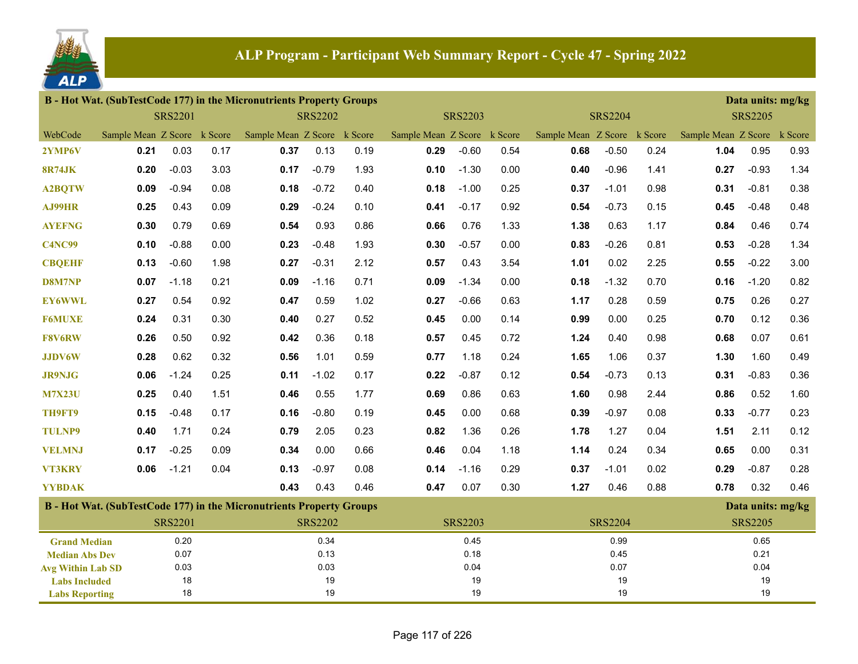

|                          |                             |                |          | B - Hot Wat. (SubTestCode 177) in the Micronutrients Property Groups |                |      |                             |                |      |                             |                |      |                             |                | Data units: mg/kg |
|--------------------------|-----------------------------|----------------|----------|----------------------------------------------------------------------|----------------|------|-----------------------------|----------------|------|-----------------------------|----------------|------|-----------------------------|----------------|-------------------|
|                          |                             | <b>SRS2201</b> |          |                                                                      | <b>SRS2202</b> |      |                             | <b>SRS2203</b> |      |                             | <b>SRS2204</b> |      |                             | <b>SRS2205</b> |                   |
| WebCode                  | Sample Mean Z Score k Score |                |          | Sample Mean Z Score k Score                                          |                |      | Sample Mean Z Score k Score |                |      | Sample Mean Z Score k Score |                |      | Sample Mean Z Score k Score |                |                   |
| 2YMP6V                   | 0.21                        | 0.03           | 0.17     | 0.37                                                                 | 0.13           | 0.19 | 0.29                        | $-0.60$        | 0.54 | 0.68                        | $-0.50$        | 0.24 | 1.04                        | 0.95           | 0.93              |
| <b>8R74JK</b>            | 0.20                        | $-0.03$        | 3.03     | 0.17                                                                 | $-0.79$        | 1.93 | 0.10                        | $-1.30$        | 0.00 | 0.40                        | $-0.96$        | 1.41 | 0.27                        | $-0.93$        | 1.34              |
| <b>A2BOTW</b>            | 0.09                        | $-0.94$        | 0.08     | 0.18                                                                 | $-0.72$        | 0.40 | 0.18                        | $-1.00$        | 0.25 | 0.37                        | $-1.01$        | 0.98 | 0.31                        | $-0.81$        | 0.38              |
| AJ99HR                   | 0.25                        | 0.43           | 0.09     | 0.29                                                                 | $-0.24$        | 0.10 | 0.41                        | $-0.17$        | 0.92 | 0.54                        | $-0.73$        | 0.15 | 0.45                        | $-0.48$        | 0.48              |
| <b>AYEFNG</b>            | 0.30                        | 0.79           | 0.69     | 0.54                                                                 | 0.93           | 0.86 | 0.66                        | 0.76           | 1.33 | 1.38                        | 0.63           | 1.17 | 0.84                        | 0.46           | 0.74              |
| <b>C4NC99</b>            | 0.10                        | $-0.88$        | 0.00     | 0.23                                                                 | $-0.48$        | 1.93 | 0.30                        | $-0.57$        | 0.00 | 0.83                        | $-0.26$        | 0.81 | 0.53                        | $-0.28$        | 1.34              |
| <b>CBQEHF</b>            | 0.13                        | $-0.60$        | 1.98     | 0.27                                                                 | $-0.31$        | 2.12 | 0.57                        | 0.43           | 3.54 | 1.01                        | 0.02           | 2.25 | 0.55                        | $-0.22$        | 3.00              |
| D8M7NP                   | 0.07                        | $-1.18$        | 0.21     | 0.09                                                                 | $-1.16$        | 0.71 | 0.09                        | $-1.34$        | 0.00 | 0.18                        | $-1.32$        | 0.70 | 0.16                        | $-1.20$        | 0.82              |
| <b>EY6WWL</b>            | 0.27                        | 0.54           | 0.92     | 0.47                                                                 | 0.59           | 1.02 | 0.27                        | $-0.66$        | 0.63 | 1.17                        | 0.28           | 0.59 | 0.75                        | 0.26           | 0.27              |
| <b>F6MUXE</b>            | 0.24                        | 0.31           | 0.30     | 0.40                                                                 | 0.27           | 0.52 | 0.45                        | 0.00           | 0.14 | 0.99                        | 0.00           | 0.25 | 0.70                        | 0.12           | 0.36              |
| <b>F8V6RW</b>            | 0.26                        | 0.50           | 0.92     | 0.42                                                                 | 0.36           | 0.18 | 0.57                        | 0.45           | 0.72 | 1.24                        | 0.40           | 0.98 | 0.68                        | 0.07           | 0.61              |
| <b>JJDV6W</b>            | 0.28                        | 0.62           | 0.32     | 0.56                                                                 | 1.01           | 0.59 | 0.77                        | 1.18           | 0.24 | 1.65                        | 1.06           | 0.37 | 1.30                        | 1.60           | 0.49              |
| <b>JR9NJG</b>            | 0.06                        | $-1.24$        | 0.25     | 0.11                                                                 | $-1.02$        | 0.17 | 0.22                        | $-0.87$        | 0.12 | 0.54                        | $-0.73$        | 0.13 | 0.31                        | $-0.83$        | 0.36              |
| <b>M7X23U</b>            | 0.25                        | 0.40           | 1.51     | 0.46                                                                 | 0.55           | 1.77 | 0.69                        | 0.86           | 0.63 | 1.60                        | 0.98           | 2.44 | 0.86                        | 0.52           | 1.60              |
| TH9FT9                   | 0.15                        | $-0.48$        | 0.17     | 0.16                                                                 | $-0.80$        | 0.19 | 0.45                        | 0.00           | 0.68 | 0.39                        | $-0.97$        | 0.08 | 0.33                        | $-0.77$        | 0.23              |
| <b>TULNP9</b>            | 0.40                        | 1.71           | 0.24     | 0.79                                                                 | 2.05           | 0.23 | 0.82                        | 1.36           | 0.26 | 1.78                        | 1.27           | 0.04 | 1.51                        | 2.11           | 0.12              |
| <b>VELMNJ</b>            | 0.17                        | $-0.25$        | 0.09     | 0.34                                                                 | 0.00           | 0.66 | 0.46                        | 0.04           | 1.18 | 1.14                        | 0.24           | 0.34 | 0.65                        | 0.00           | 0.31              |
| <b>VT3KRY</b>            | 0.06                        | $-1.21$        | 0.04     | 0.13                                                                 | $-0.97$        | 0.08 | 0.14                        | $-1.16$        | 0.29 | 0.37                        | $-1.01$        | 0.02 | 0.29                        | $-0.87$        | 0.28              |
| <b>YYBDAK</b>            |                             |                |          | 0.43                                                                 | 0.43           | 0.46 | 0.47                        | 0.07           | 0.30 | 1.27                        | 0.46           | 0.88 | 0.78                        | 0.32           | 0.46              |
|                          |                             |                |          | B - Hot Wat. (SubTestCode 177) in the Micronutrients Property Groups |                |      |                             |                |      |                             |                |      |                             |                | Data units: mg/kg |
|                          |                             | <b>SRS2201</b> |          |                                                                      | <b>SRS2202</b> |      |                             | <b>SRS2203</b> |      |                             | <b>SRS2204</b> |      |                             | <b>SRS2205</b> |                   |
| <b>Grand Median</b>      |                             | 0.20           |          |                                                                      | 0.34           |      |                             | 0.45           |      |                             | 0.99           |      |                             | 0.65           |                   |
| <b>Median Abs Dev</b>    |                             | 0.07           |          |                                                                      | 0.13           |      |                             | 0.18           |      |                             | 0.45           |      |                             | 0.21           |                   |
| <b>Avg Within Lab SD</b> |                             | 0.03           |          |                                                                      | 0.03           |      |                             | 0.04           |      |                             | 0.07           |      |                             | 0.04           |                   |
| <b>Labs Included</b>     |                             | 18             | 19<br>19 |                                                                      |                |      | 19                          |                |      | 19                          |                |      | 19                          |                |                   |
| <b>Labs Reporting</b>    |                             | 18             |          |                                                                      |                |      | 19                          |                |      | 19                          |                |      | 19                          |                |                   |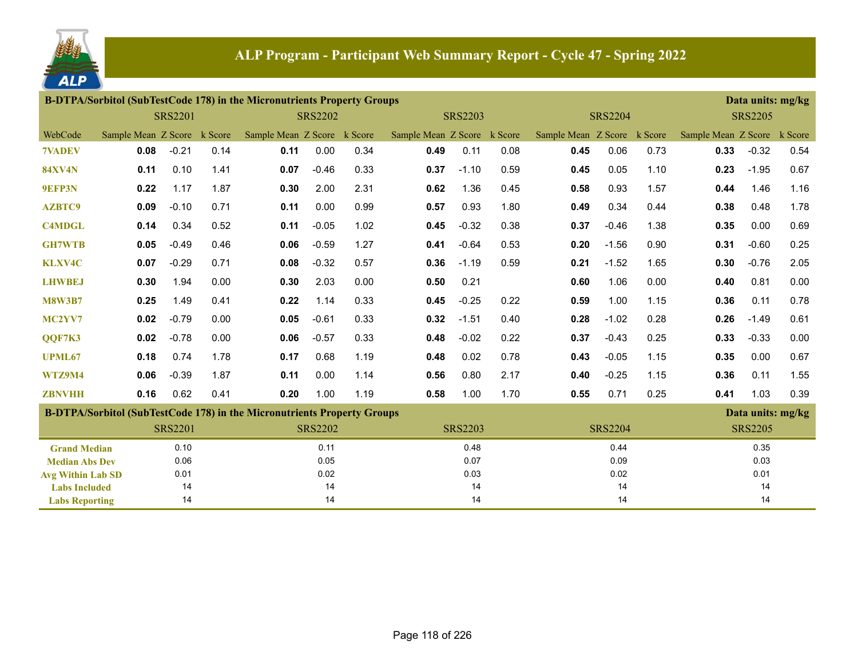

|                                 |                             |                |      | <b>B-DTPA/Sorbitol (SubTestCode 178) in the Micronutrients Property Groups</b> |                |      |                             |                |      |                             |                |      |                             |                | Data units: mg/kg |
|---------------------------------|-----------------------------|----------------|------|--------------------------------------------------------------------------------|----------------|------|-----------------------------|----------------|------|-----------------------------|----------------|------|-----------------------------|----------------|-------------------|
|                                 |                             | <b>SRS2201</b> |      |                                                                                | <b>SRS2202</b> |      |                             | <b>SRS2203</b> |      |                             | <b>SRS2204</b> |      |                             | <b>SRS2205</b> |                   |
| WebCode                         | Sample Mean Z Score k Score |                |      | Sample Mean Z Score k Score                                                    |                |      | Sample Mean Z Score k Score |                |      | Sample Mean Z Score k Score |                |      | Sample Mean Z Score k Score |                |                   |
| <b>7VADEV</b>                   | 0.08                        | $-0.21$        | 0.14 | 0.11                                                                           | 0.00           | 0.34 | 0.49                        | 0.11           | 0.08 | 0.45                        | 0.06           | 0.73 | 0.33                        | $-0.32$        | 0.54              |
| <b>84XV4N</b>                   | 0.11                        | 0.10           | 1.41 | 0.07                                                                           | $-0.46$        | 0.33 | 0.37                        | $-1.10$        | 0.59 | 0.45                        | 0.05           | 1.10 | 0.23                        | $-1.95$        | 0.67              |
| 9EFP3N                          | 0.22                        | 1.17           | 1.87 | 0.30                                                                           | 2.00           | 2.31 | 0.62                        | 1.36           | 0.45 | 0.58                        | 0.93           | 1.57 | 0.44                        | 1.46           | 1.16              |
| <b>AZBTC9</b>                   | 0.09                        | $-0.10$        | 0.71 | 0.11                                                                           | 0.00           | 0.99 | 0.57                        | 0.93           | 1.80 | 0.49                        | 0.34           | 0.44 | 0.38                        | 0.48           | 1.78              |
| <b>C4MDGL</b>                   | 0.14                        | 0.34           | 0.52 | 0.11                                                                           | $-0.05$        | 1.02 | 0.45                        | $-0.32$        | 0.38 | 0.37                        | $-0.46$        | 1.38 | 0.35                        | 0.00           | 0.69              |
| <b>GH7WTB</b>                   | 0.05                        | $-0.49$        | 0.46 | 0.06                                                                           | $-0.59$        | 1.27 | 0.41                        | $-0.64$        | 0.53 | 0.20                        | $-1.56$        | 0.90 | 0.31                        | $-0.60$        | 0.25              |
| <b>KLXV4C</b>                   | 0.07                        | $-0.29$        | 0.71 | 0.08                                                                           | $-0.32$        | 0.57 | 0.36                        | $-1.19$        | 0.59 | 0.21                        | $-1.52$        | 1.65 | 0.30                        | $-0.76$        | 2.05              |
| <b>LHWBEJ</b>                   | 0.30                        | 1.94           | 0.00 | 0.30                                                                           | 2.03           | 0.00 | 0.50                        | 0.21           |      | 0.60                        | 1.06           | 0.00 | 0.40                        | 0.81           | 0.00              |
| <b>M8W3B7</b>                   | 0.25                        | 1.49           | 0.41 | 0.22                                                                           | 1.14           | 0.33 | 0.45                        | $-0.25$        | 0.22 | 0.59                        | 1.00           | 1.15 | 0.36                        | 0.11           | 0.78              |
| MC <sub>2</sub> YV <sub>7</sub> | 0.02                        | $-0.79$        | 0.00 | 0.05                                                                           | $-0.61$        | 0.33 | 0.32                        | $-1.51$        | 0.40 | 0.28                        | $-1.02$        | 0.28 | 0.26                        | $-1.49$        | 0.61              |
| QQF7K3                          | 0.02                        | $-0.78$        | 0.00 | 0.06                                                                           | $-0.57$        | 0.33 | 0.48                        | $-0.02$        | 0.22 | 0.37                        | $-0.43$        | 0.25 | 0.33                        | $-0.33$        | 0.00              |
| UPML67                          | 0.18                        | 0.74           | 1.78 | 0.17                                                                           | 0.68           | 1.19 | 0.48                        | 0.02           | 0.78 | 0.43                        | $-0.05$        | 1.15 | 0.35                        | 0.00           | 0.67              |
| WTZ9M4                          | 0.06                        | $-0.39$        | 1.87 | 0.11                                                                           | 0.00           | 1.14 | 0.56                        | 0.80           | 2.17 | 0.40                        | $-0.25$        | 1.15 | 0.36                        | 0.11           | 1.55              |
| <b>ZBNVHH</b>                   | 0.16                        | 0.62           | 0.41 | 0.20                                                                           | 1.00           | 1.19 | 0.58                        | 1.00           | 1.70 | 0.55                        | 0.71           | 0.25 | 0.41                        | 1.03           | 0.39              |
|                                 |                             |                |      | <b>B-DTPA/Sorbitol (SubTestCode 178) in the Micronutrients Property Groups</b> |                |      |                             |                |      |                             |                |      |                             |                | Data units: mg/kg |
|                                 |                             | <b>SRS2201</b> |      |                                                                                | <b>SRS2202</b> |      |                             | <b>SRS2203</b> |      |                             | <b>SRS2204</b> |      |                             | <b>SRS2205</b> |                   |
| <b>Grand Median</b>             |                             | 0.10           |      |                                                                                | 0.11           |      |                             | 0.48           |      |                             | 0.44           |      |                             | 0.35           |                   |
| <b>Median Abs Dev</b>           |                             | 0.06           |      |                                                                                | 0.05           |      |                             | 0.07           |      |                             | 0.09           |      |                             | 0.03           |                   |
| <b>Avg Within Lab SD</b>        |                             | 0.01           |      |                                                                                | 0.02           |      |                             | 0.03           |      |                             | 0.02           |      |                             | 0.01           |                   |
| <b>Labs Included</b>            |                             | 14             |      |                                                                                | 14             |      |                             | 14             |      |                             | 14             |      |                             | 14             |                   |
| <b>Labs Reporting</b>           |                             | 14             |      |                                                                                | 14             |      |                             | 14             |      |                             | 14             |      |                             | 14             |                   |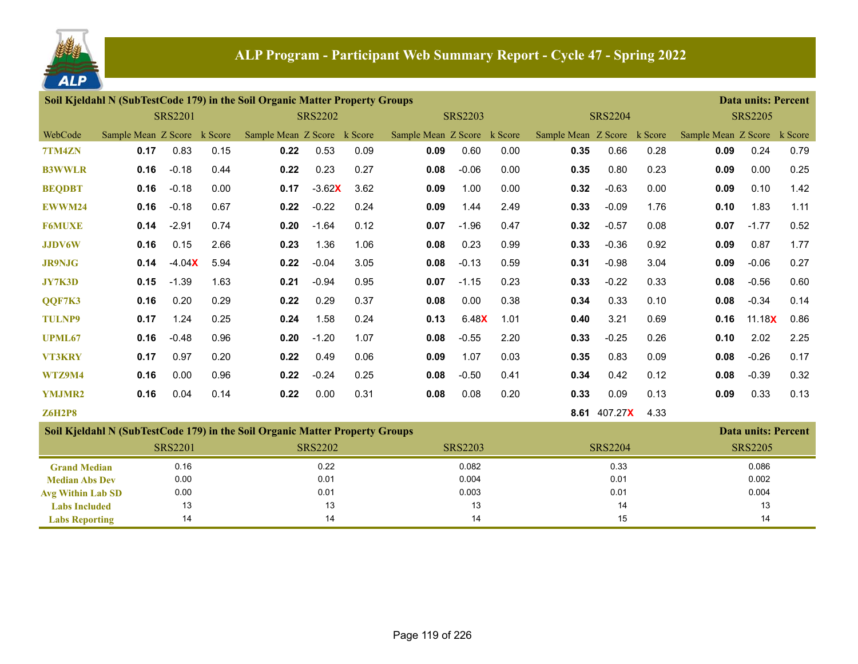

|                          |                             |                |      | Soil Kjeldahl N (SubTestCode 179) in the Soil Organic Matter Property Groups |                |      |                             |                |      |                             |                |      |                             | <b>Data units: Percent</b> |      |
|--------------------------|-----------------------------|----------------|------|------------------------------------------------------------------------------|----------------|------|-----------------------------|----------------|------|-----------------------------|----------------|------|-----------------------------|----------------------------|------|
|                          |                             | <b>SRS2201</b> |      |                                                                              | <b>SRS2202</b> |      |                             | <b>SRS2203</b> |      |                             | <b>SRS2204</b> |      |                             | <b>SRS2205</b>             |      |
| WebCode                  | Sample Mean Z Score k Score |                |      | Sample Mean Z Score k Score                                                  |                |      | Sample Mean Z Score k Score |                |      | Sample Mean Z Score k Score |                |      | Sample Mean Z Score k Score |                            |      |
| 7TM4ZN                   | 0.17                        | 0.83           | 0.15 | 0.22                                                                         | 0.53           | 0.09 | 0.09                        | 0.60           | 0.00 | 0.35                        | 0.66           | 0.28 | 0.09                        | 0.24                       | 0.79 |
| <b>B3WWLR</b>            | 0.16                        | $-0.18$        | 0.44 | 0.22                                                                         | 0.23           | 0.27 | 0.08                        | $-0.06$        | 0.00 | 0.35                        | 0.80           | 0.23 | 0.09                        | 0.00                       | 0.25 |
| <b>BEQDBT</b>            | 0.16                        | $-0.18$        | 0.00 | 0.17                                                                         | $-3.62X$       | 3.62 | 0.09                        | 1.00           | 0.00 | 0.32                        | $-0.63$        | 0.00 | 0.09                        | 0.10                       | 1.42 |
| EWWM24                   | 0.16                        | $-0.18$        | 0.67 | 0.22                                                                         | $-0.22$        | 0.24 | 0.09                        | 1.44           | 2.49 | 0.33                        | $-0.09$        | 1.76 | 0.10                        | 1.83                       | 1.11 |
| <b>F6MUXE</b>            | 0.14                        | $-2.91$        | 0.74 | 0.20                                                                         | $-1.64$        | 0.12 | 0.07                        | $-1.96$        | 0.47 | 0.32                        | $-0.57$        | 0.08 | 0.07                        | $-1.77$                    | 0.52 |
| <b>JJDV6W</b>            | 0.16                        | 0.15           | 2.66 | 0.23                                                                         | 1.36           | 1.06 | 0.08                        | 0.23           | 0.99 | 0.33                        | $-0.36$        | 0.92 | 0.09                        | 0.87                       | 1.77 |
| <b>JR9NJG</b>            | 0.14                        | $-4.04X$       | 5.94 | 0.22                                                                         | $-0.04$        | 3.05 | 0.08                        | $-0.13$        | 0.59 | 0.31                        | $-0.98$        | 3.04 | 0.09                        | $-0.06$                    | 0.27 |
| JY7K3D                   | 0.15                        | $-1.39$        | 1.63 | 0.21                                                                         | $-0.94$        | 0.95 | 0.07                        | $-1.15$        | 0.23 | 0.33                        | $-0.22$        | 0.33 | 0.08                        | $-0.56$                    | 0.60 |
| QQF7K3                   | 0.16                        | 0.20           | 0.29 | 0.22                                                                         | 0.29           | 0.37 | 0.08                        | 0.00           | 0.38 | 0.34                        | 0.33           | 0.10 | 0.08                        | $-0.34$                    | 0.14 |
| <b>TULNP9</b>            | 0.17                        | 1.24           | 0.25 | 0.24                                                                         | 1.58           | 0.24 | 0.13                        | 6.48X          | 1.01 | 0.40                        | 3.21           | 0.69 | 0.16                        | 11.18X                     | 0.86 |
| UPML67                   | 0.16                        | $-0.48$        | 0.96 | 0.20                                                                         | $-1.20$        | 1.07 | 0.08                        | $-0.55$        | 2.20 | 0.33                        | $-0.25$        | 0.26 | 0.10                        | 2.02                       | 2.25 |
| <b>VT3KRY</b>            | 0.17                        | 0.97           | 0.20 | 0.22                                                                         | 0.49           | 0.06 | 0.09                        | 1.07           | 0.03 | 0.35                        | 0.83           | 0.09 | 0.08                        | $-0.26$                    | 0.17 |
| WTZ9M4                   | 0.16                        | 0.00           | 0.96 | 0.22                                                                         | $-0.24$        | 0.25 | 0.08                        | $-0.50$        | 0.41 | 0.34                        | 0.42           | 0.12 | 0.08                        | $-0.39$                    | 0.32 |
| <b>YMJMR2</b>            | 0.16                        | 0.04           | 0.14 | 0.22                                                                         | 0.00           | 0.31 | 0.08                        | 0.08           | 0.20 | 0.33                        | 0.09           | 0.13 | 0.09                        | 0.33                       | 0.13 |
| <b>Z6H2P8</b>            |                             |                |      |                                                                              |                |      |                             |                |      |                             | 8.61 407.27X   | 4.33 |                             |                            |      |
|                          |                             |                |      | Soil Kjeldahl N (SubTestCode 179) in the Soil Organic Matter Property Groups |                |      |                             |                |      |                             |                |      |                             | <b>Data units: Percent</b> |      |
|                          |                             | <b>SRS2201</b> |      |                                                                              | <b>SRS2202</b> |      |                             | <b>SRS2203</b> |      |                             | <b>SRS2204</b> |      |                             | <b>SRS2205</b>             |      |
| <b>Grand Median</b>      |                             | 0.16           |      |                                                                              | 0.22           |      |                             | 0.082          |      |                             | 0.33           |      |                             | 0.086                      |      |
| <b>Median Abs Dev</b>    |                             | 0.00           |      |                                                                              | 0.01           |      |                             | 0.004          |      |                             | 0.01           |      |                             | 0.002                      |      |
| <b>Avg Within Lab SD</b> |                             | 0.00           |      |                                                                              | 0.01           |      |                             | 0.003          |      |                             | 0.01           |      |                             | 0.004                      |      |
| <b>Labs Included</b>     |                             | 13             |      |                                                                              | 13             |      |                             | 13             |      |                             | 14             |      |                             | 13                         |      |
| <b>Labs Reporting</b>    |                             | 14             |      |                                                                              | 14             |      |                             | 14             |      |                             | 15             |      |                             | 14                         |      |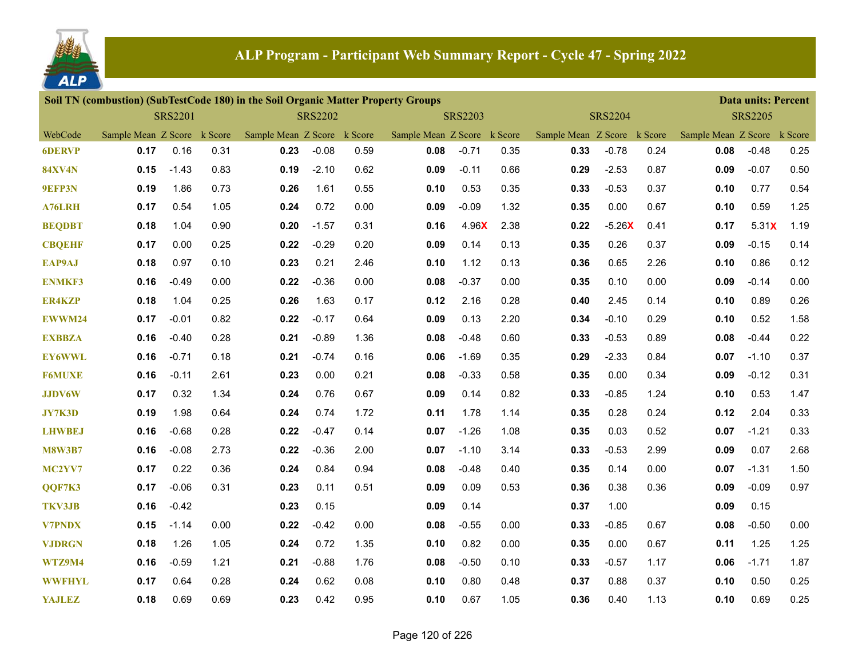

|                                 | Soil TN (combustion) (SubTestCode 180) in the Soil Organic Matter Property Groups |                |      |                             |                |      |                             |                |      |                             |                |      |                             | <b>Data units: Percent</b> |      |
|---------------------------------|-----------------------------------------------------------------------------------|----------------|------|-----------------------------|----------------|------|-----------------------------|----------------|------|-----------------------------|----------------|------|-----------------------------|----------------------------|------|
|                                 |                                                                                   | <b>SRS2201</b> |      |                             | <b>SRS2202</b> |      |                             | <b>SRS2203</b> |      |                             | <b>SRS2204</b> |      |                             | <b>SRS2205</b>             |      |
| WebCode                         | Sample Mean Z Score k Score                                                       |                |      | Sample Mean Z Score k Score |                |      | Sample Mean Z Score k Score |                |      | Sample Mean Z Score k Score |                |      | Sample Mean Z Score k Score |                            |      |
| <b>6DERVP</b>                   | 0.17                                                                              | 0.16           | 0.31 | 0.23                        | $-0.08$        | 0.59 | 0.08                        | $-0.71$        | 0.35 | 0.33                        | $-0.78$        | 0.24 | 0.08                        | $-0.48$                    | 0.25 |
| <b>84XV4N</b>                   | 0.15                                                                              | $-1.43$        | 0.83 | 0.19                        | $-2.10$        | 0.62 | 0.09                        | $-0.11$        | 0.66 | 0.29                        | $-2.53$        | 0.87 | 0.09                        | $-0.07$                    | 0.50 |
| 9EFP3N                          | 0.19                                                                              | 1.86           | 0.73 | 0.26                        | 1.61           | 0.55 | 0.10                        | 0.53           | 0.35 | 0.33                        | $-0.53$        | 0.37 | 0.10                        | 0.77                       | 0.54 |
| A76LRH                          | 0.17                                                                              | 0.54           | 1.05 | 0.24                        | 0.72           | 0.00 | 0.09                        | $-0.09$        | 1.32 | 0.35                        | 0.00           | 0.67 | 0.10                        | 0.59                       | 1.25 |
| <b>BEQDBT</b>                   | 0.18                                                                              | 1.04           | 0.90 | 0.20                        | $-1.57$        | 0.31 | 0.16                        | 4.96X          | 2.38 | 0.22                        | $-5.26X$       | 0.41 | 0.17                        | 5.31X                      | 1.19 |
| <b>CBQEHF</b>                   | 0.17                                                                              | 0.00           | 0.25 | 0.22                        | $-0.29$        | 0.20 | 0.09                        | 0.14           | 0.13 | 0.35                        | 0.26           | 0.37 | 0.09                        | $-0.15$                    | 0.14 |
| <b>EAP9AJ</b>                   | 0.18                                                                              | 0.97           | 0.10 | 0.23                        | 0.21           | 2.46 | 0.10                        | 1.12           | 0.13 | 0.36                        | 0.65           | 2.26 | 0.10                        | 0.86                       | 0.12 |
| <b>ENMKF3</b>                   | 0.16                                                                              | $-0.49$        | 0.00 | 0.22                        | $-0.36$        | 0.00 | 0.08                        | $-0.37$        | 0.00 | 0.35                        | 0.10           | 0.00 | 0.09                        | $-0.14$                    | 0.00 |
| <b>ER4KZP</b>                   | 0.18                                                                              | 1.04           | 0.25 | 0.26                        | 1.63           | 0.17 | 0.12                        | 2.16           | 0.28 | 0.40                        | 2.45           | 0.14 | 0.10                        | 0.89                       | 0.26 |
| EWWM24                          | 0.17                                                                              | $-0.01$        | 0.82 | 0.22                        | $-0.17$        | 0.64 | 0.09                        | 0.13           | 2.20 | 0.34                        | $-0.10$        | 0.29 | 0.10                        | 0.52                       | 1.58 |
| <b>EXBBZA</b>                   | 0.16                                                                              | $-0.40$        | 0.28 | 0.21                        | $-0.89$        | 1.36 | 0.08                        | $-0.48$        | 0.60 | 0.33                        | $-0.53$        | 0.89 | 0.08                        | $-0.44$                    | 0.22 |
| <b>EY6WWL</b>                   | 0.16                                                                              | $-0.71$        | 0.18 | 0.21                        | $-0.74$        | 0.16 | 0.06                        | $-1.69$        | 0.35 | 0.29                        | $-2.33$        | 0.84 | 0.07                        | $-1.10$                    | 0.37 |
| <b>F6MUXE</b>                   | 0.16                                                                              | $-0.11$        | 2.61 | 0.23                        | 0.00           | 0.21 | 0.08                        | $-0.33$        | 0.58 | 0.35                        | 0.00           | 0.34 | 0.09                        | $-0.12$                    | 0.31 |
| <b>JJDV6W</b>                   | 0.17                                                                              | 0.32           | 1.34 | 0.24                        | 0.76           | 0.67 | 0.09                        | 0.14           | 0.82 | 0.33                        | $-0.85$        | 1.24 | 0.10                        | 0.53                       | 1.47 |
| JY7K3D                          | 0.19                                                                              | 1.98           | 0.64 | 0.24                        | 0.74           | 1.72 | 0.11                        | 1.78           | 1.14 | 0.35                        | 0.28           | 0.24 | 0.12                        | 2.04                       | 0.33 |
| <b>LHWBEJ</b>                   | 0.16                                                                              | $-0.68$        | 0.28 | 0.22                        | $-0.47$        | 0.14 | 0.07                        | $-1.26$        | 1.08 | 0.35                        | 0.03           | 0.52 | 0.07                        | $-1.21$                    | 0.33 |
| <b>M8W3B7</b>                   | 0.16                                                                              | $-0.08$        | 2.73 | 0.22                        | $-0.36$        | 2.00 | 0.07                        | $-1.10$        | 3.14 | 0.33                        | $-0.53$        | 2.99 | 0.09                        | 0.07                       | 2.68 |
| MC <sub>2</sub> YV <sub>7</sub> | 0.17                                                                              | 0.22           | 0.36 | 0.24                        | 0.84           | 0.94 | 0.08                        | $-0.48$        | 0.40 | 0.35                        | 0.14           | 0.00 | 0.07                        | $-1.31$                    | 1.50 |
| QQF7K3                          | 0.17                                                                              | $-0.06$        | 0.31 | 0.23                        | 0.11           | 0.51 | 0.09                        | 0.09           | 0.53 | 0.36                        | 0.38           | 0.36 | 0.09                        | $-0.09$                    | 0.97 |
| <b>TKV3JB</b>                   | 0.16                                                                              | $-0.42$        |      | 0.23                        | 0.15           |      | 0.09                        | 0.14           |      | 0.37                        | 1.00           |      | 0.09                        | 0.15                       |      |
| <b>V7PNDX</b>                   | 0.15                                                                              | $-1.14$        | 0.00 | 0.22                        | $-0.42$        | 0.00 | 0.08                        | $-0.55$        | 0.00 | 0.33                        | $-0.85$        | 0.67 | 0.08                        | $-0.50$                    | 0.00 |
| <b>VJDRGN</b>                   | 0.18                                                                              | 1.26           | 1.05 | 0.24                        | 0.72           | 1.35 | 0.10                        | 0.82           | 0.00 | 0.35                        | 0.00           | 0.67 | 0.11                        | 1.25                       | 1.25 |
| WTZ9M4                          | 0.16                                                                              | $-0.59$        | 1.21 | 0.21                        | $-0.88$        | 1.76 | 0.08                        | $-0.50$        | 0.10 | 0.33                        | $-0.57$        | 1.17 | 0.06                        | $-1.71$                    | 1.87 |
| <b>WWFHYL</b>                   | 0.17                                                                              | 0.64           | 0.28 | 0.24                        | 0.62           | 0.08 | 0.10                        | 0.80           | 0.48 | 0.37                        | 0.88           | 0.37 | 0.10                        | 0.50                       | 0.25 |
| <b>YAJLEZ</b>                   | 0.18                                                                              | 0.69           | 0.69 | 0.23                        | 0.42           | 0.95 | 0.10                        | 0.67           | 1.05 | 0.36                        | 0.40           | 1.13 | 0.10                        | 0.69                       | 0.25 |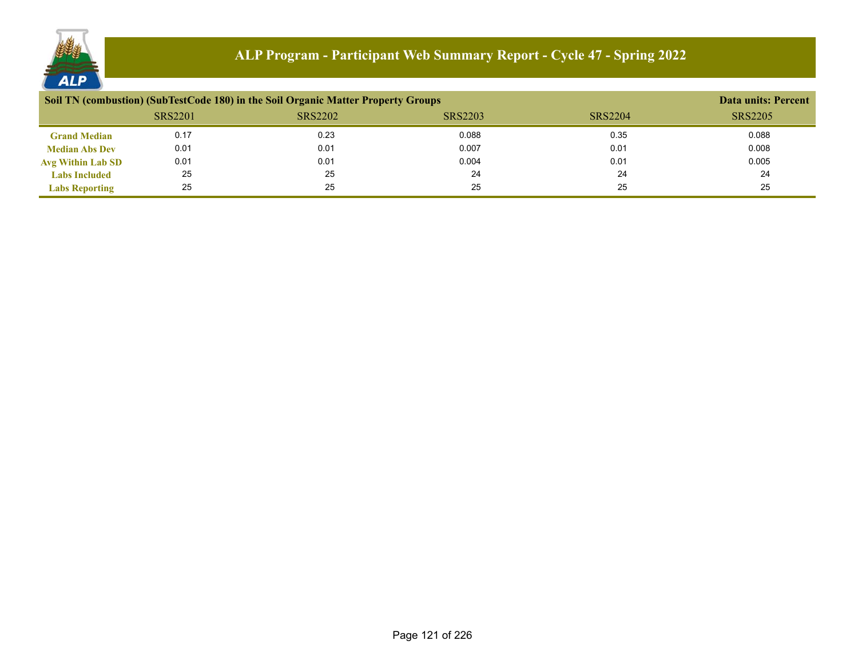

|                       |         | Soil TN (combustion) (SubTestCode 180) in the Soil Organic Matter Property Groups |         |         | Data units: Percent |
|-----------------------|---------|-----------------------------------------------------------------------------------|---------|---------|---------------------|
|                       | SRS2201 | <b>SRS2202</b>                                                                    | SRS2203 | SRS2204 | SRS2205             |
| <b>Grand Median</b>   | 0.17    | 0.23                                                                              | 0.088   | 0.35    | 0.088               |
| <b>Median Abs Dev</b> | 0.01    | 0.01                                                                              | 0.007   | 0.01    | 0.008               |
| Avg Within Lab SD     | 0.01    | 0.01                                                                              | 0.004   | 0.01    | 0.005               |
| <b>Labs Included</b>  | 25      | 25                                                                                | 24      | 24      | 24                  |
| <b>Labs Reporting</b> | 25      | 25                                                                                | 25      | 25      | 25                  |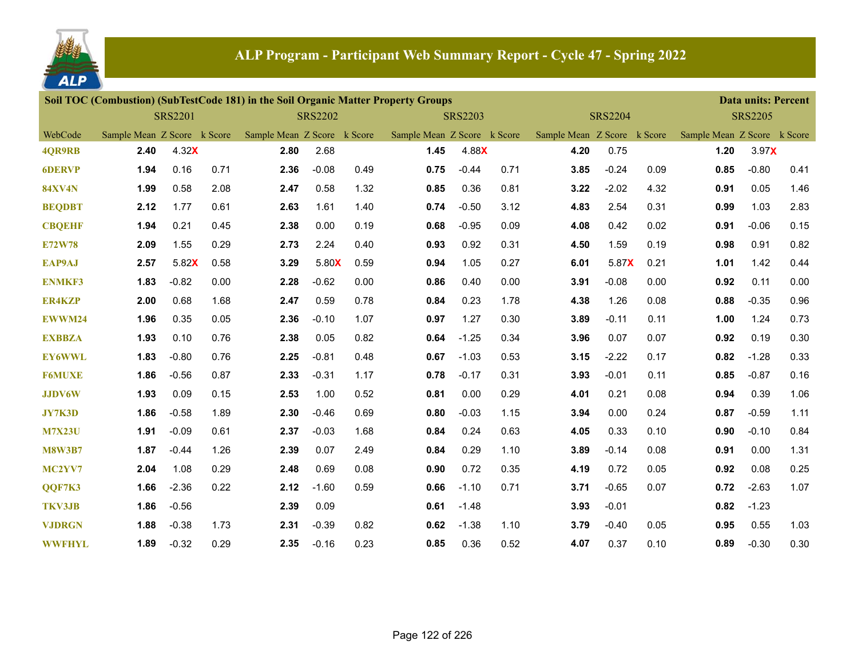

|                                 |                             |                |      | Soil TOC (Combustion) (SubTestCode 181) in the Soil Organic Matter Property Groups |                |      |                             |                |      |                             |                |      |                             | <b>Data units: Percent</b> |      |
|---------------------------------|-----------------------------|----------------|------|------------------------------------------------------------------------------------|----------------|------|-----------------------------|----------------|------|-----------------------------|----------------|------|-----------------------------|----------------------------|------|
|                                 |                             | <b>SRS2201</b> |      |                                                                                    | <b>SRS2202</b> |      |                             | <b>SRS2203</b> |      |                             | <b>SRS2204</b> |      |                             | <b>SRS2205</b>             |      |
| WebCode                         | Sample Mean Z Score k Score |                |      | Sample Mean Z Score k Score                                                        |                |      | Sample Mean Z Score k Score |                |      | Sample Mean Z Score k Score |                |      | Sample Mean Z Score k Score |                            |      |
| 4QR9RB                          | 2.40                        | 4.32X          |      | 2.80                                                                               | 2.68           |      | 1.45                        | 4.88X          |      | 4.20                        | 0.75           |      | 1.20                        | 3.97X                      |      |
| <b>6DERVP</b>                   | 1.94                        | 0.16           | 0.71 | 2.36                                                                               | $-0.08$        | 0.49 | 0.75                        | $-0.44$        | 0.71 | 3.85                        | $-0.24$        | 0.09 | 0.85                        | $-0.80$                    | 0.41 |
| <b>84XV4N</b>                   | 1.99                        | 0.58           | 2.08 | 2.47                                                                               | 0.58           | 1.32 | 0.85                        | 0.36           | 0.81 | 3.22                        | $-2.02$        | 4.32 | 0.91                        | 0.05                       | 1.46 |
| <b>BEODBT</b>                   | 2.12                        | 1.77           | 0.61 | 2.63                                                                               | 1.61           | 1.40 | 0.74                        | $-0.50$        | 3.12 | 4.83                        | 2.54           | 0.31 | 0.99                        | 1.03                       | 2.83 |
| <b>CBQEHF</b>                   | 1.94                        | 0.21           | 0.45 | 2.38                                                                               | 0.00           | 0.19 | 0.68                        | $-0.95$        | 0.09 | 4.08                        | 0.42           | 0.02 | 0.91                        | $-0.06$                    | 0.15 |
| E72W78                          | 2.09                        | 1.55           | 0.29 | 2.73                                                                               | 2.24           | 0.40 | 0.93                        | 0.92           | 0.31 | 4.50                        | 1.59           | 0.19 | 0.98                        | 0.91                       | 0.82 |
| <b>EAP9AJ</b>                   | 2.57                        | 5.82X          | 0.58 | 3.29                                                                               | 5.80X          | 0.59 | 0.94                        | 1.05           | 0.27 | 6.01                        | 5.87X          | 0.21 | 1.01                        | 1.42                       | 0.44 |
| <b>ENMKF3</b>                   | 1.83                        | $-0.82$        | 0.00 | 2.28                                                                               | $-0.62$        | 0.00 | 0.86                        | 0.40           | 0.00 | 3.91                        | $-0.08$        | 0.00 | 0.92                        | 0.11                       | 0.00 |
| <b>ER4KZP</b>                   | 2.00                        | 0.68           | 1.68 | 2.47                                                                               | 0.59           | 0.78 | 0.84                        | 0.23           | 1.78 | 4.38                        | 1.26           | 0.08 | 0.88                        | $-0.35$                    | 0.96 |
| EWWM24                          | 1.96                        | 0.35           | 0.05 | 2.36                                                                               | $-0.10$        | 1.07 | 0.97                        | 1.27           | 0.30 | 3.89                        | $-0.11$        | 0.11 | 1.00                        | 1.24                       | 0.73 |
| <b>EXBBZA</b>                   | 1.93                        | 0.10           | 0.76 | 2.38                                                                               | 0.05           | 0.82 | 0.64                        | $-1.25$        | 0.34 | 3.96                        | 0.07           | 0.07 | 0.92                        | 0.19                       | 0.30 |
| <b>EY6WWL</b>                   | 1.83                        | $-0.80$        | 0.76 | 2.25                                                                               | $-0.81$        | 0.48 | 0.67                        | $-1.03$        | 0.53 | 3.15                        | $-2.22$        | 0.17 | 0.82                        | $-1.28$                    | 0.33 |
| <b>F6MUXE</b>                   | 1.86                        | $-0.56$        | 0.87 | 2.33                                                                               | $-0.31$        | 1.17 | 0.78                        | $-0.17$        | 0.31 | 3.93                        | $-0.01$        | 0.11 | 0.85                        | $-0.87$                    | 0.16 |
| <b>JJDV6W</b>                   | 1.93                        | 0.09           | 0.15 | 2.53                                                                               | 1.00           | 0.52 | 0.81                        | 0.00           | 0.29 | 4.01                        | 0.21           | 0.08 | 0.94                        | 0.39                       | 1.06 |
| JY7K3D                          | 1.86                        | $-0.58$        | 1.89 | 2.30                                                                               | $-0.46$        | 0.69 | 0.80                        | $-0.03$        | 1.15 | 3.94                        | 0.00           | 0.24 | 0.87                        | $-0.59$                    | 1.11 |
| <b>M7X23U</b>                   | 1.91                        | $-0.09$        | 0.61 | 2.37                                                                               | $-0.03$        | 1.68 | 0.84                        | 0.24           | 0.63 | 4.05                        | 0.33           | 0.10 | 0.90                        | $-0.10$                    | 0.84 |
| <b>M8W3B7</b>                   | 1.87                        | $-0.44$        | 1.26 | 2.39                                                                               | 0.07           | 2.49 | 0.84                        | 0.29           | 1.10 | 3.89                        | $-0.14$        | 0.08 | 0.91                        | 0.00                       | 1.31 |
| MC <sub>2</sub> YV <sub>7</sub> | 2.04                        | 1.08           | 0.29 | 2.48                                                                               | 0.69           | 0.08 | 0.90                        | 0.72           | 0.35 | 4.19                        | 0.72           | 0.05 | 0.92                        | 0.08                       | 0.25 |
| OOF7K3                          | 1.66                        | $-2.36$        | 0.22 | 2.12                                                                               | $-1.60$        | 0.59 | 0.66                        | $-1.10$        | 0.71 | 3.71                        | $-0.65$        | 0.07 | 0.72                        | $-2.63$                    | 1.07 |
| <b>TKV3JB</b>                   | 1.86                        | $-0.56$        |      | 2.39                                                                               | 0.09           |      | 0.61                        | $-1.48$        |      | 3.93                        | $-0.01$        |      | 0.82                        | $-1.23$                    |      |
| <b>VJDRGN</b>                   | 1.88                        | $-0.38$        | 1.73 | 2.31                                                                               | $-0.39$        | 0.82 | 0.62                        | $-1.38$        | 1.10 | 3.79                        | $-0.40$        | 0.05 | 0.95                        | 0.55                       | 1.03 |
| <b>WWFHYL</b>                   | 1.89                        | $-0.32$        | 0.29 | 2.35                                                                               | $-0.16$        | 0.23 | 0.85                        | 0.36           | 0.52 | 4.07                        | 0.37           | 0.10 | 0.89                        | $-0.30$                    | 0.30 |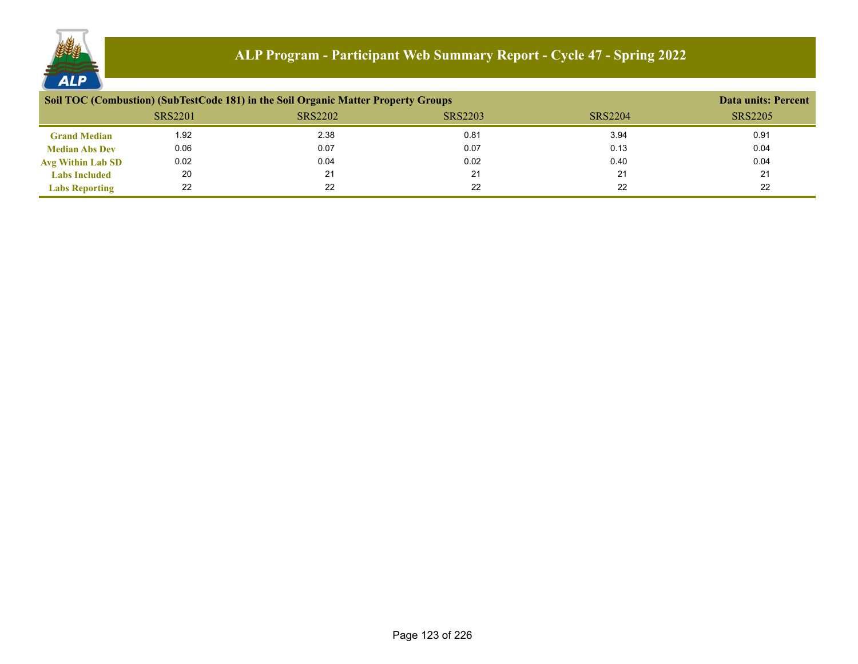

|                       |         | Soil TOC (Combustion) (SubTestCode 181) in the Soil Organic Matter Property Groups |         |         | Data units: Percent |
|-----------------------|---------|------------------------------------------------------------------------------------|---------|---------|---------------------|
|                       | SRS2201 | <b>SRS2202</b>                                                                     | SRS2203 | SRS2204 | <b>SRS2205</b>      |
| <b>Grand Median</b>   | 1.92    | 2.38                                                                               | 0.81    | 3.94    | 0.91                |
| <b>Median Abs Dev</b> | 0.06    | 0.07                                                                               | 0.07    | 0.13    | 0.04                |
| Avg Within Lab SD     | 0.02    | 0.04                                                                               | 0.02    | 0.40    | 0.04                |
| <b>Labs Included</b>  | 20      | 21                                                                                 | 21      | 21      | 21                  |
| <b>Labs Reporting</b> | 22      | 22                                                                                 | 22      | 22      | -22                 |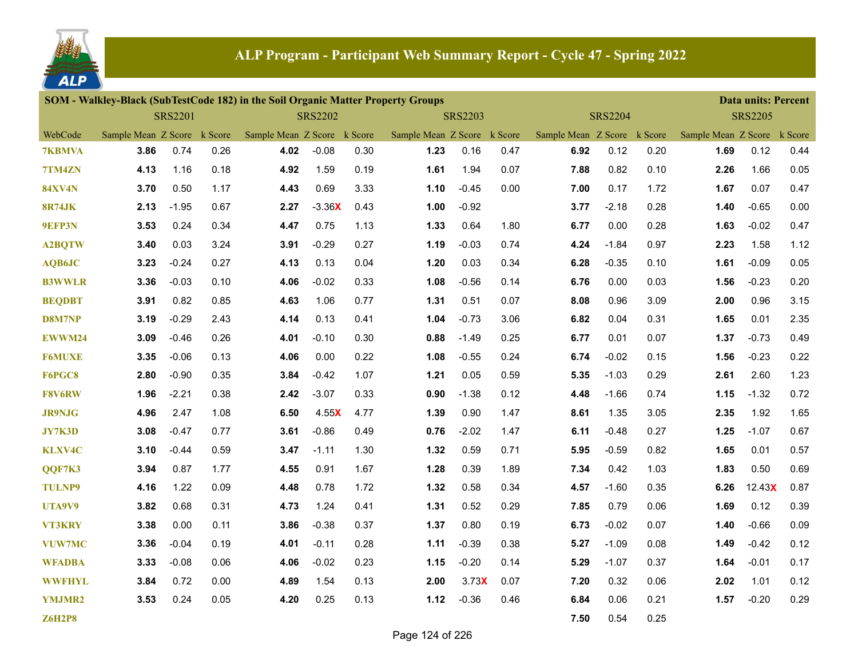

|               | <b>SOM - Walkley-Black (SubTestCode 182) in the Soil Organic Matter Property Groups</b> |                |      |                             |                |      |                             |                |      |                             |                |      |                             | <b>Data units: Percent</b> |      |
|---------------|-----------------------------------------------------------------------------------------|----------------|------|-----------------------------|----------------|------|-----------------------------|----------------|------|-----------------------------|----------------|------|-----------------------------|----------------------------|------|
|               |                                                                                         | <b>SRS2201</b> |      |                             | <b>SRS2202</b> |      |                             | <b>SRS2203</b> |      |                             | <b>SRS2204</b> |      |                             | <b>SRS2205</b>             |      |
| WebCode       | Sample Mean Z Score k Score                                                             |                |      | Sample Mean Z Score k Score |                |      | Sample Mean Z Score k Score |                |      | Sample Mean Z Score k Score |                |      | Sample Mean Z Score k Score |                            |      |
| 7KBMVA        | 3.86                                                                                    | 0.74           | 0.26 | 4.02                        | $-0.08$        | 0.30 | 1.23                        | 0.16           | 0.47 | 6.92                        | 0.12           | 0.20 | 1.69                        | 0.12                       | 0.44 |
| 7TM4ZN        | 4.13                                                                                    | 1.16           | 0.18 | 4.92                        | 1.59           | 0.19 | 1.61                        | 1.94           | 0.07 | 7.88                        | 0.82           | 0.10 | 2.26                        | 1.66                       | 0.05 |
| <b>84XV4N</b> | 3.70                                                                                    | 0.50           | 1.17 | 4.43                        | 0.69           | 3.33 | 1.10                        | $-0.45$        | 0.00 | 7.00                        | 0.17           | 1.72 | 1.67                        | 0.07                       | 0.47 |
| <b>8R74JK</b> | 2.13                                                                                    | $-1.95$        | 0.67 | 2.27                        | $-3.36X$       | 0.43 | 1.00                        | $-0.92$        |      | 3.77                        | $-2.18$        | 0.28 | 1.40                        | $-0.65$                    | 0.00 |
| 9EFP3N        | 3.53                                                                                    | 0.24           | 0.34 | 4.47                        | 0.75           | 1.13 | 1.33                        | 0.64           | 1.80 | 6.77                        | 0.00           | 0.28 | 1.63                        | $-0.02$                    | 0.47 |
| <b>A2BQTW</b> | 3.40                                                                                    | 0.03           | 3.24 | 3.91                        | $-0.29$        | 0.27 | 1.19                        | $-0.03$        | 0.74 | 4.24                        | $-1.84$        | 0.97 | 2.23                        | 1.58                       | 1.12 |
| AQB6JC        | 3.23                                                                                    | $-0.24$        | 0.27 | 4.13                        | 0.13           | 0.04 | 1.20                        | 0.03           | 0.34 | 6.28                        | $-0.35$        | 0.10 | 1.61                        | $-0.09$                    | 0.05 |
| <b>B3WWLR</b> | 3.36                                                                                    | $-0.03$        | 0.10 | 4.06                        | $-0.02$        | 0.33 | 1.08                        | $-0.56$        | 0.14 | 6.76                        | 0.00           | 0.03 | 1.56                        | $-0.23$                    | 0.20 |
| <b>BEQDBT</b> | 3.91                                                                                    | 0.82           | 0.85 | 4.63                        | 1.06           | 0.77 | 1.31                        | 0.51           | 0.07 | 8.08                        | 0.96           | 3.09 | 2.00                        | 0.96                       | 3.15 |
| D8M7NP        | 3.19                                                                                    | $-0.29$        | 2.43 | 4.14                        | 0.13           | 0.41 | 1.04                        | $-0.73$        | 3.06 | 6.82                        | 0.04           | 0.31 | 1.65                        | 0.01                       | 2.35 |
| EWWM24        | 3.09                                                                                    | $-0.46$        | 0.26 | 4.01                        | $-0.10$        | 0.30 | 0.88                        | $-1.49$        | 0.25 | 6.77                        | 0.01           | 0.07 | 1.37                        | $-0.73$                    | 0.49 |
| <b>F6MUXE</b> | 3.35                                                                                    | $-0.06$        | 0.13 | 4.06                        | 0.00           | 0.22 | 1.08                        | $-0.55$        | 0.24 | 6.74                        | $-0.02$        | 0.15 | 1.56                        | $-0.23$                    | 0.22 |
| F6PGC8        | 2.80                                                                                    | $-0.90$        | 0.35 | 3.84                        | $-0.42$        | 1.07 | 1.21                        | 0.05           | 0.59 | 5.35                        | $-1.03$        | 0.29 | 2.61                        | 2.60                       | 1.23 |
| F8V6RW        | 1.96                                                                                    | $-2.21$        | 0.38 | 2.42                        | $-3.07$        | 0.33 | 0.90                        | $-1.38$        | 0.12 | 4.48                        | $-1.66$        | 0.74 | 1.15                        | $-1.32$                    | 0.72 |
| <b>JR9NJG</b> | 4.96                                                                                    | 2.47           | 1.08 | 6.50                        | 4.55X          | 4.77 | 1.39                        | 0.90           | 1.47 | 8.61                        | 1.35           | 3.05 | 2.35                        | 1.92                       | 1.65 |
| <b>JY7K3D</b> | 3.08                                                                                    | $-0.47$        | 0.77 | 3.61                        | $-0.86$        | 0.49 | 0.76                        | $-2.02$        | 1.47 | 6.11                        | $-0.48$        | 0.27 | 1.25                        | $-1.07$                    | 0.67 |
| <b>KLXV4C</b> | 3.10                                                                                    | $-0.44$        | 0.59 | 3.47                        | $-1.11$        | 1.30 | 1.32                        | 0.59           | 0.71 | 5.95                        | $-0.59$        | 0.82 | 1.65                        | 0.01                       | 0.57 |
| QQF7K3        | 3.94                                                                                    | 0.87           | 1.77 | 4.55                        | 0.91           | 1.67 | 1.28                        | 0.39           | 1.89 | 7.34                        | 0.42           | 1.03 | 1.83                        | 0.50                       | 0.69 |
| <b>TULNP9</b> | 4.16                                                                                    | 1.22           | 0.09 | 4.48                        | 0.78           | 1.72 | 1.32                        | 0.58           | 0.34 | 4.57                        | $-1.60$        | 0.35 | 6.26                        | 12.43X                     | 0.87 |
| UTA9V9        | 3.82                                                                                    | 0.68           | 0.31 | 4.73                        | 1.24           | 0.41 | 1.31                        | 0.52           | 0.29 | 7.85                        | 0.79           | 0.06 | 1.69                        | 0.12                       | 0.39 |
| <b>VT3KRY</b> | 3.38                                                                                    | 0.00           | 0.11 | 3.86                        | $-0.38$        | 0.37 | 1.37                        | 0.80           | 0.19 | 6.73                        | $-0.02$        | 0.07 | 1.40                        | $-0.66$                    | 0.09 |
| <b>VUW7MC</b> | 3.36                                                                                    | $-0.04$        | 0.19 | 4.01                        | $-0.11$        | 0.28 | 1.11                        | $-0.39$        | 0.38 | 5.27                        | $-1.09$        | 0.08 | 1.49                        | $-0.42$                    | 0.12 |
| <b>WFADBA</b> | 3.33                                                                                    | $-0.08$        | 0.06 | 4.06                        | $-0.02$        | 0.23 | 1.15                        | $-0.20$        | 0.14 | 5.29                        | $-1.07$        | 0.37 | 1.64                        | $-0.01$                    | 0.17 |
| <b>WWFHYL</b> | 3.84                                                                                    | 0.72           | 0.00 | 4.89                        | 1.54           | 0.13 | 2.00                        | 3.73X          | 0.07 | 7.20                        | 0.32           | 0.06 | 2.02                        | 1.01                       | 0.12 |
| YMJMR2        | 3.53                                                                                    | 0.24           | 0.05 | 4.20                        | 0.25           | 0.13 | 1.12                        | $-0.36$        | 0.46 | 6.84                        | 0.06           | 0.21 | 1.57                        | $-0.20$                    | 0.29 |
| <b>Z6H2P8</b> |                                                                                         |                |      |                             |                |      |                             |                |      | 7.50                        | 0.54           | 0.25 |                             |                            |      |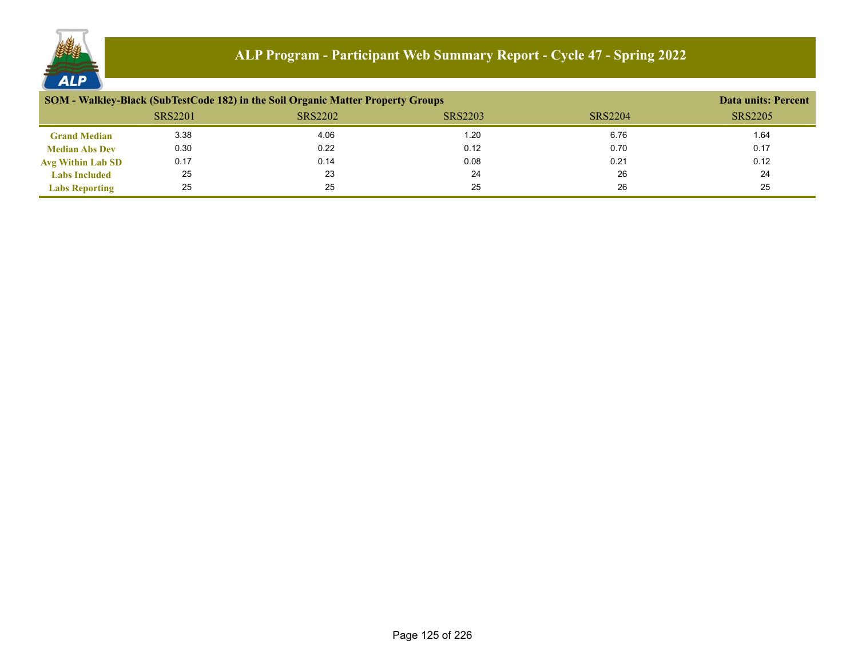

|                       |         | SOM - Walkley-Black (SubTestCode 182) in the Soil Organic Matter Property Groups |         |         | Data units: Percent |
|-----------------------|---------|----------------------------------------------------------------------------------|---------|---------|---------------------|
|                       | SRS2201 | <b>SRS2202</b>                                                                   | SRS2203 | SRS2204 | <b>SRS2205</b>      |
| <b>Grand Median</b>   | 3.38    | 4.06                                                                             | 1.20    | 6.76    | 1.64                |
| <b>Median Abs Dev</b> | 0.30    | 0.22                                                                             | 0.12    | 0.70    | 0.17                |
| Avg Within Lab SD     | 0.17    | 0.14                                                                             | 0.08    | 0.21    | 0.12                |
| <b>Labs Included</b>  | 25      | 23                                                                               | 24      | 26      | 24                  |
| <b>Labs Reporting</b> | 25      | 25                                                                               | 25      | 26      | 25                  |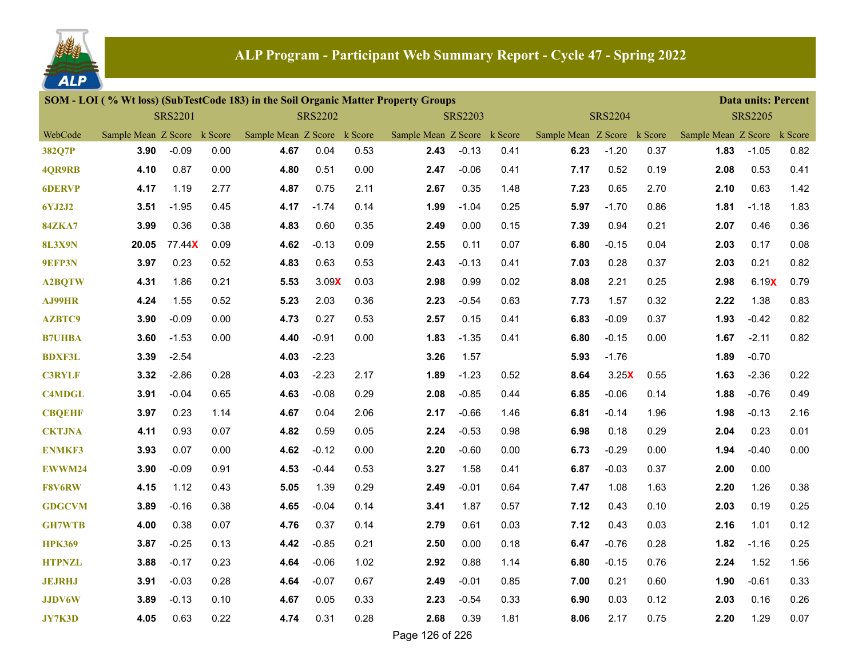

|               |                             |                |      | SOM - LOI (% Wt loss) (SubTestCode 183) in the Soil Organic Matter Property Groups |                |      |                             |         |      |                             |                |      |                             | <b>Data units: Percent</b> |      |
|---------------|-----------------------------|----------------|------|------------------------------------------------------------------------------------|----------------|------|-----------------------------|---------|------|-----------------------------|----------------|------|-----------------------------|----------------------------|------|
|               |                             | <b>SRS2201</b> |      |                                                                                    | <b>SRS2202</b> |      |                             | SRS2203 |      |                             | <b>SRS2204</b> |      |                             | <b>SRS2205</b>             |      |
| WebCode       | Sample Mean Z Score k Score |                |      | Sample Mean Z Score k Score                                                        |                |      | Sample Mean Z Score k Score |         |      | Sample Mean Z Score k Score |                |      | Sample Mean Z Score k Score |                            |      |
| 382Q7P        | 3.90                        | $-0.09$        | 0.00 | 4.67                                                                               | 0.04           | 0.53 | 2.43                        | $-0.13$ | 0.41 | 6.23                        | $-1.20$        | 0.37 | 1.83                        | $-1.05$                    | 0.82 |
| 4QR9RB        | 4.10                        | 0.87           | 0.00 | 4.80                                                                               | 0.51           | 0.00 | 2.47                        | $-0.06$ | 0.41 | 7.17                        | 0.52           | 0.19 | 2.08                        | 0.53                       | 0.41 |
| <b>6DERVP</b> | 4.17                        | 1.19           | 2.77 | 4.87                                                                               | 0.75           | 2.11 | 2.67                        | 0.35    | 1.48 | 7.23                        | 0.65           | 2.70 | 2.10                        | 0.63                       | 1.42 |
| 6YJ2J2        | 3.51                        | $-1.95$        | 0.45 | 4.17                                                                               | $-1.74$        | 0.14 | 1.99                        | $-1.04$ | 0.25 | 5.97                        | $-1.70$        | 0.86 | 1.81                        | $-1.18$                    | 1.83 |
| <b>84ZKA7</b> | 3.99                        | 0.36           | 0.38 | 4.83                                                                               | 0.60           | 0.35 | 2.49                        | 0.00    | 0.15 | 7.39                        | 0.94           | 0.21 | 2.07                        | 0.46                       | 0.36 |
| <b>8L3X9N</b> | 20.05                       | 77.44X         | 0.09 | 4.62                                                                               | $-0.13$        | 0.09 | 2.55                        | 0.11    | 0.07 | 6.80                        | $-0.15$        | 0.04 | 2.03                        | 0.17                       | 0.08 |
| 9EFP3N        | 3.97                        | 0.23           | 0.52 | 4.83                                                                               | 0.63           | 0.53 | 2.43                        | $-0.13$ | 0.41 | 7.03                        | 0.28           | 0.37 | 2.03                        | 0.21                       | 0.82 |
| <b>A2BOTW</b> | 4.31                        | 1.86           | 0.21 | 5.53                                                                               | 3.09X          | 0.03 | 2.98                        | 0.99    | 0.02 | 8.08                        | 2.21           | 0.25 | 2.98                        | 6.19X                      | 0.79 |
| AJ99HR        | 4.24                        | 1.55           | 0.52 | 5.23                                                                               | 2.03           | 0.36 | 2.23                        | $-0.54$ | 0.63 | 7.73                        | 1.57           | 0.32 | 2.22                        | 1.38                       | 0.83 |
| <b>AZBTC9</b> | 3.90                        | $-0.09$        | 0.00 | 4.73                                                                               | 0.27           | 0.53 | 2.57                        | 0.15    | 0.41 | 6.83                        | $-0.09$        | 0.37 | 1.93                        | $-0.42$                    | 0.82 |
| <b>B7UHBA</b> | 3.60                        | $-1.53$        | 0.00 | 4.40                                                                               | $-0.91$        | 0.00 | 1.83                        | $-1.35$ | 0.41 | 6.80                        | $-0.15$        | 0.00 | 1.67                        | $-2.11$                    | 0.82 |
| <b>BDXF3L</b> | 3.39                        | $-2.54$        |      | 4.03                                                                               | $-2.23$        |      | 3.26                        | 1.57    |      | 5.93                        | $-1.76$        |      | 1.89                        | $-0.70$                    |      |
| <b>C3RYLF</b> | 3.32                        | $-2.86$        | 0.28 | 4.03                                                                               | $-2.23$        | 2.17 | 1.89                        | $-1.23$ | 0.52 | 8.64                        | 3.25X          | 0.55 | 1.63                        | $-2.36$                    | 0.22 |
| <b>C4MDGL</b> | 3.91                        | $-0.04$        | 0.65 | 4.63                                                                               | $-0.08$        | 0.29 | 2.08                        | $-0.85$ | 0.44 | 6.85                        | $-0.06$        | 0.14 | 1.88                        | $-0.76$                    | 0.49 |
| <b>CBQEHF</b> | 3.97                        | 0.23           | 1.14 | 4.67                                                                               | 0.04           | 2.06 | 2.17                        | $-0.66$ | 1.46 | 6.81                        | $-0.14$        | 1.96 | 1.98                        | $-0.13$                    | 2.16 |
| <b>CKTJNA</b> | 4.11                        | 0.93           | 0.07 | 4.82                                                                               | 0.59           | 0.05 | 2.24                        | $-0.53$ | 0.98 | 6.98                        | 0.18           | 0.29 | 2.04                        | 0.23                       | 0.01 |
| <b>ENMKF3</b> | 3.93                        | 0.07           | 0.00 | 4.62                                                                               | $-0.12$        | 0.00 | 2.20                        | $-0.60$ | 0.00 | 6.73                        | $-0.29$        | 0.00 | 1.94                        | $-0.40$                    | 0.00 |
| EWWM24        | 3.90                        | $-0.09$        | 0.91 | 4.53                                                                               | $-0.44$        | 0.53 | 3.27                        | 1.58    | 0.41 | 6.87                        | $-0.03$        | 0.37 | 2.00                        | 0.00                       |      |
| F8V6RW        | 4.15                        | 1.12           | 0.43 | 5.05                                                                               | 1.39           | 0.29 | 2.49                        | $-0.01$ | 0.64 | 7.47                        | 1.08           | 1.63 | 2.20                        | 1.26                       | 0.38 |
| <b>GDGCVM</b> | 3.89                        | $-0.16$        | 0.38 | 4.65                                                                               | $-0.04$        | 0.14 | 3.41                        | 1.87    | 0.57 | 7.12                        | 0.43           | 0.10 | 2.03                        | 0.19                       | 0.25 |
| <b>GH7WTB</b> | 4.00                        | 0.38           | 0.07 | 4.76                                                                               | 0.37           | 0.14 | 2.79                        | 0.61    | 0.03 | 7.12                        | 0.43           | 0.03 | 2.16                        | 1.01                       | 0.12 |
| <b>HPK369</b> | 3.87                        | $-0.25$        | 0.13 | 4.42                                                                               | $-0.85$        | 0.21 | 2.50                        | 0.00    | 0.18 | 6.47                        | $-0.76$        | 0.28 | 1.82                        | $-1.16$                    | 0.25 |
| <b>HTPNZL</b> | 3.88                        | $-0.17$        | 0.23 | 4.64                                                                               | $-0.06$        | 1.02 | 2.92                        | 0.88    | 1.14 | 6.80                        | $-0.15$        | 0.76 | 2.24                        | 1.52                       | 1.56 |
| <b>JEJRHJ</b> | 3.91                        | $-0.03$        | 0.28 | 4.64                                                                               | $-0.07$        | 0.67 | 2.49                        | $-0.01$ | 0.85 | 7.00                        | 0.21           | 0.60 | 1.90                        | $-0.61$                    | 0.33 |
| <b>JJDV6W</b> | 3.89                        | $-0.13$        | 0.10 | 4.67                                                                               | 0.05           | 0.33 | 2.23                        | $-0.54$ | 0.33 | 6.90                        | 0.03           | 0.12 | 2.03                        | 0.16                       | 0.26 |
| JY7K3D        | 4.05                        | 0.63           | 0.22 | 4.74                                                                               | 0.31           | 0.28 | 2.68                        | 0.39    | 1.81 | 8.06                        | 2.17           | 0.75 | 2.20                        | 1.29                       | 0.07 |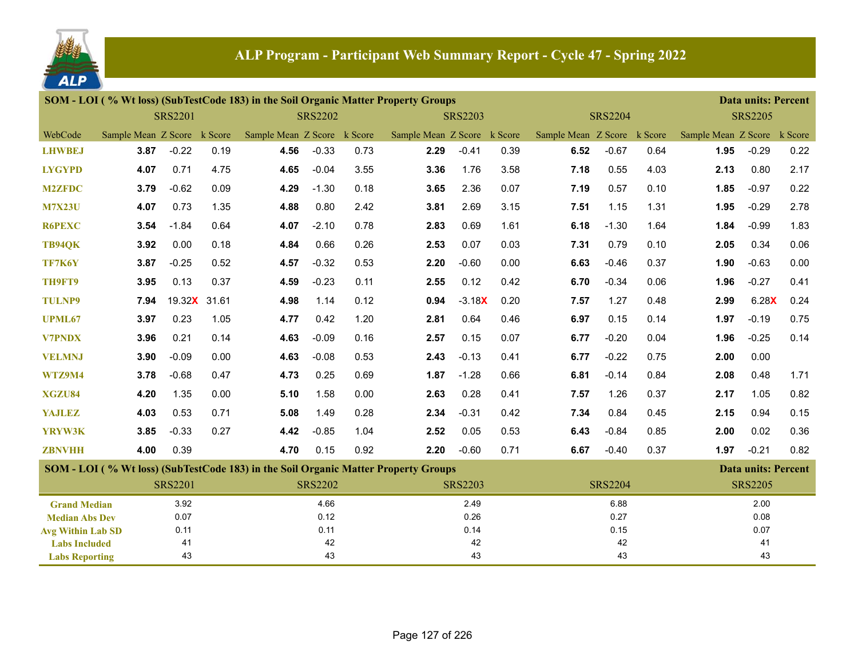

|                                               |                             |                |       |                             |                |      | SOM - LOI (% Wt loss) (SubTestCode 183) in the Soil Organic Matter Property Groups |                |      |                             |                |      |                             | <b>Data units: Percent</b> |      |
|-----------------------------------------------|-----------------------------|----------------|-------|-----------------------------|----------------|------|------------------------------------------------------------------------------------|----------------|------|-----------------------------|----------------|------|-----------------------------|----------------------------|------|
|                                               |                             | <b>SRS2201</b> |       |                             | <b>SRS2202</b> |      |                                                                                    | <b>SRS2203</b> |      |                             | <b>SRS2204</b> |      |                             | <b>SRS2205</b>             |      |
| WebCode                                       | Sample Mean Z Score k Score |                |       | Sample Mean Z Score k Score |                |      | Sample Mean Z Score k Score                                                        |                |      | Sample Mean Z Score k Score |                |      | Sample Mean Z Score k Score |                            |      |
| <b>LHWBEJ</b>                                 | 3.87                        | $-0.22$        | 0.19  | 4.56                        | $-0.33$        | 0.73 | 2.29                                                                               | $-0.41$        | 0.39 | 6.52                        | $-0.67$        | 0.64 | 1.95                        | $-0.29$                    | 0.22 |
| <b>LYGYPD</b>                                 | 4.07                        | 0.71           | 4.75  | 4.65                        | $-0.04$        | 3.55 | 3.36                                                                               | 1.76           | 3.58 | 7.18                        | 0.55           | 4.03 | 2.13                        | 0.80                       | 2.17 |
| <b>M2ZFDC</b>                                 | 3.79                        | $-0.62$        | 0.09  | 4.29                        | $-1.30$        | 0.18 | 3.65                                                                               | 2.36           | 0.07 | 7.19                        | 0.57           | 0.10 | 1.85                        | $-0.97$                    | 0.22 |
| <b>M7X23U</b>                                 | 4.07                        | 0.73           | 1.35  | 4.88                        | 0.80           | 2.42 | 3.81                                                                               | 2.69           | 3.15 | 7.51                        | 1.15           | 1.31 | 1.95                        | $-0.29$                    | 2.78 |
| <b>R6PEXC</b>                                 | 3.54                        | $-1.84$        | 0.64  | 4.07                        | $-2.10$        | 0.78 | 2.83                                                                               | 0.69           | 1.61 | 6.18                        | $-1.30$        | 1.64 | 1.84                        | $-0.99$                    | 1.83 |
| <b>TB94QK</b>                                 | 3.92                        | 0.00           | 0.18  | 4.84                        | 0.66           | 0.26 | 2.53                                                                               | 0.07           | 0.03 | 7.31                        | 0.79           | 0.10 | 2.05                        | 0.34                       | 0.06 |
| TF7K6Y                                        | 3.87                        | $-0.25$        | 0.52  | 4.57                        | $-0.32$        | 0.53 | 2.20                                                                               | $-0.60$        | 0.00 | 6.63                        | $-0.46$        | 0.37 | 1.90                        | $-0.63$                    | 0.00 |
| TH9FT9                                        | 3.95                        | 0.13           | 0.37  | 4.59                        | $-0.23$        | 0.11 | 2.55                                                                               | 0.12           | 0.42 | 6.70                        | $-0.34$        | 0.06 | 1.96                        | $-0.27$                    | 0.41 |
| <b>TULNP9</b>                                 | 7.94                        | 19.32 <b>X</b> | 31.61 | 4.98                        | 1.14           | 0.12 | 0.94                                                                               | $-3.18X$       | 0.20 | 7.57                        | 1.27           | 0.48 | 2.99                        | 6.28X                      | 0.24 |
| UPML67                                        | 3.97                        | 0.23           | 1.05  | 4.77                        | 0.42           | 1.20 | 2.81                                                                               | 0.64           | 0.46 | 6.97                        | 0.15           | 0.14 | 1.97                        | $-0.19$                    | 0.75 |
| <b>V7PNDX</b>                                 | 3.96                        | 0.21           | 0.14  | 4.63                        | $-0.09$        | 0.16 | 2.57                                                                               | 0.15           | 0.07 | 6.77                        | $-0.20$        | 0.04 | 1.96                        | $-0.25$                    | 0.14 |
| <b>VELMNJ</b>                                 | 3.90                        | $-0.09$        | 0.00  | 4.63                        | $-0.08$        | 0.53 | 2.43                                                                               | $-0.13$        | 0.41 | 6.77                        | $-0.22$        | 0.75 | 2.00                        | 0.00                       |      |
| WTZ9M4                                        | 3.78                        | $-0.68$        | 0.47  | 4.73                        | 0.25           | 0.69 | 1.87                                                                               | $-1.28$        | 0.66 | 6.81                        | $-0.14$        | 0.84 | 2.08                        | 0.48                       | 1.71 |
| XGZU84                                        | 4.20                        | 1.35           | 0.00  | 5.10                        | 1.58           | 0.00 | 2.63                                                                               | 0.28           | 0.41 | 7.57                        | 1.26           | 0.37 | 2.17                        | 1.05                       | 0.82 |
| <b>YAJLEZ</b>                                 | 4.03                        | 0.53           | 0.71  | 5.08                        | 1.49           | 0.28 | 2.34                                                                               | $-0.31$        | 0.42 | 7.34                        | 0.84           | 0.45 | 2.15                        | 0.94                       | 0.15 |
| YRYW3K                                        | 3.85                        | $-0.33$        | 0.27  | 4.42                        | $-0.85$        | 1.04 | 2.52                                                                               | 0.05           | 0.53 | 6.43                        | $-0.84$        | 0.85 | 2.00                        | 0.02                       | 0.36 |
| <b>ZBNVHH</b>                                 | 4.00                        | 0.39           |       | 4.70                        | 0.15           | 0.92 | 2.20                                                                               | $-0.60$        | 0.71 | 6.67                        | $-0.40$        | 0.37 | 1.97                        | $-0.21$                    | 0.82 |
|                                               |                             |                |       |                             |                |      | SOM - LOI (% Wt loss) (SubTestCode 183) in the Soil Organic Matter Property Groups |                |      |                             |                |      |                             | <b>Data units: Percent</b> |      |
|                                               |                             | <b>SRS2201</b> |       |                             | <b>SRS2202</b> |      |                                                                                    | <b>SRS2203</b> |      |                             | <b>SRS2204</b> |      |                             | <b>SRS2205</b>             |      |
| <b>Grand Median</b>                           |                             | 3.92           |       |                             | 4.66           |      |                                                                                    | 2.49           |      |                             | 6.88           |      |                             | 2.00                       |      |
| <b>Median Abs Dev</b>                         |                             | 0.07           |       |                             | 0.12           |      |                                                                                    | 0.26           |      |                             | 0.27           |      |                             | 0.08                       |      |
| <b>Avg Within Lab SD</b>                      |                             | 0.11           |       |                             | 0.11           |      |                                                                                    | 0.14           |      |                             | 0.15           |      |                             | 0.07<br>41                 |      |
| <b>Labs Included</b><br><b>Labs Reporting</b> |                             | 41<br>43       |       |                             | 42<br>43       |      |                                                                                    | 42<br>43       |      |                             | 42<br>43       |      |                             | 43                         |      |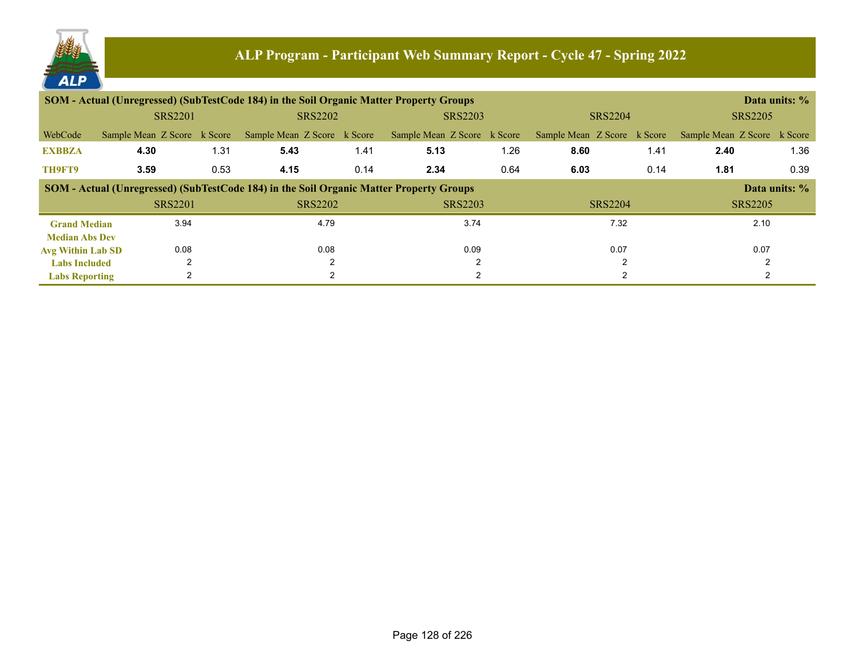

|                          |                                                                                         |      | SOM - Actual (Unregressed) (SubTestCode 184) in the Soil Organic Matter Property Groups |      |                             |      |                             |      |                             | Data units: $\%$ |  |  |  |
|--------------------------|-----------------------------------------------------------------------------------------|------|-----------------------------------------------------------------------------------------|------|-----------------------------|------|-----------------------------|------|-----------------------------|------------------|--|--|--|
|                          | SRS2201                                                                                 |      | SRS2202                                                                                 |      | <b>SRS2203</b>              |      | <b>SRS2204</b>              |      | <b>SRS2205</b>              |                  |  |  |  |
| WebCode                  | Sample Mean Z Score k Score                                                             |      | Sample Mean Z Score k Score                                                             |      | Sample Mean Z Score k Score |      | Sample Mean Z Score k Score |      | Sample Mean Z Score k Score |                  |  |  |  |
| <b>EXBBZA</b>            | 4.30                                                                                    | 1.31 | 5.43                                                                                    | 1.41 | 5.13                        | 1.26 | 8.60                        | 1.41 | 2.40                        | 1.36             |  |  |  |
| <b>TH9FT9</b>            | 3.59                                                                                    | 0.53 | 4.15                                                                                    | 0.14 | 2.34                        | 0.64 | 6.03                        | 0.14 | 1.81                        | 0.39             |  |  |  |
|                          | SOM - Actual (Unregressed) (SubTestCode 184) in the Soil Organic Matter Property Groups |      |                                                                                         |      |                             |      |                             |      |                             |                  |  |  |  |
|                          | <b>SRS2201</b>                                                                          |      | <b>SRS2202</b>                                                                          |      | <b>SRS2203</b>              |      | <b>SRS2204</b>              |      | <b>SRS2205</b>              |                  |  |  |  |
| <b>Grand Median</b>      | 3.94                                                                                    | 4.79 |                                                                                         |      |                             |      | 7.32                        |      | 2.10                        |                  |  |  |  |
| <b>Median Abs Dev</b>    |                                                                                         |      |                                                                                         |      |                             |      |                             |      |                             |                  |  |  |  |
| <b>Avg Within Lab SD</b> | 0.08                                                                                    | 0.08 |                                                                                         |      |                             |      | 0.07                        |      | 0.07                        |                  |  |  |  |
| <b>Labs Included</b>     | 2                                                                                       | 2    |                                                                                         |      | 2                           |      | 2                           |      | 2                           |                  |  |  |  |
| <b>Labs Reporting</b>    | 2                                                                                       |      | 2                                                                                       |      |                             |      | 2                           |      |                             |                  |  |  |  |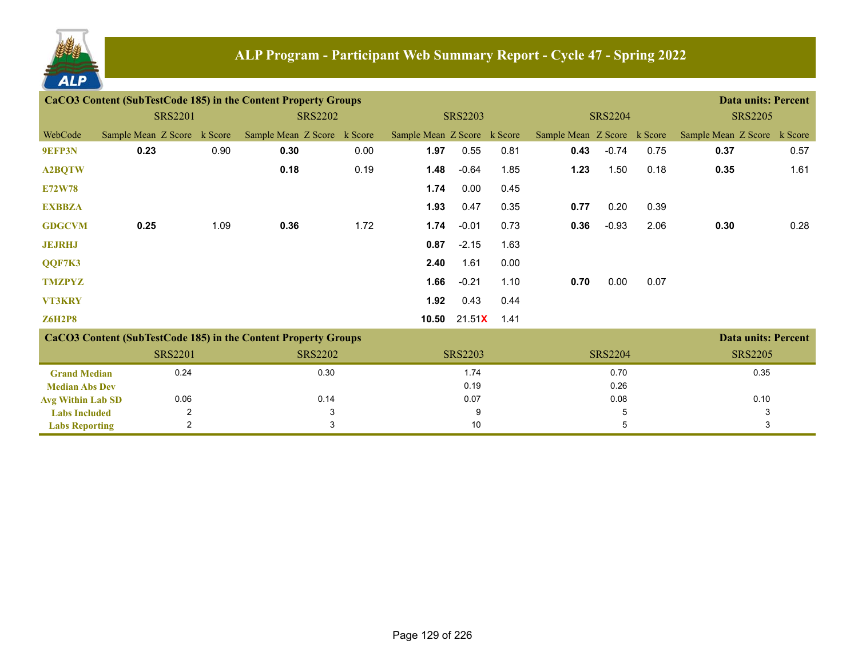

|                          | CaCO3 Content (SubTestCode 185) in the Content Property Groups |      |      |                             |                             |                |      |                             |                |      | <b>Data units: Percent</b>  |      |
|--------------------------|----------------------------------------------------------------|------|------|-----------------------------|-----------------------------|----------------|------|-----------------------------|----------------|------|-----------------------------|------|
|                          | <b>SRS2201</b>                                                 |      |      | <b>SRS2202</b>              |                             | <b>SRS2203</b> |      |                             | <b>SRS2204</b> |      | <b>SRS2205</b>              |      |
| WebCode                  | Sample Mean Z Score k Score                                    |      |      | Sample Mean Z Score k Score | Sample Mean Z Score k Score |                |      | Sample Mean Z Score k Score |                |      | Sample Mean Z Score k Score |      |
| 9EFP3N                   | 0.23                                                           | 0.90 | 0.30 | 0.00                        | 1.97                        | 0.55           | 0.81 | 0.43                        | $-0.74$        | 0.75 | 0.37                        | 0.57 |
| <b>A2BQTW</b>            |                                                                |      | 0.18 | 0.19                        | 1.48                        | $-0.64$        | 1.85 | 1.23                        | 1.50           | 0.18 | 0.35                        | 1.61 |
| E72W78                   |                                                                |      |      |                             | 1.74                        | 0.00           | 0.45 |                             |                |      |                             |      |
| <b>EXBBZA</b>            |                                                                |      |      |                             | 1.93                        | 0.47           | 0.35 | 0.77                        | 0.20           | 0.39 |                             |      |
| <b>GDGCVM</b>            | 0.25                                                           | 1.09 | 0.36 | 1.72                        | 1.74                        | $-0.01$        | 0.73 | 0.36                        | $-0.93$        | 2.06 | 0.30                        | 0.28 |
| <b>JEJRHJ</b>            |                                                                |      |      |                             | 0.87                        | $-2.15$        | 1.63 |                             |                |      |                             |      |
| QQF7K3                   |                                                                |      |      |                             | 2.40                        | 1.61           | 0.00 |                             |                |      |                             |      |
| <b>TMZPYZ</b>            |                                                                |      |      |                             | 1.66                        | $-0.21$        | 1.10 | 0.70                        | 0.00           | 0.07 |                             |      |
| <b>VT3KRY</b>            |                                                                |      |      |                             | 1.92                        | 0.43           | 0.44 |                             |                |      |                             |      |
| <b>Z6H2P8</b>            |                                                                |      |      |                             | 10.50                       | 21.51X         | 1.41 |                             |                |      |                             |      |
|                          | CaCO3 Content (SubTestCode 185) in the Content Property Groups |      |      |                             |                             |                |      |                             |                |      | <b>Data units: Percent</b>  |      |
|                          | <b>SRS2201</b>                                                 |      |      | <b>SRS2202</b>              |                             | <b>SRS2203</b> |      |                             | <b>SRS2204</b> |      | <b>SRS2205</b>              |      |
| <b>Grand Median</b>      | 0.24                                                           |      |      | 0.30                        |                             | 1.74           |      |                             | 0.70           |      | 0.35                        |      |
| <b>Median Abs Dev</b>    |                                                                |      |      |                             |                             | 0.19           |      |                             | 0.26           |      |                             |      |
| <b>Avg Within Lab SD</b> | 0.06                                                           |      |      | 0.14                        |                             | 0.07           |      |                             | 0.08           |      | 0.10                        |      |
| <b>Labs Included</b>     | $\overline{c}$                                                 |      |      | 3                           |                             | 9              |      |                             | 5              |      | 3                           |      |
| <b>Labs Reporting</b>    | 2                                                              |      |      | 3                           |                             | 10             |      |                             | 5              |      | 3                           |      |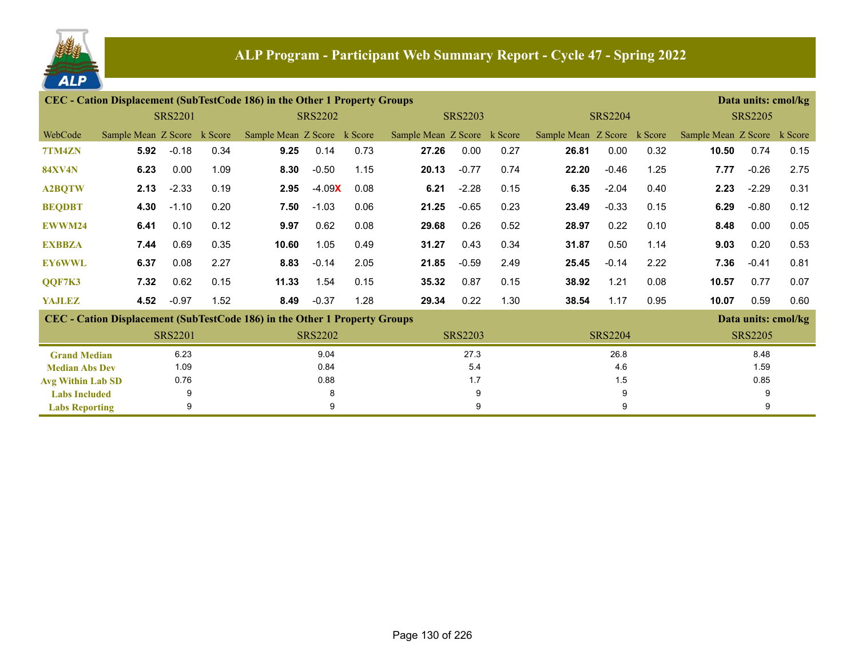

|                          |                             |                |      | CEC - Cation Displacement (SubTestCode 186) in the Other 1 Property Groups |                |      |                             |                |      |                             |                |      |                             | Data units: cmol/kg |      |
|--------------------------|-----------------------------|----------------|------|----------------------------------------------------------------------------|----------------|------|-----------------------------|----------------|------|-----------------------------|----------------|------|-----------------------------|---------------------|------|
|                          |                             | <b>SRS2201</b> |      |                                                                            | <b>SRS2202</b> |      |                             | <b>SRS2203</b> |      |                             | <b>SRS2204</b> |      |                             | <b>SRS2205</b>      |      |
| WebCode                  | Sample Mean Z Score k Score |                |      | Sample Mean Z Score k Score                                                |                |      | Sample Mean Z Score k Score |                |      | Sample Mean Z Score k Score |                |      | Sample Mean Z Score k Score |                     |      |
| 7TM4ZN                   | 5.92                        | $-0.18$        | 0.34 | 9.25                                                                       | 0.14           | 0.73 | 27.26                       | 0.00           | 0.27 | 26.81                       | 0.00           | 0.32 | 10.50                       | 0.74                | 0.15 |
| <b>84XV4N</b>            | 6.23                        | 0.00           | 1.09 | 8.30                                                                       | $-0.50$        | 1.15 | 20.13                       | $-0.77$        | 0.74 | 22.20                       | $-0.46$        | 1.25 | 7.77                        | $-0.26$             | 2.75 |
| <b>A2BQTW</b>            | 2.13                        | $-2.33$        | 0.19 | 2.95                                                                       | $-4.09X$       | 0.08 | 6.21                        | $-2.28$        | 0.15 | 6.35                        | $-2.04$        | 0.40 | 2.23                        | $-2.29$             | 0.31 |
| <b>BEQDBT</b>            | 4.30                        | $-1.10$        | 0.20 | 7.50                                                                       | $-1.03$        | 0.06 | 21.25                       | $-0.65$        | 0.23 | 23.49                       | $-0.33$        | 0.15 | 6.29                        | $-0.80$             | 0.12 |
| EWWM24                   | 6.41                        | 0.10           | 0.12 | 9.97                                                                       | 0.62           | 0.08 | 29.68                       | 0.26           | 0.52 | 28.97                       | 0.22           | 0.10 | 8.48                        | 0.00                | 0.05 |
| <b>EXBBZA</b>            | 7.44                        | 0.69           | 0.35 | 10.60                                                                      | 1.05           | 0.49 | 31.27                       | 0.43           | 0.34 | 31.87                       | 0.50           | 1.14 | 9.03                        | 0.20                | 0.53 |
| <b>EY6WWL</b>            | 6.37                        | 0.08           | 2.27 | 8.83                                                                       | $-0.14$        | 2.05 | 21.85                       | $-0.59$        | 2.49 | 25.45                       | $-0.14$        | 2.22 | 7.36                        | $-0.41$             | 0.81 |
| QQF7K3                   | 7.32                        | 0.62           | 0.15 | 11.33                                                                      | 1.54           | 0.15 | 35.32                       | 0.87           | 0.15 | 38.92                       | 1.21           | 0.08 | 10.57                       | 0.77                | 0.07 |
| <b>YAJLEZ</b>            | 4.52                        | $-0.97$        | 1.52 | 8.49                                                                       | $-0.37$        | 1.28 | 29.34                       | 0.22           | 1.30 | 38.54                       | 1.17           | 0.95 | 10.07                       | 0.59                | 0.60 |
|                          |                             |                |      | CEC - Cation Displacement (SubTestCode 186) in the Other 1 Property Groups |                |      |                             |                |      |                             |                |      |                             | Data units: cmol/kg |      |
|                          |                             | <b>SRS2201</b> |      |                                                                            | <b>SRS2202</b> |      |                             | <b>SRS2203</b> |      |                             | <b>SRS2204</b> |      |                             | <b>SRS2205</b>      |      |
| <b>Grand Median</b>      |                             | 6.23           |      |                                                                            | 9.04           |      |                             | 27.3           |      |                             | 26.8           |      |                             | 8.48                |      |
| <b>Median Abs Dev</b>    |                             | 1.09           |      |                                                                            | 0.84           |      |                             | 5.4            |      |                             | 4.6            |      |                             | 1.59                |      |
| <b>Avg Within Lab SD</b> |                             | 0.76           |      |                                                                            | 0.88           |      |                             | 1.7            |      |                             | 1.5            |      |                             | 0.85                |      |
| <b>Labs Included</b>     |                             | 9              |      |                                                                            | 8              |      |                             | 9              |      |                             | 9              |      |                             | 9                   |      |
| <b>Labs Reporting</b>    |                             | 9              |      |                                                                            | 9              |      |                             | 9              |      |                             | 9              |      |                             | 9                   |      |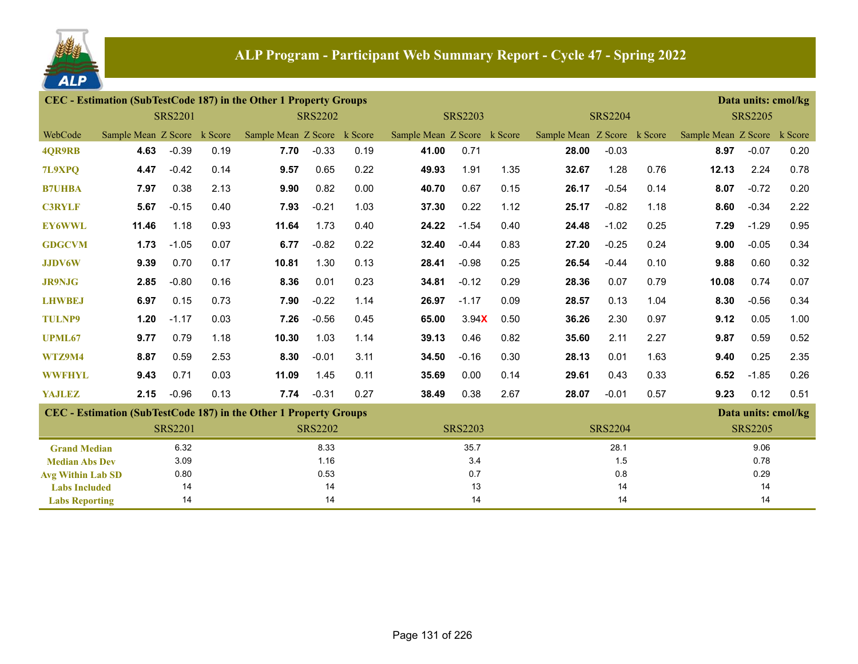

|                          |                             |                |      | CEC - Estimation (SubTestCode 187) in the Other 1 Property Groups |                |      |                             |                |      |                             |                |      |                             | Data units: cmol/kg |      |
|--------------------------|-----------------------------|----------------|------|-------------------------------------------------------------------|----------------|------|-----------------------------|----------------|------|-----------------------------|----------------|------|-----------------------------|---------------------|------|
|                          |                             | <b>SRS2201</b> |      |                                                                   | <b>SRS2202</b> |      |                             | <b>SRS2203</b> |      |                             | <b>SRS2204</b> |      |                             | <b>SRS2205</b>      |      |
| WebCode                  | Sample Mean Z Score k Score |                |      | Sample Mean Z Score k Score                                       |                |      | Sample Mean Z Score k Score |                |      | Sample Mean Z Score k Score |                |      | Sample Mean Z Score k Score |                     |      |
| 4QR9RB                   | 4.63                        | $-0.39$        | 0.19 | 7.70                                                              | $-0.33$        | 0.19 | 41.00                       | 0.71           |      | 28.00                       | $-0.03$        |      | 8.97                        | $-0.07$             | 0.20 |
| 7L9XPO                   | 4.47                        | $-0.42$        | 0.14 | 9.57                                                              | 0.65           | 0.22 | 49.93                       | 1.91           | 1.35 | 32.67                       | 1.28           | 0.76 | 12.13                       | 2.24                | 0.78 |
| <b>B7UHBA</b>            | 7.97                        | 0.38           | 2.13 | 9.90                                                              | 0.82           | 0.00 | 40.70                       | 0.67           | 0.15 | 26.17                       | $-0.54$        | 0.14 | 8.07                        | $-0.72$             | 0.20 |
| <b>C3RYLF</b>            | 5.67                        | $-0.15$        | 0.40 | 7.93                                                              | $-0.21$        | 1.03 | 37.30                       | 0.22           | 1.12 | 25.17                       | $-0.82$        | 1.18 | 8.60                        | $-0.34$             | 2.22 |
| <b>EY6WWL</b>            | 11.46                       | 1.18           | 0.93 | 11.64                                                             | 1.73           | 0.40 | 24.22                       | $-1.54$        | 0.40 | 24.48                       | $-1.02$        | 0.25 | 7.29                        | $-1.29$             | 0.95 |
| <b>GDGCVM</b>            | 1.73                        | $-1.05$        | 0.07 | 6.77                                                              | $-0.82$        | 0.22 | 32.40                       | $-0.44$        | 0.83 | 27.20                       | $-0.25$        | 0.24 | 9.00                        | $-0.05$             | 0.34 |
| <b>JJDV6W</b>            | 9.39                        | 0.70           | 0.17 | 10.81                                                             | 1.30           | 0.13 | 28.41                       | $-0.98$        | 0.25 | 26.54                       | $-0.44$        | 0.10 | 9.88                        | 0.60                | 0.32 |
| <b>JR9NJG</b>            | 2.85                        | $-0.80$        | 0.16 | 8.36                                                              | 0.01           | 0.23 | 34.81                       | $-0.12$        | 0.29 | 28.36                       | 0.07           | 0.79 | 10.08                       | 0.74                | 0.07 |
| <b>LHWBEJ</b>            | 6.97                        | 0.15           | 0.73 | 7.90                                                              | $-0.22$        | 1.14 | 26.97                       | $-1.17$        | 0.09 | 28.57                       | 0.13           | 1.04 | 8.30                        | $-0.56$             | 0.34 |
| <b>TULNP9</b>            | 1.20                        | $-1.17$        | 0.03 | 7.26                                                              | $-0.56$        | 0.45 | 65.00                       | 3.94X          | 0.50 | 36.26                       | 2.30           | 0.97 | 9.12                        | 0.05                | 1.00 |
| UPML67                   | 9.77                        | 0.79           | 1.18 | 10.30                                                             | 1.03           | 1.14 | 39.13                       | 0.46           | 0.82 | 35.60                       | 2.11           | 2.27 | 9.87                        | 0.59                | 0.52 |
| WTZ9M4                   | 8.87                        | 0.59           | 2.53 | 8.30                                                              | $-0.01$        | 3.11 | 34.50                       | $-0.16$        | 0.30 | 28.13                       | 0.01           | 1.63 | 9.40                        | 0.25                | 2.35 |
| <b>WWFHYL</b>            | 9.43                        | 0.71           | 0.03 | 11.09                                                             | 1.45           | 0.11 | 35.69                       | 0.00           | 0.14 | 29.61                       | 0.43           | 0.33 | 6.52                        | $-1.85$             | 0.26 |
| <b>YAJLEZ</b>            | 2.15                        | $-0.96$        | 0.13 | 7.74                                                              | $-0.31$        | 0.27 | 38.49                       | 0.38           | 2.67 | 28.07                       | $-0.01$        | 0.57 | 9.23                        | 0.12                | 0.51 |
|                          |                             |                |      | CEC - Estimation (SubTestCode 187) in the Other 1 Property Groups |                |      |                             |                |      |                             |                |      |                             | Data units: cmol/kg |      |
|                          |                             | <b>SRS2201</b> |      |                                                                   | <b>SRS2202</b> |      |                             | <b>SRS2203</b> |      |                             | <b>SRS2204</b> |      |                             | <b>SRS2205</b>      |      |
| <b>Grand Median</b>      |                             | 6.32           |      |                                                                   | 8.33           |      |                             | 35.7           |      |                             | 28.1           |      |                             | 9.06                |      |
| <b>Median Abs Dev</b>    |                             | 3.09           |      |                                                                   | 1.16           |      |                             | 3.4            |      |                             | 1.5            |      |                             | 0.78                |      |
| <b>Avg Within Lab SD</b> |                             | 0.80           |      |                                                                   | 0.53           |      |                             | 0.7            |      |                             | 0.8            |      |                             | 0.29                |      |
| <b>Labs Included</b>     |                             | 14             |      |                                                                   | 14             |      |                             | 13             |      |                             | 14             |      |                             | 14                  |      |
| <b>Labs Reporting</b>    |                             | 14             |      |                                                                   | 14             |      |                             | 14             |      |                             | 14             |      |                             | 14                  |      |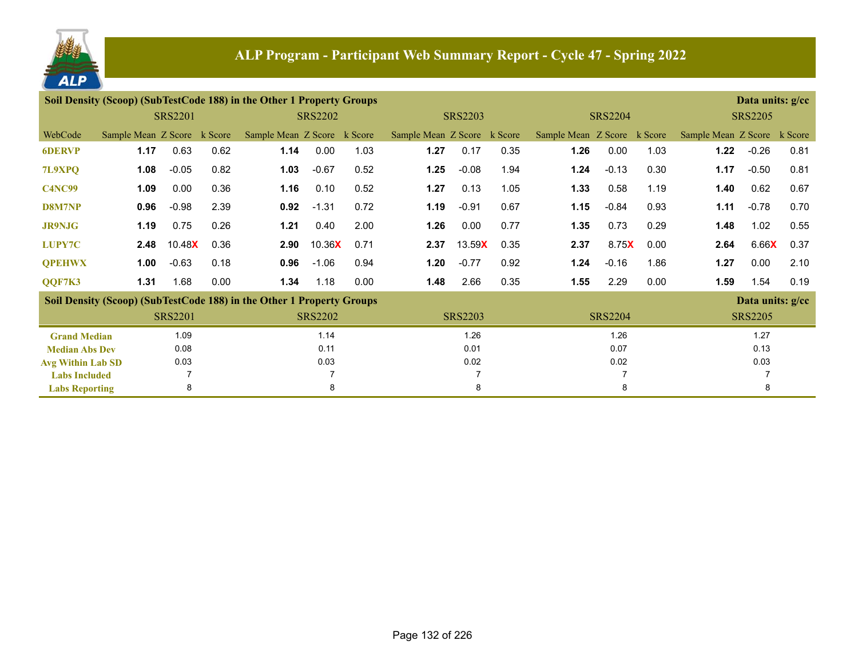

|                       |                             |                |      | Soil Density (Scoop) (SubTestCode 188) in the Other 1 Property Groups |                |      |                             |                |      |                             |                |      |                             | Data units: g/cc  |      |
|-----------------------|-----------------------------|----------------|------|-----------------------------------------------------------------------|----------------|------|-----------------------------|----------------|------|-----------------------------|----------------|------|-----------------------------|-------------------|------|
|                       |                             | <b>SRS2201</b> |      |                                                                       | <b>SRS2202</b> |      |                             | <b>SRS2203</b> |      |                             | <b>SRS2204</b> |      |                             | <b>SRS2205</b>    |      |
| WebCode               | Sample Mean Z Score k Score |                |      | Sample Mean Z Score k Score                                           |                |      | Sample Mean Z Score k Score |                |      | Sample Mean Z Score k Score |                |      | Sample Mean Z Score k Score |                   |      |
| <b>6DERVP</b>         | 1.17                        | 0.63           | 0.62 | 1.14                                                                  | 0.00           | 1.03 | 1.27                        | 0.17           | 0.35 | 1.26                        | 0.00           | 1.03 | 1.22                        | $-0.26$           | 0.81 |
| 7L9XPQ                | 1.08                        | $-0.05$        | 0.82 | 1.03                                                                  | $-0.67$        | 0.52 | 1.25                        | $-0.08$        | 1.94 | 1.24                        | $-0.13$        | 0.30 | 1.17                        | $-0.50$           | 0.81 |
| <b>C4NC99</b>         | 1.09                        | 0.00           | 0.36 | 1.16                                                                  | 0.10           | 0.52 | 1.27                        | 0.13           | 1.05 | 1.33                        | 0.58           | 1.19 | 1.40                        | 0.62              | 0.67 |
| D8M7NP                | 0.96                        | $-0.98$        | 2.39 | 0.92                                                                  | $-1.31$        | 0.72 | 1.19                        | $-0.91$        | 0.67 | 1.15                        | $-0.84$        | 0.93 | 1.11                        | $-0.78$           | 0.70 |
| <b>JR9NJG</b>         | 1.19                        | 0.75           | 0.26 | 1.21                                                                  | 0.40           | 2.00 | 1.26                        | 0.00           | 0.77 | 1.35                        | 0.73           | 0.29 | 1.48                        | 1.02              | 0.55 |
| <b>LUPY7C</b>         | 2.48                        | 10.48X         | 0.36 | 2.90                                                                  | 10.36X         | 0.71 | 2.37                        | 13.59X         | 0.35 | 2.37                        | 8.75X          | 0.00 | 2.64                        | 6.66 <sub>X</sub> | 0.37 |
| <b>OPEHWX</b>         | 1.00                        | $-0.63$        | 0.18 | 0.96                                                                  | $-1.06$        | 0.94 | 1.20                        | $-0.77$        | 0.92 | 1.24                        | $-0.16$        | 1.86 | 1.27                        | 0.00              | 2.10 |
| QQF7K3                | 1.31                        | 1.68           | 0.00 | 1.34                                                                  | 1.18           | 0.00 | 1.48                        | 2.66           | 0.35 | 1.55                        | 2.29           | 0.00 | 1.59                        | 1.54              | 0.19 |
|                       |                             |                |      | Soil Density (Scoop) (SubTestCode 188) in the Other 1 Property Groups |                |      |                             |                |      |                             |                |      |                             | Data units: g/cc  |      |
|                       |                             | <b>SRS2201</b> |      |                                                                       | <b>SRS2202</b> |      |                             | <b>SRS2203</b> |      |                             | <b>SRS2204</b> |      |                             | <b>SRS2205</b>    |      |
| <b>Grand Median</b>   |                             | 1.14<br>1.09   |      |                                                                       |                |      |                             | 1.26           |      |                             | 1.26           |      |                             | 1.27              |      |
| <b>Median Abs Dev</b> |                             | 0.11<br>0.08   |      |                                                                       |                | 0.01 |                             |                | 0.07 |                             |                | 0.13 |                             |                   |      |
| Avg Within Lab SD     |                             | 0.03           |      | 0.03                                                                  |                |      |                             | 0.02           |      |                             | 0.02           |      |                             | 0.03              |      |
| <b>Labs Included</b>  |                             |                |      |                                                                       |                |      |                             |                |      |                             |                |      |                             |                   |      |
| <b>Labs Reporting</b> |                             | 8              |      |                                                                       | 8              |      |                             | 8              |      |                             | 8              |      |                             | 8                 |      |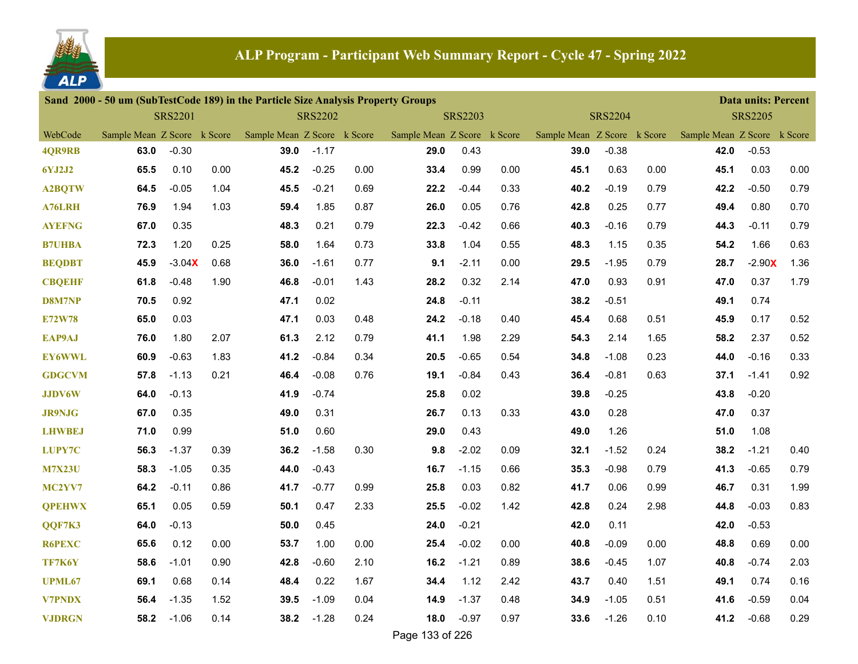

|                                 |                             |                |      | Sand 2000 - 50 um (SubTestCode 189) in the Particle Size Analysis Property Groups |                |      |                             |                |      |                             |                |      |                             | <b>Data units: Percent</b> |      |
|---------------------------------|-----------------------------|----------------|------|-----------------------------------------------------------------------------------|----------------|------|-----------------------------|----------------|------|-----------------------------|----------------|------|-----------------------------|----------------------------|------|
|                                 |                             | <b>SRS2201</b> |      |                                                                                   | <b>SRS2202</b> |      |                             | <b>SRS2203</b> |      |                             | <b>SRS2204</b> |      |                             | <b>SRS2205</b>             |      |
| WebCode                         | Sample Mean Z Score k Score |                |      | Sample Mean Z Score k Score                                                       |                |      | Sample Mean Z Score k Score |                |      | Sample Mean Z Score k Score |                |      | Sample Mean Z Score k Score |                            |      |
| 4QR9RB                          | 63.0                        | $-0.30$        |      | 39.0                                                                              | $-1.17$        |      | 29.0                        | 0.43           |      | 39.0                        | $-0.38$        |      | 42.0                        | $-0.53$                    |      |
| 6YJ2J2                          | 65.5                        | 0.10           | 0.00 | 45.2                                                                              | $-0.25$        | 0.00 | 33.4                        | 0.99           | 0.00 | 45.1                        | 0.63           | 0.00 | 45.1                        | 0.03                       | 0.00 |
| <b>A2BQTW</b>                   | 64.5                        | $-0.05$        | 1.04 | 45.5                                                                              | $-0.21$        | 0.69 | 22.2                        | $-0.44$        | 0.33 | 40.2                        | $-0.19$        | 0.79 | 42.2                        | $-0.50$                    | 0.79 |
| A76LRH                          | 76.9                        | 1.94           | 1.03 | 59.4                                                                              | 1.85           | 0.87 | 26.0                        | 0.05           | 0.76 | 42.8                        | 0.25           | 0.77 | 49.4                        | 0.80                       | 0.70 |
| <b>AYEFNG</b>                   | 67.0                        | 0.35           |      | 48.3                                                                              | 0.21           | 0.79 | 22.3                        | $-0.42$        | 0.66 | 40.3                        | $-0.16$        | 0.79 | 44.3                        | $-0.11$                    | 0.79 |
| <b>B7UHBA</b>                   | 72.3                        | 1.20           | 0.25 | 58.0                                                                              | 1.64           | 0.73 | 33.8                        | 1.04           | 0.55 | 48.3                        | 1.15           | 0.35 | 54.2                        | 1.66                       | 0.63 |
| <b>BEQDBT</b>                   | 45.9                        | $-3.04X$       | 0.68 | 36.0                                                                              | $-1.61$        | 0.77 | 9.1                         | $-2.11$        | 0.00 | 29.5                        | $-1.95$        | 0.79 | 28.7                        | $-2.90X$                   | 1.36 |
| <b>CBOEHF</b>                   | 61.8                        | $-0.48$        | 1.90 | 46.8                                                                              | $-0.01$        | 1.43 | 28.2                        | 0.32           | 2.14 | 47.0                        | 0.93           | 0.91 | 47.0                        | 0.37                       | 1.79 |
| D8M7NP                          | 70.5                        | 0.92           |      | 47.1                                                                              | 0.02           |      | 24.8                        | $-0.11$        |      | 38.2                        | $-0.51$        |      | 49.1                        | 0.74                       |      |
| E72W78                          | 65.0                        | 0.03           |      | 47.1                                                                              | 0.03           | 0.48 | 24.2                        | $-0.18$        | 0.40 | 45.4                        | 0.68           | 0.51 | 45.9                        | 0.17                       | 0.52 |
| <b>EAP9AJ</b>                   | 76.0                        | 1.80           | 2.07 | 61.3                                                                              | 2.12           | 0.79 | 41.1                        | 1.98           | 2.29 | 54.3                        | 2.14           | 1.65 | 58.2                        | 2.37                       | 0.52 |
| <b>EY6WWL</b>                   | 60.9                        | $-0.63$        | 1.83 | 41.2                                                                              | $-0.84$        | 0.34 | 20.5                        | $-0.65$        | 0.54 | 34.8                        | $-1.08$        | 0.23 | 44.0                        | $-0.16$                    | 0.33 |
| <b>GDGCVM</b>                   | 57.8                        | $-1.13$        | 0.21 | 46.4                                                                              | $-0.08$        | 0.76 | 19.1                        | $-0.84$        | 0.43 | 36.4                        | $-0.81$        | 0.63 | 37.1                        | $-1.41$                    | 0.92 |
| <b>JJDV6W</b>                   | 64.0                        | $-0.13$        |      | 41.9                                                                              | $-0.74$        |      | 25.8                        | 0.02           |      | 39.8                        | $-0.25$        |      | 43.8                        | $-0.20$                    |      |
| <b>JR9NJG</b>                   | 67.0                        | 0.35           |      | 49.0                                                                              | 0.31           |      | 26.7                        | 0.13           | 0.33 | 43.0                        | 0.28           |      | 47.0                        | 0.37                       |      |
| <b>LHWBEJ</b>                   | 71.0                        | 0.99           |      | 51.0                                                                              | 0.60           |      | 29.0                        | 0.43           |      | 49.0                        | 1.26           |      | 51.0                        | 1.08                       |      |
| <b>LUPY7C</b>                   | 56.3                        | $-1.37$        | 0.39 | 36.2                                                                              | $-1.58$        | 0.30 | 9.8                         | $-2.02$        | 0.09 | 32.1                        | $-1.52$        | 0.24 | 38.2                        | $-1.21$                    | 0.40 |
| <b>M7X23U</b>                   | 58.3                        | $-1.05$        | 0.35 | 44.0                                                                              | $-0.43$        |      | 16.7                        | $-1.15$        | 0.66 | 35.3                        | $-0.98$        | 0.79 | 41.3                        | $-0.65$                    | 0.79 |
| MC <sub>2</sub> YV <sub>7</sub> | 64.2                        | $-0.11$        | 0.86 | 41.7                                                                              | $-0.77$        | 0.99 | 25.8                        | 0.03           | 0.82 | 41.7                        | 0.06           | 0.99 | 46.7                        | 0.31                       | 1.99 |
| <b>QPEHWX</b>                   | 65.1                        | 0.05           | 0.59 | 50.1                                                                              | 0.47           | 2.33 | 25.5                        | $-0.02$        | 1.42 | 42.8                        | 0.24           | 2.98 | 44.8                        | $-0.03$                    | 0.83 |
| QQF7K3                          | 64.0                        | $-0.13$        |      | 50.0                                                                              | 0.45           |      | 24.0                        | $-0.21$        |      | 42.0                        | 0.11           |      | 42.0                        | $-0.53$                    |      |
| <b>R6PEXC</b>                   | 65.6                        | 0.12           | 0.00 | 53.7                                                                              | 1.00           | 0.00 | 25.4                        | $-0.02$        | 0.00 | 40.8                        | $-0.09$        | 0.00 | 48.8                        | 0.69                       | 0.00 |
| TF7K6Y                          | 58.6                        | $-1.01$        | 0.90 | 42.8                                                                              | $-0.60$        | 2.10 | 16.2                        | $-1.21$        | 0.89 | 38.6                        | $-0.45$        | 1.07 | 40.8                        | $-0.74$                    | 2.03 |
| UPML67                          | 69.1                        | 0.68           | 0.14 | 48.4                                                                              | 0.22           | 1.67 | 34.4                        | 1.12           | 2.42 | 43.7                        | 0.40           | 1.51 | 49.1                        | 0.74                       | 0.16 |
| <b>V7PNDX</b>                   | 56.4                        | $-1.35$        | 1.52 | 39.5                                                                              | $-1.09$        | 0.04 | 14.9                        | $-1.37$        | 0.48 | 34.9                        | $-1.05$        | 0.51 | 41.6                        | $-0.59$                    | 0.04 |
| <b>VJDRGN</b>                   | 58.2                        | $-1.06$        | 0.14 | 38.2                                                                              | $-1.28$        | 0.24 | 18.0                        | $-0.97$        | 0.97 | 33.6                        | $-1.26$        | 0.10 | 41.2                        | $-0.68$                    | 0.29 |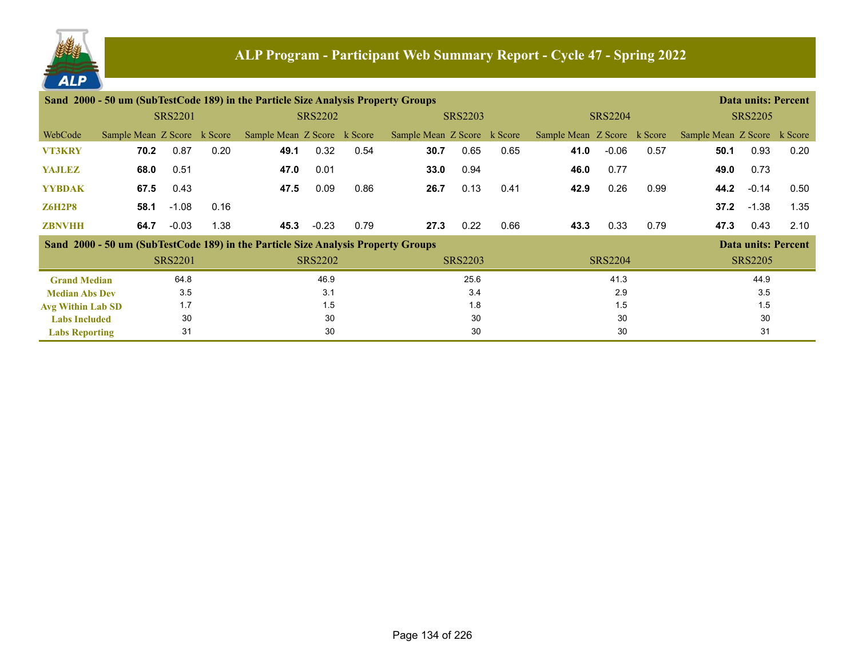

|                       |                             |                |      | Sand 2000 - 50 um (SubTestCode 189) in the Particle Size Analysis Property Groups |                |      |                             |                |      |                             |                |      |                             | <b>Data units: Percent</b> |      |
|-----------------------|-----------------------------|----------------|------|-----------------------------------------------------------------------------------|----------------|------|-----------------------------|----------------|------|-----------------------------|----------------|------|-----------------------------|----------------------------|------|
|                       |                             | <b>SRS2201</b> |      |                                                                                   | <b>SRS2202</b> |      |                             | <b>SRS2203</b> |      |                             | SRS2204        |      |                             | <b>SRS2205</b>             |      |
| WebCode               | Sample Mean Z Score k Score |                |      | Sample Mean Z Score k Score                                                       |                |      | Sample Mean Z Score k Score |                |      | Sample Mean Z Score k Score |                |      | Sample Mean Z Score k Score |                            |      |
| <b>VT3KRY</b>         | 70.2                        | 0.87           | 0.20 | 49.1                                                                              | 0.32           | 0.54 | 30.7                        | 0.65           | 0.65 | 41.0                        | $-0.06$        | 0.57 | 50.1                        | 0.93                       | 0.20 |
| <b>YAJLEZ</b>         | 68.0                        | 0.51           |      | 47.0                                                                              | 0.01           |      | 33.0                        | 0.94           |      | 46.0                        | 0.77           |      | 49.0                        | 0.73                       |      |
| <b>YYBDAK</b>         | 67.5                        | 0.43           |      | 47.5                                                                              | 0.09           | 0.86 | 26.7                        | 0.13           | 0.41 | 42.9                        | 0.26           | 0.99 | 44.2                        | $-0.14$                    | 0.50 |
| <b>Z6H2P8</b>         | 58.1                        | $-1.08$        | 0.16 |                                                                                   |                |      |                             |                |      |                             |                |      | 37.2                        | $-1.38$                    | 1.35 |
| <b>ZBNVHH</b>         | 64.7                        | $-0.03$        | 1.38 | 45.3                                                                              | $-0.23$        | 0.79 | 27.3                        | 0.22           | 0.66 | 43.3                        | 0.33           | 0.79 | 47.3                        | 0.43                       | 2.10 |
|                       |                             |                |      | Sand 2000 - 50 um (SubTestCode 189) in the Particle Size Analysis Property Groups |                |      |                             |                |      |                             |                |      |                             | Data units: Percent        |      |
|                       |                             | <b>SRS2201</b> |      |                                                                                   | <b>SRS2202</b> |      |                             | <b>SRS2203</b> |      |                             | <b>SRS2204</b> |      |                             | <b>SRS2205</b>             |      |
| <b>Grand Median</b>   |                             | 64.8           |      |                                                                                   | 46.9           |      |                             | 25.6           |      |                             | 41.3           |      |                             | 44.9                       |      |
| <b>Median Abs Dev</b> |                             | 3.5            |      |                                                                                   | 3.1            |      |                             | 3.4            |      |                             | 2.9            |      |                             | 3.5                        |      |
| Avg Within Lab SD     |                             | 1.7            |      |                                                                                   | 1.5            |      |                             | 1.8            |      |                             | 1.5            |      |                             | 1.5                        |      |
| <b>Labs Included</b>  |                             | 30             |      |                                                                                   | 30             |      |                             | 30             |      |                             | 30             |      |                             | 30                         |      |
| <b>Labs Reporting</b> |                             | 31             |      |                                                                                   | 30             |      |                             | 30             |      |                             | 30             |      |                             | 31                         |      |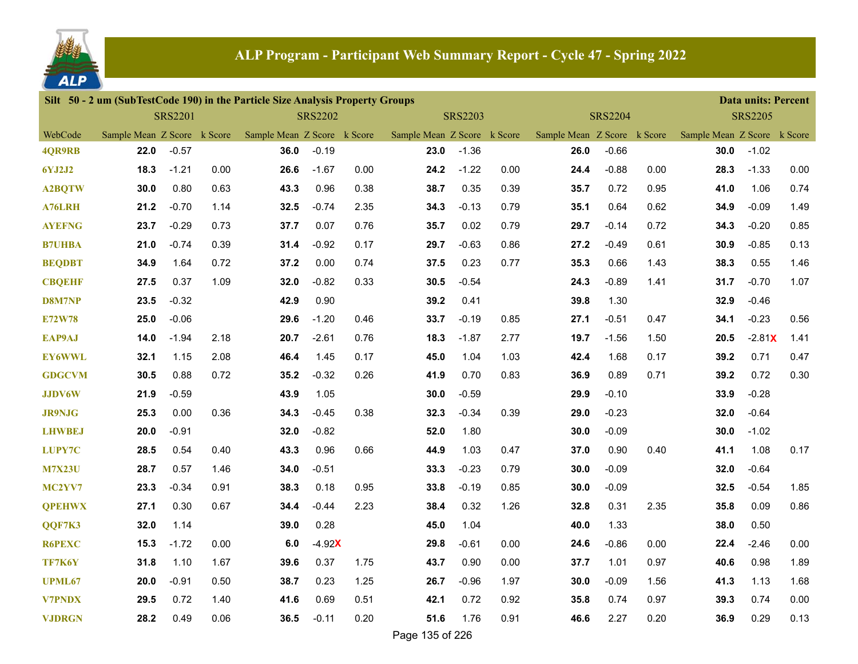

|                                 | Silt 50 - 2 um (SubTestCode 190) in the Particle Size Analysis Property Groups |                |      |                             |          |      |                             |                |      |                             |                |      |                             | <b>Data units: Percent</b> |      |
|---------------------------------|--------------------------------------------------------------------------------|----------------|------|-----------------------------|----------|------|-----------------------------|----------------|------|-----------------------------|----------------|------|-----------------------------|----------------------------|------|
|                                 |                                                                                | <b>SRS2201</b> |      |                             | SRS2202  |      |                             | <b>SRS2203</b> |      |                             | <b>SRS2204</b> |      |                             | <b>SRS2205</b>             |      |
| WebCode                         | Sample Mean Z Score k Score                                                    |                |      | Sample Mean Z Score k Score |          |      | Sample Mean Z Score k Score |                |      | Sample Mean Z Score k Score |                |      | Sample Mean Z Score k Score |                            |      |
| 4QR9RB                          | 22.0                                                                           | $-0.57$        |      | 36.0                        | $-0.19$  |      | 23.0                        | $-1.36$        |      | 26.0                        | $-0.66$        |      | 30.0                        | $-1.02$                    |      |
| <b>6YJ2J2</b>                   | 18.3                                                                           | $-1.21$        | 0.00 | 26.6                        | $-1.67$  | 0.00 | 24.2                        | $-1.22$        | 0.00 | 24.4                        | $-0.88$        | 0.00 | 28.3                        | $-1.33$                    | 0.00 |
| <b>A2BQTW</b>                   | 30.0                                                                           | 0.80           | 0.63 | 43.3                        | 0.96     | 0.38 | 38.7                        | 0.35           | 0.39 | 35.7                        | 0.72           | 0.95 | 41.0                        | 1.06                       | 0.74 |
| A76LRH                          | 21.2                                                                           | $-0.70$        | 1.14 | 32.5                        | $-0.74$  | 2.35 | 34.3                        | $-0.13$        | 0.79 | 35.1                        | 0.64           | 0.62 | 34.9                        | $-0.09$                    | 1.49 |
| <b>AYEFNG</b>                   | 23.7                                                                           | $-0.29$        | 0.73 | 37.7                        | 0.07     | 0.76 | 35.7                        | 0.02           | 0.79 | 29.7                        | $-0.14$        | 0.72 | 34.3                        | $-0.20$                    | 0.85 |
| <b>B7UHBA</b>                   | 21.0                                                                           | $-0.74$        | 0.39 | 31.4                        | $-0.92$  | 0.17 | 29.7                        | $-0.63$        | 0.86 | 27.2                        | $-0.49$        | 0.61 | 30.9                        | $-0.85$                    | 0.13 |
| <b>BEQDBT</b>                   | 34.9                                                                           | 1.64           | 0.72 | 37.2                        | 0.00     | 0.74 | 37.5                        | 0.23           | 0.77 | 35.3                        | 0.66           | 1.43 | 38.3                        | 0.55                       | 1.46 |
| <b>CBQEHF</b>                   | 27.5                                                                           | 0.37           | 1.09 | 32.0                        | $-0.82$  | 0.33 | 30.5                        | $-0.54$        |      | 24.3                        | $-0.89$        | 1.41 | 31.7                        | $-0.70$                    | 1.07 |
| D8M7NP                          | 23.5                                                                           | $-0.32$        |      | 42.9                        | 0.90     |      | 39.2                        | 0.41           |      | 39.8                        | 1.30           |      | 32.9                        | $-0.46$                    |      |
| E72W78                          | 25.0                                                                           | $-0.06$        |      | 29.6                        | $-1.20$  | 0.46 | 33.7                        | $-0.19$        | 0.85 | 27.1                        | $-0.51$        | 0.47 | 34.1                        | $-0.23$                    | 0.56 |
| <b>EAP9AJ</b>                   | 14.0                                                                           | $-1.94$        | 2.18 | 20.7                        | $-2.61$  | 0.76 | 18.3                        | $-1.87$        | 2.77 | 19.7                        | $-1.56$        | 1.50 | 20.5                        | $-2.81X$                   | 1.41 |
| <b>EY6WWL</b>                   | 32.1                                                                           | 1.15           | 2.08 | 46.4                        | 1.45     | 0.17 | 45.0                        | 1.04           | 1.03 | 42.4                        | 1.68           | 0.17 | 39.2                        | 0.71                       | 0.47 |
| <b>GDGCVM</b>                   | 30.5                                                                           | 0.88           | 0.72 | 35.2                        | $-0.32$  | 0.26 | 41.9                        | 0.70           | 0.83 | 36.9                        | 0.89           | 0.71 | 39.2                        | 0.72                       | 0.30 |
| <b>JJDV6W</b>                   | 21.9                                                                           | $-0.59$        |      | 43.9                        | 1.05     |      | 30.0                        | $-0.59$        |      | 29.9                        | $-0.10$        |      | 33.9                        | $-0.28$                    |      |
| <b>JR9NJG</b>                   | 25.3                                                                           | 0.00           | 0.36 | 34.3                        | $-0.45$  | 0.38 | 32.3                        | $-0.34$        | 0.39 | 29.0                        | $-0.23$        |      | 32.0                        | $-0.64$                    |      |
| <b>LHWBEJ</b>                   | 20.0                                                                           | $-0.91$        |      | 32.0                        | $-0.82$  |      | 52.0                        | 1.80           |      | 30.0                        | $-0.09$        |      | 30.0                        | $-1.02$                    |      |
| <b>LUPY7C</b>                   | 28.5                                                                           | 0.54           | 0.40 | 43.3                        | 0.96     | 0.66 | 44.9                        | 1.03           | 0.47 | 37.0                        | 0.90           | 0.40 | 41.1                        | 1.08                       | 0.17 |
| <b>M7X23U</b>                   | 28.7                                                                           | 0.57           | 1.46 | 34.0                        | $-0.51$  |      | 33.3                        | $-0.23$        | 0.79 | 30.0                        | $-0.09$        |      | 32.0                        | $-0.64$                    |      |
| MC <sub>2</sub> YV <sub>7</sub> | 23.3                                                                           | $-0.34$        | 0.91 | 38.3                        | 0.18     | 0.95 | 33.8                        | $-0.19$        | 0.85 | 30.0                        | $-0.09$        |      | 32.5                        | $-0.54$                    | 1.85 |
| <b>QPEHWX</b>                   | 27.1                                                                           | 0.30           | 0.67 | 34.4                        | $-0.44$  | 2.23 | 38.4                        | 0.32           | 1.26 | 32.8                        | 0.31           | 2.35 | 35.8                        | 0.09                       | 0.86 |
| QQF7K3                          | 32.0                                                                           | 1.14           |      | 39.0                        | 0.28     |      | 45.0                        | 1.04           |      | 40.0                        | 1.33           |      | 38.0                        | 0.50                       |      |
| <b>R6PEXC</b>                   | 15.3                                                                           | $-1.72$        | 0.00 | 6.0                         | $-4.92X$ |      | 29.8                        | $-0.61$        | 0.00 | 24.6                        | $-0.86$        | 0.00 | 22.4                        | $-2.46$                    | 0.00 |
| TF7K6Y                          | 31.8                                                                           | 1.10           | 1.67 | 39.6                        | 0.37     | 1.75 | 43.7                        | 0.90           | 0.00 | 37.7                        | 1.01           | 0.97 | 40.6                        | 0.98                       | 1.89 |
| UPML67                          | 20.0                                                                           | $-0.91$        | 0.50 | 38.7                        | 0.23     | 1.25 | 26.7                        | $-0.96$        | 1.97 | 30.0                        | $-0.09$        | 1.56 | 41.3                        | 1.13                       | 1.68 |
| <b>V7PNDX</b>                   | 29.5                                                                           | 0.72           | 1.40 | 41.6                        | 0.69     | 0.51 | 42.1                        | 0.72           | 0.92 | 35.8                        | 0.74           | 0.97 | 39.3                        | 0.74                       | 0.00 |
| <b>VJDRGN</b>                   | 28.2                                                                           | 0.49           | 0.06 | 36.5                        | $-0.11$  | 0.20 | 51.6                        | 1.76           | 0.91 | 46.6                        | 2.27           | 0.20 | 36.9                        | 0.29                       | 0.13 |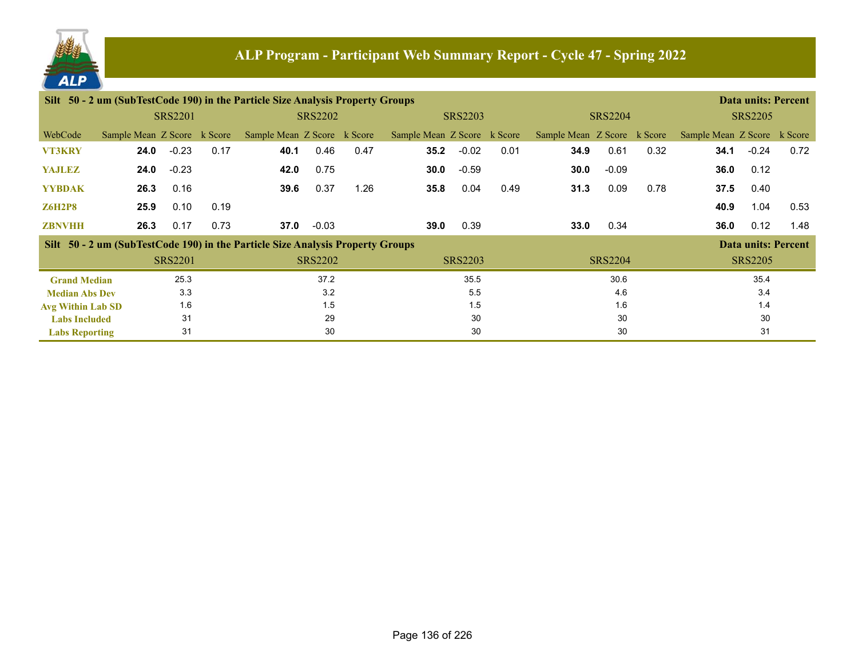

|                       |                             |                |      | Silt 50 - 2 um (SubTestCode 190) in the Particle Size Analysis Property Groups |                |      |                             |                |      |                             |                |      |                             | Data units: Percent |      |
|-----------------------|-----------------------------|----------------|------|--------------------------------------------------------------------------------|----------------|------|-----------------------------|----------------|------|-----------------------------|----------------|------|-----------------------------|---------------------|------|
|                       |                             | SRS2201        |      |                                                                                | <b>SRS2202</b> |      |                             | SRS2203        |      |                             | SRS2204        |      |                             | <b>SRS2205</b>      |      |
| WebCode               | Sample Mean Z Score k Score |                |      | Sample Mean Z Score k Score                                                    |                |      | Sample Mean Z Score k Score |                |      | Sample Mean Z Score k Score |                |      | Sample Mean Z Score k Score |                     |      |
| <b>VT3KRY</b>         | 24.0                        | $-0.23$        | 0.17 | 40.1                                                                           | 0.46           | 0.47 | 35.2                        | $-0.02$        | 0.01 | 34.9                        | 0.61           | 0.32 | 34.1                        | $-0.24$             | 0.72 |
| YAJLEZ                | 24.0                        | $-0.23$        |      | 42.0                                                                           | 0.75           |      | 30.0                        | $-0.59$        |      | 30.0                        | $-0.09$        |      | 36.0                        | 0.12                |      |
| <b>YYBDAK</b>         | 26.3                        | 0.16           |      | 39.6                                                                           | 0.37           | 1.26 | 35.8                        | 0.04           | 0.49 | 31.3                        | 0.09           | 0.78 | 37.5                        | 0.40                |      |
| <b>Z6H2P8</b>         | 25.9                        | 0.10           | 0.19 |                                                                                |                |      |                             |                |      |                             |                |      | 40.9                        | 1.04                | 0.53 |
| <b>ZBNVHH</b>         | 26.3                        | 0.17           | 0.73 | 37.0                                                                           | $-0.03$        |      | 39.0                        | 0.39           |      | 33.0                        | 0.34           |      | 36.0                        | 0.12                | 1.48 |
| <b>Silt</b>           |                             |                |      | 50 - 2 um (SubTestCode 190) in the Particle Size Analysis Property Groups      |                |      |                             |                |      |                             |                |      |                             | Data units: Percent |      |
|                       |                             | <b>SRS2201</b> |      |                                                                                | <b>SRS2202</b> |      |                             | <b>SRS2203</b> |      |                             | <b>SRS2204</b> |      |                             | <b>SRS2205</b>      |      |
| <b>Grand Median</b>   |                             | 25.3           |      |                                                                                | 37.2           |      |                             | 35.5           |      |                             | 30.6           |      |                             | 35.4                |      |
| <b>Median Abs Dev</b> |                             | 3.3            |      |                                                                                | 3.2            |      |                             | 5.5            |      |                             | 4.6            |      |                             | 3.4                 |      |
| Avg Within Lab SD     |                             | 1.6            |      |                                                                                | 1.5            |      |                             | 1.5            |      |                             | 1.6            |      |                             | 1.4                 |      |
| <b>Labs Included</b>  |                             | 31             |      |                                                                                | 29             |      |                             | 30             |      |                             | 30             |      |                             | 30                  |      |
| <b>Labs Reporting</b> |                             | 31             |      |                                                                                | 30             |      |                             | 30             |      |                             | 30             |      |                             | 31                  |      |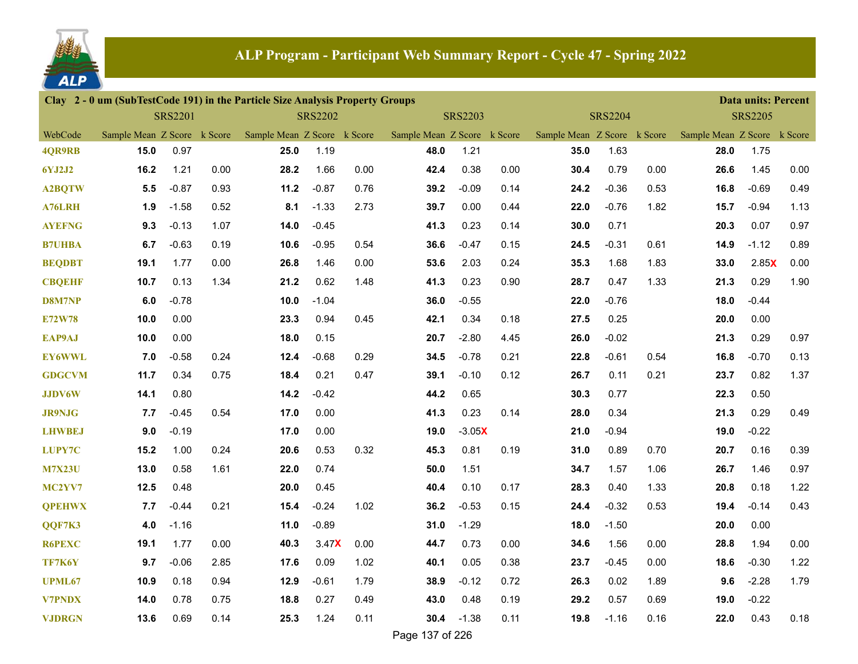

|                                 | Clay 2 - 0 um (SubTestCode 191) in the Particle Size Analysis Property Groups |                |      |                             |                |      |                             |                  |      |                             |                |      |                             | <b>Data units: Percent</b> |      |
|---------------------------------|-------------------------------------------------------------------------------|----------------|------|-----------------------------|----------------|------|-----------------------------|------------------|------|-----------------------------|----------------|------|-----------------------------|----------------------------|------|
|                                 |                                                                               | <b>SRS2201</b> |      |                             | <b>SRS2202</b> |      |                             | <b>SRS2203</b>   |      |                             | <b>SRS2204</b> |      |                             | <b>SRS2205</b>             |      |
| WebCode                         | Sample Mean Z Score k Score                                                   |                |      | Sample Mean Z Score k Score |                |      | Sample Mean Z Score k Score |                  |      | Sample Mean Z Score k Score |                |      | Sample Mean Z Score k Score |                            |      |
| 4QR9RB                          | 15.0                                                                          | 0.97           |      | 25.0                        | 1.19           |      | 48.0                        | 1.21             |      | 35.0                        | 1.63           |      | 28.0                        | 1.75                       |      |
| 6YJ2J2                          | 16.2                                                                          | 1.21           | 0.00 | 28.2                        | 1.66           | 0.00 | 42.4                        | 0.38             | 0.00 | 30.4                        | 0.79           | 0.00 | 26.6                        | 1.45                       | 0.00 |
| <b>A2BQTW</b>                   | 5.5                                                                           | $-0.87$        | 0.93 | 11.2                        | $-0.87$        | 0.76 | 39.2                        | $-0.09$          | 0.14 | 24.2                        | $-0.36$        | 0.53 | 16.8                        | $-0.69$                    | 0.49 |
| A76LRH                          | 1.9                                                                           | $-1.58$        | 0.52 | 8.1                         | $-1.33$        | 2.73 | 39.7                        | 0.00             | 0.44 | 22.0                        | $-0.76$        | 1.82 | 15.7                        | $-0.94$                    | 1.13 |
| <b>AYEFNG</b>                   | 9.3                                                                           | $-0.13$        | 1.07 | 14.0                        | $-0.45$        |      | 41.3                        | 0.23             | 0.14 | 30.0                        | 0.71           |      | 20.3                        | 0.07                       | 0.97 |
| <b>B7UHBA</b>                   | 6.7                                                                           | $-0.63$        | 0.19 | 10.6                        | $-0.95$        | 0.54 | 36.6                        | $-0.47$          | 0.15 | 24.5                        | $-0.31$        | 0.61 | 14.9                        | $-1.12$                    | 0.89 |
| <b>BEQDBT</b>                   | 19.1                                                                          | 1.77           | 0.00 | 26.8                        | 1.46           | 0.00 | 53.6                        | 2.03             | 0.24 | 35.3                        | 1.68           | 1.83 | 33.0                        | 2.85X                      | 0.00 |
| <b>CBOEHF</b>                   | 10.7                                                                          | 0.13           | 1.34 | 21.2                        | 0.62           | 1.48 | 41.3                        | 0.23             | 0.90 | 28.7                        | 0.47           | 1.33 | 21.3                        | 0.29                       | 1.90 |
| D8M7NP                          | 6.0                                                                           | $-0.78$        |      | 10.0                        | $-1.04$        |      | 36.0                        | $-0.55$          |      | 22.0                        | $-0.76$        |      | 18.0                        | $-0.44$                    |      |
| E72W78                          | 10.0                                                                          | 0.00           |      | 23.3                        | 0.94           | 0.45 | 42.1                        | 0.34             | 0.18 | 27.5                        | 0.25           |      | 20.0                        | 0.00                       |      |
| <b>EAP9AJ</b>                   | 10.0                                                                          | 0.00           |      | 18.0                        | 0.15           |      | 20.7                        | $-2.80$          | 4.45 | 26.0                        | $-0.02$        |      | 21.3                        | 0.29                       | 0.97 |
| <b>EY6WWL</b>                   | 7.0                                                                           | $-0.58$        | 0.24 | 12.4                        | $-0.68$        | 0.29 | 34.5                        | $-0.78$          | 0.21 | 22.8                        | $-0.61$        | 0.54 | 16.8                        | $-0.70$                    | 0.13 |
| <b>GDGCVM</b>                   | 11.7                                                                          | 0.34           | 0.75 | 18.4                        | 0.21           | 0.47 | 39.1                        | $-0.10$          | 0.12 | 26.7                        | 0.11           | 0.21 | 23.7                        | 0.82                       | 1.37 |
| <b>JJDV6W</b>                   | 14.1                                                                          | 0.80           |      | 14.2                        | $-0.42$        |      | 44.2                        | 0.65             |      | 30.3                        | 0.77           |      | 22.3                        | 0.50                       |      |
| <b>JR9NJG</b>                   | 7.7                                                                           | $-0.45$        | 0.54 | 17.0                        | 0.00           |      | 41.3                        | 0.23             | 0.14 | 28.0                        | 0.34           |      | 21.3                        | 0.29                       | 0.49 |
| <b>LHWBEJ</b>                   | 9.0                                                                           | $-0.19$        |      | 17.0                        | 0.00           |      | 19.0                        | $-3.05$ <b>X</b> |      | 21.0                        | $-0.94$        |      | 19.0                        | $-0.22$                    |      |
| <b>LUPY7C</b>                   | 15.2                                                                          | 1.00           | 0.24 | 20.6                        | 0.53           | 0.32 | 45.3                        | 0.81             | 0.19 | 31.0                        | 0.89           | 0.70 | 20.7                        | 0.16                       | 0.39 |
| <b>M7X23U</b>                   | 13.0                                                                          | 0.58           | 1.61 | 22.0                        | 0.74           |      | 50.0                        | 1.51             |      | 34.7                        | 1.57           | 1.06 | 26.7                        | 1.46                       | 0.97 |
| MC <sub>2</sub> YV <sub>7</sub> | 12.5                                                                          | 0.48           |      | 20.0                        | 0.45           |      | 40.4                        | 0.10             | 0.17 | 28.3                        | 0.40           | 1.33 | 20.8                        | 0.18                       | 1.22 |
| <b>QPEHWX</b>                   | 7.7                                                                           | $-0.44$        | 0.21 | 15.4                        | $-0.24$        | 1.02 | 36.2                        | $-0.53$          | 0.15 | 24.4                        | $-0.32$        | 0.53 | 19.4                        | $-0.14$                    | 0.43 |
| OOF7K3                          | 4.0                                                                           | $-1.16$        |      | 11.0                        | $-0.89$        |      | 31.0                        | $-1.29$          |      | 18.0                        | $-1.50$        |      | 20.0                        | 0.00                       |      |
| <b>R6PEXC</b>                   | 19.1                                                                          | 1.77           | 0.00 | 40.3                        | 3.47X          | 0.00 | 44.7                        | 0.73             | 0.00 | 34.6                        | 1.56           | 0.00 | 28.8                        | 1.94                       | 0.00 |
| TF7K6Y                          | 9.7                                                                           | $-0.06$        | 2.85 | 17.6                        | 0.09           | 1.02 | 40.1                        | 0.05             | 0.38 | 23.7                        | $-0.45$        | 0.00 | 18.6                        | $-0.30$                    | 1.22 |
| UPML67                          | 10.9                                                                          | 0.18           | 0.94 | 12.9                        | $-0.61$        | 1.79 | 38.9                        | $-0.12$          | 0.72 | 26.3                        | 0.02           | 1.89 | 9.6                         | $-2.28$                    | 1.79 |
| <b>V7PNDX</b>                   | 14.0                                                                          | 0.78           | 0.75 | 18.8                        | 0.27           | 0.49 | 43.0                        | 0.48             | 0.19 | 29.2                        | 0.57           | 0.69 | 19.0                        | $-0.22$                    |      |
| <b>VJDRGN</b>                   | 13.6                                                                          | 0.69           | 0.14 | 25.3                        | 1.24           | 0.11 | 30.4                        | $-1.38$          | 0.11 | 19.8                        | $-1.16$        | 0.16 | 22.0                        | 0.43                       | 0.18 |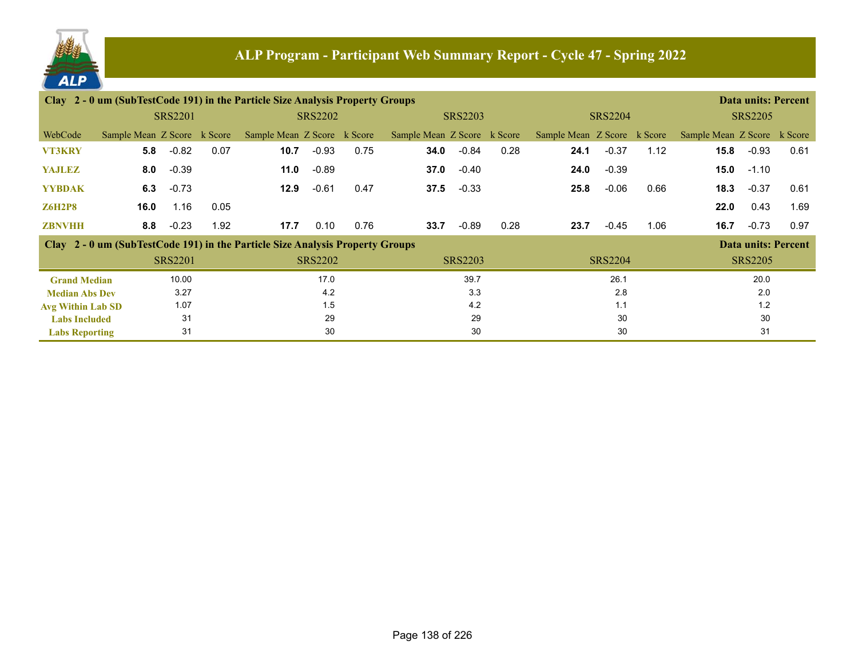

|                       |                             |                |      | Clay 2 - 0 um (SubTestCode 191) in the Particle Size Analysis Property Groups |                |      |                             |                |      |                             |                |      |                             | Data units: Percent |      |
|-----------------------|-----------------------------|----------------|------|-------------------------------------------------------------------------------|----------------|------|-----------------------------|----------------|------|-----------------------------|----------------|------|-----------------------------|---------------------|------|
|                       |                             | <b>SRS2201</b> |      |                                                                               | <b>SRS2202</b> |      |                             | <b>SRS2203</b> |      |                             | <b>SRS2204</b> |      |                             | <b>SRS2205</b>      |      |
| WebCode               | Sample Mean Z Score k Score |                |      | Sample Mean Z Score k Score                                                   |                |      | Sample Mean Z Score k Score |                |      | Sample Mean Z Score k Score |                |      | Sample Mean Z Score k Score |                     |      |
| <b>VT3KRY</b>         | 5.8                         | $-0.82$        | 0.07 | 10.7                                                                          | $-0.93$        | 0.75 | 34.0                        | $-0.84$        | 0.28 | 24.1                        | $-0.37$        | 1.12 | 15.8                        | $-0.93$             | 0.61 |
| <b>YAJLEZ</b>         | 8.0                         | $-0.39$        |      | 11.0                                                                          | $-0.89$        |      | 37.0                        | $-0.40$        |      | 24.0                        | $-0.39$        |      | 15.0                        | $-1.10$             |      |
| <b>YYBDAK</b>         | 6.3                         | $-0.73$        |      | 12.9                                                                          | $-0.61$        | 0.47 | 37.5                        | $-0.33$        |      | 25.8                        | $-0.06$        | 0.66 | 18.3                        | $-0.37$             | 0.61 |
| <b>Z6H2P8</b>         | 16.0                        | 1.16           | 0.05 |                                                                               |                |      |                             |                |      |                             |                |      | 22.0                        | 0.43                | 1.69 |
| <b>ZBNVHH</b>         | 8.8                         | $-0.23$        | 1.92 | 17.7                                                                          | 0.10           | 0.76 | 33.7                        | $-0.89$        | 0.28 | 23.7                        | $-0.45$        | 1.06 | 16.7                        | $-0.73$             | 0.97 |
|                       |                             |                |      | Clay 2 - 0 um (SubTestCode 191) in the Particle Size Analysis Property Groups |                |      |                             |                |      |                             |                |      |                             | Data units: Percent |      |
|                       |                             | <b>SRS2201</b> |      |                                                                               | <b>SRS2202</b> |      |                             | <b>SRS2203</b> |      |                             | <b>SRS2204</b> |      |                             | <b>SRS2205</b>      |      |
| <b>Grand Median</b>   |                             | 10.00          |      |                                                                               | 17.0           |      |                             | 39.7           |      |                             | 26.1           |      |                             | 20.0                |      |
| <b>Median Abs Dev</b> |                             | 3.27           |      |                                                                               | 4.2            |      |                             | 3.3            |      |                             | 2.8            |      |                             | 2.0                 |      |
| Avg Within Lab SD     |                             | 1.07           |      |                                                                               | 1.5            |      |                             | 4.2            |      |                             | 1.1            |      |                             | 1.2                 |      |
| <b>Labs Included</b>  |                             | 31             |      |                                                                               | 29             |      |                             | 29             |      |                             | 30             |      |                             | 30                  |      |
| <b>Labs Reporting</b> |                             | 31             |      |                                                                               | 30             |      |                             | 30             |      |                             | 30             |      |                             | 31                  |      |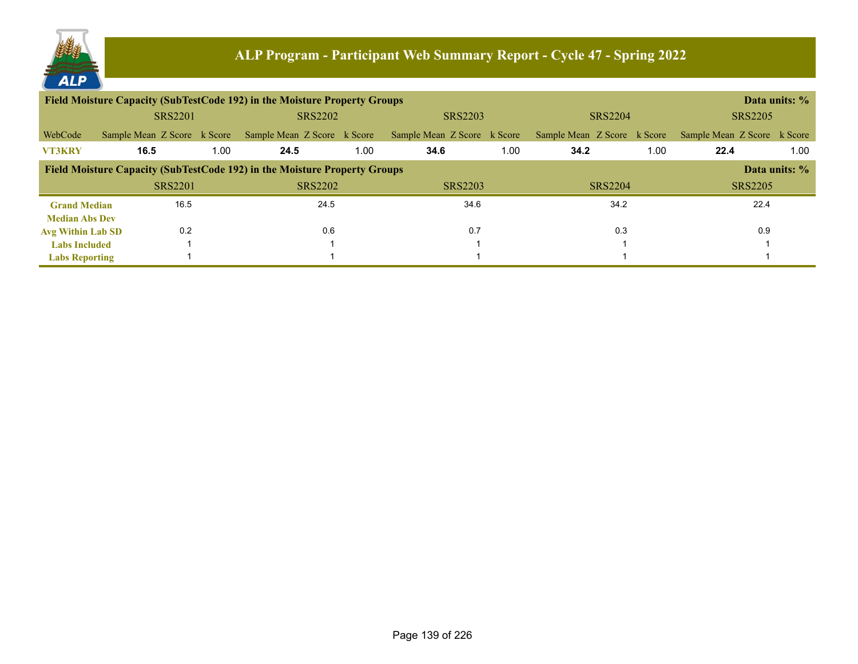

|                          |                                                                                  |      | <b>Field Moisture Capacity (SubTestCode 192) in the Moisture Property Groups</b> |                  |                             |      |                             |      |                             | Data units: $\%$ |
|--------------------------|----------------------------------------------------------------------------------|------|----------------------------------------------------------------------------------|------------------|-----------------------------|------|-----------------------------|------|-----------------------------|------------------|
|                          | SRS2201                                                                          |      | SRS2202                                                                          |                  | SRS2203                     |      | SRS2204                     |      | SRS2205                     |                  |
| WebCode                  | Sample Mean Z Score k Score                                                      |      | Sample Mean Z Score k Score                                                      |                  | Sample Mean Z Score k Score |      | Sample Mean Z Score k Score |      | Sample Mean Z Score k Score |                  |
| <b>VT3KRY</b>            | 16.5                                                                             | 1.00 | 24.5                                                                             | 1.00             | 34.6                        | 1.00 | 34.2                        | 1.00 | 22.4                        | 1.00             |
|                          | <b>Field Moisture Capacity (SubTestCode 192) in the Moisture Property Groups</b> |      |                                                                                  | Data units: $\%$ |                             |      |                             |      |                             |                  |
|                          | <b>SRS2201</b>                                                                   |      | <b>SRS2202</b>                                                                   |                  | <b>SRS2203</b>              |      | SRS2204                     |      | <b>SRS2205</b>              |                  |
| <b>Grand Median</b>      | 16.5                                                                             |      | 24.5                                                                             |                  | 34.6                        |      | 34.2                        |      | 22.4                        |                  |
| <b>Median Abs Dev</b>    |                                                                                  |      |                                                                                  |                  |                             |      |                             |      |                             |                  |
| <b>Avg Within Lab SD</b> | 0.2                                                                              |      | 0.6                                                                              |                  | 0.7                         |      | 0.3                         |      | 0.9                         |                  |
| <b>Labs Included</b>     |                                                                                  |      |                                                                                  |                  |                             |      |                             |      |                             |                  |
| <b>Labs Reporting</b>    |                                                                                  |      |                                                                                  |                  |                             |      |                             |      |                             |                  |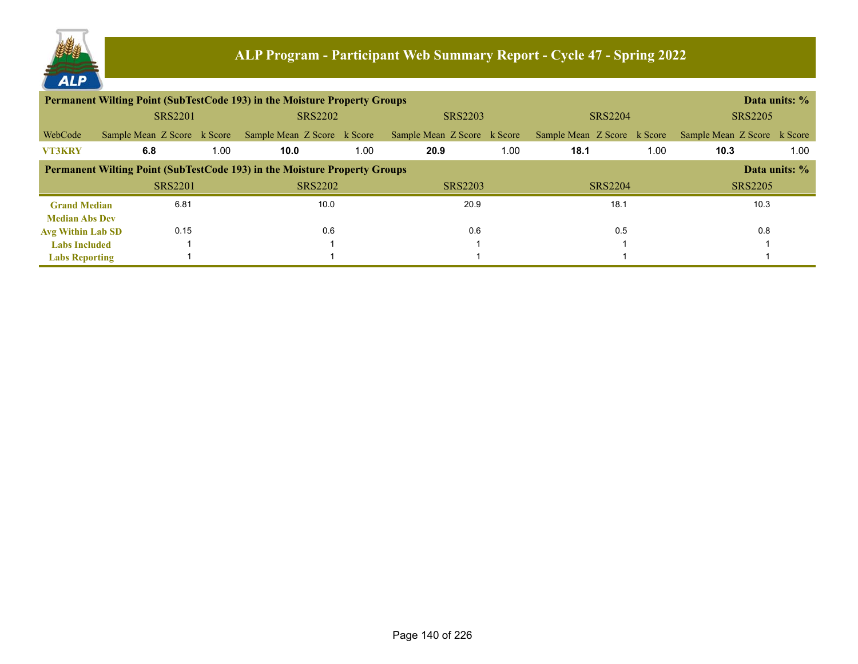

|                       |                                                                                  |      | <b>Permanent Wilting Point (SubTestCode 193) in the Moisture Property Groups</b> |      |                             |      |                             |      |                             | Data units: %     |
|-----------------------|----------------------------------------------------------------------------------|------|----------------------------------------------------------------------------------|------|-----------------------------|------|-----------------------------|------|-----------------------------|-------------------|
|                       | SRS2201                                                                          |      | SRS2202                                                                          |      | <b>SRS2203</b>              |      | <b>SRS2204</b>              |      | SRS2205                     |                   |
| WebCode               | Sample Mean Z Score k Score                                                      |      | Sample Mean Z Score k Score                                                      |      | Sample Mean Z Score k Score |      | Sample Mean Z Score k Score |      | Sample Mean Z Score k Score |                   |
| <b>VT3KRY</b>         | 6.8                                                                              | 1.00 | 10.0                                                                             | 1.00 | 20.9                        | 1.00 | 18.1                        | 1.00 | 10.3                        | 1.00 <sub>1</sub> |
|                       | <b>Permanent Wilting Point (SubTestCode 193) in the Moisture Property Groups</b> |      | Data units: $\%$                                                                 |      |                             |      |                             |      |                             |                   |
|                       | SRS2201                                                                          |      | <b>SRS2202</b>                                                                   |      | <b>SRS2203</b>              |      | SRS2204                     |      | SRS2205                     |                   |
| <b>Grand Median</b>   | 6.81                                                                             |      | 10.0                                                                             |      | 20.9                        |      | 18.1                        |      | 10.3                        |                   |
| <b>Median Abs Dev</b> |                                                                                  |      |                                                                                  |      |                             |      |                             |      |                             |                   |
| Avg Within Lab SD     | 0.15                                                                             |      | 0.6                                                                              |      | 0.6                         |      | 0.5                         |      | 0.8                         |                   |
| <b>Labs Included</b>  |                                                                                  |      |                                                                                  |      |                             |      |                             |      |                             |                   |
| <b>Labs Reporting</b> |                                                                                  |      |                                                                                  |      |                             |      |                             |      |                             |                   |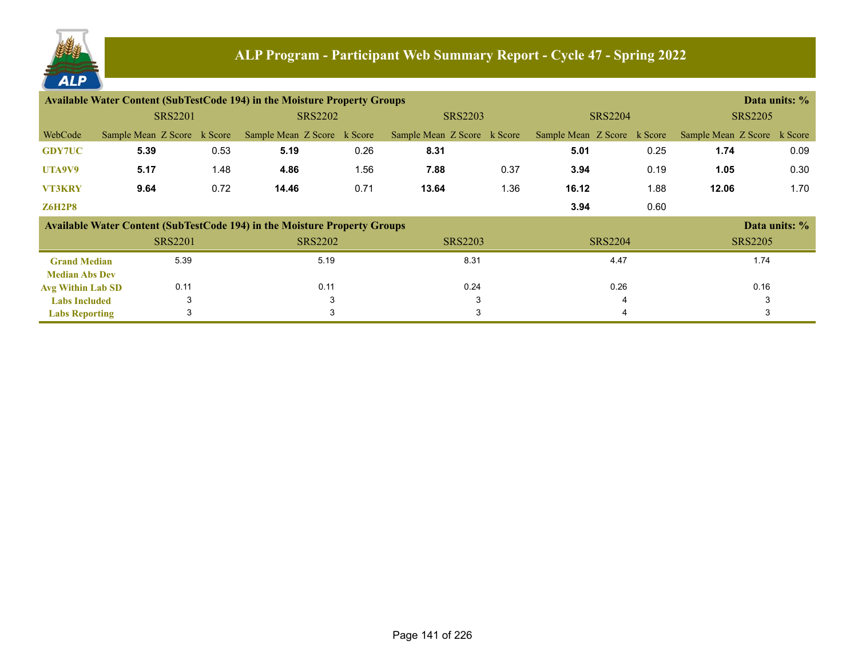

|                       | <b>Available Water Content (SubTestCode 194) in the Moisture Property Groups</b> |      |                             |      |                             |      |                             |      |                             | Data units: % |
|-----------------------|----------------------------------------------------------------------------------|------|-----------------------------|------|-----------------------------|------|-----------------------------|------|-----------------------------|---------------|
|                       | <b>SRS2201</b>                                                                   |      | <b>SRS2202</b>              |      | <b>SRS2203</b>              |      | <b>SRS2204</b>              |      | <b>SRS2205</b>              |               |
| WebCode               | Sample Mean Z Score k Score                                                      |      | Sample Mean Z Score k Score |      | Sample Mean Z Score k Score |      | Sample Mean Z Score k Score |      | Sample Mean Z Score k Score |               |
| <b>GDY7UC</b>         | 5.39                                                                             | 0.53 | 5.19                        | 0.26 | 8.31                        |      | 5.01                        | 0.25 | 1.74                        | 0.09          |
| UTA9V9                | 5.17                                                                             | 1.48 | 4.86                        | 1.56 | 7.88                        | 0.37 | 3.94                        | 0.19 | 1.05                        | 0.30          |
| <b>VT3KRY</b>         | 9.64                                                                             | 0.72 | 14.46                       | 0.71 | 13.64                       | 1.36 | 16.12                       | 1.88 | 12.06                       | 1.70          |
| <b>Z6H2P8</b>         |                                                                                  |      |                             |      |                             |      | 3.94                        | 0.60 |                             |               |
|                       | <b>Available Water Content (SubTestCode 194) in the Moisture Property Groups</b> |      |                             |      |                             |      |                             |      |                             | Data units: % |
|                       | <b>SRS2201</b>                                                                   |      | <b>SRS2202</b>              |      | <b>SRS2203</b>              |      | <b>SRS2204</b>              |      | <b>SRS2205</b>              |               |
| <b>Grand Median</b>   | 5.39                                                                             |      | 5.19                        |      | 8.31                        |      | 4.47                        |      | 1.74                        |               |
| <b>Median Abs Dev</b> |                                                                                  |      |                             |      |                             |      |                             |      |                             |               |
| Avg Within Lab SD     | 0.11                                                                             |      | 0.11                        |      | 0.24                        |      | 0.26                        |      | 0.16                        |               |
| <b>Labs Included</b>  | 3                                                                                |      | 3                           |      |                             | 3    | 4                           |      | 3                           |               |
| <b>Labs Reporting</b> | 3                                                                                |      | 3                           |      |                             | 3    | 4                           |      | 3                           |               |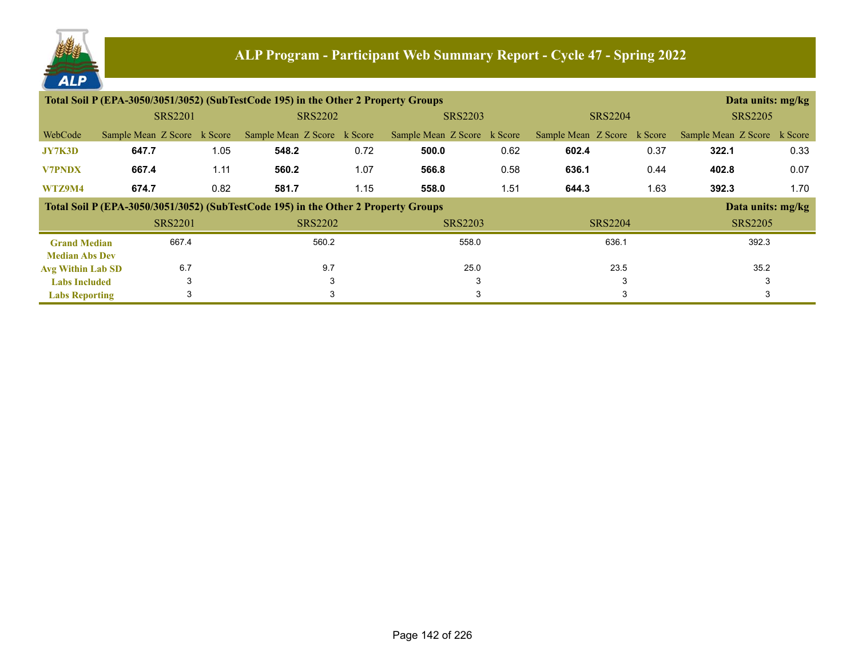

|                       |                                                                                                     |      | Total Soil P (EPA-3050/3051/3052) (SubTestCode 195) in the Other 2 Property Groups |      |                             |       |                             |      | Data units: mg/kg           |      |
|-----------------------|-----------------------------------------------------------------------------------------------------|------|------------------------------------------------------------------------------------|------|-----------------------------|-------|-----------------------------|------|-----------------------------|------|
|                       | <b>SRS2201</b>                                                                                      |      | <b>SRS2202</b>                                                                     |      | <b>SRS2203</b>              |       | <b>SRS2204</b>              |      | <b>SRS2205</b>              |      |
| WebCode               | Sample Mean Z Score k Score                                                                         |      | Sample Mean Z Score k Score                                                        |      | Sample Mean Z Score k Score |       | Sample Mean Z Score k Score |      | Sample Mean Z Score k Score |      |
| JY7K3D                | 647.7                                                                                               | 1.05 | 548.2                                                                              | 0.72 | 500.0                       | 0.62  | 602.4                       | 0.37 | 322.1                       | 0.33 |
| <b>V7PNDX</b>         | 667.4                                                                                               | 1.11 | 560.2                                                                              | 1.07 | 566.8                       | 0.58  | 636.1                       | 0.44 | 402.8                       | 0.07 |
| WTZ9M4                | 0.82<br>674.7<br>Total Soil P (EPA-3050/3051/3052) (SubTestCode 195) in the Other 2 Property Groups |      | 581.7                                                                              | 1.15 | 558.0                       | 1.51  | 644.3                       | 1.63 | 392.3                       | 1.70 |
|                       |                                                                                                     |      |                                                                                    |      |                             |       |                             |      | Data units: mg/kg           |      |
|                       | <b>SRS2201</b>                                                                                      |      | <b>SRS2202</b>                                                                     |      | <b>SRS2203</b>              |       | <b>SRS2204</b>              |      | <b>SRS2205</b>              |      |
| <b>Grand Median</b>   | 667.4                                                                                               |      | 560.2                                                                              |      |                             | 558.0 | 636.1                       |      | 392.3                       |      |
| <b>Median Abs Dev</b> |                                                                                                     |      |                                                                                    |      |                             |       |                             |      |                             |      |
| Avg Within Lab SD     | 6.7                                                                                                 | 9.7  |                                                                                    |      | 25.0                        | 23.5  |                             | 35.2 |                             |      |
| <b>Labs Included</b>  | 3                                                                                                   |      | 3                                                                                  |      |                             | 3     |                             | 3    | 3                           |      |
| <b>Labs Reporting</b> | 3                                                                                                   |      | 3                                                                                  |      |                             | 3     |                             | 3    | 3                           |      |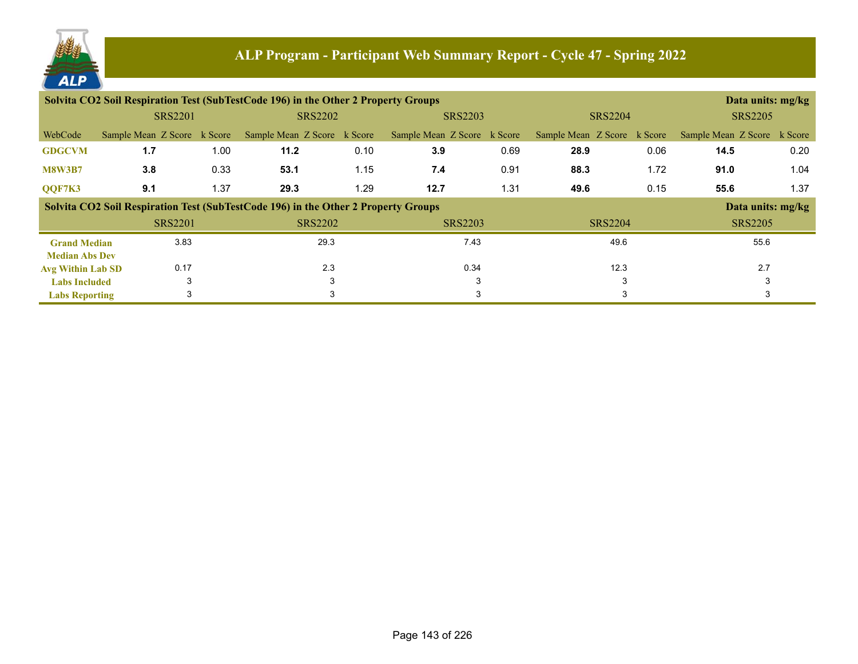

|                       |                                |      | Solvita CO2 Soil Respiration Test (SubTestCode 196) in the Other 2 Property Groups |      |                             |      |                             |      | Data units: mg/kg           |      |
|-----------------------|--------------------------------|------|------------------------------------------------------------------------------------|------|-----------------------------|------|-----------------------------|------|-----------------------------|------|
|                       | <b>SRS2201</b>                 |      | <b>SRS2202</b>                                                                     |      | <b>SRS2203</b>              |      | SRS2204                     |      | SRS2205                     |      |
| WebCode               | Sample Mean Z Score k Score    |      | Sample Mean Z Score k Score                                                        |      | Sample Mean Z Score k Score |      | Sample Mean Z Score k Score |      | Sample Mean Z Score k Score |      |
| <b>GDGCVM</b>         | 1.7                            | 1.00 | 11.2                                                                               | 0.10 | 3.9                         | 0.69 | 28.9                        | 0.06 | 14.5                        | 0.20 |
| <b>M8W3B7</b>         | 3.8                            | 0.33 | 53.1                                                                               | 1.15 | 7.4                         | 0.91 | 88.3                        | 1.72 | 91.0                        | 1.04 |
| OOF7K3                | 9.1                            | 1.37 | 29.3                                                                               | 1.29 | 12.7                        | 1.31 | 49.6                        | 0.15 | 55.6                        | 1.37 |
|                       |                                |      | Solvita CO2 Soil Respiration Test (SubTestCode 196) in the Other 2 Property Groups |      |                             |      |                             |      | Data units: mg/kg           |      |
|                       | <b>SRS2201</b>                 |      |                                                                                    |      | <b>SRS2203</b>              |      | <b>SRS2204</b>              |      | <b>SRS2205</b>              |      |
| <b>Grand Median</b>   | <b>SRS2202</b><br>3.83<br>29.3 |      |                                                                                    |      | 7.43                        |      | 49.6                        |      | 55.6                        |      |
| <b>Median Abs Dev</b> |                                |      |                                                                                    |      |                             |      |                             |      |                             |      |
| Avg Within Lab SD     | 2.3<br>0.17                    |      |                                                                                    |      | 0.34                        |      | 12.3                        |      | 2.7                         |      |
| <b>Labs Included</b>  | 3                              |      | 3                                                                                  |      | 3                           |      | 3                           |      |                             |      |
| <b>Labs Reporting</b> | 3                              |      | 3                                                                                  |      | 3                           |      | 3                           |      | 3                           |      |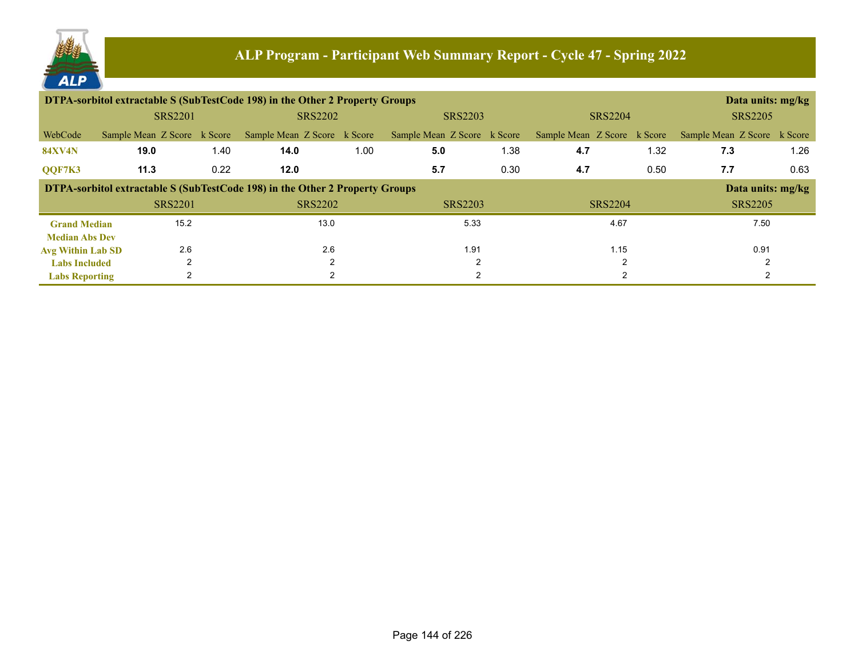

|                       |                             |         | DTPA-sorbitol extractable S (SubTestCode 198) in the Other 2 Property Groups        |         |                             |         |                             |                | Data units: mg/kg           |      |
|-----------------------|-----------------------------|---------|-------------------------------------------------------------------------------------|---------|-----------------------------|---------|-----------------------------|----------------|-----------------------------|------|
|                       | SRS2201                     |         | SRS2202                                                                             |         | SRS2203                     |         | SRS2204                     |                | <b>SRS2205</b>              |      |
| WebCode               | Sample Mean Z Score k Score |         | Sample Mean Z Score k Score                                                         |         | Sample Mean Z Score k Score |         | Sample Mean Z Score k Score |                | Sample Mean Z Score k Score |      |
| <b>84XV4N</b>         | 19.0                        | 1.40    | 14.0                                                                                | 1.00    | 5.0                         | 1.38    | 4.7                         | 1.32           | 7.3                         | 1.26 |
| OOF7K3                | 11.3                        | 0.22    | 12.0                                                                                |         | 5.7                         | 0.30    | 4.7                         | 0.50           | 7.7                         | 0.63 |
|                       |                             |         | <b>DTPA-sorbitol extractable S (SubTestCode 198) in the Other 2 Property Groups</b> |         |                             |         |                             |                | Data units: mg/kg           |      |
|                       | <b>SRS2201</b>              | SRS2202 |                                                                                     | SRS2203 |                             | SRS2204 |                             | <b>SRS2205</b> |                             |      |
| <b>Grand Median</b>   | 15.2                        |         | 13.0                                                                                |         | 5.33                        |         | 4.67                        |                | 7.50                        |      |
| <b>Median Abs Dev</b> |                             |         |                                                                                     |         |                             |         |                             |                |                             |      |
| Avg Within Lab SD     | 2.6                         |         | 2.6                                                                                 |         | 1.91                        |         | 1.15                        |                | 0.91                        |      |
| <b>Labs Included</b>  | 2                           |         | 2                                                                                   |         | 2                           |         | 2                           |                | 2                           |      |
| <b>Labs Reporting</b> | 2                           |         |                                                                                     |         |                             |         |                             |                |                             |      |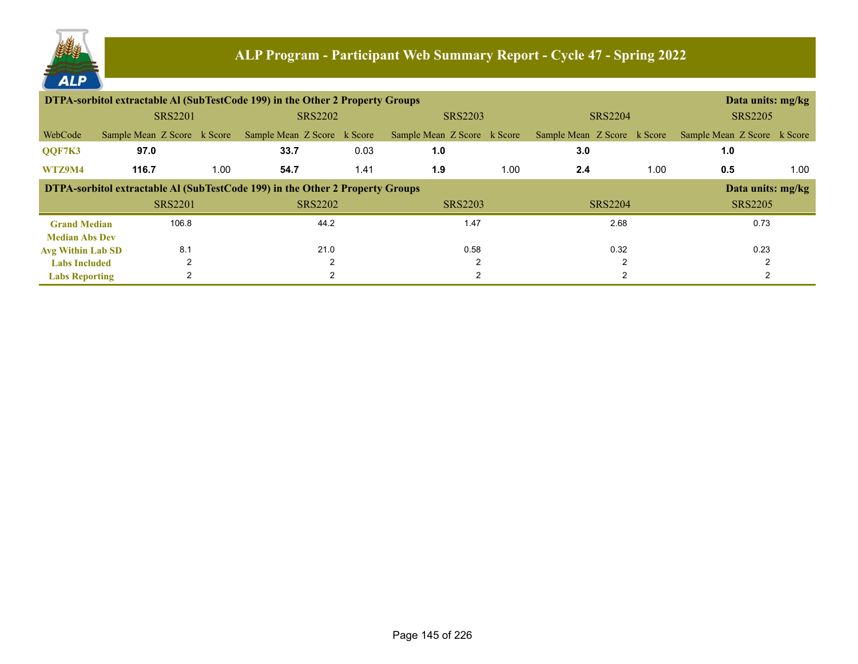

| <b>DTPA-sorbitol extractable Al (SubTestCode 199) in the Other 2 Property Groups</b><br>Data units: mg/kg |                                                                                                    |     |                             |      |                             |  |                             |  |                             |  |  |  |  |  |
|-----------------------------------------------------------------------------------------------------------|----------------------------------------------------------------------------------------------------|-----|-----------------------------|------|-----------------------------|--|-----------------------------|--|-----------------------------|--|--|--|--|--|
|                                                                                                           | SRS2201                                                                                            |     | SRS2202                     |      | SRS2203                     |  | SRS2204                     |  | <b>SRS2205</b>              |  |  |  |  |  |
| WebCode                                                                                                   | Sample Mean Z Score k Score                                                                        |     | Sample Mean Z Score k Score |      | Sample Mean Z Score k Score |  | Sample Mean Z Score k Score |  | Sample Mean Z Score k Score |  |  |  |  |  |
| QQF7K3                                                                                                    | 97.0                                                                                               |     | 33.7                        | 0.03 | 1.0                         |  | 3.0                         |  | 1.0                         |  |  |  |  |  |
| WTZ9M4                                                                                                    | 116.7                                                                                              | 0.5 | 1.00 <sub>1</sub>           |      |                             |  |                             |  |                             |  |  |  |  |  |
|                                                                                                           | DTPA-sorbitol extractable Al (SubTestCode 199) in the Other 2 Property Groups<br>Data units: mg/kg |     |                             |      |                             |  |                             |  |                             |  |  |  |  |  |
|                                                                                                           | <b>SRS2201</b>                                                                                     |     | <b>SRS2202</b>              |      | SRS2203                     |  | SRS2204                     |  | SRS2205                     |  |  |  |  |  |
| <b>Grand Median</b>                                                                                       | 106.8                                                                                              |     | 44.2                        |      | 1.47                        |  | 2.68                        |  | 0.73                        |  |  |  |  |  |
| <b>Median Abs Dev</b>                                                                                     |                                                                                                    |     |                             |      |                             |  |                             |  |                             |  |  |  |  |  |
|                                                                                                           | 21.0<br>8.1<br>Avg Within Lab SD                                                                   |     |                             |      | 0.58                        |  | 0.32                        |  | 0.23                        |  |  |  |  |  |
| <b>Labs Included</b>                                                                                      | 2                                                                                                  |     |                             | 2    | 2                           |  |                             |  | 2                           |  |  |  |  |  |
| <b>Labs Reporting</b>                                                                                     | 2                                                                                                  |     |                             |      |                             |  |                             |  |                             |  |  |  |  |  |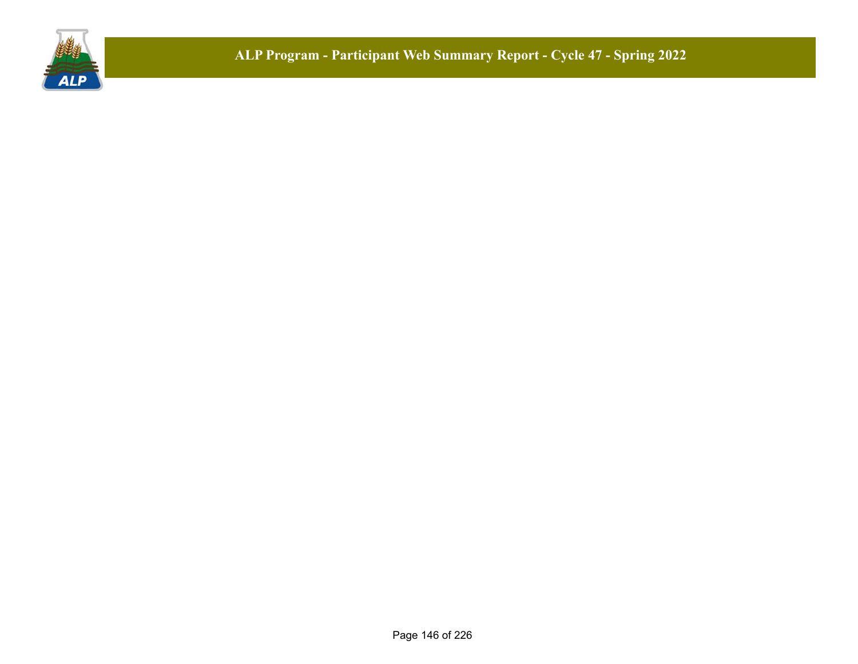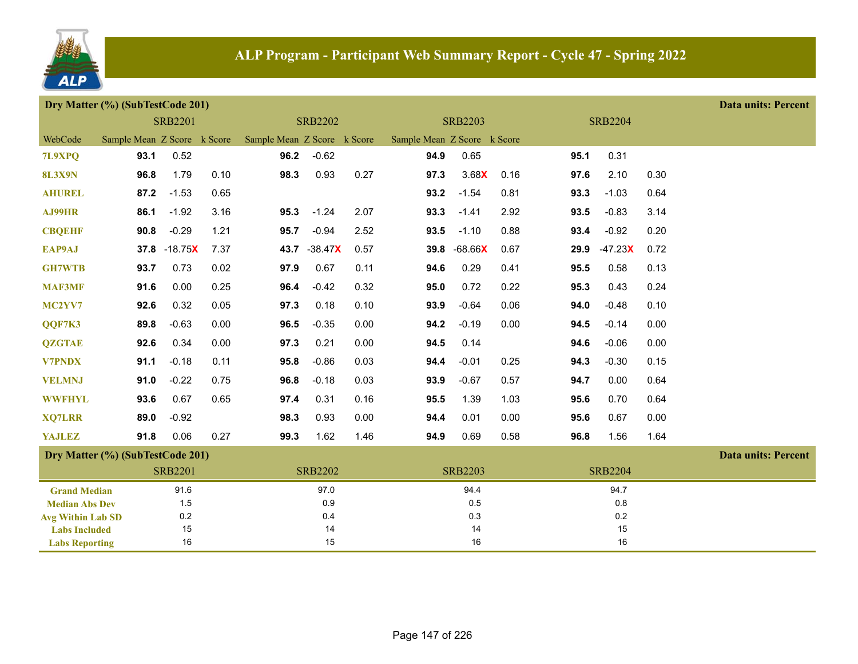

| Dry Matter (%) (SubTestCode 201)<br><b>Data units: Percent</b> |                                  |                   |      |                             |                   |      |                             |                |      |      |                |      |                            |
|----------------------------------------------------------------|----------------------------------|-------------------|------|-----------------------------|-------------------|------|-----------------------------|----------------|------|------|----------------|------|----------------------------|
|                                                                |                                  | <b>SRB2201</b>    |      |                             | <b>SRB2202</b>    |      |                             | <b>SRB2203</b> |      |      | <b>SRB2204</b> |      |                            |
| WebCode                                                        | Sample Mean Z Score k Score      |                   |      | Sample Mean Z Score k Score |                   |      | Sample Mean Z Score k Score |                |      |      |                |      |                            |
| 7L9XPQ                                                         | 93.1                             | 0.52              |      | 96.2                        | $-0.62$           |      | 94.9                        | 0.65           |      | 95.1 | 0.31           |      |                            |
| <b>8L3X9N</b>                                                  | 96.8                             | 1.79              | 0.10 | 98.3                        | 0.93              | 0.27 | 97.3                        | 3.68X          | 0.16 | 97.6 | 2.10           | 0.30 |                            |
| <b>AHUREL</b>                                                  | 87.2                             | $-1.53$           | 0.65 |                             |                   |      | 93.2                        | $-1.54$        | 0.81 | 93.3 | $-1.03$        | 0.64 |                            |
| AJ99HR                                                         | 86.1                             | $-1.92$           | 3.16 | 95.3                        | $-1.24$           | 2.07 | 93.3                        | $-1.41$        | 2.92 | 93.5 | $-0.83$        | 3.14 |                            |
| <b>CBQEHF</b>                                                  | 90.8                             | $-0.29$           | 1.21 | 95.7                        | $-0.94$           | 2.52 | 93.5                        | $-1.10$        | 0.88 | 93.4 | $-0.92$        | 0.20 |                            |
| EAP9AJ                                                         | 37.8                             | $-18.75$ <b>X</b> | 7.37 | 43.7                        | $-38.47$ <b>X</b> | 0.57 | 39.8                        | $-68.66X$      | 0.67 | 29.9 | $-47.23X$      | 0.72 |                            |
| <b>GH7WTB</b>                                                  | 93.7                             | 0.73              | 0.02 | 97.9                        | 0.67              | 0.11 | 94.6                        | 0.29           | 0.41 | 95.5 | 0.58           | 0.13 |                            |
| <b>MAF3MF</b>                                                  | 91.6                             | 0.00              | 0.25 | 96.4                        | $-0.42$           | 0.32 | 95.0                        | 0.72           | 0.22 | 95.3 | 0.43           | 0.24 |                            |
| MC <sub>2</sub> YV <sub>7</sub>                                | 92.6                             | 0.32              | 0.05 | 97.3                        | 0.18              | 0.10 | 93.9                        | $-0.64$        | 0.06 | 94.0 | $-0.48$        | 0.10 |                            |
| QQF7K3                                                         | 89.8                             | $-0.63$           | 0.00 | 96.5                        | $-0.35$           | 0.00 | 94.2                        | $-0.19$        | 0.00 | 94.5 | $-0.14$        | 0.00 |                            |
| <b>QZGTAE</b>                                                  | 92.6                             | 0.34              | 0.00 | 97.3                        | 0.21              | 0.00 | 94.5                        | 0.14           |      | 94.6 | $-0.06$        | 0.00 |                            |
| <b>V7PNDX</b>                                                  | 91.1                             | $-0.18$           | 0.11 | 95.8                        | $-0.86$           | 0.03 | 94.4                        | $-0.01$        | 0.25 | 94.3 | $-0.30$        | 0.15 |                            |
| <b>VELMNJ</b>                                                  | 91.0                             | $-0.22$           | 0.75 | 96.8                        | $-0.18$           | 0.03 | 93.9                        | $-0.67$        | 0.57 | 94.7 | 0.00           | 0.64 |                            |
| <b>WWFHYL</b>                                                  | 93.6                             | 0.67              | 0.65 | 97.4                        | 0.31              | 0.16 | 95.5                        | 1.39           | 1.03 | 95.6 | 0.70           | 0.64 |                            |
| <b>XQ7LRR</b>                                                  | 89.0                             | $-0.92$           |      | 98.3                        | 0.93              | 0.00 | 94.4                        | 0.01           | 0.00 | 95.6 | 0.67           | 0.00 |                            |
| <b>YAJLEZ</b>                                                  | 91.8                             | 0.06              | 0.27 | 99.3                        | 1.62              | 1.46 | 94.9                        | 0.69           | 0.58 | 96.8 | 1.56           | 1.64 |                            |
|                                                                | Dry Matter (%) (SubTestCode 201) |                   |      |                             |                   |      |                             |                |      |      |                |      | <b>Data units: Percent</b> |
|                                                                |                                  | <b>SRB2201</b>    |      |                             | <b>SRB2202</b>    |      |                             | <b>SRB2203</b> |      |      | <b>SRB2204</b> |      |                            |
| <b>Grand Median</b>                                            |                                  | 91.6              |      |                             | 97.0              |      |                             | 94.4           |      |      | 94.7           |      |                            |
| <b>Median Abs Dev</b>                                          |                                  | 1.5               |      |                             | 0.9               |      |                             | 0.5            |      |      | 0.8            |      |                            |
| <b>Avg Within Lab SD</b>                                       |                                  | 0.2               |      |                             | 0.4               |      |                             | 0.3            |      |      | 0.2            |      |                            |
| <b>Labs Included</b>                                           |                                  | 15                |      |                             | 14                |      |                             | 14             |      |      | 15             |      |                            |
| <b>Labs Reporting</b>                                          |                                  | 16                |      |                             | 15                |      |                             | 16             |      |      | 16             |      |                            |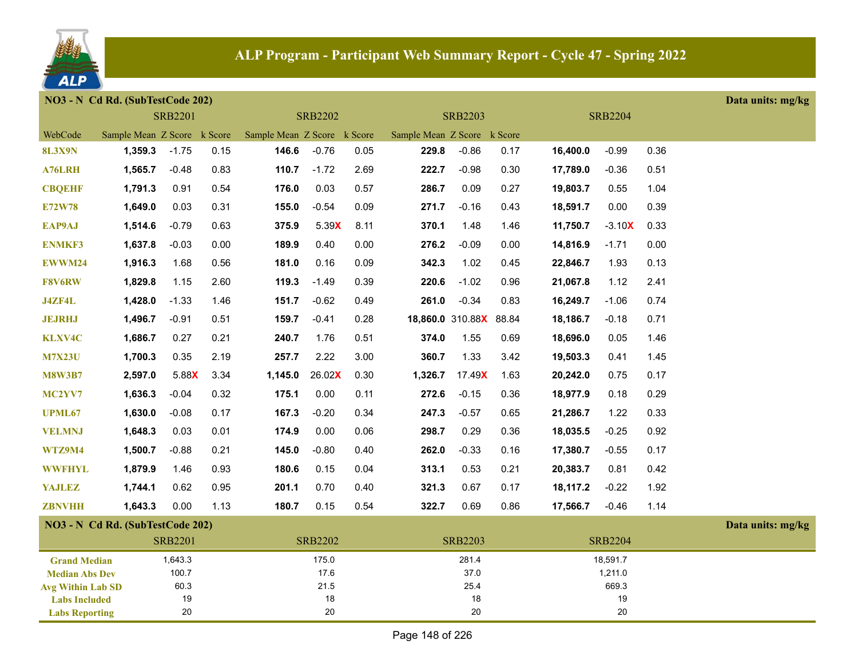

 **Data units: mg/kg** SRB2201 SRB2202 SRB2203 SRB2204 WebCode Sample Mean Z Score k Score Sample Mean Z Score k Score Sample Mean Z Score k Score **NO3 - N Cd Rd. (SubTestCode 202) 8L3X9N 1,359.3 146.6** -1.75 0.15 -0.76 0.05 **229.8 16,400.0** -0.86 0.17 -0.99 0.36 **A76LRH 1,565.7 110.7** -0.48 0.83 -1.72 2.69 **222.7 17,789.0** -0.98 0.30 -0.36 0.51 **CBQEHF 1,791.3 176.0** 0.91 0.54 0.03 0.57 **286.7 19,803.7** 0.09 0.27 0.55 1.04 **E72W78 1,649.0 155.0** 0.03 0.31 -0.54 0.09 **271.7 18,591.7** -0.16 0.43 0.00 0.39 **EAP9AJ 1,514.6 375.9** -0.79 0.63 5.39**X X** 8.11 **370.1 11,750.7** 1.48 1.46 -3.10 0.33 **ENMKF3 1,637.8 189.9** -0.03 0.00 0.40 0.00 **276.2 14,816.9** -0.09 0.00 -1.71 0.00 **EWWM24 1,916.3 181.0** 1.68 0.56 0.16 0.09 **342.3 22,846.7** 1.02 0.45 1.93 0.13 **F8V6RW 1,829.8 119.3** 1.15 2.60 -1.49 0.39 **220.6 21,067.8** -1.02 0.96 1.12 2.41 **J4ZF4L 1,428.0 151.7** -1.33 1.46 -0.62 0.49 **261.0 16,249.7** -0.34 0.83 -1.06 0.74 **JEJRHJ 1,496.7 159.7 18,** -0.91 0.51 -0.41 0.28 **860.0 18,186.7** 310.88**X** 88.84 -0.18 0.71 **KLXV4C 1,686.7 240.7** 0.27 0.21 1.76 0.51 **374.0 18,696.0** 1.55 0.69 0.05 1.46 **M7X23U 1,700.3 257.7** 0.35 2.19 2.22 3.00 **360.7 19,503.3** 1.33 3.42 0.41 1.45 **M8W3B7 2,597.0 1,145.0 1** 5.88**XX X** 3.34 26.02 0.30 **,326.7 20,242.0** 17.49 1.63 0.75 0.17 **MC2YV7 1,636.3 175.1** -0.04 0.32 0.00 0.11 **272.6 18,977.9** -0.15 0.36 0.18 0.29 **UPML67 1,630.0 167.3** -0.08 0.17 -0.20 0.34 **247.3 21,286.7** -0.57 0.65 1.22 0.33 **VELMNJ 1,648.3 174.9** 0.03 0.01 0.00 0.06 **298.7 18,035.5** 0.29 0.36 -0.25 0.92 **WTZ9M4 1,500.7 145.0** -0.88 0.21 -0.80 0.40 **262.0 17,380.7** -0.33 0.16 -0.55 0.17 **WWFHYL 1,879.9 180.6** 1.46 0.93 0.15 0.04 **313.1 20,383.7** 0.53 0.21 0.81 0.42 **YAJLEZ 1,744.1 201.1 321.** 0.62 0.95 0.70 0.40 **3 18,117.2** 0.67 0.17 -0.22 1.92 **ZBNVHH 1,643.3 180.7** 0.00 1.13 0.15 0.54 **322.7 17,566.7** 0.69 0.86 -0.46 1.14 SRB22011 SRB2202 SRB2202 SRB2203 SRB2203 SRB2204 **NO3 - N Cd Rd. (SubTestCode 202) Data units: mg/kg** 1,643.3 175.0 60.3 21.5 281.425.418,591.7 669.3**Grand MedianMedian Abs DevAvg Within Lab SD Labs Included** 19 18 18 19 100.7 17.6 37.0 1,211.0

**Labs Reporting** <sup>20</sup> <sup>20</sup> <sup>20</sup> <sup>20</sup>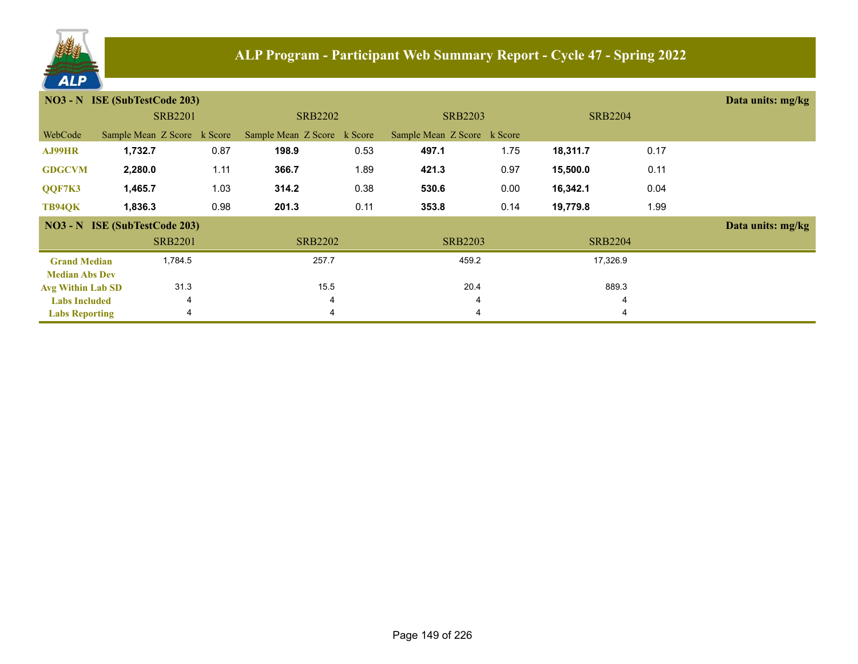

| $NO3 - N$                | <b>ISE (SubTestCode 203)</b> |      |                             |      |                             |      |                |                | Data units: mg/kg |
|--------------------------|------------------------------|------|-----------------------------|------|-----------------------------|------|----------------|----------------|-------------------|
|                          | <b>SRB2201</b>               |      | <b>SRB2202</b>              |      | <b>SRB2203</b>              |      | <b>SRB2204</b> |                |                   |
| WebCode                  | Sample Mean Z Score k Score  |      | Sample Mean Z Score k Score |      | Sample Mean Z Score k Score |      |                |                |                   |
| AJ99HR                   | 1,732.7                      | 0.87 | 198.9                       | 0.53 | 497.1                       | 1.75 | 18,311.7       | 0.17           |                   |
| <b>GDGCVM</b>            | 2,280.0                      | 1.11 | 366.7                       | 1.89 | 421.3                       | 0.97 | 15,500.0       | 0.11           |                   |
| QQF7K3                   | 1,465.7                      | 1.03 | 314.2                       | 0.38 | 530.6                       | 0.00 | 16,342.1       | 0.04           |                   |
| <b>TB94OK</b>            | 1,836.3                      | 0.98 | 201.3                       | 0.11 | 353.8                       | 0.14 | 19,779.8       | 1.99           |                   |
| $NO3 - N$                | <b>ISE (SubTestCode 203)</b> |      |                             |      |                             |      |                |                | Data units: mg/kg |
|                          | <b>SRB2201</b>               |      | <b>SRB2202</b>              |      | <b>SRB2203</b>              |      | <b>SRB2204</b> |                |                   |
| <b>Grand Median</b>      | 1,784.5                      |      | 257.7                       |      | 459.2                       |      | 17,326.9       |                |                   |
| <b>Median Abs Dev</b>    |                              |      |                             |      |                             |      |                |                |                   |
| <b>Avg Within Lab SD</b> | 31.3                         |      | 15.5                        |      | 20.4                        |      | 889.3          |                |                   |
| <b>Labs Included</b>     | 4                            |      |                             | 4    | 4                           |      |                | $\overline{4}$ |                   |
| <b>Labs Reporting</b>    | 4                            |      |                             | 4    | 4                           |      |                | $\overline{4}$ |                   |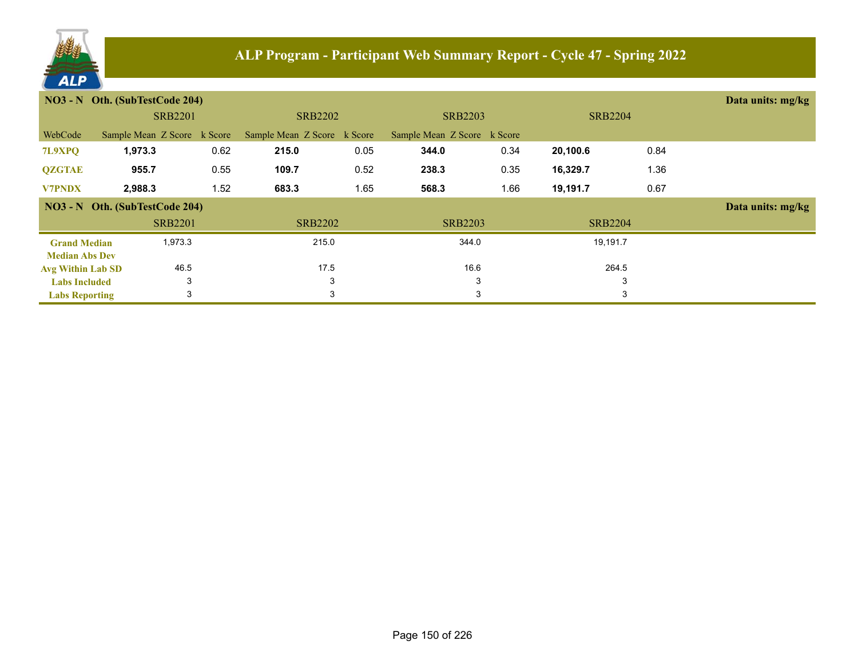

|                       | NO3 - N Oth. (SubTestCode 204) |      |                             |      |                             |      |                |      | Data units: mg/kg |
|-----------------------|--------------------------------|------|-----------------------------|------|-----------------------------|------|----------------|------|-------------------|
|                       | SRB2201                        |      | <b>SRB2202</b>              |      | <b>SRB2203</b>              |      | <b>SRB2204</b> |      |                   |
| WebCode               | Sample Mean Z Score k Score    |      | Sample Mean Z Score k Score |      | Sample Mean Z Score k Score |      |                |      |                   |
| 7L9XPQ                | 1,973.3                        | 0.62 | 215.0                       | 0.05 | 344.0                       | 0.34 | 20,100.6       | 0.84 |                   |
| <b>QZGTAE</b>         | 955.7                          | 0.55 | 109.7                       | 0.52 | 238.3                       | 0.35 | 16,329.7       | 1.36 |                   |
| <b>V7PNDX</b>         | 2,988.3                        | 1.52 | 683.3                       | 1.65 | 568.3                       | 1.66 | 19,191.7       | 0.67 |                   |
|                       | NO3 - N Oth. (SubTestCode 204) |      |                             |      |                             |      |                |      | Data units: mg/kg |
|                       | <b>SRB2201</b>                 |      | <b>SRB2202</b>              |      | <b>SRB2203</b>              |      | <b>SRB2204</b> |      |                   |
| <b>Grand Median</b>   | 1,973.3                        |      | 215.0                       |      | 344.0                       |      | 19,191.7       |      |                   |
| <b>Median Abs Dev</b> |                                |      |                             |      |                             |      |                |      |                   |
| Avg Within Lab SD     | 46.5                           |      | 17.5                        |      | 16.6                        |      | 264.5          |      |                   |
| <b>Labs Included</b>  | 3                              |      | 3                           |      | 3                           |      |                | 3    |                   |
| <b>Labs Reporting</b> | 3                              |      | 3                           |      | 3                           |      |                | 3    |                   |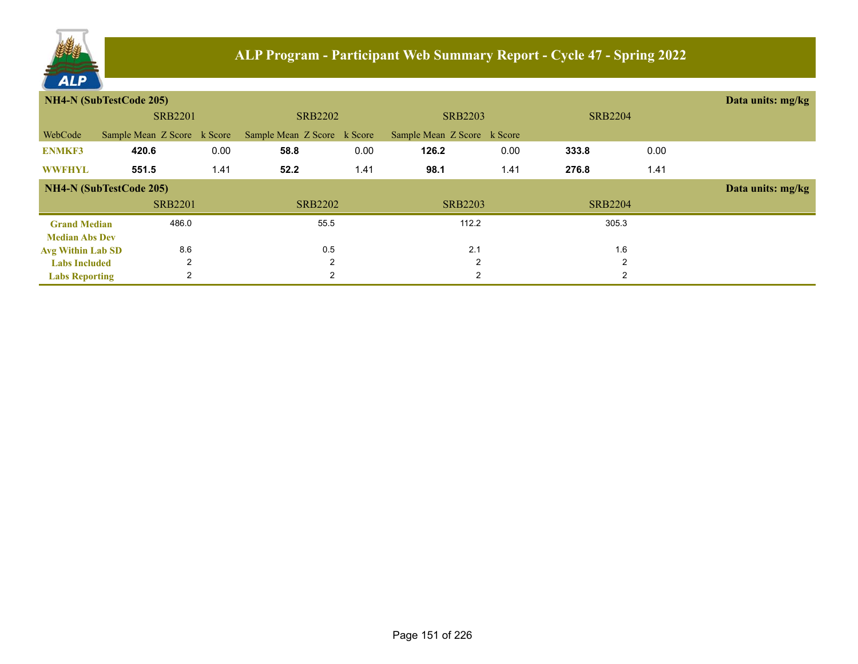

|                       | <b>NH4-N</b> (SubTestCode 205) |      |                             |      |                             |                |                |                | Data units: mg/kg |
|-----------------------|--------------------------------|------|-----------------------------|------|-----------------------------|----------------|----------------|----------------|-------------------|
|                       | <b>SRB2201</b>                 |      | <b>SRB2202</b>              |      | SRB2203                     |                | <b>SRB2204</b> |                |                   |
| WebCode               | Sample Mean Z Score k Score    |      | Sample Mean Z Score k Score |      | Sample Mean Z Score k Score |                |                |                |                   |
| <b>ENMKF3</b>         | 420.6                          | 0.00 | 58.8                        | 0.00 | 126.2                       | 0.00           | 333.8          | 0.00           |                   |
| <b>WWFHYL</b>         | 551.5                          | 1.41 | 52.2                        | 1.41 | 98.1                        | 1.41           | 276.8          | 1.41           |                   |
|                       | <b>NH4-N</b> (SubTestCode 205) |      |                             |      |                             |                |                |                | Data units: mg/kg |
|                       | <b>SRB2201</b>                 |      | <b>SRB2202</b>              |      | SRB2203                     |                | <b>SRB2204</b> |                |                   |
| <b>Grand Median</b>   | 486.0                          |      | 55.5                        |      | 112.2                       |                | 305.3          |                |                   |
| <b>Median Abs Dev</b> |                                |      |                             |      |                             |                |                |                |                   |
| Avg Within Lab SD     | 8.6                            |      | 0.5                         |      | 2.1                         |                |                | 1.6            |                   |
| <b>Labs Included</b>  | $\overline{2}$                 |      | 2                           |      |                             | $\overline{2}$ |                | $\overline{2}$ |                   |
| <b>Labs Reporting</b> | 2                              |      | 2                           |      |                             | $\overline{2}$ |                | $\overline{2}$ |                   |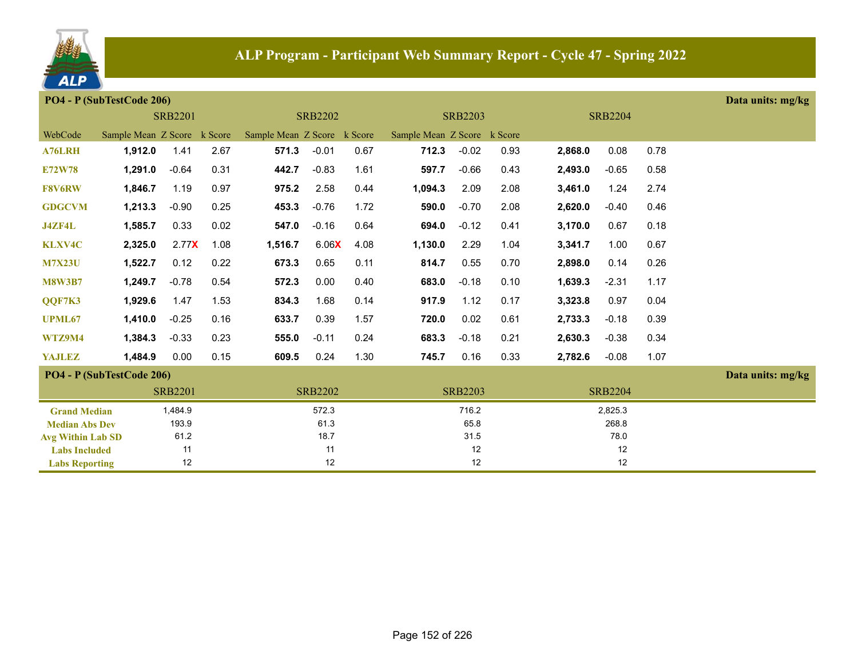

**PO4 - P (SubTestCode 206)**

| PO4 - P (SubTestCode 206) |                             |                |      |                             |                |      |                             |                |      |         |                |      | Data units: mg/kg |
|---------------------------|-----------------------------|----------------|------|-----------------------------|----------------|------|-----------------------------|----------------|------|---------|----------------|------|-------------------|
|                           |                             | <b>SRB2201</b> |      |                             | <b>SRB2202</b> |      |                             | <b>SRB2203</b> |      |         | <b>SRB2204</b> |      |                   |
| WebCode                   | Sample Mean Z Score k Score |                |      | Sample Mean Z Score k Score |                |      | Sample Mean Z Score k Score |                |      |         |                |      |                   |
| A76LRH                    | 1,912.0                     | 1.41           | 2.67 | 571.3                       | $-0.01$        | 0.67 | 712.3                       | $-0.02$        | 0.93 | 2,868.0 | 0.08           | 0.78 |                   |
| E72W78                    | 1,291.0                     | $-0.64$        | 0.31 | 442.7                       | $-0.83$        | 1.61 | 597.7                       | $-0.66$        | 0.43 | 2,493.0 | $-0.65$        | 0.58 |                   |
| <b>F8V6RW</b>             | 1,846.7                     | 1.19           | 0.97 | 975.2                       | 2.58           | 0.44 | 1,094.3                     | 2.09           | 2.08 | 3,461.0 | 1.24           | 2.74 |                   |
| <b>GDGCVM</b>             | 1,213.3                     | $-0.90$        | 0.25 | 453.3                       | $-0.76$        | 1.72 | 590.0                       | $-0.70$        | 2.08 | 2,620.0 | $-0.40$        | 0.46 |                   |
| J4ZF4L                    | 1,585.7                     | 0.33           | 0.02 | 547.0                       | $-0.16$        | 0.64 | 694.0                       | $-0.12$        | 0.41 | 3,170.0 | 0.67           | 0.18 |                   |
| <b>KLXV4C</b>             | 2,325.0                     | 2.77X          | 1.08 | 1,516.7                     | 6.06X          | 4.08 | 1,130.0                     | 2.29           | 1.04 | 3,341.7 | 1.00           | 0.67 |                   |
| <b>M7X23U</b>             | 1,522.7                     | 0.12           | 0.22 | 673.3                       | 0.65           | 0.11 | 814.7                       | 0.55           | 0.70 | 2,898.0 | 0.14           | 0.26 |                   |
| <b>M8W3B7</b>             | 1,249.7                     | $-0.78$        | 0.54 | 572.3                       | 0.00           | 0.40 | 683.0                       | $-0.18$        | 0.10 | 1,639.3 | $-2.31$        | 1.17 |                   |
| QQF7K3                    | 1,929.6                     | 1.47           | 1.53 | 834.3                       | 1.68           | 0.14 | 917.9                       | 1.12           | 0.17 | 3,323.8 | 0.97           | 0.04 |                   |
| UPML67                    | 1,410.0                     | $-0.25$        | 0.16 | 633.7                       | 0.39           | 1.57 | 720.0                       | 0.02           | 0.61 | 2,733.3 | $-0.18$        | 0.39 |                   |
| WTZ9M4                    | 1,384.3                     | $-0.33$        | 0.23 | 555.0                       | $-0.11$        | 0.24 | 683.3                       | $-0.18$        | 0.21 | 2,630.3 | $-0.38$        | 0.34 |                   |
| <b>YAJLEZ</b>             | 1,484.9                     | 0.00           | 0.15 | 609.5                       | 0.24           | 1.30 | 745.7                       | 0.16           | 0.33 | 2,782.6 | $-0.08$        | 1.07 |                   |
|                           | PO4 - P (SubTestCode 206)   |                |      |                             |                |      |                             |                |      |         |                |      | Data units: mg/kg |
|                           |                             | <b>SRB2201</b> |      |                             | <b>SRB2202</b> |      |                             | <b>SRB2203</b> |      |         | <b>SRB2204</b> |      |                   |
| <b>Grand Median</b>       |                             | 1,484.9        |      |                             | 572.3          |      |                             | 716.2          |      |         | 2,825.3        |      |                   |
| <b>Median Abs Dev</b>     |                             | 193.9          |      |                             | 61.3           |      |                             | 65.8           |      |         | 268.8          |      |                   |
| <b>Avg Within Lab SD</b>  |                             | 61.2           |      |                             | 18.7           |      |                             | 31.5           |      |         | 78.0           |      |                   |
| <b>Labs Included</b>      |                             | 11             |      |                             | 11             |      |                             | 12             |      |         | 12             |      |                   |
| <b>Labs Reporting</b>     |                             | 12             |      |                             | 12             |      |                             | 12             |      |         | 12             |      |                   |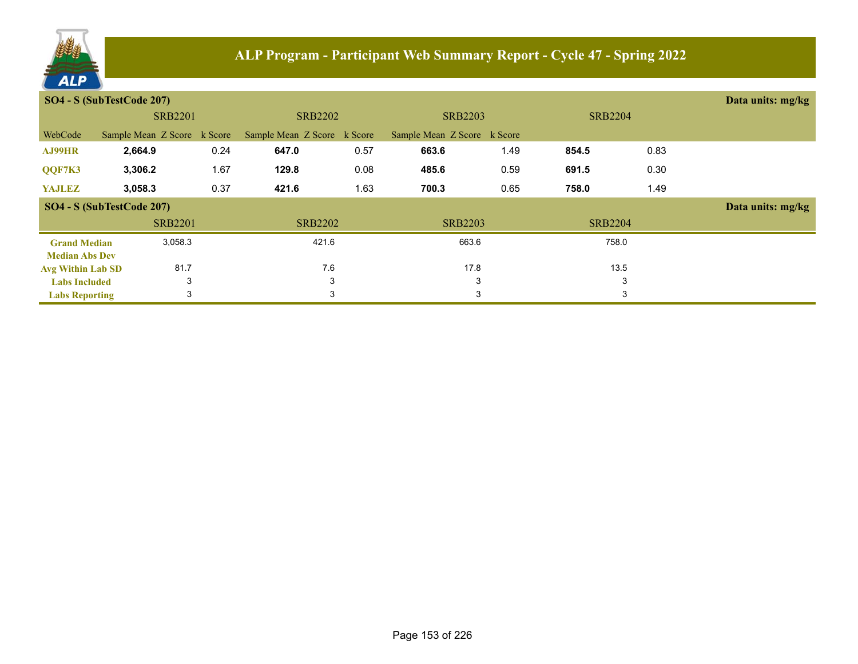

| SO4 - S (SubTestCode 207)       |      |                                               |      |                                                                                      |      |                                                                                       |      | Data units: mg/kg                          |
|---------------------------------|------|-----------------------------------------------|------|--------------------------------------------------------------------------------------|------|---------------------------------------------------------------------------------------|------|--------------------------------------------|
| <b>SRB2201</b>                  |      |                                               |      |                                                                                      |      |                                                                                       |      |                                            |
|                                 |      |                                               |      |                                                                                      |      |                                                                                       |      |                                            |
| 2,664.9                         | 0.24 | 647.0                                         | 0.57 | 663.6                                                                                | 1.49 | 854.5                                                                                 | 0.83 |                                            |
| 3,306.2                         | 1.67 | 129.8                                         | 0.08 | 485.6                                                                                | 0.59 | 691.5                                                                                 | 0.30 |                                            |
| 3,058.3                         | 0.37 | 421.6                                         | 1.63 | 700.3                                                                                | 0.65 | 758.0                                                                                 | 1.49 |                                            |
| SO4 - S (SubTestCode 207)       |      |                                               |      |                                                                                      |      |                                                                                       |      | Data units: mg/kg                          |
|                                 |      |                                               |      |                                                                                      |      |                                                                                       |      |                                            |
| 3,058.3<br><b>Grand Median</b>  |      |                                               |      |                                                                                      |      |                                                                                       |      |                                            |
| <b>Median Abs Dev</b>           |      |                                               |      |                                                                                      |      |                                                                                       |      |                                            |
| 81.7<br>Avg Within Lab SD       |      |                                               |      |                                                                                      |      |                                                                                       |      |                                            |
| 3<br><b>Labs Included</b>       |      |                                               |      |                                                                                      |      |                                                                                       | 3    |                                            |
| 3<br>3<br><b>Labs Reporting</b> |      |                                               |      |                                                                                      | 3    |                                                                                       |      |                                            |
|                                 |      | Sample Mean Z Score k Score<br><b>SRB2201</b> |      | <b>SRB2202</b><br>Sample Mean Z Score k Score<br><b>SRB2202</b><br>421.6<br>7.6<br>3 |      | <b>SRB2203</b><br>Sample Mean Z Score k Score<br><b>SRB2203</b><br>663.6<br>17.8<br>3 |      | SRB2204<br><b>SRB2204</b><br>758.0<br>13.5 |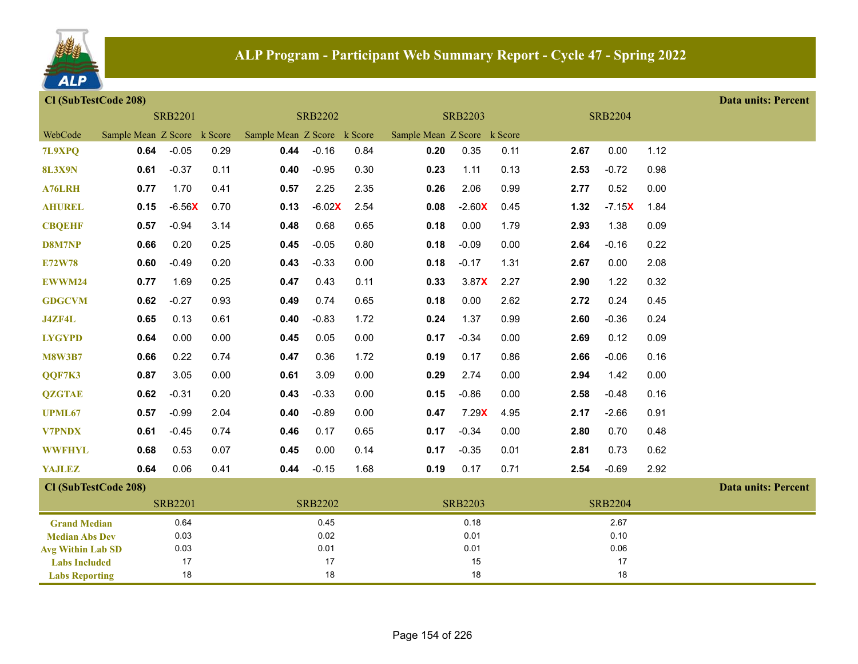

 **Data units: Percent**

SRB2201 SRB2202 SRB2203 SRB2204 WebCode Sample Mean Z Score k Score Sample Mean Z Score k Score Sample Mean Z Score k Score **7L9XPQ 0.64 0.44 0.20 2.67** -0.05 0.29 -0.16 0.84 0.35 0.11 0.00 1.12 **8L3X9N 0.61 0.40 0.23 2.53** -0.37 0.11 -0.95 0.30 1.11 0.13 -0.72 0.98 **A76LRH 0.77 0.57 0.26 2.77** 1.70 0.41 2.25 2.35 2.06 0.99 0.52 0.00 **AHUREL0.15 0.13 0.08 1.32** -6.56**XX X X** 0.70 -6.02 2.54 -2.60 0.45 -7.15 1.84

| <b>SRB2201</b>       |        |          |               |        | <b>SRB2202</b> |      |      | <b>SRB2203</b> |      |      | <b>SRB2204</b> |       |                            |  |
|----------------------|--------|----------|---------------|--------|----------------|------|------|----------------|------|------|----------------|-------|----------------------------|--|
| Cl (SubTestCode 208) |        |          |               |        |                |      |      |                |      |      |                |       | <b>Data units: Percent</b> |  |
| YAJLEZ               | 0.64   | 0.06     | 0.41          | 0.44   | $-0.15$        | 1.68 | 0.19 | 0.17           | 0.71 | 2.54 | $-0.69$        | 2.92  |                            |  |
| <b>WWFHYL</b>        | 0.68   | 0.53     | 0.07          | 0.45   | 0.00           | 0.14 | 0.17 | $-0.35$        | 0.01 | 2.81 | 0.73           | 0.62  |                            |  |
| <b>V7PNDX</b>        | 0.61   | $-0.45$  | 0.74          | 0.46   | 0.17           | 0.65 | 0.17 | $-0.34$        | 0.00 | 2.80 | 0.70           | 0.48  |                            |  |
| UPML67               | 0.57   | $-0.99$  | 2.04          | 0.40   | $-0.89$        | 0.00 | 0.47 | 7.29X          | 4.95 | 2.17 | $-2.66$        | 0.91  |                            |  |
| <b>QZGTAE</b>        | 0.62   | $-0.31$  | 0.20          | 0.43   | $-0.33$        | 0.00 | 0.15 | $-0.86$        | 0.00 | 2.58 | $-0.48$        | 0.16  |                            |  |
| QQF7K3               | 0.87   | 3.05     | 0.00          | 0.61   | 3.09           | 0.00 | 0.29 | 2.74           | 0.00 | 2.94 | 1.42           | 0.00  |                            |  |
| <b>M8W3B7</b>        | 0.66   | 0.22     | 0.74          | 0.47   | 0.36           | 1.72 | 0.19 | 0.17           | 0.86 | 2.66 | $-0.06$        | 0.16  |                            |  |
| LYGYPD               | 0.64   | 0.00     | 0.00          | 0.45   | 0.05           | 0.00 | 0.17 | $-0.34$        | 0.00 | 2.69 | 0.12           | 0.09  |                            |  |
| <b>J4ZF4L</b>        | 0.65   | 0.13     | 0.61          | 0.40   | $-0.83$        | 1.72 | 0.24 | 1.37           | 0.99 | 2.60 | $-0.36$        | 0.24  |                            |  |
| <b>GDGCVM</b>        | 0.62   | $-0.27$  | 0.93          | 0.49   | 0.74           | 0.65 | 0.18 | 0.00           | 2.62 | 2.72 | 0.24           | 0.45  |                            |  |
| <b>EWWM24</b>        | 0.77   | 1.69     | 0.25          | 0.47   | 0.43           | 0.11 | 0.33 | 3.87X          | 2.27 | 2.90 | 1.22           | 0.32  |                            |  |
| E72W78               | 0.60   | $-0.49$  | 0.20          | 0.43   | $-0.33$        | 0.00 | 0.18 | $-0.17$        | 1.31 | 2.67 | 0.00           | 2.08  |                            |  |
| <b>D8M7NP</b>        | 0.66   | 0.20     | 0.25          | 0.45   | $-0.05$        | 0.80 | 0.18 | $-0.09$        | 0.00 | 2.64 | $-0.16$        | 0.22  |                            |  |
| <b>CBQEHF</b>        | 0.57   | $-0.94$  | 3.14          | 0.48   | 0.68           | 0.65 | 0.18 | 0.00           | 1.79 | 2.93 | 1.38           | 0.09  |                            |  |
| AIIUNEL              | v. I v | $-0.00A$ | <b>v.</b> i v | v. . v | $-0.02$        | ⊤ن.∠ | v.vu | $-2.00A$       | ∪.⊤∪ | va   | $\sim$         | דיטיי |                            |  |

|                          | SRB2201 | SRB2202 | SRB2203 | SRB2204 |  |
|--------------------------|---------|---------|---------|---------|--|
| <b>Grand Median</b>      | 0.64    | 0.45    | 0.18    | 2.67    |  |
| <b>Median Abs Dev</b>    | 0.03    | 0.02    | 0.01    | 0.10    |  |
| <b>Avg Within Lab SD</b> | 0.03    | 0.01    | 0.01    | 0.06    |  |
| <b>Labs Included</b>     | 17      | 17      | 15      |         |  |
| <b>Labs Reporting</b>    | 18      | 18      | 18      | 18      |  |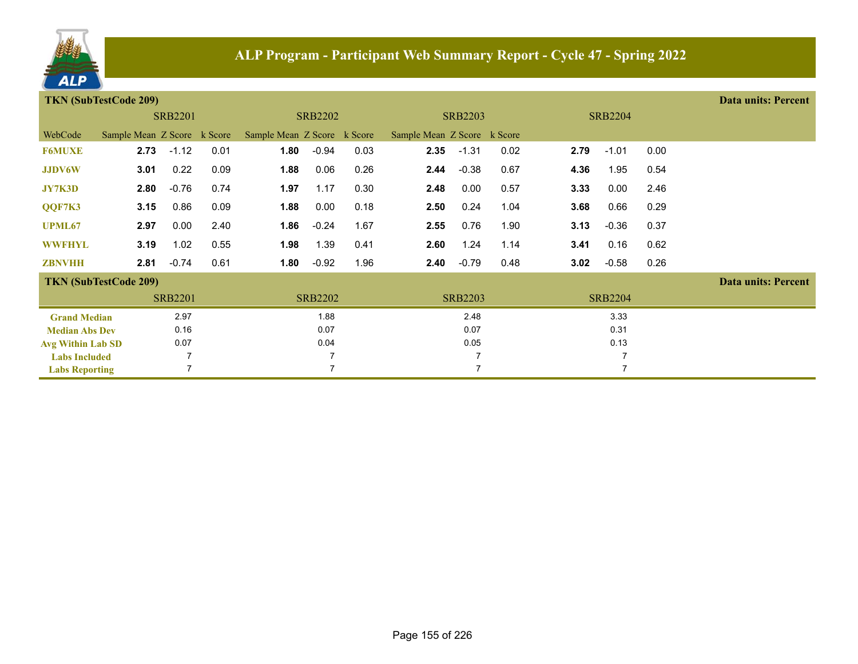

| Data units: Percent<br><b>TKN (SubTestCode 209)</b> |                              |                |      |                             |                |      |                             |                |      |      |                |      |                     |
|-----------------------------------------------------|------------------------------|----------------|------|-----------------------------|----------------|------|-----------------------------|----------------|------|------|----------------|------|---------------------|
|                                                     |                              | <b>SRB2201</b> |      |                             | <b>SRB2202</b> |      |                             | <b>SRB2203</b> |      |      | <b>SRB2204</b> |      |                     |
| WebCode                                             | Sample Mean Z Score k Score  |                |      | Sample Mean Z Score k Score |                |      | Sample Mean Z Score k Score |                |      |      |                |      |                     |
| <b>F6MUXE</b>                                       | 2.73                         | $-1.12$        | 0.01 | 1.80                        | $-0.94$        | 0.03 | 2.35                        | $-1.31$        | 0.02 | 2.79 | $-1.01$        | 0.00 |                     |
| <b>JJDV6W</b>                                       | 3.01                         | 0.22           | 0.09 | 1.88                        | 0.06           | 0.26 | 2.44                        | $-0.38$        | 0.67 | 4.36 | 1.95           | 0.54 |                     |
| JY7K3D                                              | 2.80                         | $-0.76$        | 0.74 | 1.97                        | 1.17           | 0.30 | 2.48                        | 0.00           | 0.57 | 3.33 | 0.00           | 2.46 |                     |
| QQF7K3                                              | 3.15                         | 0.86           | 0.09 | 1.88                        | 0.00           | 0.18 | 2.50                        | 0.24           | 1.04 | 3.68 | 0.66           | 0.29 |                     |
| UPML67                                              | 2.97                         | 0.00           | 2.40 | 1.86                        | $-0.24$        | 1.67 | 2.55                        | 0.76           | 1.90 | 3.13 | $-0.36$        | 0.37 |                     |
| <b>WWFHYL</b>                                       | 3.19                         | 1.02           | 0.55 | 1.98                        | 1.39           | 0.41 | 2.60                        | 1.24           | 1.14 | 3.41 | 0.16           | 0.62 |                     |
| <b>ZBNVHH</b>                                       | 2.81                         | $-0.74$        | 0.61 | 1.80                        | $-0.92$        | 1.96 | 2.40                        | $-0.79$        | 0.48 | 3.02 | $-0.58$        | 0.26 |                     |
|                                                     | <b>TKN (SubTestCode 209)</b> |                |      |                             |                |      |                             |                |      |      |                |      | Data units: Percent |
|                                                     |                              | <b>SRB2201</b> |      |                             | <b>SRB2202</b> |      |                             | <b>SRB2203</b> |      |      | <b>SRB2204</b> |      |                     |
| <b>Grand Median</b>                                 |                              | 2.97           |      |                             | 1.88           |      |                             | 2.48           |      |      | 3.33           |      |                     |
| <b>Median Abs Dev</b>                               |                              | 0.16           |      |                             | 0.07           |      |                             | 0.07           |      |      | 0.31           |      |                     |
| Avg Within Lab SD                                   |                              | 0.07           |      |                             | 0.04           |      |                             | 0.05           |      |      | 0.13           |      |                     |
| <b>Labs Included</b>                                |                              |                |      |                             | 7              |      |                             |                |      |      |                |      |                     |
| <b>Labs Reporting</b>                               |                              | $\overline{7}$ |      |                             | $\overline{7}$ |      |                             | $\overline{7}$ |      |      |                |      |                     |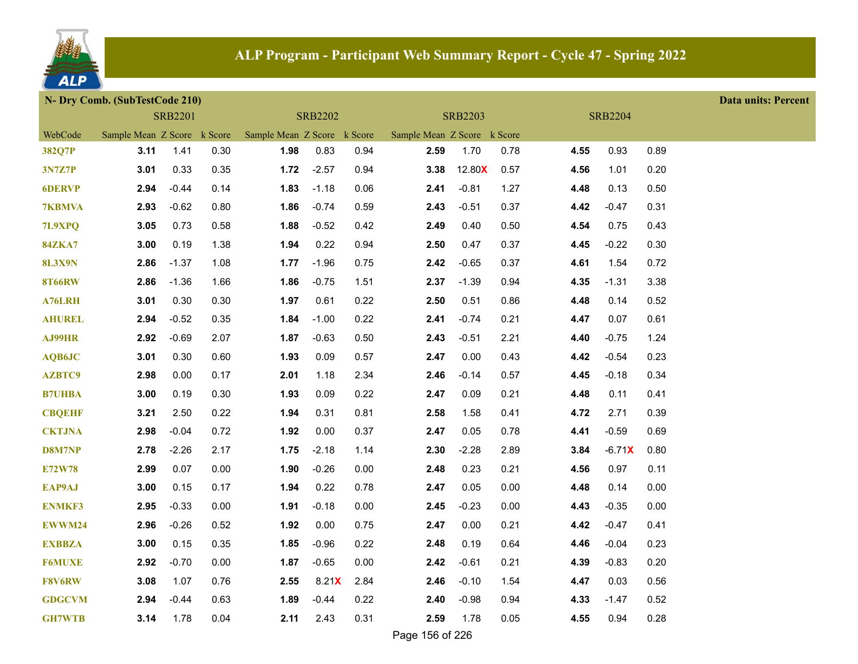

|               | N- Dry Comb. (SubTestCode 210) |                |      |                             |                |      |                             |                |      |      |                |      | <b>Data units: Percent</b> |
|---------------|--------------------------------|----------------|------|-----------------------------|----------------|------|-----------------------------|----------------|------|------|----------------|------|----------------------------|
|               |                                | <b>SRB2201</b> |      |                             | <b>SRB2202</b> |      |                             | <b>SRB2203</b> |      |      | <b>SRB2204</b> |      |                            |
| WebCode       | Sample Mean Z Score k Score    |                |      | Sample Mean Z Score k Score |                |      | Sample Mean Z Score k Score |                |      |      |                |      |                            |
| 382Q7P        | 3.11                           | 1.41           | 0.30 | 1.98                        | 0.83           | 0.94 | 2.59                        | 1.70           | 0.78 | 4.55 | 0.93           | 0.89 |                            |
| <b>3N7Z7P</b> | 3.01                           | 0.33           | 0.35 | 1.72                        | $-2.57$        | 0.94 | 3.38                        | 12.80X         | 0.57 | 4.56 | 1.01           | 0.20 |                            |
| <b>6DERVP</b> | 2.94                           | $-0.44$        | 0.14 | 1.83                        | $-1.18$        | 0.06 | 2.41                        | $-0.81$        | 1.27 | 4.48 | 0.13           | 0.50 |                            |
| 7KBMVA        | 2.93                           | $-0.62$        | 0.80 | 1.86                        | $-0.74$        | 0.59 | 2.43                        | $-0.51$        | 0.37 | 4.42 | $-0.47$        | 0.31 |                            |
| 7L9XPQ        | 3.05                           | 0.73           | 0.58 | 1.88                        | $-0.52$        | 0.42 | 2.49                        | 0.40           | 0.50 | 4.54 | 0.75           | 0.43 |                            |
| <b>84ZKA7</b> | 3.00                           | 0.19           | 1.38 | 1.94                        | 0.22           | 0.94 | 2.50                        | 0.47           | 0.37 | 4.45 | $-0.22$        | 0.30 |                            |
| <b>8L3X9N</b> | 2.86                           | $-1.37$        | 1.08 | 1.77                        | $-1.96$        | 0.75 | 2.42                        | $-0.65$        | 0.37 | 4.61 | 1.54           | 0.72 |                            |
| <b>8T66RW</b> | 2.86                           | $-1.36$        | 1.66 | 1.86                        | $-0.75$        | 1.51 | 2.37                        | $-1.39$        | 0.94 | 4.35 | $-1.31$        | 3.38 |                            |
| A76LRH        | 3.01                           | 0.30           | 0.30 | 1.97                        | 0.61           | 0.22 | 2.50                        | 0.51           | 0.86 | 4.48 | 0.14           | 0.52 |                            |
| <b>AHUREL</b> | 2.94                           | $-0.52$        | 0.35 | 1.84                        | $-1.00$        | 0.22 | 2.41                        | $-0.74$        | 0.21 | 4.47 | 0.07           | 0.61 |                            |
| AJ99HR        | 2.92                           | $-0.69$        | 2.07 | 1.87                        | $-0.63$        | 0.50 | 2.43                        | $-0.51$        | 2.21 | 4.40 | $-0.75$        | 1.24 |                            |
| <b>AQB6JC</b> | 3.01                           | 0.30           | 0.60 | 1.93                        | 0.09           | 0.57 | 2.47                        | 0.00           | 0.43 | 4.42 | $-0.54$        | 0.23 |                            |
| <b>AZBTC9</b> | 2.98                           | 0.00           | 0.17 | 2.01                        | 1.18           | 2.34 | 2.46                        | $-0.14$        | 0.57 | 4.45 | $-0.18$        | 0.34 |                            |
| <b>B7UHBA</b> | 3.00                           | 0.19           | 0.30 | 1.93                        | 0.09           | 0.22 | 2.47                        | 0.09           | 0.21 | 4.48 | 0.11           | 0.41 |                            |
| <b>CBQEHF</b> | 3.21                           | 2.50           | 0.22 | 1.94                        | 0.31           | 0.81 | 2.58                        | 1.58           | 0.41 | 4.72 | 2.71           | 0.39 |                            |
| <b>CKTJNA</b> | 2.98                           | $-0.04$        | 0.72 | 1.92                        | 0.00           | 0.37 | 2.47                        | 0.05           | 0.78 | 4.41 | $-0.59$        | 0.69 |                            |
| D8M7NP        | 2.78                           | $-2.26$        | 2.17 | 1.75                        | $-2.18$        | 1.14 | 2.30                        | $-2.28$        | 2.89 | 3.84 | $-6.71X$       | 0.80 |                            |
| E72W78        | 2.99                           | 0.07           | 0.00 | 1.90                        | $-0.26$        | 0.00 | 2.48                        | 0.23           | 0.21 | 4.56 | 0.97           | 0.11 |                            |
| EAP9AJ        | 3.00                           | 0.15           | 0.17 | 1.94                        | 0.22           | 0.78 | 2.47                        | 0.05           | 0.00 | 4.48 | 0.14           | 0.00 |                            |
| <b>ENMKF3</b> | 2.95                           | $-0.33$        | 0.00 | 1.91                        | $-0.18$        | 0.00 | 2.45                        | $-0.23$        | 0.00 | 4.43 | $-0.35$        | 0.00 |                            |
| EWWM24        | 2.96                           | $-0.26$        | 0.52 | 1.92                        | 0.00           | 0.75 | 2.47                        | 0.00           | 0.21 | 4.42 | $-0.47$        | 0.41 |                            |
| <b>EXBBZA</b> | 3.00                           | 0.15           | 0.35 | 1.85                        | $-0.96$        | 0.22 | 2.48                        | 0.19           | 0.64 | 4.46 | $-0.04$        | 0.23 |                            |
| <b>F6MUXE</b> | 2.92                           | $-0.70$        | 0.00 | 1.87                        | $-0.65$        | 0.00 | 2.42                        | $-0.61$        | 0.21 | 4.39 | $-0.83$        | 0.20 |                            |
| F8V6RW        | 3.08                           | 1.07           | 0.76 | 2.55                        | 8.21X          | 2.84 | 2.46                        | $-0.10$        | 1.54 | 4.47 | 0.03           | 0.56 |                            |
| <b>GDGCVM</b> | 2.94                           | $-0.44$        | 0.63 | 1.89                        | $-0.44$        | 0.22 | 2.40                        | $-0.98$        | 0.94 | 4.33 | $-1.47$        | 0.52 |                            |
| <b>GH7WTB</b> | 3.14                           | 1.78           | 0.04 | 2.11                        | 2.43           | 0.31 | 2.59                        | 1.78           | 0.05 | 4.55 | 0.94           | 0.28 |                            |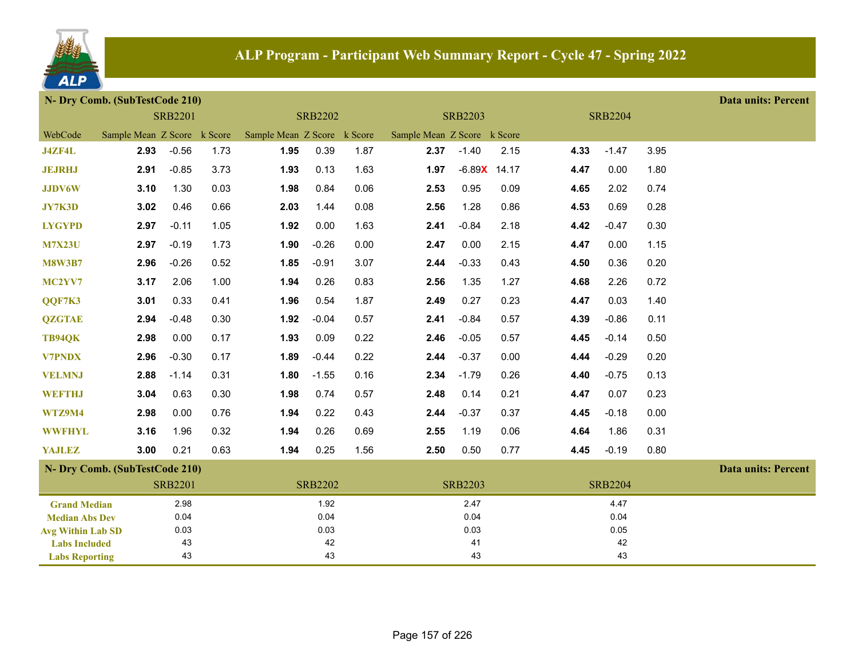

|                                 | N- Dry Comb. (SubTestCode 210) |                |      |                             |                |      |                             |                  |       |      |                |      | <b>Data units: Percent</b> |
|---------------------------------|--------------------------------|----------------|------|-----------------------------|----------------|------|-----------------------------|------------------|-------|------|----------------|------|----------------------------|
|                                 |                                | <b>SRB2201</b> |      |                             | <b>SRB2202</b> |      |                             | <b>SRB2203</b>   |       |      | <b>SRB2204</b> |      |                            |
| WebCode                         | Sample Mean Z Score k Score    |                |      | Sample Mean Z Score k Score |                |      | Sample Mean Z Score k Score |                  |       |      |                |      |                            |
| J4ZF4L                          | 2.93                           | $-0.56$        | 1.73 | 1.95                        | 0.39           | 1.87 | 2.37                        | $-1.40$          | 2.15  | 4.33 | $-1.47$        | 3.95 |                            |
| <b>JEJRHJ</b>                   | 2.91                           | $-0.85$        | 3.73 | 1.93                        | 0.13           | 1.63 | 1.97                        | $-6.89$ <b>X</b> | 14.17 | 4.47 | 0.00           | 1.80 |                            |
| <b>JJDV6W</b>                   | 3.10                           | 1.30           | 0.03 | 1.98                        | 0.84           | 0.06 | 2.53                        | 0.95             | 0.09  | 4.65 | 2.02           | 0.74 |                            |
| <b>JY7K3D</b>                   | 3.02                           | 0.46           | 0.66 | 2.03                        | 1.44           | 0.08 | 2.56                        | 1.28             | 0.86  | 4.53 | 0.69           | 0.28 |                            |
| <b>LYGYPD</b>                   | 2.97                           | $-0.11$        | 1.05 | 1.92                        | 0.00           | 1.63 | 2.41                        | $-0.84$          | 2.18  | 4.42 | $-0.47$        | 0.30 |                            |
| <b>M7X23U</b>                   | 2.97                           | $-0.19$        | 1.73 | 1.90                        | $-0.26$        | 0.00 | 2.47                        | 0.00             | 2.15  | 4.47 | 0.00           | 1.15 |                            |
| <b>M8W3B7</b>                   | 2.96                           | $-0.26$        | 0.52 | 1.85                        | $-0.91$        | 3.07 | 2.44                        | $-0.33$          | 0.43  | 4.50 | 0.36           | 0.20 |                            |
| MC <sub>2</sub> YV <sub>7</sub> | 3.17                           | 2.06           | 1.00 | 1.94                        | 0.26           | 0.83 | 2.56                        | 1.35             | 1.27  | 4.68 | 2.26           | 0.72 |                            |
| QQF7K3                          | 3.01                           | 0.33           | 0.41 | 1.96                        | 0.54           | 1.87 | 2.49                        | 0.27             | 0.23  | 4.47 | 0.03           | 1.40 |                            |
| <b>QZGTAE</b>                   | 2.94                           | $-0.48$        | 0.30 | 1.92                        | $-0.04$        | 0.57 | 2.41                        | $-0.84$          | 0.57  | 4.39 | $-0.86$        | 0.11 |                            |
| <b>TB94QK</b>                   | 2.98                           | 0.00           | 0.17 | 1.93                        | 0.09           | 0.22 | 2.46                        | $-0.05$          | 0.57  | 4.45 | $-0.14$        | 0.50 |                            |
| <b>V7PNDX</b>                   | 2.96                           | $-0.30$        | 0.17 | 1.89                        | $-0.44$        | 0.22 | 2.44                        | $-0.37$          | 0.00  | 4.44 | $-0.29$        | 0.20 |                            |
| <b>VELMNJ</b>                   | 2.88                           | $-1.14$        | 0.31 | 1.80                        | $-1.55$        | 0.16 | 2.34                        | $-1.79$          | 0.26  | 4.40 | $-0.75$        | 0.13 |                            |
| <b>WEFTHJ</b>                   | 3.04                           | 0.63           | 0.30 | 1.98                        | 0.74           | 0.57 | 2.48                        | 0.14             | 0.21  | 4.47 | 0.07           | 0.23 |                            |
| WTZ9M4                          | 2.98                           | 0.00           | 0.76 | 1.94                        | 0.22           | 0.43 | 2.44                        | $-0.37$          | 0.37  | 4.45 | $-0.18$        | 0.00 |                            |
| <b>WWFHYL</b>                   | 3.16                           | 1.96           | 0.32 | 1.94                        | 0.26           | 0.69 | 2.55                        | 1.19             | 0.06  | 4.64 | 1.86           | 0.31 |                            |
| <b>YAJLEZ</b>                   | 3.00                           | 0.21           | 0.63 | 1.94                        | 0.25           | 1.56 | 2.50                        | 0.50             | 0.77  | 4.45 | $-0.19$        | 0.80 |                            |
|                                 | N- Dry Comb. (SubTestCode 210) |                |      |                             |                |      |                             |                  |       |      |                |      | <b>Data units: Percent</b> |
|                                 |                                | <b>SRB2201</b> |      |                             | <b>SRB2202</b> |      |                             | <b>SRB2203</b>   |       |      | <b>SRB2204</b> |      |                            |
| <b>Grand Median</b>             |                                | 2.98           |      |                             | 1.92           |      |                             | 2.47             |       |      | 4.47           |      |                            |
| <b>Median Abs Dev</b>           |                                | 0.04           |      |                             | 0.04           |      |                             | 0.04             |       |      | 0.04           |      |                            |
| <b>Avg Within Lab SD</b>        |                                | 0.03           |      |                             | 0.03           |      |                             | 0.03             |       |      | 0.05           |      |                            |
| <b>Labs Included</b>            |                                | 43             |      |                             | 42             |      |                             | 41               |       |      | 42             |      |                            |
| <b>Labs Reporting</b>           |                                | 43             |      |                             | 43             |      |                             | 43               |       |      | 43             |      |                            |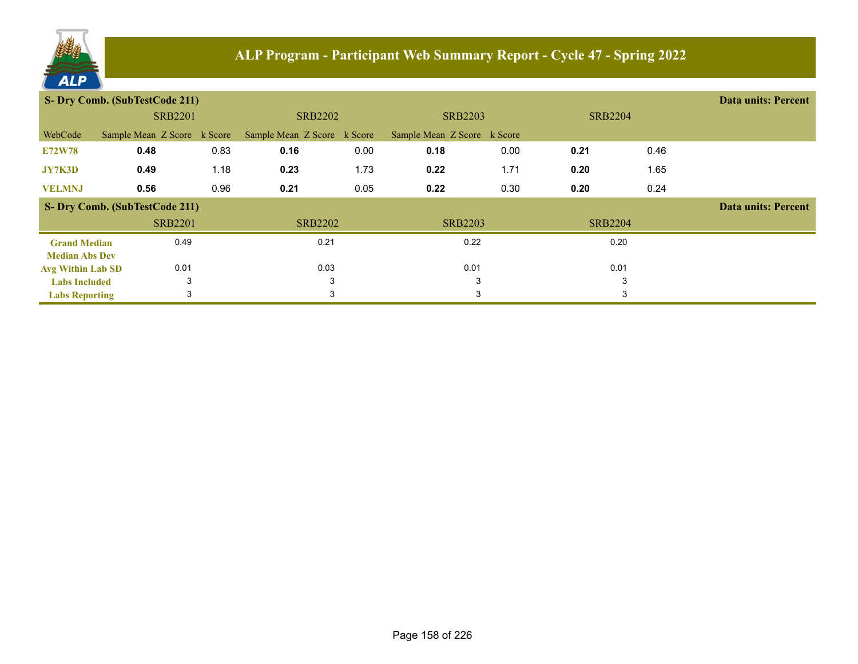

|                       | S- Dry Comb. (SubTestCode 211) |      |                             |      |                             |      |                |      | Data units: Percent |
|-----------------------|--------------------------------|------|-----------------------------|------|-----------------------------|------|----------------|------|---------------------|
|                       | <b>SRB2201</b>                 |      | <b>SRB2202</b>              |      | <b>SRB2203</b>              |      | <b>SRB2204</b> |      |                     |
| WebCode               | Sample Mean Z Score k Score    |      | Sample Mean Z Score k Score |      | Sample Mean Z Score k Score |      |                |      |                     |
| <b>E72W78</b>         | 0.48                           | 0.83 | 0.16                        | 0.00 | 0.18                        | 0.00 | 0.21           | 0.46 |                     |
| JY7K3D                | 0.49                           | 1.18 | 0.23                        | 1.73 | 0.22                        | 1.71 | 0.20           | 1.65 |                     |
| <b>VELMNJ</b>         | 0.56                           | 0.96 | 0.21                        | 0.05 | 0.22                        | 0.30 | 0.20           | 0.24 |                     |
|                       | S- Dry Comb. (SubTestCode 211) |      |                             |      |                             |      |                |      | Data units: Percent |
|                       | <b>SRB2201</b>                 |      | <b>SRB2202</b>              |      | <b>SRB2203</b>              |      | <b>SRB2204</b> |      |                     |
| <b>Grand Median</b>   | 0.49                           |      | 0.21                        |      | 0.22                        |      | 0.20           |      |                     |
| <b>Median Abs Dev</b> |                                |      |                             |      |                             |      |                |      |                     |
| Avg Within Lab SD     | 0.01                           |      | 0.03                        |      | 0.01                        |      | 0.01           |      |                     |
| <b>Labs Included</b>  | 3                              |      | 3                           |      | 3                           |      | 3              |      |                     |
| <b>Labs Reporting</b> | 3                              |      | 3                           |      | 3                           |      | 3              |      |                     |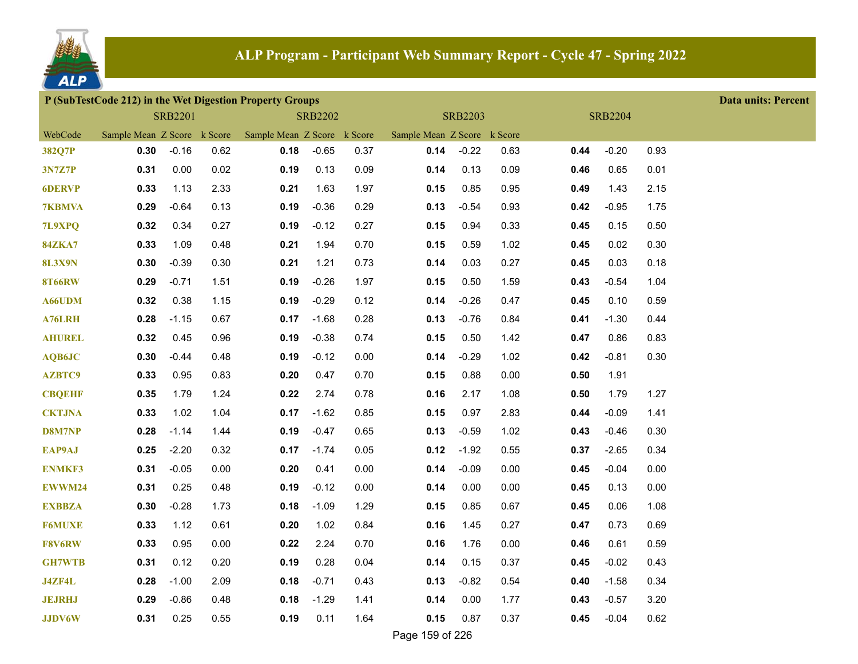

|               |                             |                |      | P (SubTestCode 212) in the Wet Digestion Property Groups |                |      |                             |                | <b>Data units: Percent</b> |      |                |      |  |
|---------------|-----------------------------|----------------|------|----------------------------------------------------------|----------------|------|-----------------------------|----------------|----------------------------|------|----------------|------|--|
|               |                             | <b>SRB2201</b> |      |                                                          | <b>SRB2202</b> |      |                             | <b>SRB2203</b> |                            |      | <b>SRB2204</b> |      |  |
| WebCode       | Sample Mean Z Score k Score |                |      | Sample Mean Z Score k Score                              |                |      | Sample Mean Z Score k Score |                |                            |      |                |      |  |
| 382Q7P        | 0.30                        | $-0.16$        | 0.62 | 0.18                                                     | $-0.65$        | 0.37 | 0.14                        | $-0.22$        | 0.63                       | 0.44 | $-0.20$        | 0.93 |  |
| <b>3N7Z7P</b> | 0.31                        | 0.00           | 0.02 | 0.19                                                     | 0.13           | 0.09 | 0.14                        | 0.13           | 0.09                       | 0.46 | 0.65           | 0.01 |  |
| <b>6DERVP</b> | 0.33                        | 1.13           | 2.33 | 0.21                                                     | 1.63           | 1.97 | 0.15                        | 0.85           | 0.95                       | 0.49 | 1.43           | 2.15 |  |
| 7KBMVA        | 0.29                        | $-0.64$        | 0.13 | 0.19                                                     | $-0.36$        | 0.29 | 0.13                        | $-0.54$        | 0.93                       | 0.42 | $-0.95$        | 1.75 |  |
| 7L9XPQ        | 0.32                        | 0.34           | 0.27 | 0.19                                                     | $-0.12$        | 0.27 | 0.15                        | 0.94           | 0.33                       | 0.45 | 0.15           | 0.50 |  |
| <b>84ZKA7</b> | 0.33                        | 1.09           | 0.48 | 0.21                                                     | 1.94           | 0.70 | 0.15                        | 0.59           | 1.02                       | 0.45 | 0.02           | 0.30 |  |
| <b>8L3X9N</b> | 0.30                        | $-0.39$        | 0.30 | 0.21                                                     | 1.21           | 0.73 | 0.14                        | 0.03           | 0.27                       | 0.45 | 0.03           | 0.18 |  |
| <b>8T66RW</b> | 0.29                        | $-0.71$        | 1.51 | 0.19                                                     | $-0.26$        | 1.97 | 0.15                        | 0.50           | 1.59                       | 0.43 | $-0.54$        | 1.04 |  |
| A66UDM        | 0.32                        | 0.38           | 1.15 | 0.19                                                     | $-0.29$        | 0.12 | 0.14                        | $-0.26$        | 0.47                       | 0.45 | 0.10           | 0.59 |  |
| A76LRH        | 0.28                        | $-1.15$        | 0.67 | 0.17                                                     | $-1.68$        | 0.28 | 0.13                        | $-0.76$        | 0.84                       | 0.41 | $-1.30$        | 0.44 |  |
| <b>AHUREL</b> | 0.32                        | 0.45           | 0.96 | 0.19                                                     | $-0.38$        | 0.74 | 0.15                        | 0.50           | 1.42                       | 0.47 | 0.86           | 0.83 |  |
| <b>AQB6JC</b> | 0.30                        | $-0.44$        | 0.48 | 0.19                                                     | $-0.12$        | 0.00 | 0.14                        | $-0.29$        | 1.02                       | 0.42 | $-0.81$        | 0.30 |  |
| <b>AZBTC9</b> | 0.33                        | 0.95           | 0.83 | 0.20                                                     | 0.47           | 0.70 | 0.15                        | 0.88           | 0.00                       | 0.50 | 1.91           |      |  |
| <b>CBQEHF</b> | 0.35                        | 1.79           | 1.24 | 0.22                                                     | 2.74           | 0.78 | 0.16                        | 2.17           | 1.08                       | 0.50 | 1.79           | 1.27 |  |
| <b>CKTJNA</b> | 0.33                        | 1.02           | 1.04 | 0.17                                                     | $-1.62$        | 0.85 | 0.15                        | 0.97           | 2.83                       | 0.44 | $-0.09$        | 1.41 |  |
| D8M7NP        | 0.28                        | $-1.14$        | 1.44 | 0.19                                                     | $-0.47$        | 0.65 | 0.13                        | $-0.59$        | 1.02                       | 0.43 | $-0.46$        | 0.30 |  |
| EAP9AJ        | 0.25                        | $-2.20$        | 0.32 | 0.17                                                     | $-1.74$        | 0.05 | 0.12                        | $-1.92$        | 0.55                       | 0.37 | $-2.65$        | 0.34 |  |
| <b>ENMKF3</b> | 0.31                        | $-0.05$        | 0.00 | 0.20                                                     | 0.41           | 0.00 | 0.14                        | $-0.09$        | 0.00                       | 0.45 | $-0.04$        | 0.00 |  |
| EWWM24        | 0.31                        | 0.25           | 0.48 | 0.19                                                     | $-0.12$        | 0.00 | 0.14                        | 0.00           | 0.00                       | 0.45 | 0.13           | 0.00 |  |
| <b>EXBBZA</b> | 0.30                        | $-0.28$        | 1.73 | 0.18                                                     | $-1.09$        | 1.29 | 0.15                        | 0.85           | 0.67                       | 0.45 | 0.06           | 1.08 |  |
| <b>F6MUXE</b> | 0.33                        | 1.12           | 0.61 | 0.20                                                     | 1.02           | 0.84 | 0.16                        | 1.45           | 0.27                       | 0.47 | 0.73           | 0.69 |  |
| F8V6RW        | 0.33                        | 0.95           | 0.00 | 0.22                                                     | 2.24           | 0.70 | 0.16                        | 1.76           | 0.00                       | 0.46 | 0.61           | 0.59 |  |
| <b>GH7WTB</b> | 0.31                        | 0.12           | 0.20 | 0.19                                                     | 0.28           | 0.04 | 0.14                        | 0.15           | 0.37                       | 0.45 | $-0.02$        | 0.43 |  |
| J4ZF4L        | 0.28                        | $-1.00$        | 2.09 | 0.18                                                     | $-0.71$        | 0.43 | 0.13                        | $-0.82$        | 0.54                       | 0.40 | $-1.58$        | 0.34 |  |
| <b>JEJRHJ</b> | 0.29                        | $-0.86$        | 0.48 | 0.18                                                     | $-1.29$        | 1.41 | 0.14                        | 0.00           | 1.77                       | 0.43 | $-0.57$        | 3.20 |  |
| <b>JJDV6W</b> | 0.31                        | 0.25           | 0.55 | 0.19                                                     | 0.11           | 1.64 | 0.15                        | 0.87           | 0.37                       | 0.45 | $-0.04$        | 0.62 |  |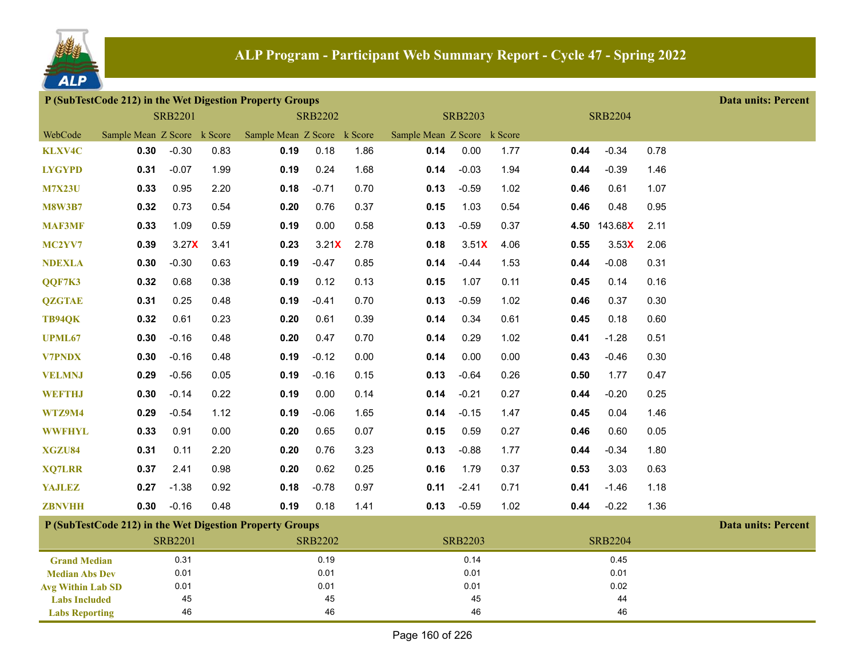

| P (SubTestCode 212) in the Wet Digestion Property Groups                                                                    | <b>Data units: Percent</b> |
|-----------------------------------------------------------------------------------------------------------------------------|----------------------------|
| <b>SRB2201</b><br><b>SRB2203</b><br><b>SRB2204</b><br><b>SRB2202</b>                                                        |                            |
| WebCode<br>Sample Mean Z Score k Score<br>Sample Mean Z Score k Score<br>Sample Mean Z Score k Score                        |                            |
| $-0.34$<br>0.30<br>$-0.30$<br>0.83<br>0.19<br>0.18<br>1.86<br>0.14<br>0.00<br>1.77<br>0.44<br><b>KLXV4C</b>                 | 0.78                       |
| 0.31<br>$-0.07$<br>1.99<br>0.19<br>0.24<br>1.68<br>0.14<br>$-0.03$<br>1.94<br>0.44<br>$-0.39$<br><b>LYGYPD</b>              | 1.46                       |
| <b>M7X23U</b><br>0.33<br>0.95<br>2.20<br>0.18<br>$-0.71$<br>0.70<br>0.13<br>$-0.59$<br>1.02<br>0.46<br>0.61                 | 1.07                       |
| 0.32<br>0.54<br>0.20<br>0.76<br>0.37<br>0.15<br>0.54<br>0.46<br>0.48<br><b>M8W3B7</b><br>0.73<br>1.03                       | 0.95                       |
| 0.33<br>1.09<br>0.59<br>0.19<br>0.58<br>0.13<br>$-0.59$<br>143.68X<br><b>MAF3MF</b><br>0.00<br>0.37<br>4.50                 | 2.11                       |
| 0.39<br>3.27X<br>3.41<br>0.23<br>3.21X<br>2.78<br>0.18<br>3.51X<br>4.06<br>0.55<br>3.53X<br>MC <sub>2</sub> YV <sub>7</sub> | 2.06                       |
| 0.30<br>$-0.30$<br>0.63<br>0.19<br>$-0.47$<br>0.85<br>0.14<br>$-0.44$<br>1.53<br>0.44<br>$-0.08$<br><b>NDEXLA</b>           | 0.31                       |
| 0.32<br>0.38<br>0.19<br>0.13<br>0.15<br>0.11<br>0.14<br>QQF7K3<br>0.68<br>0.12<br>1.07<br>0.45                              | 0.16                       |
| 0.70<br>0.13<br>$-0.59$<br>1.02<br>0.31<br>0.25<br>0.48<br>0.19<br>$-0.41$<br>0.46<br>0.37<br><b>QZGTAE</b>                 | 0.30                       |
| 0.32<br>0.61<br>0.23<br>0.20<br>0.61<br>0.39<br>0.14<br>0.34<br>0.61<br>0.45<br>0.18<br>TB94QK                              | 0.60                       |
| 0.30<br>0.20<br>0.70<br>0.14<br>1.02<br>$-0.16$<br>0.48<br>0.47<br>0.29<br>0.41<br>$-1.28$<br>UPML67                        | 0.51                       |
| 0.00<br><b>V7PNDX</b><br>0.30<br>$-0.16$<br>0.48<br>0.19<br>$-0.12$<br>0.00<br>0.14<br>0.00<br>0.43<br>$-0.46$              | 0.30                       |
| 0.29<br>$-0.56$<br>0.05<br>0.19<br>$-0.16$<br>0.15<br>0.13<br>$-0.64$<br>0.26<br>0.50<br><b>VELMNJ</b><br>1.77              | 0.47                       |
| 0.30<br>$-0.14$<br>0.22<br>0.19<br>0.00<br>0.14<br>0.14<br>$-0.21$<br>$-0.20$<br><b>WEFTHJ</b><br>0.27<br>0.44              | 0.25                       |
| WTZ9M4<br>0.29<br>$-0.54$<br>1.12<br>0.19<br>$-0.06$<br>1.65<br>0.14<br>$-0.15$<br>1.47<br>0.45<br>0.04                     | 1.46                       |
| 0.15<br>0.33<br>0.91<br>0.00<br>0.20<br>0.65<br>0.07<br>0.59<br>0.27<br>0.46<br>0.60<br><b>WWFHYL</b>                       | 0.05                       |
| 2.20<br>0.20<br>3.23<br>0.13<br>$-0.88$<br>1.77<br>$-0.34$<br><b>XGZU84</b><br>0.31<br>0.11<br>0.76<br>0.44                 | 1.80                       |
| 0.37<br>2.41<br>0.98<br>0.20<br>0.62<br>0.25<br>0.16<br>1.79<br>0.37<br>0.53<br>3.03<br><b>XQ7LRR</b>                       | 0.63                       |
| 0.27<br>0.92<br>0.18<br>$-0.78$<br>0.97<br>0.11<br>$-2.41$<br>0.71<br>0.41<br>$-1.46$<br><b>YAJLEZ</b><br>$-1.38$           | 1.18                       |
| 0.30<br>0.19<br>1.41<br>0.13<br>$-0.59$<br>$-0.22$<br><b>ZBNVHH</b><br>$-0.16$<br>0.48<br>0.18<br>1.02<br>0.44              | 1.36                       |
| P (SubTestCode 212) in the Wet Digestion Property Groups                                                                    | <b>Data units: Percent</b> |
| <b>SRB2201</b><br><b>SRB2202</b><br><b>SRB2203</b><br><b>SRB2204</b>                                                        |                            |
| 0.31<br>0.19<br>0.14<br>0.45<br><b>Grand Median</b>                                                                         |                            |
| 0.01<br>0.01<br>0.01<br>0.01<br><b>Median Abs Dev</b>                                                                       |                            |
| 0.01<br>0.01<br>0.02<br>0.01<br><b>Avg Within Lab SD</b>                                                                    |                            |
| 45<br>45<br>45<br>44<br><b>Labs Included</b><br>46<br>46<br>46<br>46<br><b>Labs Reporting</b>                               |                            |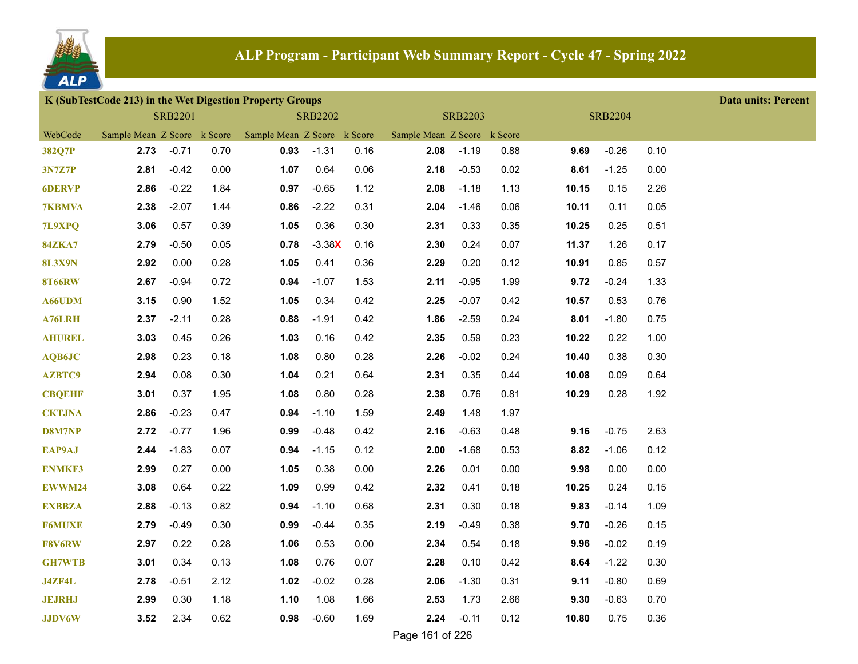

|               |                             |                |      | K (SubTestCode 213) in the Wet Digestion Property Groups |                |      |                             |                |      |       |                |      | <b>Data units: Percent</b> |
|---------------|-----------------------------|----------------|------|----------------------------------------------------------|----------------|------|-----------------------------|----------------|------|-------|----------------|------|----------------------------|
|               |                             | <b>SRB2201</b> |      |                                                          | <b>SRB2202</b> |      |                             | <b>SRB2203</b> |      |       | <b>SRB2204</b> |      |                            |
| WebCode       | Sample Mean Z Score k Score |                |      | Sample Mean Z Score k Score                              |                |      | Sample Mean Z Score k Score |                |      |       |                |      |                            |
| 382Q7P        | 2.73                        | $-0.71$        | 0.70 | 0.93                                                     | $-1.31$        | 0.16 | 2.08                        | $-1.19$        | 0.88 | 9.69  | $-0.26$        | 0.10 |                            |
| <b>3N7Z7P</b> | 2.81                        | $-0.42$        | 0.00 | 1.07                                                     | 0.64           | 0.06 | 2.18                        | $-0.53$        | 0.02 | 8.61  | $-1.25$        | 0.00 |                            |
| <b>6DERVP</b> | 2.86                        | $-0.22$        | 1.84 | 0.97                                                     | $-0.65$        | 1.12 | 2.08                        | $-1.18$        | 1.13 | 10.15 | 0.15           | 2.26 |                            |
| <b>7KBMVA</b> | 2.38                        | $-2.07$        | 1.44 | 0.86                                                     | $-2.22$        | 0.31 | 2.04                        | $-1.46$        | 0.06 | 10.11 | 0.11           | 0.05 |                            |
| 7L9XPQ        | 3.06                        | 0.57           | 0.39 | 1.05                                                     | 0.36           | 0.30 | 2.31                        | 0.33           | 0.35 | 10.25 | 0.25           | 0.51 |                            |
| <b>84ZKA7</b> | 2.79                        | $-0.50$        | 0.05 | 0.78                                                     | $-3.38X$       | 0.16 | 2.30                        | 0.24           | 0.07 | 11.37 | 1.26           | 0.17 |                            |
| <b>8L3X9N</b> | 2.92                        | 0.00           | 0.28 | 1.05                                                     | 0.41           | 0.36 | 2.29                        | 0.20           | 0.12 | 10.91 | 0.85           | 0.57 |                            |
| <b>8T66RW</b> | 2.67                        | $-0.94$        | 0.72 | 0.94                                                     | $-1.07$        | 1.53 | 2.11                        | $-0.95$        | 1.99 | 9.72  | $-0.24$        | 1.33 |                            |
| A66UDM        | 3.15                        | 0.90           | 1.52 | 1.05                                                     | 0.34           | 0.42 | 2.25                        | $-0.07$        | 0.42 | 10.57 | 0.53           | 0.76 |                            |
| A76LRH        | 2.37                        | $-2.11$        | 0.28 | 0.88                                                     | $-1.91$        | 0.42 | 1.86                        | $-2.59$        | 0.24 | 8.01  | $-1.80$        | 0.75 |                            |
| <b>AHUREL</b> | 3.03                        | 0.45           | 0.26 | 1.03                                                     | 0.16           | 0.42 | 2.35                        | 0.59           | 0.23 | 10.22 | 0.22           | 1.00 |                            |
| <b>AQB6JC</b> | 2.98                        | 0.23           | 0.18 | 1.08                                                     | 0.80           | 0.28 | 2.26                        | $-0.02$        | 0.24 | 10.40 | 0.38           | 0.30 |                            |
| <b>AZBTC9</b> | 2.94                        | 0.08           | 0.30 | 1.04                                                     | 0.21           | 0.64 | 2.31                        | 0.35           | 0.44 | 10.08 | 0.09           | 0.64 |                            |
| <b>CBQEHF</b> | 3.01                        | 0.37           | 1.95 | 1.08                                                     | 0.80           | 0.28 | 2.38                        | 0.76           | 0.81 | 10.29 | 0.28           | 1.92 |                            |
| <b>CKTJNA</b> | 2.86                        | $-0.23$        | 0.47 | 0.94                                                     | $-1.10$        | 1.59 | 2.49                        | 1.48           | 1.97 |       |                |      |                            |
| D8M7NP        | 2.72                        | $-0.77$        | 1.96 | 0.99                                                     | $-0.48$        | 0.42 | 2.16                        | $-0.63$        | 0.48 | 9.16  | $-0.75$        | 2.63 |                            |
| EAP9AJ        | 2.44                        | $-1.83$        | 0.07 | 0.94                                                     | $-1.15$        | 0.12 | 2.00                        | $-1.68$        | 0.53 | 8.82  | $-1.06$        | 0.12 |                            |
| <b>ENMKF3</b> | 2.99                        | 0.27           | 0.00 | 1.05                                                     | 0.38           | 0.00 | 2.26                        | 0.01           | 0.00 | 9.98  | 0.00           | 0.00 |                            |
| EWWM24        | 3.08                        | 0.64           | 0.22 | 1.09                                                     | 0.99           | 0.42 | 2.32                        | 0.41           | 0.18 | 10.25 | 0.24           | 0.15 |                            |
| <b>EXBBZA</b> | 2.88                        | $-0.13$        | 0.82 | 0.94                                                     | $-1.10$        | 0.68 | 2.31                        | 0.30           | 0.18 | 9.83  | $-0.14$        | 1.09 |                            |
| <b>F6MUXE</b> | 2.79                        | $-0.49$        | 0.30 | 0.99                                                     | $-0.44$        | 0.35 | 2.19                        | $-0.49$        | 0.38 | 9.70  | $-0.26$        | 0.15 |                            |
| F8V6RW        | 2.97                        | 0.22           | 0.28 | 1.06                                                     | 0.53           | 0.00 | 2.34                        | 0.54           | 0.18 | 9.96  | $-0.02$        | 0.19 |                            |
| <b>GH7WTB</b> | 3.01                        | 0.34           | 0.13 | 1.08                                                     | 0.76           | 0.07 | 2.28                        | 0.10           | 0.42 | 8.64  | $-1.22$        | 0.30 |                            |
| J4ZF4L        | 2.78                        | $-0.51$        | 2.12 | 1.02                                                     | $-0.02$        | 0.28 | 2.06                        | $-1.30$        | 0.31 | 9.11  | $-0.80$        | 0.69 |                            |
| <b>JEJRHJ</b> | 2.99                        | 0.30           | 1.18 | 1.10                                                     | 1.08           | 1.66 | 2.53                        | 1.73           | 2.66 | 9.30  | $-0.63$        | 0.70 |                            |
| <b>JJDV6W</b> | 3.52                        | 2.34           | 0.62 | 0.98                                                     | $-0.60$        | 1.69 | 2.24                        | $-0.11$        | 0.12 | 10.80 | 0.75           | 0.36 |                            |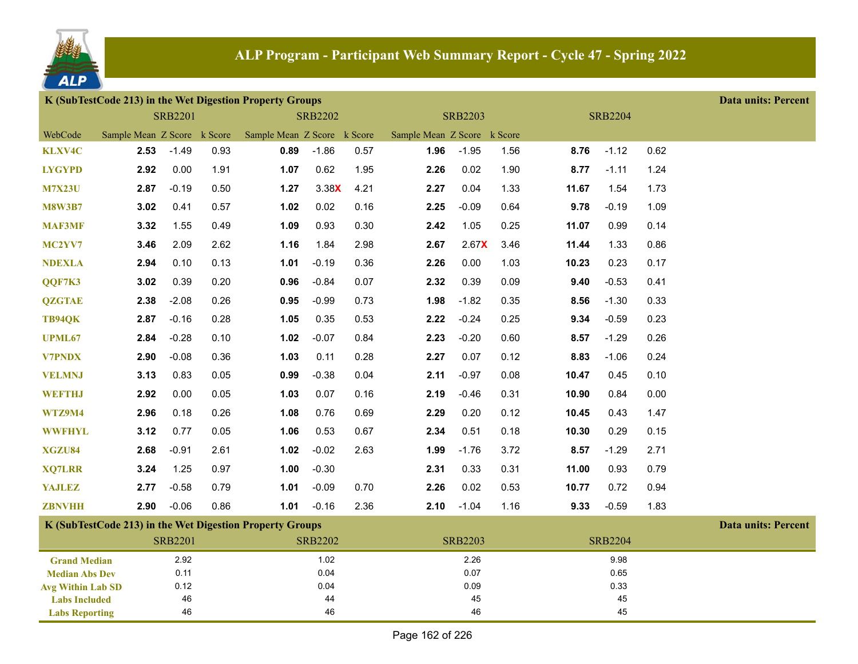

|                                               |                             |                |      | K (SubTestCode 213) in the Wet Digestion Property Groups |                |      |                             |                |      |       |                |      | <b>Data units: Percent</b> |
|-----------------------------------------------|-----------------------------|----------------|------|----------------------------------------------------------|----------------|------|-----------------------------|----------------|------|-------|----------------|------|----------------------------|
|                                               |                             | <b>SRB2201</b> |      |                                                          | <b>SRB2202</b> |      |                             | <b>SRB2203</b> |      |       | <b>SRB2204</b> |      |                            |
| WebCode                                       | Sample Mean Z Score k Score |                |      | Sample Mean Z Score k Score                              |                |      | Sample Mean Z Score k Score |                |      |       |                |      |                            |
| <b>KLXV4C</b>                                 | 2.53                        | $-1.49$        | 0.93 | 0.89                                                     | $-1.86$        | 0.57 | 1.96                        | $-1.95$        | 1.56 | 8.76  | $-1.12$        | 0.62 |                            |
| <b>LYGYPD</b>                                 | 2.92                        | 0.00           | 1.91 | 1.07                                                     | 0.62           | 1.95 | 2.26                        | 0.02           | 1.90 | 8.77  | $-1.11$        | 1.24 |                            |
| <b>M7X23U</b>                                 | 2.87                        | $-0.19$        | 0.50 | 1.27                                                     | 3.38X          | 4.21 | 2.27                        | 0.04           | 1.33 | 11.67 | 1.54           | 1.73 |                            |
| <b>M8W3B7</b>                                 | 3.02                        | 0.41           | 0.57 | 1.02                                                     | 0.02           | 0.16 | 2.25                        | $-0.09$        | 0.64 | 9.78  | $-0.19$        | 1.09 |                            |
| <b>MAF3MF</b>                                 | 3.32                        | 1.55           | 0.49 | 1.09                                                     | 0.93           | 0.30 | 2.42                        | 1.05           | 0.25 | 11.07 | 0.99           | 0.14 |                            |
| MC <sub>2</sub> YV <sub>7</sub>               | 3.46                        | 2.09           | 2.62 | 1.16                                                     | 1.84           | 2.98 | 2.67                        | 2.67X          | 3.46 | 11.44 | 1.33           | 0.86 |                            |
| <b>NDEXLA</b>                                 | 2.94                        | 0.10           | 0.13 | 1.01                                                     | $-0.19$        | 0.36 | 2.26                        | 0.00           | 1.03 | 10.23 | 0.23           | 0.17 |                            |
| QQF7K3                                        | 3.02                        | 0.39           | 0.20 | 0.96                                                     | $-0.84$        | 0.07 | 2.32                        | 0.39           | 0.09 | 9.40  | $-0.53$        | 0.41 |                            |
| <b>QZGTAE</b>                                 | 2.38                        | $-2.08$        | 0.26 | 0.95                                                     | $-0.99$        | 0.73 | 1.98                        | $-1.82$        | 0.35 | 8.56  | $-1.30$        | 0.33 |                            |
| TB94QK                                        | 2.87                        | $-0.16$        | 0.28 | 1.05                                                     | 0.35           | 0.53 | 2.22                        | $-0.24$        | 0.25 | 9.34  | $-0.59$        | 0.23 |                            |
| <b>UPML67</b>                                 | 2.84                        | $-0.28$        | 0.10 | 1.02                                                     | $-0.07$        | 0.84 | 2.23                        | $-0.20$        | 0.60 | 8.57  | $-1.29$        | 0.26 |                            |
| <b>V7PNDX</b>                                 | 2.90                        | $-0.08$        | 0.36 | 1.03                                                     | 0.11           | 0.28 | 2.27                        | 0.07           | 0.12 | 8.83  | $-1.06$        | 0.24 |                            |
| <b>VELMNJ</b>                                 | 3.13                        | 0.83           | 0.05 | 0.99                                                     | $-0.38$        | 0.04 | 2.11                        | $-0.97$        | 0.08 | 10.47 | 0.45           | 0.10 |                            |
| <b>WEFTHJ</b>                                 | 2.92                        | 0.00           | 0.05 | 1.03                                                     | 0.07           | 0.16 | 2.19                        | $-0.46$        | 0.31 | 10.90 | 0.84           | 0.00 |                            |
| WTZ9M4                                        | 2.96                        | 0.18           | 0.26 | 1.08                                                     | 0.76           | 0.69 | 2.29                        | 0.20           | 0.12 | 10.45 | 0.43           | 1.47 |                            |
| <b>WWFHYL</b>                                 | 3.12                        | 0.77           | 0.05 | 1.06                                                     | 0.53           | 0.67 | 2.34                        | 0.51           | 0.18 | 10.30 | 0.29           | 0.15 |                            |
| <b>XGZU84</b>                                 | 2.68                        | $-0.91$        | 2.61 | 1.02                                                     | $-0.02$        | 2.63 | 1.99                        | $-1.76$        | 3.72 | 8.57  | $-1.29$        | 2.71 |                            |
| <b>XQ7LRR</b>                                 | 3.24                        | 1.25           | 0.97 | 1.00                                                     | $-0.30$        |      | 2.31                        | 0.33           | 0.31 | 11.00 | 0.93           | 0.79 |                            |
| <b>YAJLEZ</b>                                 | 2.77                        | $-0.58$        | 0.79 | 1.01                                                     | $-0.09$        | 0.70 | 2.26                        | 0.02           | 0.53 | 10.77 | 0.72           | 0.94 |                            |
| <b>ZBNVHH</b>                                 | 2.90                        | $-0.06$        | 0.86 | $1.01$                                                   | $-0.16$        | 2.36 | 2.10                        | $-1.04$        | 1.16 | 9.33  | $-0.59$        | 1.83 |                            |
|                                               |                             |                |      | K (SubTestCode 213) in the Wet Digestion Property Groups |                |      |                             |                |      |       |                |      | <b>Data units: Percent</b> |
|                                               |                             | <b>SRB2201</b> |      |                                                          | <b>SRB2202</b> |      |                             | <b>SRB2203</b> |      |       | <b>SRB2204</b> |      |                            |
| <b>Grand Median</b>                           |                             | 2.92           |      |                                                          | 1.02           |      |                             | 2.26           |      |       | 9.98           |      |                            |
| <b>Median Abs Dev</b>                         |                             | 0.11           |      |                                                          | 0.04           |      |                             | 0.07           |      |       | 0.65           |      |                            |
| <b>Avg Within Lab SD</b>                      |                             | 0.12           |      |                                                          | 0.04           |      |                             | 0.09<br>45     |      |       | 0.33<br>45     |      |                            |
| <b>Labs Included</b><br><b>Labs Reporting</b> |                             | 46<br>46       |      |                                                          | 44<br>46       |      |                             | 46             |      |       | 45             |      |                            |
|                                               |                             |                |      |                                                          |                |      |                             |                |      |       |                |      |                            |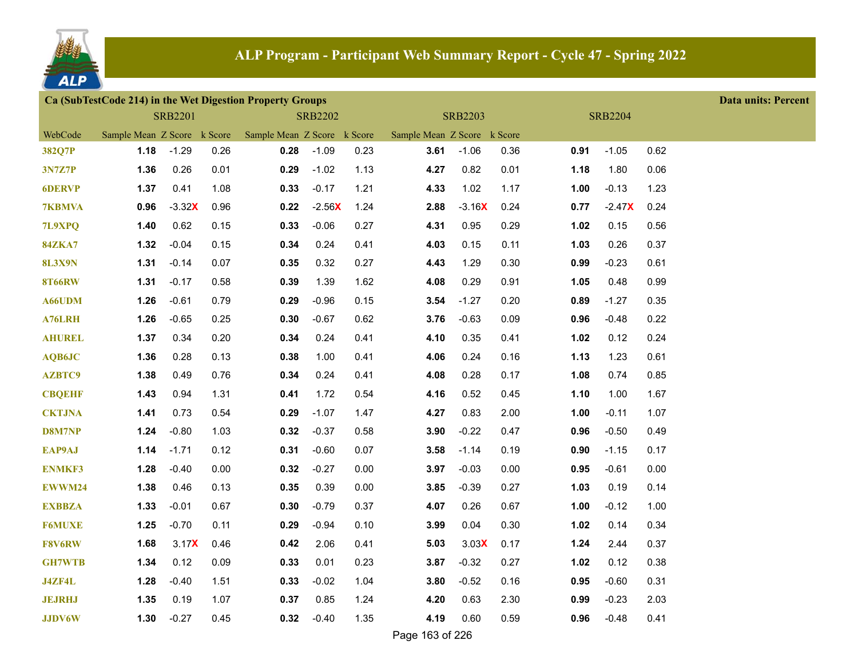

|               |                             |                  |      | Ca (SubTestCode 214) in the Wet Digestion Property Groups |                |      |                             |                |      |      |                |      | Data units: Percent |
|---------------|-----------------------------|------------------|------|-----------------------------------------------------------|----------------|------|-----------------------------|----------------|------|------|----------------|------|---------------------|
|               |                             | <b>SRB2201</b>   |      |                                                           | <b>SRB2202</b> |      |                             | <b>SRB2203</b> |      |      | <b>SRB2204</b> |      |                     |
| WebCode       | Sample Mean Z Score k Score |                  |      | Sample Mean Z Score k Score                               |                |      | Sample Mean Z Score k Score |                |      |      |                |      |                     |
| 382Q7P        | 1.18                        | $-1.29$          | 0.26 | 0.28                                                      | $-1.09$        | 0.23 | 3.61                        | $-1.06$        | 0.36 | 0.91 | $-1.05$        | 0.62 |                     |
| <b>3N7Z7P</b> | 1.36                        | 0.26             | 0.01 | 0.29                                                      | $-1.02$        | 1.13 | 4.27                        | 0.82           | 0.01 | 1.18 | 1.80           | 0.06 |                     |
| <b>6DERVP</b> | 1.37                        | 0.41             | 1.08 | 0.33                                                      | $-0.17$        | 1.21 | 4.33                        | 1.02           | 1.17 | 1.00 | $-0.13$        | 1.23 |                     |
| 7KBMVA        | 0.96                        | $-3.32$ <b>X</b> | 0.96 | 0.22                                                      | $-2.56X$       | 1.24 | 2.88                        | $-3.16X$       | 0.24 | 0.77 | $-2.47X$       | 0.24 |                     |
| 7L9XPQ        | 1.40                        | 0.62             | 0.15 | 0.33                                                      | $-0.06$        | 0.27 | 4.31                        | 0.95           | 0.29 | 1.02 | 0.15           | 0.56 |                     |
| <b>84ZKA7</b> | 1.32                        | $-0.04$          | 0.15 | 0.34                                                      | 0.24           | 0.41 | 4.03                        | 0.15           | 0.11 | 1.03 | 0.26           | 0.37 |                     |
| <b>8L3X9N</b> | 1.31                        | $-0.14$          | 0.07 | 0.35                                                      | 0.32           | 0.27 | 4.43                        | 1.29           | 0.30 | 0.99 | $-0.23$        | 0.61 |                     |
| <b>8T66RW</b> | 1.31                        | $-0.17$          | 0.58 | 0.39                                                      | 1.39           | 1.62 | 4.08                        | 0.29           | 0.91 | 1.05 | 0.48           | 0.99 |                     |
| A66UDM        | 1.26                        | $-0.61$          | 0.79 | 0.29                                                      | $-0.96$        | 0.15 | 3.54                        | $-1.27$        | 0.20 | 0.89 | $-1.27$        | 0.35 |                     |
| A76LRH        | 1.26                        | $-0.65$          | 0.25 | 0.30                                                      | $-0.67$        | 0.62 | 3.76                        | $-0.63$        | 0.09 | 0.96 | $-0.48$        | 0.22 |                     |
| <b>AHUREL</b> | 1.37                        | 0.34             | 0.20 | 0.34                                                      | 0.24           | 0.41 | 4.10                        | 0.35           | 0.41 | 1.02 | 0.12           | 0.24 |                     |
| AQB6JC        | 1.36                        | 0.28             | 0.13 | 0.38                                                      | 1.00           | 0.41 | 4.06                        | 0.24           | 0.16 | 1.13 | 1.23           | 0.61 |                     |
| <b>AZBTC9</b> | 1.38                        | 0.49             | 0.76 | 0.34                                                      | 0.24           | 0.41 | 4.08                        | 0.28           | 0.17 | 1.08 | 0.74           | 0.85 |                     |
| <b>CBQEHF</b> | 1.43                        | 0.94             | 1.31 | 0.41                                                      | 1.72           | 0.54 | 4.16                        | 0.52           | 0.45 | 1.10 | 1.00           | 1.67 |                     |
| <b>CKTJNA</b> | 1.41                        | 0.73             | 0.54 | 0.29                                                      | $-1.07$        | 1.47 | 4.27                        | 0.83           | 2.00 | 1.00 | $-0.11$        | 1.07 |                     |
| D8M7NP        | 1.24                        | $-0.80$          | 1.03 | 0.32                                                      | $-0.37$        | 0.58 | 3.90                        | $-0.22$        | 0.47 | 0.96 | $-0.50$        | 0.49 |                     |
| EAP9AJ        | 1.14                        | $-1.71$          | 0.12 | 0.31                                                      | $-0.60$        | 0.07 | 3.58                        | $-1.14$        | 0.19 | 0.90 | $-1.15$        | 0.17 |                     |
| <b>ENMKF3</b> | 1.28                        | $-0.40$          | 0.00 | 0.32                                                      | $-0.27$        | 0.00 | 3.97                        | $-0.03$        | 0.00 | 0.95 | $-0.61$        | 0.00 |                     |
| EWWM24        | 1.38                        | 0.46             | 0.13 | 0.35                                                      | 0.39           | 0.00 | 3.85                        | $-0.39$        | 0.27 | 1.03 | 0.19           | 0.14 |                     |
| <b>EXBBZA</b> | 1.33                        | $-0.01$          | 0.67 | 0.30                                                      | $-0.79$        | 0.37 | 4.07                        | 0.26           | 0.67 | 1.00 | $-0.12$        | 1.00 |                     |
| <b>F6MUXE</b> | 1.25                        | $-0.70$          | 0.11 | 0.29                                                      | $-0.94$        | 0.10 | 3.99                        | 0.04           | 0.30 | 1.02 | 0.14           | 0.34 |                     |
| F8V6RW        | 1.68                        | 3.17X            | 0.46 | 0.42                                                      | 2.06           | 0.41 | 5.03                        | 3.03X          | 0.17 | 1.24 | 2.44           | 0.37 |                     |
| <b>GH7WTB</b> | 1.34                        | 0.12             | 0.09 | 0.33                                                      | 0.01           | 0.23 | 3.87                        | $-0.32$        | 0.27 | 1.02 | 0.12           | 0.38 |                     |
| J4ZF4L        | 1.28                        | $-0.40$          | 1.51 | 0.33                                                      | $-0.02$        | 1.04 | 3.80                        | $-0.52$        | 0.16 | 0.95 | $-0.60$        | 0.31 |                     |
| <b>JEJRHJ</b> | 1.35                        | 0.19             | 1.07 | 0.37                                                      | 0.85           | 1.24 | 4.20                        | 0.63           | 2.30 | 0.99 | $-0.23$        | 2.03 |                     |
| JJDV6W        | 1.30                        | $-0.27$          | 0.45 | 0.32                                                      | $-0.40$        | 1.35 | 4.19                        | 0.60           | 0.59 | 0.96 | $-0.48$        | 0.41 |                     |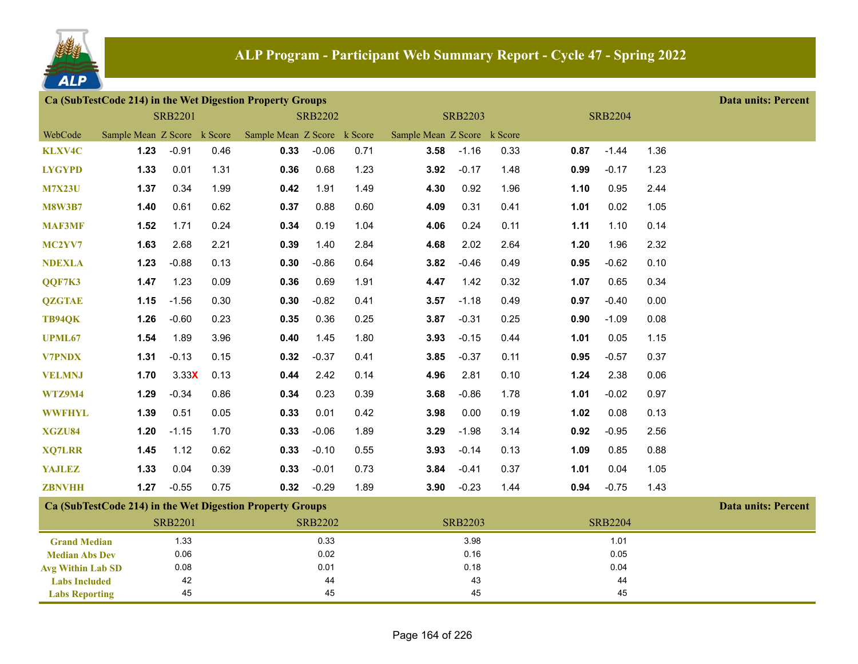

|                                 |                                                           |                |      | Ca (SubTestCode 214) in the Wet Digestion Property Groups |                |      |                             |                |      |          |                |      | <b>Data units: Percent</b> |
|---------------------------------|-----------------------------------------------------------|----------------|------|-----------------------------------------------------------|----------------|------|-----------------------------|----------------|------|----------|----------------|------|----------------------------|
|                                 |                                                           | <b>SRB2201</b> |      |                                                           | <b>SRB2202</b> |      |                             | <b>SRB2203</b> |      |          | <b>SRB2204</b> |      |                            |
| WebCode                         | Sample Mean Z Score k Score                               |                |      | Sample Mean Z Score k Score                               |                |      | Sample Mean Z Score k Score |                |      |          |                |      |                            |
| <b>KLXV4C</b>                   | 1.23                                                      | $-0.91$        | 0.46 | 0.33                                                      | $-0.06$        | 0.71 | 3.58                        | $-1.16$        | 0.33 | 0.87     | $-1.44$        | 1.36 |                            |
| <b>LYGYPD</b>                   | 1.33                                                      | 0.01           | 1.31 | 0.36                                                      | 0.68           | 1.23 | 3.92                        | $-0.17$        | 1.48 | 0.99     | $-0.17$        | 1.23 |                            |
| <b>M7X23U</b>                   | 1.37                                                      | 0.34           | 1.99 | 0.42                                                      | 1.91           | 1.49 | 4.30                        | 0.92           | 1.96 | 1.10     | 0.95           | 2.44 |                            |
| <b>M8W3B7</b>                   | 1.40                                                      | 0.61           | 0.62 | 0.37                                                      | 0.88           | 0.60 | 4.09                        | 0.31           | 0.41 | 1.01     | 0.02           | 1.05 |                            |
| <b>MAF3MF</b>                   | 1.52                                                      | 1.71           | 0.24 | 0.34                                                      | 0.19           | 1.04 | 4.06                        | 0.24           | 0.11 | 1.11     | 1.10           | 0.14 |                            |
| MC <sub>2</sub> YV <sub>7</sub> | 1.63                                                      | 2.68           | 2.21 | 0.39                                                      | 1.40           | 2.84 | 4.68                        | 2.02           | 2.64 | 1.20     | 1.96           | 2.32 |                            |
| <b>NDEXLA</b>                   | 1.23                                                      | $-0.88$        | 0.13 | 0.30                                                      | $-0.86$        | 0.64 | 3.82                        | $-0.46$        | 0.49 | 0.95     | $-0.62$        | 0.10 |                            |
| QQF7K3                          | 1.47                                                      | 1.23           | 0.09 | 0.36                                                      | 0.69           | 1.91 | 4.47                        | 1.42           | 0.32 | 1.07     | 0.65           | 0.34 |                            |
| <b>QZGTAE</b>                   | 1.15                                                      | $-1.56$        | 0.30 | 0.30                                                      | $-0.82$        | 0.41 | 3.57                        | $-1.18$        | 0.49 | 0.97     | $-0.40$        | 0.00 |                            |
| TB94QK                          | 1.26                                                      | $-0.60$        | 0.23 | 0.35                                                      | 0.36           | 0.25 | 3.87                        | $-0.31$        | 0.25 | 0.90     | $-1.09$        | 0.08 |                            |
| <b>UPML67</b>                   | 1.54                                                      | 1.89           | 3.96 | 0.40                                                      | 1.45           | 1.80 | 3.93                        | $-0.15$        | 0.44 | 1.01     | 0.05           | 1.15 |                            |
| <b>V7PNDX</b>                   | 1.31                                                      | $-0.13$        | 0.15 | 0.32                                                      | $-0.37$        | 0.41 | 3.85                        | $-0.37$        | 0.11 | 0.95     | $-0.57$        | 0.37 |                            |
| <b>VELMNJ</b>                   | 1.70                                                      | 3.33X          | 0.13 | 0.44                                                      | 2.42           | 0.14 | 4.96                        | 2.81           | 0.10 | 1.24     | 2.38           | 0.06 |                            |
| WTZ9M4                          | 1.29                                                      | $-0.34$        | 0.86 | 0.34                                                      | 0.23           | 0.39 | 3.68                        | $-0.86$        | 1.78 | 1.01     | $-0.02$        | 0.97 |                            |
| <b>WWFHYL</b>                   | 1.39                                                      | 0.51           | 0.05 | 0.33                                                      | 0.01           | 0.42 | 3.98                        | 0.00           | 0.19 | 1.02     | 0.08           | 0.13 |                            |
| <b>XGZU84</b>                   | 1.20                                                      | $-1.15$        | 1.70 | 0.33                                                      | $-0.06$        | 1.89 | 3.29                        | $-1.98$        | 3.14 | 0.92     | $-0.95$        | 2.56 |                            |
| <b>XQ7LRR</b>                   | 1.45                                                      | 1.12           | 0.62 | 0.33                                                      | $-0.10$        | 0.55 | 3.93                        | $-0.14$        | 0.13 | 1.09     | 0.85           | 0.88 |                            |
| <b>YAJLEZ</b>                   | 1.33                                                      | 0.04           | 0.39 | 0.33                                                      | $-0.01$        | 0.73 | 3.84                        | $-0.41$        | 0.37 | 1.01     | 0.04           | 1.05 |                            |
| <b>ZBNVHH</b>                   | 1.27                                                      | $-0.55$        | 0.75 | 0.32                                                      | $-0.29$        | 1.89 | 3.90                        | $-0.23$        | 1.44 | 0.94     | $-0.75$        | 1.43 |                            |
|                                 |                                                           |                |      | Ca (SubTestCode 214) in the Wet Digestion Property Groups |                |      |                             |                |      |          |                |      | <b>Data units: Percent</b> |
|                                 |                                                           | <b>SRB2201</b> |      |                                                           | <b>SRB2202</b> |      |                             | <b>SRB2203</b> |      |          | <b>SRB2204</b> |      |                            |
| <b>Grand Median</b>             | 1.33                                                      |                |      |                                                           | 0.33           |      |                             | 3.98           |      |          | 1.01           |      |                            |
| <b>Median Abs Dev</b>           |                                                           | 0.06           |      |                                                           | 0.02           |      |                             | 0.16           |      |          | 0.05           |      |                            |
| <b>Avg Within Lab SD</b>        |                                                           | 0.08           |      |                                                           | 0.01           |      |                             | 0.18           |      |          | 0.04           |      |                            |
|                                 | 42<br><b>Labs Included</b><br>45<br><b>Labs Reporting</b> |                |      | 44<br>45                                                  |                |      | 43<br>45                    |                |      | 44<br>45 |                |      |                            |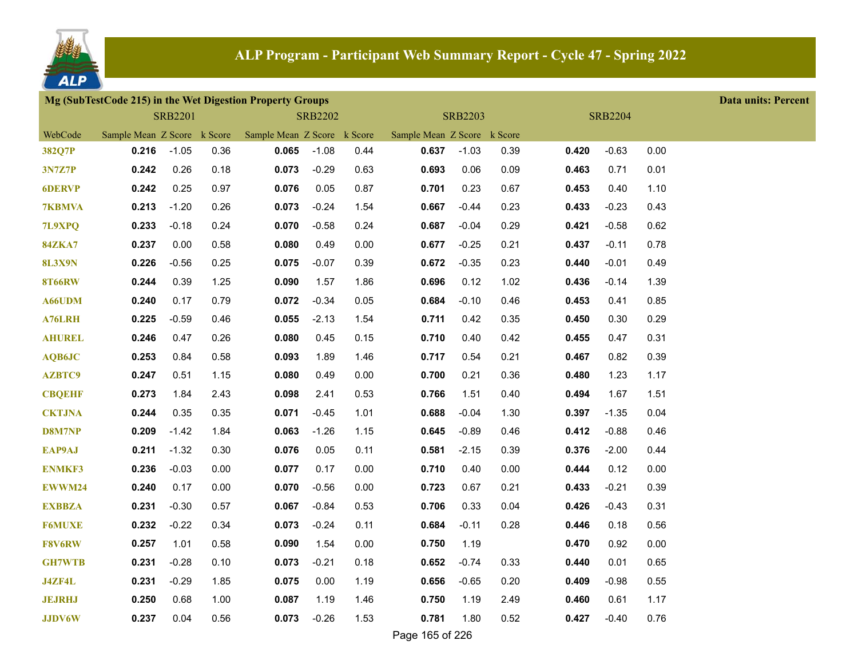

|               |                             |                |      | Mg (SubTestCode 215) in the Wet Digestion Property Groups |         |      |                             |                |      |       |                |      | <b>Data units: Percent</b> |
|---------------|-----------------------------|----------------|------|-----------------------------------------------------------|---------|------|-----------------------------|----------------|------|-------|----------------|------|----------------------------|
|               |                             | <b>SRB2201</b> |      |                                                           | SRB2202 |      |                             | <b>SRB2203</b> |      |       | <b>SRB2204</b> |      |                            |
| WebCode       | Sample Mean Z Score k Score |                |      | Sample Mean Z Score k Score                               |         |      | Sample Mean Z Score k Score |                |      |       |                |      |                            |
| 382Q7P        | 0.216                       | $-1.05$        | 0.36 | 0.065                                                     | $-1.08$ | 0.44 | 0.637                       | $-1.03$        | 0.39 | 0.420 | $-0.63$        | 0.00 |                            |
| <b>3N7Z7P</b> | 0.242                       | 0.26           | 0.18 | 0.073                                                     | $-0.29$ | 0.63 | 0.693                       | 0.06           | 0.09 | 0.463 | 0.71           | 0.01 |                            |
| <b>6DERVP</b> | 0.242                       | 0.25           | 0.97 | 0.076                                                     | 0.05    | 0.87 | 0.701                       | 0.23           | 0.67 | 0.453 | 0.40           | 1.10 |                            |
| 7KBMVA        | 0.213                       | $-1.20$        | 0.26 | 0.073                                                     | $-0.24$ | 1.54 | 0.667                       | $-0.44$        | 0.23 | 0.433 | $-0.23$        | 0.43 |                            |
| 7L9XPQ        | 0.233                       | $-0.18$        | 0.24 | 0.070                                                     | $-0.58$ | 0.24 | 0.687                       | $-0.04$        | 0.29 | 0.421 | $-0.58$        | 0.62 |                            |
| <b>84ZKA7</b> | 0.237                       | 0.00           | 0.58 | 0.080                                                     | 0.49    | 0.00 | 0.677                       | $-0.25$        | 0.21 | 0.437 | $-0.11$        | 0.78 |                            |
| <b>8L3X9N</b> | 0.226                       | $-0.56$        | 0.25 | 0.075                                                     | $-0.07$ | 0.39 | 0.672                       | $-0.35$        | 0.23 | 0.440 | $-0.01$        | 0.49 |                            |
| <b>8T66RW</b> | 0.244                       | 0.39           | 1.25 | 0.090                                                     | 1.57    | 1.86 | 0.696                       | 0.12           | 1.02 | 0.436 | $-0.14$        | 1.39 |                            |
| A66UDM        | 0.240                       | 0.17           | 0.79 | 0.072                                                     | $-0.34$ | 0.05 | 0.684                       | $-0.10$        | 0.46 | 0.453 | 0.41           | 0.85 |                            |
| A76LRH        | 0.225                       | $-0.59$        | 0.46 | 0.055                                                     | $-2.13$ | 1.54 | 0.711                       | 0.42           | 0.35 | 0.450 | 0.30           | 0.29 |                            |
| <b>AHUREL</b> | 0.246                       | 0.47           | 0.26 | 0.080                                                     | 0.45    | 0.15 | 0.710                       | 0.40           | 0.42 | 0.455 | 0.47           | 0.31 |                            |
| <b>AQB6JC</b> | 0.253                       | 0.84           | 0.58 | 0.093                                                     | 1.89    | 1.46 | 0.717                       | 0.54           | 0.21 | 0.467 | 0.82           | 0.39 |                            |
| <b>AZBTC9</b> | 0.247                       | 0.51           | 1.15 | 0.080                                                     | 0.49    | 0.00 | 0.700                       | 0.21           | 0.36 | 0.480 | 1.23           | 1.17 |                            |
| <b>CBQEHF</b> | 0.273                       | 1.84           | 2.43 | 0.098                                                     | 2.41    | 0.53 | 0.766                       | 1.51           | 0.40 | 0.494 | 1.67           | 1.51 |                            |
| <b>CKTJNA</b> | 0.244                       | 0.35           | 0.35 | 0.071                                                     | $-0.45$ | 1.01 | 0.688                       | $-0.04$        | 1.30 | 0.397 | $-1.35$        | 0.04 |                            |
| <b>D8M7NP</b> | 0.209                       | $-1.42$        | 1.84 | 0.063                                                     | $-1.26$ | 1.15 | 0.645                       | $-0.89$        | 0.46 | 0.412 | $-0.88$        | 0.46 |                            |
| EAP9AJ        | 0.211                       | $-1.32$        | 0.30 | 0.076                                                     | 0.05    | 0.11 | 0.581                       | $-2.15$        | 0.39 | 0.376 | $-2.00$        | 0.44 |                            |
| <b>ENMKF3</b> | 0.236                       | $-0.03$        | 0.00 | 0.077                                                     | 0.17    | 0.00 | 0.710                       | 0.40           | 0.00 | 0.444 | 0.12           | 0.00 |                            |
| <b>EWWM24</b> | 0.240                       | 0.17           | 0.00 | 0.070                                                     | $-0.56$ | 0.00 | 0.723                       | 0.67           | 0.21 | 0.433 | $-0.21$        | 0.39 |                            |
| <b>EXBBZA</b> | 0.231                       | $-0.30$        | 0.57 | 0.067                                                     | $-0.84$ | 0.53 | 0.706                       | 0.33           | 0.04 | 0.426 | $-0.43$        | 0.31 |                            |
| <b>F6MUXE</b> | 0.232                       | $-0.22$        | 0.34 | 0.073                                                     | $-0.24$ | 0.11 | 0.684                       | $-0.11$        | 0.28 | 0.446 | 0.18           | 0.56 |                            |
| <b>F8V6RW</b> | 0.257                       | 1.01           | 0.58 | 0.090                                                     | 1.54    | 0.00 | 0.750                       | 1.19           |      | 0.470 | 0.92           | 0.00 |                            |
| <b>GH7WTB</b> | 0.231                       | $-0.28$        | 0.10 | 0.073                                                     | $-0.21$ | 0.18 | 0.652                       | $-0.74$        | 0.33 | 0.440 | 0.01           | 0.65 |                            |
| <b>J4ZF4L</b> | 0.231                       | $-0.29$        | 1.85 | 0.075                                                     | 0.00    | 1.19 | 0.656                       | $-0.65$        | 0.20 | 0.409 | $-0.98$        | 0.55 |                            |
| <b>JEJRHJ</b> | 0.250                       | 0.68           | 1.00 | 0.087                                                     | 1.19    | 1.46 | 0.750                       | 1.19           | 2.49 | 0.460 | 0.61           | 1.17 |                            |
| <b>JJDV6W</b> | 0.237                       | 0.04           | 0.56 | 0.073                                                     | $-0.26$ | 1.53 | 0.781                       | 1.80           | 0.52 | 0.427 | $-0.40$        | 0.76 |                            |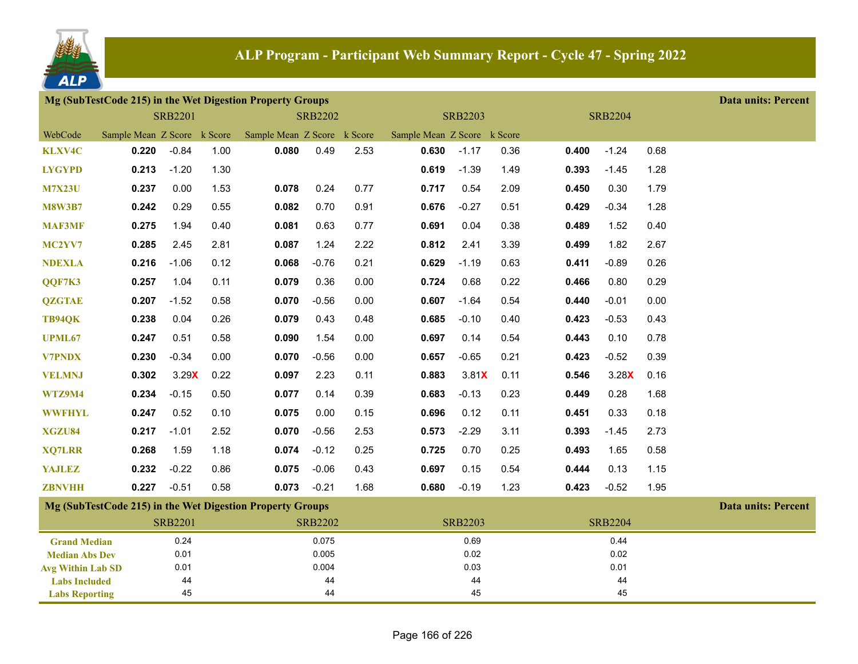

|                                 |                             |                |      | Mg (SubTestCode 215) in the Wet Digestion Property Groups |                |      |                             |                |      |       |                |      | <b>Data units: Percent</b> |
|---------------------------------|-----------------------------|----------------|------|-----------------------------------------------------------|----------------|------|-----------------------------|----------------|------|-------|----------------|------|----------------------------|
|                                 |                             | <b>SRB2201</b> |      |                                                           | <b>SRB2202</b> |      |                             | <b>SRB2203</b> |      |       | <b>SRB2204</b> |      |                            |
| WebCode                         | Sample Mean Z Score k Score |                |      | Sample Mean Z Score k Score                               |                |      | Sample Mean Z Score k Score |                |      |       |                |      |                            |
| <b>KLXV4C</b>                   | 0.220                       | $-0.84$        | 1.00 | 0.080                                                     | 0.49           | 2.53 | 0.630                       | $-1.17$        | 0.36 | 0.400 | $-1.24$        | 0.68 |                            |
| <b>LYGYPD</b>                   | 0.213                       | $-1.20$        | 1.30 |                                                           |                |      | 0.619                       | $-1.39$        | 1.49 | 0.393 | $-1.45$        | 1.28 |                            |
| <b>M7X23U</b>                   | 0.237                       | 0.00           | 1.53 | 0.078                                                     | 0.24           | 0.77 | 0.717                       | 0.54           | 2.09 | 0.450 | 0.30           | 1.79 |                            |
| <b>M8W3B7</b>                   | 0.242                       | 0.29           | 0.55 | 0.082                                                     | 0.70           | 0.91 | 0.676                       | $-0.27$        | 0.51 | 0.429 | $-0.34$        | 1.28 |                            |
| <b>MAF3MF</b>                   | 0.275                       | 1.94           | 0.40 | 0.081                                                     | 0.63           | 0.77 | 0.691                       | 0.04           | 0.38 | 0.489 | 1.52           | 0.40 |                            |
| MC <sub>2</sub> YV <sub>7</sub> | 0.285                       | 2.45           | 2.81 | 0.087                                                     | 1.24           | 2.22 | 0.812                       | 2.41           | 3.39 | 0.499 | 1.82           | 2.67 |                            |
| <b>NDEXLA</b>                   | 0.216                       | $-1.06$        | 0.12 | 0.068                                                     | $-0.76$        | 0.21 | 0.629                       | $-1.19$        | 0.63 | 0.411 | $-0.89$        | 0.26 |                            |
| QQF7K3                          | 0.257                       | 1.04           | 0.11 | 0.079                                                     | 0.36           | 0.00 | 0.724                       | 0.68           | 0.22 | 0.466 | 0.80           | 0.29 |                            |
| <b>QZGTAE</b>                   | 0.207                       | $-1.52$        | 0.58 | 0.070                                                     | $-0.56$        | 0.00 | 0.607                       | $-1.64$        | 0.54 | 0.440 | $-0.01$        | 0.00 |                            |
| TB94QK                          | 0.238                       | 0.04           | 0.26 | 0.079                                                     | 0.43           | 0.48 | 0.685                       | $-0.10$        | 0.40 | 0.423 | $-0.53$        | 0.43 |                            |
| UPML67                          | 0.247                       | 0.51           | 0.58 | 0.090                                                     | 1.54           | 0.00 | 0.697                       | 0.14           | 0.54 | 0.443 | 0.10           | 0.78 |                            |
| <b>V7PNDX</b>                   | 0.230                       | $-0.34$        | 0.00 | 0.070                                                     | $-0.56$        | 0.00 | 0.657                       | $-0.65$        | 0.21 | 0.423 | $-0.52$        | 0.39 |                            |
| <b>VELMNJ</b>                   | 0.302                       | 3.29X          | 0.22 | 0.097                                                     | 2.23           | 0.11 | 0.883                       | 3.81X          | 0.11 | 0.546 | 3.28X          | 0.16 |                            |
| WTZ9M4                          | 0.234                       | $-0.15$        | 0.50 | 0.077                                                     | 0.14           | 0.39 | 0.683                       | $-0.13$        | 0.23 | 0.449 | 0.28           | 1.68 |                            |
| <b>WWFHYL</b>                   | 0.247                       | 0.52           | 0.10 | 0.075                                                     | 0.00           | 0.15 | 0.696                       | 0.12           | 0.11 | 0.451 | 0.33           | 0.18 |                            |
| <b>XGZU84</b>                   | 0.217                       | $-1.01$        | 2.52 | 0.070                                                     | $-0.56$        | 2.53 | 0.573                       | $-2.29$        | 3.11 | 0.393 | $-1.45$        | 2.73 |                            |
| <b>XQ7LRR</b>                   | 0.268                       | 1.59           | 1.18 | 0.074                                                     | $-0.12$        | 0.25 | 0.725                       | 0.70           | 0.25 | 0.493 | 1.65           | 0.58 |                            |
| <b>YAJLEZ</b>                   | 0.232                       | $-0.22$        | 0.86 | 0.075                                                     | $-0.06$        | 0.43 | 0.697                       | 0.15           | 0.54 | 0.444 | 0.13           | 1.15 |                            |
| <b>ZBNVHH</b>                   | 0.227                       | $-0.51$        | 0.58 | 0.073                                                     | $-0.21$        | 1.68 | 0.680                       | $-0.19$        | 1.23 | 0.423 | $-0.52$        | 1.95 |                            |
|                                 |                             |                |      | Mg (SubTestCode 215) in the Wet Digestion Property Groups |                |      |                             |                |      |       |                |      | <b>Data units: Percent</b> |
|                                 |                             | <b>SRB2201</b> |      |                                                           | <b>SRB2202</b> |      |                             | <b>SRB2203</b> |      |       | <b>SRB2204</b> |      |                            |
| <b>Grand Median</b>             |                             | 0.24           |      |                                                           | 0.075          |      |                             | 0.69           |      |       | 0.44           |      |                            |
| <b>Median Abs Dev</b>           |                             | 0.01           |      |                                                           | 0.005          |      |                             | 0.02           |      |       | 0.02           |      |                            |
| <b>Avg Within Lab SD</b>        |                             | 0.01           |      |                                                           | 0.004          |      |                             | 0.03           |      |       | 0.01           |      |                            |
| <b>Labs Included</b>            |                             | 44             |      |                                                           | 44             |      |                             | 44             |      |       | 44             |      |                            |
| <b>Labs Reporting</b>           |                             | 45             |      |                                                           | 44             |      |                             | 45             |      |       | 45             |      |                            |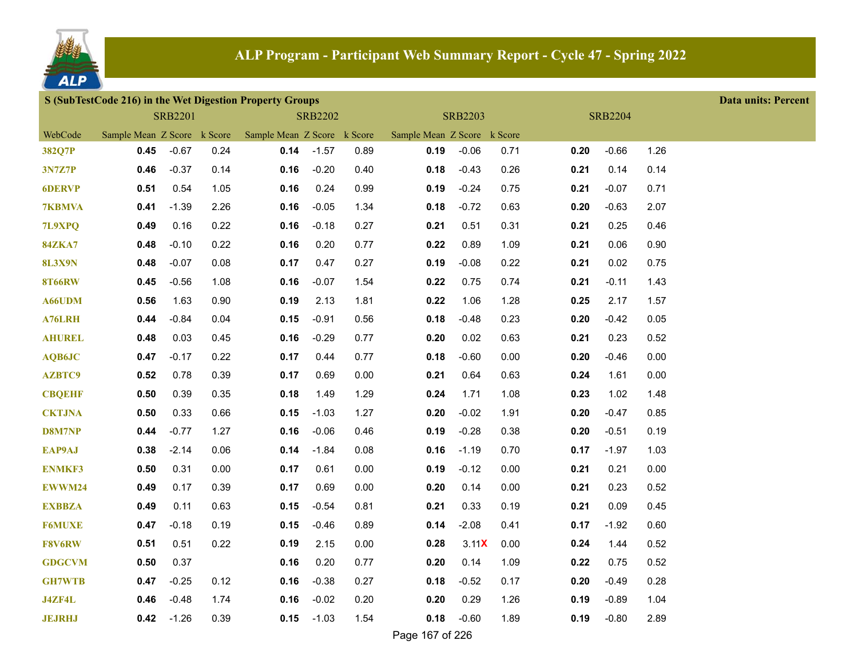

|               |                             |                |      | S (SubTestCode 216) in the Wet Digestion Property Groups |                |      |                             |                | <b>Data units: Percent</b> |      |                |      |  |
|---------------|-----------------------------|----------------|------|----------------------------------------------------------|----------------|------|-----------------------------|----------------|----------------------------|------|----------------|------|--|
|               |                             | <b>SRB2201</b> |      |                                                          | <b>SRB2202</b> |      |                             | <b>SRB2203</b> |                            |      | <b>SRB2204</b> |      |  |
| WebCode       | Sample Mean Z Score k Score |                |      | Sample Mean Z Score k Score                              |                |      | Sample Mean Z Score k Score |                |                            |      |                |      |  |
| 382Q7P        | 0.45                        | $-0.67$        | 0.24 | 0.14                                                     | $-1.57$        | 0.89 | 0.19                        | $-0.06$        | 0.71                       | 0.20 | $-0.66$        | 1.26 |  |
| <b>3N7Z7P</b> | 0.46                        | $-0.37$        | 0.14 | 0.16                                                     | $-0.20$        | 0.40 | 0.18                        | $-0.43$        | 0.26                       | 0.21 | 0.14           | 0.14 |  |
| <b>6DERVP</b> | 0.51                        | 0.54           | 1.05 | 0.16                                                     | 0.24           | 0.99 | 0.19                        | $-0.24$        | 0.75                       | 0.21 | $-0.07$        | 0.71 |  |
| 7KBMVA        | 0.41                        | $-1.39$        | 2.26 | 0.16                                                     | $-0.05$        | 1.34 | 0.18                        | $-0.72$        | 0.63                       | 0.20 | $-0.63$        | 2.07 |  |
| 7L9XPQ        | 0.49                        | 0.16           | 0.22 | 0.16                                                     | $-0.18$        | 0.27 | 0.21                        | 0.51           | 0.31                       | 0.21 | 0.25           | 0.46 |  |
| <b>84ZKA7</b> | 0.48                        | $-0.10$        | 0.22 | 0.16                                                     | 0.20           | 0.77 | 0.22                        | 0.89           | 1.09                       | 0.21 | 0.06           | 0.90 |  |
| <b>8L3X9N</b> | 0.48                        | $-0.07$        | 0.08 | 0.17                                                     | 0.47           | 0.27 | 0.19                        | $-0.08$        | 0.22                       | 0.21 | 0.02           | 0.75 |  |
| <b>8T66RW</b> | 0.45                        | $-0.56$        | 1.08 | 0.16                                                     | $-0.07$        | 1.54 | 0.22                        | 0.75           | 0.74                       | 0.21 | $-0.11$        | 1.43 |  |
| A66UDM        | 0.56                        | 1.63           | 0.90 | 0.19                                                     | 2.13           | 1.81 | 0.22                        | 1.06           | 1.28                       | 0.25 | 2.17           | 1.57 |  |
| A76LRH        | 0.44                        | $-0.84$        | 0.04 | 0.15                                                     | $-0.91$        | 0.56 | 0.18                        | $-0.48$        | 0.23                       | 0.20 | $-0.42$        | 0.05 |  |
| <b>AHUREL</b> | 0.48                        | 0.03           | 0.45 | 0.16                                                     | $-0.29$        | 0.77 | 0.20                        | 0.02           | 0.63                       | 0.21 | 0.23           | 0.52 |  |
| <b>AQB6JC</b> | 0.47                        | $-0.17$        | 0.22 | 0.17                                                     | 0.44           | 0.77 | 0.18                        | $-0.60$        | 0.00                       | 0.20 | $-0.46$        | 0.00 |  |
| <b>AZBTC9</b> | 0.52                        | 0.78           | 0.39 | 0.17                                                     | 0.69           | 0.00 | 0.21                        | 0.64           | 0.63                       | 0.24 | 1.61           | 0.00 |  |
| <b>CBQEHF</b> | 0.50                        | 0.39           | 0.35 | 0.18                                                     | 1.49           | 1.29 | 0.24                        | 1.71           | 1.08                       | 0.23 | 1.02           | 1.48 |  |
| <b>CKTJNA</b> | 0.50                        | 0.33           | 0.66 | 0.15                                                     | $-1.03$        | 1.27 | 0.20                        | $-0.02$        | 1.91                       | 0.20 | $-0.47$        | 0.85 |  |
| D8M7NP        | 0.44                        | $-0.77$        | 1.27 | 0.16                                                     | $-0.06$        | 0.46 | 0.19                        | $-0.28$        | 0.38                       | 0.20 | $-0.51$        | 0.19 |  |
| EAP9AJ        | 0.38                        | $-2.14$        | 0.06 | 0.14                                                     | $-1.84$        | 0.08 | 0.16                        | $-1.19$        | 0.70                       | 0.17 | $-1.97$        | 1.03 |  |
| <b>ENMKF3</b> | 0.50                        | 0.31           | 0.00 | 0.17                                                     | 0.61           | 0.00 | 0.19                        | $-0.12$        | 0.00                       | 0.21 | 0.21           | 0.00 |  |
| EWWM24        | 0.49                        | 0.17           | 0.39 | 0.17                                                     | 0.69           | 0.00 | 0.20                        | 0.14           | 0.00                       | 0.21 | 0.23           | 0.52 |  |
| <b>EXBBZA</b> | 0.49                        | 0.11           | 0.63 | 0.15                                                     | $-0.54$        | 0.81 | 0.21                        | 0.33           | 0.19                       | 0.21 | 0.09           | 0.45 |  |
| <b>F6MUXE</b> | 0.47                        | $-0.18$        | 0.19 | 0.15                                                     | $-0.46$        | 0.89 | 0.14                        | $-2.08$        | 0.41                       | 0.17 | $-1.92$        | 0.60 |  |
| F8V6RW        | 0.51                        | 0.51           | 0.22 | 0.19                                                     | 2.15           | 0.00 | 0.28                        | 3.11X          | 0.00                       | 0.24 | 1.44           | 0.52 |  |
| <b>GDGCVM</b> | 0.50                        | 0.37           |      | 0.16                                                     | 0.20           | 0.77 | 0.20                        | 0.14           | 1.09                       | 0.22 | 0.75           | 0.52 |  |
| <b>GH7WTB</b> | 0.47                        | $-0.25$        | 0.12 | 0.16                                                     | $-0.38$        | 0.27 | 0.18                        | $-0.52$        | 0.17                       | 0.20 | $-0.49$        | 0.28 |  |
| <b>J4ZF4L</b> | 0.46                        | $-0.48$        | 1.74 | 0.16                                                     | $-0.02$        | 0.20 | 0.20                        | 0.29           | 1.26                       | 0.19 | $-0.89$        | 1.04 |  |
| <b>JEJRHJ</b> | 0.42                        | $-1.26$        | 0.39 | 0.15                                                     | $-1.03$        | 1.54 | 0.18                        | $-0.60$        | 1.89                       | 0.19 | $-0.80$        | 2.89 |  |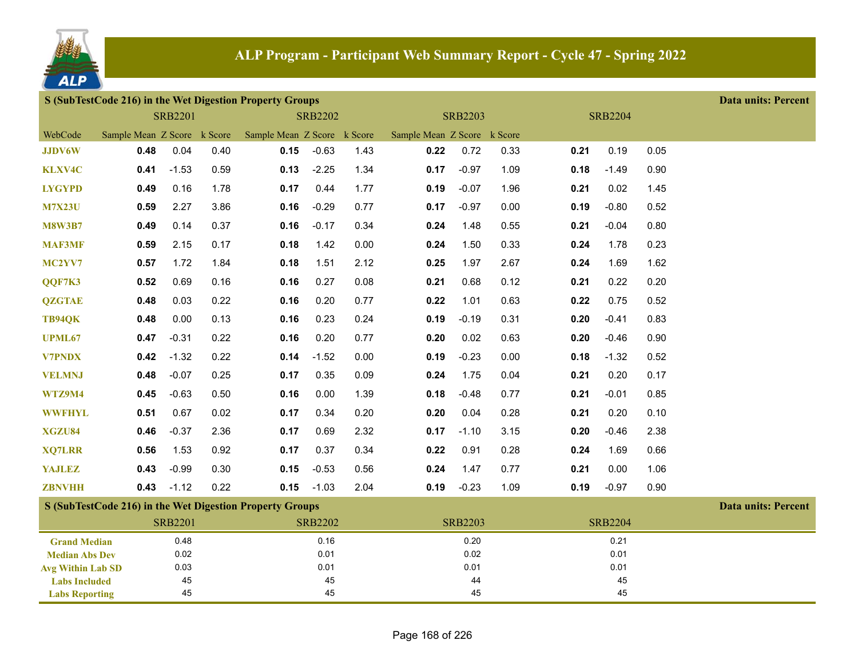

|                                 |                             |                |      | S (SubTestCode 216) in the Wet Digestion Property Groups |                |      |                             |                |      |      |                |      | <b>Data units: Percent</b> |
|---------------------------------|-----------------------------|----------------|------|----------------------------------------------------------|----------------|------|-----------------------------|----------------|------|------|----------------|------|----------------------------|
|                                 |                             | <b>SRB2201</b> |      |                                                          | <b>SRB2202</b> |      |                             | <b>SRB2203</b> |      |      | <b>SRB2204</b> |      |                            |
| WebCode                         | Sample Mean Z Score k Score |                |      | Sample Mean Z Score k Score                              |                |      | Sample Mean Z Score k Score |                |      |      |                |      |                            |
| JJDV6W                          | 0.48                        | 0.04           | 0.40 | 0.15                                                     | $-0.63$        | 1.43 | 0.22                        | 0.72           | 0.33 | 0.21 | 0.19           | 0.05 |                            |
| <b>KLXV4C</b>                   | 0.41                        | $-1.53$        | 0.59 | 0.13                                                     | $-2.25$        | 1.34 | 0.17                        | $-0.97$        | 1.09 | 0.18 | $-1.49$        | 0.90 |                            |
| <b>LYGYPD</b>                   | 0.49                        | 0.16           | 1.78 | 0.17                                                     | 0.44           | 1.77 | 0.19                        | $-0.07$        | 1.96 | 0.21 | 0.02           | 1.45 |                            |
| <b>M7X23U</b>                   | 0.59                        | 2.27           | 3.86 | 0.16                                                     | $-0.29$        | 0.77 | 0.17                        | $-0.97$        | 0.00 | 0.19 | $-0.80$        | 0.52 |                            |
| <b>M8W3B7</b>                   | 0.49                        | 0.14           | 0.37 | 0.16                                                     | $-0.17$        | 0.34 | 0.24                        | 1.48           | 0.55 | 0.21 | $-0.04$        | 0.80 |                            |
| <b>MAF3MF</b>                   | 0.59                        | 2.15           | 0.17 | 0.18                                                     | 1.42           | 0.00 | 0.24                        | 1.50           | 0.33 | 0.24 | 1.78           | 0.23 |                            |
| MC <sub>2</sub> YV <sub>7</sub> | 0.57                        | 1.72           | 1.84 | 0.18                                                     | 1.51           | 2.12 | 0.25                        | 1.97           | 2.67 | 0.24 | 1.69           | 1.62 |                            |
| QQF7K3                          | 0.52                        | 0.69           | 0.16 | 0.16                                                     | 0.27           | 0.08 | 0.21                        | 0.68           | 0.12 | 0.21 | 0.22           | 0.20 |                            |
| <b>QZGTAE</b>                   | 0.48                        | 0.03           | 0.22 | 0.16                                                     | 0.20           | 0.77 | 0.22                        | 1.01           | 0.63 | 0.22 | 0.75           | 0.52 |                            |
| TB94QK                          | 0.48                        | 0.00           | 0.13 | 0.16                                                     | 0.23           | 0.24 | 0.19                        | $-0.19$        | 0.31 | 0.20 | $-0.41$        | 0.83 |                            |
| <b>UPML67</b>                   | 0.47                        | $-0.31$        | 0.22 | 0.16                                                     | 0.20           | 0.77 | 0.20                        | 0.02           | 0.63 | 0.20 | $-0.46$        | 0.90 |                            |
| <b>V7PNDX</b>                   | 0.42                        | $-1.32$        | 0.22 | 0.14                                                     | $-1.52$        | 0.00 | 0.19                        | $-0.23$        | 0.00 | 0.18 | $-1.32$        | 0.52 |                            |
| <b>VELMNJ</b>                   | 0.48                        | $-0.07$        | 0.25 | 0.17                                                     | 0.35           | 0.09 | 0.24                        | 1.75           | 0.04 | 0.21 | 0.20           | 0.17 |                            |
| WTZ9M4                          | 0.45                        | $-0.63$        | 0.50 | 0.16                                                     | 0.00           | 1.39 | 0.18                        | $-0.48$        | 0.77 | 0.21 | $-0.01$        | 0.85 |                            |
| <b>WWFHYL</b>                   | 0.51                        | 0.67           | 0.02 | 0.17                                                     | 0.34           | 0.20 | 0.20                        | 0.04           | 0.28 | 0.21 | 0.20           | 0.10 |                            |
| <b>XGZU84</b>                   | 0.46                        | $-0.37$        | 2.36 | 0.17                                                     | 0.69           | 2.32 | 0.17                        | $-1.10$        | 3.15 | 0.20 | $-0.46$        | 2.38 |                            |
| <b>XQ7LRR</b>                   | 0.56                        | 1.53           | 0.92 | 0.17                                                     | 0.37           | 0.34 | 0.22                        | 0.91           | 0.28 | 0.24 | 1.69           | 0.66 |                            |
| <b>YAJLEZ</b>                   | 0.43                        | $-0.99$        | 0.30 | 0.15                                                     | $-0.53$        | 0.56 | 0.24                        | 1.47           | 0.77 | 0.21 | 0.00           | 1.06 |                            |
| <b>ZBNVHH</b>                   | 0.43                        | $-1.12$        | 0.22 | 0.15                                                     | $-1.03$        | 2.04 | 0.19                        | $-0.23$        | 1.09 | 0.19 | $-0.97$        | 0.90 |                            |
|                                 |                             |                |      | S (SubTestCode 216) in the Wet Digestion Property Groups |                |      |                             |                |      |      |                |      | <b>Data units: Percent</b> |
|                                 |                             | <b>SRB2201</b> |      |                                                          | <b>SRB2202</b> |      |                             | <b>SRB2203</b> |      |      | <b>SRB2204</b> |      |                            |
| <b>Grand Median</b>             |                             | 0.48           |      |                                                          | 0.16           |      |                             | 0.20           |      |      | 0.21           |      |                            |
| <b>Median Abs Dev</b>           |                             | 0.02           |      |                                                          | 0.01           |      |                             | 0.02           |      |      | 0.01           |      |                            |
| <b>Avg Within Lab SD</b>        |                             | 0.03           |      |                                                          | 0.01           |      |                             | 0.01           |      |      | 0.01           |      |                            |
| <b>Labs Included</b>            |                             | 45             |      |                                                          | 45             |      |                             | 44             |      |      | 45             |      |                            |
| <b>Labs Reporting</b>           |                             | 45             |      |                                                          | 45             |      |                             | 45             |      |      | 45             |      |                            |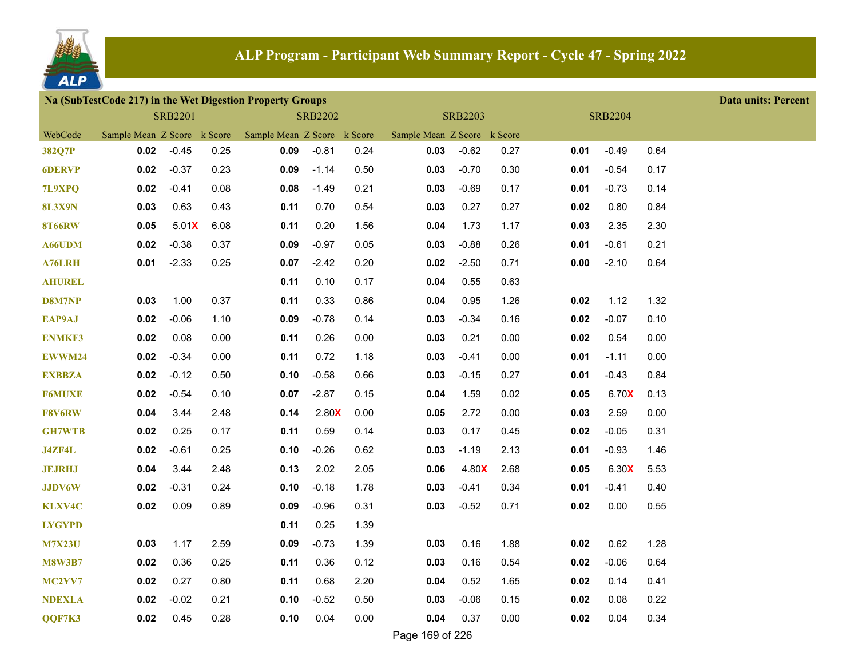

|                                 | Na (SubTestCode 217) in the Wet Digestion Property Groups |                |      |                             |                |      |                             |                |      |      |      |                |      |  | Data units: Percent |
|---------------------------------|-----------------------------------------------------------|----------------|------|-----------------------------|----------------|------|-----------------------------|----------------|------|------|------|----------------|------|--|---------------------|
|                                 |                                                           | <b>SRB2201</b> |      |                             | <b>SRB2202</b> |      |                             | <b>SRB2203</b> |      |      |      | <b>SRB2204</b> |      |  |                     |
| WebCode                         | Sample Mean Z Score k Score                               |                |      | Sample Mean Z Score k Score |                |      | Sample Mean Z Score k Score |                |      |      |      |                |      |  |                     |
| 382Q7P                          | 0.02                                                      | $-0.45$        | 0.25 | 0.09                        | $-0.81$        | 0.24 | 0.03                        | $-0.62$        | 0.27 | 0.01 |      | $-0.49$        | 0.64 |  |                     |
| <b>6DERVP</b>                   | 0.02                                                      | $-0.37$        | 0.23 | 0.09                        | $-1.14$        | 0.50 | 0.03                        | $-0.70$        | 0.30 | 0.01 |      | $-0.54$        | 0.17 |  |                     |
| 7L9XPQ                          | 0.02                                                      | $-0.41$        | 0.08 | 0.08                        | $-1.49$        | 0.21 | 0.03                        | $-0.69$        | 0.17 | 0.01 |      | $-0.73$        | 0.14 |  |                     |
| <b>8L3X9N</b>                   | 0.03                                                      | 0.63           | 0.43 | 0.11                        | 0.70           | 0.54 | 0.03                        | 0.27           | 0.27 | 0.02 |      | 0.80           | 0.84 |  |                     |
| <b>8T66RW</b>                   | 0.05                                                      | 5.01X          | 6.08 | 0.11                        | 0.20           | 1.56 | 0.04                        | 1.73           | 1.17 | 0.03 |      | 2.35           | 2.30 |  |                     |
| A66UDM                          | 0.02                                                      | $-0.38$        | 0.37 | 0.09                        | $-0.97$        | 0.05 | 0.03                        | $-0.88$        | 0.26 | 0.01 |      | $-0.61$        | 0.21 |  |                     |
| A76LRH                          | 0.01                                                      | $-2.33$        | 0.25 | 0.07                        | $-2.42$        | 0.20 | 0.02                        | $-2.50$        | 0.71 | 0.00 |      | $-2.10$        | 0.64 |  |                     |
| <b>AHUREL</b>                   |                                                           |                |      | 0.11                        | 0.10           | 0.17 | 0.04                        | 0.55           | 0.63 |      |      |                |      |  |                     |
| D8M7NP                          | 0.03                                                      | 1.00           | 0.37 | 0.11                        | 0.33           | 0.86 | 0.04                        | 0.95           | 1.26 | 0.02 |      | 1.12           | 1.32 |  |                     |
| EAP9AJ                          | 0.02                                                      | $-0.06$        | 1.10 | 0.09                        | $-0.78$        | 0.14 | 0.03                        | $-0.34$        | 0.16 | 0.02 |      | $-0.07$        | 0.10 |  |                     |
| <b>ENMKF3</b>                   | 0.02                                                      | 0.08           | 0.00 | 0.11                        | 0.26           | 0.00 | 0.03                        | 0.21           | 0.00 | 0.02 |      | 0.54           | 0.00 |  |                     |
| EWWM24                          | 0.02                                                      | $-0.34$        | 0.00 | 0.11                        | 0.72           | 1.18 | 0.03                        | $-0.41$        | 0.00 | 0.01 |      | $-1.11$        | 0.00 |  |                     |
| <b>EXBBZA</b>                   | 0.02                                                      | $-0.12$        | 0.50 | 0.10                        | $-0.58$        | 0.66 | 0.03                        | $-0.15$        | 0.27 | 0.01 |      | $-0.43$        | 0.84 |  |                     |
| <b>F6MUXE</b>                   | 0.02                                                      | $-0.54$        | 0.10 | 0.07                        | $-2.87$        | 0.15 | 0.04                        | 1.59           | 0.02 |      | 0.05 | 6.70X          | 0.13 |  |                     |
| F8V6RW                          | 0.04                                                      | 3.44           | 2.48 | 0.14                        | 2.80X          | 0.00 | 0.05                        | 2.72           | 0.00 | 0.03 |      | 2.59           | 0.00 |  |                     |
| <b>GH7WTB</b>                   | 0.02                                                      | 0.25           | 0.17 | 0.11                        | 0.59           | 0.14 | 0.03                        | 0.17           | 0.45 | 0.02 |      | $-0.05$        | 0.31 |  |                     |
| J4ZF4L                          | 0.02                                                      | $-0.61$        | 0.25 | 0.10                        | $-0.26$        | 0.62 | 0.03                        | $-1.19$        | 2.13 | 0.01 |      | $-0.93$        | 1.46 |  |                     |
| <b>JEJRHJ</b>                   | 0.04                                                      | 3.44           | 2.48 | 0.13                        | 2.02           | 2.05 | 0.06                        | 4.80X          | 2.68 | 0.05 |      | 6.30X          | 5.53 |  |                     |
| JJDV6W                          | 0.02                                                      | $-0.31$        | 0.24 | 0.10                        | $-0.18$        | 1.78 | 0.03                        | $-0.41$        | 0.34 | 0.01 |      | $-0.41$        | 0.40 |  |                     |
| <b>KLXV4C</b>                   | 0.02                                                      | 0.09           | 0.89 | 0.09                        | $-0.96$        | 0.31 | 0.03                        | $-0.52$        | 0.71 | 0.02 |      | 0.00           | 0.55 |  |                     |
| <b>LYGYPD</b>                   |                                                           |                |      | 0.11                        | 0.25           | 1.39 |                             |                |      |      |      |                |      |  |                     |
| <b>M7X23U</b>                   | 0.03                                                      | 1.17           | 2.59 | 0.09                        | $-0.73$        | 1.39 | 0.03                        | 0.16           | 1.88 | 0.02 |      | 0.62           | 1.28 |  |                     |
| <b>M8W3B7</b>                   | 0.02                                                      | 0.36           | 0.25 | 0.11                        | 0.36           | 0.12 | 0.03                        | 0.16           | 0.54 | 0.02 |      | $-0.06$        | 0.64 |  |                     |
| MC <sub>2</sub> YV <sub>7</sub> | 0.02                                                      | 0.27           | 0.80 | 0.11                        | 0.68           | 2.20 | 0.04                        | 0.52           | 1.65 | 0.02 |      | 0.14           | 0.41 |  |                     |
| <b>NDEXLA</b>                   | 0.02                                                      | $-0.02$        | 0.21 | 0.10                        | $-0.52$        | 0.50 | 0.03                        | $-0.06$        | 0.15 | 0.02 |      | 0.08           | 0.22 |  |                     |
| QQF7K3                          | 0.02                                                      | 0.45           | 0.28 | 0.10                        | 0.04           | 0.00 | 0.04                        | 0.37           | 0.00 | 0.02 |      | 0.04           | 0.34 |  |                     |
|                                 |                                                           |                |      |                             |                |      |                             |                |      |      |      |                |      |  |                     |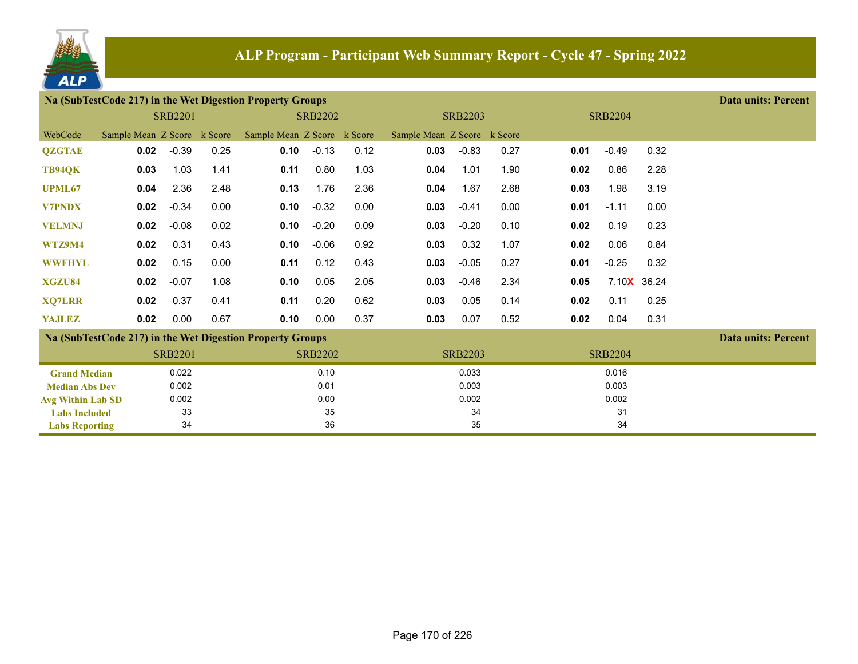

|                          | Na (SubTestCode 217) in the Wet Digestion Property Groups<br><b>Data units: Percent</b> |                |      |                                                           |                |      |                             |                |      |      |                   |       |                            |  |
|--------------------------|-----------------------------------------------------------------------------------------|----------------|------|-----------------------------------------------------------|----------------|------|-----------------------------|----------------|------|------|-------------------|-------|----------------------------|--|
|                          |                                                                                         | <b>SRB2201</b> |      |                                                           | <b>SRB2202</b> |      |                             | <b>SRB2203</b> |      |      | <b>SRB2204</b>    |       |                            |  |
| WebCode                  | Sample Mean Z Score k Score                                                             |                |      | Sample Mean Z Score k Score                               |                |      | Sample Mean Z Score k Score |                |      |      |                   |       |                            |  |
| <b>QZGTAE</b>            | 0.02                                                                                    | $-0.39$        | 0.25 | 0.10                                                      | $-0.13$        | 0.12 | 0.03                        | $-0.83$        | 0.27 | 0.01 | $-0.49$           | 0.32  |                            |  |
| TB94QK                   | 0.03                                                                                    | 1.03           | 1.41 | 0.11                                                      | 0.80           | 1.03 | 0.04                        | 1.01           | 1.90 | 0.02 | 0.86              | 2.28  |                            |  |
| <b>UPML67</b>            | 0.04                                                                                    | 2.36           | 2.48 | 0.13                                                      | 1.76           | 2.36 | 0.04                        | 1.67           | 2.68 | 0.03 | 1.98              | 3.19  |                            |  |
| <b>V7PNDX</b>            | 0.02                                                                                    | $-0.34$        | 0.00 | 0.10                                                      | $-0.32$        | 0.00 | 0.03                        | $-0.41$        | 0.00 | 0.01 | $-1.11$           | 0.00  |                            |  |
| <b>VELMNJ</b>            | 0.02                                                                                    | $-0.08$        | 0.02 | 0.10                                                      | $-0.20$        | 0.09 | 0.03                        | $-0.20$        | 0.10 | 0.02 | 0.19              | 0.23  |                            |  |
| WTZ9M4                   | 0.02                                                                                    | 0.31           | 0.43 | 0.10                                                      | $-0.06$        | 0.92 | 0.03                        | 0.32           | 1.07 | 0.02 | 0.06              | 0.84  |                            |  |
| <b>WWFHYL</b>            | 0.02                                                                                    | 0.15           | 0.00 | 0.11                                                      | 0.12           | 0.43 | 0.03                        | $-0.05$        | 0.27 | 0.01 | $-0.25$           | 0.32  |                            |  |
| <b>XGZU84</b>            | 0.02                                                                                    | $-0.07$        | 1.08 | 0.10                                                      | 0.05           | 2.05 | 0.03                        | $-0.46$        | 2.34 | 0.05 | 7.10 <sub>X</sub> | 36.24 |                            |  |
| XO7LRR                   | 0.02                                                                                    | 0.37           | 0.41 | 0.11                                                      | 0.20           | 0.62 | 0.03                        | 0.05           | 0.14 | 0.02 | 0.11              | 0.25  |                            |  |
| <b>YAJLEZ</b>            | 0.02                                                                                    | 0.00           | 0.67 | 0.10                                                      | 0.00           | 0.37 | 0.03                        | 0.07           | 0.52 | 0.02 | 0.04              | 0.31  |                            |  |
|                          |                                                                                         |                |      | Na (SubTestCode 217) in the Wet Digestion Property Groups |                |      |                             |                |      |      |                   |       | <b>Data units: Percent</b> |  |
|                          |                                                                                         | <b>SRB2201</b> |      |                                                           | <b>SRB2202</b> |      |                             | <b>SRB2203</b> |      |      | <b>SRB2204</b>    |       |                            |  |
| <b>Grand Median</b>      |                                                                                         | 0.022          |      |                                                           | 0.10           |      |                             | 0.033          |      |      | 0.016             |       |                            |  |
| <b>Median Abs Dev</b>    |                                                                                         | 0.002          |      |                                                           | 0.01           |      |                             | 0.003          |      |      | 0.003             |       |                            |  |
| <b>Avg Within Lab SD</b> |                                                                                         | 0.002          |      |                                                           | 0.00           |      |                             | 0.002          |      |      | 0.002             |       |                            |  |
| <b>Labs Included</b>     |                                                                                         | 33             |      |                                                           | 35             |      |                             | 34             |      |      | 31                |       |                            |  |
| <b>Labs Reporting</b>    |                                                                                         | 34             |      |                                                           | 36             |      |                             | 35             |      |      | 34                |       |                            |  |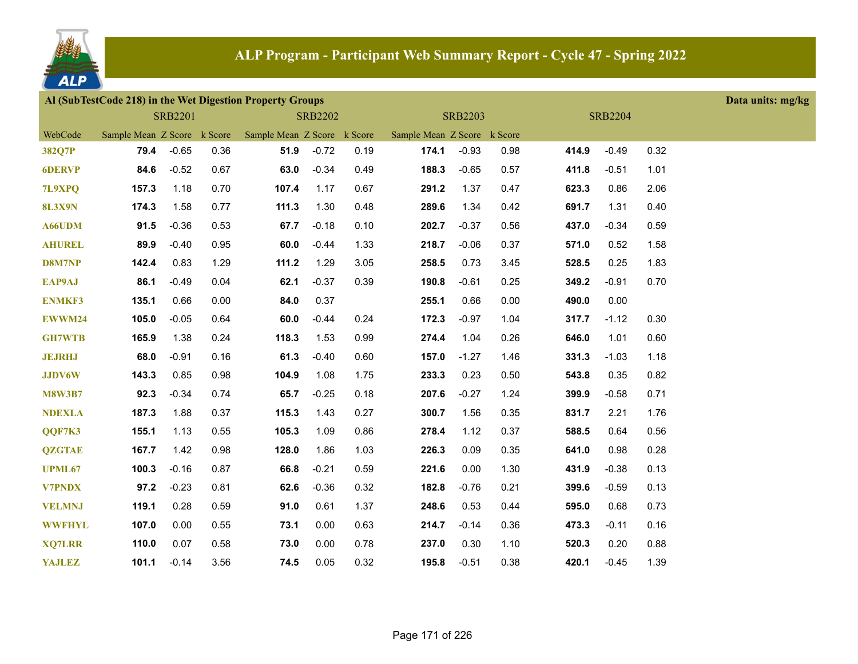

|               | Al (SubTestCode 218) in the Wet Digestion Property Groups<br><b>SRB2201</b><br><b>SRB2203</b><br><b>SRB2204</b><br><b>SRB2202</b> |         |      |                             |         |      |                             |         |      |       |         |      |  |  |
|---------------|-----------------------------------------------------------------------------------------------------------------------------------|---------|------|-----------------------------|---------|------|-----------------------------|---------|------|-------|---------|------|--|--|
|               |                                                                                                                                   |         |      |                             |         |      |                             |         |      |       |         |      |  |  |
| WebCode       | Sample Mean Z Score k Score                                                                                                       |         |      | Sample Mean Z Score k Score |         |      | Sample Mean Z Score k Score |         |      |       |         |      |  |  |
| 382Q7P        | 79.4                                                                                                                              | $-0.65$ | 0.36 | 51.9                        | $-0.72$ | 0.19 | 174.1                       | $-0.93$ | 0.98 | 414.9 | $-0.49$ | 0.32 |  |  |
| <b>6DERVP</b> | 84.6                                                                                                                              | $-0.52$ | 0.67 | 63.0                        | $-0.34$ | 0.49 | 188.3                       | $-0.65$ | 0.57 | 411.8 | $-0.51$ | 1.01 |  |  |
| 7L9XPQ        | 157.3                                                                                                                             | 1.18    | 0.70 | 107.4                       | 1.17    | 0.67 | 291.2                       | 1.37    | 0.47 | 623.3 | 0.86    | 2.06 |  |  |
| <b>8L3X9N</b> | 174.3                                                                                                                             | 1.58    | 0.77 | 111.3                       | 1.30    | 0.48 | 289.6                       | 1.34    | 0.42 | 691.7 | 1.31    | 0.40 |  |  |
| A66UDM        | 91.5                                                                                                                              | $-0.36$ | 0.53 | 67.7                        | $-0.18$ | 0.10 | 202.7                       | $-0.37$ | 0.56 | 437.0 | $-0.34$ | 0.59 |  |  |
| <b>AHUREL</b> | 89.9                                                                                                                              | $-0.40$ | 0.95 | 60.0                        | $-0.44$ | 1.33 | 218.7                       | $-0.06$ | 0.37 | 571.0 | 0.52    | 1.58 |  |  |
| D8M7NP        | 142.4                                                                                                                             | 0.83    | 1.29 | 111.2                       | 1.29    | 3.05 | 258.5                       | 0.73    | 3.45 | 528.5 | 0.25    | 1.83 |  |  |
| <b>EAP9AJ</b> | 86.1                                                                                                                              | $-0.49$ | 0.04 | 62.1                        | $-0.37$ | 0.39 | 190.8                       | $-0.61$ | 0.25 | 349.2 | $-0.91$ | 0.70 |  |  |
| <b>ENMKF3</b> | 135.1                                                                                                                             | 0.66    | 0.00 | 84.0                        | 0.37    |      | 255.1                       | 0.66    | 0.00 | 490.0 | 0.00    |      |  |  |
| EWWM24        | 105.0                                                                                                                             | $-0.05$ | 0.64 | 60.0                        | $-0.44$ | 0.24 | 172.3                       | $-0.97$ | 1.04 | 317.7 | $-1.12$ | 0.30 |  |  |
| <b>GH7WTB</b> | 165.9                                                                                                                             | 1.38    | 0.24 | 118.3                       | 1.53    | 0.99 | 274.4                       | 1.04    | 0.26 | 646.0 | 1.01    | 0.60 |  |  |
| <b>JEJRHJ</b> | 68.0                                                                                                                              | $-0.91$ | 0.16 | 61.3                        | $-0.40$ | 0.60 | 157.0                       | $-1.27$ | 1.46 | 331.3 | $-1.03$ | 1.18 |  |  |
| <b>JJDV6W</b> | 143.3                                                                                                                             | 0.85    | 0.98 | 104.9                       | 1.08    | 1.75 | 233.3                       | 0.23    | 0.50 | 543.8 | 0.35    | 0.82 |  |  |
| <b>M8W3B7</b> | 92.3                                                                                                                              | $-0.34$ | 0.74 | 65.7                        | $-0.25$ | 0.18 | 207.6                       | $-0.27$ | 1.24 | 399.9 | $-0.58$ | 0.71 |  |  |
| <b>NDEXLA</b> | 187.3                                                                                                                             | 1.88    | 0.37 | 115.3                       | 1.43    | 0.27 | 300.7                       | 1.56    | 0.35 | 831.7 | 2.21    | 1.76 |  |  |
| QQF7K3        | 155.1                                                                                                                             | 1.13    | 0.55 | 105.3                       | 1.09    | 0.86 | 278.4                       | 1.12    | 0.37 | 588.5 | 0.64    | 0.56 |  |  |
| <b>QZGTAE</b> | 167.7                                                                                                                             | 1.42    | 0.98 | 128.0                       | 1.86    | 1.03 | 226.3                       | 0.09    | 0.35 | 641.0 | 0.98    | 0.28 |  |  |
| <b>UPML67</b> | 100.3                                                                                                                             | $-0.16$ | 0.87 | 66.8                        | $-0.21$ | 0.59 | 221.6                       | 0.00    | 1.30 | 431.9 | $-0.38$ | 0.13 |  |  |
| <b>V7PNDX</b> | 97.2                                                                                                                              | $-0.23$ | 0.81 | 62.6                        | $-0.36$ | 0.32 | 182.8                       | $-0.76$ | 0.21 | 399.6 | $-0.59$ | 0.13 |  |  |
| <b>VELMNJ</b> | 119.1                                                                                                                             | 0.28    | 0.59 | 91.0                        | 0.61    | 1.37 | 248.6                       | 0.53    | 0.44 | 595.0 | 0.68    | 0.73 |  |  |
| <b>WWFHYL</b> | 107.0                                                                                                                             | 0.00    | 0.55 | 73.1                        | 0.00    | 0.63 | 214.7                       | $-0.14$ | 0.36 | 473.3 | $-0.11$ | 0.16 |  |  |
| XO7LRR        | 110.0                                                                                                                             | 0.07    | 0.58 | 73.0                        | 0.00    | 0.78 | 237.0                       | 0.30    | 1.10 | 520.3 | 0.20    | 0.88 |  |  |
| <b>YAJLEZ</b> | 101.1                                                                                                                             | $-0.14$ | 3.56 | 74.5                        | 0.05    | 0.32 | 195.8                       | $-0.51$ | 0.38 | 420.1 | $-0.45$ | 1.39 |  |  |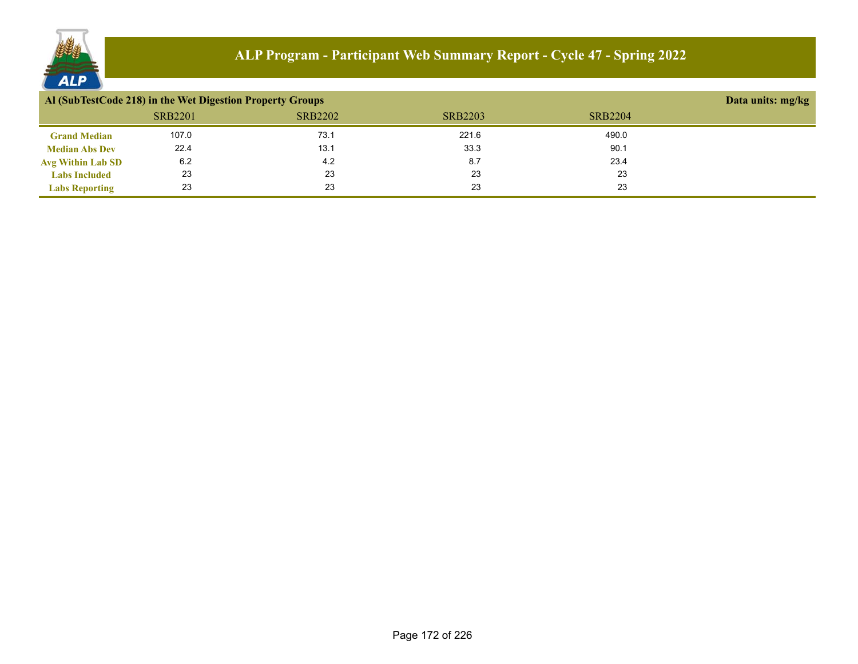

|                          | Al (SubTestCode 218) in the Wet Digestion Property Groups |         |         |         | Data units: mg/kg |
|--------------------------|-----------------------------------------------------------|---------|---------|---------|-------------------|
|                          | SRB2201                                                   | SRB2202 | SRB2203 | SRB2204 |                   |
| <b>Grand Median</b>      | 107.0                                                     | 73.1    | 221.6   | 490.0   |                   |
| <b>Median Abs Dev</b>    | 22.4                                                      | 13.1    | 33.3    | 90.1    |                   |
| <b>Avg Within Lab SD</b> | 6.2                                                       | 4.2     | 8.7     | 23.4    |                   |
| <b>Labs Included</b>     | 23                                                        | 23      | 23      | 23      |                   |
| <b>Labs Reporting</b>    | 23                                                        | 23      | 23      | 23      |                   |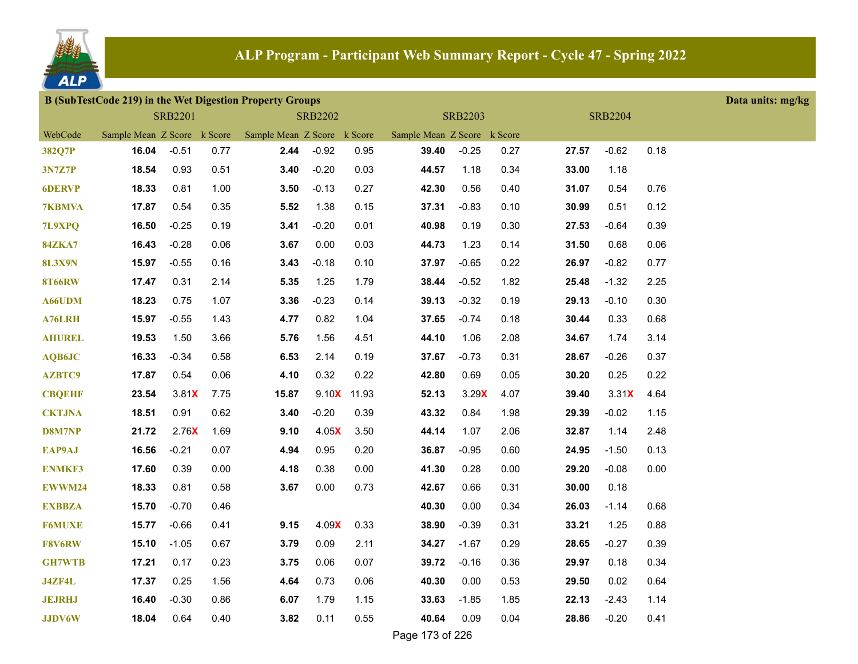

|               |                             |                |      | <b>B</b> (SubTestCode 219) in the Wet Digestion Property Groups |         |       |                             | Data units: mg/kg |      |       |                |      |  |
|---------------|-----------------------------|----------------|------|-----------------------------------------------------------------|---------|-------|-----------------------------|-------------------|------|-------|----------------|------|--|
|               |                             | <b>SRB2201</b> |      |                                                                 | SRB2202 |       |                             | <b>SRB2203</b>    |      |       | <b>SRB2204</b> |      |  |
| WebCode       | Sample Mean Z Score k Score |                |      | Sample Mean Z Score k Score                                     |         |       | Sample Mean Z Score k Score |                   |      |       |                |      |  |
| 382Q7P        | 16.04                       | $-0.51$        | 0.77 | 2.44                                                            | $-0.92$ | 0.95  | 39.40                       | $-0.25$           | 0.27 | 27.57 | $-0.62$        | 0.18 |  |
| <b>3N7Z7P</b> | 18.54                       | 0.93           | 0.51 | 3.40                                                            | $-0.20$ | 0.03  | 44.57                       | 1.18              | 0.34 | 33.00 | 1.18           |      |  |
| <b>6DERVP</b> | 18.33                       | 0.81           | 1.00 | 3.50                                                            | $-0.13$ | 0.27  | 42.30                       | 0.56              | 0.40 | 31.07 | 0.54           | 0.76 |  |
| 7KBMVA        | 17.87                       | 0.54           | 0.35 | 5.52                                                            | 1.38    | 0.15  | 37.31                       | $-0.83$           | 0.10 | 30.99 | 0.51           | 0.12 |  |
| 7L9XPQ        | 16.50                       | $-0.25$        | 0.19 | 3.41                                                            | $-0.20$ | 0.01  | 40.98                       | 0.19              | 0.30 | 27.53 | $-0.64$        | 0.39 |  |
| <b>84ZKA7</b> | 16.43                       | $-0.28$        | 0.06 | 3.67                                                            | 0.00    | 0.03  | 44.73                       | 1.23              | 0.14 | 31.50 | 0.68           | 0.06 |  |
| <b>8L3X9N</b> | 15.97                       | $-0.55$        | 0.16 | 3.43                                                            | $-0.18$ | 0.10  | 37.97                       | $-0.65$           | 0.22 | 26.97 | $-0.82$        | 0.77 |  |
| <b>8T66RW</b> | 17.47                       | 0.31           | 2.14 | 5.35                                                            | 1.25    | 1.79  | 38.44                       | $-0.52$           | 1.82 | 25.48 | $-1.32$        | 2.25 |  |
| A66UDM        | 18.23                       | 0.75           | 1.07 | 3.36                                                            | $-0.23$ | 0.14  | 39.13                       | $-0.32$           | 0.19 | 29.13 | $-0.10$        | 0.30 |  |
| A76LRH        | 15.97                       | $-0.55$        | 1.43 | 4.77                                                            | 0.82    | 1.04  | 37.65                       | $-0.74$           | 0.18 | 30.44 | 0.33           | 0.68 |  |
| <b>AHUREL</b> | 19.53                       | 1.50           | 3.66 | 5.76                                                            | 1.56    | 4.51  | 44.10                       | 1.06              | 2.08 | 34.67 | 1.74           | 3.14 |  |
| AQB6JC        | 16.33                       | $-0.34$        | 0.58 | 6.53                                                            | 2.14    | 0.19  | 37.67                       | $-0.73$           | 0.31 | 28.67 | $-0.26$        | 0.37 |  |
| <b>AZBTC9</b> | 17.87                       | 0.54           | 0.06 | 4.10                                                            | 0.32    | 0.22  | 42.80                       | 0.69              | 0.05 | 30.20 | 0.25           | 0.22 |  |
| <b>CBQEHF</b> | 23.54                       | 3.81X          | 7.75 | 15.87                                                           | 9.10X   | 11.93 | 52.13                       | 3.29X             | 4.07 | 39.40 | 3.31X          | 4.64 |  |
| <b>CKTJNA</b> | 18.51                       | 0.91           | 0.62 | 3.40                                                            | $-0.20$ | 0.39  | 43.32                       | 0.84              | 1.98 | 29.39 | $-0.02$        | 1.15 |  |
| D8M7NP        | 21.72                       | 2.76X          | 1.69 | 9.10                                                            | 4.05X   | 3.50  | 44.14                       | 1.07              | 2.06 | 32.87 | 1.14           | 2.48 |  |
| EAP9AJ        | 16.56                       | $-0.21$        | 0.07 | 4.94                                                            | 0.95    | 0.20  | 36.87                       | $-0.95$           | 0.60 | 24.95 | $-1.50$        | 0.13 |  |
| <b>ENMKF3</b> | 17.60                       | 0.39           | 0.00 | 4.18                                                            | 0.38    | 0.00  | 41.30                       | 0.28              | 0.00 | 29.20 | $-0.08$        | 0.00 |  |
| EWWM24        | 18.33                       | 0.81           | 0.58 | 3.67                                                            | 0.00    | 0.73  | 42.67                       | 0.66              | 0.31 | 30.00 | 0.18           |      |  |
| <b>EXBBZA</b> | 15.70                       | $-0.70$        | 0.46 |                                                                 |         |       | 40.30                       | 0.00              | 0.34 | 26.03 | $-1.14$        | 0.68 |  |
| <b>F6MUXE</b> | 15.77                       | $-0.66$        | 0.41 | 9.15                                                            | 4.09X   | 0.33  | 38.90                       | $-0.39$           | 0.31 | 33.21 | 1.25           | 0.88 |  |
| F8V6RW        | 15.10                       | $-1.05$        | 0.67 | 3.79                                                            | 0.09    | 2.11  | 34.27                       | $-1.67$           | 0.29 | 28.65 | $-0.27$        | 0.39 |  |
| <b>GH7WTB</b> | 17.21                       | 0.17           | 0.23 | 3.75                                                            | 0.06    | 0.07  | 39.72                       | $-0.16$           | 0.36 | 29.97 | 0.18           | 0.34 |  |
| <b>J4ZF4L</b> | 17.37                       | 0.25           | 1.56 | 4.64                                                            | 0.73    | 0.06  | 40.30                       | 0.00              | 0.53 | 29.50 | 0.02           | 0.64 |  |
| <b>JEJRHJ</b> | 16.40                       | $-0.30$        | 0.86 | 6.07                                                            | 1.79    | 1.15  | 33.63                       | $-1.85$           | 1.85 | 22.13 | $-2.43$        | 1.14 |  |
| <b>JJDV6W</b> | 18.04                       | 0.64           | 0.40 | 3.82                                                            | 0.11    | 0.55  | 40.64                       | 0.09              | 0.04 | 28.86 | $-0.20$        | 0.41 |  |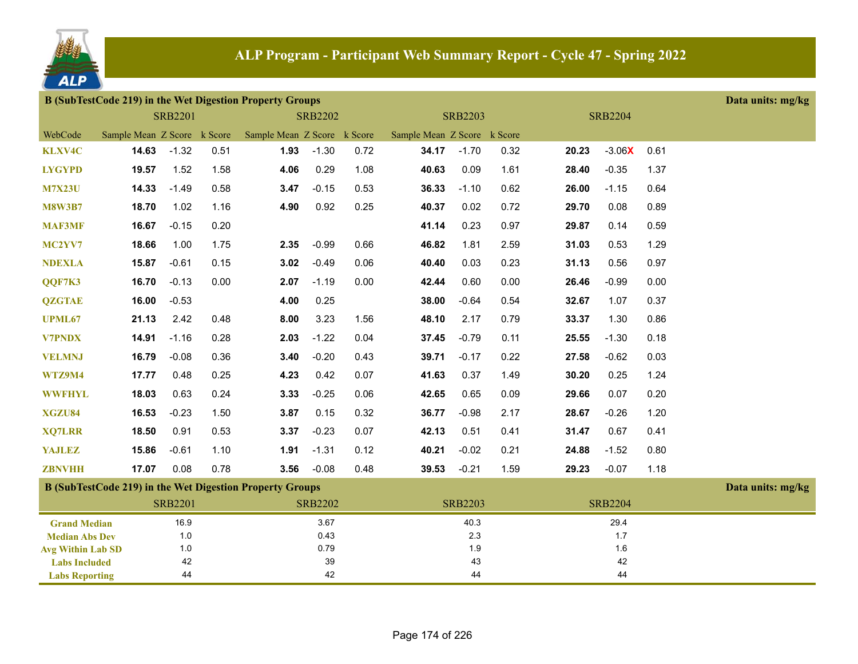

**Grand Median Median Abs Dev Avg Within Lab SD Labs Included**

|                                 |                             |                |      | <b>B</b> (SubTestCode 219) in the Wet Digestion Property Groups |                |      |                             |                |      |       |                |      | Data units: mg/kg |
|---------------------------------|-----------------------------|----------------|------|-----------------------------------------------------------------|----------------|------|-----------------------------|----------------|------|-------|----------------|------|-------------------|
|                                 |                             | <b>SRB2201</b> |      |                                                                 | <b>SRB2202</b> |      |                             | <b>SRB2203</b> |      |       | <b>SRB2204</b> |      |                   |
| WebCode                         | Sample Mean Z Score k Score |                |      | Sample Mean Z Score k Score                                     |                |      | Sample Mean Z Score k Score |                |      |       |                |      |                   |
| <b>KLXV4C</b>                   | 14.63                       | $-1.32$        | 0.51 | 1.93                                                            | $-1.30$        | 0.72 | 34.17                       | $-1.70$        | 0.32 | 20.23 | $-3.06X$       | 0.61 |                   |
| <b>LYGYPD</b>                   | 19.57                       | 1.52           | 1.58 | 4.06                                                            | 0.29           | 1.08 | 40.63                       | 0.09           | 1.61 | 28.40 | $-0.35$        | 1.37 |                   |
| <b>M7X23U</b>                   | 14.33                       | $-1.49$        | 0.58 | 3.47                                                            | $-0.15$        | 0.53 | 36.33                       | $-1.10$        | 0.62 | 26.00 | $-1.15$        | 0.64 |                   |
| <b>M8W3B7</b>                   | 18.70                       | 1.02           | 1.16 | 4.90                                                            | 0.92           | 0.25 | 40.37                       | 0.02           | 0.72 | 29.70 | 0.08           | 0.89 |                   |
| <b>MAF3MF</b>                   | 16.67                       | $-0.15$        | 0.20 |                                                                 |                |      | 41.14                       | 0.23           | 0.97 | 29.87 | 0.14           | 0.59 |                   |
| MC <sub>2</sub> YV <sub>7</sub> | 18.66                       | 1.00           | 1.75 | 2.35                                                            | $-0.99$        | 0.66 | 46.82                       | 1.81           | 2.59 | 31.03 | 0.53           | 1.29 |                   |
| <b>NDEXLA</b>                   | 15.87                       | $-0.61$        | 0.15 | 3.02                                                            | $-0.49$        | 0.06 | 40.40                       | 0.03           | 0.23 | 31.13 | 0.56           | 0.97 |                   |
| QQF7K3                          | 16.70                       | $-0.13$        | 0.00 | 2.07                                                            | $-1.19$        | 0.00 | 42.44                       | 0.60           | 0.00 | 26.46 | $-0.99$        | 0.00 |                   |
| <b>QZGTAE</b>                   | 16.00                       | $-0.53$        |      | 4.00                                                            | 0.25           |      | 38.00                       | $-0.64$        | 0.54 | 32.67 | 1.07           | 0.37 |                   |
| UPML67                          | 21.13                       | 2.42           | 0.48 | 8.00                                                            | 3.23           | 1.56 | 48.10                       | 2.17           | 0.79 | 33.37 | 1.30           | 0.86 |                   |
| <b>V7PNDX</b>                   | 14.91                       | $-1.16$        | 0.28 | 2.03                                                            | $-1.22$        | 0.04 | 37.45                       | $-0.79$        | 0.11 | 25.55 | $-1.30$        | 0.18 |                   |
| <b>VELMNJ</b>                   | 16.79                       | $-0.08$        | 0.36 | 3.40                                                            | $-0.20$        | 0.43 | 39.71                       | $-0.17$        | 0.22 | 27.58 | $-0.62$        | 0.03 |                   |
| WTZ9M4                          | 17.77                       | 0.48           | 0.25 | 4.23                                                            | 0.42           | 0.07 | 41.63                       | 0.37           | 1.49 | 30.20 | 0.25           | 1.24 |                   |
| <b>WWFHYL</b>                   | 18.03                       | 0.63           | 0.24 | 3.33                                                            | $-0.25$        | 0.06 | 42.65                       | 0.65           | 0.09 | 29.66 | 0.07           | 0.20 |                   |
| <b>XGZU84</b>                   | 16.53                       | $-0.23$        | 1.50 | 3.87                                                            | 0.15           | 0.32 | 36.77                       | $-0.98$        | 2.17 | 28.67 | $-0.26$        | 1.20 |                   |
| <b>XQ7LRR</b>                   | 18.50                       | 0.91           | 0.53 | 3.37                                                            | $-0.23$        | 0.07 | 42.13                       | 0.51           | 0.41 | 31.47 | 0.67           | 0.41 |                   |
| <b>YAJLEZ</b>                   | 15.86                       | $-0.61$        | 1.10 | 1.91                                                            | $-1.31$        | 0.12 | 40.21                       | $-0.02$        | 0.21 | 24.88 | $-1.52$        | 0.80 |                   |
| <b>ZBNVHH</b>                   | 17.07                       | 0.08           | 0.78 | 3.56                                                            | $-0.08$        | 0.48 | 39.53                       | $-0.21$        | 1.59 | 29.23 | $-0.07$        | 1.18 |                   |
|                                 |                             |                |      | <b>B</b> (SubTestCode 219) in the Wet Digestion Property Groups |                |      |                             |                |      |       |                |      | Data units: mg/kg |
|                                 |                             | SRB2201        |      |                                                                 | SRB2202        |      |                             | <b>SRB2203</b> |      |       | <b>SRB2204</b> |      |                   |

40.3

29.4

1.6

1.9

16.9 3.67

0.79

**Labs Reporting** <sup>44</sup> <sup>42</sup> <sup>44</sup> <sup>44</sup>

**d**  $42$  42  $39$  39 43 43

1.0 **0.43** 2.3 1.7

1.0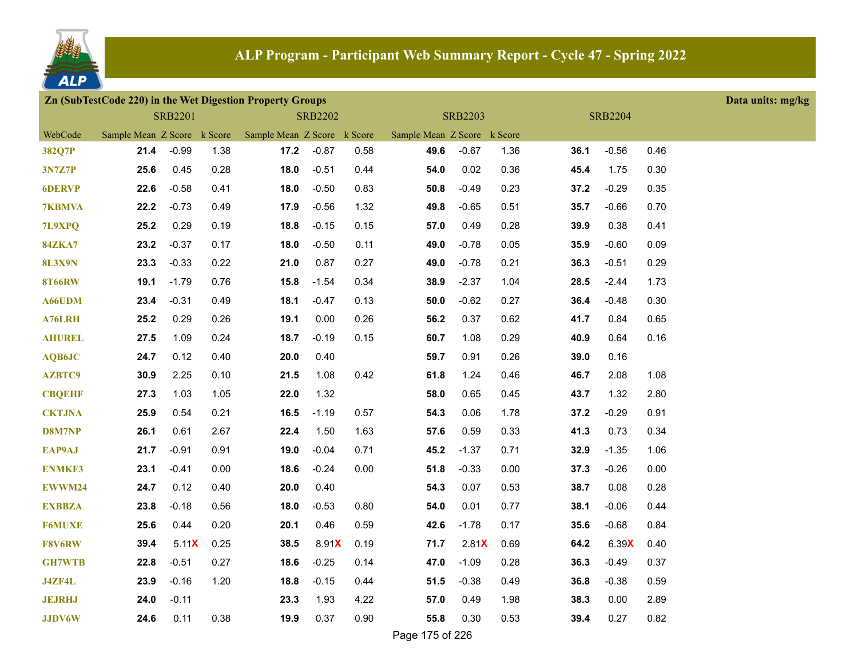

|               | Zn (SubTestCode 220) in the Wet Digestion Property Groups |                |      |                             |                |      | Data units: mg/kg           |                |      |      |                |      |  |
|---------------|-----------------------------------------------------------|----------------|------|-----------------------------|----------------|------|-----------------------------|----------------|------|------|----------------|------|--|
|               |                                                           | <b>SRB2201</b> |      |                             | <b>SRB2202</b> |      |                             | <b>SRB2203</b> |      |      | <b>SRB2204</b> |      |  |
| WebCode       | Sample Mean Z Score k Score                               |                |      | Sample Mean Z Score k Score |                |      | Sample Mean Z Score k Score |                |      |      |                |      |  |
| 382Q7P        | 21.4                                                      | $-0.99$        | 1.38 | 17.2                        | $-0.87$        | 0.58 | 49.6                        | $-0.67$        | 1.36 | 36.1 | $-0.56$        | 0.46 |  |
| <b>3N7Z7P</b> | 25.6                                                      | 0.45           | 0.28 | 18.0                        | $-0.51$        | 0.44 | 54.0                        | 0.02           | 0.36 | 45.4 | 1.75           | 0.30 |  |
| <b>6DERVP</b> | 22.6                                                      | $-0.58$        | 0.41 | 18.0                        | $-0.50$        | 0.83 | 50.8                        | $-0.49$        | 0.23 | 37.2 | $-0.29$        | 0.35 |  |
| 7KBMVA        | 22.2                                                      | $-0.73$        | 0.49 | 17.9                        | $-0.56$        | 1.32 | 49.8                        | $-0.65$        | 0.51 | 35.7 | $-0.66$        | 0.70 |  |
| 7L9XPQ        | 25.2                                                      | 0.29           | 0.19 | 18.8                        | $-0.15$        | 0.15 | 57.0                        | 0.49           | 0.28 | 39.9 | 0.38           | 0.41 |  |
| <b>84ZKA7</b> | 23.2                                                      | $-0.37$        | 0.17 | 18.0                        | $-0.50$        | 0.11 | 49.0                        | $-0.78$        | 0.05 | 35.9 | $-0.60$        | 0.09 |  |
| <b>8L3X9N</b> | 23.3                                                      | $-0.33$        | 0.22 | 21.0                        | 0.87           | 0.27 | 49.0                        | $-0.78$        | 0.21 | 36.3 | $-0.51$        | 0.29 |  |
| <b>8T66RW</b> | 19.1                                                      | $-1.79$        | 0.76 | 15.8                        | $-1.54$        | 0.34 | 38.9                        | $-2.37$        | 1.04 | 28.5 | $-2.44$        | 1.73 |  |
| A66UDM        | 23.4                                                      | $-0.31$        | 0.49 | 18.1                        | $-0.47$        | 0.13 | $50.0$                      | $-0.62$        | 0.27 | 36.4 | $-0.48$        | 0.30 |  |
| A76LRH        | 25.2                                                      | 0.29           | 0.26 | 19.1                        | 0.00           | 0.26 | 56.2                        | 0.37           | 0.62 | 41.7 | 0.84           | 0.65 |  |
| <b>AHUREL</b> | 27.5                                                      | 1.09           | 0.24 | 18.7                        | $-0.19$        | 0.15 | 60.7                        | 1.08           | 0.29 | 40.9 | 0.64           | 0.16 |  |
| <b>AQB6JC</b> | 24.7                                                      | 0.12           | 0.40 | 20.0                        | 0.40           |      | 59.7                        | 0.91           | 0.26 | 39.0 | 0.16           |      |  |
| <b>AZBTC9</b> | 30.9                                                      | 2.25           | 0.10 | 21.5                        | 1.08           | 0.42 | 61.8                        | 1.24           | 0.46 | 46.7 | 2.08           | 1.08 |  |
| <b>CBQEHF</b> | 27.3                                                      | 1.03           | 1.05 | 22.0                        | 1.32           |      | 58.0                        | 0.65           | 0.45 | 43.7 | 1.32           | 2.80 |  |
| <b>CKTJNA</b> | 25.9                                                      | 0.54           | 0.21 | 16.5                        | $-1.19$        | 0.57 | 54.3                        | 0.06           | 1.78 | 37.2 | $-0.29$        | 0.91 |  |
| D8M7NP        | 26.1                                                      | 0.61           | 2.67 | 22.4                        | 1.50           | 1.63 | 57.6                        | 0.59           | 0.33 | 41.3 | 0.73           | 0.34 |  |
| EAP9AJ        | 21.7                                                      | $-0.91$        | 0.91 | 19.0                        | $-0.04$        | 0.71 | 45.2                        | $-1.37$        | 0.71 | 32.9 | $-1.35$        | 1.06 |  |
| <b>ENMKF3</b> | 23.1                                                      | $-0.41$        | 0.00 | 18.6                        | $-0.24$        | 0.00 | 51.8                        | $-0.33$        | 0.00 | 37.3 | $-0.26$        | 0.00 |  |
| EWWM24        | 24.7                                                      | 0.12           | 0.40 | 20.0                        | 0.40           |      | 54.3                        | 0.07           | 0.53 | 38.7 | 0.08           | 0.28 |  |
| <b>EXBBZA</b> | 23.8                                                      | $-0.18$        | 0.56 | 18.0                        | $-0.53$        | 0.80 | 54.0                        | 0.01           | 0.77 | 38.1 | $-0.06$        | 0.44 |  |
| <b>F6MUXE</b> | 25.6                                                      | 0.44           | 0.20 | 20.1                        | 0.46           | 0.59 | 42.6                        | $-1.78$        | 0.17 | 35.6 | $-0.68$        | 0.84 |  |
| <b>F8V6RW</b> | 39.4                                                      | 5.11X          | 0.25 | 38.5                        | 8.91X          | 0.19 | 71.7                        | 2.81X          | 0.69 | 64.2 | 6.39X          | 0.40 |  |
| <b>GH7WTB</b> | 22.8                                                      | $-0.51$        | 0.27 | 18.6                        | $-0.25$        | 0.14 | 47.0                        | $-1.09$        | 0.28 | 36.3 | $-0.49$        | 0.37 |  |
| <b>J4ZF4L</b> | 23.9                                                      | $-0.16$        | 1.20 | 18.8                        | $-0.15$        | 0.44 | 51.5                        | $-0.38$        | 0.49 | 36.8 | $-0.38$        | 0.59 |  |
| <b>JEJRHJ</b> | 24.0                                                      | $-0.11$        |      | 23.3                        | 1.93           | 4.22 | 57.0                        | 0.49           | 1.98 | 38.3 | 0.00           | 2.89 |  |
| <b>JJDV6W</b> | 24.6                                                      | 0.11           | 0.38 | 19.9                        | 0.37           | 0.90 | 55.8                        | 0.30           | 0.53 | 39.4 | 0.27           | 0.82 |  |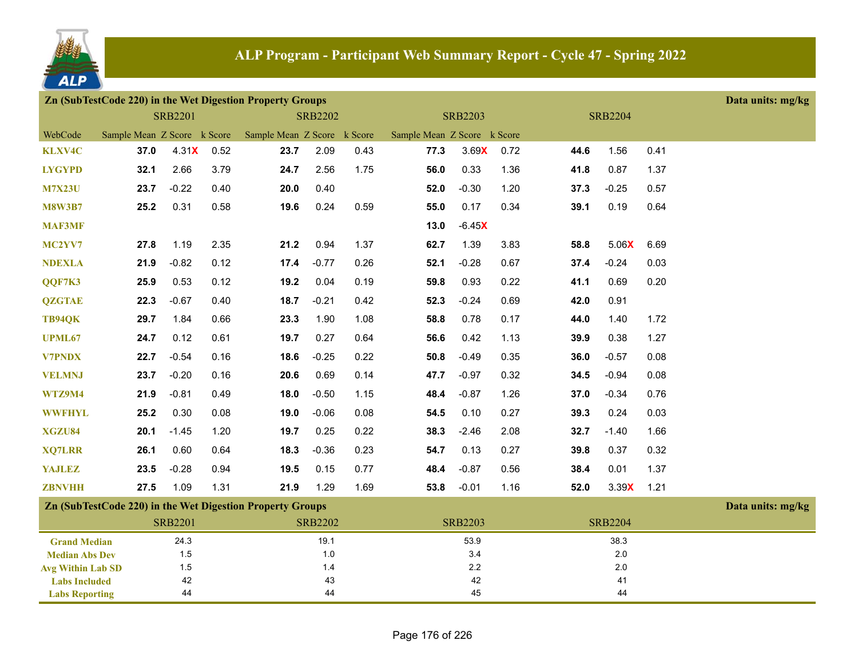

|                                 | Data units: mg/kg<br>Zn (SubTestCode 220) in the Wet Digestion Property Groups |                |      |                                                           |                |      |                             |                |      |      |                   |      |                   |  |
|---------------------------------|--------------------------------------------------------------------------------|----------------|------|-----------------------------------------------------------|----------------|------|-----------------------------|----------------|------|------|-------------------|------|-------------------|--|
|                                 |                                                                                | <b>SRB2201</b> |      |                                                           | <b>SRB2202</b> |      |                             | <b>SRB2203</b> |      |      | <b>SRB2204</b>    |      |                   |  |
| WebCode                         | Sample Mean Z Score k Score                                                    |                |      | Sample Mean Z Score k Score                               |                |      | Sample Mean Z Score k Score |                |      |      |                   |      |                   |  |
| <b>KLXV4C</b>                   | 37.0                                                                           | 4.31X          | 0.52 | 23.7                                                      | 2.09           | 0.43 | 77.3                        | 3.69X          | 0.72 | 44.6 | 1.56              | 0.41 |                   |  |
| <b>LYGYPD</b>                   | 32.1                                                                           | 2.66           | 3.79 | 24.7                                                      | 2.56           | 1.75 | 56.0                        | 0.33           | 1.36 | 41.8 | 0.87              | 1.37 |                   |  |
| <b>M7X23U</b>                   | 23.7                                                                           | $-0.22$        | 0.40 | 20.0                                                      | 0.40           |      | 52.0                        | $-0.30$        | 1.20 | 37.3 | $-0.25$           | 0.57 |                   |  |
| <b>M8W3B7</b>                   | 25.2                                                                           | 0.31           | 0.58 | 19.6                                                      | 0.24           | 0.59 | 55.0                        | 0.17           | 0.34 | 39.1 | 0.19              | 0.64 |                   |  |
| <b>MAF3MF</b>                   |                                                                                |                |      |                                                           |                |      | 13.0                        | $-6.45X$       |      |      |                   |      |                   |  |
| MC <sub>2</sub> YV <sub>7</sub> | 27.8                                                                           | 1.19           | 2.35 | 21.2                                                      | 0.94           | 1.37 | 62.7                        | 1.39           | 3.83 | 58.8 | 5.06 <sub>X</sub> | 6.69 |                   |  |
| <b>NDEXLA</b>                   | 21.9                                                                           | $-0.82$        | 0.12 | 17.4                                                      | $-0.77$        | 0.26 | 52.1                        | $-0.28$        | 0.67 | 37.4 | $-0.24$           | 0.03 |                   |  |
| QQF7K3                          | 25.9                                                                           | 0.53           | 0.12 | 19.2                                                      | 0.04           | 0.19 | 59.8                        | 0.93           | 0.22 | 41.1 | 0.69              | 0.20 |                   |  |
| <b>QZGTAE</b>                   | 22.3                                                                           | $-0.67$        | 0.40 | 18.7                                                      | $-0.21$        | 0.42 | 52.3                        | $-0.24$        | 0.69 | 42.0 | 0.91              |      |                   |  |
| TB94QK                          | 29.7                                                                           | 1.84           | 0.66 | 23.3                                                      | 1.90           | 1.08 | 58.8                        | 0.78           | 0.17 | 44.0 | 1.40              | 1.72 |                   |  |
| <b>UPML67</b>                   | 24.7                                                                           | 0.12           | 0.61 | 19.7                                                      | 0.27           | 0.64 | 56.6                        | 0.42           | 1.13 | 39.9 | 0.38              | 1.27 |                   |  |
| <b>V7PNDX</b>                   | 22.7                                                                           | $-0.54$        | 0.16 | 18.6                                                      | $-0.25$        | 0.22 | 50.8                        | $-0.49$        | 0.35 | 36.0 | $-0.57$           | 0.08 |                   |  |
| <b>VELMNJ</b>                   | 23.7                                                                           | $-0.20$        | 0.16 | 20.6                                                      | 0.69           | 0.14 | 47.7                        | $-0.97$        | 0.32 | 34.5 | $-0.94$           | 0.08 |                   |  |
| WTZ9M4                          | 21.9                                                                           | $-0.81$        | 0.49 | 18.0                                                      | $-0.50$        | 1.15 | 48.4                        | $-0.87$        | 1.26 | 37.0 | $-0.34$           | 0.76 |                   |  |
| <b>WWFHYL</b>                   | 25.2                                                                           | 0.30           | 0.08 | 19.0                                                      | $-0.06$        | 0.08 | 54.5                        | 0.10           | 0.27 | 39.3 | 0.24              | 0.03 |                   |  |
| <b>XGZU84</b>                   | 20.1                                                                           | $-1.45$        | 1.20 | 19.7                                                      | 0.25           | 0.22 | 38.3                        | $-2.46$        | 2.08 | 32.7 | $-1.40$           | 1.66 |                   |  |
| <b>XQ7LRR</b>                   | 26.1                                                                           | 0.60           | 0.64 | 18.3                                                      | $-0.36$        | 0.23 | 54.7                        | 0.13           | 0.27 | 39.8 | 0.37              | 0.32 |                   |  |
| <b>YAJLEZ</b>                   | 23.5                                                                           | $-0.28$        | 0.94 | 19.5                                                      | 0.15           | 0.77 | 48.4                        | $-0.87$        | 0.56 | 38.4 | 0.01              | 1.37 |                   |  |
| <b>ZBNVHH</b>                   | 27.5                                                                           | 1.09           | 1.31 | 21.9                                                      | 1.29           | 1.69 | 53.8                        | $-0.01$        | 1.16 | 52.0 | 3.39X             | 1.21 |                   |  |
|                                 |                                                                                |                |      | Zn (SubTestCode 220) in the Wet Digestion Property Groups |                |      |                             |                |      |      |                   |      | Data units: mg/kg |  |
|                                 |                                                                                | <b>SRB2201</b> |      |                                                           | <b>SRB2202</b> |      |                             | <b>SRB2203</b> |      |      | <b>SRB2204</b>    |      |                   |  |
| <b>Grand Median</b>             |                                                                                | 24.3           |      |                                                           | 19.1           |      |                             | 53.9           |      |      | 38.3              |      |                   |  |
| <b>Median Abs Dev</b>           |                                                                                | 1.5            |      |                                                           | 1.0            |      |                             | 3.4            |      |      | 2.0               |      |                   |  |
| <b>Avg Within Lab SD</b>        |                                                                                | 1.5            |      |                                                           | 1.4            |      |                             | 2.2            |      |      | 2.0               |      |                   |  |
| <b>Labs Included</b>            |                                                                                | 42             |      |                                                           | 43             |      |                             | 42             |      |      | 41                |      |                   |  |
| <b>Labs Reporting</b>           |                                                                                | 44             |      |                                                           | 44             |      |                             | 45             |      |      | 44                |      |                   |  |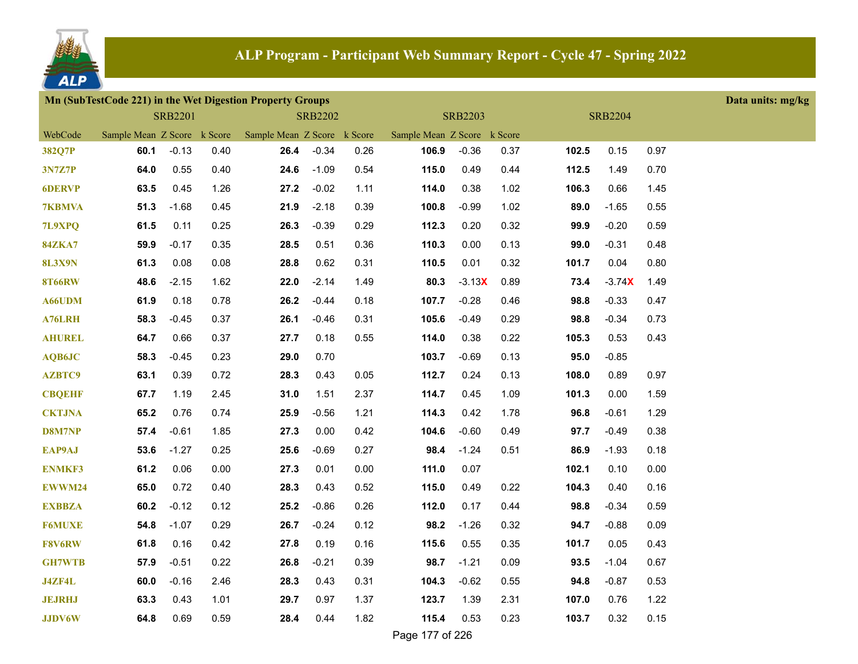

|               |                             |                |      | Mn (SubTestCode 221) in the Wet Digestion Property Groups |         |      |                             | Data units: mg/kg |      |       |                |      |  |
|---------------|-----------------------------|----------------|------|-----------------------------------------------------------|---------|------|-----------------------------|-------------------|------|-------|----------------|------|--|
|               |                             | <b>SRB2201</b> |      |                                                           | SRB2202 |      |                             | <b>SRB2203</b>    |      |       | <b>SRB2204</b> |      |  |
| WebCode       | Sample Mean Z Score k Score |                |      | Sample Mean Z Score k Score                               |         |      | Sample Mean Z Score k Score |                   |      |       |                |      |  |
| 382Q7P        | 60.1                        | $-0.13$        | 0.40 | 26.4                                                      | $-0.34$ | 0.26 | 106.9                       | $-0.36$           | 0.37 | 102.5 | 0.15           | 0.97 |  |
| <b>3N7Z7P</b> | 64.0                        | 0.55           | 0.40 | 24.6                                                      | $-1.09$ | 0.54 | 115.0                       | 0.49              | 0.44 | 112.5 | 1.49           | 0.70 |  |
| <b>6DERVP</b> | 63.5                        | 0.45           | 1.26 | 27.2                                                      | $-0.02$ | 1.11 | 114.0                       | 0.38              | 1.02 | 106.3 | 0.66           | 1.45 |  |
| 7KBMVA        | 51.3                        | $-1.68$        | 0.45 | 21.9                                                      | $-2.18$ | 0.39 | 100.8                       | $-0.99$           | 1.02 | 89.0  | $-1.65$        | 0.55 |  |
| 7L9XPQ        | 61.5                        | 0.11           | 0.25 | 26.3                                                      | $-0.39$ | 0.29 | 112.3                       | 0.20              | 0.32 | 99.9  | $-0.20$        | 0.59 |  |
| <b>84ZKA7</b> | 59.9                        | $-0.17$        | 0.35 | 28.5                                                      | 0.51    | 0.36 | 110.3                       | 0.00              | 0.13 | 99.0  | $-0.31$        | 0.48 |  |
| <b>8L3X9N</b> | 61.3                        | 0.08           | 0.08 | 28.8                                                      | 0.62    | 0.31 | 110.5                       | 0.01              | 0.32 | 101.7 | 0.04           | 0.80 |  |
| <b>8T66RW</b> | 48.6                        | $-2.15$        | 1.62 | 22.0                                                      | $-2.14$ | 1.49 | 80.3                        | $-3.13X$          | 0.89 | 73.4  | $-3.74X$       | 1.49 |  |
| A66UDM        | 61.9                        | 0.18           | 0.78 | 26.2                                                      | $-0.44$ | 0.18 | 107.7                       | $-0.28$           | 0.46 | 98.8  | $-0.33$        | 0.47 |  |
| A76LRH        | 58.3                        | $-0.45$        | 0.37 | 26.1                                                      | $-0.46$ | 0.31 | 105.6                       | $-0.49$           | 0.29 | 98.8  | $-0.34$        | 0.73 |  |
| <b>AHUREL</b> | 64.7                        | 0.66           | 0.37 | 27.7                                                      | 0.18    | 0.55 | 114.0                       | 0.38              | 0.22 | 105.3 | 0.53           | 0.43 |  |
| <b>AQB6JC</b> | 58.3                        | $-0.45$        | 0.23 | 29.0                                                      | 0.70    |      | 103.7                       | $-0.69$           | 0.13 | 95.0  | $-0.85$        |      |  |
| <b>AZBTC9</b> | 63.1                        | 0.39           | 0.72 | 28.3                                                      | 0.43    | 0.05 | 112.7                       | 0.24              | 0.13 | 108.0 | 0.89           | 0.97 |  |
| <b>CBQEHF</b> | 67.7                        | 1.19           | 2.45 | 31.0                                                      | 1.51    | 2.37 | 114.7                       | 0.45              | 1.09 | 101.3 | 0.00           | 1.59 |  |
| <b>CKTJNA</b> | 65.2                        | 0.76           | 0.74 | 25.9                                                      | $-0.56$ | 1.21 | 114.3                       | 0.42              | 1.78 | 96.8  | $-0.61$        | 1.29 |  |
| D8M7NP        | 57.4                        | $-0.61$        | 1.85 | 27.3                                                      | 0.00    | 0.42 | 104.6                       | $-0.60$           | 0.49 | 97.7  | $-0.49$        | 0.38 |  |
| EAP9AJ        | 53.6                        | $-1.27$        | 0.25 | 25.6                                                      | $-0.69$ | 0.27 | 98.4                        | $-1.24$           | 0.51 | 86.9  | $-1.93$        | 0.18 |  |
| <b>ENMKF3</b> | 61.2                        | 0.06           | 0.00 | 27.3                                                      | 0.01    | 0.00 | 111.0                       | 0.07              |      | 102.1 | 0.10           | 0.00 |  |
| EWWM24        | 65.0                        | 0.72           | 0.40 | 28.3                                                      | 0.43    | 0.52 | 115.0                       | 0.49              | 0.22 | 104.3 | 0.40           | 0.16 |  |
| <b>EXBBZA</b> | 60.2                        | $-0.12$        | 0.12 | 25.2                                                      | $-0.86$ | 0.26 | 112.0                       | 0.17              | 0.44 | 98.8  | $-0.34$        | 0.59 |  |
| <b>F6MUXE</b> | 54.8                        | $-1.07$        | 0.29 | 26.7                                                      | $-0.24$ | 0.12 | 98.2                        | $-1.26$           | 0.32 | 94.7  | $-0.88$        | 0.09 |  |
| F8V6RW        | 61.8                        | 0.16           | 0.42 | 27.8                                                      | 0.19    | 0.16 | 115.6                       | 0.55              | 0.35 | 101.7 | 0.05           | 0.43 |  |
| <b>GH7WTB</b> | 57.9                        | $-0.51$        | 0.22 | 26.8                                                      | $-0.21$ | 0.39 | 98.7                        | $-1.21$           | 0.09 | 93.5  | $-1.04$        | 0.67 |  |
| J4ZF4L        | 60.0                        | $-0.16$        | 2.46 | 28.3                                                      | 0.43    | 0.31 | 104.3                       | $-0.62$           | 0.55 | 94.8  | $-0.87$        | 0.53 |  |
| <b>JEJRHJ</b> | 63.3                        | 0.43           | 1.01 | 29.7                                                      | 0.97    | 1.37 | 123.7                       | 1.39              | 2.31 | 107.0 | 0.76           | 1.22 |  |
| <b>JJDV6W</b> | 64.8                        | 0.69           | 0.59 | 28.4                                                      | 0.44    | 1.82 | 115.4                       | 0.53              | 0.23 | 103.7 | 0.32           | 0.15 |  |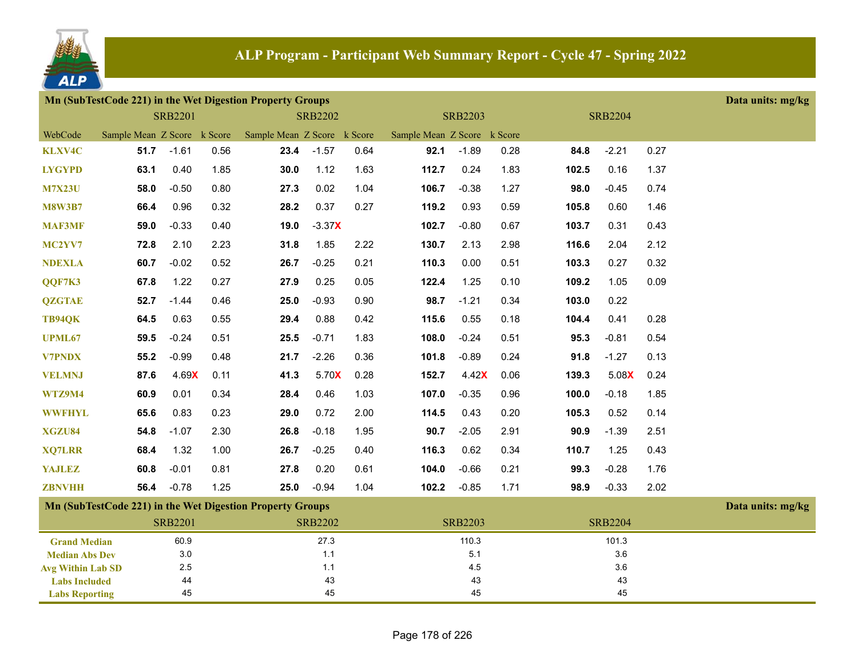

|                                 |                             |                |      | Mn (SubTestCode 221) in the Wet Digestion Property Groups |                |      |                             |                |      |       |                |      | Data units: mg/kg |
|---------------------------------|-----------------------------|----------------|------|-----------------------------------------------------------|----------------|------|-----------------------------|----------------|------|-------|----------------|------|-------------------|
|                                 |                             | <b>SRB2201</b> |      |                                                           | <b>SRB2202</b> |      |                             | <b>SRB2203</b> |      |       | <b>SRB2204</b> |      |                   |
| WebCode                         | Sample Mean Z Score k Score |                |      | Sample Mean Z Score k Score                               |                |      | Sample Mean Z Score k Score |                |      |       |                |      |                   |
| <b>KLXV4C</b>                   | 51.7                        | $-1.61$        | 0.56 | 23.4                                                      | $-1.57$        | 0.64 | 92.1                        | $-1.89$        | 0.28 | 84.8  | $-2.21$        | 0.27 |                   |
| <b>LYGYPD</b>                   | 63.1                        | 0.40           | 1.85 | 30.0                                                      | 1.12           | 1.63 | 112.7                       | 0.24           | 1.83 | 102.5 | 0.16           | 1.37 |                   |
| <b>M7X23U</b>                   | 58.0                        | $-0.50$        | 0.80 | 27.3                                                      | 0.02           | 1.04 | 106.7                       | $-0.38$        | 1.27 | 98.0  | $-0.45$        | 0.74 |                   |
| <b>M8W3B7</b>                   | 66.4                        | 0.96           | 0.32 | 28.2                                                      | 0.37           | 0.27 | 119.2                       | 0.93           | 0.59 | 105.8 | 0.60           | 1.46 |                   |
| <b>MAF3MF</b>                   | 59.0                        | $-0.33$        | 0.40 | 19.0                                                      | $-3.37X$       |      | 102.7                       | $-0.80$        | 0.67 | 103.7 | 0.31           | 0.43 |                   |
| MC <sub>2</sub> YV <sub>7</sub> | 72.8                        | 2.10           | 2.23 | 31.8                                                      | 1.85           | 2.22 | 130.7                       | 2.13           | 2.98 | 116.6 | 2.04           | 2.12 |                   |
| <b>NDEXLA</b>                   | 60.7                        | $-0.02$        | 0.52 | 26.7                                                      | $-0.25$        | 0.21 | 110.3                       | 0.00           | 0.51 | 103.3 | 0.27           | 0.32 |                   |
| QQF7K3                          | 67.8                        | 1.22           | 0.27 | 27.9                                                      | 0.25           | 0.05 | 122.4                       | 1.25           | 0.10 | 109.2 | 1.05           | 0.09 |                   |
| <b>QZGTAE</b>                   | 52.7                        | $-1.44$        | 0.46 | 25.0                                                      | $-0.93$        | 0.90 | 98.7                        | $-1.21$        | 0.34 | 103.0 | 0.22           |      |                   |
| TB94QK                          | 64.5                        | 0.63           | 0.55 | 29.4                                                      | 0.88           | 0.42 | 115.6                       | 0.55           | 0.18 | 104.4 | 0.41           | 0.28 |                   |
| <b>UPML67</b>                   | 59.5                        | $-0.24$        | 0.51 | 25.5                                                      | $-0.71$        | 1.83 | 108.0                       | $-0.24$        | 0.51 | 95.3  | $-0.81$        | 0.54 |                   |
| <b>V7PNDX</b>                   | 55.2                        | $-0.99$        | 0.48 | 21.7                                                      | $-2.26$        | 0.36 | 101.8                       | $-0.89$        | 0.24 | 91.8  | $-1.27$        | 0.13 |                   |
| <b>VELMNJ</b>                   | 87.6                        | 4.69X          | 0.11 | 41.3                                                      | 5.70 <b>X</b>  | 0.28 | 152.7                       | 4.42X          | 0.06 | 139.3 | 5.08X          | 0.24 |                   |
| WTZ9M4                          | 60.9                        | 0.01           | 0.34 | 28.4                                                      | 0.46           | 1.03 | 107.0                       | $-0.35$        | 0.96 | 100.0 | $-0.18$        | 1.85 |                   |
| <b>WWFHYL</b>                   | 65.6                        | 0.83           | 0.23 | 29.0                                                      | 0.72           | 2.00 | 114.5                       | 0.43           | 0.20 | 105.3 | 0.52           | 0.14 |                   |
| XGZU84                          | 54.8                        | $-1.07$        | 2.30 | 26.8                                                      | $-0.18$        | 1.95 | 90.7                        | $-2.05$        | 2.91 | 90.9  | $-1.39$        | 2.51 |                   |
| <b>XQ7LRR</b>                   | 68.4                        | 1.32           | 1.00 | 26.7                                                      | $-0.25$        | 0.40 | 116.3                       | 0.62           | 0.34 | 110.7 | 1.25           | 0.43 |                   |
| <b>YAJLEZ</b>                   | 60.8                        | $-0.01$        | 0.81 | 27.8                                                      | 0.20           | 0.61 | 104.0                       | $-0.66$        | 0.21 | 99.3  | $-0.28$        | 1.76 |                   |
| <b>ZBNVHH</b>                   | 56.4                        | $-0.78$        | 1.25 | 25.0                                                      | $-0.94$        | 1.04 | 102.2                       | $-0.85$        | 1.71 | 98.9  | $-0.33$        | 2.02 |                   |
|                                 |                             |                |      | Mn (SubTestCode 221) in the Wet Digestion Property Groups |                |      |                             |                |      |       |                |      | Data units: mg/kg |
|                                 |                             | <b>SRB2201</b> |      |                                                           | <b>SRB2202</b> |      |                             | <b>SRB2203</b> |      |       | <b>SRB2204</b> |      |                   |
| <b>Grand Median</b>             |                             | 60.9           |      |                                                           | 27.3           |      |                             | 110.3          |      |       | 101.3          |      |                   |
| <b>Median Abs Dev</b>           |                             | 3.0            |      |                                                           | 1.1            |      |                             | 5.1            |      |       | 3.6            |      |                   |
| <b>Avg Within Lab SD</b>        |                             | 2.5            |      |                                                           | 1.1            |      |                             | 4.5            |      |       | 3.6            |      |                   |
| <b>Labs Included</b>            |                             | 44             |      |                                                           | 43             |      |                             | 43             |      |       | 43             |      |                   |
| <b>Labs Reporting</b>           |                             | 45             |      |                                                           | 45             |      |                             | 45             |      |       | 45             |      |                   |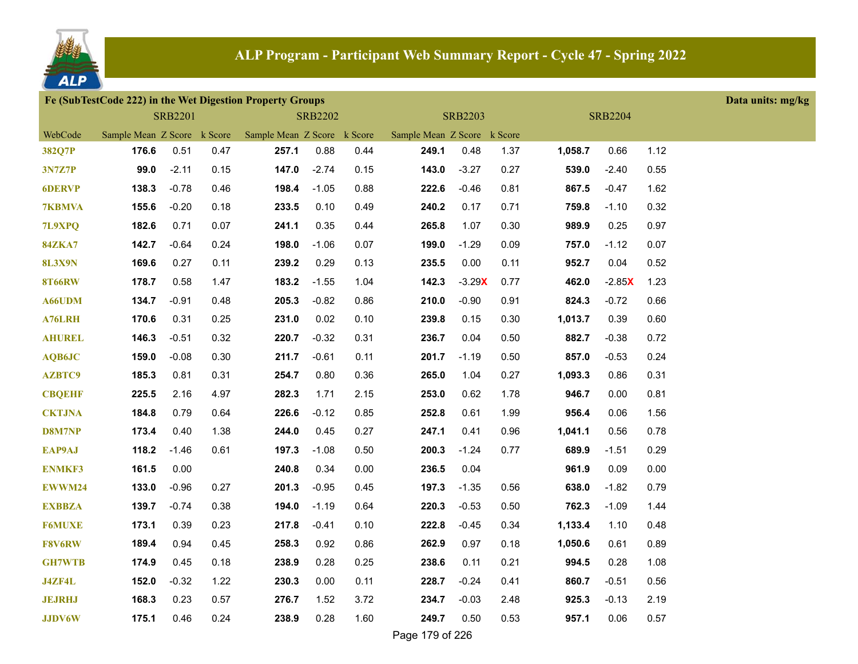

|               |                             |                |      | Fe (SubTestCode 222) in the Wet Digestion Property Groups |                |      |                             | Data units: mg/kg |      |         |                |      |  |
|---------------|-----------------------------|----------------|------|-----------------------------------------------------------|----------------|------|-----------------------------|-------------------|------|---------|----------------|------|--|
|               |                             | <b>SRB2201</b> |      |                                                           | <b>SRB2202</b> |      |                             | <b>SRB2203</b>    |      |         | <b>SRB2204</b> |      |  |
| WebCode       | Sample Mean Z Score k Score |                |      | Sample Mean Z Score k Score                               |                |      | Sample Mean Z Score k Score |                   |      |         |                |      |  |
| 382Q7P        | 176.6                       | 0.51           | 0.47 | 257.1                                                     | 0.88           | 0.44 | 249.1                       | 0.48              | 1.37 | 1,058.7 | 0.66           | 1.12 |  |
| <b>3N7Z7P</b> | 99.0                        | $-2.11$        | 0.15 | 147.0                                                     | $-2.74$        | 0.15 | 143.0                       | $-3.27$           | 0.27 | 539.0   | $-2.40$        | 0.55 |  |
| <b>6DERVP</b> | 138.3                       | $-0.78$        | 0.46 | 198.4                                                     | $-1.05$        | 0.88 | 222.6                       | $-0.46$           | 0.81 | 867.5   | $-0.47$        | 1.62 |  |
| 7KBMVA        | 155.6                       | $-0.20$        | 0.18 | 233.5                                                     | 0.10           | 0.49 | 240.2                       | 0.17              | 0.71 | 759.8   | $-1.10$        | 0.32 |  |
| 7L9XPQ        | 182.6                       | 0.71           | 0.07 | 241.1                                                     | 0.35           | 0.44 | 265.8                       | 1.07              | 0.30 | 989.9   | 0.25           | 0.97 |  |
| <b>84ZKA7</b> | 142.7                       | $-0.64$        | 0.24 | 198.0                                                     | $-1.06$        | 0.07 | 199.0                       | $-1.29$           | 0.09 | 757.0   | $-1.12$        | 0.07 |  |
| <b>8L3X9N</b> | 169.6                       | 0.27           | 0.11 | 239.2                                                     | 0.29           | 0.13 | 235.5                       | 0.00              | 0.11 | 952.7   | 0.04           | 0.52 |  |
| <b>8T66RW</b> | 178.7                       | 0.58           | 1.47 | 183.2                                                     | $-1.55$        | 1.04 | 142.3                       | $-3.29X$          | 0.77 | 462.0   | $-2.85X$       | 1.23 |  |
| A66UDM        | 134.7                       | $-0.91$        | 0.48 | 205.3                                                     | $-0.82$        | 0.86 | 210.0                       | $-0.90$           | 0.91 | 824.3   | $-0.72$        | 0.66 |  |
| A76LRH        | 170.6                       | 0.31           | 0.25 | 231.0                                                     | 0.02           | 0.10 | 239.8                       | 0.15              | 0.30 | 1,013.7 | 0.39           | 0.60 |  |
| <b>AHUREL</b> | 146.3                       | $-0.51$        | 0.32 | 220.7                                                     | $-0.32$        | 0.31 | 236.7                       | 0.04              | 0.50 | 882.7   | $-0.38$        | 0.72 |  |
| AQB6JC        | 159.0                       | $-0.08$        | 0.30 | 211.7                                                     | $-0.61$        | 0.11 | 201.7                       | $-1.19$           | 0.50 | 857.0   | $-0.53$        | 0.24 |  |
| <b>AZBTC9</b> | 185.3                       | 0.81           | 0.31 | 254.7                                                     | 0.80           | 0.36 | 265.0                       | 1.04              | 0.27 | 1,093.3 | 0.86           | 0.31 |  |
| <b>CBQEHF</b> | 225.5                       | 2.16           | 4.97 | 282.3                                                     | 1.71           | 2.15 | 253.0                       | 0.62              | 1.78 | 946.7   | 0.00           | 0.81 |  |
| <b>CKTJNA</b> | 184.8                       | 0.79           | 0.64 | 226.6                                                     | $-0.12$        | 0.85 | 252.8                       | 0.61              | 1.99 | 956.4   | 0.06           | 1.56 |  |
| D8M7NP        | 173.4                       | 0.40           | 1.38 | 244.0                                                     | 0.45           | 0.27 | 247.1                       | 0.41              | 0.96 | 1,041.1 | 0.56           | 0.78 |  |
| EAP9AJ        | 118.2                       | $-1.46$        | 0.61 | 197.3                                                     | $-1.08$        | 0.50 | 200.3                       | $-1.24$           | 0.77 | 689.9   | $-1.51$        | 0.29 |  |
| <b>ENMKF3</b> | 161.5                       | 0.00           |      | 240.8                                                     | 0.34           | 0.00 | 236.5                       | 0.04              |      | 961.9   | 0.09           | 0.00 |  |
| EWWM24        | 133.0                       | $-0.96$        | 0.27 | 201.3                                                     | $-0.95$        | 0.45 | 197.3                       | $-1.35$           | 0.56 | 638.0   | $-1.82$        | 0.79 |  |
| <b>EXBBZA</b> | 139.7                       | $-0.74$        | 0.38 | 194.0                                                     | $-1.19$        | 0.64 | 220.3                       | $-0.53$           | 0.50 | 762.3   | $-1.09$        | 1.44 |  |
| <b>F6MUXE</b> | 173.1                       | 0.39           | 0.23 | 217.8                                                     | $-0.41$        | 0.10 | 222.8                       | $-0.45$           | 0.34 | 1,133.4 | 1.10           | 0.48 |  |
| F8V6RW        | 189.4                       | 0.94           | 0.45 | 258.3                                                     | 0.92           | 0.86 | 262.9                       | 0.97              | 0.18 | 1,050.6 | 0.61           | 0.89 |  |
| <b>GH7WTB</b> | 174.9                       | 0.45           | 0.18 | 238.9                                                     | 0.28           | 0.25 | 238.6                       | 0.11              | 0.21 | 994.5   | 0.28           | 1.08 |  |
| <b>J4ZF4L</b> | 152.0                       | $-0.32$        | 1.22 | 230.3                                                     | 0.00           | 0.11 | 228.7                       | $-0.24$           | 0.41 | 860.7   | $-0.51$        | 0.56 |  |
| <b>JEJRHJ</b> | 168.3                       | 0.23           | 0.57 | 276.7                                                     | 1.52           | 3.72 | 234.7                       | $-0.03$           | 2.48 | 925.3   | $-0.13$        | 2.19 |  |
| JJDV6W        | 175.1                       | 0.46           | 0.24 | 238.9                                                     | 0.28           | 1.60 | 249.7                       | 0.50              | 0.53 | 957.1   | 0.06           | 0.57 |  |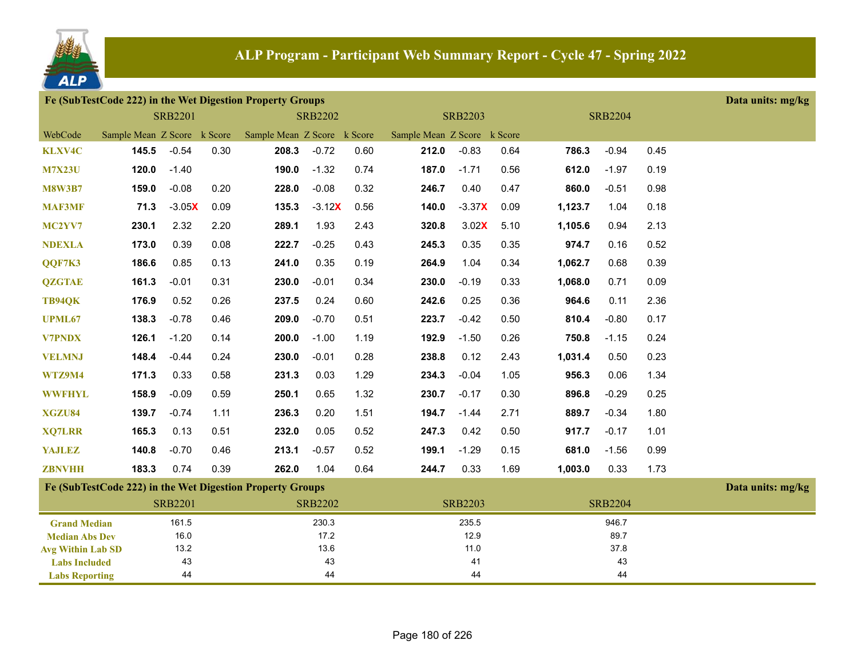

|                                 |                             |                |      | Fe (SubTestCode 222) in the Wet Digestion Property Groups |                |      |                             |                |      |         |                |      | Data units: mg/kg |
|---------------------------------|-----------------------------|----------------|------|-----------------------------------------------------------|----------------|------|-----------------------------|----------------|------|---------|----------------|------|-------------------|
|                                 |                             | <b>SRB2201</b> |      |                                                           | <b>SRB2202</b> |      |                             | <b>SRB2203</b> |      |         | <b>SRB2204</b> |      |                   |
| WebCode                         | Sample Mean Z Score k Score |                |      | Sample Mean Z Score k Score                               |                |      | Sample Mean Z Score k Score |                |      |         |                |      |                   |
| <b>KLXV4C</b>                   | 145.5                       | $-0.54$        | 0.30 | 208.3                                                     | $-0.72$        | 0.60 | 212.0                       | $-0.83$        | 0.64 | 786.3   | $-0.94$        | 0.45 |                   |
| <b>M7X23U</b>                   | 120.0                       | $-1.40$        |      | 190.0                                                     | $-1.32$        | 0.74 | 187.0                       | $-1.71$        | 0.56 | 612.0   | $-1.97$        | 0.19 |                   |
| <b>M8W3B7</b>                   | 159.0                       | $-0.08$        | 0.20 | 228.0                                                     | $-0.08$        | 0.32 | 246.7                       | 0.40           | 0.47 | 860.0   | $-0.51$        | 0.98 |                   |
| <b>MAF3MF</b>                   | 71.3                        | $-3.05X$       | 0.09 | 135.3                                                     | $-3.12X$       | 0.56 | 140.0                       | $-3.37X$       | 0.09 | 1,123.7 | 1.04           | 0.18 |                   |
| MC <sub>2</sub> YV <sub>7</sub> | 230.1                       | 2.32           | 2.20 | 289.1                                                     | 1.93           | 2.43 | 320.8                       | 3.02X          | 5.10 | 1,105.6 | 0.94           | 2.13 |                   |
| <b>NDEXLA</b>                   | 173.0                       | 0.39           | 0.08 | 222.7                                                     | $-0.25$        | 0.43 | 245.3                       | 0.35           | 0.35 | 974.7   | 0.16           | 0.52 |                   |
| QQF7K3                          | 186.6                       | 0.85           | 0.13 | 241.0                                                     | 0.35           | 0.19 | 264.9                       | 1.04           | 0.34 | 1,062.7 | 0.68           | 0.39 |                   |
| <b>OZGTAE</b>                   | 161.3                       | $-0.01$        | 0.31 | 230.0                                                     | $-0.01$        | 0.34 | 230.0                       | $-0.19$        | 0.33 | 1,068.0 | 0.71           | 0.09 |                   |
| TB94QK                          | 176.9                       | 0.52           | 0.26 | 237.5                                                     | 0.24           | 0.60 | 242.6                       | 0.25           | 0.36 | 964.6   | 0.11           | 2.36 |                   |
| UPML67                          | 138.3                       | $-0.78$        | 0.46 | 209.0                                                     | $-0.70$        | 0.51 | 223.7                       | $-0.42$        | 0.50 | 810.4   | $-0.80$        | 0.17 |                   |
| <b>V7PNDX</b>                   | 126.1                       | $-1.20$        | 0.14 | 200.0                                                     | $-1.00$        | 1.19 | 192.9                       | $-1.50$        | 0.26 | 750.8   | $-1.15$        | 0.24 |                   |
| <b>VELMNJ</b>                   | 148.4                       | $-0.44$        | 0.24 | 230.0                                                     | $-0.01$        | 0.28 | 238.8                       | 0.12           | 2.43 | 1,031.4 | 0.50           | 0.23 |                   |
| WTZ9M4                          | 171.3                       | 0.33           | 0.58 | 231.3                                                     | 0.03           | 1.29 | 234.3                       | $-0.04$        | 1.05 | 956.3   | 0.06           | 1.34 |                   |
| <b>WWFHYL</b>                   | 158.9                       | $-0.09$        | 0.59 | 250.1                                                     | 0.65           | 1.32 | 230.7                       | $-0.17$        | 0.30 | 896.8   | $-0.29$        | 0.25 |                   |
| <b>XGZU84</b>                   | 139.7                       | $-0.74$        | 1.11 | 236.3                                                     | 0.20           | 1.51 | 194.7                       | $-1.44$        | 2.71 | 889.7   | $-0.34$        | 1.80 |                   |
| <b>XO7LRR</b>                   | 165.3                       | 0.13           | 0.51 | 232.0                                                     | 0.05           | 0.52 | 247.3                       | 0.42           | 0.50 | 917.7   | $-0.17$        | 1.01 |                   |
| <b>YAJLEZ</b>                   | 140.8                       | $-0.70$        | 0.46 | 213.1                                                     | $-0.57$        | 0.52 | 199.1                       | $-1.29$        | 0.15 | 681.0   | $-1.56$        | 0.99 |                   |
| <b>ZBNVHH</b>                   | 183.3                       | 0.74           | 0.39 | 262.0                                                     | 1.04           | 0.64 | 244.7                       | 0.33           | 1.69 | 1,003.0 | 0.33           | 1.73 |                   |
|                                 |                             |                |      | Fe (SubTestCode 222) in the Wet Digestion Property Groups |                |      |                             |                |      |         |                |      | Data units: mg/kg |
|                                 |                             |                |      |                                                           |                |      |                             |                |      |         |                |      |                   |

|                       | TV (SubTestCout 222) in the Wet Digestion Froperty Groups |                |         |         | $Data$ units, $mg/Rg$ |
|-----------------------|-----------------------------------------------------------|----------------|---------|---------|-----------------------|
|                       | SRB2201                                                   | <b>SRB2202</b> | SRB2203 | SRB2204 |                       |
| <b>Grand Median</b>   | 161.5                                                     | 230.3          | 235.5   | 946.7   |                       |
| <b>Median Abs Dev</b> | 16.0                                                      | 17.2           | 12.9    | 89.7    |                       |
| Avg Within Lab SD     | 13.2                                                      | 13.6           | 11.0    | 37.8    |                       |
| <b>Labs Included</b>  | 43                                                        | 43             | 41      | 43      |                       |
| <b>Labs Reporting</b> | 44                                                        | 44             | 44      | 44      |                       |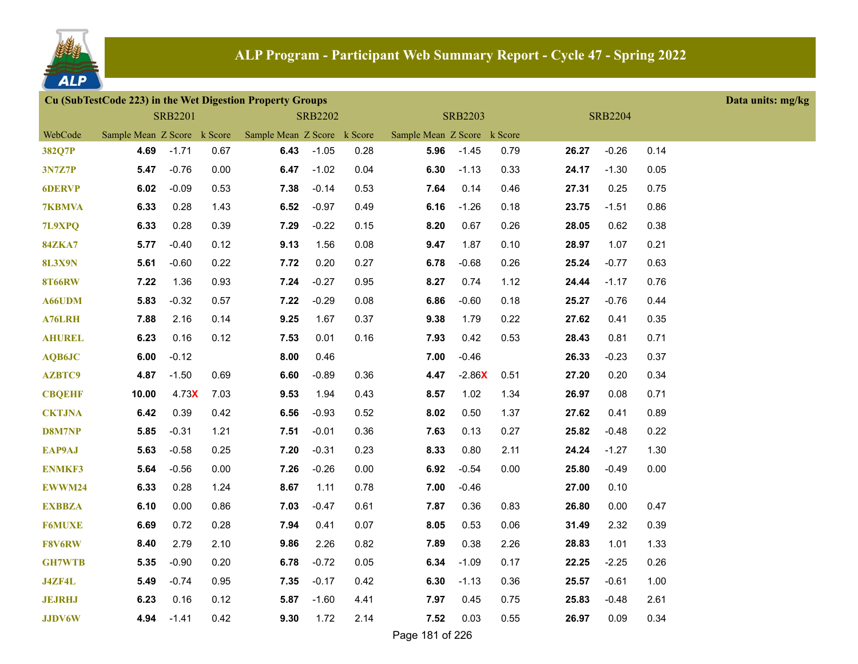

|               | Cu (SubTestCode 223) in the Wet Digestion Property Groups |                |      |                             |         |      |                             |                |      |       |                |      | Data units: mg/kg |
|---------------|-----------------------------------------------------------|----------------|------|-----------------------------|---------|------|-----------------------------|----------------|------|-------|----------------|------|-------------------|
|               |                                                           | <b>SRB2201</b> |      |                             | SRB2202 |      |                             | <b>SRB2203</b> |      |       | <b>SRB2204</b> |      |                   |
| WebCode       | Sample Mean Z Score k Score                               |                |      | Sample Mean Z Score k Score |         |      | Sample Mean Z Score k Score |                |      |       |                |      |                   |
| 382Q7P        | 4.69                                                      | $-1.71$        | 0.67 | 6.43                        | $-1.05$ | 0.28 | 5.96                        | $-1.45$        | 0.79 | 26.27 | $-0.26$        | 0.14 |                   |
| <b>3N7Z7P</b> | 5.47                                                      | $-0.76$        | 0.00 | 6.47                        | $-1.02$ | 0.04 | 6.30                        | $-1.13$        | 0.33 | 24.17 | $-1.30$        | 0.05 |                   |
| <b>6DERVP</b> | 6.02                                                      | $-0.09$        | 0.53 | 7.38                        | $-0.14$ | 0.53 | 7.64                        | 0.14           | 0.46 | 27.31 | 0.25           | 0.75 |                   |
| 7KBMVA        | 6.33                                                      | 0.28           | 1.43 | 6.52                        | $-0.97$ | 0.49 | 6.16                        | $-1.26$        | 0.18 | 23.75 | $-1.51$        | 0.86 |                   |
| 7L9XPQ        | 6.33                                                      | 0.28           | 0.39 | 7.29                        | $-0.22$ | 0.15 | 8.20                        | 0.67           | 0.26 | 28.05 | 0.62           | 0.38 |                   |
| <b>84ZKA7</b> | 5.77                                                      | $-0.40$        | 0.12 | 9.13                        | 1.56    | 0.08 | 9.47                        | 1.87           | 0.10 | 28.97 | 1.07           | 0.21 |                   |
| <b>8L3X9N</b> | 5.61                                                      | $-0.60$        | 0.22 | 7.72                        | 0.20    | 0.27 | 6.78                        | $-0.68$        | 0.26 | 25.24 | $-0.77$        | 0.63 |                   |
| <b>8T66RW</b> | 7.22                                                      | 1.36           | 0.93 | 7.24                        | $-0.27$ | 0.95 | 8.27                        | 0.74           | 1.12 | 24.44 | $-1.17$        | 0.76 |                   |
| A66UDM        | 5.83                                                      | $-0.32$        | 0.57 | 7.22                        | $-0.29$ | 0.08 | 6.86                        | $-0.60$        | 0.18 | 25.27 | $-0.76$        | 0.44 |                   |
| A76LRH        | 7.88                                                      | 2.16           | 0.14 | 9.25                        | 1.67    | 0.37 | 9.38                        | 1.79           | 0.22 | 27.62 | 0.41           | 0.35 |                   |
| <b>AHUREL</b> | 6.23                                                      | 0.16           | 0.12 | 7.53                        | 0.01    | 0.16 | 7.93                        | 0.42           | 0.53 | 28.43 | 0.81           | 0.71 |                   |
| <b>AQB6JC</b> | 6.00                                                      | $-0.12$        |      | 8.00                        | 0.46    |      | 7.00                        | $-0.46$        |      | 26.33 | $-0.23$        | 0.37 |                   |
| <b>AZBTC9</b> | 4.87                                                      | $-1.50$        | 0.69 | 6.60                        | $-0.89$ | 0.36 | 4.47                        | $-2.86X$       | 0.51 | 27.20 | 0.20           | 0.34 |                   |
| <b>CBQEHF</b> | 10.00                                                     | 4.73X          | 7.03 | 9.53                        | 1.94    | 0.43 | 8.57                        | 1.02           | 1.34 | 26.97 | 0.08           | 0.71 |                   |
| <b>CKTJNA</b> | 6.42                                                      | 0.39           | 0.42 | 6.56                        | $-0.93$ | 0.52 | 8.02                        | 0.50           | 1.37 | 27.62 | 0.41           | 0.89 |                   |
| <b>D8M7NP</b> | 5.85                                                      | $-0.31$        | 1.21 | 7.51                        | $-0.01$ | 0.36 | 7.63                        | 0.13           | 0.27 | 25.82 | $-0.48$        | 0.22 |                   |
| EAP9AJ        | 5.63                                                      | $-0.58$        | 0.25 | 7.20                        | $-0.31$ | 0.23 | 8.33                        | 0.80           | 2.11 | 24.24 | $-1.27$        | 1.30 |                   |
| <b>ENMKF3</b> | 5.64                                                      | $-0.56$        | 0.00 | 7.26                        | $-0.26$ | 0.00 | 6.92                        | $-0.54$        | 0.00 | 25.80 | $-0.49$        | 0.00 |                   |
| EWWM24        | 6.33                                                      | 0.28           | 1.24 | 8.67                        | 1.11    | 0.78 | 7.00                        | $-0.46$        |      | 27.00 | 0.10           |      |                   |
| <b>EXBBZA</b> | 6.10                                                      | 0.00           | 0.86 | 7.03                        | $-0.47$ | 0.61 | 7.87                        | 0.36           | 0.83 | 26.80 | 0.00           | 0.47 |                   |
| <b>F6MUXE</b> | 6.69                                                      | 0.72           | 0.28 | 7.94                        | 0.41    | 0.07 | 8.05                        | 0.53           | 0.06 | 31.49 | 2.32           | 0.39 |                   |
| F8V6RW        | 8.40                                                      | 2.79           | 2.10 | 9.86                        | 2.26    | 0.82 | 7.89                        | 0.38           | 2.26 | 28.83 | 1.01           | 1.33 |                   |
| <b>GH7WTB</b> | 5.35                                                      | $-0.90$        | 0.20 | 6.78                        | $-0.72$ | 0.05 | 6.34                        | $-1.09$        | 0.17 | 22.25 | $-2.25$        | 0.26 |                   |
| <b>J4ZF4L</b> | 5.49                                                      | $-0.74$        | 0.95 | 7.35                        | $-0.17$ | 0.42 | 6.30                        | $-1.13$        | 0.36 | 25.57 | $-0.61$        | 1.00 |                   |
| <b>JEJRHJ</b> | 6.23                                                      | 0.16           | 0.12 | 5.87                        | $-1.60$ | 4.41 | 7.97                        | 0.45           | 0.75 | 25.83 | $-0.48$        | 2.61 |                   |
| JJDV6W        | 4.94                                                      | $-1.41$        | 0.42 | 9.30                        | 1.72    | 2.14 | 7.52                        | 0.03           | 0.55 | 26.97 | 0.09           | 0.34 |                   |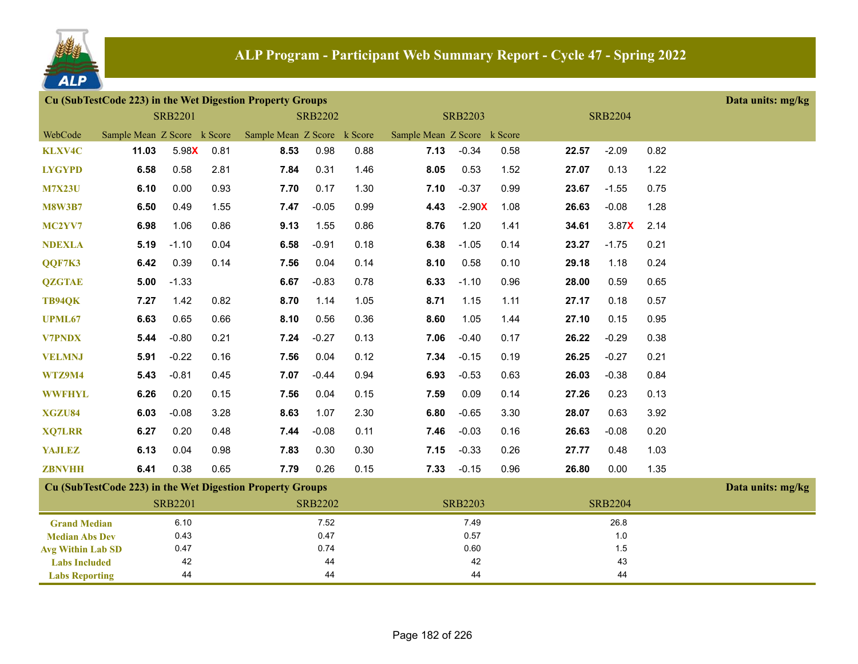

|                                 |                             |                |      | Cu (SubTestCode 223) in the Wet Digestion Property Groups |                |      |                             |                |      |       |                |      | Data units: mg/kg |
|---------------------------------|-----------------------------|----------------|------|-----------------------------------------------------------|----------------|------|-----------------------------|----------------|------|-------|----------------|------|-------------------|
|                                 |                             | <b>SRB2201</b> |      |                                                           | <b>SRB2202</b> |      |                             | <b>SRB2203</b> |      |       | <b>SRB2204</b> |      |                   |
| WebCode                         | Sample Mean Z Score k Score |                |      | Sample Mean Z Score k Score                               |                |      | Sample Mean Z Score k Score |                |      |       |                |      |                   |
| <b>KLXV4C</b>                   | 11.03                       | 5.98X          | 0.81 | 8.53                                                      | 0.98           | 0.88 | 7.13                        | $-0.34$        | 0.58 | 22.57 | $-2.09$        | 0.82 |                   |
| <b>LYGYPD</b>                   | 6.58                        | 0.58           | 2.81 | 7.84                                                      | 0.31           | 1.46 | 8.05                        | 0.53           | 1.52 | 27.07 | 0.13           | 1.22 |                   |
| <b>M7X23U</b>                   | 6.10                        | 0.00           | 0.93 | 7.70                                                      | 0.17           | 1.30 | 7.10                        | $-0.37$        | 0.99 | 23.67 | $-1.55$        | 0.75 |                   |
| <b>M8W3B7</b>                   | 6.50                        | 0.49           | 1.55 | 7.47                                                      | $-0.05$        | 0.99 | 4.43                        | $-2.90X$       | 1.08 | 26.63 | $-0.08$        | 1.28 |                   |
| MC <sub>2</sub> YV <sub>7</sub> | 6.98                        | 1.06           | 0.86 | 9.13                                                      | 1.55           | 0.86 | 8.76                        | 1.20           | 1.41 | 34.61 | 3.87X          | 2.14 |                   |
| <b>NDEXLA</b>                   | 5.19                        | $-1.10$        | 0.04 | 6.58                                                      | $-0.91$        | 0.18 | 6.38                        | $-1.05$        | 0.14 | 23.27 | $-1.75$        | 0.21 |                   |
| QQF7K3                          | 6.42                        | 0.39           | 0.14 | 7.56                                                      | 0.04           | 0.14 | 8.10                        | 0.58           | 0.10 | 29.18 | 1.18           | 0.24 |                   |
| <b>OZGTAE</b>                   | 5.00                        | $-1.33$        |      | 6.67                                                      | $-0.83$        | 0.78 | 6.33                        | $-1.10$        | 0.96 | 28.00 | 0.59           | 0.65 |                   |
| <b>TB94OK</b>                   | 7.27                        | 1.42           | 0.82 | 8.70                                                      | 1.14           | 1.05 | 8.71                        | 1.15           | 1.11 | 27.17 | 0.18           | 0.57 |                   |
| UPML67                          | 6.63                        | 0.65           | 0.66 | 8.10                                                      | 0.56           | 0.36 | 8.60                        | 1.05           | 1.44 | 27.10 | 0.15           | 0.95 |                   |
| <b>V7PNDX</b>                   | 5.44                        | $-0.80$        | 0.21 | 7.24                                                      | $-0.27$        | 0.13 | 7.06                        | $-0.40$        | 0.17 | 26.22 | $-0.29$        | 0.38 |                   |
| <b>VELMNJ</b>                   | 5.91                        | $-0.22$        | 0.16 | 7.56                                                      | 0.04           | 0.12 | 7.34                        | $-0.15$        | 0.19 | 26.25 | $-0.27$        | 0.21 |                   |
| WTZ9M4                          | 5.43                        | $-0.81$        | 0.45 | 7.07                                                      | $-0.44$        | 0.94 | 6.93                        | $-0.53$        | 0.63 | 26.03 | $-0.38$        | 0.84 |                   |
| <b>WWFHYL</b>                   | 6.26                        | 0.20           | 0.15 | 7.56                                                      | 0.04           | 0.15 | 7.59                        | 0.09           | 0.14 | 27.26 | 0.23           | 0.13 |                   |
| XGZU84                          | 6.03                        | $-0.08$        | 3.28 | 8.63                                                      | 1.07           | 2.30 | 6.80                        | $-0.65$        | 3.30 | 28.07 | 0.63           | 3.92 |                   |
| <b>XQ7LRR</b>                   | 6.27                        | 0.20           | 0.48 | 7.44                                                      | $-0.08$        | 0.11 | 7.46                        | $-0.03$        | 0.16 | 26.63 | $-0.08$        | 0.20 |                   |
| <b>YAJLEZ</b>                   | 6.13                        | 0.04           | 0.98 | 7.83                                                      | 0.30           | 0.30 | 7.15                        | $-0.33$        | 0.26 | 27.77 | 0.48           | 1.03 |                   |
| <b>ZBNVHH</b>                   | 6.41                        | 0.38           | 0.65 | 7.79                                                      | 0.26           | 0.15 | 7.33                        | $-0.15$        | 0.96 | 26.80 | 0.00           | 1.35 |                   |
|                                 |                             |                |      | Cu (SubTestCode 223) in the Wet Digestion Property Groups |                |      |                             |                |      |       |                |      | Data units: mg/kg |
|                                 |                             | CDDOA          |      |                                                           |                |      |                             | CDDOAO         |      |       | CDDOA          |      |                   |

|                          |                |                |         |         | . . |
|--------------------------|----------------|----------------|---------|---------|-----|
|                          | <b>SRB2201</b> | <b>SRB2202</b> | SRB2203 | SRB2204 |     |
| <b>Grand Median</b>      | 6.10           | 7.52           | 7.49    | 26.8    |     |
| <b>Median Abs Dev</b>    | 0.43           | 0.47           | 0.57    | 1.0     |     |
| <b>Avg Within Lab SD</b> | 0.47           | 0.74           | 0.60    | 1.5     |     |
| <b>Labs Included</b>     | 42             | 44             | 42      | 43      |     |
| <b>Labs Reporting</b>    | 44             | 44             | 44      | 44      |     |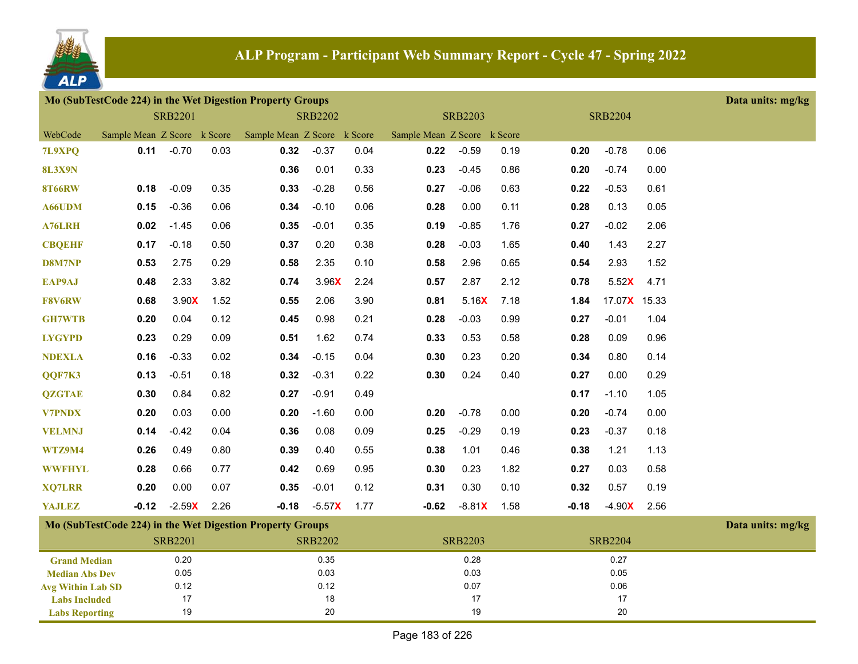

|                          |                             |                  |      | Mo (SubTestCode 224) in the Wet Digestion Property Groups |                |      |                             |                |      |         |                |      | Data units: mg/kg |
|--------------------------|-----------------------------|------------------|------|-----------------------------------------------------------|----------------|------|-----------------------------|----------------|------|---------|----------------|------|-------------------|
|                          |                             | <b>SRB2201</b>   |      |                                                           | <b>SRB2202</b> |      |                             | <b>SRB2203</b> |      |         | <b>SRB2204</b> |      |                   |
| WebCode                  | Sample Mean Z Score k Score |                  |      | Sample Mean Z Score k Score                               |                |      | Sample Mean Z Score k Score |                |      |         |                |      |                   |
| 7L9XPQ                   | 0.11                        | $-0.70$          | 0.03 | 0.32                                                      | $-0.37$        | 0.04 | 0.22                        | $-0.59$        | 0.19 | 0.20    | $-0.78$        | 0.06 |                   |
| <b>8L3X9N</b>            |                             |                  |      | 0.36                                                      | 0.01           | 0.33 | 0.23                        | $-0.45$        | 0.86 | 0.20    | $-0.74$        | 0.00 |                   |
| <b>8T66RW</b>            | 0.18                        | $-0.09$          | 0.35 | 0.33                                                      | $-0.28$        | 0.56 | 0.27                        | $-0.06$        | 0.63 | 0.22    | $-0.53$        | 0.61 |                   |
| A66UDM                   | 0.15                        | $-0.36$          | 0.06 | 0.34                                                      | $-0.10$        | 0.06 | 0.28                        | 0.00           | 0.11 | 0.28    | 0.13           | 0.05 |                   |
| A76LRH                   | 0.02                        | $-1.45$          | 0.06 | 0.35                                                      | $-0.01$        | 0.35 | 0.19                        | $-0.85$        | 1.76 | 0.27    | $-0.02$        | 2.06 |                   |
| <b>CBQEHF</b>            | 0.17                        | $-0.18$          | 0.50 | 0.37                                                      | 0.20           | 0.38 | 0.28                        | $-0.03$        | 1.65 | 0.40    | 1.43           | 2.27 |                   |
| D8M7NP                   | 0.53                        | 2.75             | 0.29 | 0.58                                                      | 2.35           | 0.10 | 0.58                        | 2.96           | 0.65 | 0.54    | 2.93           | 1.52 |                   |
| EAP9AJ                   | 0.48                        | 2.33             | 3.82 | 0.74                                                      | 3.96X          | 2.24 | 0.57                        | 2.87           | 2.12 | 0.78    | 5.52X          | 4.71 |                   |
| <b>F8V6RW</b>            | 0.68                        | 3.90X            | 1.52 | 0.55                                                      | 2.06           | 3.90 | 0.81                        | 5.16X          | 7.18 | 1.84    | 17.07X 15.33   |      |                   |
| <b>GH7WTB</b>            | 0.20                        | 0.04             | 0.12 | 0.45                                                      | 0.98           | 0.21 | 0.28                        | $-0.03$        | 0.99 | 0.27    | $-0.01$        | 1.04 |                   |
| <b>LYGYPD</b>            | 0.23                        | 0.29             | 0.09 | 0.51                                                      | 1.62           | 0.74 | 0.33                        | 0.53           | 0.58 | 0.28    | 0.09           | 0.96 |                   |
| <b>NDEXLA</b>            | 0.16                        | $-0.33$          | 0.02 | 0.34                                                      | $-0.15$        | 0.04 | 0.30                        | 0.23           | 0.20 | 0.34    | 0.80           | 0.14 |                   |
| QQF7K3                   | 0.13                        | $-0.51$          | 0.18 | 0.32                                                      | $-0.31$        | 0.22 | 0.30                        | 0.24           | 0.40 | 0.27    | 0.00           | 0.29 |                   |
| <b>QZGTAE</b>            | 0.30                        | 0.84             | 0.82 | 0.27                                                      | $-0.91$        | 0.49 |                             |                |      | 0.17    | $-1.10$        | 1.05 |                   |
| <b>V7PNDX</b>            | 0.20                        | 0.03             | 0.00 | 0.20                                                      | $-1.60$        | 0.00 | 0.20                        | $-0.78$        | 0.00 | 0.20    | $-0.74$        | 0.00 |                   |
| <b>VELMNJ</b>            | 0.14                        | $-0.42$          | 0.04 | 0.36                                                      | 0.08           | 0.09 | 0.25                        | $-0.29$        | 0.19 | 0.23    | $-0.37$        | 0.18 |                   |
| WTZ9M4                   | 0.26                        | 0.49             | 0.80 | 0.39                                                      | 0.40           | 0.55 | 0.38                        | 1.01           | 0.46 | 0.38    | 1.21           | 1.13 |                   |
| <b>WWFHYL</b>            | 0.28                        | 0.66             | 0.77 | 0.42                                                      | 0.69           | 0.95 | 0.30                        | 0.23           | 1.82 | 0.27    | 0.03           | 0.58 |                   |
| <b>XQ7LRR</b>            | 0.20                        | 0.00             | 0.07 | 0.35                                                      | $-0.01$        | 0.12 | 0.31                        | 0.30           | 0.10 | 0.32    | 0.57           | 0.19 |                   |
| <b>YAJLEZ</b>            | $-0.12$                     | $-2.59$ <b>X</b> | 2.26 | $-0.18$                                                   | $-5.57X$       | 1.77 | $-0.62$                     | $-8.81X$       | 1.58 | $-0.18$ | $-4.90X$       | 2.56 |                   |
|                          |                             |                  |      | Mo (SubTestCode 224) in the Wet Digestion Property Groups |                |      |                             |                |      |         |                |      | Data units: mg/kg |
|                          |                             | <b>SRB2201</b>   |      |                                                           | <b>SRB2202</b> |      |                             | <b>SRB2203</b> |      |         | <b>SRB2204</b> |      |                   |
| <b>Grand Median</b>      |                             | 0.20             |      |                                                           | 0.35           |      |                             | 0.28           |      |         | 0.27           |      |                   |
| <b>Median Abs Dev</b>    |                             | 0.05             |      |                                                           | 0.03           |      |                             | 0.03           |      |         | 0.05           |      |                   |
| <b>Avg Within Lab SD</b> |                             | 0.12             |      |                                                           | 0.12           |      |                             | 0.07           |      |         | 0.06           |      |                   |
| <b>Labs Included</b>     |                             | 17               |      |                                                           | 18             |      |                             | 17             |      |         | 17             |      |                   |
| <b>Labs Reporting</b>    |                             | 19               |      |                                                           | 20             |      |                             | 19             |      |         | 20             |      |                   |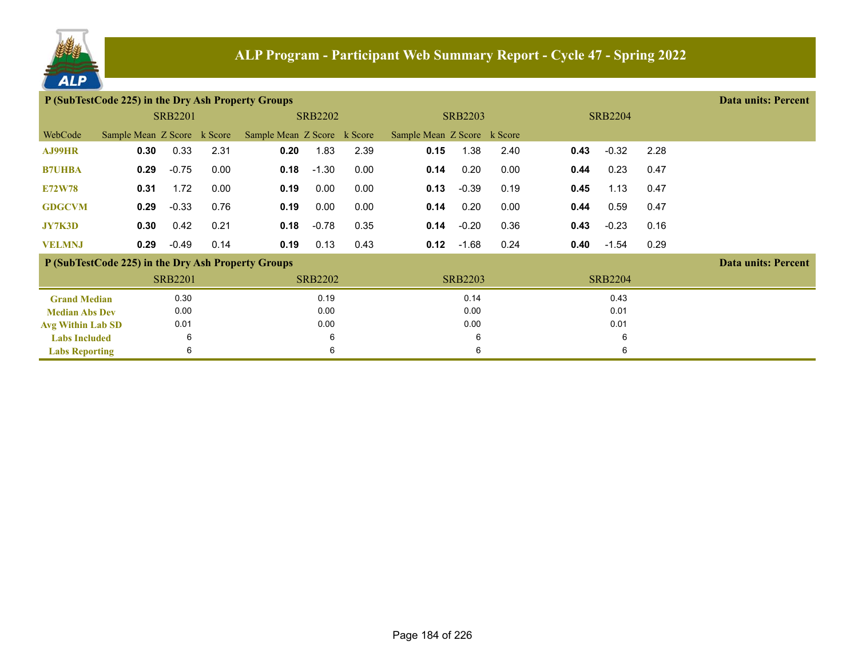

|                          | P (SubTestCode 225) in the Dry Ash Property Groups |                                                                      |      |                             |                |      |                             |                |      |      |                |      | Data units: Percent        |
|--------------------------|----------------------------------------------------|----------------------------------------------------------------------|------|-----------------------------|----------------|------|-----------------------------|----------------|------|------|----------------|------|----------------------------|
|                          |                                                    | <b>SRB2201</b>                                                       |      |                             | <b>SRB2202</b> |      |                             | <b>SRB2203</b> |      |      | <b>SRB2204</b> |      |                            |
| WebCode                  | Sample Mean Z Score k Score                        |                                                                      |      | Sample Mean Z Score k Score |                |      | Sample Mean Z Score k Score |                |      |      |                |      |                            |
| AJ99HR                   | 0.30                                               | 0.33                                                                 | 2.31 | 0.20                        | 1.83           | 2.39 | 0.15                        | 1.38           | 2.40 | 0.43 | $-0.32$        | 2.28 |                            |
| <b>B7UHBA</b>            | 0.29                                               | $-0.75$                                                              | 0.00 | 0.18                        | $-1.30$        | 0.00 | 0.14                        | 0.20           | 0.00 | 0.44 | 0.23           | 0.47 |                            |
| E72W78                   | 0.31                                               | 1.72                                                                 | 0.00 | 0.19                        | 0.00           | 0.00 | 0.13                        | $-0.39$        | 0.19 | 0.45 | 1.13           | 0.47 |                            |
| <b>GDGCVM</b>            | 0.29                                               | $-0.33$                                                              | 0.76 | 0.19                        | 0.00           | 0.00 | 0.14                        | 0.20           | 0.00 | 0.44 | 0.59           | 0.47 |                            |
| <b>JY7K3D</b>            | 0.30                                               | 0.42                                                                 | 0.21 | 0.18                        | $-0.78$        | 0.35 | 0.14                        | $-0.20$        | 0.36 | 0.43 | $-0.23$        | 0.16 |                            |
| <b>VELMNJ</b>            | 0.29                                               | $-0.49$                                                              | 0.14 | 0.19                        | 0.13           | 0.43 | 0.12                        | $-1.68$        | 0.24 | 0.40 | $-1.54$        | 0.29 |                            |
|                          |                                                    |                                                                      |      |                             |                |      |                             |                |      |      |                |      | <b>Data units: Percent</b> |
|                          |                                                    | P (SubTestCode 225) in the Dry Ash Property Groups<br><b>SRB2201</b> |      |                             | <b>SRB2202</b> |      |                             | <b>SRB2203</b> |      |      | <b>SRB2204</b> |      |                            |
| <b>Grand Median</b>      |                                                    | 0.30                                                                 |      |                             | 0.19           |      |                             | 0.14           |      |      | 0.43           |      |                            |
| <b>Median Abs Dev</b>    |                                                    | 0.00                                                                 |      |                             | 0.00           |      |                             | 0.00           |      |      | 0.01           |      |                            |
| <b>Avg Within Lab SD</b> |                                                    | 0.01                                                                 |      |                             | 0.00           |      |                             | 0.00           |      |      | 0.01           |      |                            |
| <b>Labs Included</b>     |                                                    | 6                                                                    |      |                             | 6              |      |                             | 6              |      |      | 6              |      |                            |

**Labs Reporting** <sup>66</sup> <sup>6</sup> <sup>6</sup>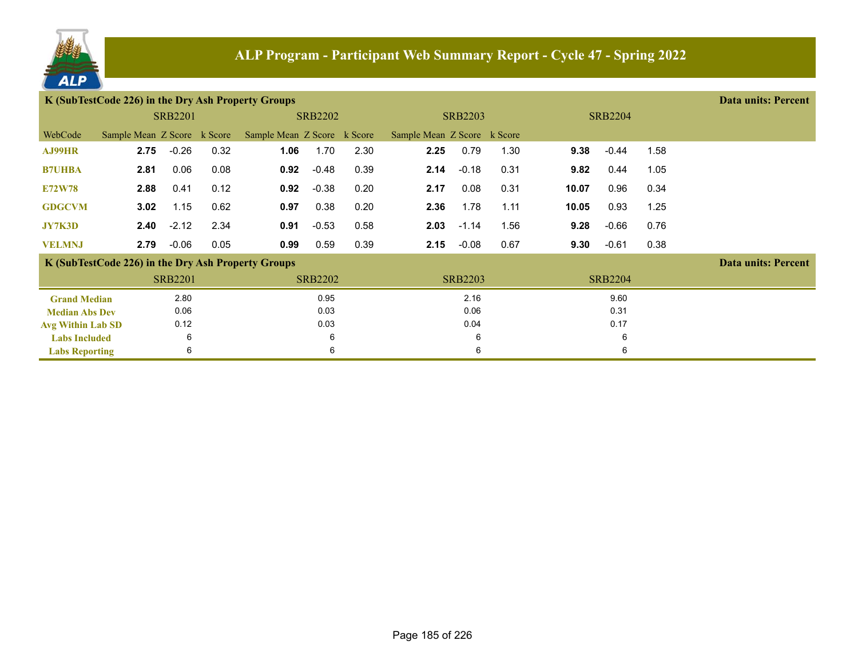

|                       |                             |                |      | K (SubTestCode 226) in the Dry Ash Property Groups |                |      |                             |                |      |       |                |      | Data units: Percent |
|-----------------------|-----------------------------|----------------|------|----------------------------------------------------|----------------|------|-----------------------------|----------------|------|-------|----------------|------|---------------------|
|                       |                             | <b>SRB2201</b> |      |                                                    | <b>SRB2202</b> |      |                             | <b>SRB2203</b> |      |       | <b>SRB2204</b> |      |                     |
| WebCode               | Sample Mean Z Score k Score |                |      | Sample Mean Z Score k Score                        |                |      | Sample Mean Z Score k Score |                |      |       |                |      |                     |
| AJ99HR                | 2.75                        | $-0.26$        | 0.32 | 1.06                                               | 1.70           | 2.30 | 2.25                        | 0.79           | 1.30 | 9.38  | $-0.44$        | 1.58 |                     |
| <b>B7UHBA</b>         | 2.81                        | 0.06           | 0.08 | 0.92                                               | $-0.48$        | 0.39 | 2.14                        | $-0.18$        | 0.31 | 9.82  | 0.44           | 1.05 |                     |
| E72W78                | 2.88                        | 0.41           | 0.12 | 0.92                                               | $-0.38$        | 0.20 | 2.17                        | 0.08           | 0.31 | 10.07 | 0.96           | 0.34 |                     |
| <b>GDGCVM</b>         | 3.02                        | 1.15           | 0.62 | 0.97                                               | 0.38           | 0.20 | 2.36                        | 1.78           | 1.11 | 10.05 | 0.93           | 1.25 |                     |
| <b>JY7K3D</b>         | 2.40                        | $-2.12$        | 2.34 | 0.91                                               | $-0.53$        | 0.58 | 2.03                        | $-1.14$        | 1.56 | 9.28  | $-0.66$        | 0.76 |                     |
| <b>VELMNJ</b>         | 2.79                        | $-0.06$        | 0.05 | 0.99                                               | 0.59           | 0.39 | 2.15                        | $-0.08$        | 0.67 | 9.30  | $-0.61$        | 0.38 |                     |
|                       |                             |                |      | K (SubTestCode 226) in the Dry Ash Property Groups |                |      |                             |                |      |       |                |      | Data units: Percent |
|                       |                             | <b>SRB2201</b> |      |                                                    | <b>SRB2202</b> |      |                             | <b>SRB2203</b> |      |       | <b>SRB2204</b> |      |                     |
|                       |                             |                |      |                                                    |                |      |                             |                |      |       |                |      |                     |
| <b>Grand Median</b>   |                             | 2.80           |      |                                                    | 0.95           |      |                             | 2.16           |      |       | 9.60           |      |                     |
| <b>Median Abs Dev</b> |                             | 0.06           |      |                                                    | 0.03           |      |                             | 0.06           |      |       | 0.31           |      |                     |
| Avg Within Lab SD     |                             | 0.12           |      |                                                    | 0.03           |      |                             | 0.04           |      |       | 0.17           |      |                     |
| <b>Labs Included</b>  |                             | 6              |      |                                                    | 6              |      |                             | 6              |      |       | 6              |      |                     |

**Labs Reporting** <sup>66</sup> <sup>6</sup> <sup>6</sup>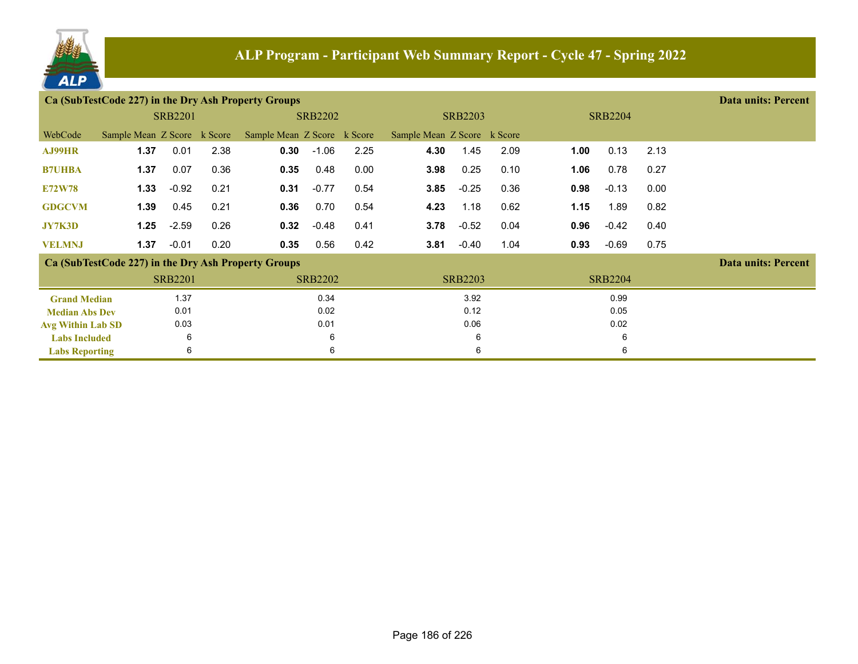

|                          |                                                                       |                |      | Ca (SubTestCode 227) in the Dry Ash Property Groups |                |      |                             |                |      |      |                |      | Data units: Percent |  |
|--------------------------|-----------------------------------------------------------------------|----------------|------|-----------------------------------------------------|----------------|------|-----------------------------|----------------|------|------|----------------|------|---------------------|--|
|                          |                                                                       | <b>SRB2201</b> |      |                                                     | <b>SRB2202</b> |      |                             | <b>SRB2203</b> |      |      | <b>SRB2204</b> |      |                     |  |
| WebCode                  | Sample Mean Z Score k Score                                           |                |      | Sample Mean Z Score k Score                         |                |      | Sample Mean Z Score k Score |                |      |      |                |      |                     |  |
| AJ99HR                   | 1.37                                                                  | 0.01           | 2.38 | 0.30                                                | $-1.06$        | 2.25 | 4.30                        | 1.45           | 2.09 | 1.00 | 0.13           | 2.13 |                     |  |
| <b>B7UHBA</b>            | 1.37                                                                  | 0.07           | 0.36 | 0.35                                                | 0.48           | 0.00 | 3.98                        | 0.25           | 0.10 | 1.06 | 0.78           | 0.27 |                     |  |
| E72W78                   | 1.33                                                                  | $-0.92$        | 0.21 | 0.31                                                | $-0.77$        | 0.54 | 3.85                        | $-0.25$        | 0.36 | 0.98 | $-0.13$        | 0.00 |                     |  |
| <b>GDGCVM</b>            | 1.39                                                                  | 0.45           | 0.21 | 0.36                                                | 0.70           | 0.54 | 4.23                        | 1.18           | 0.62 | 1.15 | 1.89           | 0.82 |                     |  |
| JY7K3D                   | 1.25                                                                  | $-2.59$        | 0.26 | 0.32                                                | $-0.48$        | 0.41 | 3.78                        | $-0.52$        | 0.04 | 0.96 | $-0.42$        | 0.40 |                     |  |
| <b>VELMNJ</b>            | 1.37                                                                  | $-0.01$        | 0.20 | 0.35                                                | 0.56           | 0.42 |                             | $-0.40$        | 1.04 | 0.93 | $-0.69$        | 0.75 |                     |  |
|                          |                                                                       |                |      |                                                     |                |      | 3.81                        |                |      |      |                |      |                     |  |
|                          |                                                                       |                |      |                                                     |                |      |                             |                |      |      |                |      | Data units: Percent |  |
|                          | Ca (SubTestCode 227) in the Dry Ash Property Groups<br><b>SRB2201</b> |                |      |                                                     | <b>SRB2202</b> |      |                             | <b>SRB2203</b> |      |      | <b>SRB2204</b> |      |                     |  |
| <b>Grand Median</b>      |                                                                       | 1.37           |      |                                                     | 0.34           |      |                             | 3.92           |      |      | 0.99           |      |                     |  |
| <b>Median Abs Dev</b>    |                                                                       | 0.01           |      |                                                     | 0.02           |      |                             | 0.12           |      |      | 0.05           |      |                     |  |
| <b>Avg Within Lab SD</b> | 0.03<br>6                                                             |                |      |                                                     | 0.01           |      |                             | 0.06           |      |      | 0.02           |      |                     |  |
| <b>Labs Included</b>     |                                                                       |                |      | 6                                                   |                |      | 6                           |                |      | 6    |                |      |                     |  |
| <b>Labs Reporting</b>    |                                                                       | 6              |      |                                                     | 6              |      |                             | 6              |      |      | 6              |      |                     |  |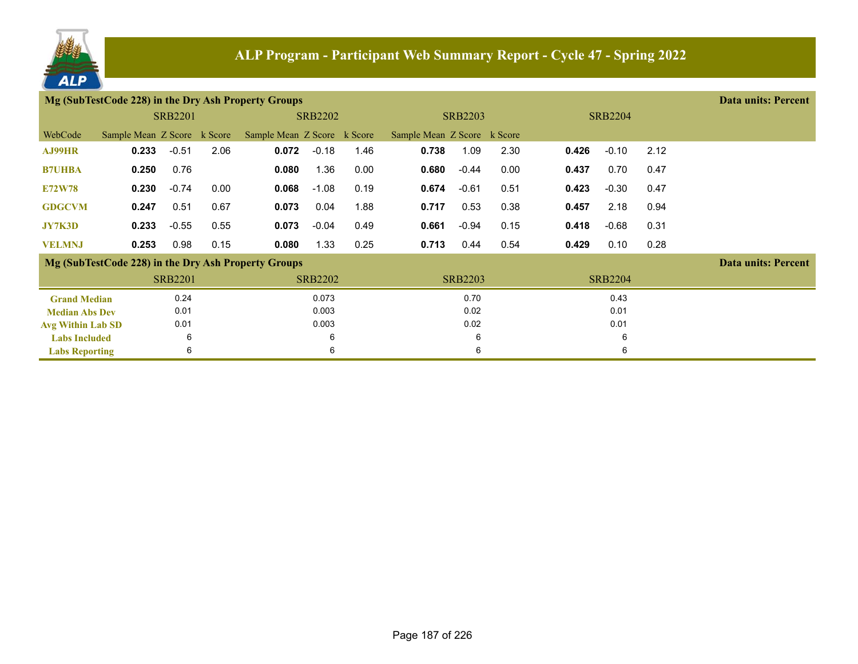

|                          |                             |                |      | Mg (SubTestCode 228) in the Dry Ash Property Groups |                |      |                             |                |      |       |                |      | Data units: Percent |
|--------------------------|-----------------------------|----------------|------|-----------------------------------------------------|----------------|------|-----------------------------|----------------|------|-------|----------------|------|---------------------|
|                          |                             | <b>SRB2201</b> |      |                                                     | <b>SRB2202</b> |      |                             | <b>SRB2203</b> |      |       | <b>SRB2204</b> |      |                     |
| WebCode                  | Sample Mean Z Score k Score |                |      | Sample Mean Z Score k Score                         |                |      | Sample Mean Z Score k Score |                |      |       |                |      |                     |
| AJ99HR                   | 0.233                       | $-0.51$        | 2.06 | 0.072                                               | $-0.18$        | 1.46 | 0.738                       | 1.09           | 2.30 | 0.426 | $-0.10$        | 2.12 |                     |
| <b>B7UHBA</b>            | 0.250                       | 0.76           |      | 0.080                                               | 1.36           | 0.00 | 0.680                       | $-0.44$        | 0.00 | 0.437 | 0.70           | 0.47 |                     |
| E72W78                   | 0.230                       | $-0.74$        | 0.00 | 0.068                                               | $-1.08$        | 0.19 | 0.674                       | $-0.61$        | 0.51 | 0.423 | $-0.30$        | 0.47 |                     |
| <b>GDGCVM</b>            | 0.247                       | 0.51           | 0.67 | 0.073                                               | 0.04           | 1.88 | 0.717                       | 0.53           | 0.38 | 0.457 | 2.18           | 0.94 |                     |
| JY7K3D                   | 0.233                       | $-0.55$        | 0.55 | 0.073                                               | $-0.04$        | 0.49 | 0.661                       | $-0.94$        | 0.15 | 0.418 | $-0.68$        | 0.31 |                     |
| <b>VELMNJ</b>            | 0.253                       | 0.98           | 0.15 | 0.080                                               | 1.33           | 0.25 | 0.713                       | 0.44           | 0.54 | 0.429 | 0.10           | 0.28 |                     |
|                          |                             |                |      |                                                     |                |      |                             |                |      |       |                |      |                     |
|                          |                             |                |      | Mg (SubTestCode 228) in the Dry Ash Property Groups |                |      |                             |                |      |       |                |      | Data units: Percent |
|                          | <b>SRB2201</b>              |                |      |                                                     | <b>SRB2202</b> |      |                             | <b>SRB2203</b> |      |       | <b>SRB2204</b> |      |                     |
| <b>Grand Median</b>      |                             | 0.24           |      |                                                     | 0.073          |      |                             | 0.70           |      |       | 0.43           |      |                     |
| <b>Median Abs Dev</b>    |                             | 0.01           |      |                                                     | 0.003          |      |                             | 0.02           |      |       | 0.01           |      |                     |
| <b>Avg Within Lab SD</b> |                             |                |      | 0.003                                               |                |      | 0.02                        |                |      | 0.01  |                |      |                     |
| <b>Labs Included</b>     |                             | 6              |      |                                                     | 6              |      |                             | 6              |      |       | 6              |      |                     |

**Labs Reporting** <sup>66</sup> <sup>6</sup> <sup>6</sup>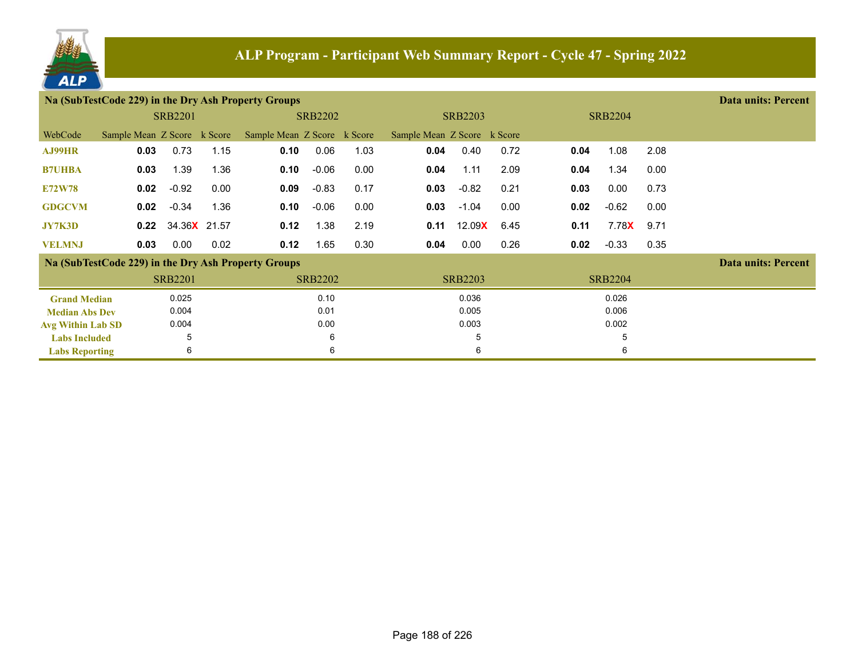

|                       |                                                                       |                |              | Na (SubTestCode 229) in the Dry Ash Property Groups |                |      |                             |                |      |      |                   |      | Data units: Percent |  |
|-----------------------|-----------------------------------------------------------------------|----------------|--------------|-----------------------------------------------------|----------------|------|-----------------------------|----------------|------|------|-------------------|------|---------------------|--|
|                       |                                                                       | <b>SRB2201</b> |              |                                                     | <b>SRB2202</b> |      |                             | <b>SRB2203</b> |      |      | <b>SRB2204</b>    |      |                     |  |
| WebCode               | Sample Mean Z Score k Score                                           |                |              | Sample Mean Z Score k Score                         |                |      | Sample Mean Z Score k Score |                |      |      |                   |      |                     |  |
| AJ99HR                | 0.03                                                                  | 0.73           | 1.15         | 0.10                                                | 0.06           | 1.03 | 0.04                        | 0.40           | 0.72 | 0.04 | 1.08              | 2.08 |                     |  |
| <b>B7UHBA</b>         | 0.03                                                                  | 1.39           | 1.36         | 0.10                                                | $-0.06$        | 0.00 | 0.04                        | 1.11           | 2.09 | 0.04 | 1.34              | 0.00 |                     |  |
| E72W78                | 0.02                                                                  | $-0.92$        | 0.00         | 0.09                                                | $-0.83$        | 0.17 | 0.03                        | $-0.82$        | 0.21 | 0.03 | 0.00              | 0.73 |                     |  |
| <b>GDGCVM</b>         | 0.02                                                                  | $-0.34$        | 1.36         | 0.10                                                | $-0.06$        | 0.00 | 0.03                        | $-1.04$        | 0.00 | 0.02 | $-0.62$           | 0.00 |                     |  |
| JY7K3D                | 0.22                                                                  |                | 34.36X 21.57 | 0.12                                                | 1.38           | 2.19 | 0.11                        | 12.09X         | 6.45 | 0.11 | 7.78 <sub>X</sub> | 9.71 |                     |  |
| <b>VELMNJ</b>         | 0.03                                                                  | 0.00           | 0.02         | 0.12                                                | 1.65           | 0.30 | 0.04                        | 0.00           | 0.26 | 0.02 | $-0.33$           | 0.35 |                     |  |
|                       |                                                                       |                |              |                                                     |                |      |                             |                |      |      |                   |      |                     |  |
|                       |                                                                       |                |              |                                                     |                |      |                             |                |      |      |                   |      | Data units: Percent |  |
|                       | Na (SubTestCode 229) in the Dry Ash Property Groups<br><b>SRB2201</b> |                |              |                                                     | <b>SRB2202</b> |      |                             | <b>SRB2203</b> |      |      | <b>SRB2204</b>    |      |                     |  |
| <b>Grand Median</b>   |                                                                       | 0.025          |              |                                                     | 0.10           |      |                             | 0.036          |      |      | 0.026             |      |                     |  |
| <b>Median Abs Dev</b> |                                                                       | 0.004          |              |                                                     | 0.01           |      |                             | 0.005          |      |      | 0.006             |      |                     |  |
|                       | 0.004<br><b>Avg Within Lab SD</b>                                     |                |              |                                                     | 0.00           |      |                             | 0.003          |      |      | 0.002             |      |                     |  |
|                       | 5<br><b>Labs Included</b>                                             |                |              |                                                     | 6              |      |                             | 5              |      |      | 5                 |      |                     |  |
| <b>Labs Reporting</b> |                                                                       | 6              |              |                                                     | 6              |      |                             | 6              |      |      | 6                 |      |                     |  |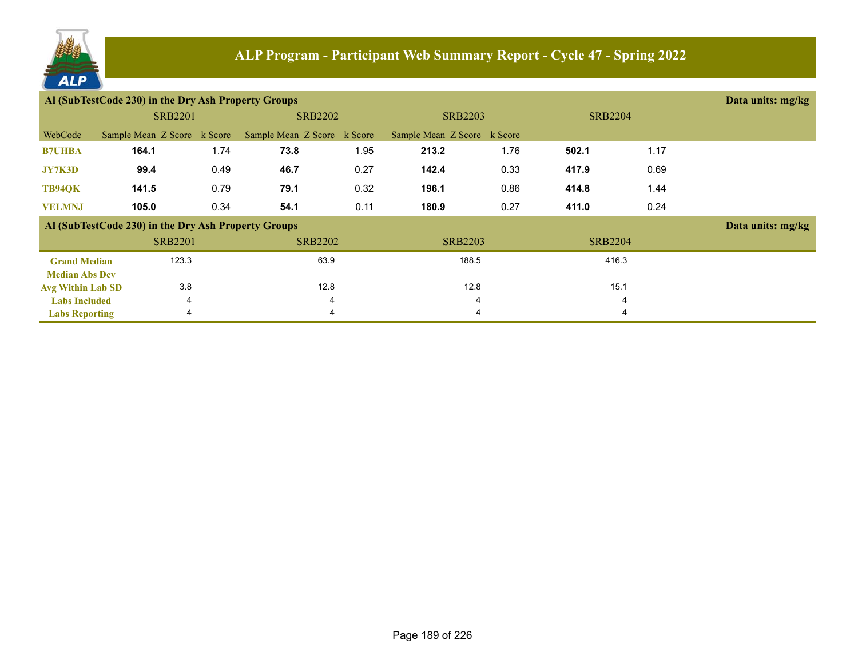

|                          | Al (SubTestCode 230) in the Dry Ash Property Groups |      |                             |      |                             |                |                |      | Data units: mg/kg |
|--------------------------|-----------------------------------------------------|------|-----------------------------|------|-----------------------------|----------------|----------------|------|-------------------|
|                          | <b>SRB2201</b>                                      |      | <b>SRB2202</b>              |      | <b>SRB2203</b>              |                | <b>SRB2204</b> |      |                   |
| WebCode                  | Sample Mean Z Score k Score                         |      | Sample Mean Z Score k Score |      | Sample Mean Z Score k Score |                |                |      |                   |
| <b>B7UHBA</b>            | 164.1                                               | 1.74 | 73.8                        | 1.95 | 213.2                       | 1.76           | 502.1          | 1.17 |                   |
| JY7K3D                   | 99.4                                                | 0.49 | 46.7                        | 0.27 | 142.4                       | 0.33           | 417.9          | 0.69 |                   |
| <b>TB94QK</b>            | 141.5                                               | 0.79 | 79.1                        | 0.32 | 196.1                       | 0.86           | 414.8          | 1.44 |                   |
| <b>VELMNJ</b>            | 105.0                                               | 0.34 | 54.1                        | 0.11 | 180.9                       | 0.27           | 411.0          | 0.24 |                   |
|                          | Al (SubTestCode 230) in the Dry Ash Property Groups |      |                             |      |                             |                |                |      | Data units: mg/kg |
|                          | <b>SRB2201</b>                                      |      | <b>SRB2202</b>              |      | <b>SRB2203</b>              |                | <b>SRB2204</b> |      |                   |
| <b>Grand Median</b>      | 123.3                                               |      | 63.9                        |      | 188.5                       |                | 416.3          |      |                   |
| <b>Median Abs Dev</b>    |                                                     |      |                             |      |                             |                |                |      |                   |
| <b>Avg Within Lab SD</b> | 3.8                                                 |      | 12.8                        |      | 12.8                        |                | 15.1           |      |                   |
| <b>Labs Included</b>     | 4                                                   |      | 4                           |      |                             | $\overline{4}$ |                | 4    |                   |
| <b>Labs Reporting</b>    | 4                                                   |      | 4                           |      |                             | $\overline{4}$ |                | 4    |                   |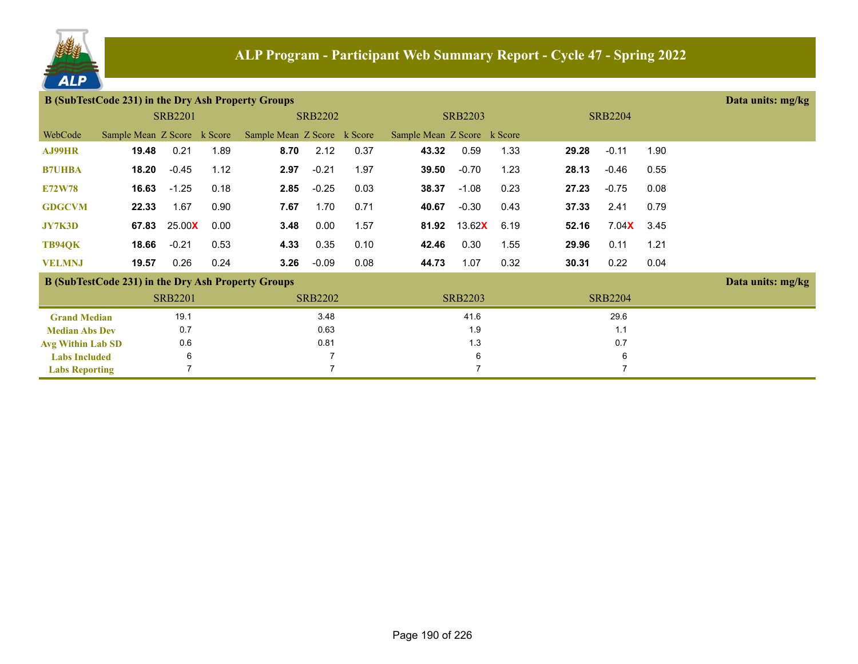

|                          |                                                                                               |                |      | <b>B</b> (SubTestCode 231) in the Dry Ash Property Groups |                |      |                             |                |      |       |                   |      | Data units: mg/kg |
|--------------------------|-----------------------------------------------------------------------------------------------|----------------|------|-----------------------------------------------------------|----------------|------|-----------------------------|----------------|------|-------|-------------------|------|-------------------|
|                          |                                                                                               | <b>SRB2201</b> |      |                                                           | <b>SRB2202</b> |      |                             | <b>SRB2203</b> |      |       | <b>SRB2204</b>    |      |                   |
| WebCode                  | Sample Mean Z Score k Score                                                                   |                |      | Sample Mean Z Score k Score                               |                |      | Sample Mean Z Score k Score |                |      |       |                   |      |                   |
| AJ99HR                   | 19.48                                                                                         | 0.21           | 1.89 | 8.70                                                      | 2.12           | 0.37 | 43.32                       | 0.59           | 1.33 | 29.28 | $-0.11$           | 1.90 |                   |
| <b>B7UHBA</b>            | 18.20                                                                                         | $-0.45$        | 1.12 | 2.97                                                      | $-0.21$        | 1.97 | 39.50                       | $-0.70$        | 1.23 | 28.13 | $-0.46$           | 0.55 |                   |
| E72W78                   | 16.63                                                                                         | $-1.25$        | 0.18 | 2.85                                                      | $-0.25$        | 0.03 | 38.37                       | $-1.08$        | 0.23 | 27.23 | $-0.75$           | 0.08 |                   |
| <b>GDGCVM</b>            | 22.33                                                                                         | 1.67           | 0.90 | 7.67                                                      | 1.70           | 0.71 | 40.67                       | $-0.30$        | 0.43 | 37.33 | 2.41              | 0.79 |                   |
| <b>JY7K3D</b>            | 67.83                                                                                         | 25.00X         | 0.00 | 3.48                                                      | 0.00           | 1.57 | 81.92                       | 13.62 <b>X</b> | 6.19 | 52.16 | 7.04 <sub>X</sub> | 3.45 |                   |
| <b>TB94QK</b>            | 18.66                                                                                         | $-0.21$        | 0.53 | 4.33                                                      | 0.35           | 0.10 | 42.46                       | 0.30           | 1.55 | 29.96 | 0.11              | 1.21 |                   |
| <b>VELMNJ</b>            | 19.57                                                                                         | 0.26           | 0.24 | 3.26                                                      | $-0.09$        | 0.08 | 44.73                       | 1.07           | 0.32 | 30.31 | 0.22              | 0.04 |                   |
|                          |                                                                                               |                |      |                                                           |                |      |                             |                |      |       |                   |      | Data units: mg/kg |
|                          | <b>B</b> (SubTestCode 231) in the Dry Ash Property Groups<br><b>SRB2202</b><br><b>SRB2201</b> |                |      |                                                           |                |      |                             | <b>SRB2203</b> |      |       | <b>SRB2204</b>    |      |                   |
| <b>Grand Median</b>      | 19.1<br>3.48                                                                                  |                |      |                                                           |                |      |                             | 41.6           |      |       | 29.6              |      |                   |
| <b>Median Abs Dev</b>    |                                                                                               | 0.7            |      |                                                           | 0.63           |      |                             | 1.9            |      |       | 1.1               |      |                   |
| <b>Avg Within Lab SD</b> |                                                                                               | 0.6            |      |                                                           | 0.81           |      |                             | 1.3            |      |       | 0.7               |      |                   |
| <b>Labs Included</b>     |                                                                                               | 6              |      |                                                           | $\overline{7}$ |      |                             | 6              |      |       | 6                 |      |                   |
| <b>Labs Reporting</b>    |                                                                                               |                |      |                                                           | $\overline{7}$ |      |                             | 7              |      |       |                   |      |                   |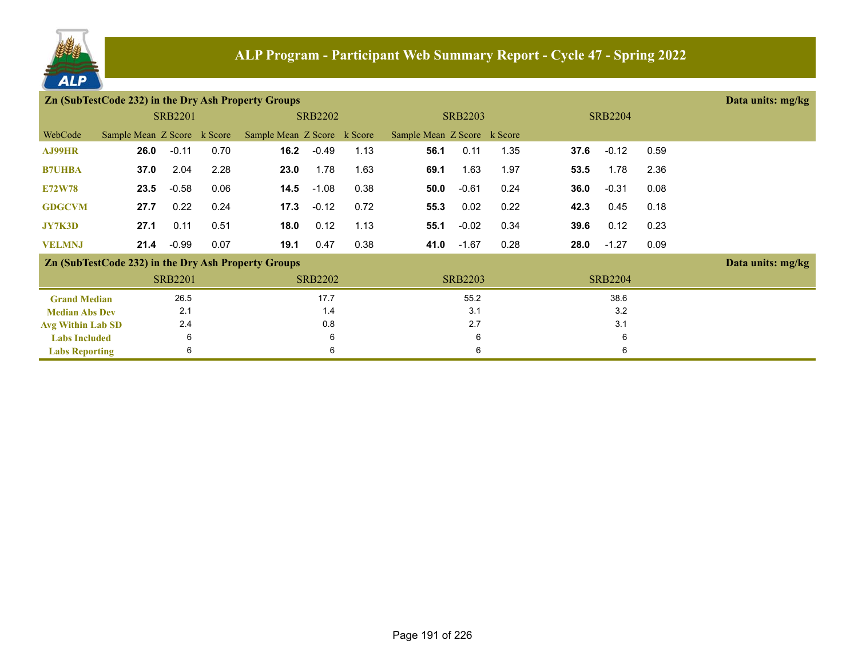

**Median Abs Dev Avg Within Lab SD Labs Included**

2.4

#### **ALP Program - Participant Web Summary Report - Cycle 47 - Spring 2022**

2.7

3.1

|               |                             |                     |      | Zn (SubTestCode 232) in the Dry Ash Property Groups |                                                     |      |                             |         |      |         |                |                | Data units: mg/kg |
|---------------|-----------------------------|---------------------|------|-----------------------------------------------------|-----------------------------------------------------|------|-----------------------------|---------|------|---------|----------------|----------------|-------------------|
|               |                             | <b>SRB2201</b>      |      |                                                     | <b>SRB2202</b>                                      |      |                             | SRB2203 |      |         | <b>SRB2204</b> |                |                   |
| WebCode       | Sample Mean Z Score k Score |                     |      | Sample Mean Z Score k Score                         |                                                     |      | Sample Mean Z Score k Score |         |      |         |                |                |                   |
| AJ99HR        | 26.0                        | $-0.11$             | 0.70 | 16.2                                                | $-0.49$                                             | 1.13 | 56.1                        | 0.11    | 1.35 | 37.6    | $-0.12$        | 0.59           |                   |
| <b>B7UHBA</b> | 37.0                        | 2.04                | 2.28 | 23.0                                                | 1.78                                                | 1.63 | 69.1                        | 1.63    | 1.97 | 53.5    | 1.78           | 2.36           |                   |
| E72W78        | 23.5                        | $-0.58$             | 0.06 | 14.5                                                | $-1.08$                                             | 0.38 | 50.0                        | $-0.61$ | 0.24 | 36.0    | $-0.31$        | 0.08           |                   |
| <b>GDGCVM</b> | 27.7                        | 0.22                | 0.24 | 17.3                                                | $-0.12$                                             | 0.72 | 55.3                        | 0.02    | 0.22 | 42.3    | 0.45           | 0.18           |                   |
| JY7K3D        | 27.1                        | 0.11                | 0.51 | 18.0                                                | 0.12                                                | 1.13 | 55.1                        | $-0.02$ | 0.34 | 39.6    | 0.12           | 0.23           |                   |
| <b>VELMNJ</b> |                             | $-0.99$             | 0.07 | 19.1                                                | 0.47                                                | 0.38 | 41.0                        | $-1.67$ | 0.28 | 28.0    | $-1.27$        | 0.09           |                   |
|               |                             |                     |      |                                                     |                                                     |      |                             |         |      |         |                |                | Data units: mg/kg |
|               |                             |                     |      |                                                     |                                                     |      |                             |         |      |         |                |                |                   |
|               |                             | 26.5                |      |                                                     | 17.7                                                |      |                             | 55.2    |      |         | 38.6           |                |                   |
|               |                             | <b>Grand Median</b> | 21.4 | SRB2201                                             | Zn (SubTestCode 232) in the Dry Ash Property Groups |      | <b>SRB2202</b>              |         |      | SRB2203 |                | <b>SRB2204</b> |                   |

0.8

**Labs Reporting** <sup>66</sup> <sup>6</sup> <sup>6</sup>

 $\frac{\mathsf{d}}{\mathsf{d}}$  and  $\frac{\mathsf{d}}{\mathsf{d}}$  between  $\frac{\mathsf{d}}{\mathsf{d}}$  between  $\frac{\mathsf{d}}{\mathsf{d}}$  between  $\frac{\mathsf{d}}{\mathsf{d}}$  between  $\frac{\mathsf{d}}{\mathsf{d}}$  between  $\frac{\mathsf{d}}{\mathsf{d}}$  between  $\frac{\mathsf{d}}{\mathsf{d}}$  between  $\frac{\mathsf{d}}{\mathsf{d}}$  between

2.1 2.1 **1.4**  $\frac{1}{2}$  3.1  $\frac{3}{2}$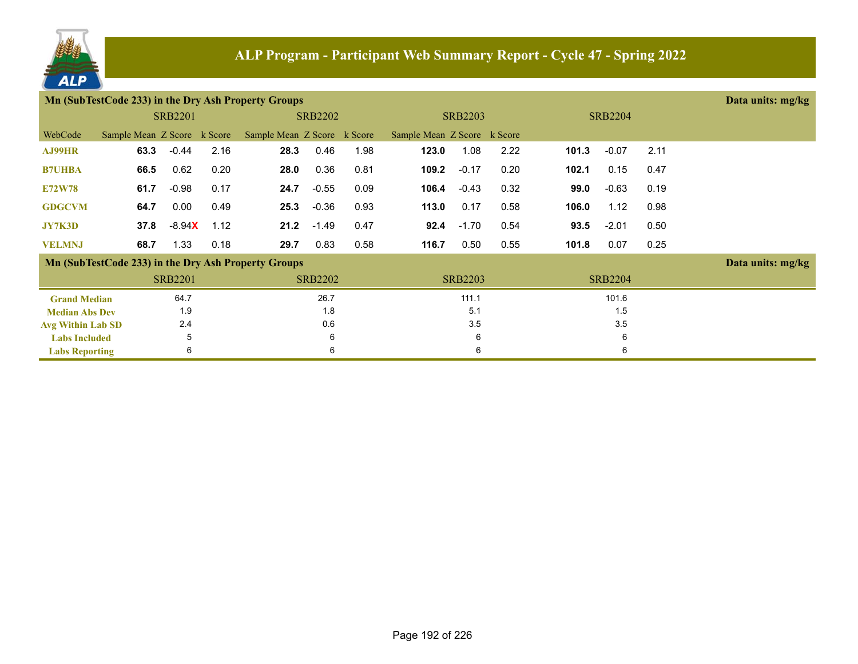

**Median Abs Dev Avg Within Lab SD Labs Included**

2.4

#### **ALP Program - Participant Web Summary Report - Cycle 47 - Spring 2022**

3.5

3.5

|                     |                             |                  |      | Mn (SubTestCode 233) in the Dry Ash Property Groups |                |      |                             |         |      |       |                |      | Data units: mg/kg |
|---------------------|-----------------------------|------------------|------|-----------------------------------------------------|----------------|------|-----------------------------|---------|------|-------|----------------|------|-------------------|
|                     |                             | <b>SRB2201</b>   |      |                                                     | <b>SRB2202</b> |      |                             | SRB2203 |      |       | <b>SRB2204</b> |      |                   |
| WebCode             | Sample Mean Z Score k Score |                  |      | Sample Mean Z Score k Score                         |                |      | Sample Mean Z Score k Score |         |      |       |                |      |                   |
| AJ99HR              | 63.3                        | $-0.44$          | 2.16 | 28.3                                                | 0.46           | 1.98 | 123.0                       | 1.08    | 2.22 | 101.3 | $-0.07$        | 2.11 |                   |
| <b>B7UHBA</b>       | 66.5                        | 0.62             | 0.20 | 28.0                                                | 0.36           | 0.81 | 109.2                       | $-0.17$ | 0.20 | 102.1 | 0.15           | 0.47 |                   |
| E72W78              | 61.7                        | $-0.98$          | 0.17 | 24.7                                                | $-0.55$        | 0.09 | 106.4                       | $-0.43$ | 0.32 | 99.0  | $-0.63$        | 0.19 |                   |
| <b>GDGCVM</b>       | 64.7                        | 0.00             | 0.49 | 25.3                                                | $-0.36$        | 0.93 | 113.0                       | 0.17    | 0.58 | 106.0 | 1.12           | 0.98 |                   |
| <b>JY7K3D</b>       | 37.8                        | $-8.94$ <b>X</b> | 1.12 | 21.2                                                | $-1.49$        | 0.47 | 92.4                        | $-1.70$ | 0.54 | 93.5  | $-2.01$        | 0.50 |                   |
| <b>VELMNJ</b>       | 68.7                        | 1.33             | 0.18 | 29.7                                                | 0.83           | 0.58 | 116.7                       | 0.50    | 0.55 | 101.8 | 0.07           | 0.25 |                   |
|                     |                             |                  |      | Mn (SubTestCode 233) in the Dry Ash Property Groups |                |      |                             |         |      |       |                |      | Data units: mg/kg |
|                     |                             | <b>SRB2201</b>   |      |                                                     | <b>SRB2202</b> |      |                             | SRB2203 |      |       | <b>SRB2204</b> |      |                   |
| <b>Grand Median</b> |                             | 64.7             |      |                                                     | 26.7           |      |                             | 111.1   |      |       | 101.6          |      |                   |

1.9 1.8 1.8 5.1 1.5

0.6

**Labs Reporting** <sup>66</sup> <sup>6</sup> <sup>6</sup>

56 6 6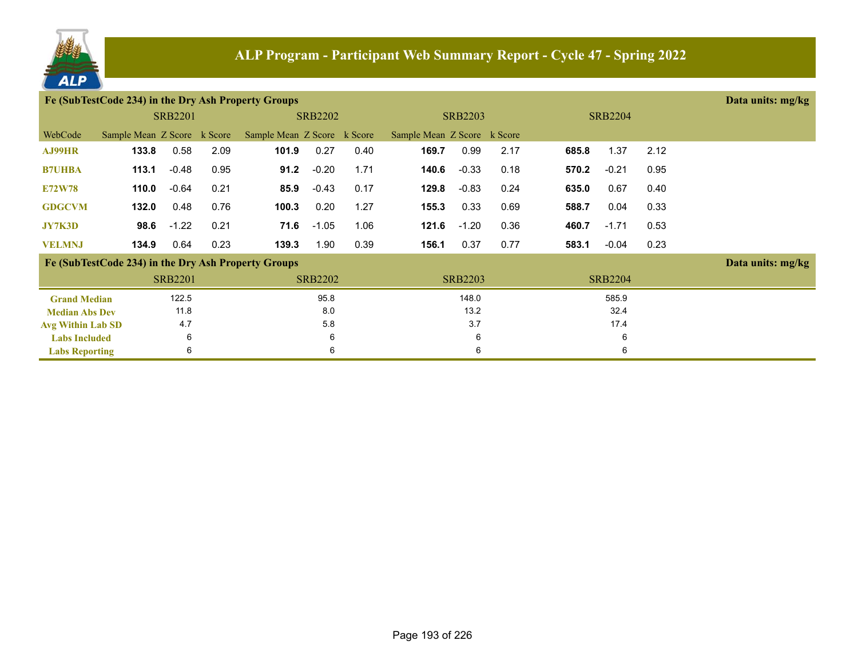

**Labs Included**

#### **ALP Program - Participant Web Summary Report - Cycle 47 - Spring 2022**

|                          |                             |                |      | Fe (SubTestCode 234) in the Dry Ash Property Groups |                |      |                             |                |      |       |                |      | Data units: mg/kg |  |
|--------------------------|-----------------------------|----------------|------|-----------------------------------------------------|----------------|------|-----------------------------|----------------|------|-------|----------------|------|-------------------|--|
|                          |                             | <b>SRB2201</b> |      |                                                     | <b>SRB2202</b> |      |                             | <b>SRB2203</b> |      |       | <b>SRB2204</b> |      |                   |  |
| WebCode                  | Sample Mean Z Score k Score |                |      | Sample Mean Z Score k Score                         |                |      | Sample Mean Z Score k Score |                |      |       |                |      |                   |  |
| AJ99HR                   | 133.8                       | 0.58           | 2.09 | 101.9                                               | 0.27           | 0.40 | 169.7                       | 0.99           | 2.17 | 685.8 | 1.37           | 2.12 |                   |  |
| <b>B7UHBA</b>            | 113.1                       | $-0.48$        | 0.95 | 91.2                                                | $-0.20$        | 1.71 | 140.6                       | $-0.33$        | 0.18 | 570.2 | $-0.21$        | 0.95 |                   |  |
| E72W78                   | 110.0                       | $-0.64$        | 0.21 | 85.9                                                | $-0.43$        | 0.17 | 129.8                       | $-0.83$        | 0.24 | 635.0 | 0.67           | 0.40 |                   |  |
| <b>GDGCVM</b>            | 132.0                       | 0.48           | 0.76 | 100.3                                               | 0.20           | 1.27 | 155.3                       | 0.33           | 0.69 | 588.7 | 0.04           | 0.33 |                   |  |
| <b>JY7K3D</b>            | 98.6                        | $-1.22$        | 0.21 | 71.6                                                | $-1.05$        | 1.06 | 121.6                       | $-1.20$        | 0.36 | 460.7 | $-1.71$        | 0.53 |                   |  |
| <b>VELMNJ</b>            | 134.9                       | 0.64           | 0.23 | 139.3                                               | 1.90           | 0.39 | 156.1                       | 0.37           | 0.77 | 583.1 | $-0.04$        | 0.23 |                   |  |
|                          |                             |                |      | Fe (SubTestCode 234) in the Dry Ash Property Groups |                |      |                             |                |      |       |                |      | Data units: mg/kg |  |
|                          |                             | <b>SRB2201</b> |      |                                                     | <b>SRB2202</b> |      |                             | <b>SRB2203</b> |      |       | <b>SRB2204</b> |      |                   |  |
| <b>Grand Median</b>      |                             | 122.5          |      |                                                     | 95.8           |      |                             | 148.0          |      |       | 585.9          |      |                   |  |
| <b>Median Abs Dev</b>    |                             | 11.8           |      |                                                     | 8.0            |      |                             | 13.2           |      |       | 32.4           |      |                   |  |
| <b>Avg Within Lab SD</b> |                             | 4.7            |      |                                                     | 5.8            |      |                             | 3.7            |      |       | 17.4           |      |                   |  |

 $\frac{\mathsf{d}}{\mathsf{d}}$  and  $\frac{\mathsf{d}}{\mathsf{d}}$  between  $\frac{\mathsf{d}}{\mathsf{d}}$  between  $\frac{\mathsf{d}}{\mathsf{d}}$  between  $\frac{\mathsf{d}}{\mathsf{d}}$  between  $\frac{\mathsf{d}}{\mathsf{d}}$  between  $\frac{\mathsf{d}}{\mathsf{d}}$  between  $\frac{\mathsf{d}}{\mathsf{d}}$  between  $\frac{\mathsf{d}}{\mathsf{d}}$  between

**Labs Reporting** <sup>66</sup> <sup>6</sup> <sup>6</sup>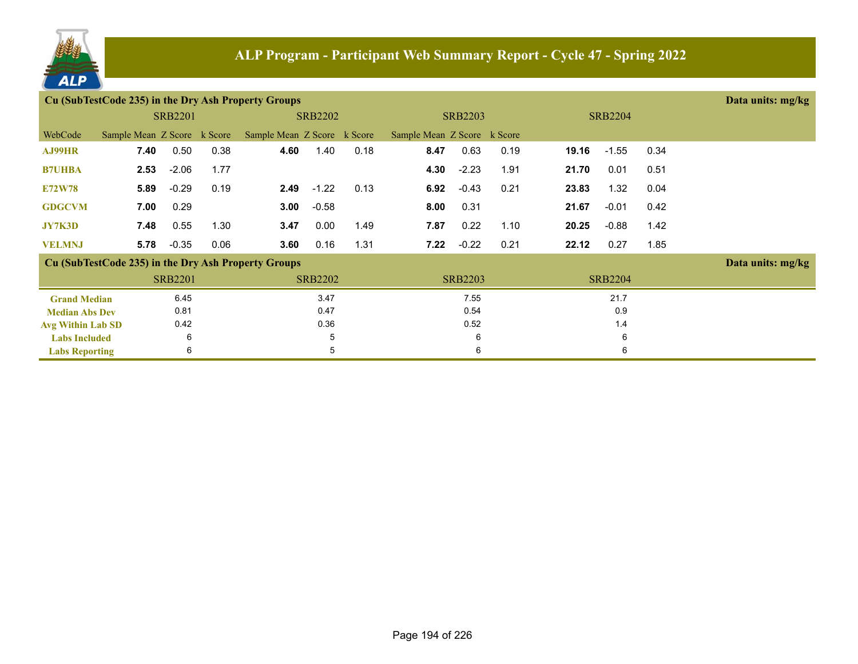

**Median Abs Dev Avg Within Lab SD Labs Included**

0.42

#### **ALP Program - Participant Web Summary Report - Cycle 47 - Spring 2022**

0.52

1.4

|                     |                             |                |      | Cu (SubTestCode 235) in the Dry Ash Property Groups |                |      |                             |                |      |       |                |      | Data units: mg/kg |
|---------------------|-----------------------------|----------------|------|-----------------------------------------------------|----------------|------|-----------------------------|----------------|------|-------|----------------|------|-------------------|
|                     |                             | <b>SRB2201</b> |      |                                                     | <b>SRB2202</b> |      |                             | <b>SRB2203</b> |      |       | <b>SRB2204</b> |      |                   |
| WebCode             | Sample Mean Z Score k Score |                |      | Sample Mean Z Score k Score                         |                |      | Sample Mean Z Score k Score |                |      |       |                |      |                   |
| AJ99HR              | 7.40                        | 0.50           | 0.38 | 4.60                                                | 1.40           | 0.18 | 8.47                        | 0.63           | 0.19 | 19.16 | $-1.55$        | 0.34 |                   |
| <b>B7UHBA</b>       | 2.53                        | $-2.06$        | 1.77 |                                                     |                |      | 4.30                        | $-2.23$        | 1.91 | 21.70 | 0.01           | 0.51 |                   |
| <b>E72W78</b>       | 5.89                        | $-0.29$        | 0.19 | 2.49                                                | $-1.22$        | 0.13 | 6.92                        | $-0.43$        | 0.21 | 23.83 | 1.32           | 0.04 |                   |
| <b>GDGCVM</b>       | 7.00                        | 0.29           |      | 3.00                                                | $-0.58$        |      | 8.00                        | 0.31           |      | 21.67 | $-0.01$        | 0.42 |                   |
| JY7K3D              | 7.48                        | 0.55           | 1.30 | 3.47                                                | 0.00           | 1.49 | 7.87                        | 0.22           | 1.10 | 20.25 | $-0.88$        | 1.42 |                   |
| <b>VELMNJ</b>       | 5.78                        | $-0.35$        | 0.06 | 3.60                                                | 0.16           | 1.31 | 7.22                        | $-0.22$        | 0.21 | 22.12 | 0.27           | 1.85 |                   |
|                     |                             |                |      | Cu (SubTestCode 235) in the Dry Ash Property Groups |                |      |                             |                |      |       |                |      | Data units: mg/kg |
|                     |                             | <b>SRB2201</b> |      |                                                     | <b>SRB2202</b> |      |                             | <b>SRB2203</b> |      |       | <b>SRB2204</b> |      |                   |
| <b>Grand Median</b> |                             | 6.45           |      |                                                     | 3.47           |      |                             | 7.55           |      |       | 21.7           |      |                   |

0.36

**Labs Reporting** <sup>65</sup> <sup>6</sup> <sup>6</sup>

d and  $\begin{array}{ccccccccccc} 6 & 5 & 6 & 6 \end{array}$ 

 $0.81$  0.47 0.47 0.54 0.9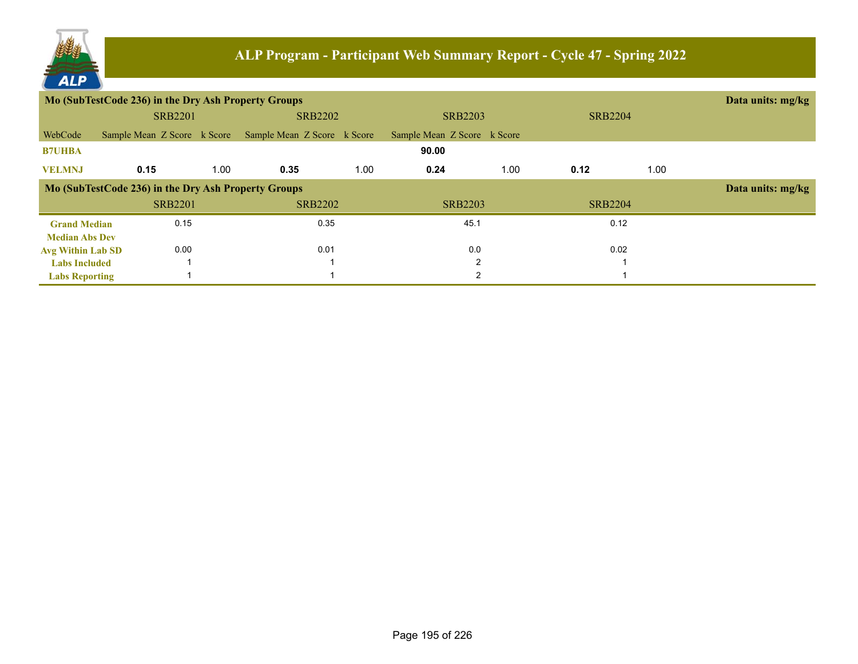

|                          | Mo (SubTestCode 236) in the Dry Ash Property Groups |      |                             |      |                             |      |                |      | Data units: mg/kg |
|--------------------------|-----------------------------------------------------|------|-----------------------------|------|-----------------------------|------|----------------|------|-------------------|
|                          | <b>SRB2201</b>                                      |      | <b>SRB2202</b>              |      | SRB2203                     |      | <b>SRB2204</b> |      |                   |
| WebCode                  | Sample Mean Z Score k Score                         |      | Sample Mean Z Score k Score |      | Sample Mean Z Score k Score |      |                |      |                   |
| <b>B7UHBA</b>            |                                                     |      |                             |      | 90.00                       |      |                |      |                   |
| <b>VELMNJ</b>            | 0.15                                                | 1.00 | 0.35                        | 1.00 | 0.24                        | 1.00 | 0.12           | 1.00 |                   |
|                          | Mo (SubTestCode 236) in the Dry Ash Property Groups |      |                             |      |                             |      |                |      | Data units: mg/kg |
|                          | <b>SRB2201</b>                                      |      | <b>SRB2202</b>              |      | SRB2203                     |      | <b>SRB2204</b> |      |                   |
| <b>Grand Median</b>      | 0.15                                                |      | 0.35                        |      | 45.1                        |      | 0.12           |      |                   |
| <b>Median Abs Dev</b>    |                                                     |      |                             |      |                             |      |                |      |                   |
| <b>Avg Within Lab SD</b> | 0.00                                                |      | 0.01                        |      | 0.0                         |      | 0.02           |      |                   |
| <b>Labs Included</b>     |                                                     |      |                             |      | 2                           |      |                |      |                   |
| <b>Labs Reporting</b>    |                                                     |      |                             |      | 2                           |      |                |      |                   |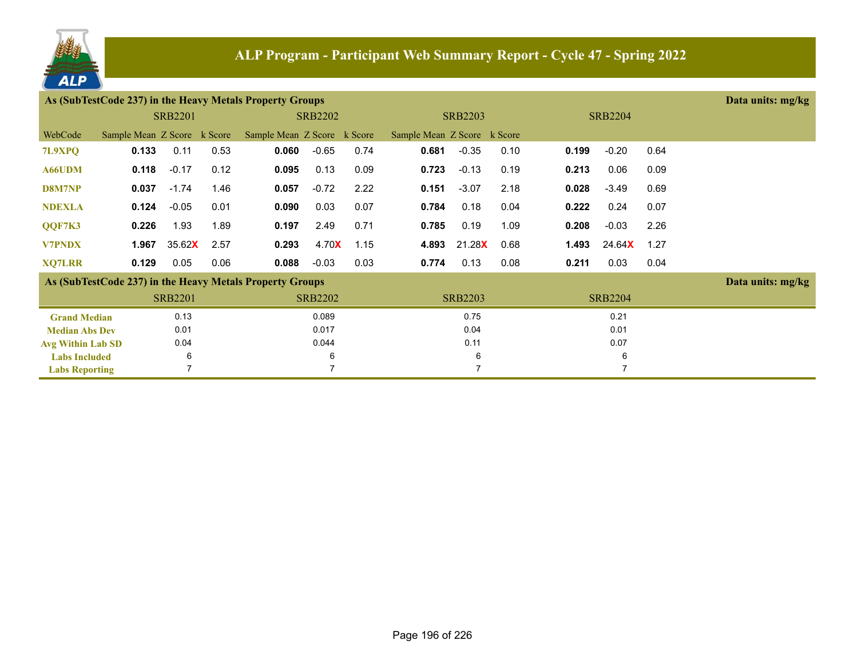

|                          |                             |                |      | As (SubTestCode 237) in the Heavy Metals Property Groups |                |      |                             |                |      |       |                |      | Data units: mg/kg |
|--------------------------|-----------------------------|----------------|------|----------------------------------------------------------|----------------|------|-----------------------------|----------------|------|-------|----------------|------|-------------------|
|                          |                             | <b>SRB2201</b> |      |                                                          | <b>SRB2202</b> |      |                             | <b>SRB2203</b> |      |       | <b>SRB2204</b> |      |                   |
| WebCode                  | Sample Mean Z Score k Score |                |      | Sample Mean Z Score k Score                              |                |      | Sample Mean Z Score k Score |                |      |       |                |      |                   |
| 7L9XPQ                   | 0.133                       | 0.11           | 0.53 | 0.060                                                    | $-0.65$        | 0.74 | 0.681                       | $-0.35$        | 0.10 | 0.199 | $-0.20$        | 0.64 |                   |
| <b>A66UDM</b>            | 0.118                       | $-0.17$        | 0.12 | 0.095                                                    | 0.13           | 0.09 | 0.723                       | $-0.13$        | 0.19 | 0.213 | 0.06           | 0.09 |                   |
| D8M7NP                   | 0.037                       | $-1.74$        | 1.46 | 0.057                                                    | $-0.72$        | 2.22 | 0.151                       | $-3.07$        | 2.18 | 0.028 | $-3.49$        | 0.69 |                   |
| <b>NDEXLA</b>            | 0.124                       | $-0.05$        | 0.01 | 0.090                                                    | 0.03           | 0.07 | 0.784                       | 0.18           | 0.04 | 0.222 | 0.24           | 0.07 |                   |
| QQF7K3                   | 0.226                       | 1.93           | 1.89 | 0.197                                                    | 2.49           | 0.71 | 0.785                       | 0.19           | 1.09 | 0.208 | $-0.03$        | 2.26 |                   |
| <b>V7PNDX</b>            | 1.967                       | 35.62X         | 2.57 | 0.293                                                    | 4.70 <b>X</b>  | 1.15 | 4.893                       | 21.28X         | 0.68 | 1.493 | 24.64X         | 1.27 |                   |
| XQ7LRR                   | 0.129                       | 0.05           | 0.06 | 0.088                                                    | $-0.03$        | 0.03 | 0.774                       | 0.13           | 0.08 | 0.211 | 0.03           | 0.04 |                   |
|                          |                             |                |      | As (SubTestCode 237) in the Heavy Metals Property Groups |                |      |                             |                |      |       |                |      | Data units: mg/kg |
|                          |                             | <b>SRB2201</b> |      |                                                          | <b>SRB2202</b> |      |                             | <b>SRB2203</b> |      |       | <b>SRB2204</b> |      |                   |
| <b>Grand Median</b>      |                             | 0.13           |      |                                                          | 0.089          |      |                             | 0.75           |      |       | 0.21           |      |                   |
| <b>Median Abs Dev</b>    |                             | 0.01           |      |                                                          | 0.017          |      |                             | 0.04           |      |       | 0.01           |      |                   |
| <b>Avg Within Lab SD</b> |                             | 0.04           |      |                                                          | 0.044          |      |                             | 0.11           |      |       | 0.07           |      |                   |
| <b>Labs Included</b>     |                             | 6              |      |                                                          | 6              |      |                             | 6              |      |       | 6              |      |                   |
| <b>Labs Reporting</b>    |                             |                |      |                                                          |                |      |                             | 7              |      |       |                |      |                   |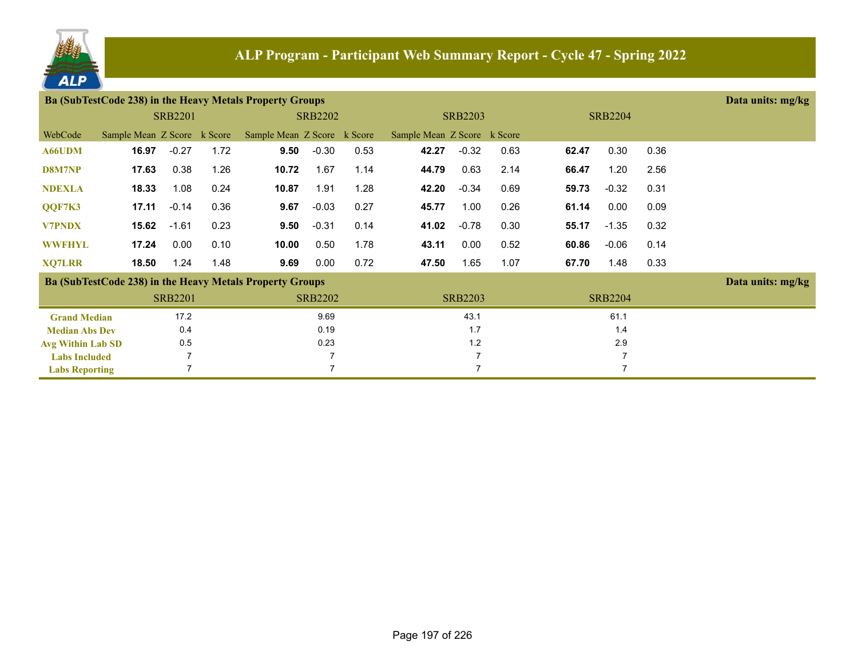

|                          |                             |                |      | Ba (SubTestCode 238) in the Heavy Metals Property Groups |                |      |                             |                |      |       |                |      | Data units: mg/kg |
|--------------------------|-----------------------------|----------------|------|----------------------------------------------------------|----------------|------|-----------------------------|----------------|------|-------|----------------|------|-------------------|
|                          |                             | <b>SRB2201</b> |      |                                                          | <b>SRB2202</b> |      |                             | <b>SRB2203</b> |      |       | <b>SRB2204</b> |      |                   |
| WebCode                  | Sample Mean Z Score k Score |                |      | Sample Mean Z Score k Score                              |                |      | Sample Mean Z Score k Score |                |      |       |                |      |                   |
| A66UDM                   | 16.97                       | $-0.27$        | 1.72 | 9.50                                                     | $-0.30$        | 0.53 | 42.27                       | $-0.32$        | 0.63 | 62.47 | 0.30           | 0.36 |                   |
| D8M7NP                   | 17.63                       | 0.38           | 1.26 | 10.72                                                    | 1.67           | 1.14 | 44.79                       | 0.63           | 2.14 | 66.47 | 1.20           | 2.56 |                   |
| <b>NDEXLA</b>            | 18.33                       | 1.08           | 0.24 | 10.87                                                    | 1.91           | 1.28 | 42.20                       | $-0.34$        | 0.69 | 59.73 | $-0.32$        | 0.31 |                   |
| QQF7K3                   | 17.11                       | $-0.14$        | 0.36 | 9.67                                                     | $-0.03$        | 0.27 | 45.77                       | 1.00           | 0.26 | 61.14 | 0.00           | 0.09 |                   |
| <b>V7PNDX</b>            | 15.62                       | $-1.61$        | 0.23 | 9.50                                                     | $-0.31$        | 0.14 | 41.02                       | $-0.78$        | 0.30 | 55.17 | $-1.35$        | 0.32 |                   |
| <b>WWFHYL</b>            | 17.24                       | 0.00           | 0.10 | 10.00                                                    | 0.50           | 1.78 | 43.11                       | 0.00           | 0.52 | 60.86 | $-0.06$        | 0.14 |                   |
| XQ7LRR                   | 18.50                       | 1.24           | 1.48 | 9.69                                                     | 0.00           | 0.72 | 47.50                       | 1.65           | 1.07 | 67.70 | 1.48           | 0.33 |                   |
|                          |                             |                |      | Ba (SubTestCode 238) in the Heavy Metals Property Groups |                |      |                             |                |      |       |                |      | Data units: mg/kg |
|                          |                             | <b>SRB2201</b> |      |                                                          | <b>SRB2202</b> |      |                             | <b>SRB2203</b> |      |       | <b>SRB2204</b> |      |                   |
| <b>Grand Median</b>      |                             | 17.2           |      |                                                          | 9.69           |      |                             | 43.1           |      |       | 61.1           |      |                   |
| <b>Median Abs Dev</b>    |                             | 0.4            |      |                                                          | 0.19           |      |                             | 1.7            |      |       | 1.4            |      |                   |
| <b>Avg Within Lab SD</b> |                             | 0.5            |      |                                                          | 0.23           |      |                             | 1.2            |      |       | 2.9            |      |                   |
| <b>Labs Included</b>     |                             | 7              |      |                                                          | 7              |      |                             | 7              |      |       | 7              |      |                   |
| <b>Labs Reporting</b>    |                             | 7              |      |                                                          | $\overline{7}$ |      |                             | $\overline{7}$ |      |       | $\overline{7}$ |      |                   |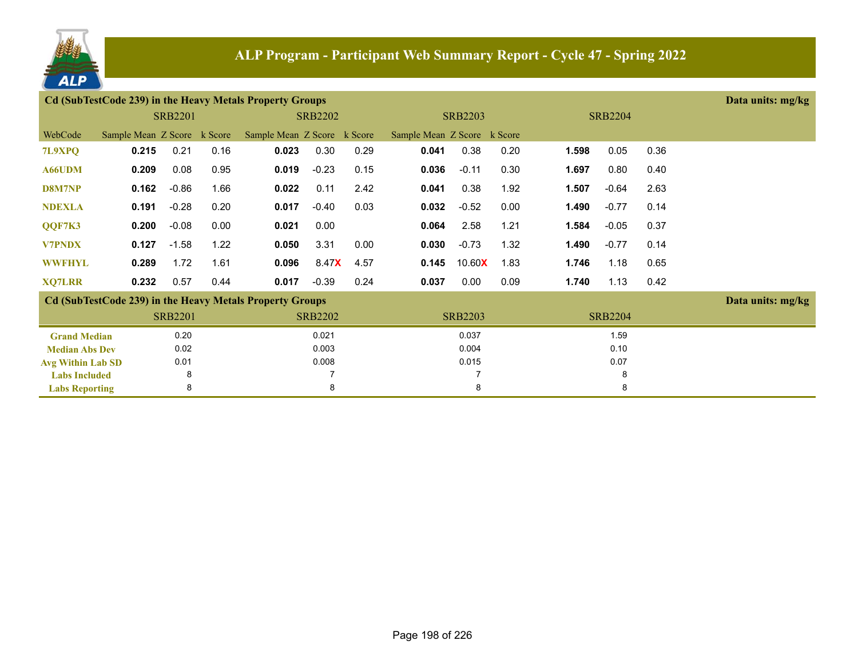

|                          |                             |                |      | Cd (SubTestCode 239) in the Heavy Metals Property Groups |                |      |                             |                 |      |       |                |      | Data units: mg/kg |
|--------------------------|-----------------------------|----------------|------|----------------------------------------------------------|----------------|------|-----------------------------|-----------------|------|-------|----------------|------|-------------------|
|                          |                             | <b>SRB2201</b> |      |                                                          | <b>SRB2202</b> |      |                             | <b>SRB2203</b>  |      |       | <b>SRB2204</b> |      |                   |
| WebCode                  | Sample Mean Z Score k Score |                |      | Sample Mean Z Score k Score                              |                |      | Sample Mean Z Score k Score |                 |      |       |                |      |                   |
| 7L9XPQ                   | 0.215                       | 0.21           | 0.16 | 0.023                                                    | 0.30           | 0.29 | 0.041                       | 0.38            | 0.20 | 1.598 | 0.05           | 0.36 |                   |
| <b>A66UDM</b>            | 0.209                       | 0.08           | 0.95 | 0.019                                                    | $-0.23$        | 0.15 | 0.036                       | $-0.11$         | 0.30 | 1.697 | 0.80           | 0.40 |                   |
| D8M7NP                   | 0.162                       | $-0.86$        | 1.66 | 0.022                                                    | 0.11           | 2.42 | 0.041                       | 0.38            | 1.92 | 1.507 | $-0.64$        | 2.63 |                   |
| <b>NDEXLA</b>            | 0.191                       | $-0.28$        | 0.20 | 0.017                                                    | $-0.40$        | 0.03 | 0.032                       | $-0.52$         | 0.00 | 1.490 | $-0.77$        | 0.14 |                   |
| QQF7K3                   | 0.200                       | $-0.08$        | 0.00 | 0.021                                                    | 0.00           |      | 0.064                       | 2.58            | 1.21 | 1.584 | $-0.05$        | 0.37 |                   |
| <b>V7PNDX</b>            | 0.127                       | $-1.58$        | 1.22 | 0.050                                                    | 3.31           | 0.00 | 0.030                       | $-0.73$         | 1.32 | 1.490 | $-0.77$        | 0.14 |                   |
| <b>WWFHYL</b>            | 0.289                       | 1.72           | 1.61 | 0.096                                                    | 8.47X          | 4.57 | 0.145                       | $10.60\text{X}$ | 1.83 | 1.746 | 1.18           | 0.65 |                   |
| <b>XQ7LRR</b>            | 0.232                       | 0.57           | 0.44 | 0.017                                                    | $-0.39$        | 0.24 | 0.037                       | 0.00            | 0.09 | 1.740 | 1.13           | 0.42 |                   |
|                          |                             |                |      | Cd (SubTestCode 239) in the Heavy Metals Property Groups |                |      |                             |                 |      |       |                |      | Data units: mg/kg |
|                          |                             | <b>SRB2201</b> |      |                                                          | <b>SRB2202</b> |      |                             | <b>SRB2203</b>  |      |       | <b>SRB2204</b> |      |                   |
| <b>Grand Median</b>      |                             | 0.20           |      |                                                          | 0.021          |      |                             | 0.037           |      |       | 1.59           |      |                   |
| <b>Median Abs Dev</b>    |                             | 0.02           |      |                                                          | 0.003          |      |                             | 0.004           |      |       | 0.10           |      |                   |
| <b>Avg Within Lab SD</b> |                             | 0.01           |      |                                                          | 0.008          |      |                             | 0.015           |      |       | 0.07           |      |                   |
| <b>Labs Included</b>     |                             | 8              |      |                                                          |                |      |                             |                 |      |       | 8              |      |                   |
| <b>Labs Reporting</b>    |                             | 8              |      |                                                          | 8              |      |                             | 8               |      |       | 8              |      |                   |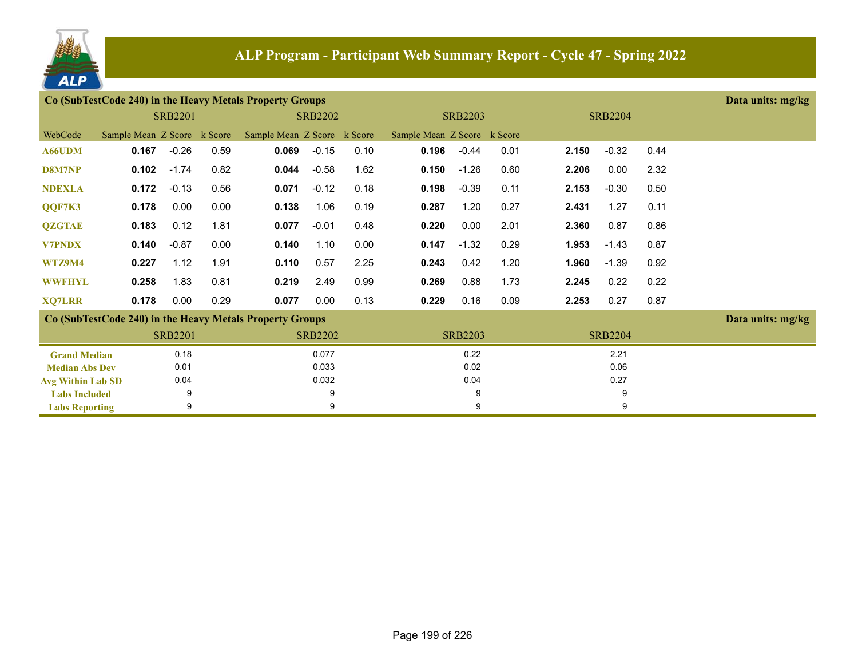

|                                               |                             |                |      | Co (SubTestCode 240) in the Heavy Metals Property Groups |                |      |                             |                |      |       |                |      | Data units: mg/kg |
|-----------------------------------------------|-----------------------------|----------------|------|----------------------------------------------------------|----------------|------|-----------------------------|----------------|------|-------|----------------|------|-------------------|
|                                               |                             | <b>SRB2201</b> |      |                                                          | <b>SRB2202</b> |      |                             | <b>SRB2203</b> |      |       | <b>SRB2204</b> |      |                   |
| WebCode                                       | Sample Mean Z Score k Score |                |      | Sample Mean Z Score k Score                              |                |      | Sample Mean Z Score k Score |                |      |       |                |      |                   |
| A66UDM                                        | 0.167                       | $-0.26$        | 0.59 | 0.069                                                    | $-0.15$        | 0.10 | 0.196                       | $-0.44$        | 0.01 | 2.150 | $-0.32$        | 0.44 |                   |
| D8M7NP                                        | 0.102                       | $-1.74$        | 0.82 | 0.044                                                    | $-0.58$        | 1.62 | 0.150                       | $-1.26$        | 0.60 | 2.206 | 0.00           | 2.32 |                   |
| <b>NDEXLA</b>                                 | 0.172                       | $-0.13$        | 0.56 | 0.071                                                    | $-0.12$        | 0.18 | 0.198                       | $-0.39$        | 0.11 | 2.153 | $-0.30$        | 0.50 |                   |
| QQF7K3                                        | 0.178                       | 0.00           | 0.00 | 0.138                                                    | 1.06           | 0.19 | 0.287                       | 1.20           | 0.27 | 2.431 | 1.27           | 0.11 |                   |
| <b>QZGTAE</b>                                 | 0.183                       | 0.12           | 1.81 | 0.077                                                    | $-0.01$        | 0.48 | 0.220                       | 0.00           | 2.01 | 2.360 | 0.87           | 0.86 |                   |
| <b>V7PNDX</b>                                 | 0.140                       | $-0.87$        | 0.00 | 0.140                                                    | 1.10           | 0.00 | 0.147                       | $-1.32$        | 0.29 | 1.953 | $-1.43$        | 0.87 |                   |
| WTZ9M4                                        | 0.227                       | 1.12           | 1.91 | 0.110                                                    | 0.57           | 2.25 | 0.243                       | 0.42           | 1.20 | 1.960 | $-1.39$        | 0.92 |                   |
| <b>WWFHYL</b>                                 | 0.258                       | 1.83           | 0.81 | 0.219                                                    | 2.49           | 0.99 | 0.269                       | 0.88           | 1.73 | 2.245 | 0.22           | 0.22 |                   |
| <b>XQ7LRR</b>                                 | 0.178                       | 0.00           | 0.29 | 0.077                                                    | 0.00           | 0.13 | 0.229                       | 0.16           | 0.09 | 2.253 | 0.27           | 0.87 |                   |
|                                               |                             |                |      | Co (SubTestCode 240) in the Heavy Metals Property Groups |                |      |                             |                |      |       |                |      | Data units: mg/kg |
|                                               |                             | <b>SRB2201</b> |      |                                                          | <b>SRB2202</b> |      |                             | <b>SRB2203</b> |      |       | <b>SRB2204</b> |      |                   |
| <b>Grand Median</b>                           |                             | 0.18           |      |                                                          | 0.077          |      |                             | 0.22           |      |       | 2.21           |      |                   |
| <b>Median Abs Dev</b>                         |                             | 0.01           |      |                                                          | 0.033          |      |                             | 0.02           |      |       | 0.06           |      |                   |
| <b>Avg Within Lab SD</b>                      |                             | 0.04<br>9      |      |                                                          | 0.032<br>9     |      |                             | 0.04<br>9      |      |       | 0.27<br>9      |      |                   |
| <b>Labs Included</b><br><b>Labs Reporting</b> |                             | 9              |      |                                                          | 9              |      |                             | 9              |      |       | 9              |      |                   |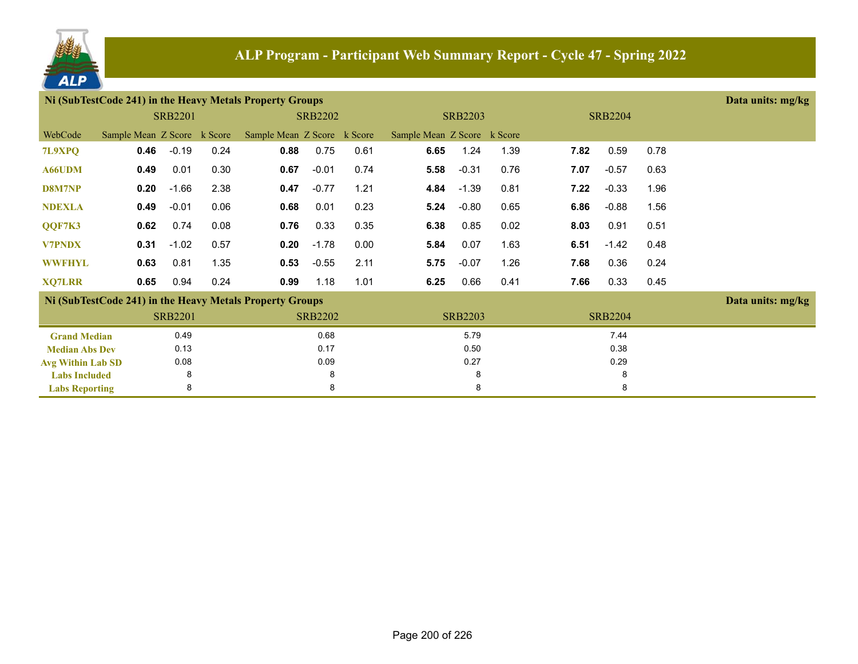

|                          |                             |                |      | Ni (SubTestCode 241) in the Heavy Metals Property Groups |                |      |                             |                |      |      |                |      | Data units: mg/kg |
|--------------------------|-----------------------------|----------------|------|----------------------------------------------------------|----------------|------|-----------------------------|----------------|------|------|----------------|------|-------------------|
|                          |                             | <b>SRB2201</b> |      |                                                          | <b>SRB2202</b> |      |                             | <b>SRB2203</b> |      |      | <b>SRB2204</b> |      |                   |
| WebCode                  | Sample Mean Z Score k Score |                |      | Sample Mean Z Score k Score                              |                |      | Sample Mean Z Score k Score |                |      |      |                |      |                   |
| 7L9XPQ                   | 0.46                        | $-0.19$        | 0.24 | 0.88                                                     | 0.75           | 0.61 | 6.65                        | 1.24           | 1.39 | 7.82 | 0.59           | 0.78 |                   |
| A66UDM                   | 0.49                        | 0.01           | 0.30 | 0.67                                                     | $-0.01$        | 0.74 | 5.58                        | $-0.31$        | 0.76 | 7.07 | $-0.57$        | 0.63 |                   |
| D8M7NP                   | 0.20                        | $-1.66$        | 2.38 | 0.47                                                     | $-0.77$        | 1.21 | 4.84                        | $-1.39$        | 0.81 | 7.22 | $-0.33$        | 1.96 |                   |
| <b>NDEXLA</b>            | 0.49                        | $-0.01$        | 0.06 | 0.68                                                     | 0.01           | 0.23 | 5.24                        | $-0.80$        | 0.65 | 6.86 | $-0.88$        | 1.56 |                   |
| QQF7K3                   | 0.62                        | 0.74           | 0.08 | 0.76                                                     | 0.33           | 0.35 | 6.38                        | 0.85           | 0.02 | 8.03 | 0.91           | 0.51 |                   |
| <b>V7PNDX</b>            | 0.31                        | $-1.02$        | 0.57 | 0.20                                                     | $-1.78$        | 0.00 | 5.84                        | 0.07           | 1.63 | 6.51 | $-1.42$        | 0.48 |                   |
| <b>WWFHYL</b>            | 0.63                        | 0.81           | 1.35 | 0.53                                                     | $-0.55$        | 2.11 | 5.75                        | $-0.07$        | 1.26 | 7.68 | 0.36           | 0.24 |                   |
| <b>XQ7LRR</b>            | 0.65                        | 0.94           | 0.24 | 0.99                                                     | 1.18           | 1.01 | 6.25                        | 0.66           | 0.41 | 7.66 | 0.33           | 0.45 |                   |
|                          |                             |                |      |                                                          |                |      |                             |                |      |      |                |      |                   |
|                          |                             |                |      | Ni (SubTestCode 241) in the Heavy Metals Property Groups |                |      |                             |                |      |      |                |      | Data units: mg/kg |
|                          |                             | <b>SRB2201</b> |      |                                                          | <b>SRB2202</b> |      |                             | <b>SRB2203</b> |      |      | <b>SRB2204</b> |      |                   |
| <b>Grand Median</b>      |                             | 0.49           |      |                                                          | 0.68           |      |                             | 5.79           |      |      | 7.44           |      |                   |
| <b>Median Abs Dev</b>    |                             | 0.13           |      |                                                          | 0.17           |      |                             | 0.50           |      |      | 0.38           |      |                   |
| <b>Avg Within Lab SD</b> |                             | 0.08           |      |                                                          | 0.09           |      |                             | 0.27           |      |      | 0.29           |      |                   |
| <b>Labs Included</b>     |                             | 8              |      |                                                          | 8              |      |                             | 8              |      |      | 8              |      |                   |
| <b>Labs Reporting</b>    |                             | 8              |      |                                                          | 8              |      |                             | 8              |      |      | 8              |      |                   |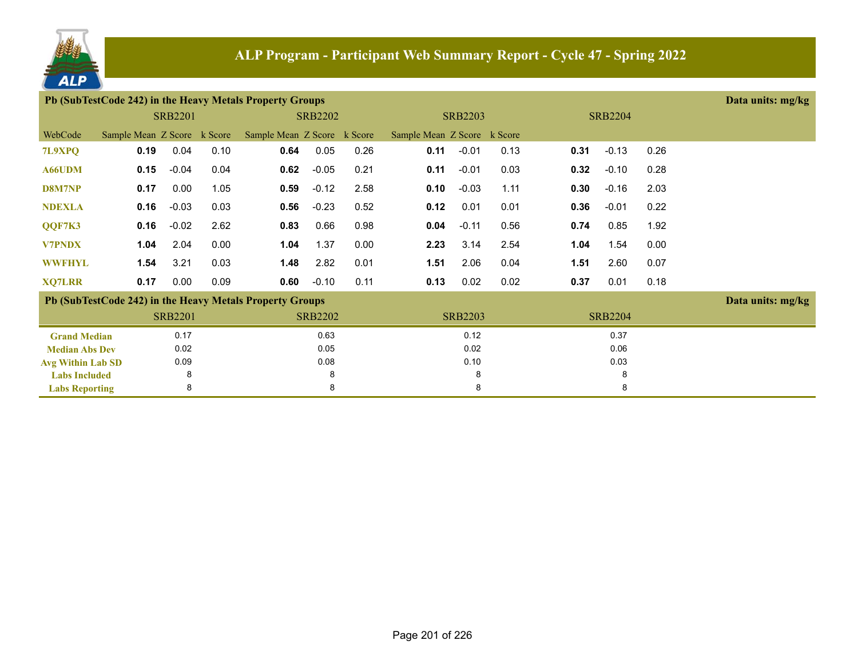

|                          |                             |                |      | Pb (SubTestCode 242) in the Heavy Metals Property Groups |                |      |                             |                |      |      |                |      | Data units: mg/kg |
|--------------------------|-----------------------------|----------------|------|----------------------------------------------------------|----------------|------|-----------------------------|----------------|------|------|----------------|------|-------------------|
|                          |                             | <b>SRB2201</b> |      |                                                          | <b>SRB2202</b> |      |                             | <b>SRB2203</b> |      |      | <b>SRB2204</b> |      |                   |
| WebCode                  | Sample Mean Z Score k Score |                |      | Sample Mean Z Score k Score                              |                |      | Sample Mean Z Score k Score |                |      |      |                |      |                   |
| 7L9XPQ                   | 0.19                        | 0.04           | 0.10 | 0.64                                                     | 0.05           | 0.26 | 0.11                        | $-0.01$        | 0.13 | 0.31 | $-0.13$        | 0.26 |                   |
| A66UDM                   | 0.15                        | $-0.04$        | 0.04 | 0.62                                                     | $-0.05$        | 0.21 | 0.11                        | $-0.01$        | 0.03 | 0.32 | $-0.10$        | 0.28 |                   |
| D8M7NP                   | 0.17                        | 0.00           | 1.05 | 0.59                                                     | $-0.12$        | 2.58 | 0.10                        | $-0.03$        | 1.11 | 0.30 | $-0.16$        | 2.03 |                   |
| <b>NDEXLA</b>            | 0.16                        | $-0.03$        | 0.03 | 0.56                                                     | $-0.23$        | 0.52 | 0.12                        | 0.01           | 0.01 | 0.36 | $-0.01$        | 0.22 |                   |
| QQF7K3                   | 0.16                        | $-0.02$        | 2.62 | 0.83                                                     | 0.66           | 0.98 | 0.04                        | $-0.11$        | 0.56 | 0.74 | 0.85           | 1.92 |                   |
| <b>V7PNDX</b>            | 1.04                        | 2.04           | 0.00 | 1.04                                                     | 1.37           | 0.00 | 2.23                        | 3.14           | 2.54 | 1.04 | 1.54           | 0.00 |                   |
| <b>WWFHYL</b>            | 1.54                        | 3.21           | 0.03 | 1.48                                                     | 2.82           | 0.01 | 1.51                        | 2.06           | 0.04 | 1.51 | 2.60           | 0.07 |                   |
| <b>XQ7LRR</b>            | 0.17                        | 0.00           | 0.09 | 0.60                                                     | $-0.10$        | 0.11 | 0.13                        | 0.02           | 0.02 | 0.37 | 0.01           | 0.18 |                   |
|                          |                             |                |      | Pb (SubTestCode 242) in the Heavy Metals Property Groups |                |      |                             |                |      |      |                |      | Data units: mg/kg |
|                          |                             | <b>SRB2201</b> |      |                                                          | <b>SRB2202</b> |      |                             | <b>SRB2203</b> |      |      | <b>SRB2204</b> |      |                   |
| <b>Grand Median</b>      |                             | 0.17           |      |                                                          | 0.63           |      |                             | 0.12           |      |      | 0.37           |      |                   |
| <b>Median Abs Dev</b>    |                             | 0.02           |      |                                                          | 0.05           |      |                             | 0.02           |      |      | 0.06           |      |                   |
| <b>Avg Within Lab SD</b> |                             | 0.09           |      |                                                          | 0.08           |      |                             | 0.10           |      |      | 0.03           |      |                   |
| <b>Labs Included</b>     |                             | 8              |      |                                                          | 8              |      |                             | 8              |      |      | 8              |      |                   |
| <b>Labs Reporting</b>    |                             | 8              |      |                                                          | 8              |      |                             | 8              |      |      | 8              |      |                   |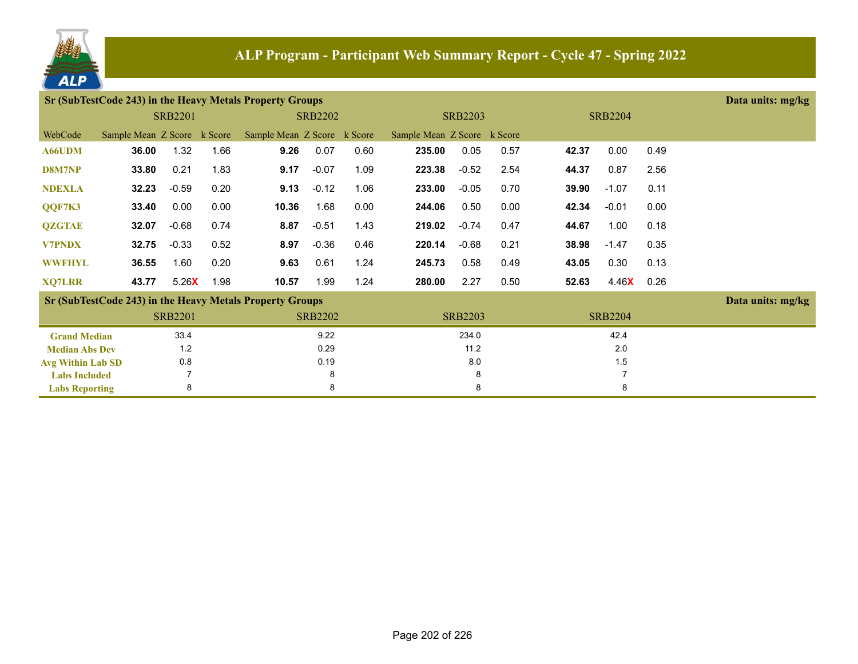

|                          |                             |                   |      | Sr (SubTestCode 243) in the Heavy Metals Property Groups |                |      |                             |                |      |       |                |      | Data units: mg/kg |
|--------------------------|-----------------------------|-------------------|------|----------------------------------------------------------|----------------|------|-----------------------------|----------------|------|-------|----------------|------|-------------------|
|                          |                             | <b>SRB2201</b>    |      |                                                          | <b>SRB2202</b> |      |                             | <b>SRB2203</b> |      |       | <b>SRB2204</b> |      |                   |
| WebCode                  | Sample Mean Z Score k Score |                   |      | Sample Mean Z Score k Score                              |                |      | Sample Mean Z Score k Score |                |      |       |                |      |                   |
| <b>A66UDM</b>            | 36.00                       | 1.32              | 1.66 | 9.26                                                     | 0.07           | 0.60 | 235.00                      | 0.05           | 0.57 | 42.37 | 0.00           | 0.49 |                   |
| D8M7NP                   | 33.80                       | 0.21              | 1.83 | 9.17                                                     | $-0.07$        | 1.09 | 223.38                      | $-0.52$        | 2.54 | 44.37 | 0.87           | 2.56 |                   |
| <b>NDEXLA</b>            | 32.23                       | $-0.59$           | 0.20 | 9.13                                                     | $-0.12$        | 1.06 | 233.00                      | $-0.05$        | 0.70 | 39.90 | $-1.07$        | 0.11 |                   |
| QQF7K3                   | 33.40                       | 0.00              | 0.00 | 10.36                                                    | 1.68           | 0.00 | 244.06                      | 0.50           | 0.00 | 42.34 | $-0.01$        | 0.00 |                   |
| <b>QZGTAE</b>            | 32.07                       | $-0.68$           | 0.74 | 8.87                                                     | $-0.51$        | 1.43 | 219.02                      | $-0.74$        | 0.47 | 44.67 | 1.00           | 0.18 |                   |
| <b>V7PNDX</b>            | 32.75                       | $-0.33$           | 0.52 | 8.97                                                     | $-0.36$        | 0.46 | 220.14                      | $-0.68$        | 0.21 | 38.98 | $-1.47$        | 0.35 |                   |
| <b>WWFHYL</b>            | 36.55                       | 1.60              | 0.20 | 9.63                                                     | 0.61           | 1.24 | 245.73                      | 0.58           | 0.49 | 43.05 | 0.30           | 0.13 |                   |
| <b>XQ7LRR</b>            | 43.77                       | 5.26 <sup>X</sup> | 1.98 | 10.57                                                    | 1.99           | 1.24 | 280.00                      | 2.27           | 0.50 | 52.63 | 4.46X          | 0.26 |                   |
|                          |                             |                   |      | Sr (SubTestCode 243) in the Heavy Metals Property Groups |                |      |                             |                |      |       |                |      | Data units: mg/kg |
|                          |                             | <b>SRB2201</b>    |      |                                                          | <b>SRB2202</b> |      |                             | <b>SRB2203</b> |      |       | <b>SRB2204</b> |      |                   |
| <b>Grand Median</b>      |                             | 33.4              |      |                                                          | 9.22           |      |                             | 234.0          |      |       | 42.4           |      |                   |
| <b>Median Abs Dev</b>    |                             | 1.2               |      |                                                          | 0.29           |      |                             | 11.2           |      |       | 2.0            |      |                   |
| <b>Avg Within Lab SD</b> |                             | 0.8               |      |                                                          | 0.19           |      |                             | 8.0            |      |       | 1.5            |      |                   |
| <b>Labs Included</b>     |                             | $\overline{7}$    |      |                                                          | 8              |      |                             | 8              |      |       | $\overline{7}$ |      |                   |
| <b>Labs Reporting</b>    |                             | 8                 |      |                                                          | 8              |      |                             | 8              |      |       | 8              |      |                   |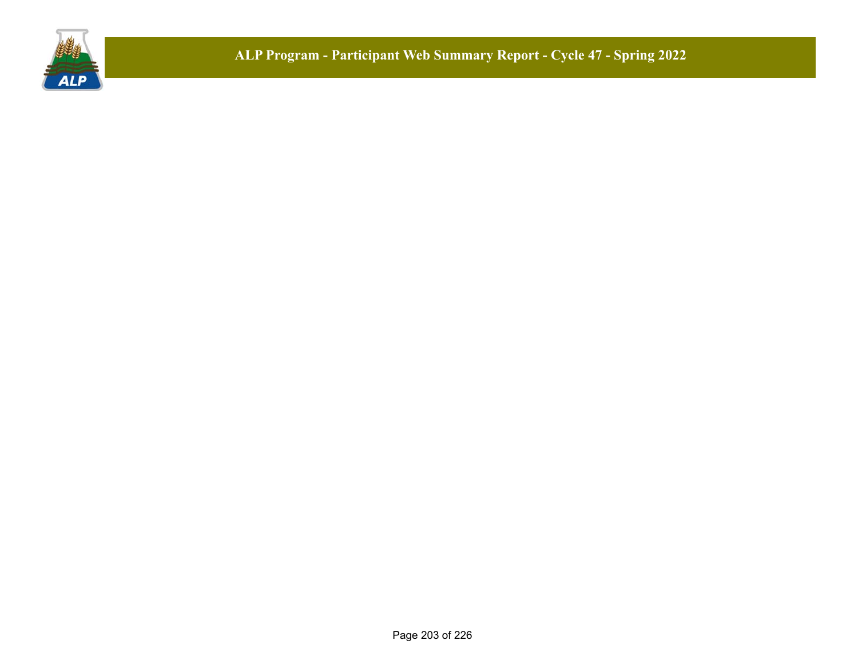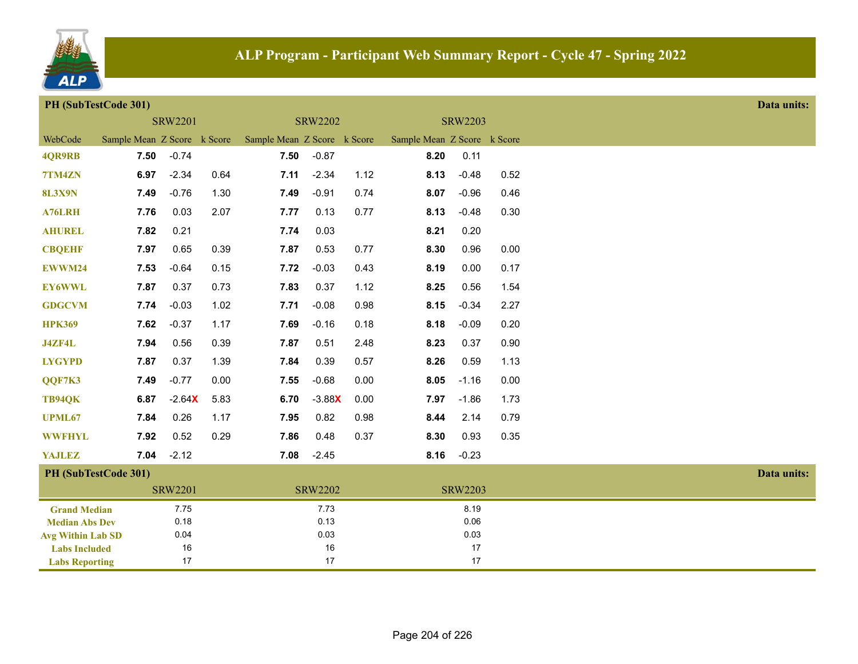

**PH (SubTestCode 301)**

 **Data units:** 

SRW2201 SRW2202 SRW2202 SRW2203 WebCode Sample Mean Z Score k Score Sample Mean Z Score k Score Sample Mean Z Score k Score **4QR9RB 7.50 7.50 8.20** -0.74 -0.87 0.11 **7TM4ZN 6.97 7.11 8.13** -2.34 0.64 -2.34 1.12 -0.48 0.52 **8L3X9N 7.49 7.49 8.07** -0.76 1.30 -0.91 0.74 -0.96 0.46 **A76LRH 7.76 7.77 8.13** 0.03 2.07 0.13 0.77 -0.48 0.30 **AHUREL 7.82 7.74 8.21** 0.21 0.03 0.20 **CBQEHF 7.97 7.87 8.30** 0.65 0.39 0.53 0.77 0.96 0.00 **EWWM24 7.53 7.72 8.19** -0.64 0.15 -0.03 0.43 0.00 0.17 **EY6WWL 7.87 7.83 8.25** 0.37 0.73 0.37 1.12 0.56 1.54 **GDGCVM 7.74 7.71 8.15** -0.03 1.02 -0.08 0.98 -0.34 2.27 **HPK369 7.62 7.69 8.18** -0.37 1.17 -0.16 0.18 -0.09 0.20 **J4ZF4L 7.94 7.87 8.23** 0.56 0.39 0.51 2.48 0.37 0.90 **LYGYPD 7.87 7.84 8.26** 0.37 1.39 0.39 0.57 0.59 1.13 **QQF7K3 7.49 7.55 8.05** -0.77 0.00 -0.68 0.00 -1.16 0.00 **TB94QK 6.87 6.70 7.97** -2.64**X X** 5.83 -3.88 0.00 -1.86 1.73 **UPML67 7.84 7.95 8.44** 0.26 1.17 0.82 0.98 2.14 0.79 **WWFHYL 7.92 7.86 8.30** 0.52 0.29 0.48 0.37 0.93 0.35 **YAJLEZ 7.04 7.08 8.16** -2.12 -2.45 -0.23 SRW2201 SRW2202 SRW2203 **PH (SubTestCode 301)** Data units: **Data units:**  $\blacksquare$ 7.75 7.73 0.04 0.03 8.19 0.03 **Grand MedianMedian Abs Dev Avg Within Lab SD Labs Included**d d  $16$  16  $17$ **Labs Reporting** <sup>17</sup> <sup>17</sup> <sup>17</sup> 0.18 0.13 0.06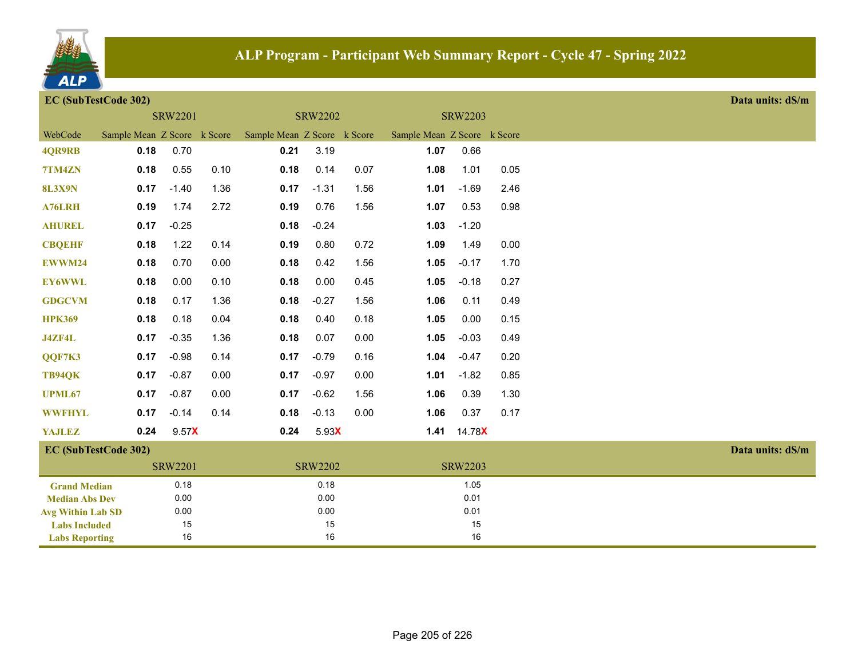

**EC (SubTestCode 302)**

| <b>EC (SubTestCode 302)</b> |                             |                |      |                             |                |      |                             |                |      | Data units: dS/m |
|-----------------------------|-----------------------------|----------------|------|-----------------------------|----------------|------|-----------------------------|----------------|------|------------------|
|                             |                             | <b>SRW2201</b> |      |                             | <b>SRW2202</b> |      |                             | <b>SRW2203</b> |      |                  |
| WebCode                     | Sample Mean Z Score k Score |                |      | Sample Mean Z Score k Score |                |      | Sample Mean Z Score k Score |                |      |                  |
| 4QR9RB                      | 0.18                        | 0.70           |      | 0.21                        | 3.19           |      | 1.07                        | 0.66           |      |                  |
| 7TM4ZN                      | 0.18                        | 0.55           | 0.10 | 0.18                        | 0.14           | 0.07 | 1.08                        | 1.01           | 0.05 |                  |
| <b>8L3X9N</b>               | 0.17                        | $-1.40$        | 1.36 | 0.17                        | $-1.31$        | 1.56 | 1.01                        | $-1.69$        | 2.46 |                  |
| A76LRH                      | 0.19                        | 1.74           | 2.72 | 0.19                        | 0.76           | 1.56 | 1.07                        | 0.53           | 0.98 |                  |
| <b>AHUREL</b>               | 0.17                        | $-0.25$        |      | 0.18                        | $-0.24$        |      | 1.03                        | $-1.20$        |      |                  |
| <b>CBQEHF</b>               | 0.18                        | 1.22           | 0.14 | 0.19                        | 0.80           | 0.72 | 1.09                        | 1.49           | 0.00 |                  |
| EWWM24                      | 0.18                        | 0.70           | 0.00 | 0.18                        | 0.42           | 1.56 | 1.05                        | $-0.17$        | 1.70 |                  |
| <b>EY6WWL</b>               | 0.18                        | 0.00           | 0.10 | 0.18                        | 0.00           | 0.45 | 1.05                        | $-0.18$        | 0.27 |                  |
| <b>GDGCVM</b>               | 0.18                        | 0.17           | 1.36 | 0.18                        | $-0.27$        | 1.56 | 1.06                        | 0.11           | 0.49 |                  |
| <b>HPK369</b>               | 0.18                        | 0.18           | 0.04 | 0.18                        | 0.40           | 0.18 | 1.05                        | 0.00           | 0.15 |                  |
| <b>J4ZF4L</b>               | 0.17                        | $-0.35$        | 1.36 | 0.18                        | 0.07           | 0.00 | 1.05                        | $-0.03$        | 0.49 |                  |
| QQF7K3                      | 0.17                        | $-0.98$        | 0.14 | 0.17                        | $-0.79$        | 0.16 | 1.04                        | $-0.47$        | 0.20 |                  |
| TB94QK                      | 0.17                        | $-0.87$        | 0.00 | 0.17                        | $-0.97$        | 0.00 | 1.01                        | $-1.82$        | 0.85 |                  |
| UPML67                      | 0.17                        | $-0.87$        | 0.00 | 0.17                        | $-0.62$        | 1.56 | 1.06                        | 0.39           | 1.30 |                  |
| <b>WWFHYL</b>               | 0.17                        | $-0.14$        | 0.14 | 0.18                        | $-0.13$        | 0.00 | 1.06                        | 0.37           | 0.17 |                  |
| <b>YAJLEZ</b>               | 0.24                        | 9.57X          |      | 0.24                        | 5.93X          |      | 1.41                        | 14.78X         |      |                  |
| <b>EC (SubTestCode 302)</b> |                             |                |      |                             |                |      |                             |                |      | Data units: dS/m |
|                             |                             | <b>SRW2201</b> |      |                             | <b>SRW2202</b> |      |                             | <b>SRW2203</b> |      |                  |
| <b>Grand Median</b>         |                             | 0.18           |      |                             | 0.18           |      |                             | 1.05           |      |                  |
| <b>Median Abs Dev</b>       |                             | 0.00           |      |                             | 0.00           |      |                             | 0.01           |      |                  |
| <b>Avg Within Lab SD</b>    |                             | 0.00           |      |                             | 0.00           |      |                             | 0.01           |      |                  |
| <b>Labs Included</b>        |                             | 15             |      |                             | 15             |      |                             | 15             |      |                  |
| <b>Labs Reporting</b>       |                             | 16             |      |                             | 16             |      |                             | 16             |      |                  |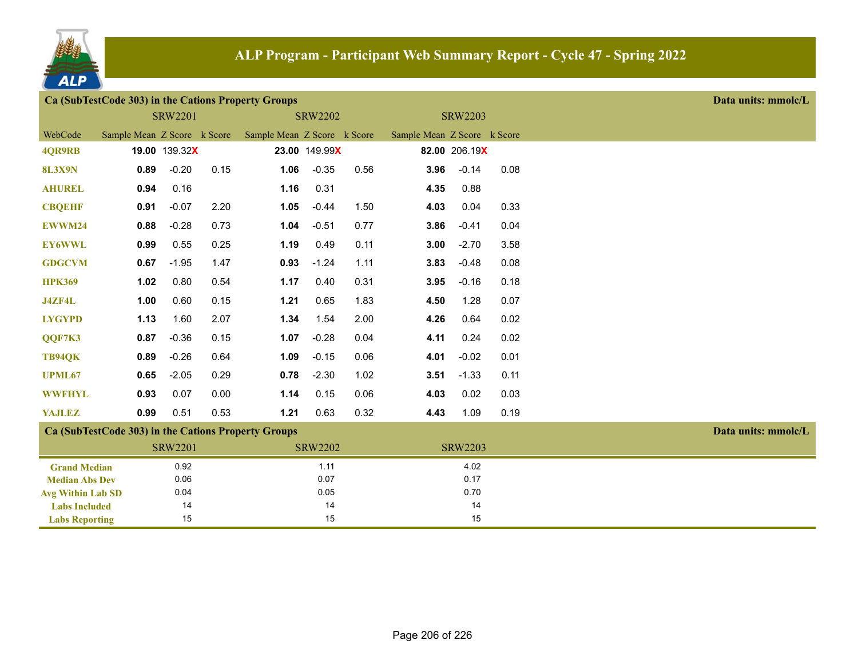

|                          |      |                |      | Ca (SubTestCode 303) in the Cations Property Groups     |                |      |                             |                |      | Data units: mmolc/L |
|--------------------------|------|----------------|------|---------------------------------------------------------|----------------|------|-----------------------------|----------------|------|---------------------|
|                          |      | <b>SRW2201</b> |      |                                                         | <b>SRW2202</b> |      |                             | <b>SRW2203</b> |      |                     |
| WebCode                  |      |                |      | Sample Mean Z Score k Score Sample Mean Z Score k Score |                |      | Sample Mean Z Score k Score |                |      |                     |
| <b>4QR9RB</b>            |      | 19.00 139.32X  |      |                                                         | 23.00 149.99X  |      |                             | 82.00 206.19X  |      |                     |
| <b>8L3X9N</b>            | 0.89 | $-0.20$        | 0.15 | 1.06                                                    | $-0.35$        | 0.56 | 3.96                        | $-0.14$        | 0.08 |                     |
| <b>AHUREL</b>            | 0.94 | 0.16           |      | 1.16                                                    | 0.31           |      | 4.35                        | 0.88           |      |                     |
| <b>CBQEHF</b>            | 0.91 | $-0.07$        | 2.20 | 1.05                                                    | $-0.44$        | 1.50 | 4.03                        | 0.04           | 0.33 |                     |
| EWWM24                   | 0.88 | $-0.28$        | 0.73 | 1.04                                                    | $-0.51$        | 0.77 | 3.86                        | $-0.41$        | 0.04 |                     |
| <b>EY6WWL</b>            | 0.99 | 0.55           | 0.25 | 1.19                                                    | 0.49           | 0.11 | 3.00                        | $-2.70$        | 3.58 |                     |
| <b>GDGCVM</b>            | 0.67 | $-1.95$        | 1.47 | 0.93                                                    | $-1.24$        | 1.11 | 3.83                        | $-0.48$        | 0.08 |                     |
| <b>HPK369</b>            | 1.02 | 0.80           | 0.54 | 1.17                                                    | 0.40           | 0.31 | 3.95                        | $-0.16$        | 0.18 |                     |
| <b>J4ZF4L</b>            | 1.00 | 0.60           | 0.15 | 1.21                                                    | 0.65           | 1.83 | 4.50                        | 1.28           | 0.07 |                     |
| <b>LYGYPD</b>            | 1.13 | 1.60           | 2.07 | 1.34                                                    | 1.54           | 2.00 | 4.26                        | 0.64           | 0.02 |                     |
| QQF7K3                   | 0.87 | $-0.36$        | 0.15 | 1.07                                                    | $-0.28$        | 0.04 | 4.11                        | 0.24           | 0.02 |                     |
| TB94QK                   | 0.89 | $-0.26$        | 0.64 | 1.09                                                    | $-0.15$        | 0.06 | 4.01                        | $-0.02$        | 0.01 |                     |
| UPML67                   | 0.65 | $-2.05$        | 0.29 | 0.78                                                    | $-2.30$        | 1.02 | 3.51                        | $-1.33$        | 0.11 |                     |
| <b>WWFHYL</b>            | 0.93 | 0.07           | 0.00 | 1.14                                                    | 0.15           | 0.06 | 4.03                        | 0.02           | 0.03 |                     |
| <b>YAJLEZ</b>            | 0.99 | 0.51           | 0.53 | 1.21                                                    | 0.63           | 0.32 | 4.43                        | 1.09           | 0.19 |                     |
|                          |      |                |      | Ca (SubTestCode 303) in the Cations Property Groups     |                |      |                             |                |      | Data units: mmolc/L |
|                          |      | <b>SRW2201</b> |      |                                                         | <b>SRW2202</b> |      |                             | <b>SRW2203</b> |      |                     |
| <b>Grand Median</b>      |      | 0.92           |      |                                                         | 1.11           |      |                             | 4.02           |      |                     |
| <b>Median Abs Dev</b>    |      | 0.06           |      |                                                         | 0.07           |      |                             | 0.17           |      |                     |
| <b>Avg Within Lab SD</b> |      | 0.04           |      |                                                         | 0.05           |      |                             | 0.70           |      |                     |
| <b>Labs Included</b>     |      | 14             |      |                                                         | 14             |      |                             | 14             |      |                     |
| <b>Labs Reporting</b>    |      | 15             |      |                                                         | 15             |      |                             | 15             |      |                     |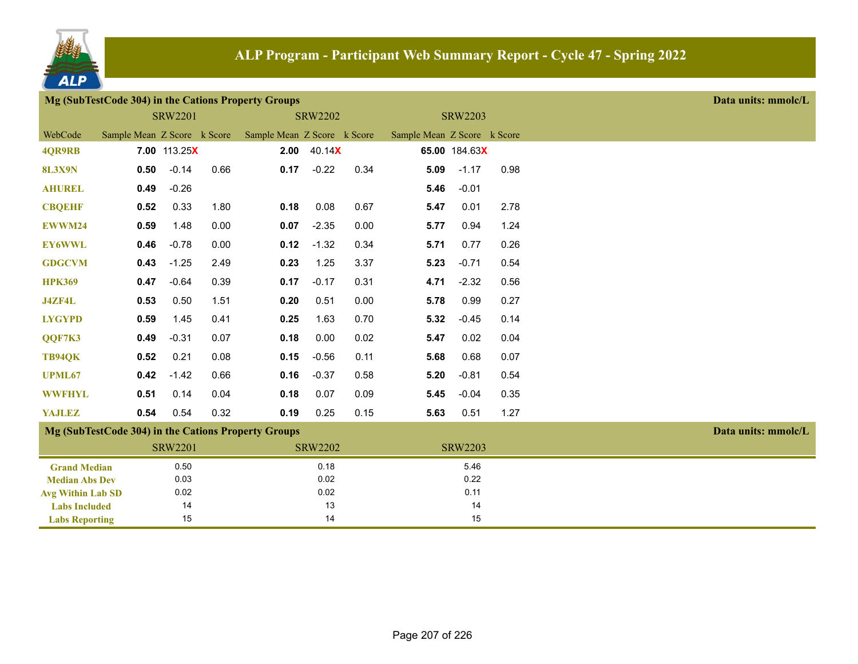

|                          |      |                |      | Mg (SubTestCode 304) in the Cations Property Groups     |                |      |                             |                |      | Data units: mmolc/L |
|--------------------------|------|----------------|------|---------------------------------------------------------|----------------|------|-----------------------------|----------------|------|---------------------|
|                          |      | <b>SRW2201</b> |      |                                                         | <b>SRW2202</b> |      |                             | <b>SRW2203</b> |      |                     |
| WebCode                  |      |                |      | Sample Mean Z Score k Score Sample Mean Z Score k Score |                |      | Sample Mean Z Score k Score |                |      |                     |
| <b>4QR9RB</b>            |      | 7.00 113.25X   |      | 2.00                                                    | 40.14X         |      |                             | 65.00 184.63X  |      |                     |
| <b>8L3X9N</b>            | 0.50 | $-0.14$        | 0.66 | 0.17                                                    | $-0.22$        | 0.34 | 5.09                        | $-1.17$        | 0.98 |                     |
| <b>AHUREL</b>            | 0.49 | $-0.26$        |      |                                                         |                |      | 5.46                        | $-0.01$        |      |                     |
| <b>CBQEHF</b>            | 0.52 | 0.33           | 1.80 | 0.18                                                    | 0.08           | 0.67 | 5.47                        | 0.01           | 2.78 |                     |
| EWWM24                   | 0.59 | 1.48           | 0.00 | 0.07                                                    | $-2.35$        | 0.00 | 5.77                        | 0.94           | 1.24 |                     |
| <b>EY6WWL</b>            | 0.46 | $-0.78$        | 0.00 | 0.12                                                    | $-1.32$        | 0.34 | 5.71                        | 0.77           | 0.26 |                     |
| <b>GDGCVM</b>            | 0.43 | $-1.25$        | 2.49 | 0.23                                                    | 1.25           | 3.37 | 5.23                        | $-0.71$        | 0.54 |                     |
| <b>HPK369</b>            | 0.47 | $-0.64$        | 0.39 | 0.17                                                    | $-0.17$        | 0.31 | 4.71                        | $-2.32$        | 0.56 |                     |
| <b>J4ZF4L</b>            | 0.53 | 0.50           | 1.51 | 0.20                                                    | 0.51           | 0.00 | 5.78                        | 0.99           | 0.27 |                     |
| <b>LYGYPD</b>            | 0.59 | 1.45           | 0.41 | 0.25                                                    | 1.63           | 0.70 | 5.32                        | $-0.45$        | 0.14 |                     |
| QQF7K3                   | 0.49 | $-0.31$        | 0.07 | 0.18                                                    | 0.00           | 0.02 | 5.47                        | 0.02           | 0.04 |                     |
| TB94QK                   | 0.52 | 0.21           | 0.08 | 0.15                                                    | $-0.56$        | 0.11 | 5.68                        | 0.68           | 0.07 |                     |
| <b>UPML67</b>            | 0.42 | $-1.42$        | 0.66 | 0.16                                                    | $-0.37$        | 0.58 | 5.20                        | $-0.81$        | 0.54 |                     |
| <b>WWFHYL</b>            | 0.51 | 0.14           | 0.04 | 0.18                                                    | 0.07           | 0.09 | 5.45                        | $-0.04$        | 0.35 |                     |
| <b>YAJLEZ</b>            | 0.54 | 0.54           | 0.32 | 0.19                                                    | 0.25           | 0.15 | 5.63                        | 0.51           | 1.27 |                     |
|                          |      |                |      | Mg (SubTestCode 304) in the Cations Property Groups     |                |      |                             |                |      | Data units: mmolc/L |
|                          |      | <b>SRW2201</b> |      |                                                         | <b>SRW2202</b> |      |                             | <b>SRW2203</b> |      |                     |
| <b>Grand Median</b>      |      | 0.50           |      |                                                         | 0.18           |      |                             | 5.46           |      |                     |
| <b>Median Abs Dev</b>    |      | 0.03           |      |                                                         | 0.02           |      |                             | 0.22           |      |                     |
| <b>Avg Within Lab SD</b> |      | 0.02           |      |                                                         | 0.02           |      |                             | 0.11           |      |                     |
| <b>Labs Included</b>     |      | 14             |      |                                                         | 13             |      |                             | 14             |      |                     |
| <b>Labs Reporting</b>    |      | 15             |      |                                                         | 14             |      |                             | 15             |      |                     |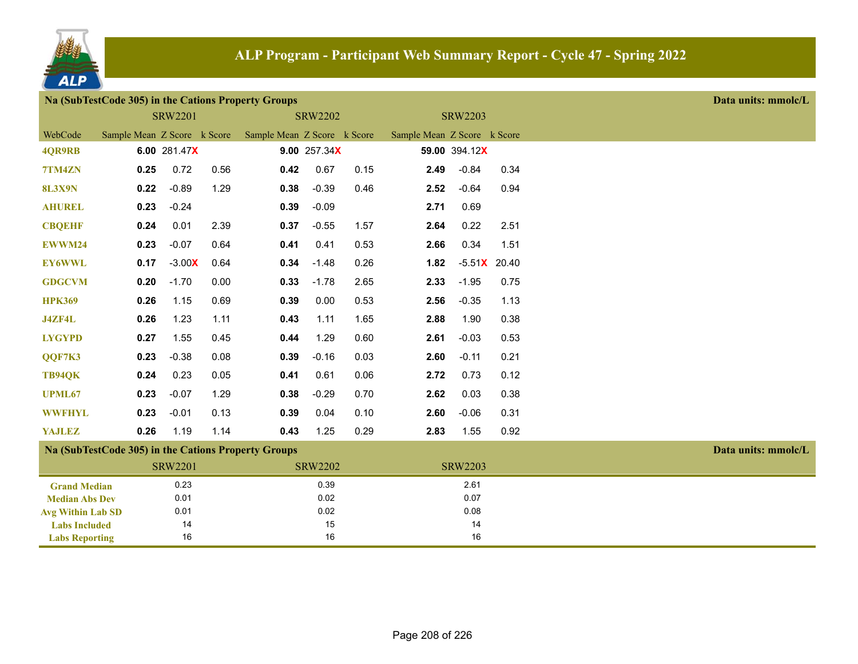

|                                               |      |                             |      | Na (SubTestCode 305) in the Cations Property Groups |                |      |                             |                |                 |  |  |  |  |  |  |  |  |  |  | Data units: mmolc/L |
|-----------------------------------------------|------|-----------------------------|------|-----------------------------------------------------|----------------|------|-----------------------------|----------------|-----------------|--|--|--|--|--|--|--|--|--|--|---------------------|
|                                               |      | <b>SRW2201</b>              |      |                                                     | <b>SRW2202</b> |      |                             | <b>SRW2203</b> |                 |  |  |  |  |  |  |  |  |  |  |                     |
| WebCode                                       |      | Sample Mean Z Score k Score |      | Sample Mean Z Score k Score                         |                |      | Sample Mean Z Score k Score |                |                 |  |  |  |  |  |  |  |  |  |  |                     |
| 4QR9RB                                        |      | 6.00 281.47X                |      |                                                     | 9.00 257.34X   |      |                             | 59.00 394.12X  |                 |  |  |  |  |  |  |  |  |  |  |                     |
| 7TM4ZN                                        | 0.25 | 0.72                        | 0.56 | 0.42                                                | 0.67           | 0.15 | 2.49                        | $-0.84$        | 0.34            |  |  |  |  |  |  |  |  |  |  |                     |
| <b>8L3X9N</b>                                 | 0.22 | $-0.89$                     | 1.29 | 0.38                                                | $-0.39$        | 0.46 | 2.52                        | $-0.64$        | 0.94            |  |  |  |  |  |  |  |  |  |  |                     |
| <b>AHUREL</b>                                 | 0.23 | $-0.24$                     |      | 0.39                                                | $-0.09$        |      | 2.71                        | 0.69           |                 |  |  |  |  |  |  |  |  |  |  |                     |
| <b>CBQEHF</b>                                 | 0.24 | 0.01                        | 2.39 | 0.37                                                | $-0.55$        | 1.57 | 2.64                        | 0.22           | 2.51            |  |  |  |  |  |  |  |  |  |  |                     |
| EWWM24                                        | 0.23 | $-0.07$                     | 0.64 | 0.41                                                | 0.41           | 0.53 | 2.66                        | 0.34           | 1.51            |  |  |  |  |  |  |  |  |  |  |                     |
| <b>EY6WWL</b>                                 | 0.17 | $-3.00X$                    | 0.64 | 0.34                                                | $-1.48$        | 0.26 | 1.82                        |                | $-5.51$ X 20.40 |  |  |  |  |  |  |  |  |  |  |                     |
| <b>GDGCVM</b>                                 | 0.20 | $-1.70$                     | 0.00 | 0.33                                                | $-1.78$        | 2.65 | 2.33                        | $-1.95$        | 0.75            |  |  |  |  |  |  |  |  |  |  |                     |
| <b>HPK369</b>                                 | 0.26 | 1.15                        | 0.69 | 0.39                                                | 0.00           | 0.53 | 2.56                        | $-0.35$        | 1.13            |  |  |  |  |  |  |  |  |  |  |                     |
| J4ZF4L                                        | 0.26 | 1.23                        | 1.11 | 0.43                                                | 1.11           | 1.65 | 2.88                        | 1.90           | 0.38            |  |  |  |  |  |  |  |  |  |  |                     |
| <b>LYGYPD</b>                                 | 0.27 | 1.55                        | 0.45 | 0.44                                                | 1.29           | 0.60 | 2.61                        | $-0.03$        | 0.53            |  |  |  |  |  |  |  |  |  |  |                     |
| QQF7K3                                        | 0.23 | $-0.38$                     | 0.08 | 0.39                                                | $-0.16$        | 0.03 | 2.60                        | $-0.11$        | 0.21            |  |  |  |  |  |  |  |  |  |  |                     |
| TB94QK                                        | 0.24 | 0.23                        | 0.05 | 0.41                                                | 0.61           | 0.06 | 2.72                        | 0.73           | 0.12            |  |  |  |  |  |  |  |  |  |  |                     |
| UPML67                                        | 0.23 | $-0.07$                     | 1.29 | 0.38                                                | $-0.29$        | 0.70 | 2.62                        | 0.03           | 0.38            |  |  |  |  |  |  |  |  |  |  |                     |
| <b>WWFHYL</b>                                 | 0.23 | $-0.01$                     | 0.13 | 0.39                                                | 0.04           | 0.10 | 2.60                        | $-0.06$        | 0.31            |  |  |  |  |  |  |  |  |  |  |                     |
| <b>YAJLEZ</b>                                 | 0.26 | 1.19                        | 1.14 | 0.43                                                | 1.25           | 0.29 | 2.83                        | 1.55           | 0.92            |  |  |  |  |  |  |  |  |  |  |                     |
|                                               |      |                             |      | Na (SubTestCode 305) in the Cations Property Groups |                |      |                             |                |                 |  |  |  |  |  |  |  |  |  |  | Data units: mmolc/L |
|                                               |      | <b>SRW2201</b>              |      |                                                     | <b>SRW2202</b> |      |                             | <b>SRW2203</b> |                 |  |  |  |  |  |  |  |  |  |  |                     |
| <b>Grand Median</b>                           |      | 0.23                        |      |                                                     | 0.39           |      |                             | 2.61           |                 |  |  |  |  |  |  |  |  |  |  |                     |
| <b>Median Abs Dev</b>                         |      | 0.01                        |      |                                                     | 0.02           |      |                             | 0.07           |                 |  |  |  |  |  |  |  |  |  |  |                     |
| <b>Avg Within Lab SD</b>                      |      | 0.01                        |      |                                                     | 0.02           |      |                             | 0.08           |                 |  |  |  |  |  |  |  |  |  |  |                     |
| <b>Labs Included</b><br><b>Labs Reporting</b> |      | 14<br>16                    |      |                                                     | 15<br>16       |      |                             | 14<br>16       |                 |  |  |  |  |  |  |  |  |  |  |                     |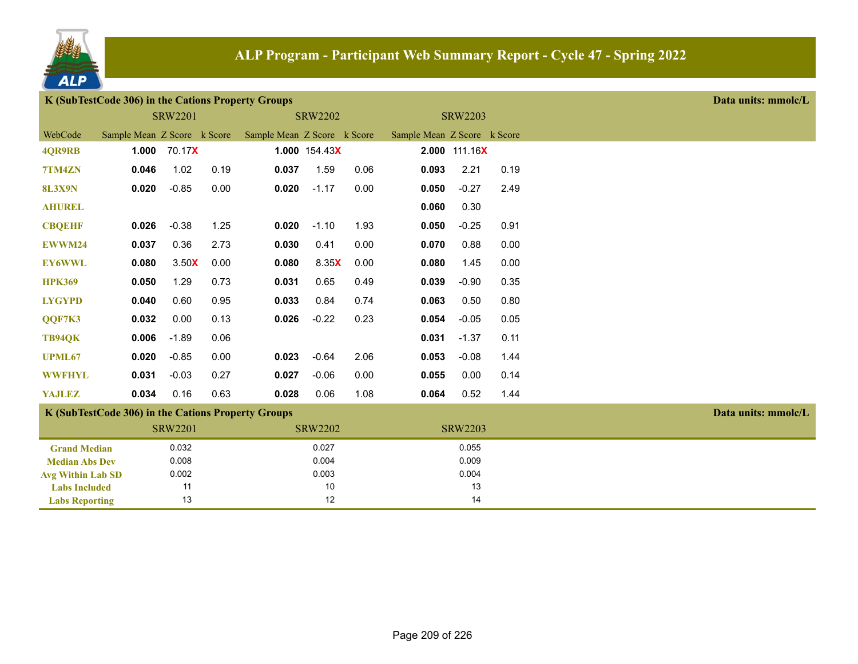

| K (SubTestCode 306) in the Cations Property Groups |                             |                   |      |                             |                |      |                             |                |      | Data units: mmolc/L |
|----------------------------------------------------|-----------------------------|-------------------|------|-----------------------------|----------------|------|-----------------------------|----------------|------|---------------------|
|                                                    |                             | <b>SRW2201</b>    |      |                             | <b>SRW2202</b> |      |                             | <b>SRW2203</b> |      |                     |
| WebCode                                            | Sample Mean Z Score k Score |                   |      | Sample Mean Z Score k Score |                |      | Sample Mean Z Score k Score |                |      |                     |
| 4QR9RB                                             | 1.000                       | 70.17 <b>X</b>    |      |                             | 1.000 154.43X  |      |                             | 2.000 111.16X  |      |                     |
| 7TM4ZN                                             | 0.046                       | 1.02              | 0.19 | 0.037                       | 1.59           | 0.06 | 0.093                       | 2.21           | 0.19 |                     |
| <b>8L3X9N</b>                                      | 0.020                       | $-0.85$           | 0.00 | 0.020                       | $-1.17$        | 0.00 | 0.050                       | $-0.27$        | 2.49 |                     |
| <b>AHUREL</b>                                      |                             |                   |      |                             |                |      | 0.060                       | 0.30           |      |                     |
| <b>CBQEHF</b>                                      | 0.026                       | $-0.38$           | 1.25 | 0.020                       | $-1.10$        | 1.93 | 0.050                       | $-0.25$        | 0.91 |                     |
| EWWM24                                             | 0.037                       | 0.36              | 2.73 | 0.030                       | 0.41           | 0.00 | 0.070                       | 0.88           | 0.00 |                     |
| <b>EY6WWL</b>                                      | 0.080                       | 3.50 <sub>X</sub> | 0.00 | 0.080                       | 8.35X          | 0.00 | 0.080                       | 1.45           | 0.00 |                     |
| <b>HPK369</b>                                      | 0.050                       | 1.29              | 0.73 | 0.031                       | 0.65           | 0.49 | 0.039                       | $-0.90$        | 0.35 |                     |
| <b>LYGYPD</b>                                      | 0.040                       | 0.60              | 0.95 | 0.033                       | 0.84           | 0.74 | 0.063                       | 0.50           | 0.80 |                     |
| QQF7K3                                             | 0.032                       | 0.00              | 0.13 | 0.026                       | $-0.22$        | 0.23 | 0.054                       | $-0.05$        | 0.05 |                     |
| TB94QK                                             | 0.006                       | $-1.89$           | 0.06 |                             |                |      | 0.031                       | $-1.37$        | 0.11 |                     |
| UPML67                                             | 0.020                       | $-0.85$           | 0.00 | 0.023                       | $-0.64$        | 2.06 | 0.053                       | $-0.08$        | 1.44 |                     |
| <b>WWFHYL</b>                                      | 0.031                       | $-0.03$           | 0.27 | 0.027                       | $-0.06$        | 0.00 | 0.055                       | 0.00           | 0.14 |                     |
| <b>YAJLEZ</b>                                      | 0.034                       | 0.16              | 0.63 | 0.028                       | 0.06           | 1.08 | 0.064                       | 0.52           | 1.44 |                     |
| K (SubTestCode 306) in the Cations Property Groups |                             |                   |      |                             |                |      |                             |                |      | Data units: mmolc/L |
|                                                    |                             | <b>SRW2201</b>    |      |                             | <b>SRW2202</b> |      |                             | <b>SRW2203</b> |      |                     |
| <b>Grand Median</b>                                |                             | 0.032             |      |                             | 0.027          |      |                             | 0.055          |      |                     |
| <b>Median Abs Dev</b>                              |                             | 0.008             |      |                             | 0.004          |      |                             | 0.009          |      |                     |
| <b>Avg Within Lab SD</b>                           |                             | 0.002             |      |                             | 0.003          |      |                             | 0.004          |      |                     |
| <b>Labs Included</b>                               |                             | 11                |      |                             | 10             |      |                             | 13             |      |                     |
| <b>Labs Reporting</b>                              |                             | 13                |      |                             | 12             |      |                             | 14             |      |                     |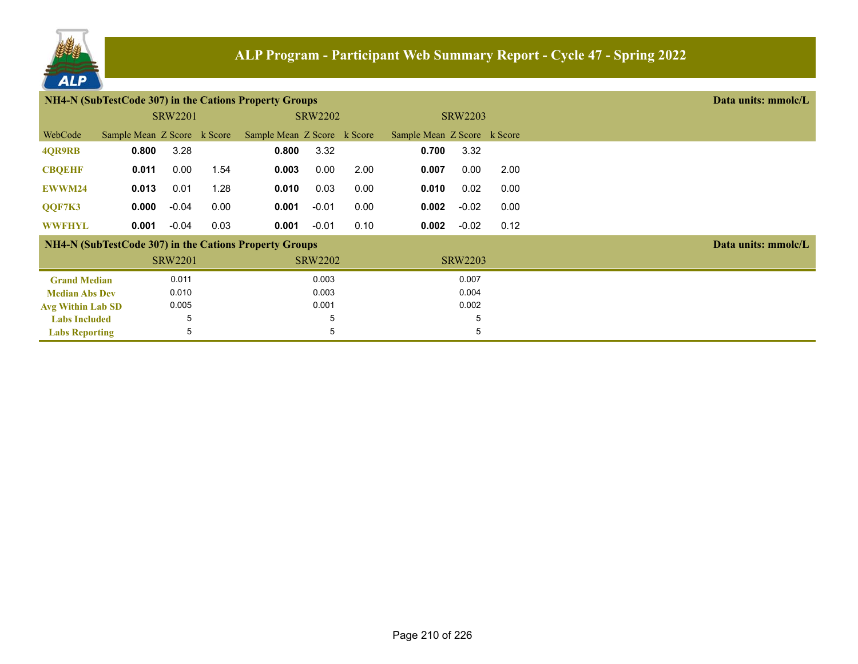

|                       |                             |                |      | NH4-N (SubTestCode 307) in the Cations Property Groups |                |      |                             |                |      | Data units: mmolc/L |
|-----------------------|-----------------------------|----------------|------|--------------------------------------------------------|----------------|------|-----------------------------|----------------|------|---------------------|
|                       |                             | <b>SRW2201</b> |      |                                                        | <b>SRW2202</b> |      |                             | <b>SRW2203</b> |      |                     |
| WebCode               | Sample Mean Z Score k Score |                |      | Sample Mean Z Score k Score                            |                |      | Sample Mean Z Score k Score |                |      |                     |
| 4QR9RB                | 0.800                       | 3.28           |      | 0.800                                                  | 3.32           |      | 0.700                       | 3.32           |      |                     |
| <b>CBQEHF</b>         | 0.011                       | 0.00           | 1.54 | 0.003                                                  | 0.00           | 2.00 | 0.007                       | 0.00           | 2.00 |                     |
| EWWM24                | 0.013                       | 0.01           | 1.28 | 0.010                                                  | 0.03           | 0.00 | 0.010                       | 0.02           | 0.00 |                     |
| QQF7K3                | 0.000                       | $-0.04$        | 0.00 | 0.001                                                  | $-0.01$        | 0.00 | 0.002                       | $-0.02$        | 0.00 |                     |
| <b>WWFHYL</b>         | 0.001                       | $-0.04$        | 0.03 | 0.001                                                  | $-0.01$        | 0.10 | 0.002                       | $-0.02$        | 0.12 |                     |
|                       |                             |                |      | NH4-N (SubTestCode 307) in the Cations Property Groups |                |      |                             |                |      | Data units: mmolc/L |
|                       |                             | <b>SRW2201</b> |      |                                                        | <b>SRW2202</b> |      |                             | <b>SRW2203</b> |      |                     |
| <b>Grand Median</b>   |                             | 0.011          |      |                                                        | 0.003          |      |                             | 0.007          |      |                     |
| <b>Median Abs Dev</b> |                             | 0.010          |      |                                                        | 0.003          |      |                             | 0.004          |      |                     |
| Avg Within Lab SD     |                             | 0.005          |      |                                                        | 0.001          |      |                             | 0.002          |      |                     |
| <b>Labs Included</b>  |                             | 5              |      |                                                        | 5              |      |                             | 5              |      |                     |
| <b>Labs Reporting</b> |                             | 5              |      |                                                        | 5              |      |                             | 5              |      |                     |
|                       |                             |                |      |                                                        |                |      |                             |                |      |                     |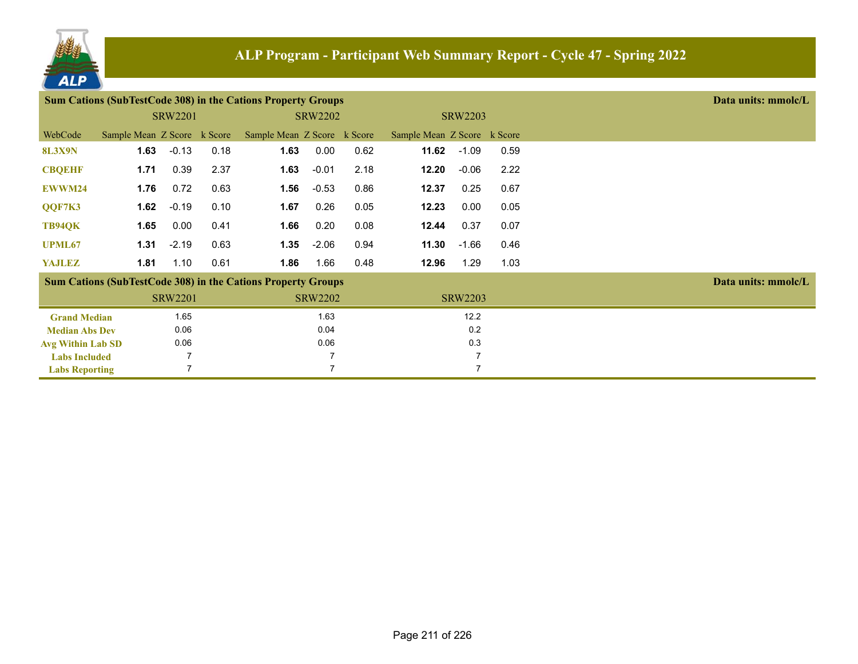

|                       |                             |                |      | <b>Sum Cations (SubTestCode 308) in the Cations Property Groups</b> |                |      |                             |                |      | Data units: mmolc/L |
|-----------------------|-----------------------------|----------------|------|---------------------------------------------------------------------|----------------|------|-----------------------------|----------------|------|---------------------|
|                       |                             | <b>SRW2201</b> |      |                                                                     | <b>SRW2202</b> |      |                             | <b>SRW2203</b> |      |                     |
| WebCode               | Sample Mean Z Score k Score |                |      | Sample Mean Z Score k Score                                         |                |      | Sample Mean Z Score k Score |                |      |                     |
| <b>8L3X9N</b>         | 1.63                        | $-0.13$        | 0.18 | 1.63                                                                | 0.00           | 0.62 | 11.62                       | $-1.09$        | 0.59 |                     |
| <b>CBQEHF</b>         | 1.71                        | 0.39           | 2.37 | 1.63                                                                | $-0.01$        | 2.18 | 12.20                       | $-0.06$        | 2.22 |                     |
| EWWM24                | 1.76                        | 0.72           | 0.63 | 1.56                                                                | $-0.53$        | 0.86 | 12.37                       | 0.25           | 0.67 |                     |
| QQF7K3                | 1.62                        | $-0.19$        | 0.10 | 1.67                                                                | 0.26           | 0.05 | 12.23                       | 0.00           | 0.05 |                     |
| TB94QK                | 1.65                        | 0.00           | 0.41 | 1.66                                                                | 0.20           | 0.08 | 12.44                       | 0.37           | 0.07 |                     |
| UPML67                | 1.31                        | $-2.19$        | 0.63 | 1.35                                                                | $-2.06$        | 0.94 | 11.30                       | $-1.66$        | 0.46 |                     |
| <b>YAJLEZ</b>         | 1.81                        | 1.10           | 0.61 | 1.86                                                                | 1.66           | 0.48 | 12.96                       | 1.29           | 1.03 |                     |
|                       |                             |                |      | <b>Sum Cations (SubTestCode 308) in the Cations Property Groups</b> |                |      |                             |                |      | Data units: mmolc/L |
|                       |                             | <b>SRW2201</b> |      |                                                                     | <b>SRW2202</b> |      |                             | <b>SRW2203</b> |      |                     |
| <b>Grand Median</b>   |                             | 1.65           |      |                                                                     | 1.63           |      |                             | 12.2           |      |                     |
| <b>Median Abs Dev</b> |                             | 0.06           |      |                                                                     | 0.04           |      |                             | 0.2            |      |                     |
| Avg Within Lab SD     |                             | 0.06           |      |                                                                     | 0.06           |      |                             | 0.3            |      |                     |
| <b>Labs Included</b>  |                             | 7              |      |                                                                     |                |      |                             | 7              |      |                     |
| <b>Labs Reporting</b> |                             | 7              |      |                                                                     | 7              |      |                             | 7              |      |                     |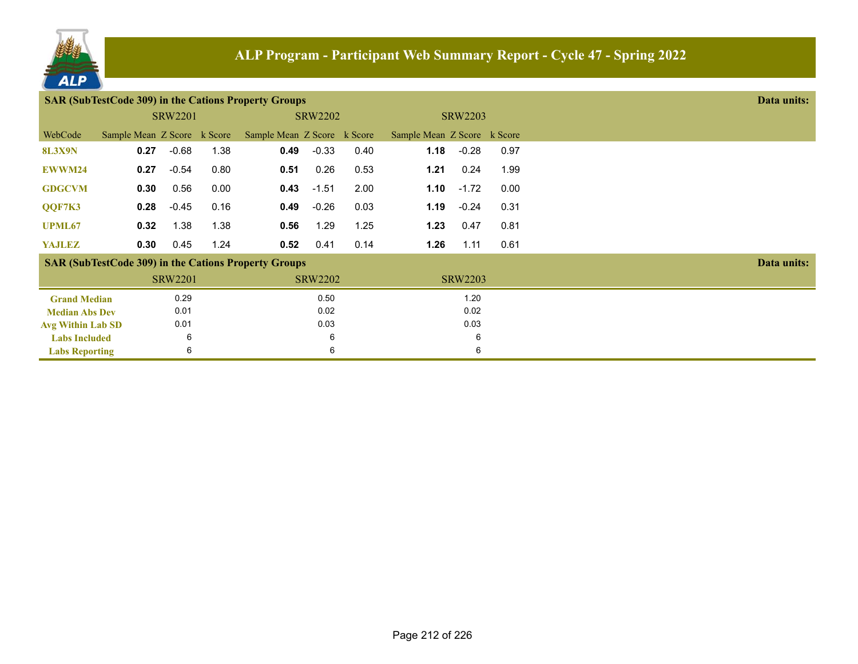

|                       |                             |                |      | <b>SAR (SubTestCode 309) in the Cations Property Groups</b> |                |      |                             |                |      |  |  | Data units: |
|-----------------------|-----------------------------|----------------|------|-------------------------------------------------------------|----------------|------|-----------------------------|----------------|------|--|--|-------------|
|                       |                             | <b>SRW2201</b> |      |                                                             | <b>SRW2202</b> |      |                             | <b>SRW2203</b> |      |  |  |             |
| WebCode               | Sample Mean Z Score k Score |                |      | Sample Mean Z Score k Score                                 |                |      | Sample Mean Z Score k Score |                |      |  |  |             |
| <b>8L3X9N</b>         | 0.27                        | $-0.68$        | 1.38 | 0.49                                                        | $-0.33$        | 0.40 | 1.18                        | $-0.28$        | 0.97 |  |  |             |
| EWWM24                | 0.27                        | $-0.54$        | 0.80 | 0.51                                                        | 0.26           | 0.53 | 1.21                        | 0.24           | 1.99 |  |  |             |
| <b>GDGCVM</b>         | 0.30                        | 0.56           | 0.00 | 0.43                                                        | $-1.51$        | 2.00 | 1.10                        | $-1.72$        | 0.00 |  |  |             |
| QQF7K3                | 0.28                        | $-0.45$        | 0.16 | 0.49                                                        | $-0.26$        | 0.03 | 1.19                        | $-0.24$        | 0.31 |  |  |             |
| UPML67                | 0.32                        | 1.38           | 1.38 | 0.56                                                        | 1.29           | 1.25 | 1.23                        | 0.47           | 0.81 |  |  |             |
| <b>YAJLEZ</b>         | 0.30                        | 0.45           | 1.24 | 0.52                                                        | 0.41           | 0.14 | 1.26                        | 1.11           | 0.61 |  |  |             |
|                       |                             |                |      | <b>SAR (SubTestCode 309) in the Cations Property Groups</b> |                |      |                             |                |      |  |  | Data units: |
|                       |                             | <b>SRW2201</b> |      |                                                             | <b>SRW2202</b> |      |                             | <b>SRW2203</b> |      |  |  |             |
| <b>Grand Median</b>   |                             | 0.29           |      |                                                             | 0.50           |      |                             | 1.20           |      |  |  |             |
| <b>Median Abs Dev</b> |                             | 0.01           |      |                                                             | 0.02           |      |                             | 0.02           |      |  |  |             |
| Avg Within Lab SD     |                             | 0.01           |      |                                                             | 0.03           |      |                             | 0.03           |      |  |  |             |
| <b>Labs Included</b>  |                             | 6              |      |                                                             | 6              |      |                             | 6              |      |  |  |             |
| <b>Labs Reporting</b> |                             | 6              |      |                                                             | $\,6\,$        |      |                             | 6              |      |  |  |             |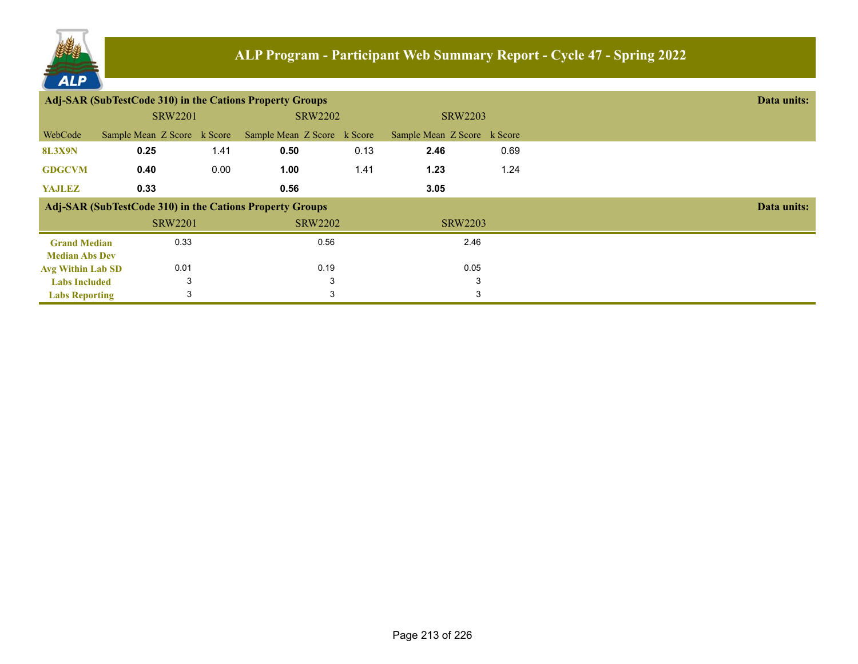

|                       | Adj-SAR (SubTestCode 310) in the Cations Property Groups<br>Data units: |      |                             |      |                             |      |  |  |  |  |  |  |  |
|-----------------------|-------------------------------------------------------------------------|------|-----------------------------|------|-----------------------------|------|--|--|--|--|--|--|--|
|                       | <b>SRW2201</b>                                                          |      | <b>SRW2202</b>              |      | <b>SRW2203</b>              |      |  |  |  |  |  |  |  |
| WebCode               | Sample Mean Z Score k Score                                             |      | Sample Mean Z Score k Score |      | Sample Mean Z Score k Score |      |  |  |  |  |  |  |  |
| <b>8L3X9N</b>         | 0.25                                                                    | 1.41 | 0.50                        | 0.13 | 2.46                        | 0.69 |  |  |  |  |  |  |  |
| <b>GDGCVM</b>         | 0.40                                                                    | 0.00 | 1.00                        | 1.41 | 1.23                        | 1.24 |  |  |  |  |  |  |  |
| <b>YAJLEZ</b>         | 0.33                                                                    |      | 0.56                        |      | 3.05                        |      |  |  |  |  |  |  |  |
|                       | Adj-SAR (SubTestCode 310) in the Cations Property Groups                |      |                             |      |                             |      |  |  |  |  |  |  |  |
|                       | <b>SRW2201</b>                                                          |      | <b>SRW2202</b>              |      | <b>SRW2203</b>              |      |  |  |  |  |  |  |  |
| <b>Grand Median</b>   | 0.33                                                                    |      | 0.56                        |      | 2.46                        |      |  |  |  |  |  |  |  |
| <b>Median Abs Dev</b> |                                                                         |      |                             |      |                             |      |  |  |  |  |  |  |  |
| Avg Within Lab SD     | 0.01                                                                    |      | 0.19                        |      | 0.05                        |      |  |  |  |  |  |  |  |
| <b>Labs Included</b>  | 3                                                                       |      | 3                           |      | 3                           |      |  |  |  |  |  |  |  |
| <b>Labs Reporting</b> | 3                                                                       |      | 3                           |      | 3                           |      |  |  |  |  |  |  |  |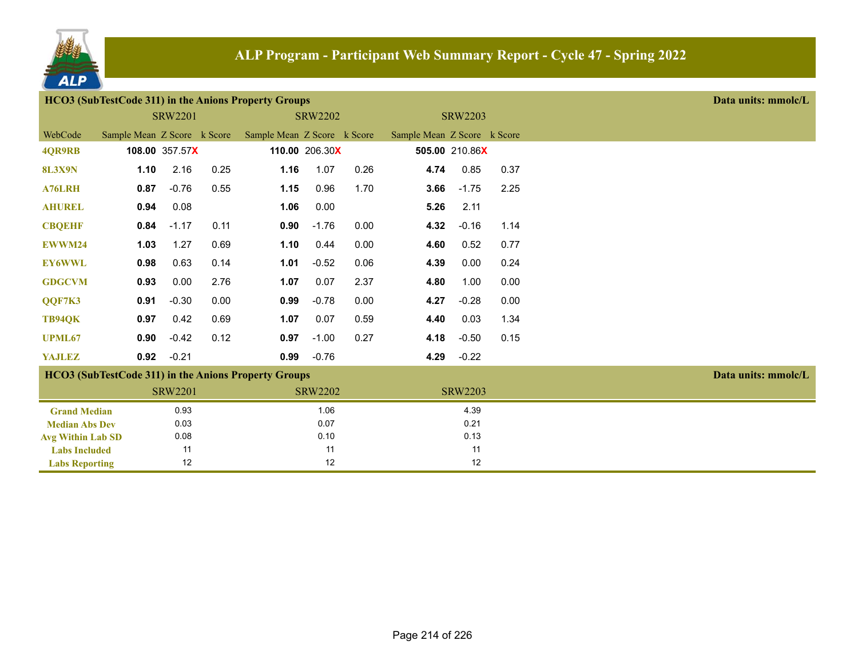

|                          |              |                                                                                                                           |                                                                                                                   |                                                      |                                                                                                                                                                                                                 |                                                                                                                   |                                              |                                                                                                                             |                                                                                                 | Data units: mmolc/L |
|--------------------------|--------------|---------------------------------------------------------------------------------------------------------------------------|-------------------------------------------------------------------------------------------------------------------|------------------------------------------------------|-----------------------------------------------------------------------------------------------------------------------------------------------------------------------------------------------------------------|-------------------------------------------------------------------------------------------------------------------|----------------------------------------------|-----------------------------------------------------------------------------------------------------------------------------|-------------------------------------------------------------------------------------------------|---------------------|
|                          |              |                                                                                                                           |                                                                                                                   |                                                      |                                                                                                                                                                                                                 |                                                                                                                   |                                              |                                                                                                                             |                                                                                                 |                     |
|                          |              |                                                                                                                           |                                                                                                                   |                                                      |                                                                                                                                                                                                                 |                                                                                                                   |                                              |                                                                                                                             |                                                                                                 |                     |
|                          |              |                                                                                                                           |                                                                                                                   |                                                      |                                                                                                                                                                                                                 |                                                                                                                   |                                              |                                                                                                                             |                                                                                                 |                     |
| 1.10                     | 2.16         | 0.25                                                                                                                      | 1.16                                                                                                              | 1.07                                                 | 0.26                                                                                                                                                                                                            |                                                                                                                   | 0.85                                         | 0.37                                                                                                                        |                                                                                                 |                     |
| 0.87                     | $-0.76$      | 0.55                                                                                                                      | 1.15                                                                                                              | 0.96                                                 | 1.70                                                                                                                                                                                                            |                                                                                                                   | $-1.75$                                      | 2.25                                                                                                                        |                                                                                                 |                     |
| 0.94                     | 0.08         |                                                                                                                           | 1.06                                                                                                              | 0.00                                                 |                                                                                                                                                                                                                 | 5.26                                                                                                              | 2.11                                         |                                                                                                                             |                                                                                                 |                     |
|                          | $-1.17$      | 0.11                                                                                                                      |                                                                                                                   | $-1.76$                                              | 0.00                                                                                                                                                                                                            |                                                                                                                   | $-0.16$                                      | 1.14                                                                                                                        |                                                                                                 |                     |
| 1.03                     | 1.27         | 0.69                                                                                                                      | 1.10                                                                                                              | 0.44                                                 | 0.00                                                                                                                                                                                                            | 4.60                                                                                                              | 0.52                                         | 0.77                                                                                                                        |                                                                                                 |                     |
|                          | 0.63         | 0.14                                                                                                                      |                                                                                                                   | $-0.52$                                              | 0.06                                                                                                                                                                                                            |                                                                                                                   | 0.00                                         | 0.24                                                                                                                        |                                                                                                 |                     |
|                          |              |                                                                                                                           |                                                                                                                   |                                                      |                                                                                                                                                                                                                 |                                                                                                                   |                                              |                                                                                                                             |                                                                                                 |                     |
|                          |              |                                                                                                                           |                                                                                                                   |                                                      |                                                                                                                                                                                                                 |                                                                                                                   |                                              |                                                                                                                             |                                                                                                 |                     |
|                          |              |                                                                                                                           |                                                                                                                   |                                                      |                                                                                                                                                                                                                 |                                                                                                                   |                                              |                                                                                                                             |                                                                                                 |                     |
|                          |              |                                                                                                                           |                                                                                                                   |                                                      |                                                                                                                                                                                                                 |                                                                                                                   |                                              |                                                                                                                             |                                                                                                 |                     |
|                          |              |                                                                                                                           |                                                                                                                   |                                                      |                                                                                                                                                                                                                 |                                                                                                                   |                                              |                                                                                                                             |                                                                                                 |                     |
|                          |              |                                                                                                                           |                                                                                                                   |                                                      |                                                                                                                                                                                                                 |                                                                                                                   |                                              |                                                                                                                             |                                                                                                 | Data units: mmolc/L |
|                          |              |                                                                                                                           |                                                                                                                   |                                                      |                                                                                                                                                                                                                 |                                                                                                                   |                                              |                                                                                                                             |                                                                                                 |                     |
|                          |              |                                                                                                                           |                                                                                                                   |                                                      |                                                                                                                                                                                                                 |                                                                                                                   |                                              |                                                                                                                             |                                                                                                 |                     |
|                          |              |                                                                                                                           |                                                                                                                   |                                                      |                                                                                                                                                                                                                 |                                                                                                                   |                                              |                                                                                                                             |                                                                                                 |                     |
|                          |              |                                                                                                                           |                                                                                                                   |                                                      |                                                                                                                                                                                                                 |                                                                                                                   |                                              |                                                                                                                             |                                                                                                 |                     |
|                          |              |                                                                                                                           |                                                                                                                   |                                                      |                                                                                                                                                                                                                 |                                                                                                                   |                                              |                                                                                                                             |                                                                                                 |                     |
|                          |              |                                                                                                                           |                                                                                                                   |                                                      |                                                                                                                                                                                                                 |                                                                                                                   |                                              |                                                                                                                             |                                                                                                 |                     |
| <b>Avg Within Lab SD</b> | 0.91<br>0.97 | 0.84<br>0.98<br>0.93<br>0.00<br>$-0.30$<br>0.42<br>$-0.42$<br>0.90<br>$-0.21$<br>0.92<br>0.93<br>0.03<br>0.08<br>11<br>12 | <b>SRW2201</b><br>Sample Mean Z Score k Score<br>108.00 357.57X<br>2.76<br>0.00<br>0.69<br>0.12<br><b>SRW2201</b> | 0.90<br>1.01<br>1.07<br>0.99<br>1.07<br>0.97<br>0.99 | <b>HCO3</b> (SubTestCode 311) in the Anions Property Groups<br>0.07<br>$-0.78$<br>0.07<br>$-1.00$<br>$-0.76$<br><b>HCO3</b> (SubTestCode 311) in the Anions Property Groups<br>1.06<br>0.07<br>0.10<br>11<br>12 | <b>SRW2202</b><br>Sample Mean Z Score k Score<br>110.00 206.30X<br>2.37<br>0.00<br>0.59<br>0.27<br><b>SRW2202</b> | 4.39<br>4.80<br>4.27<br>4.40<br>4.18<br>4.29 | 4.74<br>3.66<br>4.32<br>1.00<br>$-0.28$<br>0.03<br>$-0.50$<br>$-0.22$<br><b>SRW2203</b><br>4.39<br>0.21<br>0.13<br>11<br>12 | <b>SRW2203</b><br>Sample Mean Z Score k Score<br>505.00 210.86X<br>0.00<br>0.00<br>1.34<br>0.15 |                     |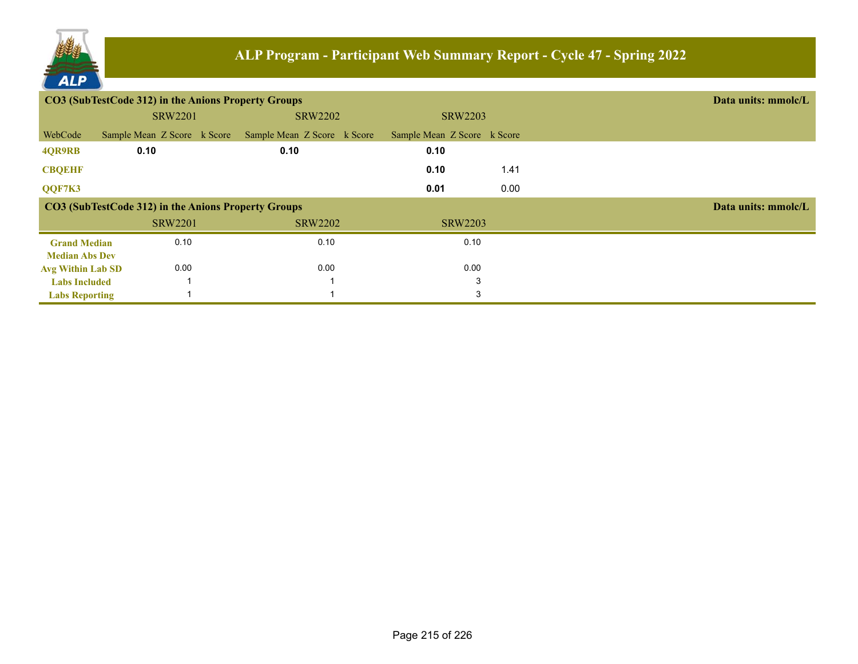

|                       | CO3 (SubTestCode 312) in the Anions Property Groups |                             |                             |      | Data units: mmolc/L |
|-----------------------|-----------------------------------------------------|-----------------------------|-----------------------------|------|---------------------|
|                       | <b>SRW2201</b>                                      | <b>SRW2202</b>              | <b>SRW2203</b>              |      |                     |
| WebCode               | Sample Mean Z Score k Score                         | Sample Mean Z Score k Score | Sample Mean Z Score k Score |      |                     |
| 4QR9RB                | 0.10                                                | 0.10                        | 0.10                        |      |                     |
| <b>CBQEHF</b>         |                                                     |                             | 0.10                        | 1.41 |                     |
| QQF7K3                |                                                     |                             | 0.01                        | 0.00 |                     |
|                       | CO3 (SubTestCode 312) in the Anions Property Groups |                             |                             |      | Data units: mmolc/L |
|                       | <b>SRW2201</b>                                      | <b>SRW2202</b>              | <b>SRW2203</b>              |      |                     |
| <b>Grand Median</b>   | 0.10                                                | 0.10                        |                             | 0.10 |                     |
| <b>Median Abs Dev</b> |                                                     |                             |                             |      |                     |
| Avg Within Lab SD     | 0.00                                                | 0.00                        |                             | 0.00 |                     |
| <b>Labs Included</b>  |                                                     |                             |                             | 3    |                     |
| <b>Labs Reporting</b> |                                                     |                             |                             | 3    |                     |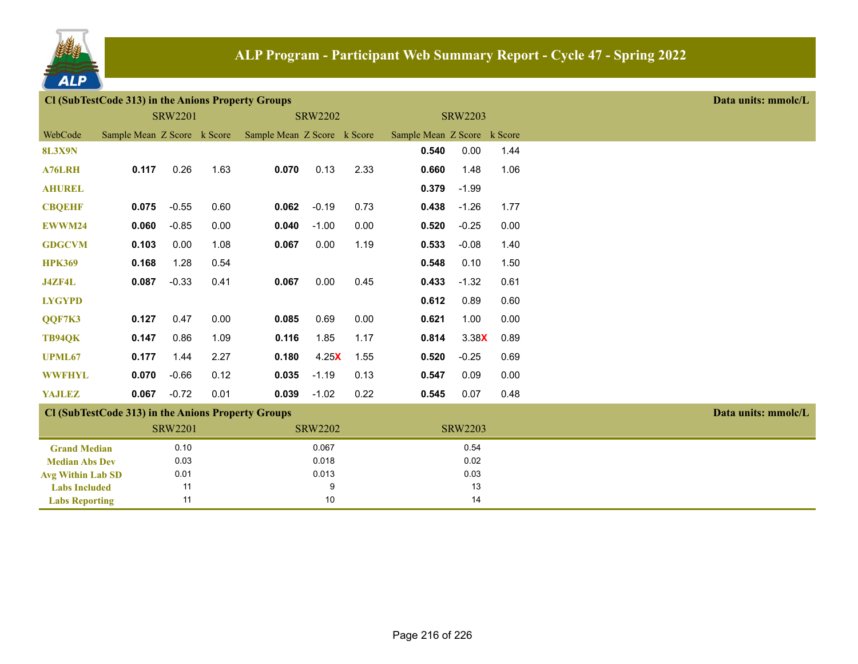

|                          | Cl (SubTestCode 313) in the Anions Property Groups |                |      |                             |                |      |                             |                |      | Data units: mmolc/L |
|--------------------------|----------------------------------------------------|----------------|------|-----------------------------|----------------|------|-----------------------------|----------------|------|---------------------|
|                          |                                                    | <b>SRW2201</b> |      |                             | <b>SRW2202</b> |      |                             | <b>SRW2203</b> |      |                     |
| WebCode                  | Sample Mean Z Score k Score                        |                |      | Sample Mean Z Score k Score |                |      | Sample Mean Z Score k Score |                |      |                     |
| <b>8L3X9N</b>            |                                                    |                |      |                             |                |      | 0.540                       | 0.00           | 1.44 |                     |
| A76LRH                   | 0.117                                              | 0.26           | 1.63 | 0.070                       | 0.13           | 2.33 | 0.660                       | 1.48           | 1.06 |                     |
| <b>AHUREL</b>            |                                                    |                |      |                             |                |      | 0.379                       | $-1.99$        |      |                     |
| <b>CBQEHF</b>            | 0.075                                              | $-0.55$        | 0.60 | 0.062                       | $-0.19$        | 0.73 | 0.438                       | $-1.26$        | 1.77 |                     |
| EWWM24                   | 0.060                                              | $-0.85$        | 0.00 | 0.040                       | $-1.00$        | 0.00 | 0.520                       | $-0.25$        | 0.00 |                     |
| <b>GDGCVM</b>            | 0.103                                              | 0.00           | 1.08 | 0.067                       | 0.00           | 1.19 | 0.533                       | $-0.08$        | 1.40 |                     |
| <b>HPK369</b>            | 0.168                                              | 1.28           | 0.54 |                             |                |      | 0.548                       | 0.10           | 1.50 |                     |
| <b>J4ZF4L</b>            | 0.087                                              | $-0.33$        | 0.41 | 0.067                       | 0.00           | 0.45 | 0.433                       | $-1.32$        | 0.61 |                     |
| <b>LYGYPD</b>            |                                                    |                |      |                             |                |      | 0.612                       | 0.89           | 0.60 |                     |
| QQF7K3                   | 0.127                                              | 0.47           | 0.00 | 0.085                       | 0.69           | 0.00 | 0.621                       | 1.00           | 0.00 |                     |
| TB94QK                   | 0.147                                              | 0.86           | 1.09 | 0.116                       | 1.85           | 1.17 | 0.814                       | 3.38X          | 0.89 |                     |
| UPML67                   | 0.177                                              | 1.44           | 2.27 | 0.180                       | 4.25X          | 1.55 | 0.520                       | $-0.25$        | 0.69 |                     |
| <b>WWFHYL</b>            | 0.070                                              | $-0.66$        | 0.12 | 0.035                       | $-1.19$        | 0.13 | 0.547                       | 0.09           | 0.00 |                     |
| <b>YAJLEZ</b>            | 0.067                                              | $-0.72$        | 0.01 | 0.039                       | $-1.02$        | 0.22 | 0.545                       | 0.07           | 0.48 |                     |
|                          | Cl (SubTestCode 313) in the Anions Property Groups |                |      |                             |                |      |                             |                |      | Data units: mmolc/L |
|                          |                                                    | <b>SRW2201</b> |      |                             | <b>SRW2202</b> |      |                             | <b>SRW2203</b> |      |                     |
| <b>Grand Median</b>      |                                                    | 0.10           |      |                             | 0.067          |      |                             | 0.54           |      |                     |
| <b>Median Abs Dev</b>    |                                                    | 0.03           |      |                             | 0.018          |      |                             | 0.02           |      |                     |
| <b>Avg Within Lab SD</b> |                                                    | 0.01           |      |                             | 0.013          |      |                             | 0.03           |      |                     |
| <b>Labs Included</b>     |                                                    | 11             |      |                             | 9              |      |                             | 13             |      |                     |
| <b>Labs Reporting</b>    |                                                    | 11             |      |                             | 10             |      |                             | 14             |      |                     |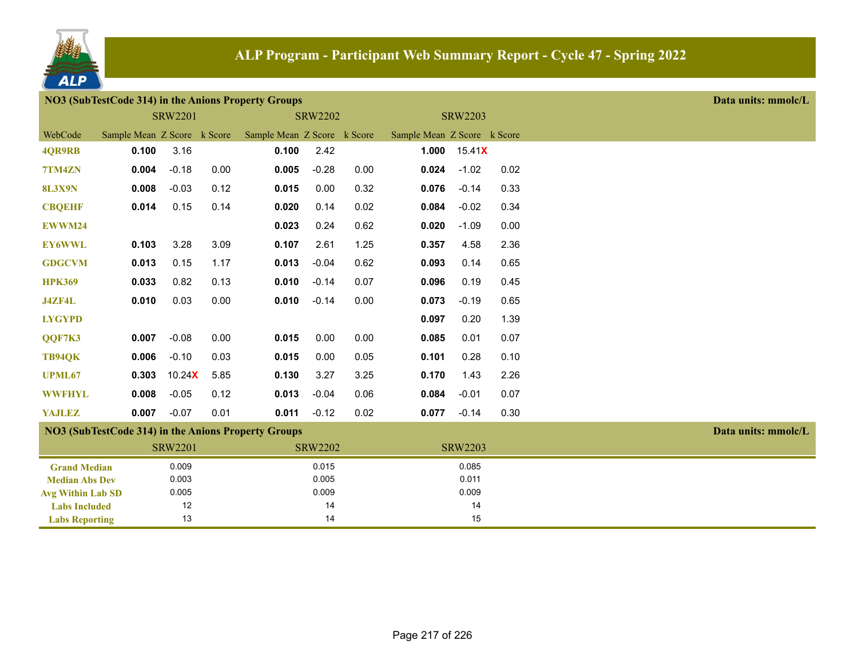

| NO3 (SubTestCode 314) in the Anions Property Groups |                             |                |      |                                                     |                |      |                             |                  |      | Data units: mmolc/L |
|-----------------------------------------------------|-----------------------------|----------------|------|-----------------------------------------------------|----------------|------|-----------------------------|------------------|------|---------------------|
|                                                     |                             | <b>SRW2201</b> |      |                                                     | <b>SRW2202</b> |      |                             | <b>SRW2203</b>   |      |                     |
| WebCode                                             | Sample Mean Z Score k Score |                |      | Sample Mean Z Score k Score                         |                |      | Sample Mean Z Score k Score |                  |      |                     |
| <b>4QR9RB</b>                                       | 0.100                       | 3.16           |      | 0.100                                               | 2.42           |      | 1.000                       | $15.41$ <b>X</b> |      |                     |
| 7TM4ZN                                              | 0.004                       | $-0.18$        | 0.00 | 0.005                                               | $-0.28$        | 0.00 | 0.024                       | $-1.02$          | 0.02 |                     |
| <b>8L3X9N</b>                                       | 0.008                       | $-0.03$        | 0.12 | 0.015                                               | 0.00           | 0.32 | 0.076                       | $-0.14$          | 0.33 |                     |
| <b>CBQEHF</b>                                       | 0.014                       | 0.15           | 0.14 | 0.020                                               | 0.14           | 0.02 | 0.084                       | $-0.02$          | 0.34 |                     |
| EWWM24                                              |                             |                |      | 0.023                                               | 0.24           | 0.62 | 0.020                       | $-1.09$          | 0.00 |                     |
| <b>EY6WWL</b>                                       | 0.103                       | 3.28           | 3.09 | 0.107                                               | 2.61           | 1.25 | 0.357                       | 4.58             | 2.36 |                     |
| <b>GDGCVM</b>                                       | 0.013                       | 0.15           | 1.17 | 0.013                                               | $-0.04$        | 0.62 | 0.093                       | 0.14             | 0.65 |                     |
| <b>HPK369</b>                                       | 0.033                       | 0.82           | 0.13 | 0.010                                               | $-0.14$        | 0.07 | 0.096                       | 0.19             | 0.45 |                     |
| <b>J4ZF4L</b>                                       | 0.010                       | 0.03           | 0.00 | 0.010                                               | $-0.14$        | 0.00 | 0.073                       | $-0.19$          | 0.65 |                     |
| <b>LYGYPD</b>                                       |                             |                |      |                                                     |                |      | 0.097                       | 0.20             | 1.39 |                     |
| QQF7K3                                              | 0.007                       | $-0.08$        | 0.00 | 0.015                                               | 0.00           | 0.00 | 0.085                       | 0.01             | 0.07 |                     |
| TB94QK                                              | 0.006                       | $-0.10$        | 0.03 | 0.015                                               | 0.00           | 0.05 | 0.101                       | 0.28             | 0.10 |                     |
| UPML67                                              | 0.303                       | 10.24X         | 5.85 | 0.130                                               | 3.27           | 3.25 | 0.170                       | 1.43             | 2.26 |                     |
| <b>WWFHYL</b>                                       | 0.008                       | $-0.05$        | 0.12 | 0.013                                               | $-0.04$        | 0.06 | 0.084                       | $-0.01$          | 0.07 |                     |
| <b>YAJLEZ</b>                                       | 0.007                       | $-0.07$        | 0.01 | 0.011                                               | $-0.12$        | 0.02 | 0.077                       | $-0.14$          | 0.30 |                     |
|                                                     |                             |                |      | NO3 (SubTestCode 314) in the Anions Property Groups |                |      |                             |                  |      | Data units: mmolc/L |
|                                                     |                             | <b>SRW2201</b> |      |                                                     | <b>SRW2202</b> |      |                             | <b>SRW2203</b>   |      |                     |
| <b>Grand Median</b>                                 |                             | 0.009          |      |                                                     | 0.015          |      |                             | 0.085            |      |                     |
| <b>Median Abs Dev</b>                               |                             | 0.003          |      |                                                     | 0.005          |      |                             | 0.011            |      |                     |
| <b>Avg Within Lab SD</b>                            |                             | 0.005          |      |                                                     | 0.009          |      |                             | 0.009            |      |                     |
| <b>Labs Included</b>                                |                             | 12             |      |                                                     | 14             |      |                             | 14               |      |                     |
| <b>Labs Reporting</b>                               |                             | 13             |      |                                                     | 14             |      |                             | 15               |      |                     |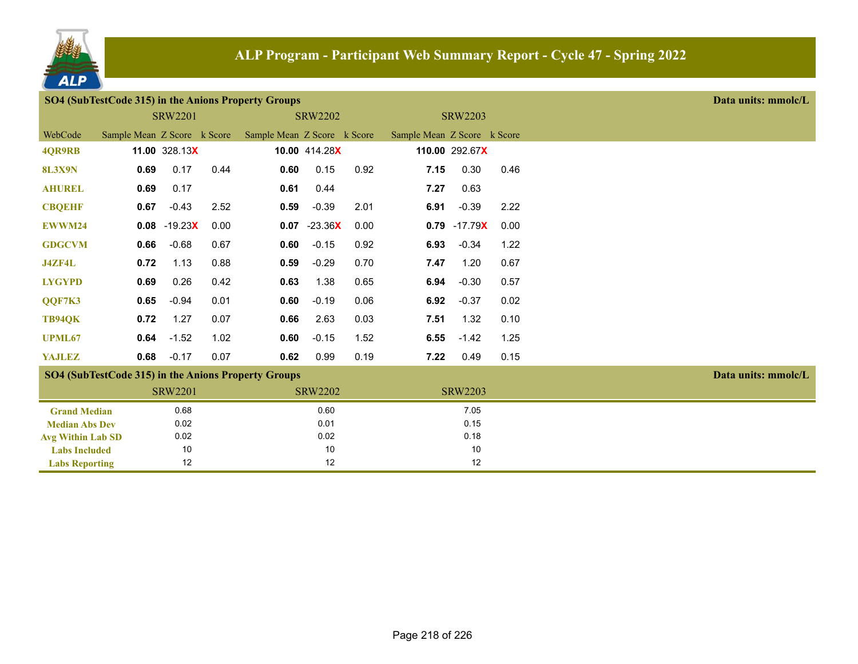

**Avg Within Lab SD Labs Included**

10 10 10

**Labs Reporting 12** 12 12 12

### **ALP Program - Participant Web Summary Report - Cycle 47 - Spring 2022**

|                          |                             |                 |      | SO4 (SubTestCode 315) in the Anions Property Groups |                   |      |                             |                 |      |  | Data units: mmolc/L |
|--------------------------|-----------------------------|-----------------|------|-----------------------------------------------------|-------------------|------|-----------------------------|-----------------|------|--|---------------------|
|                          |                             | <b>SRW2201</b>  |      |                                                     | <b>SRW2202</b>    |      |                             | <b>SRW2203</b>  |      |  |                     |
| WebCode                  | Sample Mean Z Score k Score |                 |      | Sample Mean Z Score k Score                         |                   |      | Sample Mean Z Score k Score |                 |      |  |                     |
| 4QR9RB                   |                             | 11.00 328.13X   |      |                                                     | 10.00 414.28X     |      |                             | 110.00 292.67X  |      |  |                     |
| <b>8L3X9N</b>            | 0.69                        | 0.17            | 0.44 | 0.60                                                | 0.15              | 0.92 | 7.15                        | 0.30            | 0.46 |  |                     |
| <b>AHUREL</b>            | 0.69                        | 0.17            |      | 0.61                                                | 0.44              |      | 7.27                        | 0.63            |      |  |                     |
| <b>CBQEHF</b>            | 0.67                        | $-0.43$         | 2.52 | 0.59                                                | $-0.39$           | 2.01 | 6.91                        | $-0.39$         | 2.22 |  |                     |
| EWWM24                   |                             | $0.08 - 19.23X$ | 0.00 | 0.07                                                | $-23.36$ <b>X</b> | 0.00 | 0.79                        | -17.79 <b>X</b> | 0.00 |  |                     |
| <b>GDGCVM</b>            | 0.66                        | $-0.68$         | 0.67 | 0.60                                                | $-0.15$           | 0.92 | 6.93                        | $-0.34$         | 1.22 |  |                     |
| J4ZF4L                   | 0.72                        | 1.13            | 0.88 | 0.59                                                | $-0.29$           | 0.70 | 7.47                        | 1.20            | 0.67 |  |                     |
| <b>LYGYPD</b>            | 0.69                        | 0.26            | 0.42 | 0.63                                                | 1.38              | 0.65 | 6.94                        | $-0.30$         | 0.57 |  |                     |
| QQF7K3                   | 0.65                        | $-0.94$         | 0.01 | 0.60                                                | $-0.19$           | 0.06 | 6.92                        | $-0.37$         | 0.02 |  |                     |
| <b>TB94OK</b>            | 0.72                        | 1.27            | 0.07 | 0.66                                                | 2.63              | 0.03 | 7.51                        | 1.32            | 0.10 |  |                     |
| UPML67                   | 0.64                        | $-1.52$         | 1.02 | 0.60                                                | $-0.15$           | 1.52 | 6.55                        | $-1.42$         | 1.25 |  |                     |
| <b>YAJLEZ</b>            | 0.68                        | $-0.17$         | 0.07 | 0.62                                                | 0.99              | 0.19 | 7.22                        | 0.49            | 0.15 |  |                     |
|                          |                             |                 |      | SO4 (SubTestCode 315) in the Anions Property Groups |                   |      |                             |                 |      |  | Data units: mmolc/L |
|                          |                             | <b>SRW2201</b>  |      |                                                     | <b>SRW2202</b>    |      |                             | <b>SRW2203</b>  |      |  |                     |
| <b>Grand Median</b>      |                             | 0.68            |      |                                                     | 0.60              |      |                             | 7.05            |      |  |                     |
| <b>Median Abs Dev</b>    |                             | 0.02            |      |                                                     | 0.01              |      |                             | 0.15            |      |  |                     |
| <b>Avg Within Lab SD</b> |                             | 0.02            |      |                                                     | 0.02              |      |                             | 0.18            |      |  |                     |

0.18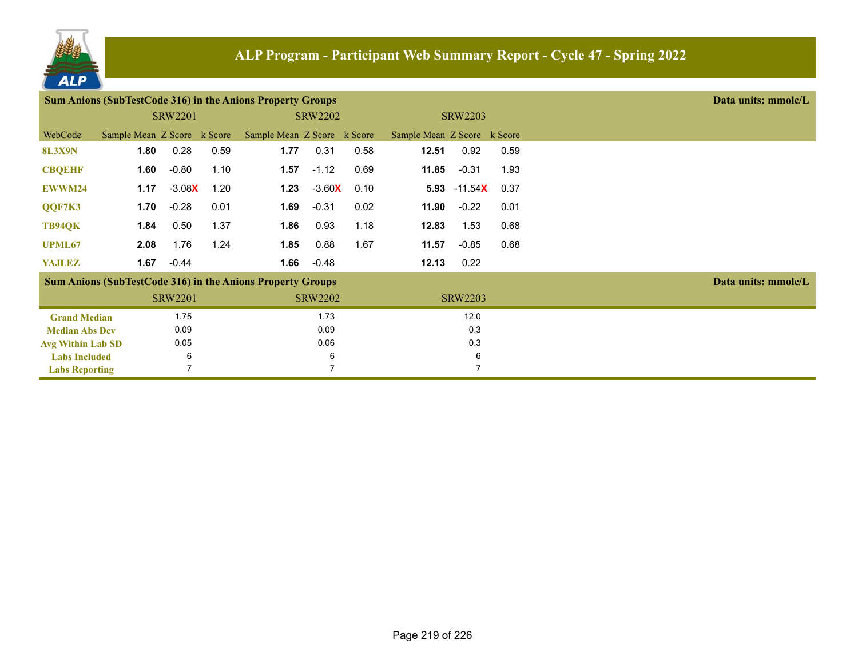

|                       |                             |                  |      | <b>Sum Anions (SubTestCode 316) in the Anions Property Groups</b> |                  |      |                             |                 |      |
|-----------------------|-----------------------------|------------------|------|-------------------------------------------------------------------|------------------|------|-----------------------------|-----------------|------|
|                       |                             | <b>SRW2201</b>   |      |                                                                   | <b>SRW2202</b>   |      |                             | <b>SRW2203</b>  |      |
| WebCode               | Sample Mean Z Score k Score |                  |      | Sample Mean Z Score k Score                                       |                  |      | Sample Mean Z Score k Score |                 |      |
| <b>8L3X9N</b>         | 1.80                        | 0.28             | 0.59 | 1.77                                                              | 0.31             | 0.58 | 12.51                       | 0.92            | 0.59 |
| <b>CBQEHF</b>         | 1.60                        | $-0.80$          | 1.10 | 1.57                                                              | $-1.12$          | 0.69 | 11.85                       | $-0.31$         | 1.93 |
| EWWM24                | 1.17                        | $-3.08$ <b>X</b> | 1.20 | 1.23                                                              | $-3.60$ <b>X</b> | 0.10 | 5.93                        | -11.54 <b>X</b> | 0.37 |
| QQF7K3                | 1.70                        | $-0.28$          | 0.01 | 1.69                                                              | $-0.31$          | 0.02 | 11.90                       | $-0.22$         | 0.01 |
| TB94QK                | 1.84                        | 0.50             | 1.37 | 1.86                                                              | 0.93             | 1.18 | 12.83                       | 1.53            | 0.68 |
| UPML67                | 2.08                        | 1.76             | 1.24 | 1.85                                                              | 0.88             | 1.67 | 11.57                       | $-0.85$         | 0.68 |
| <b>YAJLEZ</b>         | 1.67                        | $-0.44$          |      | 1.66                                                              | $-0.48$          |      | 12.13                       | 0.22            |      |
|                       |                             |                  |      | <b>Sum Anions (SubTestCode 316) in the Anions Property Groups</b> |                  |      |                             |                 |      |
|                       |                             | <b>SRW2201</b>   |      |                                                                   | <b>SRW2202</b>   |      |                             | <b>SRW2203</b>  |      |
| <b>Grand Median</b>   |                             | 1.75             |      |                                                                   | 1.73             |      |                             | 12.0            |      |
| <b>Median Abs Dev</b> |                             | 0.09             |      |                                                                   | 0.09             |      |                             | 0.3             |      |
| Avg Within Lab SD     |                             | 0.05             |      |                                                                   | 0.06             |      |                             | 0.3             |      |
| <b>Labs Included</b>  |                             | 6                |      |                                                                   | 6                |      |                             | 6               |      |
| <b>Labs Reporting</b> |                             | 7                |      |                                                                   | $\overline{7}$   |      |                             | $\overline{7}$  |      |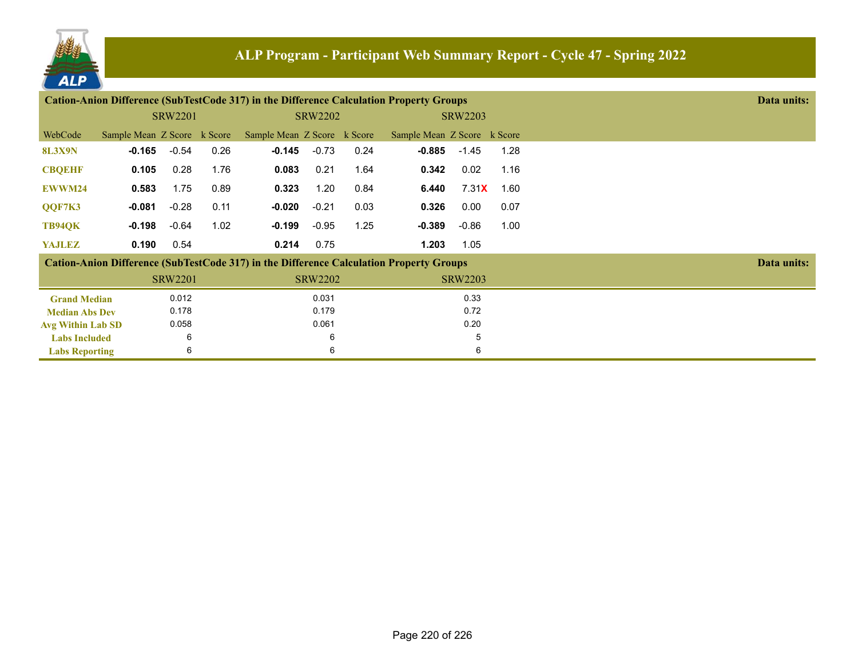

|               |                             |         |      |                                                                                                                                                                                                                                                               |         |      | <b>Cation-Anion Difference (SubTestCode 317) in the Difference Calculation Property Groups</b> |                |      |
|---------------|-----------------------------|---------|------|---------------------------------------------------------------------------------------------------------------------------------------------------------------------------------------------------------------------------------------------------------------|---------|------|------------------------------------------------------------------------------------------------|----------------|------|
|               |                             | SRW2201 |      |                                                                                                                                                                                                                                                               | SRW2202 |      |                                                                                                | <b>SRW2203</b> |      |
| WebCode       | Sample Mean Z Score k Score |         |      | Sample Mean Z Score k Score                                                                                                                                                                                                                                   |         |      | Sample Mean Z Score k Score                                                                    |                |      |
| <b>8L3X9N</b> | -0.165                      | $-0.54$ | 0.26 | $-0.145$                                                                                                                                                                                                                                                      | $-0.73$ | 0.24 | $-0.885$                                                                                       | $-1.45$        | 1.28 |
| <b>CBOEHF</b> | 0.105                       | 0.28    | 1.76 | 0.083                                                                                                                                                                                                                                                         | 0.21    | 1.64 | 0.342                                                                                          | 0.02           | 1.16 |
| EWWM24        | 0.583                       | 1.75    | 0.89 | 0.323                                                                                                                                                                                                                                                         | 1.20    | 0.84 | 6.440                                                                                          | 7.31 <b>X</b>  | 1.60 |
| OOF7K3        | -0.081                      | $-0.28$ | 0.11 | -0.020                                                                                                                                                                                                                                                        | $-0.21$ | 0.03 | 0.326                                                                                          | 0.00           | 0.07 |
| <b>TB94OK</b> | -0.198                      | $-0.64$ | 1.02 | $-0.199$                                                                                                                                                                                                                                                      | $-0.95$ | 1.25 | $-0.389$                                                                                       | $-0.86$        | 1.00 |
| <b>YAJLEZ</b> | 0.190                       | 0.54    |      | 0.214                                                                                                                                                                                                                                                         | 0.75    |      | 1.203                                                                                          | 1.05           |      |
|               |                             |         |      | $C_1$ , $C_2$ , $C_3$ , $D_1$ , $D_2$ , $D_3$ , $D_4$ , $D_5$ , $D_5$ , $D_6$ , $D_6$ , $D_7$ , $D_7$ , $D_7$ , $D_7$ , $D_7$ , $D_7$ , $D_7$ , $D_7$ , $D_7$ , $D_7$ , $D_7$ , $D_7$ , $D_7$ , $D_7$ , $D_7$ , $D_7$ , $D_7$ , $D_7$ , $D_7$ , $D_7$ , $D_7$ |         |      |                                                                                                |                |      |

|                          |         | Cation-Anion Difference (SubTestCode 317) in the Difference Calculation Property Groups |         | Data units: |
|--------------------------|---------|-----------------------------------------------------------------------------------------|---------|-------------|
|                          | SRW2201 | SRW2202                                                                                 | SRW2203 |             |
| <b>Grand Median</b>      | 0.012   | 0.031                                                                                   | 0.33    |             |
| <b>Median Abs Dev</b>    | 0.178   | 0.179                                                                                   | 0.72    |             |
| <b>Avg Within Lab SD</b> | 0.058   | 0.061                                                                                   | 0.20    |             |
| <b>Labs Included</b>     | 6       | 6                                                                                       |         |             |
| <b>Labs Reporting</b>    |         | 6                                                                                       |         |             |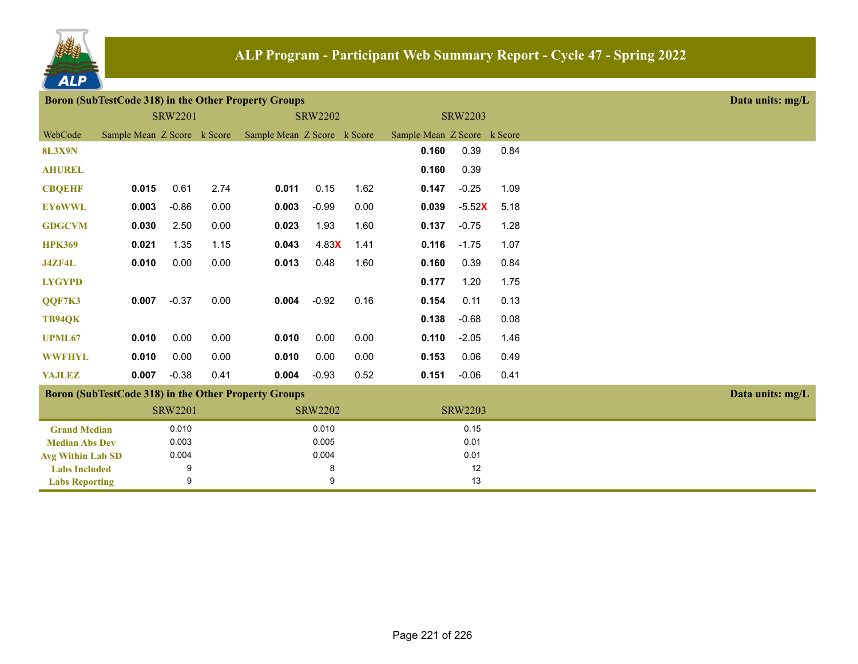

|                          |                             |                |      | <b>Boron (SubTestCode 318) in the Other Property Groups</b> |                |      |                             |                |      | Data units: mg/L |
|--------------------------|-----------------------------|----------------|------|-------------------------------------------------------------|----------------|------|-----------------------------|----------------|------|------------------|
|                          |                             | <b>SRW2201</b> |      |                                                             | <b>SRW2202</b> |      |                             | <b>SRW2203</b> |      |                  |
| WebCode                  | Sample Mean Z Score k Score |                |      | Sample Mean Z Score k Score                                 |                |      | Sample Mean Z Score k Score |                |      |                  |
| <b>8L3X9N</b>            |                             |                |      |                                                             |                |      | 0.160                       | 0.39           | 0.84 |                  |
| <b>AHUREL</b>            |                             |                |      |                                                             |                |      | 0.160                       | 0.39           |      |                  |
| <b>CBQEHF</b>            | 0.015                       | 0.61           | 2.74 | 0.011                                                       | 0.15           | 1.62 | 0.147                       | $-0.25$        | 1.09 |                  |
| <b>EY6WWL</b>            | 0.003                       | $-0.86$        | 0.00 | 0.003                                                       | $-0.99$        | 0.00 | 0.039                       | $-5.52X$       | 5.18 |                  |
| <b>GDGCVM</b>            | 0.030                       | 2.50           | 0.00 | 0.023                                                       | 1.93           | 1.60 | 0.137                       | $-0.75$        | 1.28 |                  |
| <b>HPK369</b>            | 0.021                       | 1.35           | 1.15 | 0.043                                                       | 4.83X          | 1.41 | 0.116                       | $-1.75$        | 1.07 |                  |
| J4ZF4L                   | 0.010                       | 0.00           | 0.00 | 0.013                                                       | 0.48           | 1.60 | 0.160                       | 0.39           | 0.84 |                  |
| <b>LYGYPD</b>            |                             |                |      |                                                             |                |      | 0.177                       | 1.20           | 1.75 |                  |
| QQF7K3                   | 0.007                       | $-0.37$        | 0.00 | 0.004                                                       | $-0.92$        | 0.16 | 0.154                       | 0.11           | 0.13 |                  |
| TB94QK                   |                             |                |      |                                                             |                |      | 0.138                       | $-0.68$        | 0.08 |                  |
| UPML67                   | 0.010                       | 0.00           | 0.00 | 0.010                                                       | 0.00           | 0.00 | 0.110                       | $-2.05$        | 1.46 |                  |
| <b>WWFHYL</b>            | 0.010                       | 0.00           | 0.00 | 0.010                                                       | 0.00           | 0.00 | 0.153                       | 0.06           | 0.49 |                  |
| <b>YAJLEZ</b>            | 0.007                       | $-0.38$        | 0.41 | 0.004                                                       | $-0.93$        | 0.52 | 0.151                       | $-0.06$        | 0.41 |                  |
|                          |                             |                |      | <b>Boron (SubTestCode 318) in the Other Property Groups</b> |                |      |                             |                |      | Data units: mg/L |
|                          |                             | <b>SRW2201</b> |      |                                                             | <b>SRW2202</b> |      |                             | <b>SRW2203</b> |      |                  |
| <b>Grand Median</b>      |                             | 0.010          |      |                                                             | 0.010          |      |                             | 0.15           |      |                  |
| <b>Median Abs Dev</b>    |                             | 0.003          |      |                                                             | 0.005          |      |                             | 0.01           |      |                  |
| <b>Avg Within Lab SD</b> |                             | 0.004          |      |                                                             | 0.004          |      |                             | 0.01           |      |                  |
| <b>Labs Included</b>     |                             | 9<br>9         |      |                                                             | 8              |      |                             | 12<br>13       |      |                  |
| <b>Labs Reporting</b>    |                             |                |      |                                                             | 9              |      |                             |                |      |                  |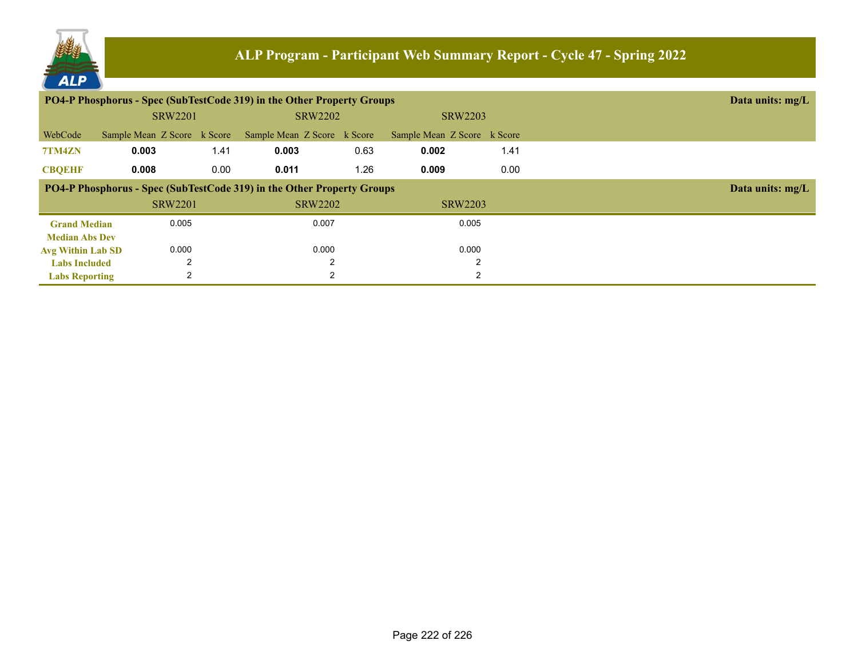

|                          |                             |      | <b>PO4-P Phosphorus - Spec (SubTestCode 319) in the Other Property Groups</b> |      |                             |                |  |
|--------------------------|-----------------------------|------|-------------------------------------------------------------------------------|------|-----------------------------|----------------|--|
|                          | <b>SRW2201</b>              |      | <b>SRW2202</b>                                                                |      |                             | <b>SRW2203</b> |  |
| WebCode                  | Sample Mean Z Score k Score |      | Sample Mean Z Score k Score                                                   |      | Sample Mean Z Score k Score |                |  |
| 7TM4ZN                   | 0.003                       | 1.41 | 0.003                                                                         | 0.63 | 0.002                       | 1.41           |  |
| <b>CBQEHF</b>            | 0.008                       | 0.00 | 0.011                                                                         | 1.26 | 0.009                       | 0.00           |  |
|                          |                             |      | <b>PO4-P Phosphorus - Spec (SubTestCode 319) in the Other Property Groups</b> |      |                             |                |  |
|                          | <b>SRW2201</b>              |      | <b>SRW2202</b>                                                                |      |                             | <b>SRW2203</b> |  |
| <b>Grand Median</b>      | 0.005                       |      | 0.007                                                                         |      |                             | 0.005          |  |
| <b>Median Abs Dev</b>    |                             |      |                                                                               |      |                             |                |  |
| <b>Avg Within Lab SD</b> | 0.000                       |      | 0.000                                                                         |      |                             | 0.000          |  |
| <b>Labs Included</b>     | $\overline{2}$              |      | $\overline{2}$                                                                |      |                             | $\overline{2}$ |  |
| <b>Labs Reporting</b>    | 2                           |      | $\overline{2}$                                                                |      |                             | $\overline{2}$ |  |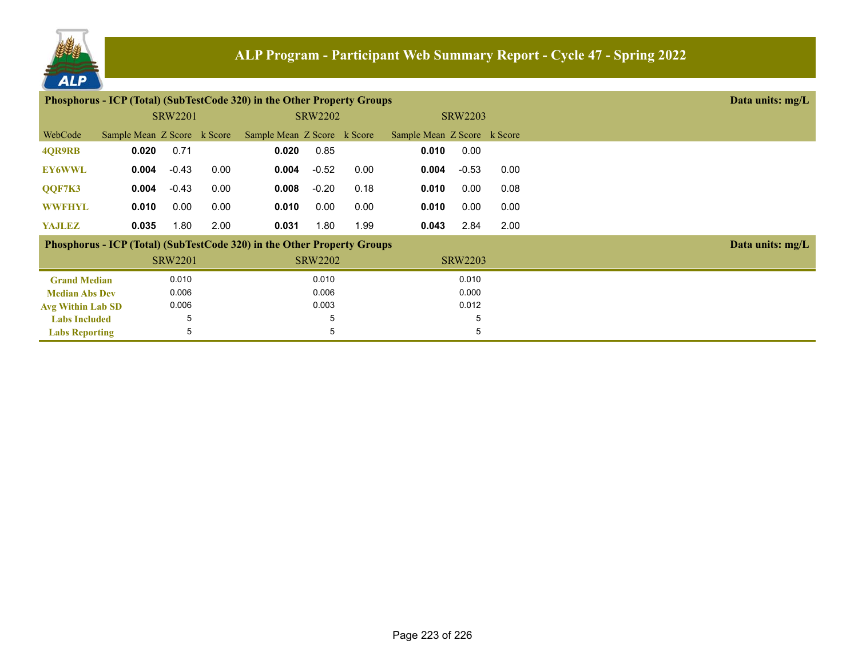

|                          |                             |                |      | <b>Phosphorus - ICP (Total) (SubTestCode 320) in the Other Property Groups</b> |                |      |                             |                |      | Data units: $mg/L$ |
|--------------------------|-----------------------------|----------------|------|--------------------------------------------------------------------------------|----------------|------|-----------------------------|----------------|------|--------------------|
|                          |                             | <b>SRW2201</b> |      |                                                                                | <b>SRW2202</b> |      |                             | <b>SRW2203</b> |      |                    |
| WebCode                  | Sample Mean Z Score k Score |                |      | Sample Mean Z Score k Score                                                    |                |      | Sample Mean Z Score k Score |                |      |                    |
| 4QR9RB                   | 0.020                       | 0.71           |      | 0.020                                                                          | 0.85           |      | 0.010                       | 0.00           |      |                    |
| <b>EY6WWL</b>            | 0.004                       | $-0.43$        | 0.00 | 0.004                                                                          | $-0.52$        | 0.00 | 0.004                       | $-0.53$        | 0.00 |                    |
| QQF7K3                   | 0.004                       | $-0.43$        | 0.00 | 0.008                                                                          | $-0.20$        | 0.18 | 0.010                       | 0.00           | 0.08 |                    |
| <b>WWFHYL</b>            | 0.010                       | 0.00           | 0.00 | 0.010                                                                          | 0.00           | 0.00 | 0.010                       | 0.00           | 0.00 |                    |
| <b>YAJLEZ</b>            | 0.035                       | 1.80           | 2.00 | 0.031                                                                          | 1.80           | 1.99 | 0.043                       | 2.84           | 2.00 |                    |
|                          |                             |                |      | <b>Phosphorus - ICP (Total) (SubTestCode 320) in the Other Property Groups</b> |                |      |                             |                |      | Data units: mg/L   |
|                          |                             | <b>SRW2201</b> |      |                                                                                | <b>SRW2202</b> |      |                             | <b>SRW2203</b> |      |                    |
| <b>Grand Median</b>      |                             | 0.010          |      |                                                                                | 0.010          |      |                             | 0.010          |      |                    |
| <b>Median Abs Dev</b>    |                             | 0.006          |      |                                                                                | 0.006          |      |                             | 0.000          |      |                    |
| <b>Avg Within Lab SD</b> |                             | 0.006          |      |                                                                                | 0.003          |      |                             | 0.012          |      |                    |
| <b>Labs Included</b>     |                             | 5              |      |                                                                                | 5              |      |                             | 5              |      |                    |
| <b>Labs Reporting</b>    |                             | 5              |      |                                                                                | 5              |      |                             | 5              |      |                    |
|                          |                             |                |      |                                                                                |                |      |                             |                |      |                    |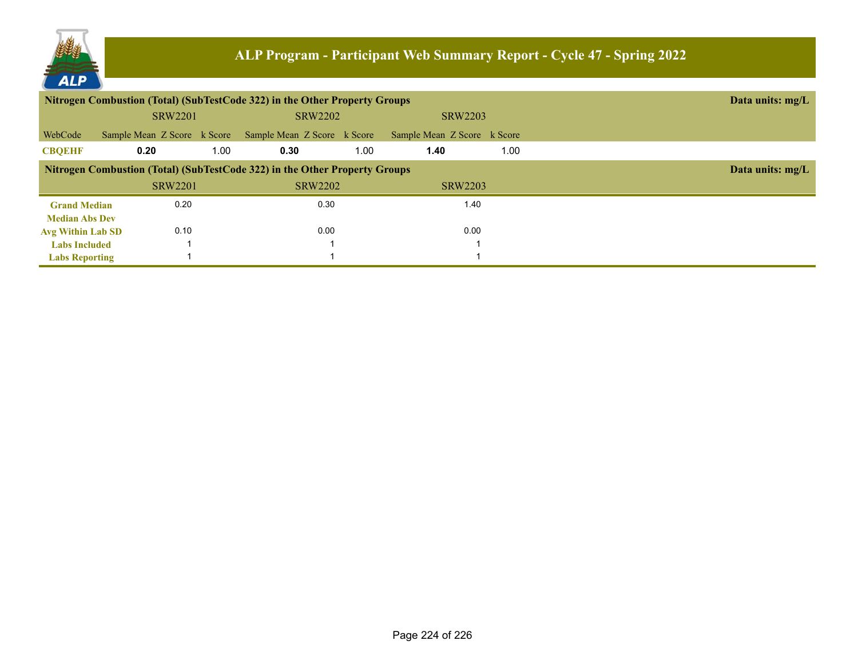

|                       |                             |      | Nitrogen Combustion (Total) (SubTestCode 322) in the Other Property Groups |      |                             |      | Data units: mg/L |
|-----------------------|-----------------------------|------|----------------------------------------------------------------------------|------|-----------------------------|------|------------------|
|                       | SRW2201                     |      | SRW2202                                                                    |      | <b>SRW2203</b>              |      |                  |
| WebCode               | Sample Mean Z Score k Score |      | Sample Mean Z Score k Score                                                |      | Sample Mean Z Score k Score |      |                  |
| <b>CBOEHF</b>         | 0.20                        | 1.00 | 0.30                                                                       | 1.00 | 1.40                        | 1.00 |                  |
|                       |                             |      | Nitrogen Combustion (Total) (SubTestCode 322) in the Other Property Groups |      |                             |      | Data units: mg/L |
|                       | <b>SRW2201</b>              |      | <b>SRW2202</b>                                                             |      | <b>SRW2203</b>              |      |                  |
| <b>Grand Median</b>   | 0.20                        |      | 0.30                                                                       |      | 1.40                        |      |                  |
| <b>Median Abs Dev</b> |                             |      |                                                                            |      |                             |      |                  |
| Avg Within Lab SD     | 0.10                        |      | 0.00                                                                       |      | 0.00                        |      |                  |
| <b>Labs Included</b>  |                             |      |                                                                            |      |                             |      |                  |
| <b>Labs Reporting</b> |                             |      |                                                                            |      |                             |      |                  |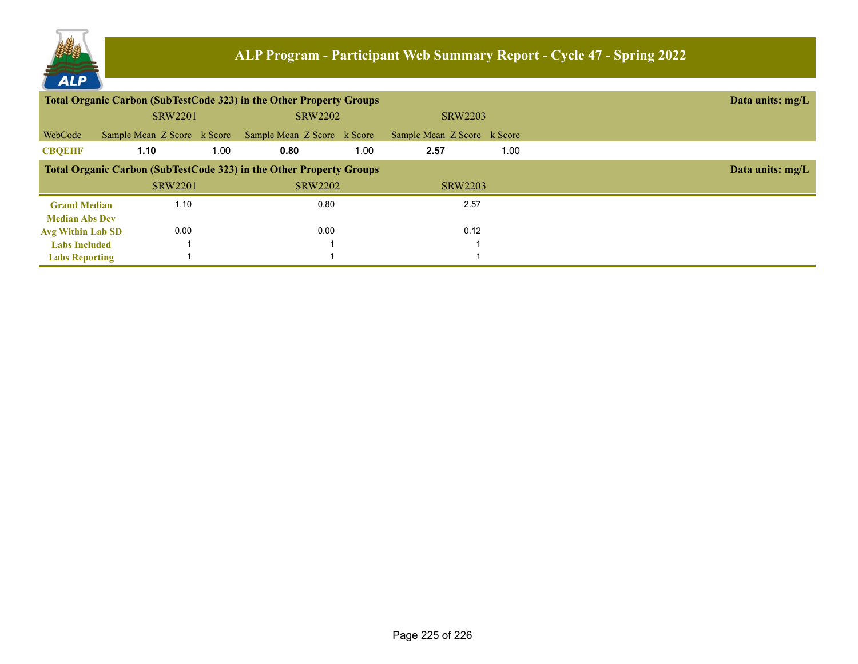

|                       |                             |      | Total Organic Carbon (SubTestCode 323) in the Other Property Groups        |                   |                             |      | Data units: mg/L |  |
|-----------------------|-----------------------------|------|----------------------------------------------------------------------------|-------------------|-----------------------------|------|------------------|--|
|                       | SRW2201                     |      | SRW2202                                                                    |                   | <b>SRW2203</b>              |      |                  |  |
| WebCode               | Sample Mean Z Score k Score |      | Sample Mean Z Score k Score                                                |                   | Sample Mean Z Score k Score |      |                  |  |
| <b>CBOEHF</b>         | 1.10                        | 1.00 | 0.80                                                                       | 1.00 <sub>1</sub> | 2.57                        | 1.00 |                  |  |
|                       |                             |      | <b>Total Organic Carbon (SubTestCode 323) in the Other Property Groups</b> |                   |                             |      | Data units: mg/L |  |
|                       | <b>SRW2201</b>              |      | <b>SRW2202</b>                                                             |                   | <b>SRW2203</b>              |      |                  |  |
| <b>Grand Median</b>   | 1.10                        |      | 0.80                                                                       |                   | 2.57                        |      |                  |  |
| <b>Median Abs Dev</b> |                             |      |                                                                            |                   |                             |      |                  |  |
| Avg Within Lab SD     | 0.00                        |      | 0.00                                                                       |                   | 0.12                        |      |                  |  |
| <b>Labs Included</b>  |                             |      |                                                                            |                   |                             |      |                  |  |
| <b>Labs Reporting</b> |                             |      |                                                                            |                   |                             |      |                  |  |